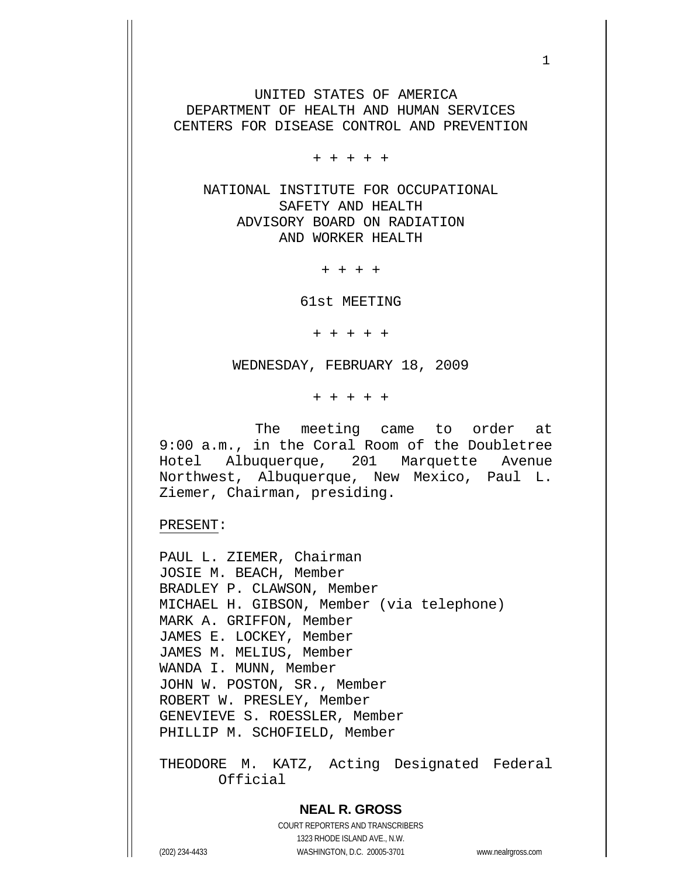UNITED STATES OF AMERICA DEPARTMENT OF HEALTH AND HUMAN SERVICES CENTERS FOR DISEASE CONTROL AND PREVENTION

+ + + + +

 NATIONAL INSTITUTE FOR OCCUPATIONAL SAFETY AND HEALTH ADVISORY BOARD ON RADIATION AND WORKER HEALTH

+ + + +

61st MEETING

+ + + + +

WEDNESDAY, FEBRUARY 18, 2009

+ + + + +

 The meeting came to order at 9:00 a.m., in the Coral Room of the Doubletree Hotel Albuquerque, 201 Marquette Avenue Northwest, Albuquerque, New Mexico, Paul L. Ziemer, Chairman, presiding.

PRESENT:

PAUL L. ZIEMER, Chairman JOSIE M. BEACH, Member BRADLEY P. CLAWSON, Member MICHAEL H. GIBSON, Member (via telephone) MARK A. GRIFFON, Member JAMES E. LOCKEY, Member JAMES M. MELIUS, Member WANDA I. MUNN, Member JOHN W. POSTON, SR., Member ROBERT W. PRESLEY, Member GENEVIEVE S. ROESSLER, Member PHILLIP M. SCHOFIELD, Member

THEODORE M. KATZ, Acting Designated Federal Official

## **NEAL R. GROSS**

COURT REPORTERS AND TRANSCRIBERS 1323 RHODE ISLAND AVE., N.W. (202) 234-4433 WASHINGTON, D.C. 20005-3701 www.nealrgross.com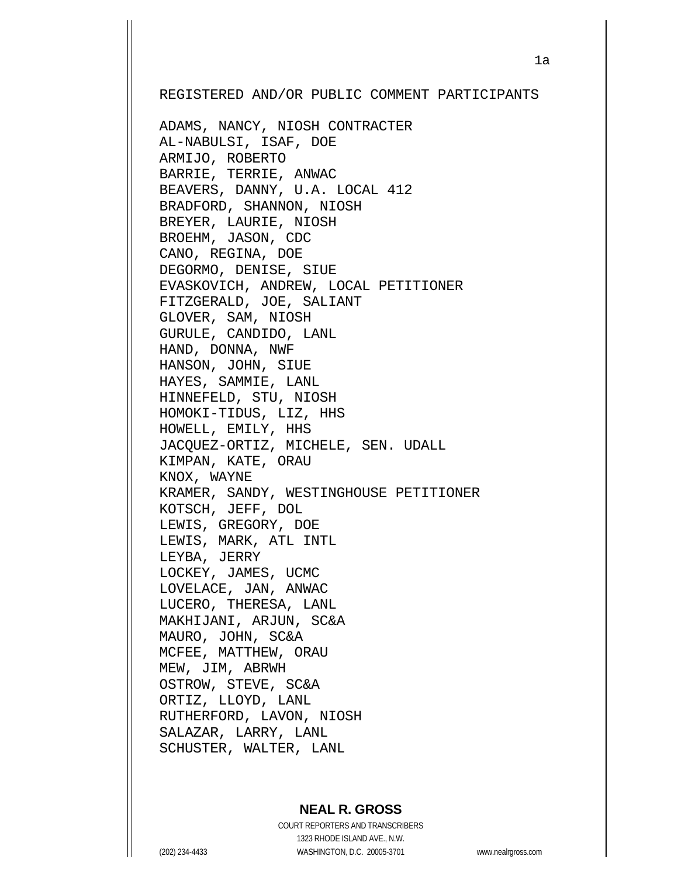REGISTERED AND/OR PUBLIC COMMENT PARTICIPANTS

ADAMS, NANCY, NIOSH CONTRACTER AL-NABULSI, ISAF, DOE ARMIJO, ROBERTO BARRIE, TERRIE, ANWAC BEAVERS, DANNY, U.A. LOCAL 412 BRADFORD, SHANNON, NIOSH BREYER, LAURIE, NIOSH BROEHM, JASON, CDC CANO, REGINA, DOE DEGORMO, DENISE, SIUE EVASKOVICH, ANDREW, LOCAL PETITIONER FITZGERALD, JOE, SALIANT GLOVER, SAM, NIOSH GURULE, CANDIDO, LANL HAND, DONNA, NWF HANSON, JOHN, SIUE HAYES, SAMMIE, LANL HINNEFELD, STU, NIOSH HOMOKI-TIDUS, LIZ, HHS HOWELL, EMILY, HHS JACQUEZ-ORTIZ, MICHELE, SEN. UDALL KIMPAN, KATE, ORAU KNOX, WAYNE KRAMER, SANDY, WESTINGHOUSE PETITIONER KOTSCH, JEFF, DOL LEWIS, GREGORY, DOE LEWIS, MARK, ATL INTL LEYBA, JERRY LOCKEY, JAMES, UCMC LOVELACE, JAN, ANWAC LUCERO, THERESA, LANL MAKHIJANI, ARJUN, SC&A MAURO, JOHN, SC&A MCFEE, MATTHEW, ORAU MEW, JIM, ABRWH OSTROW, STEVE, SC&A ORTIZ, LLOYD, LANL RUTHERFORD, LAVON, NIOSH SALAZAR, LARRY, LANL SCHUSTER, WALTER, LANL

## **NEAL R. GROSS**

COURT REPORTERS AND TRANSCRIBERS 1323 RHODE ISLAND AVE., N.W. (202) 234-4433 WASHINGTON, D.C. 20005-3701 www.nealrgross.com

1a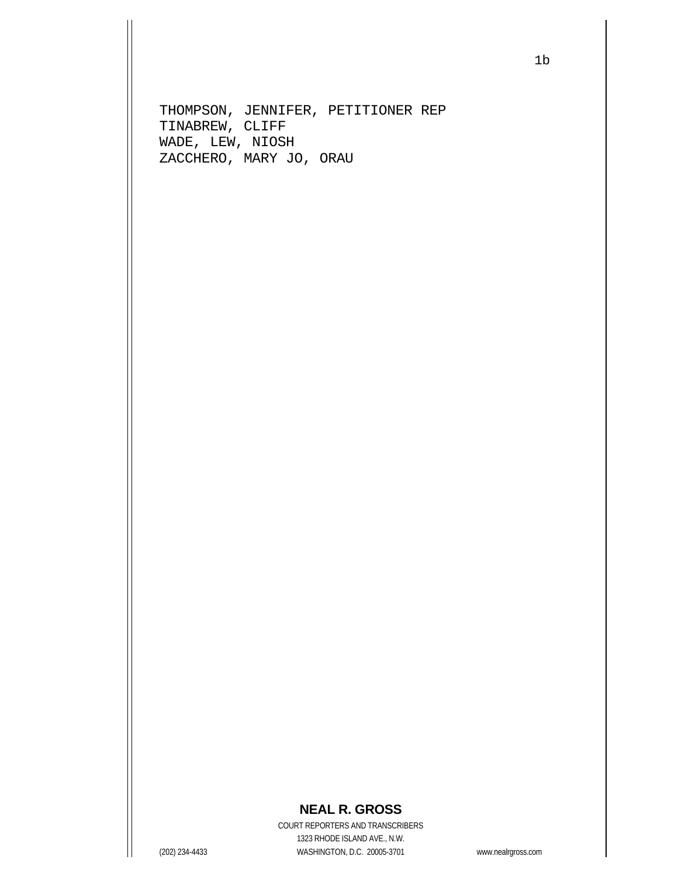THOMPSON, JENNIFER, PETITIONER REP TINABREW, CLIFF WADE, LEW, NIOSH ZACCHERO, MARY JO, ORAU

## **NEAL R. GROSS**

COURT REPORTERS AND TRANSCRIBERS 1323 RHODE ISLAND AVE., N.W. (202) 234-4433 WASHINGTON, D.C. 20005-3701 www.nealrgross.com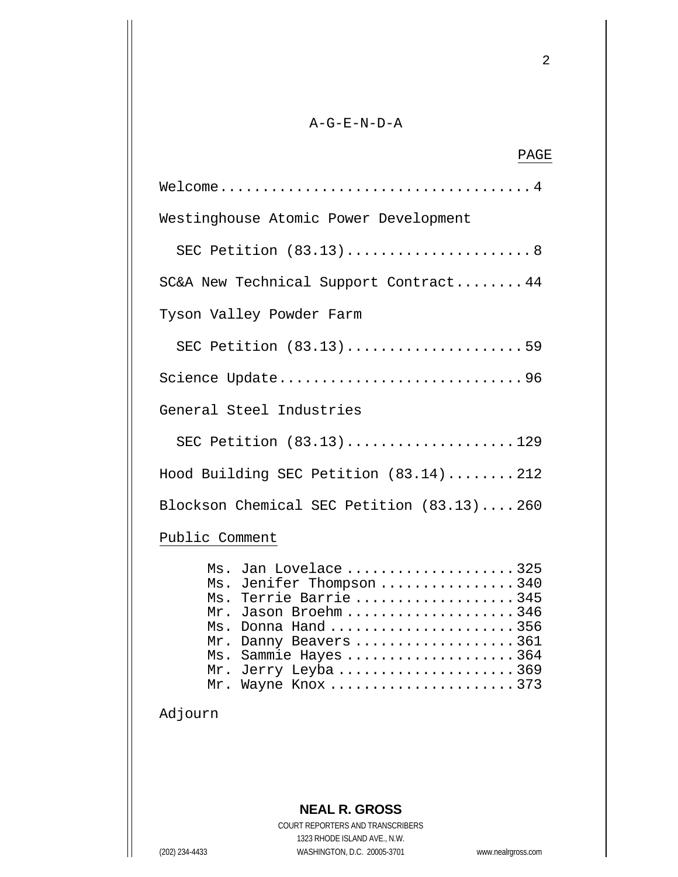## $A-G-E-N-D-A$

| PAGE                                                                                                                                                                                                                          |
|-------------------------------------------------------------------------------------------------------------------------------------------------------------------------------------------------------------------------------|
|                                                                                                                                                                                                                               |
| Westinghouse Atomic Power Development                                                                                                                                                                                         |
| SEC Petition (83.13)8                                                                                                                                                                                                         |
| SC&A New Technical Support Contract 44                                                                                                                                                                                        |
| Tyson Valley Powder Farm                                                                                                                                                                                                      |
| SEC Petition (83.13) 59                                                                                                                                                                                                       |
| Science Update96                                                                                                                                                                                                              |
| General Steel Industries                                                                                                                                                                                                      |
| SEC Petition (83.13)129                                                                                                                                                                                                       |
| Hood Building SEC Petition (83.14) 212                                                                                                                                                                                        |
| Blockson Chemical SEC Petition (83.13)260                                                                                                                                                                                     |
| Public Comment                                                                                                                                                                                                                |
| Ms. Jan Lovelace 325<br>Ms. Jenifer Thompson 340<br>Ms. Terrie Barrie 345<br>Mr. Jason Broehm346<br>Ms. Donna Hand 356<br>Mr. Danny Beavers 361<br>Sammie Hayes 364<br>Ms.<br>Jerry Leyba 369<br>Mr.<br>Wayne Knox 373<br>Mr. |
| Adjourn                                                                                                                                                                                                                       |

COURT REPORTERS AND TRANSCRIBERS 1323 RHODE ISLAND AVE., N.W. (202) 234-4433 WASHINGTON, D.C. 20005-3701 www.nealrgross.com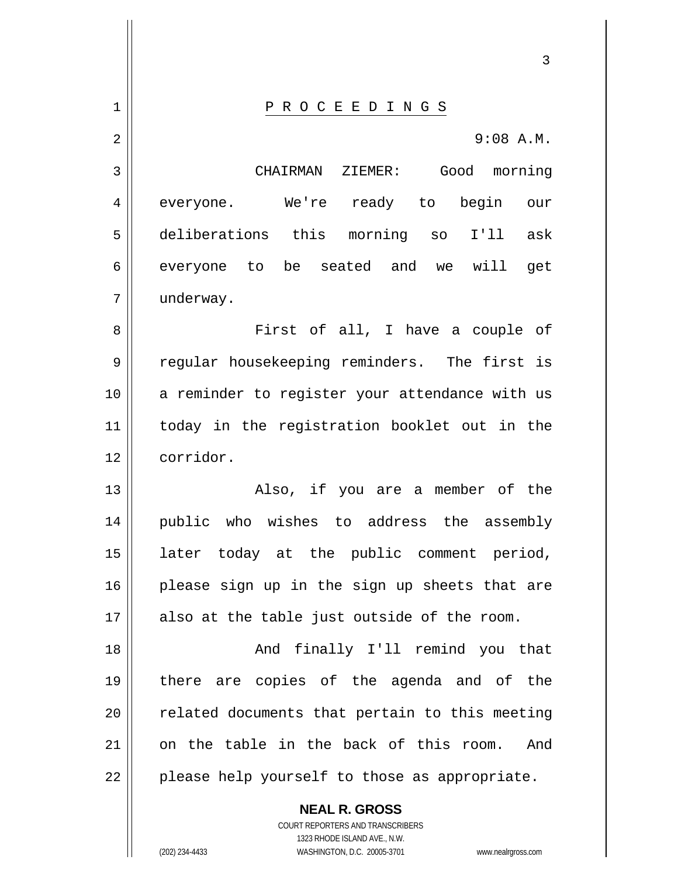**NEAL R. GROSS** 3 1 || P R O C E E D I N G S 2 3 4 5 6 7 8 9 10 11 12 13 14 15 16 17 18 19 20 21 22 9:08 A.M. CHAIRMAN ZIEMER: Good morning everyone. We're ready to begin our deliberations this morning so I'll ask everyone to be seated and we will get underway. First of all, I have a couple of regular housekeeping reminders. The first is a reminder to register your attendance with us today in the registration booklet out in the corridor. Also, if you are a member of the public who wishes to address the assembly later today at the public comment period, please sign up in the sign up sheets that are also at the table just outside of the room. And finally I'll remind you that there are copies of the agenda and of the related documents that pertain to this meeting on the table in the back of this room. And please help yourself to those as appropriate.

> COURT REPORTERS AND TRANSCRIBERS 1323 RHODE ISLAND AVE., N.W.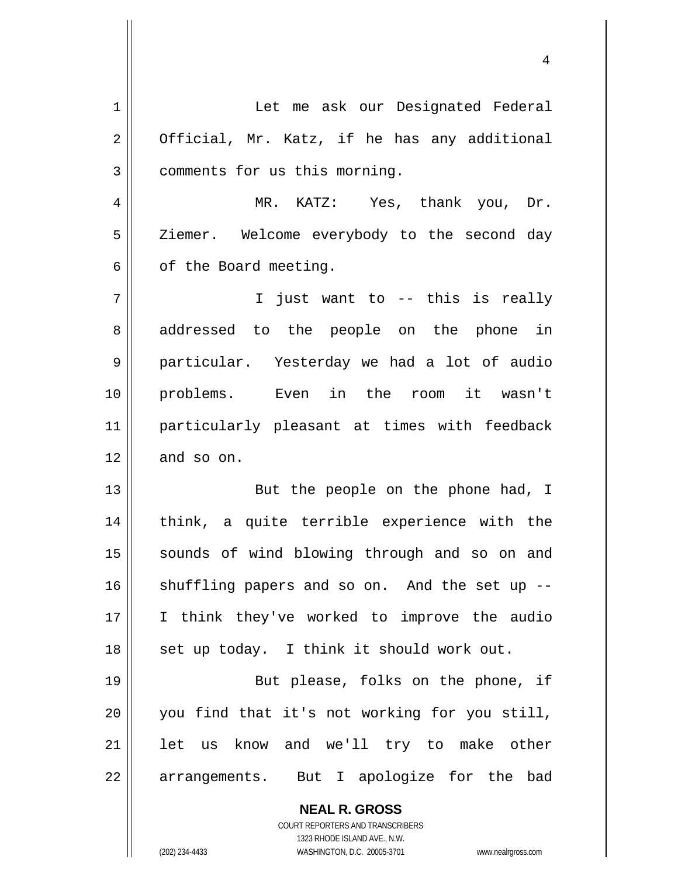| 1  | Let me ask our Designated Federal                                   |
|----|---------------------------------------------------------------------|
| 2  | Official, Mr. Katz, if he has any additional                        |
| 3  | comments for us this morning.                                       |
| 4  | MR. KATZ: Yes, thank you, Dr.                                       |
| 5  | Ziemer. Welcome everybody to the second day                         |
| 6  | of the Board meeting.                                               |
| 7  | I just want to -- this is really                                    |
| 8  | addressed to the people on the phone in                             |
| 9  | particular. Yesterday we had a lot of audio                         |
| 10 | problems. Even in the room it wasn't                                |
| 11 | particularly pleasant at times with feedback                        |
| 12 | and so on.                                                          |
| 13 | But the people on the phone had, I                                  |
| 14 | think, a quite terrible experience with the                         |
| 15 | sounds of wind blowing through and so on and                        |
| 16 | shuffling papers and so on. And the set up --                       |
| 17 | I think they've worked to improve the audio                         |
|    |                                                                     |
| 18 | set up today. I think it should work out.                           |
| 19 | But please, folks on the phone, if                                  |
| 20 | you find that it's not working for you still,                       |
| 21 | let us know and we'll try to make other                             |
| 22 | arrangements. But I apologize for the bad                           |
|    | <b>NEAL R. GROSS</b>                                                |
|    | COURT REPORTERS AND TRANSCRIBERS                                    |
|    | 1323 RHODE ISLAND AVE., N.W.                                        |
|    | (202) 234-4433<br>WASHINGTON, D.C. 20005-3701<br>www.nealrgross.com |

4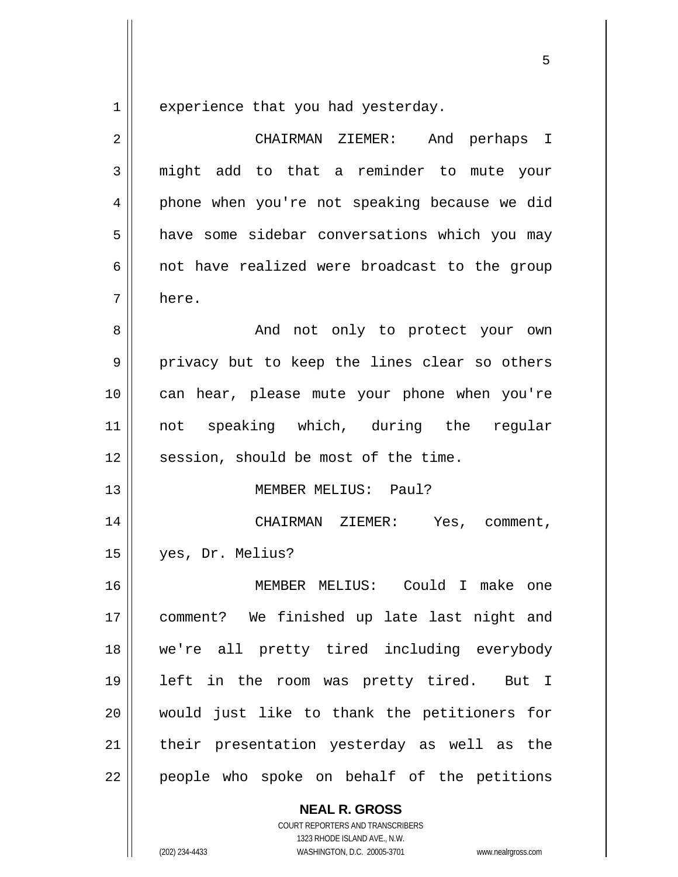1 experience that you had yesterday.

<u>53 and 2001 and 2001 and 2001 and 2001 and 2001 and 2001 and 2001 and 2001 and 2001 and 2001 and 2001 and 200</u>

| $\overline{2}$ | CHAIRMAN ZIEMER: And perhaps I                |
|----------------|-----------------------------------------------|
| 3              | might add to that a reminder to mute your     |
| 4              | phone when you're not speaking because we did |
| 5              | have some sidebar conversations which you may |
| 6              | not have realized were broadcast to the group |
| 7              | here.                                         |
| 8              | And not only to protect your own              |
| 9              | privacy but to keep the lines clear so others |
| 10             | can hear, please mute your phone when you're  |
| 11             | not speaking which, during the<br>regular     |
| 12             | session, should be most of the time.          |
| 13             | MEMBER MELIUS: Paul?                          |
| 14             | CHAIRMAN ZIEMER: Yes, comment,                |
| 15             | yes, Dr. Melius?                              |
| 16             | MEMBER MELIUS: Could I make one               |
| 17             | comment? We finished up late last night and   |
| 18             | we're all pretty tired including everybody    |
| 19             | left in the room was pretty tired.<br>But I   |
| 20             | would just like to thank the petitioners for  |
| 21             | their presentation yesterday as well as the   |
| 22             | people who spoke on behalf of the petitions   |

**NEAL R. GROSS** COURT REPORTERS AND TRANSCRIBERS

1323 RHODE ISLAND AVE., N.W.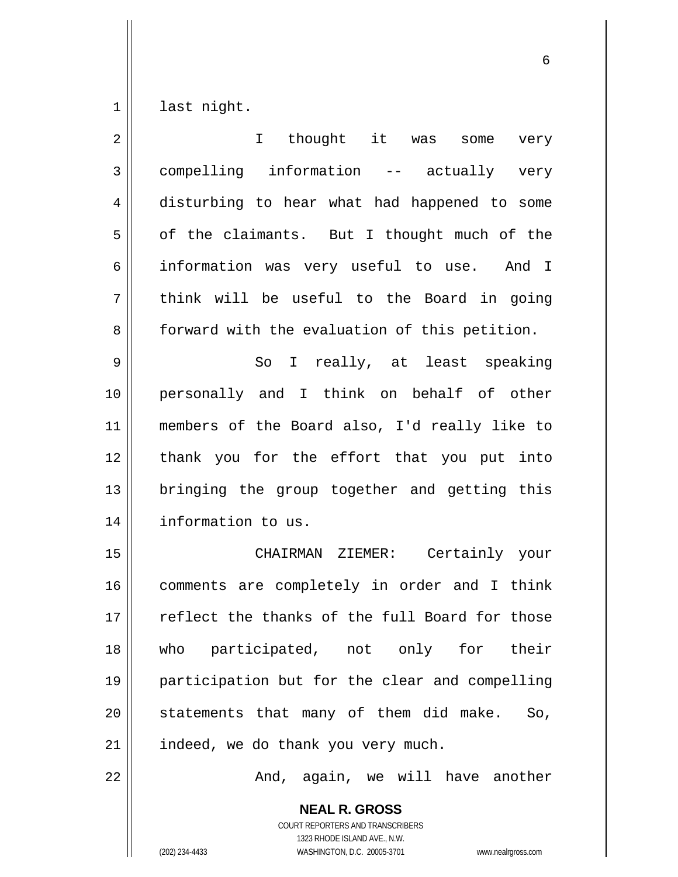1 last night.

| $\overline{2}$ | thought it was<br>$\mathbf I$<br>some<br>very            |
|----------------|----------------------------------------------------------|
| $\mathfrak{Z}$ | compelling information -- actually very                  |
| 4              | disturbing to hear what had happened to some             |
| 5              | of the claimants. But I thought much of the              |
| 6              | information was very useful to use. And I                |
| 7              | think will be useful to the Board in going               |
| 8              | forward with the evaluation of this petition.            |
| 9              | I really, at least speaking<br>So                        |
| 10             | personally and I think on behalf of other                |
| 11             | members of the Board also, I'd really like to            |
| 12             | thank you for the effort that you put into               |
| 13             | bringing the group together and getting this             |
| 14             | information to us.                                       |
| 15             | CHAIRMAN ZIEMER: Certainly your                          |
| 16             | comments are completely in order and I think             |
| 17             | reflect the thanks of the full Board for those           |
| 18             | who participated, not only for their                     |
| 19             | participation but for the clear and compelling           |
| 20             | statements that many of them did make.<br>So,            |
| 21             | indeed, we do thank you very much.                       |
| 22             | And, again, we will have another                         |
|                | <b>NEAL R. GROSS</b><br>COURT REPORTERS AND TRANSCRIBERS |

 $\sim$  6.6  $\sim$  6.6  $\sim$  6.6  $\sim$  6.6  $\sim$  6.6  $\sim$  6.6  $\sim$  6.6  $\sim$  6.6  $\sim$  6.6  $\sim$  6.6  $\sim$  6.6  $\sim$  6.6  $\sim$  6.6  $\sim$  6.6  $\sim$  6.6  $\sim$  6.6  $\sim$  6.6  $\sim$  6.6  $\sim$  6.6  $\sim$  6.6  $\sim$  6.6  $\sim$  6.6  $\sim$  6.6  $\sim$  6.6  $\sim$ 

1323 RHODE ISLAND AVE., N.W.

 $\prod$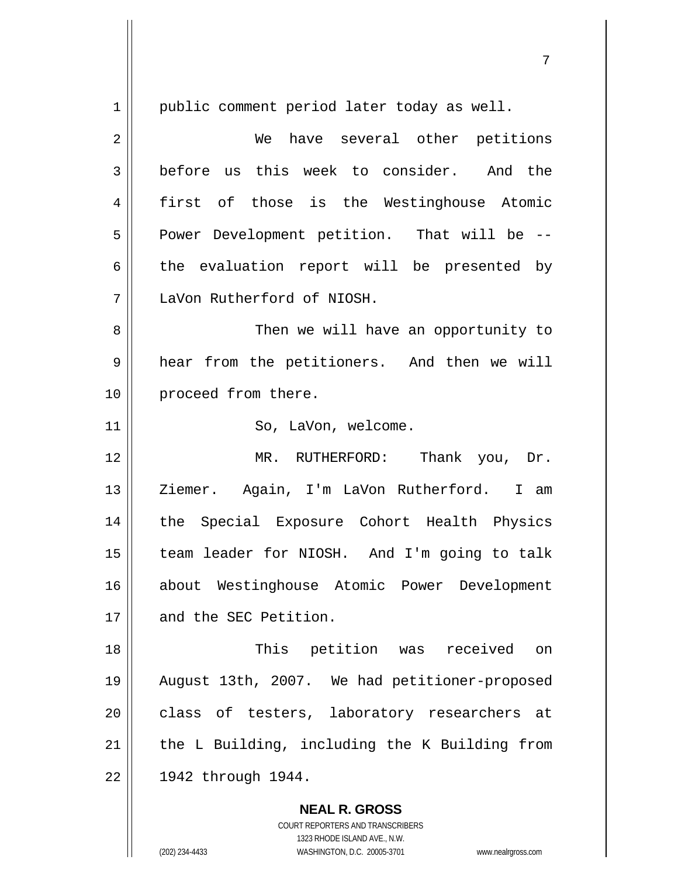**NEAL R. GROSS** 1 2 3 4 5 6 7 8 9 10 11 12 13 14 15 16 17 18 19 20 21 22 public comment period later today as well. We have several other petitions before us this week to consider. And the first of those is the Westinghouse Atomic Power Development petition. That will be - the evaluation report will be presented by LaVon Rutherford of NIOSH. Then we will have an opportunity to hear from the petitioners. And then we will proceed from there. So, LaVon, welcome. MR. RUTHERFORD: Thank you, Dr. Ziemer. Again, I'm LaVon Rutherford. I am the Special Exposure Cohort Health Physics team leader for NIOSH. And I'm going to talk about Westinghouse Atomic Power Development and the SEC Petition. This petition was received on August 13th, 2007. We had petitioner-proposed class of testers, laboratory researchers at the L Building, including the K Building from 1942 through 1944.

ли в село в село во село во село во село во село во село во село во село во село во село во село во село во се<br>Постојата на селото на селото на селото на селото на селото на селото на селото на селото на селото на селото

COURT REPORTERS AND TRANSCRIBERS 1323 RHODE ISLAND AVE., N.W.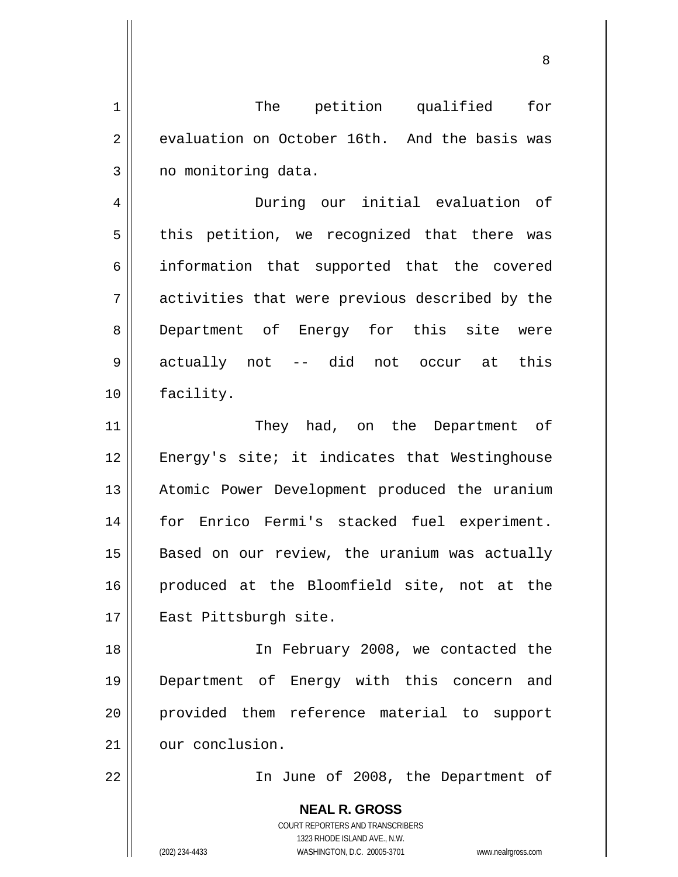1 2 3 The petition qualified for evaluation on October 16th. And the basis was no monitoring data.

en andere de la provincia de la provincia de la provincia de la provincia de la provincia de la provincia del<br>Referències

4 7 During our initial evaluation of this petition, we recognized that there was information that supported that the covered activities that were previous described by the Department of Energy for this site were actually not -- did not occur at this facility.

11 12 13 14 15 16 17 They had, on the Department of Energy's site; it indicates that Westinghouse Atomic Power Development produced the uranium for Enrico Fermi's stacked fuel experiment. Based on our review, the uranium was actually produced at the Bloomfield site, not at the East Pittsburgh site.

18 19 20 21 In February 2008, we contacted the Department of Energy with this concern and provided them reference material to support our conclusion.

22

5

6

8

9

10

In June of 2008, the Department of

**NEAL R. GROSS** COURT REPORTERS AND TRANSCRIBERS 1323 RHODE ISLAND AVE., N.W. (202) 234-4433 WASHINGTON, D.C. 20005-3701 www.nealrgross.com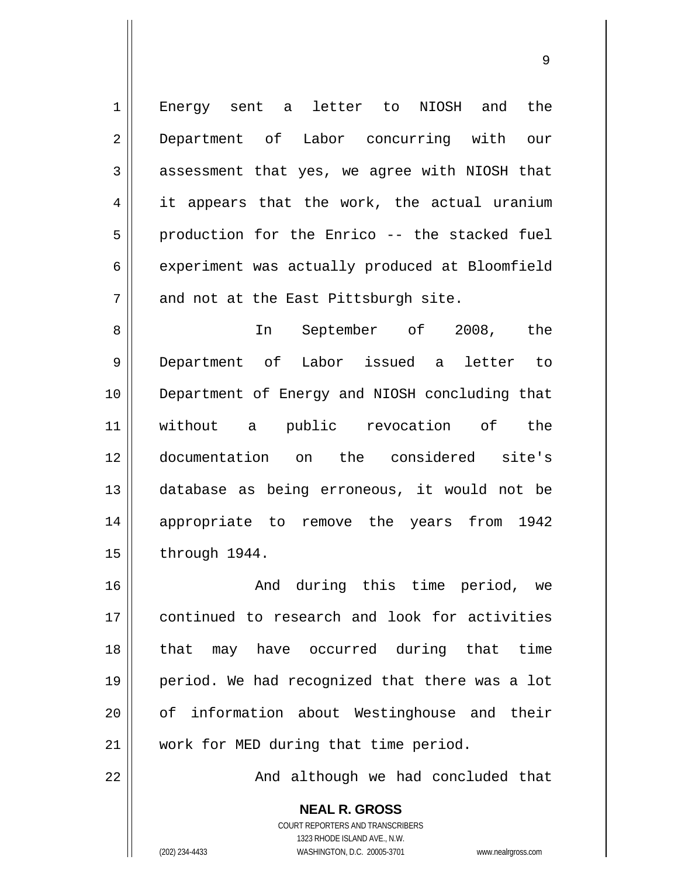Energy sent a letter to NIOSH and the Department of Labor concurring with our assessment that yes, we agree with NIOSH that it appears that the work, the actual uranium production for the Enrico -- the stacked fuel experiment was actually produced at Bloomfield and not at the East Pittsburgh site.

9

8 9 10 11 12 13 14 15 In September of 2008, the Department of Labor issued a letter to Department of Energy and NIOSH concluding that without a public revocation of the documentation on the considered site's database as being erroneous, it would not be appropriate to remove the years from 1942 through 1944.

16 17 18 19 20 21 And during this time period, we continued to research and look for activities that may have occurred during that time period. We had recognized that there was a lot of information about Westinghouse and their work for MED during that time period.

And although we had concluded that

**NEAL R. GROSS** COURT REPORTERS AND TRANSCRIBERS 1323 RHODE ISLAND AVE., N.W. (202) 234-4433 WASHINGTON, D.C. 20005-3701 www.nealrgross.com

22

1

2

3

4

5

6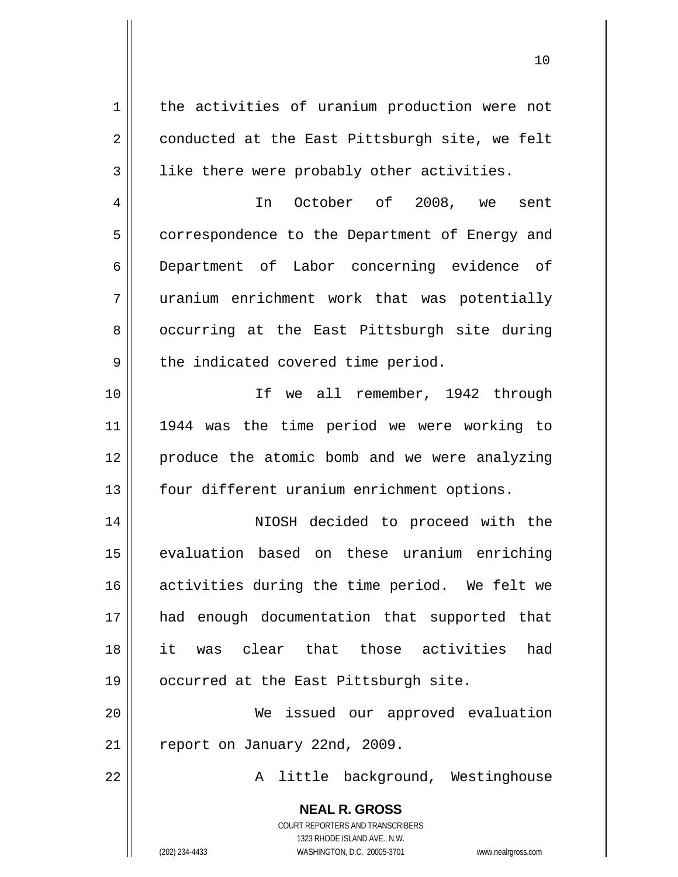**NEAL R. GROSS** COURT REPORTERS AND TRANSCRIBERS 1 2 3 4 5 6 7 8 9 10 11 12 13 14 15 16 17 18 19 20 21 22 the activities of uranium production were not conducted at the East Pittsburgh site, we felt like there were probably other activities. In October of 2008, we sent correspondence to the Department of Energy and Department of Labor concerning evidence of uranium enrichment work that was potentially occurring at the East Pittsburgh site during the indicated covered time period. If we all remember, 1942 through 1944 was the time period we were working to produce the atomic bomb and we were analyzing four different uranium enrichment options. NIOSH decided to proceed with the evaluation based on these uranium enriching activities during the time period. We felt we had enough documentation that supported that it was clear that those activities had occurred at the East Pittsburgh site. We issued our approved evaluation report on January 22nd, 2009. A little background, Westinghouse

1323 RHODE ISLAND AVE., N.W.

(202) 234-4433 WASHINGTON, D.C. 20005-3701 www.nealrgross.com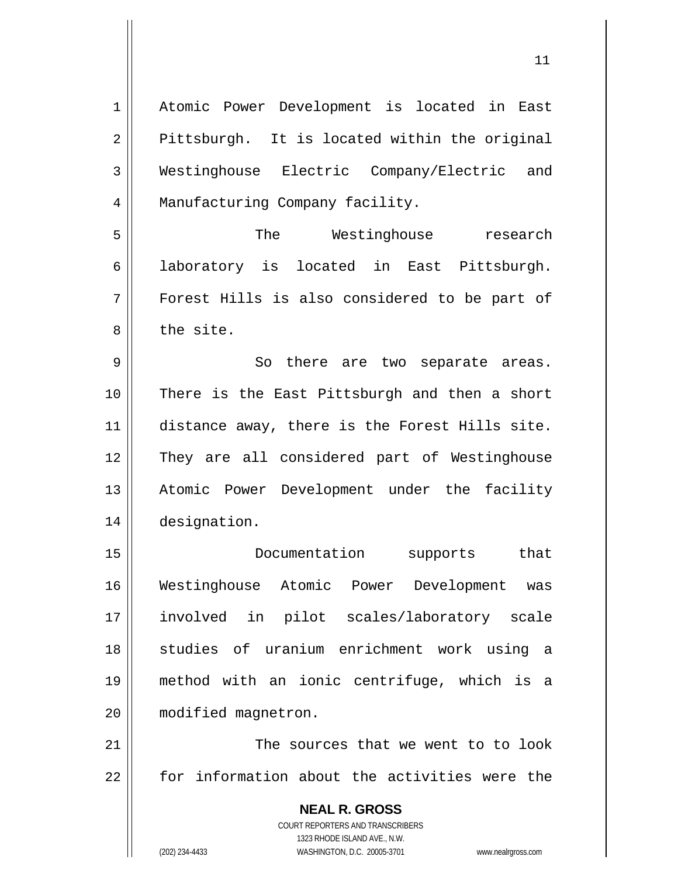| 1  | Atomic Power Development is located in East                         |
|----|---------------------------------------------------------------------|
| 2  | Pittsburgh. It is located within the original                       |
| 3  | Westinghouse Electric Company/Electric and                          |
| 4  | Manufacturing Company facility.                                     |
| 5  | The<br>Westinghouse<br>research                                     |
| 6  | located in East Pittsburgh.<br>laboratory is                        |
| 7  | Forest Hills is also considered to be part of                       |
| 8  | the site.                                                           |
| 9  | So there are two separate areas.                                    |
| 10 | There is the East Pittsburgh and then a short                       |
| 11 | distance away, there is the Forest Hills site.                      |
| 12 | They are all considered part of Westinghouse                        |
| 13 | Atomic Power Development under the facility                         |
| 14 | designation.                                                        |
| 15 | Documentation<br>that<br>supports                                   |
| 16 | Westinghouse Atomic Power Development<br>was                        |
| 17 | involved in pilot scales/laboratory scale                           |
| 18 | studies of uranium enrichment work using a                          |
| 19 | method with an ionic centrifuge, which is a                         |
| 20 | modified magnetron.                                                 |
| 21 | The sources that we went to to look                                 |
| 22 | for information about the activities were the                       |
|    | <b>NEAL R. GROSS</b>                                                |
|    | COURT REPORTERS AND TRANSCRIBERS                                    |
|    | 1323 RHODE ISLAND AVE., N.W.                                        |
|    | (202) 234-4433<br>WASHINGTON, D.C. 20005-3701<br>www.nealrgross.com |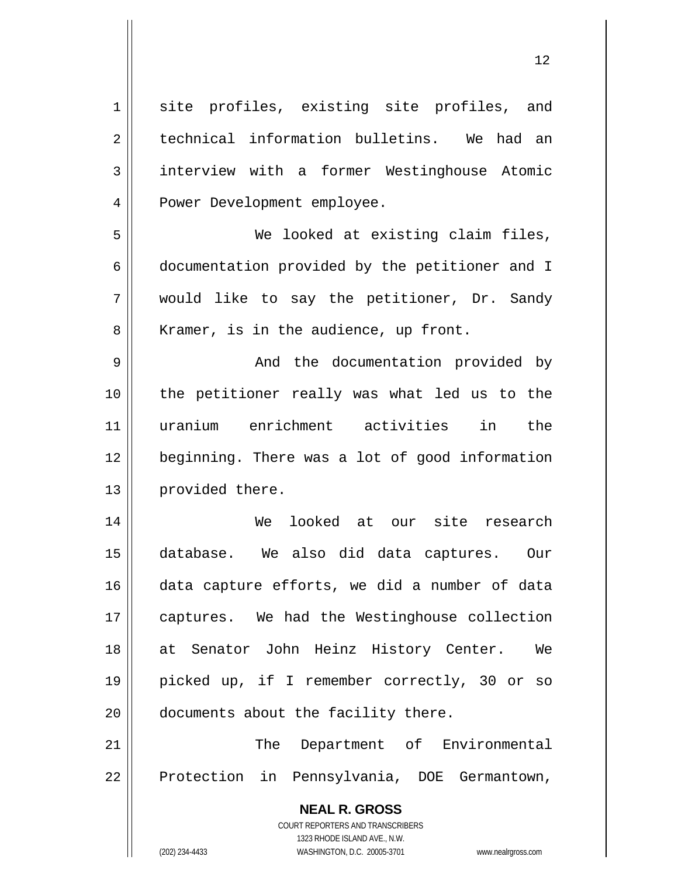**NEAL R. GROSS** COURT REPORTERS AND TRANSCRIBERS 1323 RHODE ISLAND AVE., N.W. 1 2 3 4 5 6 7 8 9 10 11 12 13 14 15 16 17 18 19 20 21 22 site profiles, existing site profiles, and technical information bulletins. We had an interview with a former Westinghouse Atomic Power Development employee. We looked at existing claim files, documentation provided by the petitioner and I would like to say the petitioner, Dr. Sandy Kramer, is in the audience, up front. And the documentation provided by the petitioner really was what led us to the uranium enrichment activities in the beginning. There was a lot of good information provided there. We looked at our site research database. We also did data captures. Our data capture efforts, we did a number of data captures. We had the Westinghouse collection at Senator John Heinz History Center. We picked up, if I remember correctly, 30 or so documents about the facility there. The Department of Environmental Protection in Pennsylvania, DOE Germantown,

12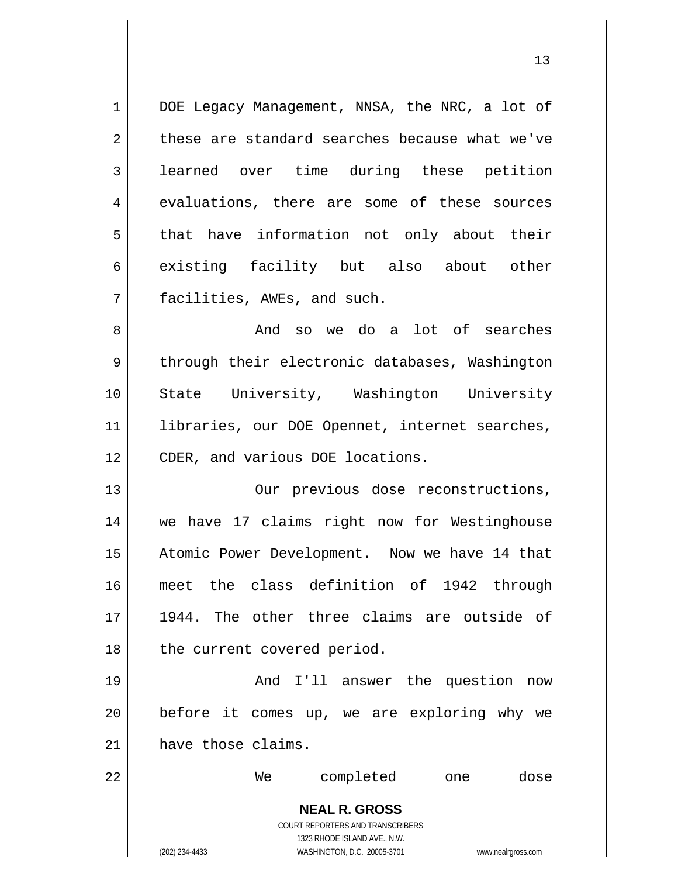**NEAL R. GROSS** COURT REPORTERS AND TRANSCRIBERS 1323 RHODE ISLAND AVE., N.W. (202) 234-4433 WASHINGTON, D.C. 20005-3701 www.nealrgross.com 1 2 3 4 5 6 7 8 9 10 11 12 13 14 15 16 17 18 19 20 21 22 DOE Legacy Management, NNSA, the NRC, a lot of these are standard searches because what we've learned over time during these petition evaluations, there are some of these sources that have information not only about their existing facility but also about other facilities, AWEs, and such. And so we do a lot of searches through their electronic databases, Washington State University, Washington University libraries, our DOE Opennet, internet searches, CDER, and various DOE locations. Our previous dose reconstructions, we have 17 claims right now for Westinghouse Atomic Power Development. Now we have 14 that meet the class definition of 1942 through 1944. The other three claims are outside of the current covered period. And I'll answer the question now before it comes up, we are exploring why we have those claims. We completed one dose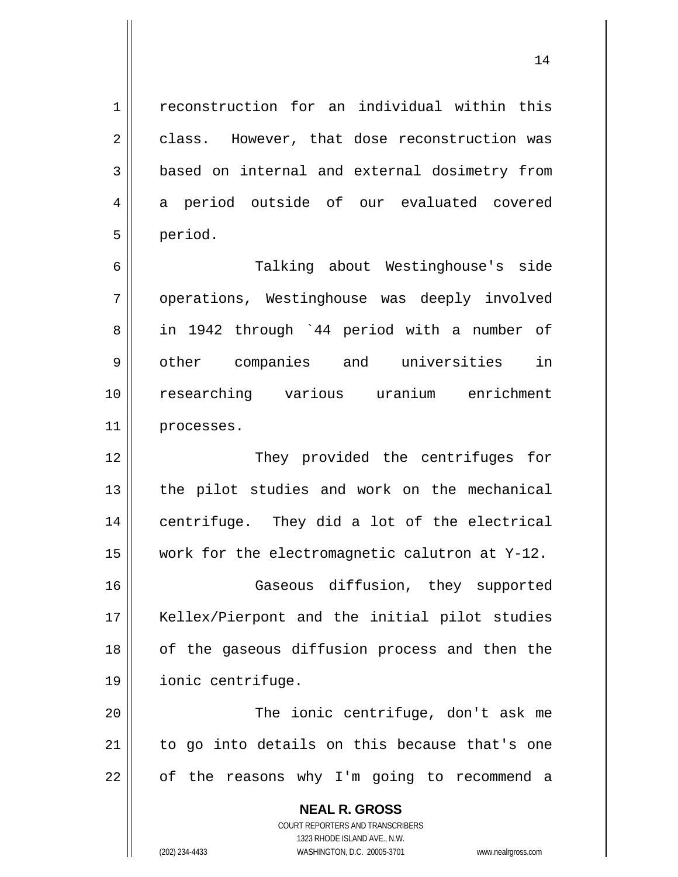reconstruction for an individual within this class. However, that dose reconstruction was based on internal and external dosimetry from a period outside of our evaluated covered period.

6 7 8 9 10 11 Talking about Westinghouse's side operations, Westinghouse was deeply involved in 1942 through `44 period with a number of other companies and universities in researching various uranium enrichment processes.

12 13 14 15 They provided the centrifuges for the pilot studies and work on the mechanical centrifuge. They did a lot of the electrical work for the electromagnetic calutron at Y-12.

16 17 18 19 Gaseous diffusion, they supported Kellex/Pierpont and the initial pilot studies of the gaseous diffusion process and then the ionic centrifuge.

20 21 22 The ionic centrifuge, don't ask me to go into details on this because that's one of the reasons why I'm going to recommend a

> **NEAL R. GROSS** COURT REPORTERS AND TRANSCRIBERS 1323 RHODE ISLAND AVE., N.W. (202) 234-4433 WASHINGTON, D.C. 20005-3701 www.nealrgross.com

1

2

3

4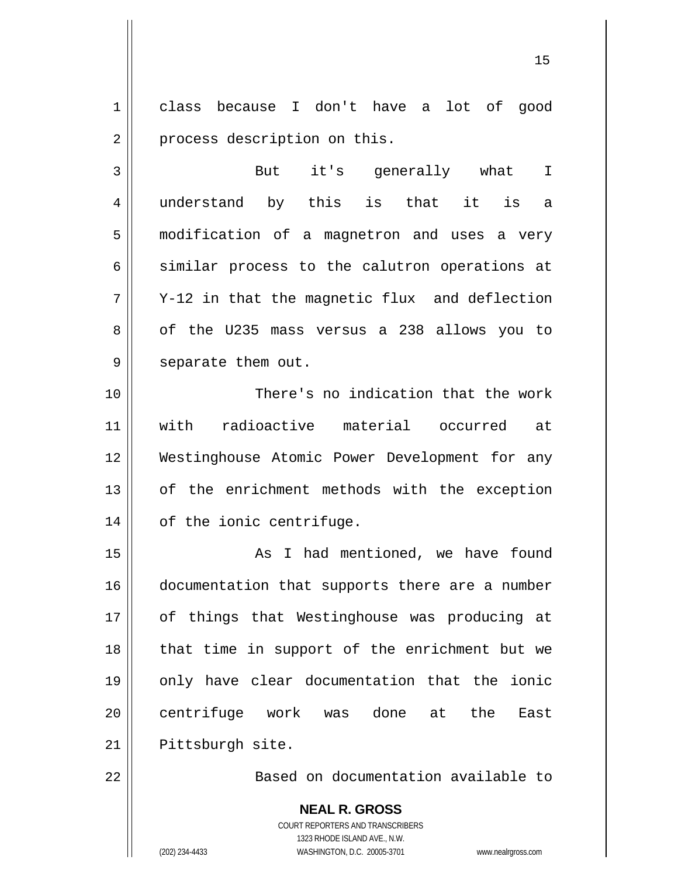1 2 class because I don't have a lot of good process description on this.

15

3 4 5 6 7 8 9 But it's generally what I understand by this is that it is a modification of a magnetron and uses a very similar process to the calutron operations at Y-12 in that the magnetic flux and deflection of the U235 mass versus a 238 allows you to separate them out.

10 11 12 13 14 There's no indication that the work with radioactive material occurred at Westinghouse Atomic Power Development for any of the enrichment methods with the exception of the ionic centrifuge.

15 16 17 18 19 20 21 As I had mentioned, we have found documentation that supports there are a number of things that Westinghouse was producing at that time in support of the enrichment but we only have clear documentation that the ionic centrifuge work was done at the East Pittsburgh site.

22

Based on documentation available to

**NEAL R. GROSS** COURT REPORTERS AND TRANSCRIBERS 1323 RHODE ISLAND AVE., N.W. (202) 234-4433 WASHINGTON, D.C. 20005-3701 www.nealrgross.com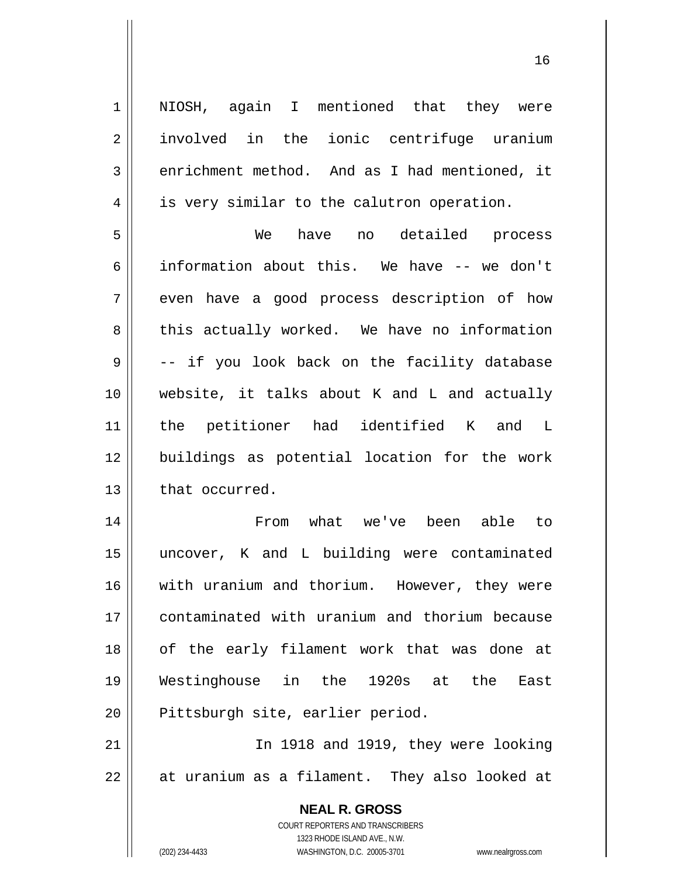**NEAL R. GROSS** COURT REPORTERS AND TRANSCRIBERS 1 2 3 4 5 6 7 8 9 10 11 12 13 14 15 16 17 18 19 20 21 22 NIOSH, again I mentioned that they were involved in the ionic centrifuge uranium enrichment method. And as I had mentioned, it is very similar to the calutron operation. We have no detailed process information about this. We have -- we don't even have a good process description of how this actually worked. We have no information -- if you look back on the facility database website, it talks about K and L and actually the petitioner had identified K and L buildings as potential location for the work that occurred. From what we've been able to uncover, K and L building were contaminated with uranium and thorium. However, they were contaminated with uranium and thorium because of the early filament work that was done at Westinghouse in the 1920s at the East Pittsburgh site, earlier period. In 1918 and 1919, they were looking at uranium as a filament. They also looked at

16

1323 RHODE ISLAND AVE., N.W.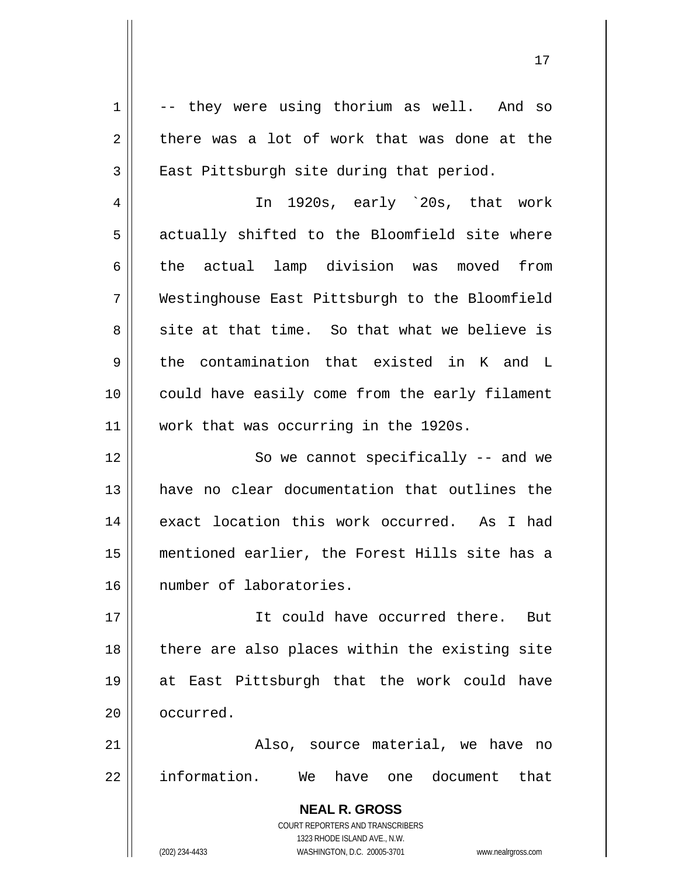**NEAL R. GROSS** COURT REPORTERS AND TRANSCRIBERS 1323 RHODE ISLAND AVE., N.W. 1 2 3 4 5 6 7 8 9 10 11 12 13 14 15 16 17 18 19 20 21 22 -- they were using thorium as well. And so there was a lot of work that was done at the East Pittsburgh site during that period. In 1920s, early `20s, that work actually shifted to the Bloomfield site where the actual lamp division was moved from Westinghouse East Pittsburgh to the Bloomfield site at that time. So that what we believe is the contamination that existed in K and L could have easily come from the early filament work that was occurring in the 1920s. So we cannot specifically -- and we have no clear documentation that outlines the exact location this work occurred. As I had mentioned earlier, the Forest Hills site has a number of laboratories. It could have occurred there. But there are also places within the existing site at East Pittsburgh that the work could have occurred. Also, source material, we have no information. We have one document that

17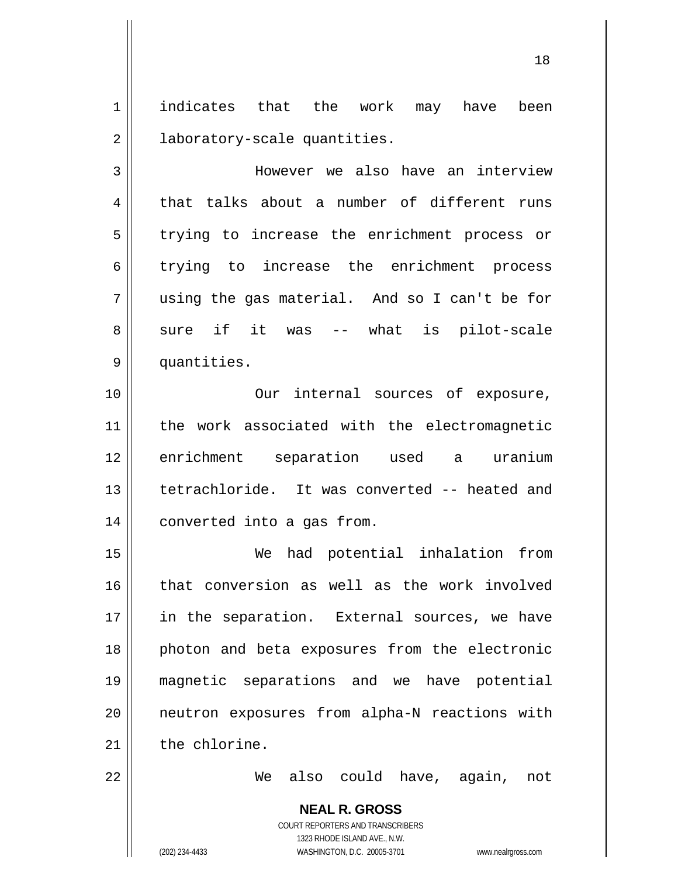1 2 indicates that the work may have been laboratory-scale quantities.

18

3 4 5 6 7 8 9 However we also have an interview that talks about a number of different runs trying to increase the enrichment process or trying to increase the enrichment process using the gas material. And so I can't be for sure if it was -- what is pilot-scale quantities.

10 11 12 13 14 Our internal sources of exposure, the work associated with the electromagnetic enrichment separation used a uranium tetrachloride. It was converted -- heated and converted into a gas from.

15 16 17 18 19 20 21 We had potential inhalation from that conversion as well as the work involved in the separation. External sources, we have photon and beta exposures from the electronic magnetic separations and we have potential neutron exposures from alpha-N reactions with the chlorine.

22

We also could have, again, not

**NEAL R. GROSS** COURT REPORTERS AND TRANSCRIBERS 1323 RHODE ISLAND AVE., N.W. (202) 234-4433 WASHINGTON, D.C. 20005-3701 www.nealrgross.com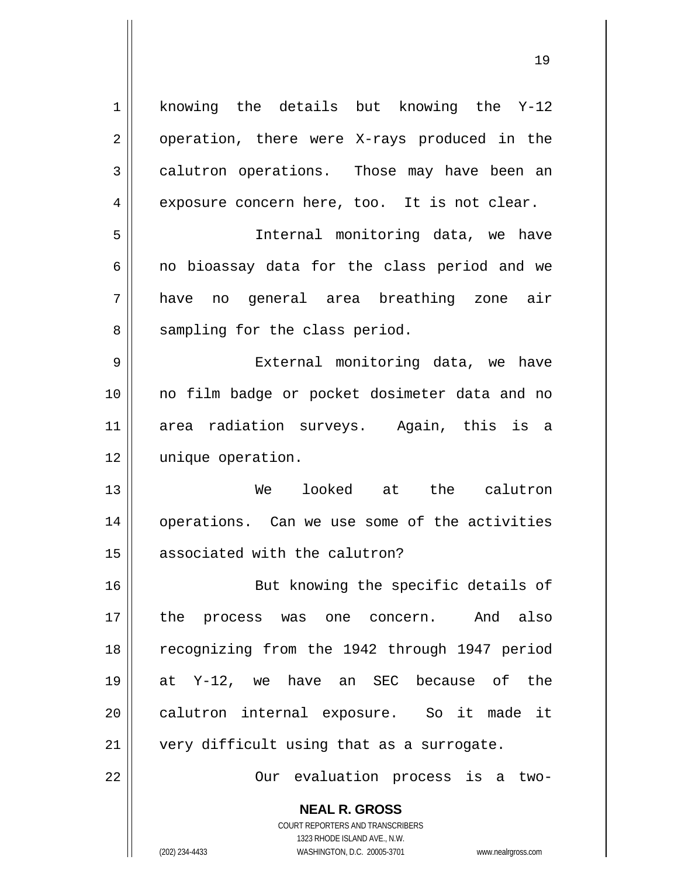**NEAL R. GROSS** 1 2 3 4 5 6 7 8 9 10 11 12 13 14 15 16 17 18 19 20 21 22 knowing the details but knowing the Y-12 operation, there were X-rays produced in the calutron operations. Those may have been an exposure concern here, too. It is not clear. Internal monitoring data, we have no bioassay data for the class period and we have no general area breathing zone air sampling for the class period. External monitoring data, we have no film badge or pocket dosimeter data and no area radiation surveys. Again, this is a unique operation. We looked at the calutron operations. Can we use some of the activities associated with the calutron? But knowing the specific details of the process was one concern. And also recognizing from the 1942 through 1947 period at Y-12, we have an SEC because of the calutron internal exposure. So it made it very difficult using that as a surrogate. Our evaluation process is a two-

19

COURT REPORTERS AND TRANSCRIBERS 1323 RHODE ISLAND AVE., N.W.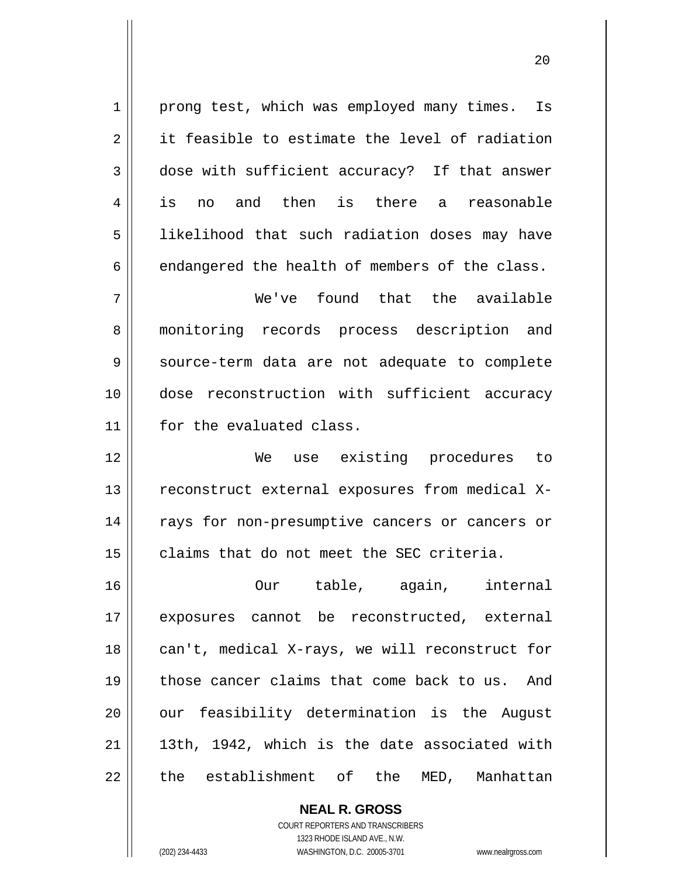1 2 3 4 5 6 prong test, which was employed many times. Is it feasible to estimate the level of radiation dose with sufficient accuracy? If that answer is no and then is there a reasonable likelihood that such radiation doses may have endangered the health of members of the class.

20

7 8 9 10 11 We've found that the available monitoring records process description and source-term data are not adequate to complete dose reconstruction with sufficient accuracy for the evaluated class.

12 13 14 15 We use existing procedures to reconstruct external exposures from medical Xrays for non-presumptive cancers or cancers or claims that do not meet the SEC criteria.

16 17 18 19 20 21 22 Our table, again, internal exposures cannot be reconstructed, external can't, medical X-rays, we will reconstruct for those cancer claims that come back to us. And our feasibility determination is the August 13th, 1942, which is the date associated with the establishment of the MED, Manhattan

> **NEAL R. GROSS** COURT REPORTERS AND TRANSCRIBERS 1323 RHODE ISLAND AVE., N.W. (202) 234-4433 WASHINGTON, D.C. 20005-3701 www.nealrgross.com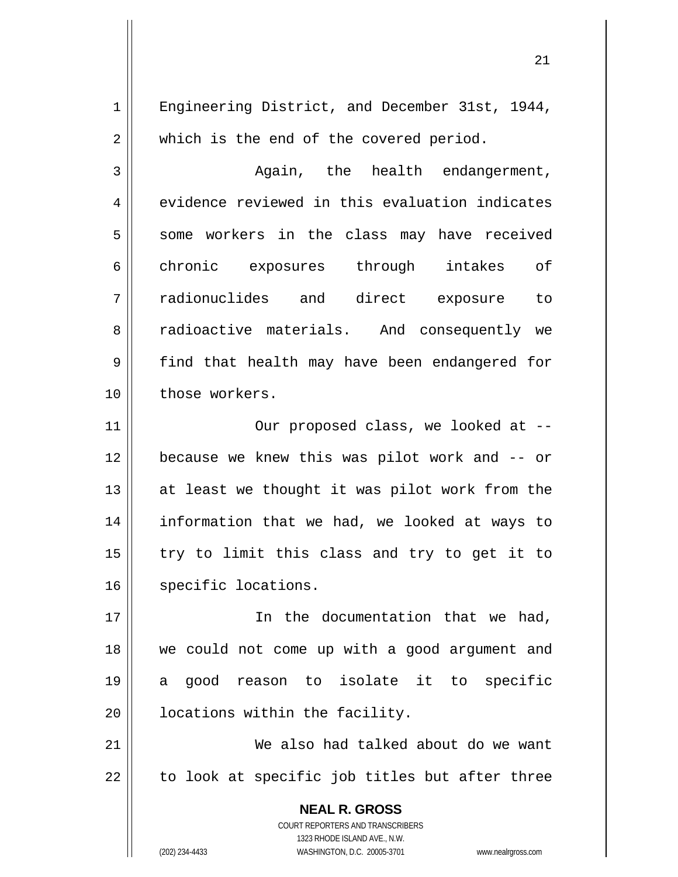Engineering District, and December 31st, 1944, which is the end of the covered period.

3 4 5 6 7 8 9 10 Again, the health endangerment, evidence reviewed in this evaluation indicates some workers in the class may have received chronic exposures through intakes of radionuclides and direct exposure to radioactive materials. And consequently we find that health may have been endangered for those workers.

11 12 13 14 15 16 Our proposed class, we looked at - because we knew this was pilot work and -- or at least we thought it was pilot work from the information that we had, we looked at ways to try to limit this class and try to get it to specific locations.

17 18 19 20 In the documentation that we had, we could not come up with a good argument and a good reason to isolate it to specific locations within the facility.

21 22 We also had talked about do we want to look at specific job titles but after three

> **NEAL R. GROSS** COURT REPORTERS AND TRANSCRIBERS 1323 RHODE ISLAND AVE., N.W. (202) 234-4433 WASHINGTON, D.C. 20005-3701 www.nealrgross.com

1

2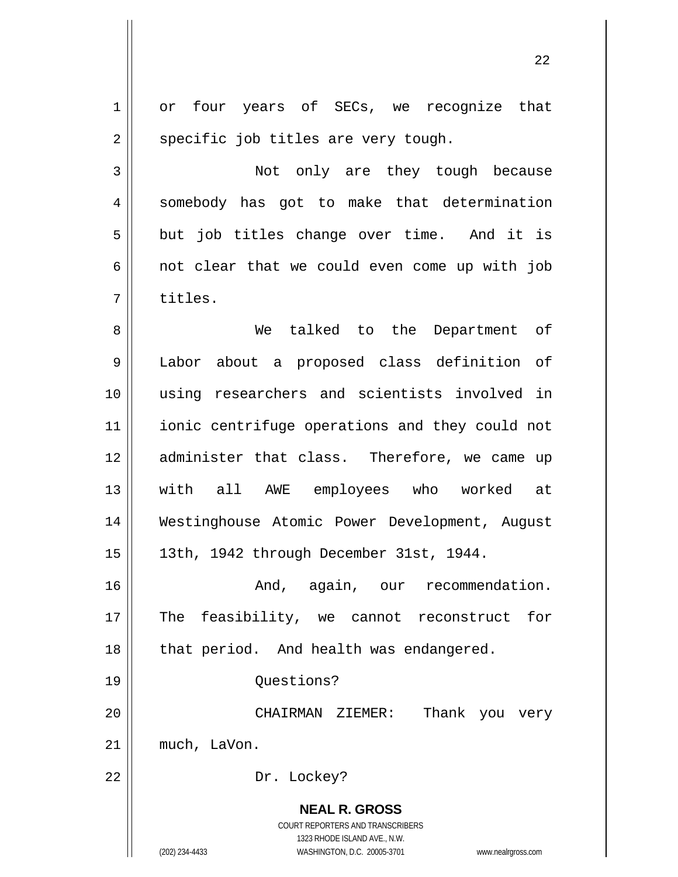**NEAL R. GROSS** COURT REPORTERS AND TRANSCRIBERS 1323 RHODE ISLAND AVE., N.W. (202) 234-4433 WASHINGTON, D.C. 20005-3701 www.nealrgross.com 1 2 3 4 5 6 7 8 9 10 11 12 13 14 15 16 17 18 19 20 21 22 or four years of SECs, we recognize that specific job titles are very tough. Not only are they tough because somebody has got to make that determination but job titles change over time. And it is not clear that we could even come up with job titles. We talked to the Department of Labor about a proposed class definition of using researchers and scientists involved in ionic centrifuge operations and they could not administer that class. Therefore, we came up with all AWE employees who worked at Westinghouse Atomic Power Development, August 13th, 1942 through December 31st, 1944. And, again, our recommendation. The feasibility, we cannot reconstruct for that period. And health was endangered. Questions? CHAIRMAN ZIEMER: Thank you very much, LaVon. Dr. Lockey?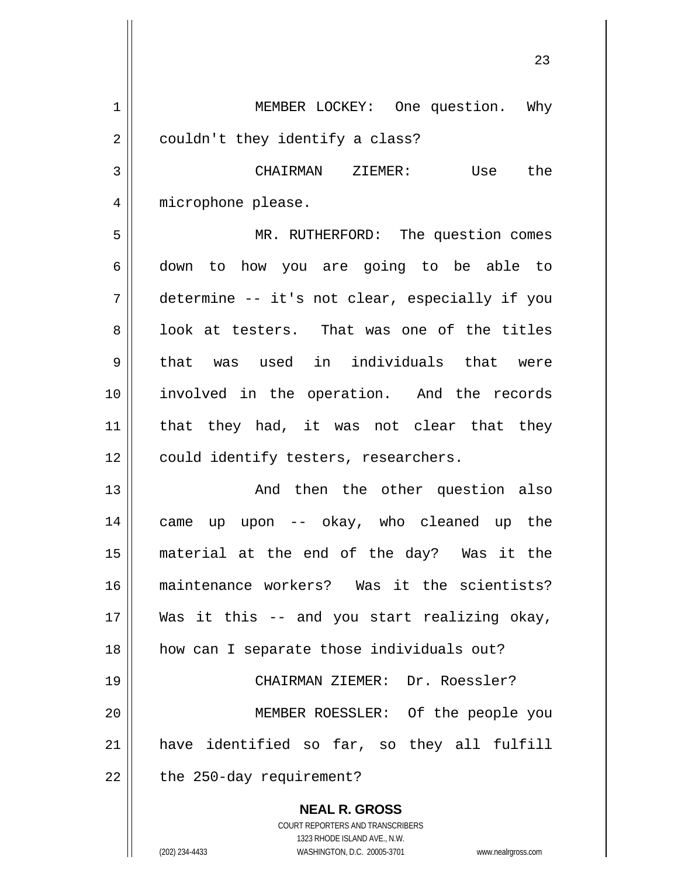**NEAL R. GROSS** COURT REPORTERS AND TRANSCRIBERS 1 2 3 4 5 6 7 8 9 10 11 12 13 14 15 16 17 18 19 20 21 22 MEMBER LOCKEY: One question. Why couldn't they identify a class? CHAIRMAN ZIEMER: Use the microphone please. MR. RUTHERFORD: The question comes down to how you are going to be able to determine -- it's not clear, especially if you look at testers. That was one of the titles that was used in individuals that were involved in the operation. And the records that they had, it was not clear that they could identify testers, researchers. And then the other question also came up upon -- okay, who cleaned up the material at the end of the day? Was it the maintenance workers? Was it the scientists? Was it this -- and you start realizing okay, how can I separate those individuals out? CHAIRMAN ZIEMER: Dr. Roessler? MEMBER ROESSLER: Of the people you have identified so far, so they all fulfill the 250-day requirement?

23

1323 RHODE ISLAND AVE., N.W.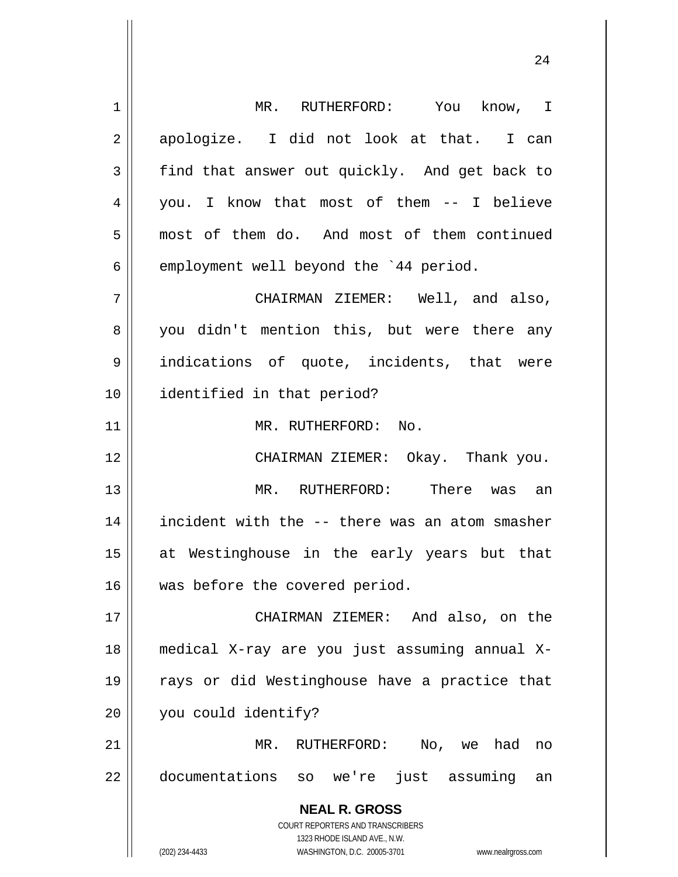| 1  | MR. RUTHERFORD: You know, I                                         |
|----|---------------------------------------------------------------------|
| 2  | apologize. I did not look at that. I can                            |
| 3  | find that answer out quickly. And get back to                       |
| 4  | you. I know that most of them -- I believe                          |
| 5  | most of them do. And most of them continued                         |
| 6  | employment well beyond the '44 period.                              |
| 7  | CHAIRMAN ZIEMER: Well, and also,                                    |
| 8  | you didn't mention this, but were there any                         |
| 9  | indications of quote, incidents, that were                          |
| 10 | identified in that period?                                          |
| 11 | MR. RUTHERFORD: No.                                                 |
| 12 | CHAIRMAN ZIEMER: Okay. Thank you.                                   |
| 13 | MR. RUTHERFORD: There was an                                        |
| 14 | incident with the -- there was an atom smasher                      |
| 15 | at Westinghouse in the early years but that                         |
| 16 | was before the covered period.                                      |
| 17 | CHAIRMAN ZIEMER: And also, on the                                   |
| 18 | medical X-ray are you just assuming annual X-                       |
| 19 | rays or did Westinghouse have a practice that                       |
| 20 | you could identify?                                                 |
| 21 | RUTHERFORD:<br>No, we<br>had<br>MR.<br>no                           |
| 22 | documentations so we're just assuming<br>an                         |
|    | <b>NEAL R. GROSS</b>                                                |
|    | <b>COURT REPORTERS AND TRANSCRIBERS</b>                             |
|    | 1323 RHODE ISLAND AVE., N.W.                                        |
|    | (202) 234-4433<br>WASHINGTON, D.C. 20005-3701<br>www.nealrgross.com |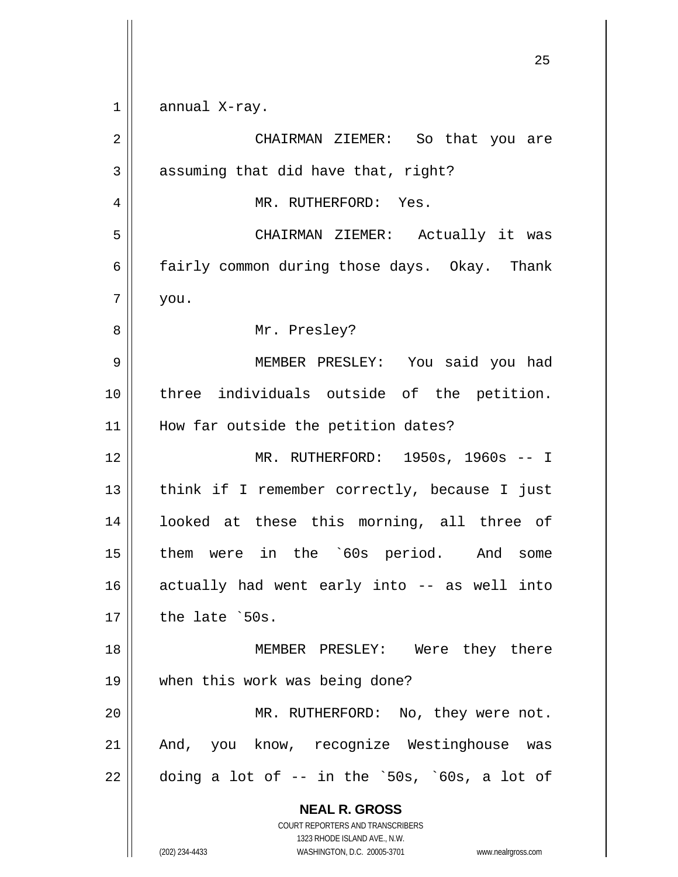**NEAL R. GROSS** COURT REPORTERS AND TRANSCRIBERS 1323 RHODE ISLAND AVE., N.W. (202) 234-4433 WASHINGTON, D.C. 20005-3701 www.nealrgross.com 1 2 3 4 5 6 7 8 9 10 11 12 13 14 15 16 17 18 19 20 21 22 annual X-ray. CHAIRMAN ZIEMER: So that you are assuming that did have that, right? MR. RUTHERFORD: Yes. CHAIRMAN ZIEMER: Actually it was fairly common during those days. Okay. Thank you. Mr. Presley? MEMBER PRESLEY: You said you had three individuals outside of the petition. How far outside the petition dates? MR. RUTHERFORD: 1950s, 1960s -- I think if I remember correctly, because I just looked at these this morning, all three of them were in the `60s period. And some actually had went early into -- as well into the late `50s. MEMBER PRESLEY: Were they there when this work was being done? MR. RUTHERFORD: No, they were not. And, you know, recognize Westinghouse was doing a lot of -- in the `50s, `60s, a lot of

<u>25</u>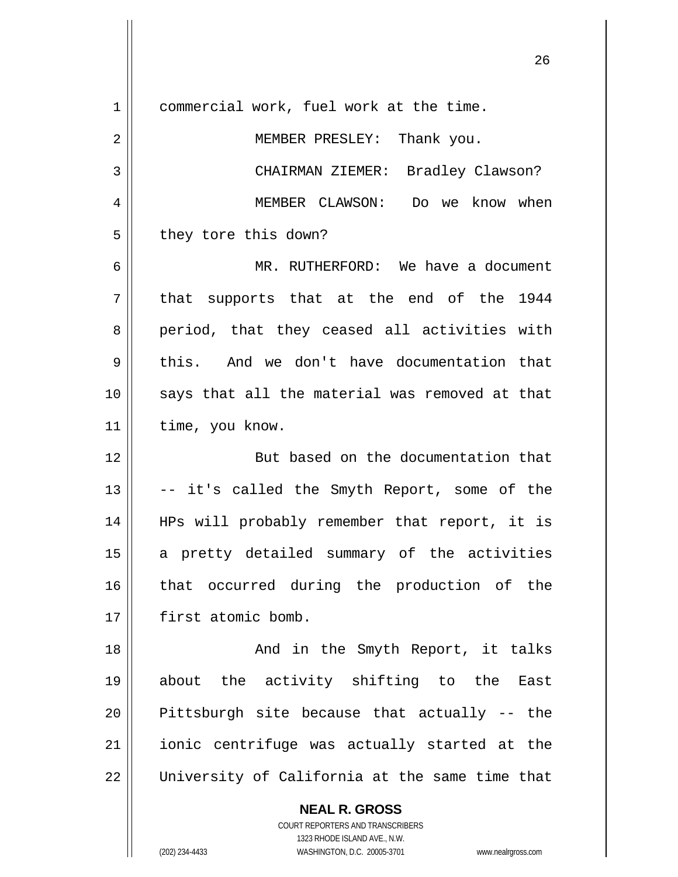| $\mathbf 1$    | commercial work, fuel work at the time.        |
|----------------|------------------------------------------------|
| 2              | MEMBER PRESLEY: Thank you.                     |
| 3              | CHAIRMAN ZIEMER: Bradley Clawson?              |
| $\overline{4}$ | MEMBER CLAWSON: Do we know when                |
| 5              | they tore this down?                           |
| 6              | MR. RUTHERFORD: We have a document             |
| 7              | that supports that at the end of the 1944      |
| 8              | period, that they ceased all activities with   |
| 9              | this. And we don't have documentation that     |
| 10             | says that all the material was removed at that |
| 11             | time, you know.                                |
| 12             | But based on the documentation that            |
|                |                                                |
| 13             | -- it's called the Smyth Report, some of the   |
| 14             | HPs will probably remember that report, it is  |
| 15             | a pretty detailed summary of the activities    |
| 16             | that occurred during the production of the     |
| 17             | first atomic bomb.                             |
| 18             | And in the Smyth Report, it talks              |
| 19             | about the activity shifting to the East        |
| 20             | Pittsburgh site because that actually -- the   |
| 21             | ionic centrifuge was actually started at the   |
| 22             | University of California at the same time that |
|                | <b>NEAL R. GROSS</b>                           |
|                | COURT REPORTERS AND TRANSCRIBERS               |

<u>26</u>

1323 RHODE ISLAND AVE., N.W.

 $\mathsf{I}$  $\prod_{i=1}^{n}$ 

 $\mathsf{I}$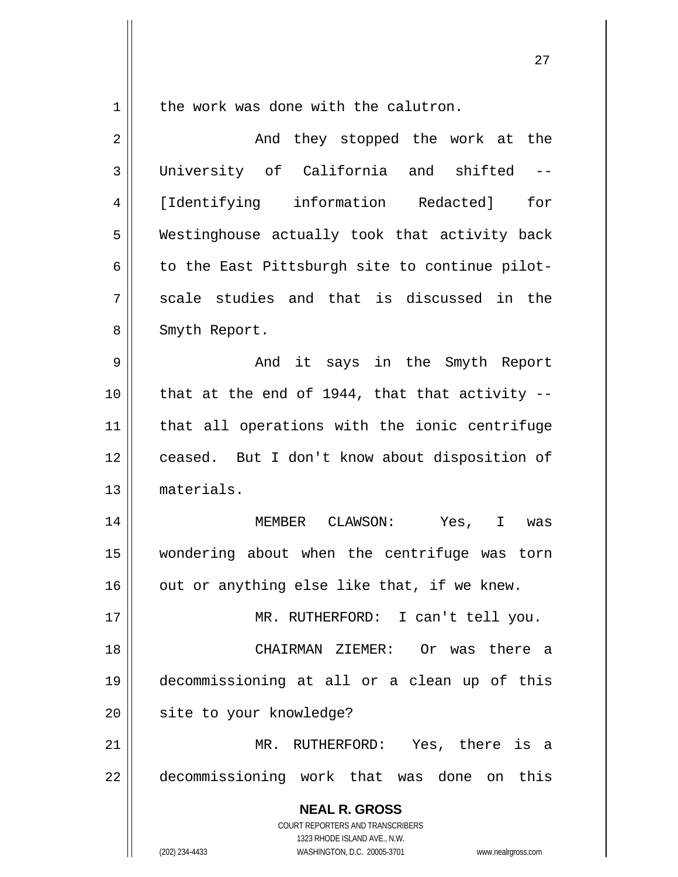1

the work was done with the calutron.

| $\overline{2}$ | And they stopped the work at the                                                                    |
|----------------|-----------------------------------------------------------------------------------------------------|
| 3              | University of California and shifted<br>$-\,-$                                                      |
| 4              | [Identifying information Redacted]<br>for                                                           |
| 5              | Westinghouse actually took that activity back                                                       |
| 6              | to the East Pittsburgh site to continue pilot-                                                      |
| 7              | scale studies and that is discussed in the                                                          |
| 8              | Smyth Report.                                                                                       |
| 9              | And it says in the Smyth Report                                                                     |
| 10             | that at the end of 1944, that that activity --                                                      |
| 11             | that all operations with the ionic centrifuge                                                       |
| 12             | ceased. But I don't know about disposition of                                                       |
| 13             | materials.                                                                                          |
| 14             | MEMBER CLAWSON: Yes, I was                                                                          |
| 15             | wondering about when the centrifuge was torn                                                        |
| 16             | out or anything else like that, if we knew.                                                         |
| 17             | MR.<br>RUTHERFORD: I can't tell you.                                                                |
| 18             | CHAIRMAN ZIEMER: Or was there a                                                                     |
| 19             | decommissioning at all or a clean up of this                                                        |
| 20             | site to your knowledge?                                                                             |
| 21             | MR. RUTHERFORD: Yes, there is a                                                                     |
| 22             | decommissioning work that was done on this                                                          |
|                | <b>NEAL R. GROSS</b><br>COURT REPORTERS AND TRANSCRIBERS                                            |
|                | 1323 RHODE ISLAND AVE., N.W.<br>(202) 234-4433<br>WASHINGTON, D.C. 20005-3701<br>www.nealrgross.com |

<u>27 and 27</u>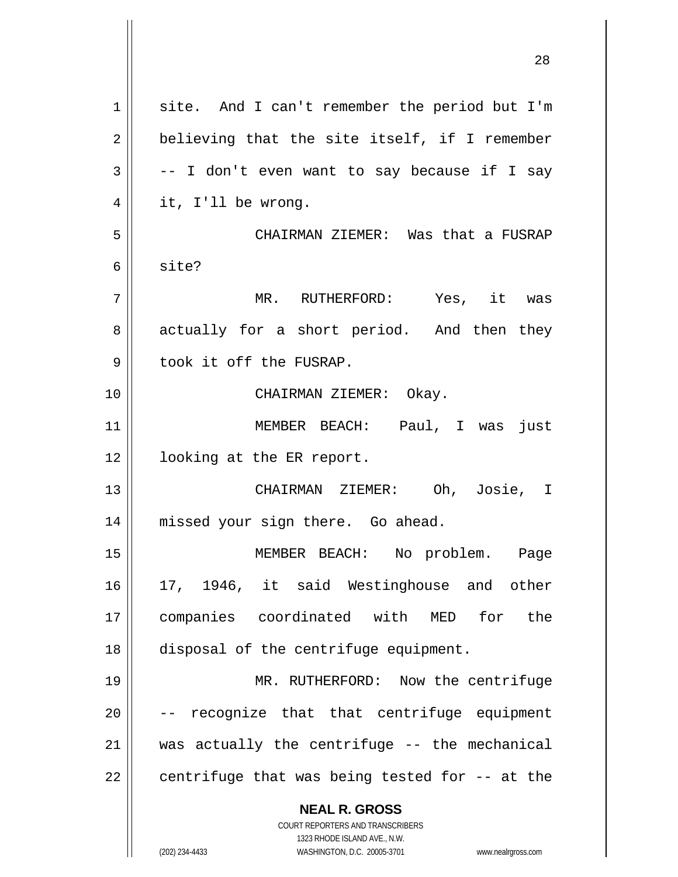| $\mathbf 1$ | site. And I can't remember the period but I'm                                                       |
|-------------|-----------------------------------------------------------------------------------------------------|
| 2           | believing that the site itself, if I remember                                                       |
| 3           | -- I don't even want to say because if I say                                                        |
| 4           | it, I'll be wrong.                                                                                  |
| 5           | CHAIRMAN ZIEMER: Was that a FUSRAP                                                                  |
| 6           | site?                                                                                               |
| 7           | MR. RUTHERFORD: Yes, it was                                                                         |
| 8           | actually for a short period. And then they                                                          |
| 9           | took it off the FUSRAP.                                                                             |
| 10          | CHAIRMAN ZIEMER: Okay.                                                                              |
| 11          | MEMBER BEACH: Paul, I was just                                                                      |
| 12          | looking at the ER report.                                                                           |
| 13          | CHAIRMAN ZIEMER: Oh, Josie, I                                                                       |
| 14          | missed your sign there. Go ahead.                                                                   |
| 15          | MEMBER BEACH: No problem. Page                                                                      |
| 16          | 17, 1946, it said Westinghouse and other                                                            |
| 17          | companies coordinated with MED for the                                                              |
| 18          | disposal of the centrifuge equipment.                                                               |
| 19          | MR. RUTHERFORD: Now the centrifuge                                                                  |
| 20          | -- recognize that that centrifuge equipment                                                         |
| 21          | was actually the centrifuge -- the mechanical                                                       |
| 22          | centrifuge that was being tested for -- at the                                                      |
|             | <b>NEAL R. GROSS</b>                                                                                |
|             | <b>COURT REPORTERS AND TRANSCRIBERS</b>                                                             |
|             | 1323 RHODE ISLAND AVE., N.W.<br>(202) 234-4433<br>WASHINGTON, D.C. 20005-3701<br>www.nealrgross.com |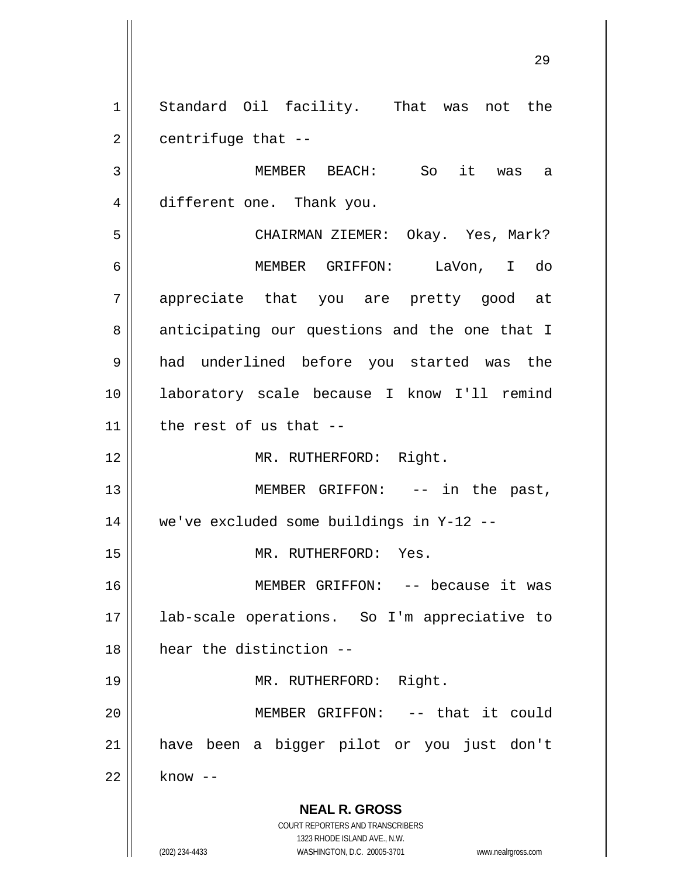1 2 Standard Oil facility. That was not the centrifuge that --

3 4 MEMBER BEACH: So it was a different one. Thank you.

5 6 7 8 9 10 11 CHAIRMAN ZIEMER: Okay. Yes, Mark? MEMBER GRIFFON: LaVon, I do appreciate that you are pretty good at anticipating our questions and the one that I had underlined before you started was the laboratory scale because I know I'll remind the rest of us that --

MR. RUTHERFORD: Right.

13 14 MEMBER GRIFFON: -- in the past, we've excluded some buildings in Y-12 --

MR. RUTHERFORD: Yes.

16 17 18 MEMBER GRIFFON: -- because it was lab-scale operations. So I'm appreciative to hear the distinction --

MR. RUTHERFORD: Right.

20 21 22 MEMBER GRIFFON: -- that it could have been a bigger pilot or you just don't know --

> **NEAL R. GROSS** COURT REPORTERS AND TRANSCRIBERS

> > 1323 RHODE ISLAND AVE., N.W.

12

15

19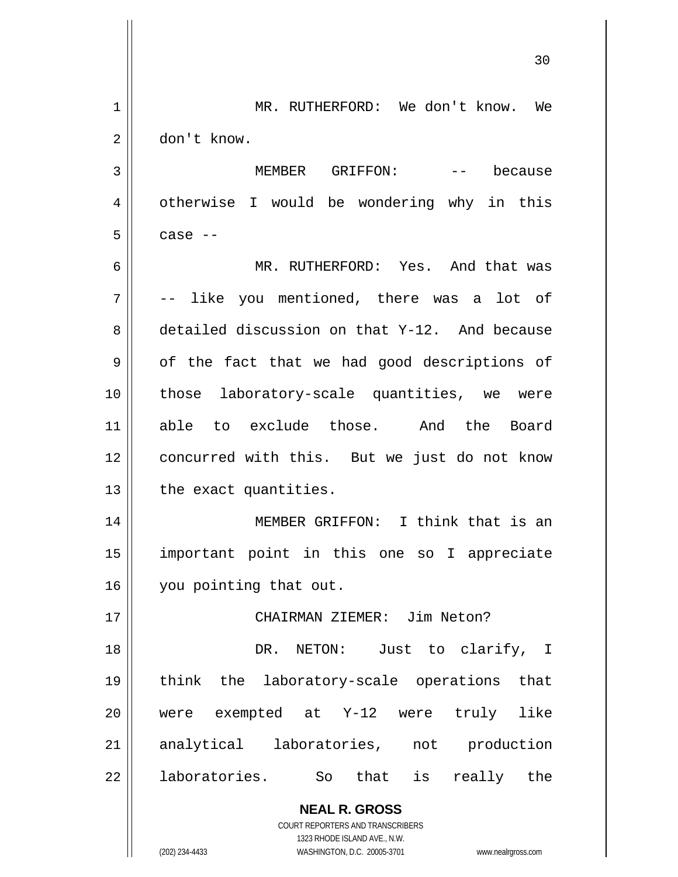**NEAL R. GROSS** COURT REPORTERS AND TRANSCRIBERS 1323 RHODE ISLAND AVE., N.W. 30 1 2 3 4 5 6 7 8 9 10 11 12 13 14 15 16 17 18 19 20 21 22 MR. RUTHERFORD: We don't know. We don't know. MEMBER GRIFFON: -- because otherwise I would be wondering why in this case -- MR. RUTHERFORD: Yes. And that was -- like you mentioned, there was a lot of detailed discussion on that Y-12. And because of the fact that we had good descriptions of those laboratory-scale quantities, we were able to exclude those. And the Board concurred with this. But we just do not know the exact quantities. MEMBER GRIFFON: I think that is an important point in this one so I appreciate you pointing that out. CHAIRMAN ZIEMER: Jim Neton? DR. NETON: Just to clarify, I think the laboratory-scale operations that were exempted at Y-12 were truly like analytical laboratories, not production laboratories. So that is really the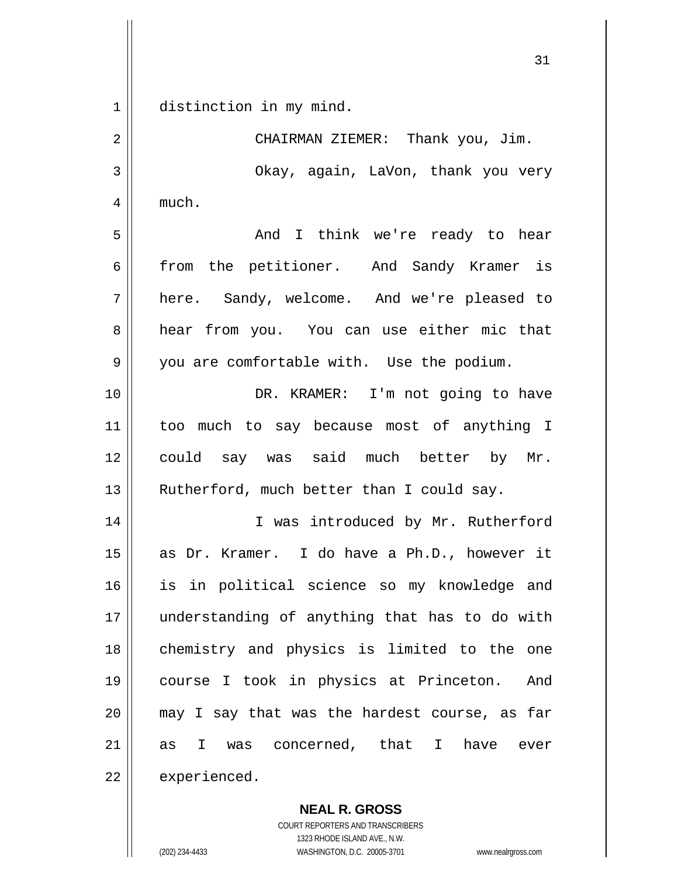$1$ distinction in my mind.

| 2  | CHAIRMAN ZIEMER: Thank you, Jim.               |
|----|------------------------------------------------|
| 3  | Okay, again, LaVon, thank you very             |
| 4  | much.                                          |
| 5  | And I think we're ready to hear                |
| 6  | from the petitioner. And Sandy Kramer is       |
| 7  | here. Sandy, welcome. And we're pleased to     |
| 8  | hear from you. You can use either mic that     |
| 9  | you are comfortable with. Use the podium.      |
| 10 | DR. KRAMER: I'm not going to have              |
| 11 | too much to say because most of anything I     |
| 12 | could say was said much better by Mr.          |
| 13 | Rutherford, much better than I could say.      |
| 14 | I was introduced by Mr. Rutherford             |
| 15 | as Dr. Kramer. I do have a Ph.D., however it   |
| 16 | is in political science so my knowledge and    |
| 17 | understanding of anything that has to do with  |
| 18 | chemistry and physics is limited to the one    |
| 19 | course I took in physics at Princeton.<br>And  |
| 20 | may I say that was the hardest course, as far  |
| 21 | was concerned, that I have<br>I.<br>ever<br>as |
| 22 | experienced.                                   |

**NEAL R. GROSS** COURT REPORTERS AND TRANSCRIBERS

1323 RHODE ISLAND AVE., N.W.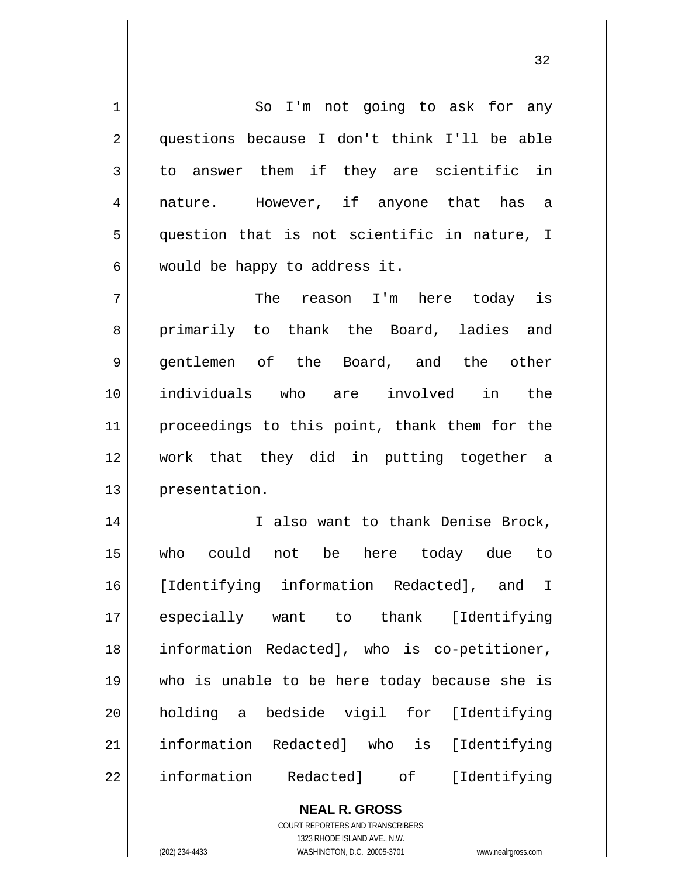1 2 3 4 5 6 7 8 9 10 11 12 13 14 15 16 17 18 19 20 21 22 So I'm not going to ask for any questions because I don't think I'll be able to answer them if they are scientific in nature. However, if anyone that has a question that is not scientific in nature, I would be happy to address it. The reason I'm here today is primarily to thank the Board, ladies and gentlemen of the Board, and the other individuals who are involved in the proceedings to this point, thank them for the work that they did in putting together a presentation. I also want to thank Denise Brock, who could not be here today due to [Identifying information Redacted], and I especially want to thank [Identifying information Redacted], who is co-petitioner, who is unable to be here today because she is holding a bedside vigil for [Identifying information Redacted] who is [Identifying information Redacted] of [Identifying

> **NEAL R. GROSS** COURT REPORTERS AND TRANSCRIBERS 1323 RHODE ISLAND AVE., N.W. (202) 234-4433 WASHINGTON, D.C. 20005-3701 www.nealrgross.com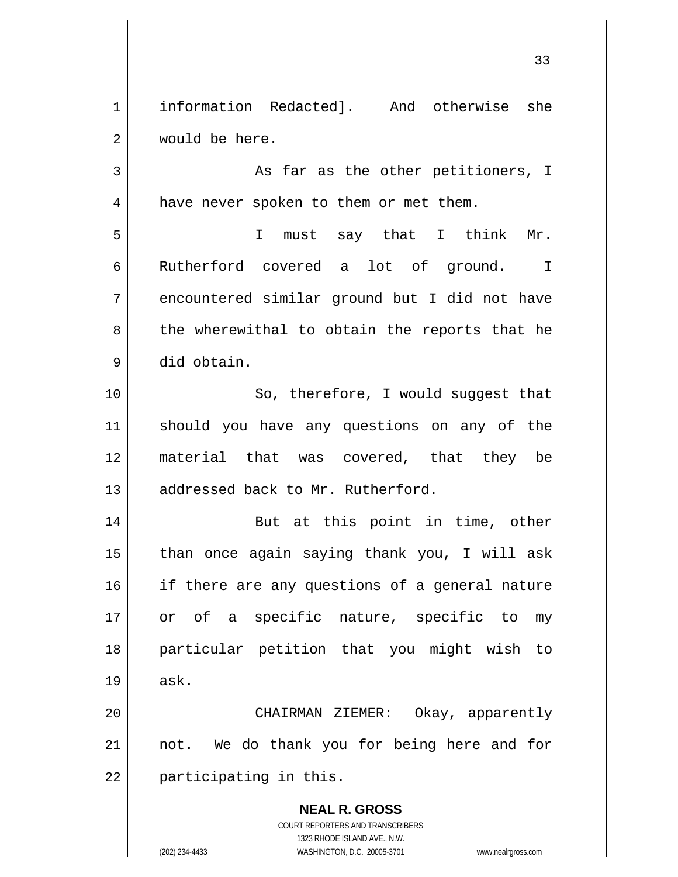1 2 information Redacted]. And otherwise she would be here.

3 4 As far as the other petitioners, I have never spoken to them or met them.

 I must say that I think Mr. Rutherford covered a lot of ground. I encountered similar ground but I did not have the wherewithal to obtain the reports that he did obtain.

10 11 12 13 So, therefore, I would suggest that should you have any questions on any of the material that was covered, that they be addressed back to Mr. Rutherford.

14 15 16 17 18 19 But at this point in time, other than once again saying thank you, I will ask if there are any questions of a general nature or of a specific nature, specific to my particular petition that you might wish to ask.

20 21 22 CHAIRMAN ZIEMER: Okay, apparently not. We do thank you for being here and for participating in this.

> **NEAL R. GROSS** COURT REPORTERS AND TRANSCRIBERS 1323 RHODE ISLAND AVE., N.W. (202) 234-4433 WASHINGTON, D.C. 20005-3701 www.nealrgross.com

5

6

7

8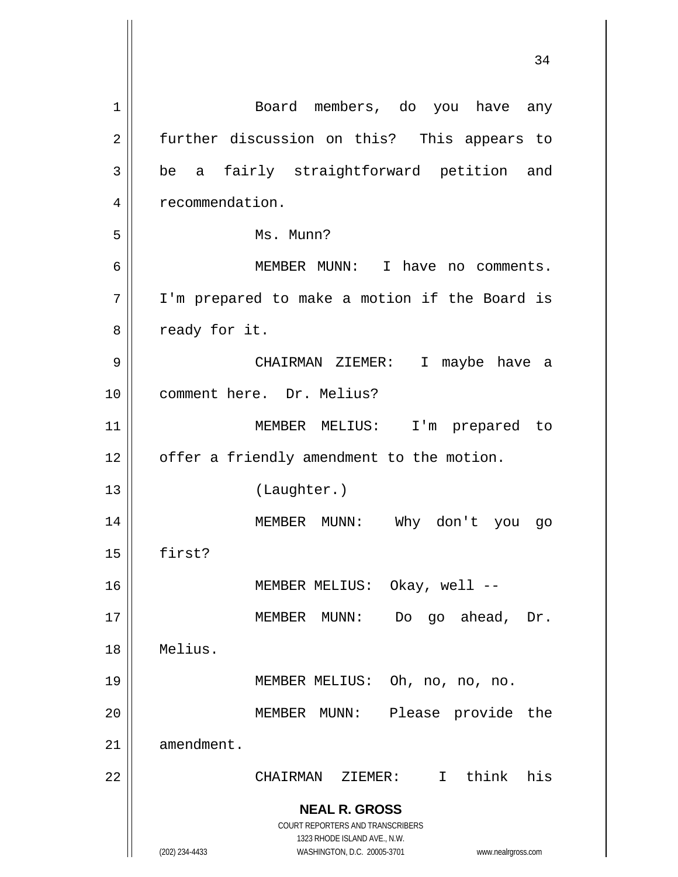| 1  | Board members, do you have any                                      |
|----|---------------------------------------------------------------------|
| 2  | further discussion on this? This appears to                         |
| 3  | fairly straightforward petition and<br>be a                         |
| 4  | recommendation.                                                     |
| 5  | Ms. Munn?                                                           |
| 6  | MEMBER MUNN: I have no comments.                                    |
| 7  | I'm prepared to make a motion if the Board is                       |
| 8  | ready for it.                                                       |
| 9  | CHAIRMAN ZIEMER:<br>$\mathbf{I}$<br>maybe have a                    |
| 10 | comment here. Dr. Melius?                                           |
| 11 | MEMBER MELIUS:<br>I'm prepared to                                   |
| 12 | offer a friendly amendment to the motion.                           |
| 13 | (Laughter.)                                                         |
| 14 | MEMBER MUNN: Why don't you<br>go                                    |
| 15 | first?                                                              |
| 16 | MEMBER MELIUS: Okay, well --                                        |
| 17 | Do go ahead, Dr.<br>MEMBER MUNN:                                    |
| 18 | Melius.                                                             |
| 19 | MEMBER MELIUS: Oh, no, no, no.                                      |
| 20 | Please provide<br>MEMBER MUNN:<br>the                               |
| 21 | amendment.                                                          |
| 22 | I think his<br>CHAIRMAN ZIEMER:                                     |
|    | <b>NEAL R. GROSS</b>                                                |
|    | COURT REPORTERS AND TRANSCRIBERS<br>1323 RHODE ISLAND AVE., N.W.    |
|    | (202) 234-4433<br>WASHINGTON, D.C. 20005-3701<br>www.nealrgross.com |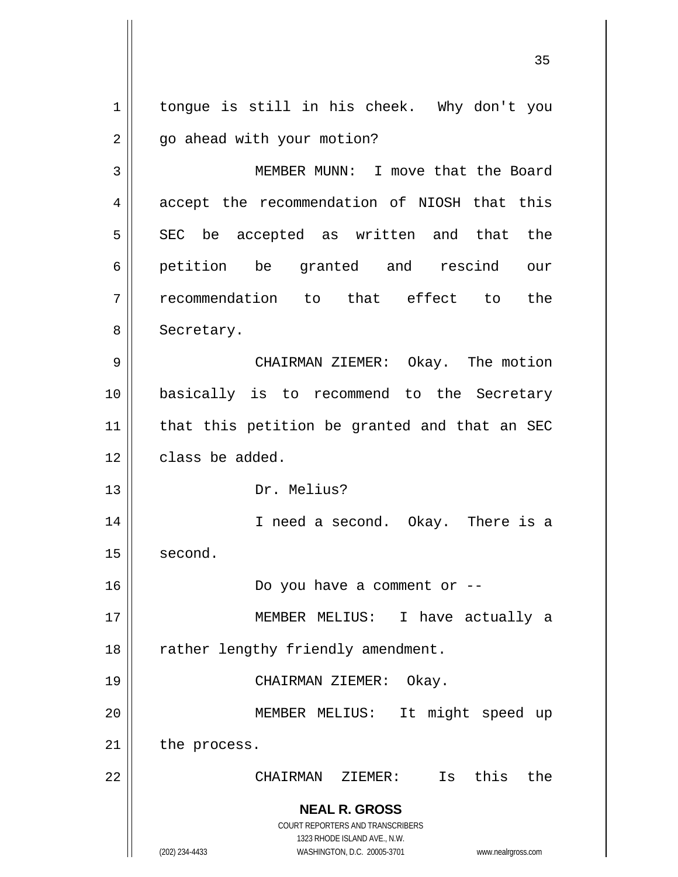**NEAL R. GROSS** COURT REPORTERS AND TRANSCRIBERS 1323 RHODE ISLAND AVE., N.W. (202) 234-4433 WASHINGTON, D.C. 20005-3701 www.nealrgross.com 1 2 3 4 5 6 7 8 9 10 11 12 13 14 15 16 17 18 19 20 21 22 tongue is still in his cheek. Why don't you go ahead with your motion? MEMBER MUNN: I move that the Board accept the recommendation of NIOSH that this SEC be accepted as written and that the petition be granted and rescind our recommendation to that effect to the Secretary. CHAIRMAN ZIEMER: Okay. The motion basically is to recommend to the Secretary that this petition be granted and that an SEC class be added. Dr. Melius? I need a second. Okay. There is a second. Do you have a comment or -- MEMBER MELIUS: I have actually a rather lengthy friendly amendment. CHAIRMAN ZIEMER: Okay. MEMBER MELIUS: It might speed up the process. CHAIRMAN ZIEMER: Is this the

<u>35 and 2012</u>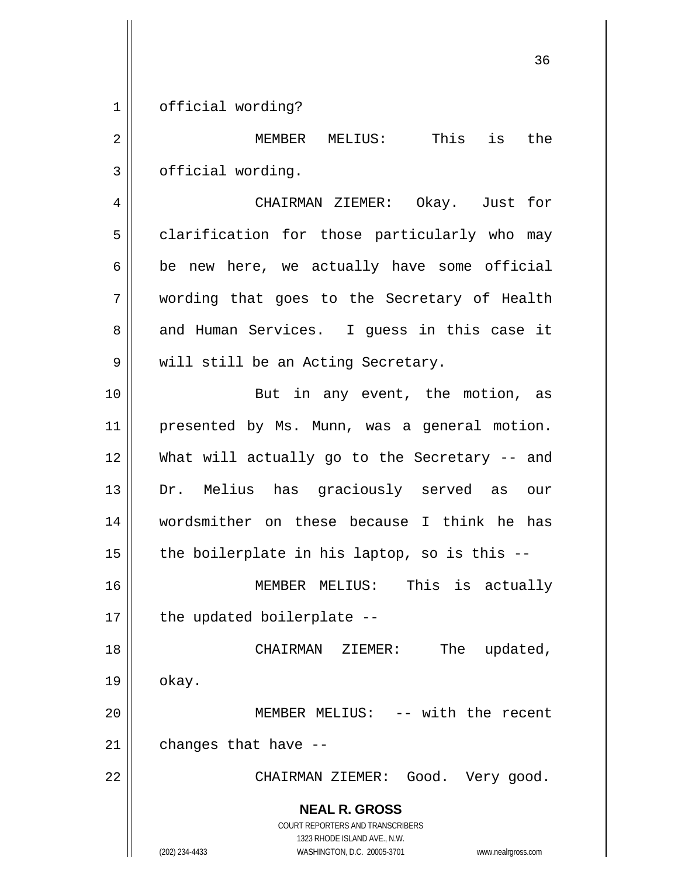1 official wording?

2 3 MEMBER MELIUS: This is the official wording.

4 5 6 7 8 9 CHAIRMAN ZIEMER: Okay. Just for clarification for those particularly who may be new here, we actually have some official wording that goes to the Secretary of Health and Human Services. I guess in this case it will still be an Acting Secretary.

10 11 12 13 14 15 But in any event, the motion, as presented by Ms. Munn, was a general motion. What will actually go to the Secretary -- and Dr. Melius has graciously served as our wordsmither on these because I think he has the boilerplate in his laptop, so is this --

16 17 MEMBER MELIUS: This is actually the updated boilerplate --

18 19 20 CHAIRMAN ZIEMER: The updated, okay. MEMBER MELIUS: -- with the recent

21 changes that have --

CHAIRMAN ZIEMER: Good. Very good.

**NEAL R. GROSS** COURT REPORTERS AND TRANSCRIBERS

1323 RHODE ISLAND AVE., N.W.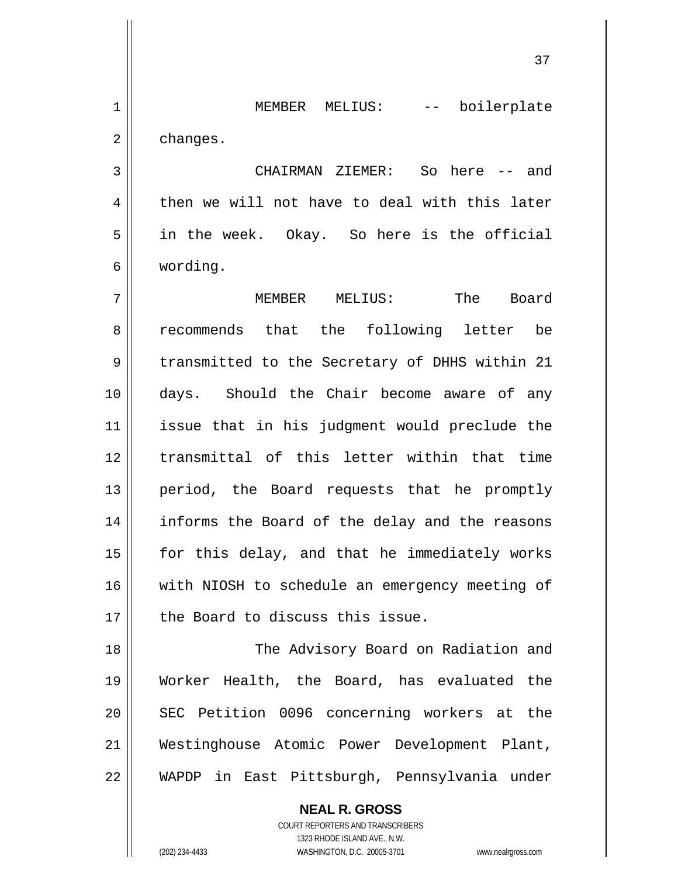MEMBER MELIUS: -- boilerplate changes.

 CHAIRMAN ZIEMER: So here -- and then we will not have to deal with this later in the week. Okay. So here is the official wording.

7 8 9 10 11 12 13 14 15 16 17 MEMBER MELIUS: The Board recommends that the following letter be transmitted to the Secretary of DHHS within 21 days. Should the Chair become aware of any issue that in his judgment would preclude the transmittal of this letter within that time period, the Board requests that he promptly informs the Board of the delay and the reasons for this delay, and that he immediately works with NIOSH to schedule an emergency meeting of the Board to discuss this issue.

18 19 20 21 22 The Advisory Board on Radiation and Worker Health, the Board, has evaluated the SEC Petition 0096 concerning workers at the Westinghouse Atomic Power Development Plant, WAPDP in East Pittsburgh, Pennsylvania under

> **NEAL R. GROSS** COURT REPORTERS AND TRANSCRIBERS 1323 RHODE ISLAND AVE., N.W. (202) 234-4433 WASHINGTON, D.C. 20005-3701 www.nealrgross.com

1

2

3

4

5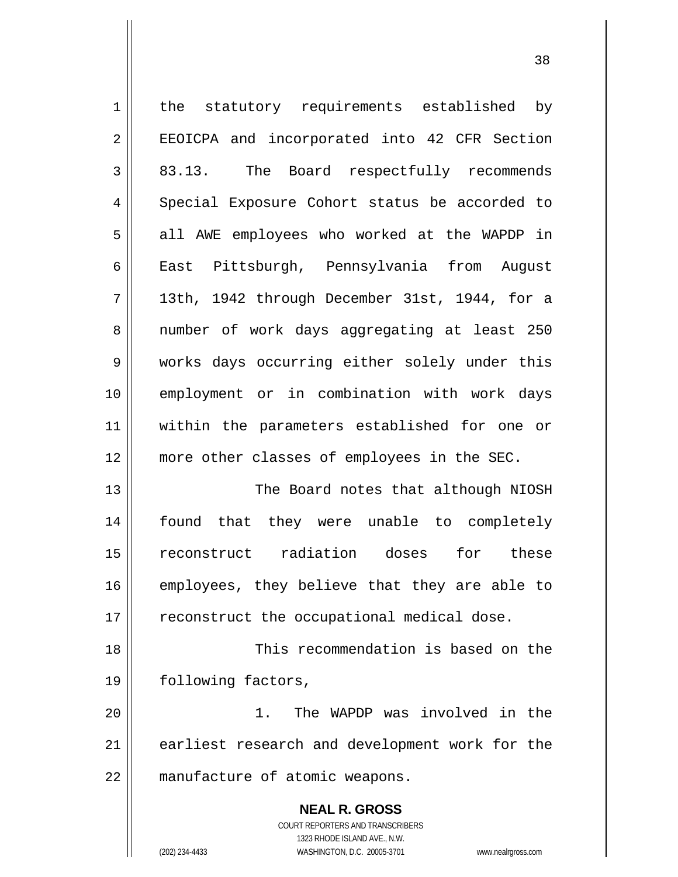| $1\,$          | the statutory requirements established by                           |
|----------------|---------------------------------------------------------------------|
| $\overline{2}$ | EEOICPA and incorporated into 42 CFR Section                        |
| $\mathfrak{Z}$ | 83.13. The Board respectfully recommends                            |
| 4              | Special Exposure Cohort status be accorded to                       |
| 5              | all AWE employees who worked at the WAPDP in                        |
| $\epsilon$     | East Pittsburgh, Pennsylvania from August                           |
| 7              | 13th, 1942 through December 31st, 1944, for a                       |
| 8              | number of work days aggregating at least 250                        |
| 9              | works days occurring either solely under this                       |
| 10             | employment or in combination with work days                         |
| 11             | within the parameters established for one or                        |
| 12             | more other classes of employees in the SEC.                         |
| 13             | The Board notes that although NIOSH                                 |
| 14             | found that they were unable to completely                           |
| 15             | reconstruct radiation doses<br>for these                            |
| 16             | employees, they believe that they are able to                       |
| 17             | reconstruct the occupational medical dose.                          |
| 18             | This recommendation is based on the                                 |
| 19             | following factors,                                                  |
| 20             | The WAPDP was involved in the<br>1.                                 |
| 21             | earliest research and development work for the                      |
| 22             | manufacture of atomic weapons.                                      |
|                | <b>NEAL R. GROSS</b>                                                |
|                | <b>COURT REPORTERS AND TRANSCRIBERS</b>                             |
|                | 1323 RHODE ISLAND AVE., N.W.                                        |
|                | (202) 234-4433<br>WASHINGTON, D.C. 20005-3701<br>www.nealrgross.com |

<u>38</u>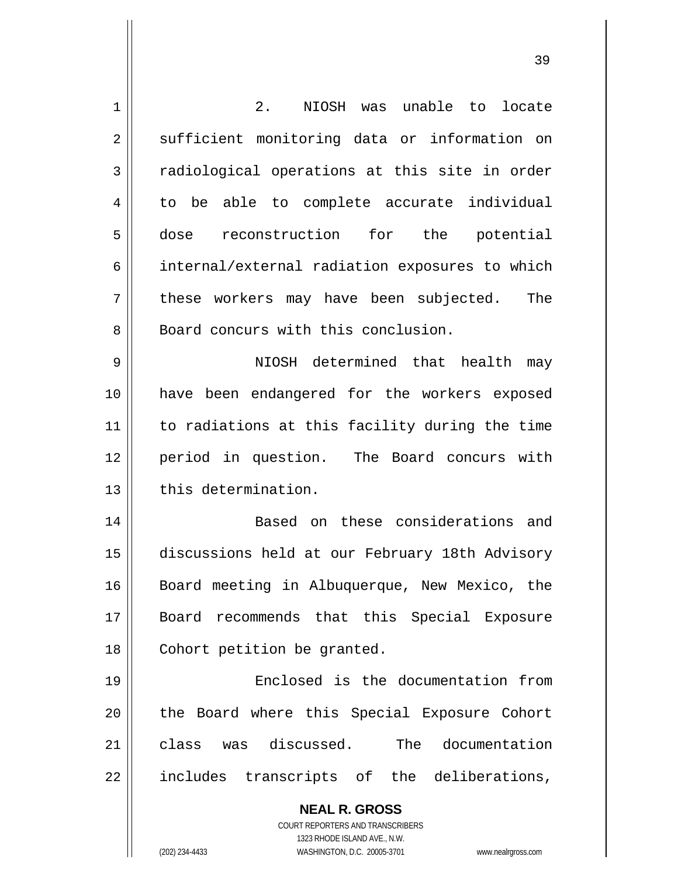| $\mathbf 1$    | $2$ .<br>NIOSH was unable to locate                                                                 |
|----------------|-----------------------------------------------------------------------------------------------------|
| $\overline{2}$ | sufficient monitoring data or information on                                                        |
| 3              | radiological operations at this site in order                                                       |
| 4              | to be able to complete accurate individual                                                          |
| 5              | reconstruction for the potential<br>dose                                                            |
| 6              | internal/external radiation exposures to which                                                      |
| 7              | these workers may have been subjected.<br>The                                                       |
| 8              | Board concurs with this conclusion.                                                                 |
| 9              | NIOSH determined that health<br>may                                                                 |
| 10             | have been endangered for the workers exposed                                                        |
| 11             | to radiations at this facility during the time                                                      |
| 12             | period in question. The Board concurs with                                                          |
| 13             | this determination.                                                                                 |
| 14             | Based on these considerations and                                                                   |
| 15             | discussions held at our February 18th Advisory                                                      |
| 16             | Board meeting in Albuquerque, New Mexico, the                                                       |
| 17             | Board recommends that this Special Exposure                                                         |
| 18             | Cohort petition be granted.                                                                         |
| 19             | Enclosed is the documentation from                                                                  |
| 20             | the Board where this Special Exposure Cohort                                                        |
| 21             | class was discussed. The documentation                                                              |
| 22             | includes transcripts of the deliberations,                                                          |
|                | <b>NEAL R. GROSS</b>                                                                                |
|                | <b>COURT REPORTERS AND TRANSCRIBERS</b>                                                             |
|                | 1323 RHODE ISLAND AVE., N.W.<br>(202) 234-4433<br>WASHINGTON, D.C. 20005-3701<br>www.nealrgross.com |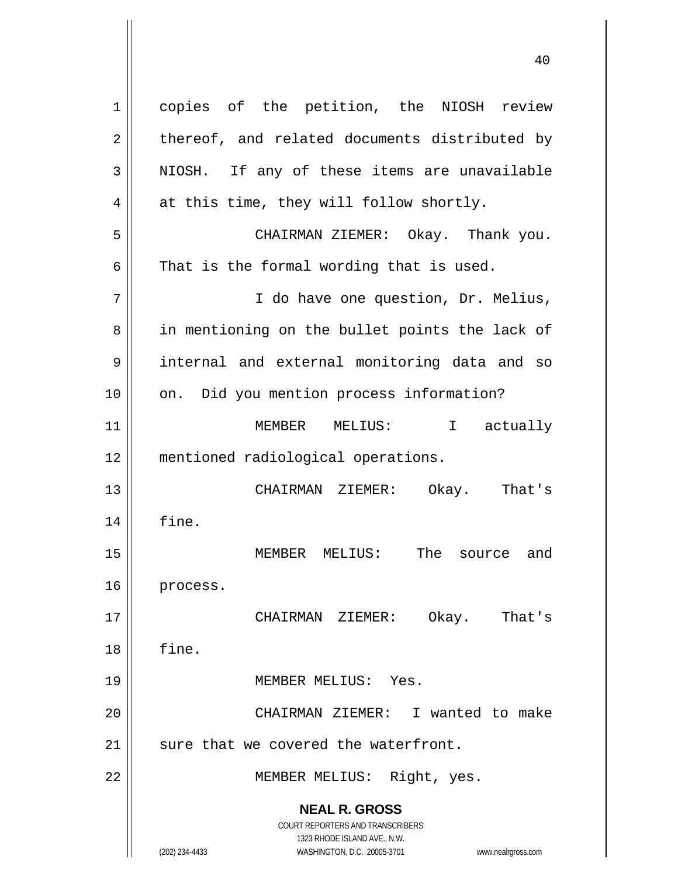**NEAL R. GROSS** COURT REPORTERS AND TRANSCRIBERS 1323 RHODE ISLAND AVE., N.W. (202) 234-4433 WASHINGTON, D.C. 20005-3701 www.nealrgross.com 1 2 3 4 5 6 7 8 9 10 11 12 13 14 15 16 17 18 19 20 21 22 copies of the petition, the NIOSH review thereof, and related documents distributed by NIOSH. If any of these items are unavailable at this time, they will follow shortly. CHAIRMAN ZIEMER: Okay. Thank you. That is the formal wording that is used. I do have one question, Dr. Melius, in mentioning on the bullet points the lack of internal and external monitoring data and so on. Did you mention process information? MEMBER MELIUS: I actually mentioned radiological operations. CHAIRMAN ZIEMER: Okay. That's fine. MEMBER MELIUS: The source and process. CHAIRMAN ZIEMER: Okay. That's fine. MEMBER MELIUS: Yes. CHAIRMAN ZIEMER: I wanted to make sure that we covered the waterfront. MEMBER MELIUS: Right, yes.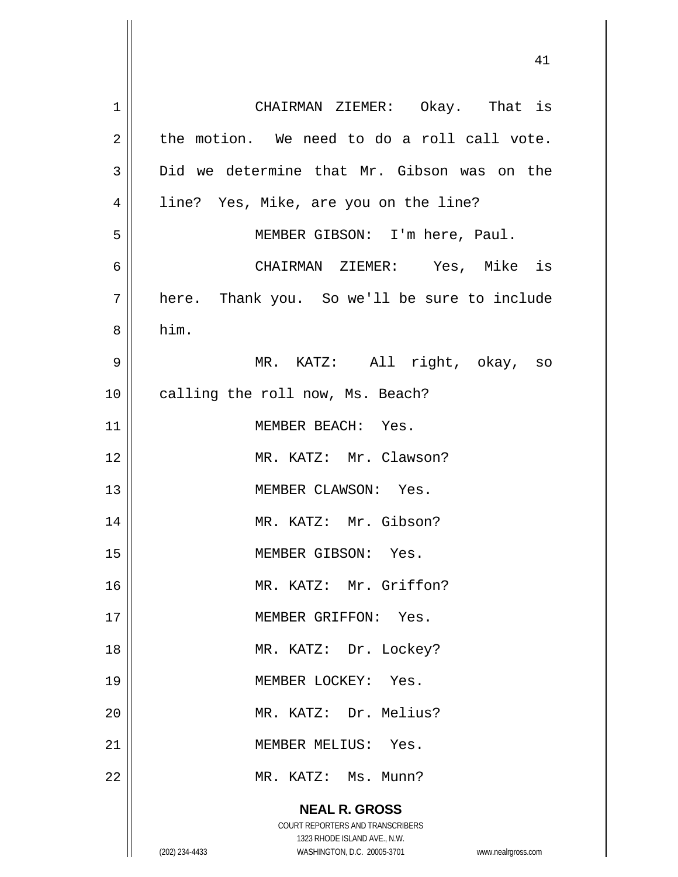| $\mathbf 1$    | CHAIRMAN ZIEMER: Okay. That is                                                                      |
|----------------|-----------------------------------------------------------------------------------------------------|
| $\overline{2}$ | the motion. We need to do a roll call vote.                                                         |
| 3              | Did we determine that Mr. Gibson was on the                                                         |
| 4              | line? Yes, Mike, are you on the line?                                                               |
| 5              | MEMBER GIBSON: I'm here, Paul.                                                                      |
| 6              | CHAIRMAN ZIEMER: Yes, Mike is                                                                       |
| 7              | here. Thank you. So we'll be sure to include                                                        |
| 8              | him.                                                                                                |
| 9              | MR. KATZ: All right, okay, so                                                                       |
| 10             | calling the roll now, Ms. Beach?                                                                    |
| 11             | MEMBER BEACH: Yes.                                                                                  |
| 12             | MR. KATZ: Mr. Clawson?                                                                              |
| 13             | MEMBER CLAWSON: Yes.                                                                                |
| 14             | MR. KATZ: Mr. Gibson?                                                                               |
| 15             | MEMBER GIBSON: Yes.                                                                                 |
| 16             | MR. KATZ: Mr. Griffon?                                                                              |
| 17             | MEMBER GRIFFON: Yes.                                                                                |
| 18             | MR. KATZ: Dr. Lockey?                                                                               |
| 19             | MEMBER LOCKEY: Yes.                                                                                 |
| 20             | MR. KATZ: Dr. Melius?                                                                               |
| 21             | MEMBER MELIUS: Yes.                                                                                 |
| 22             | MR. KATZ: Ms. Munn?                                                                                 |
|                | <b>NEAL R. GROSS</b>                                                                                |
|                | COURT REPORTERS AND TRANSCRIBERS                                                                    |
|                | 1323 RHODE ISLAND AVE., N.W.<br>WASHINGTON, D.C. 20005-3701<br>(202) 234-4433<br>www.nealrgross.com |

 $\mathsf{I}$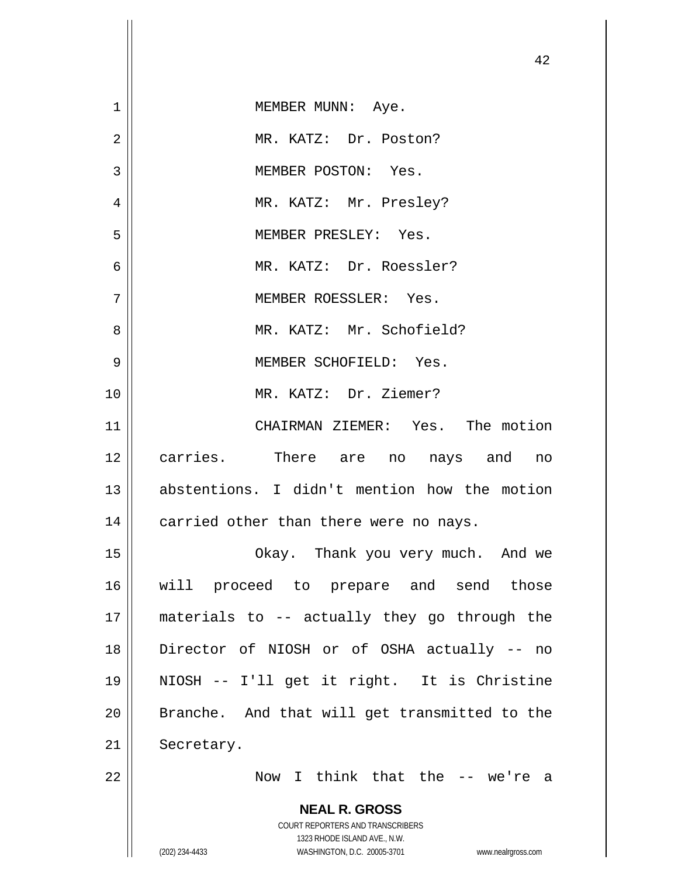|                | 42                                                                                                  |
|----------------|-----------------------------------------------------------------------------------------------------|
| $\mathbf 1$    | MEMBER MUNN: Aye.                                                                                   |
| $\overline{2}$ | MR. KATZ: Dr. Poston?                                                                               |
| 3              | MEMBER POSTON: Yes.                                                                                 |
| 4              | MR. KATZ: Mr. Presley?                                                                              |
| 5              | MEMBER PRESLEY: Yes.                                                                                |
| 6              | MR. KATZ: Dr. Roessler?                                                                             |
| 7              | MEMBER ROESSLER: Yes.                                                                               |
| 8              | MR. KATZ: Mr. Schofield?                                                                            |
| 9              | MEMBER SCHOFIELD: Yes.                                                                              |
| 10             | MR. KATZ: Dr. Ziemer?                                                                               |
| 11             | CHAIRMAN ZIEMER: Yes. The motion                                                                    |
| 12             | carries. There are no nays and no                                                                   |
| 13             | abstentions. I didn't mention how the motion                                                        |
| 14             | carried other than there were no nays.                                                              |
| 15             | Okay. Thank you very much. And we                                                                   |
| 16             | will proceed to prepare and send those                                                              |
| 17             | materials to -- actually they go through the                                                        |
| 18             | Director of NIOSH or of OSHA actually -- no                                                         |
| 19             | NIOSH -- I'll get it right. It is Christine                                                         |
| 20             | Branche. And that will get transmitted to the                                                       |
| 21             | Secretary.                                                                                          |
| 22             | Now I think that the -- we're a                                                                     |
|                | <b>NEAL R. GROSS</b>                                                                                |
|                | COURT REPORTERS AND TRANSCRIBERS                                                                    |
|                | 1323 RHODE ISLAND AVE., N.W.<br>(202) 234-4433<br>WASHINGTON, D.C. 20005-3701<br>www.nealrgross.com |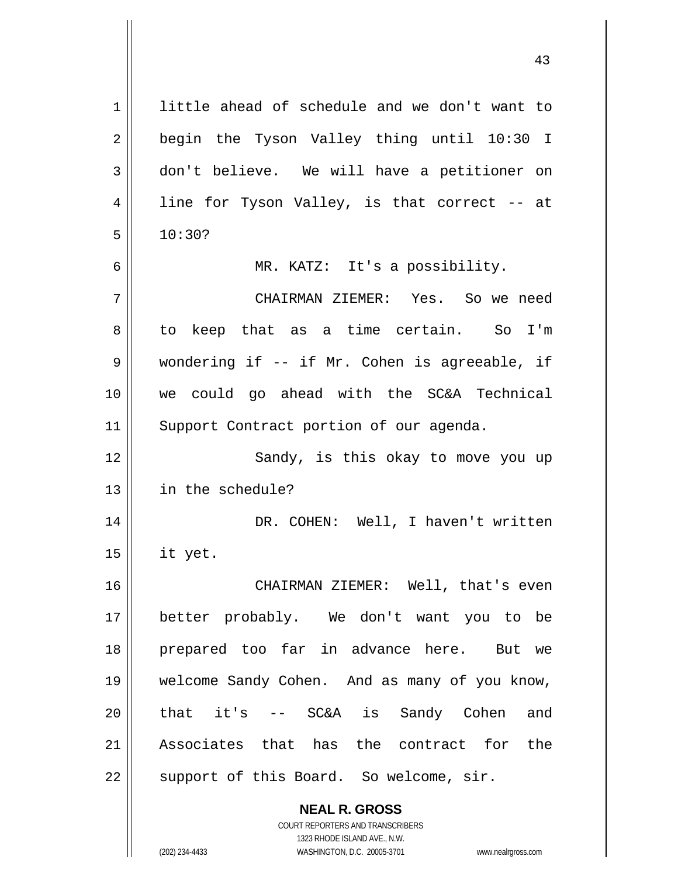**NEAL R. GROSS** 1 2 3 4 5 6 7 8 9 10 11 12 13 14 15 16 17 18 19 20 21 22 little ahead of schedule and we don't want to begin the Tyson Valley thing until 10:30 I don't believe. We will have a petitioner on line for Tyson Valley, is that correct -- at 10:30? MR. KATZ: It's a possibility. CHAIRMAN ZIEMER: Yes. So we need to keep that as a time certain. So I'm wondering if -- if Mr. Cohen is agreeable, if we could go ahead with the SC&A Technical Support Contract portion of our agenda. Sandy, is this okay to move you up in the schedule? DR. COHEN: Well, I haven't written it yet. CHAIRMAN ZIEMER: Well, that's even better probably. We don't want you to be prepared too far in advance here. But we welcome Sandy Cohen. And as many of you know, that it's -- SC&A is Sandy Cohen and Associates that has the contract for the support of this Board. So welcome, sir.

> COURT REPORTERS AND TRANSCRIBERS 1323 RHODE ISLAND AVE., N.W.

(202) 234-4433 WASHINGTON, D.C. 20005-3701 www.nealrgross.com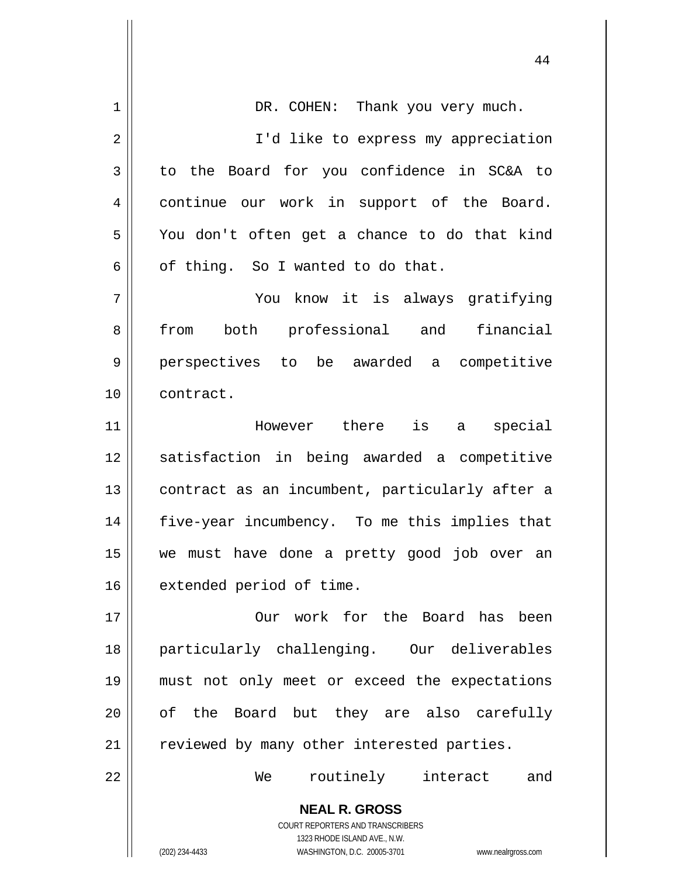| DR. COHEN: Thank you very much.                                                                     |
|-----------------------------------------------------------------------------------------------------|
|                                                                                                     |
| I'd like to express my appreciation                                                                 |
| to the Board for you confidence in SC&A to                                                          |
| continue our work in support of the Board.                                                          |
| You don't often get a chance to do that kind                                                        |
| of thing. So I wanted to do that.                                                                   |
| You know it is always gratifying                                                                    |
| from both professional and financial                                                                |
| perspectives to be awarded a competitive                                                            |
| contract.                                                                                           |
| However there is a special                                                                          |
| satisfaction in being awarded a competitive                                                         |
| contract as an incumbent, particularly after a                                                      |
| five-year incumbency. To me this implies that                                                       |
| we must have done a pretty good job over an                                                         |
| extended period of time.                                                                            |
| Our work for the Board has been                                                                     |
| particularly challenging. Our deliverables                                                          |
| must not only meet or exceed the expectations                                                       |
| of the Board but they are also carefully                                                            |
| reviewed by many other interested parties.                                                          |
| routinely<br>We<br>interact<br>and                                                                  |
| <b>NEAL R. GROSS</b>                                                                                |
| COURT REPORTERS AND TRANSCRIBERS                                                                    |
| 1323 RHODE ISLAND AVE., N.W.<br>(202) 234-4433<br>WASHINGTON, D.C. 20005-3701<br>www.nealrgross.com |
|                                                                                                     |

44

 $\mathsf{I}$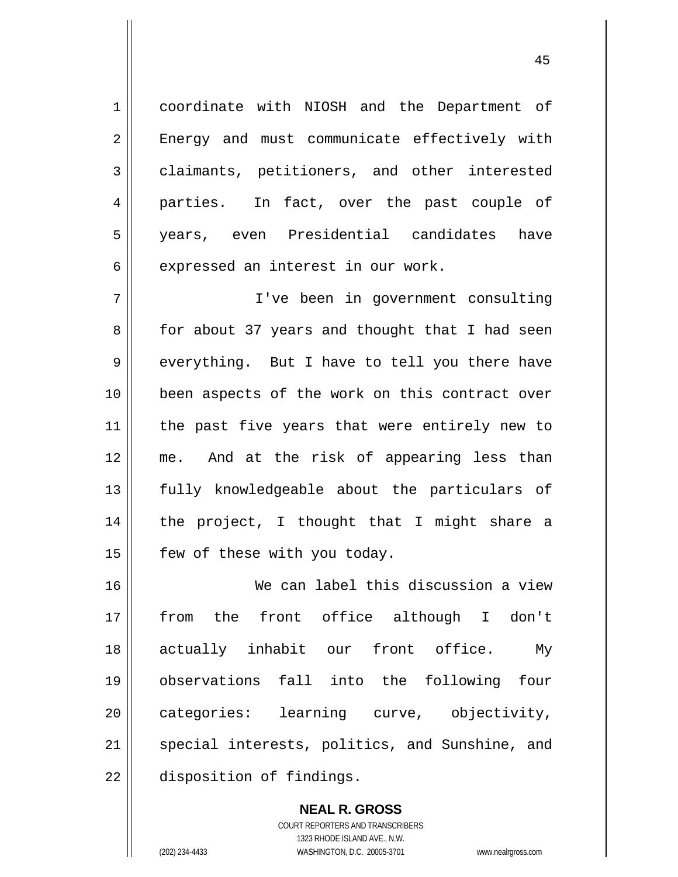coordinate with NIOSH and the Department of Energy and must communicate effectively with claimants, petitioners, and other interested parties. In fact, over the past couple of years, even Presidential candidates have expressed an interest in our work.

7 8 9 10 11 12 13 14 15 I've been in government consulting for about 37 years and thought that I had seen everything. But I have to tell you there have been aspects of the work on this contract over the past five years that were entirely new to me. And at the risk of appearing less than fully knowledgeable about the particulars of the project, I thought that I might share a few of these with you today.

16 17 18 19 20 21 22 We can label this discussion a view from the front office although I don't actually inhabit our front office. My observations fall into the following four categories: learning curve, objectivity, special interests, politics, and Sunshine, and disposition of findings.

> **NEAL R. GROSS** COURT REPORTERS AND TRANSCRIBERS 1323 RHODE ISLAND AVE., N.W. (202) 234-4433 WASHINGTON, D.C. 20005-3701 www.nealrgross.com

1

2

3

4

5

6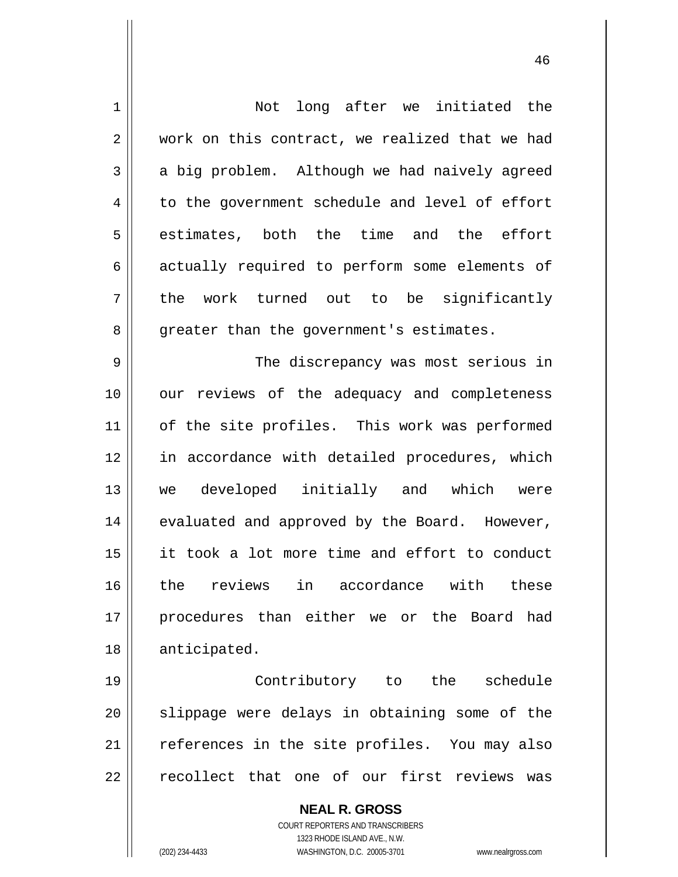| $\mathbf 1$    | Not long after we initiated the                                                                     |
|----------------|-----------------------------------------------------------------------------------------------------|
| $\overline{2}$ | work on this contract, we realized that we had                                                      |
| 3              | a big problem. Although we had naively agreed                                                       |
| 4              | to the government schedule and level of effort                                                      |
| 5              | estimates, both the time and the effort                                                             |
| 6              | actually required to perform some elements of                                                       |
| 7              | the work turned out to be significantly                                                             |
| 8              | greater than the government's estimates.                                                            |
| 9              | The discrepancy was most serious in                                                                 |
| 10             | our reviews of the adequacy and completeness                                                        |
| 11             | of the site profiles. This work was performed                                                       |
| 12             | in accordance with detailed procedures, which                                                       |
| 13             | we developed initially and which were                                                               |
| 14             | evaluated and approved by the Board. However,                                                       |
| 15             | it took a lot more time and effort to conduct                                                       |
| 16             | the reviews in accordance with these                                                                |
| 17             | procedures than either we or the Board had                                                          |
| 18             | anticipated.                                                                                        |
| 19             | Contributory to the<br>schedule                                                                     |
| 20             | slippage were delays in obtaining some of the                                                       |
| 21             | references in the site profiles. You may also                                                       |
| 22             | recollect that one of our first reviews<br>was                                                      |
|                | <b>NEAL R. GROSS</b>                                                                                |
|                | <b>COURT REPORTERS AND TRANSCRIBERS</b>                                                             |
|                | 1323 RHODE ISLAND AVE., N.W.<br>(202) 234-4433<br>WASHINGTON, D.C. 20005-3701<br>www.nealrgross.com |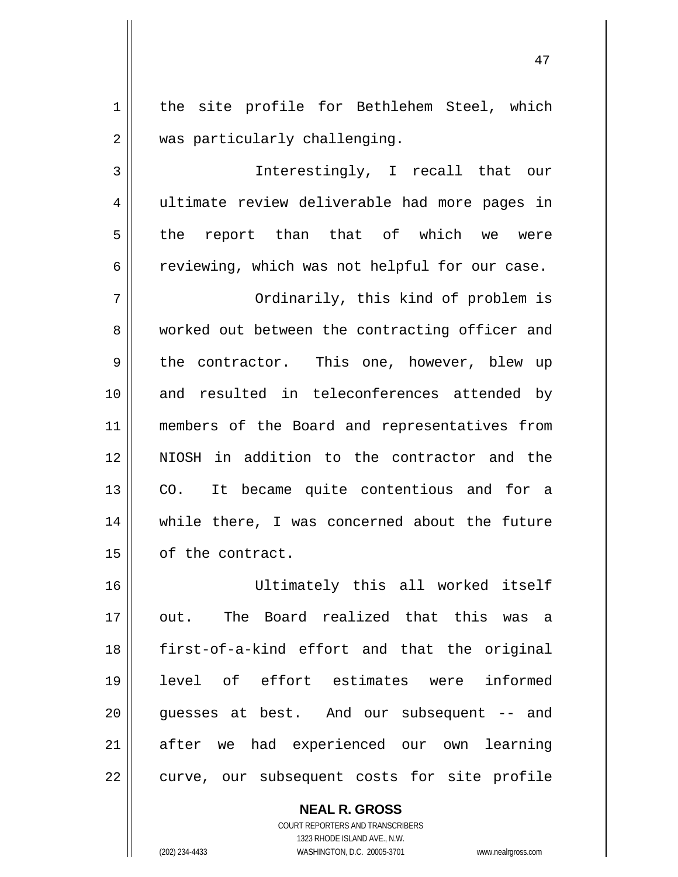1 2 the site profile for Bethlehem Steel, which was particularly challenging.

3 4 5 6 Interestingly, I recall that our ultimate review deliverable had more pages in the report than that of which we were reviewing, which was not helpful for our case.

7 8 9 10 11 12 13 14 15 Ordinarily, this kind of problem is worked out between the contracting officer and the contractor. This one, however, blew up and resulted in teleconferences attended by members of the Board and representatives from NIOSH in addition to the contractor and the CO. It became quite contentious and for a while there, I was concerned about the future of the contract.

16 17 18 19 20 21 22 Ultimately this all worked itself out. The Board realized that this was a first-of-a-kind effort and that the original level of effort estimates were informed guesses at best. And our subsequent -- and after we had experienced our own learning curve, our subsequent costs for site profile

> **NEAL R. GROSS** COURT REPORTERS AND TRANSCRIBERS 1323 RHODE ISLAND AVE., N.W. (202) 234-4433 WASHINGTON, D.C. 20005-3701 www.nealrgross.com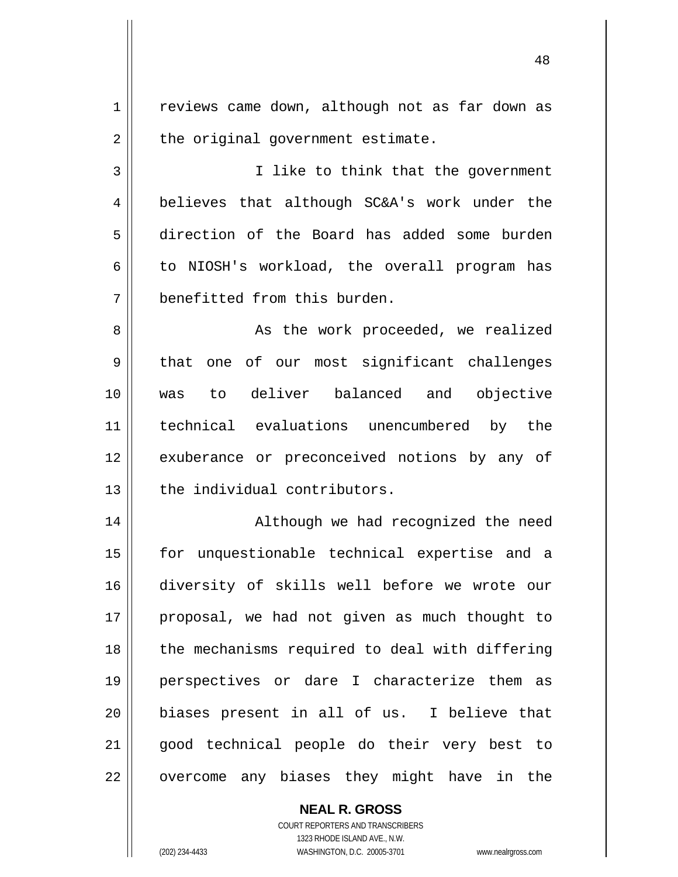1 2 reviews came down, although not as far down as the original government estimate.

3 4 5 6 7 I like to think that the government believes that although SC&A's work under the direction of the Board has added some burden to NIOSH's workload, the overall program has benefitted from this burden.

8 9 10 11 12 13 As the work proceeded, we realized that one of our most significant challenges was to deliver balanced and objective technical evaluations unencumbered by the exuberance or preconceived notions by any of the individual contributors.

14 15 16 17 18 19 20 21 22 Although we had recognized the need for unquestionable technical expertise and a diversity of skills well before we wrote our proposal, we had not given as much thought to the mechanisms required to deal with differing perspectives or dare I characterize them as biases present in all of us. I believe that good technical people do their very best to overcome any biases they might have in the

> **NEAL R. GROSS** COURT REPORTERS AND TRANSCRIBERS 1323 RHODE ISLAND AVE., N.W. (202) 234-4433 WASHINGTON, D.C. 20005-3701 www.nealrgross.com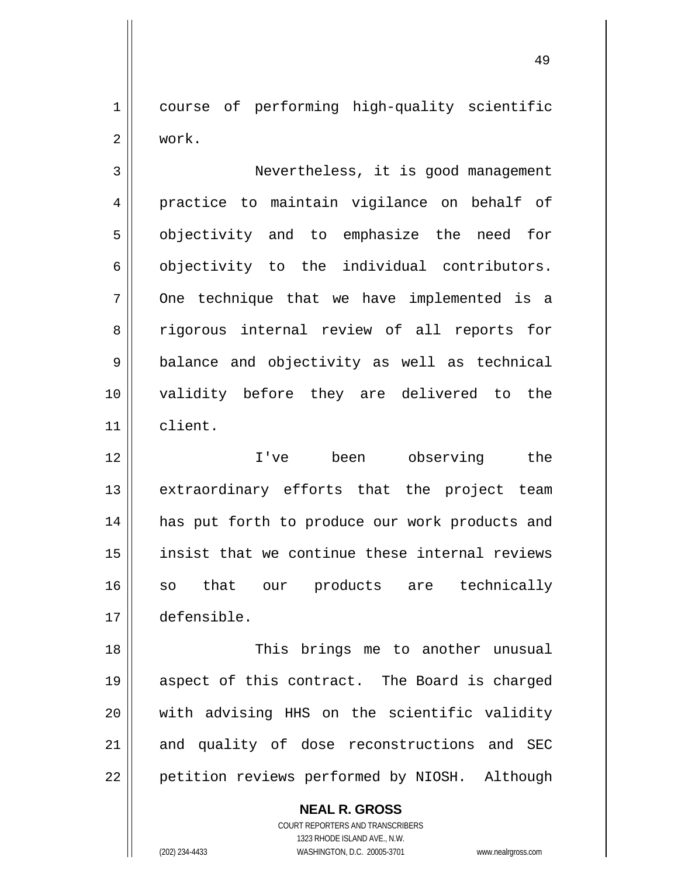1 2 course of performing high-quality scientific work.

3 4 5 6 7 8 9 10 11 Nevertheless, it is good management practice to maintain vigilance on behalf of objectivity and to emphasize the need for objectivity to the individual contributors. One technique that we have implemented is a rigorous internal review of all reports for balance and objectivity as well as technical validity before they are delivered to the client.

12 13 14 15 16 17 I've been observing the extraordinary efforts that the project team has put forth to produce our work products and insist that we continue these internal reviews so that our products are technically defensible.

18 19 20 21 22 This brings me to another unusual aspect of this contract. The Board is charged with advising HHS on the scientific validity and quality of dose reconstructions and SEC petition reviews performed by NIOSH. Although

> **NEAL R. GROSS** COURT REPORTERS AND TRANSCRIBERS 1323 RHODE ISLAND AVE., N.W. (202) 234-4433 WASHINGTON, D.C. 20005-3701 www.nealrgross.com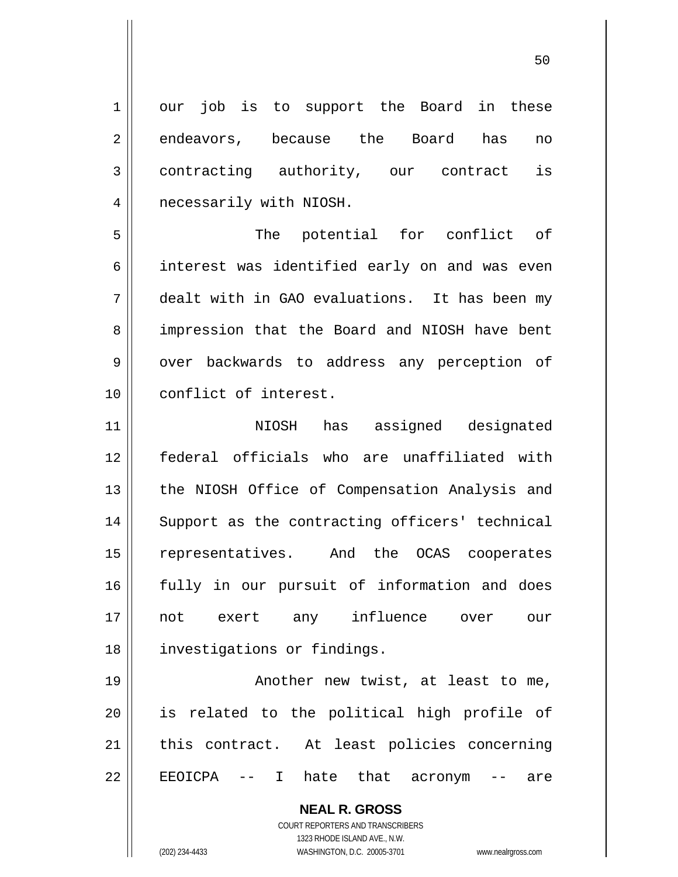1 2 3 4 5 6 7 8 9 10 11 12 13 14 15 16 17 18 19 20 21 22 our job is to support the Board in these endeavors, because the Board has no contracting authority, our contract is necessarily with NIOSH. The potential for conflict of interest was identified early on and was even dealt with in GAO evaluations. It has been my impression that the Board and NIOSH have bent over backwards to address any perception of conflict of interest. NIOSH has assigned designated federal officials who are unaffiliated with the NIOSH Office of Compensation Analysis and Support as the contracting officers' technical representatives. And the OCAS cooperates fully in our pursuit of information and does not exert any influence over our investigations or findings. Another new twist, at least to me, is related to the political high profile of this contract. At least policies concerning EEOICPA -- I hate that acronym -- are

> COURT REPORTERS AND TRANSCRIBERS 1323 RHODE ISLAND AVE., N.W. (202) 234-4433 WASHINGTON, D.C. 20005-3701 www.nealrgross.com

**NEAL R. GROSS**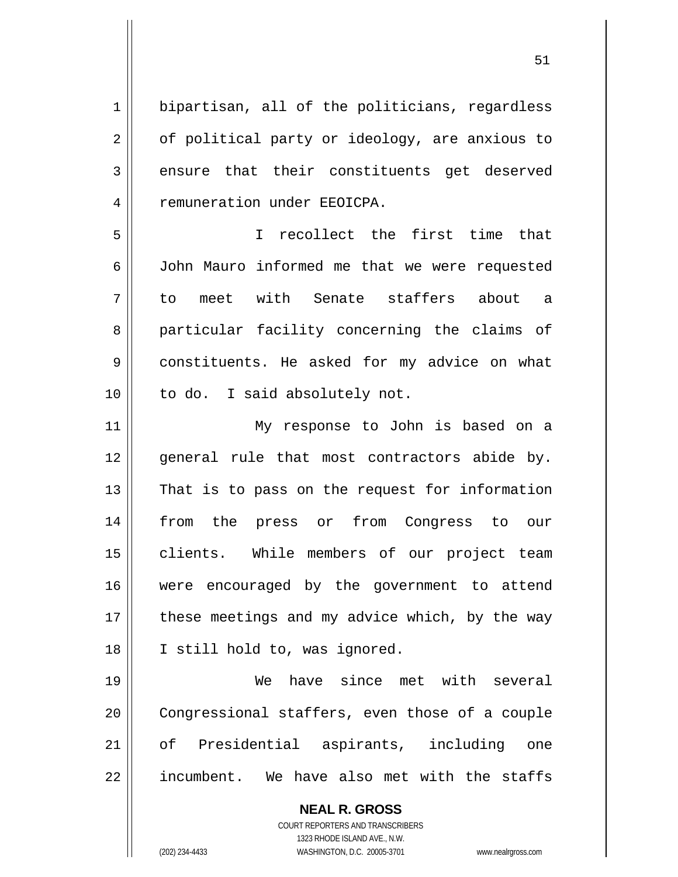**NEAL R. GROSS** 1 2 3 4 5 6 7 8 9 10 11 12 13 14 15 16 17 18 19 20 21 22 bipartisan, all of the politicians, regardless of political party or ideology, are anxious to ensure that their constituents get deserved remuneration under EEOICPA. I recollect the first time that John Mauro informed me that we were requested to meet with Senate staffers about a particular facility concerning the claims of constituents. He asked for my advice on what to do. I said absolutely not. My response to John is based on a general rule that most contractors abide by. That is to pass on the request for information from the press or from Congress to our clients. While members of our project team were encouraged by the government to attend these meetings and my advice which, by the way I still hold to, was ignored. We have since met with several Congressional staffers, even those of a couple of Presidential aspirants, including one incumbent. We have also met with the staffs

51

COURT REPORTERS AND TRANSCRIBERS 1323 RHODE ISLAND AVE., N.W. (202) 234-4433 WASHINGTON, D.C. 20005-3701 www.nealrgross.com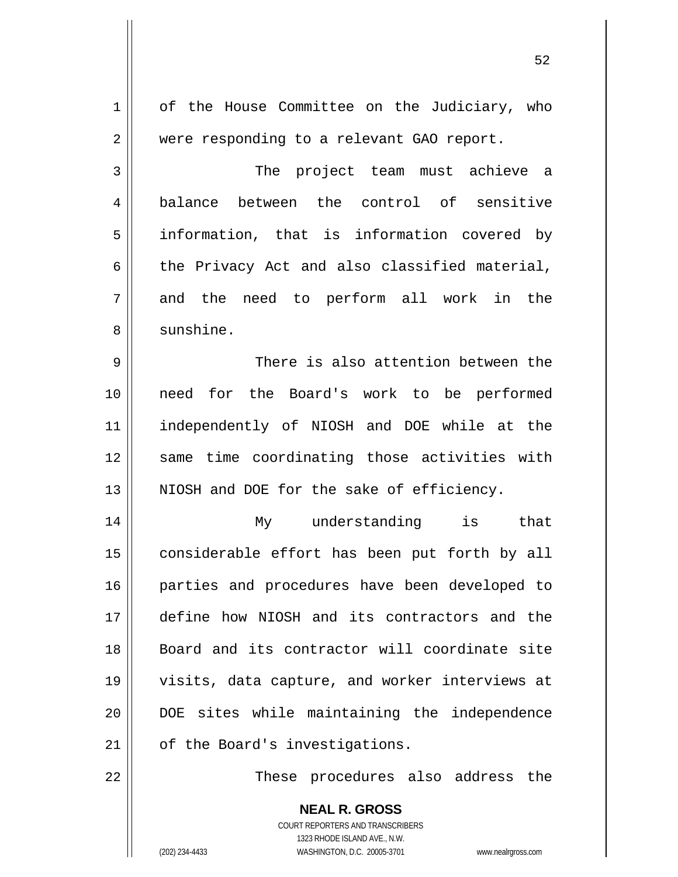1 2 3 4 5 6 7 8 9 10 11 12 13 14 15 16 17 18 19 20 21 22 of the House Committee on the Judiciary, who were responding to a relevant GAO report. The project team must achieve a balance between the control of sensitive information, that is information covered by the Privacy Act and also classified material, and the need to perform all work in the sunshine. There is also attention between the need for the Board's work to be performed independently of NIOSH and DOE while at the same time coordinating those activities with NIOSH and DOE for the sake of efficiency. My understanding is that considerable effort has been put forth by all parties and procedures have been developed to define how NIOSH and its contractors and the Board and its contractor will coordinate site visits, data capture, and worker interviews at DOE sites while maintaining the independence of the Board's investigations. These procedures also address the

52

**NEAL R. GROSS** COURT REPORTERS AND TRANSCRIBERS 1323 RHODE ISLAND AVE., N.W. (202) 234-4433 WASHINGTON, D.C. 20005-3701 www.nealrgross.com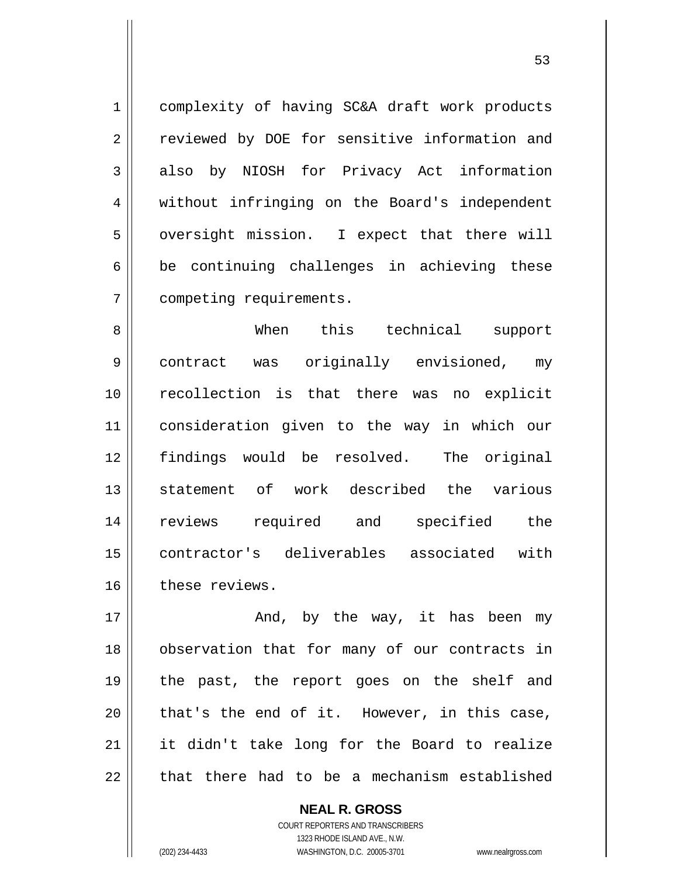complexity of having SC&A draft work products reviewed by DOE for sensitive information and also by NIOSH for Privacy Act information without infringing on the Board's independent oversight mission. I expect that there will be continuing challenges in achieving these competing requirements.

8 9 10 11 12 13 14 15 16 When this technical support contract was originally envisioned, my recollection is that there was no explicit consideration given to the way in which our findings would be resolved. The original statement of work described the various reviews required and specified the contractor's deliverables associated with these reviews.

17 18 19 20 21 22 And, by the way, it has been my observation that for many of our contracts in the past, the report goes on the shelf and that's the end of it. However, in this case, it didn't take long for the Board to realize that there had to be a mechanism established

> **NEAL R. GROSS** COURT REPORTERS AND TRANSCRIBERS 1323 RHODE ISLAND AVE., N.W. (202) 234-4433 WASHINGTON, D.C. 20005-3701 www.nealrgross.com

1

2

3

4

5

6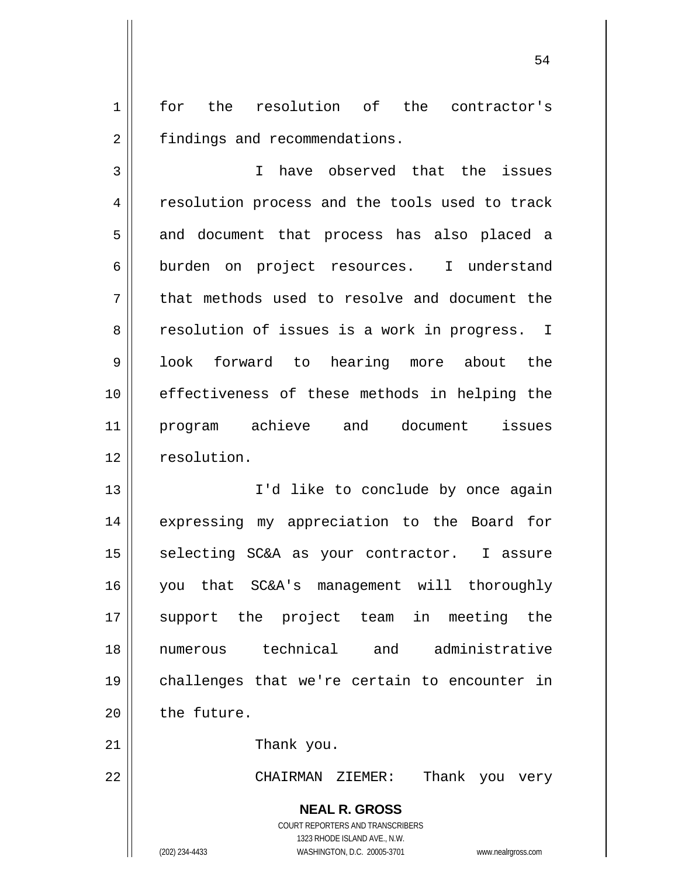1 2 for the resolution of the contractor's findings and recommendations.

3 4 5 6 7 8 9 10 11 12 I have observed that the issues resolution process and the tools used to track and document that process has also placed a burden on project resources. I understand that methods used to resolve and document the resolution of issues is a work in progress. I look forward to hearing more about the effectiveness of these methods in helping the program achieve and document issues resolution.

13 14 15 16 17 18 19 20 I'd like to conclude by once again expressing my appreciation to the Board for selecting SC&A as your contractor. I assure you that SC&A's management will thoroughly support the project team in meeting the numerous technical and administrative challenges that we're certain to encounter in the future.

Thank you.

CHAIRMAN ZIEMER: Thank you very

**NEAL R. GROSS** COURT REPORTERS AND TRANSCRIBERS 1323 RHODE ISLAND AVE., N.W.

21

22

(202) 234-4433 WASHINGTON, D.C. 20005-3701 www.nealrgross.com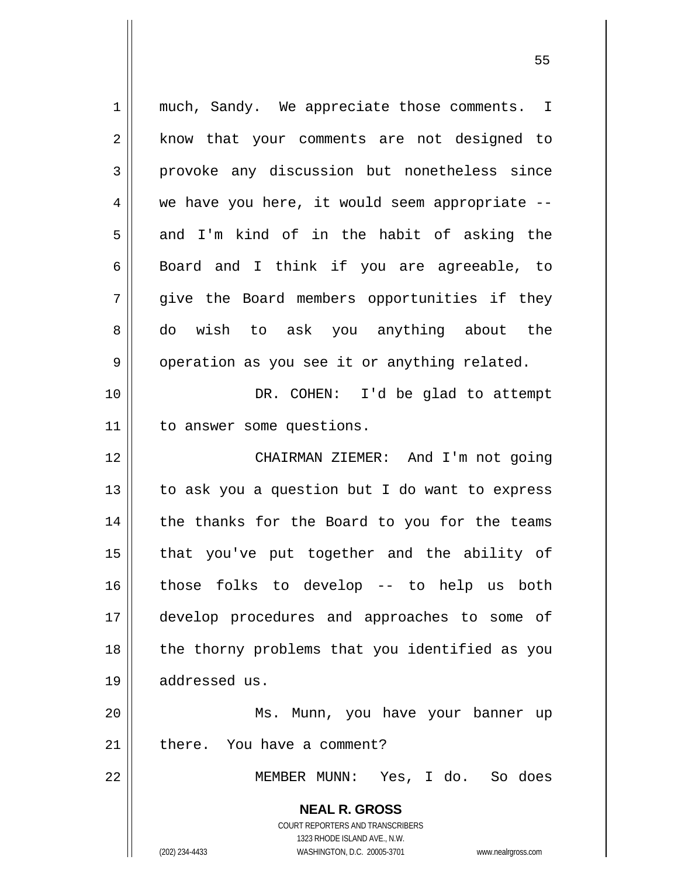**NEAL R. GROSS** COURT REPORTERS AND TRANSCRIBERS 1323 RHODE ISLAND AVE., N.W. (202) 234-4433 WASHINGTON, D.C. 20005-3701 www.nealrgross.com 1 2 3 4 5 6 7 8 9 10 11 12 13 14 15 16 17 18 19 20 21 22 much, Sandy. We appreciate those comments. I know that your comments are not designed to provoke any discussion but nonetheless since we have you here, it would seem appropriate - and I'm kind of in the habit of asking the Board and I think if you are agreeable, to give the Board members opportunities if they do wish to ask you anything about the operation as you see it or anything related. DR. COHEN: I'd be glad to attempt to answer some questions. CHAIRMAN ZIEMER: And I'm not going to ask you a question but I do want to express the thanks for the Board to you for the teams that you've put together and the ability of those folks to develop -- to help us both develop procedures and approaches to some of the thorny problems that you identified as you addressed us. Ms. Munn, you have your banner up there. You have a comment? MEMBER MUNN: Yes, I do. So does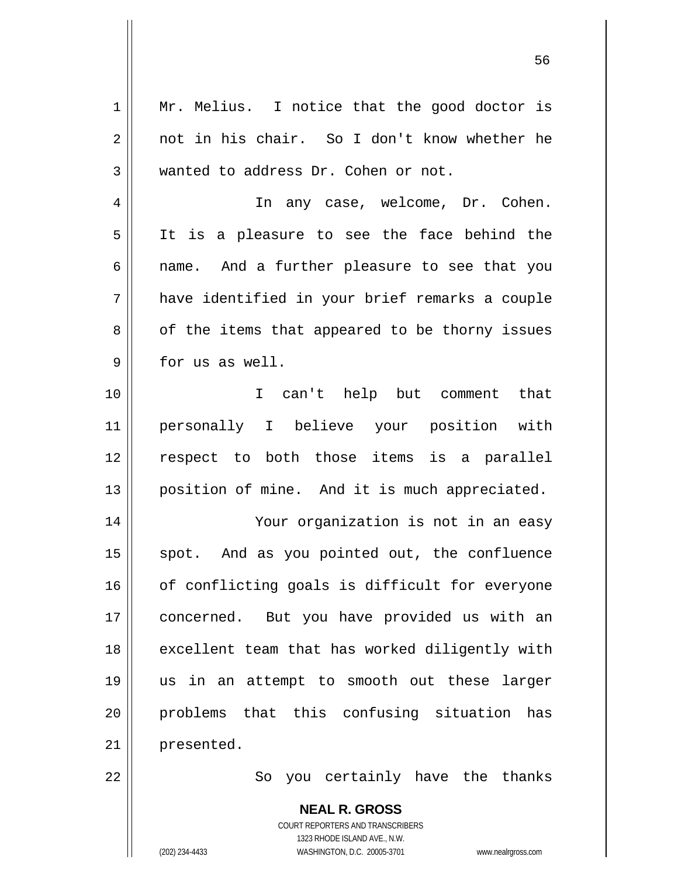1 2 3 4 5 6 7 8 9 10 11 12 13 14 15 16 17 18 19 20 21 22 Mr. Melius. I notice that the good doctor is not in his chair. So I don't know whether he wanted to address Dr. Cohen or not. In any case, welcome, Dr. Cohen. It is a pleasure to see the face behind the name. And a further pleasure to see that you have identified in your brief remarks a couple of the items that appeared to be thorny issues for us as well. I can't help but comment that personally I believe your position with respect to both those items is a parallel position of mine. And it is much appreciated. Your organization is not in an easy spot. And as you pointed out, the confluence of conflicting goals is difficult for everyone concerned. But you have provided us with an excellent team that has worked diligently with us in an attempt to smooth out these larger problems that this confusing situation has presented. So you certainly have the thanks

 $56$ 

**NEAL R. GROSS** COURT REPORTERS AND TRANSCRIBERS 1323 RHODE ISLAND AVE., N.W. (202) 234-4433 WASHINGTON, D.C. 20005-3701 www.nealrgross.com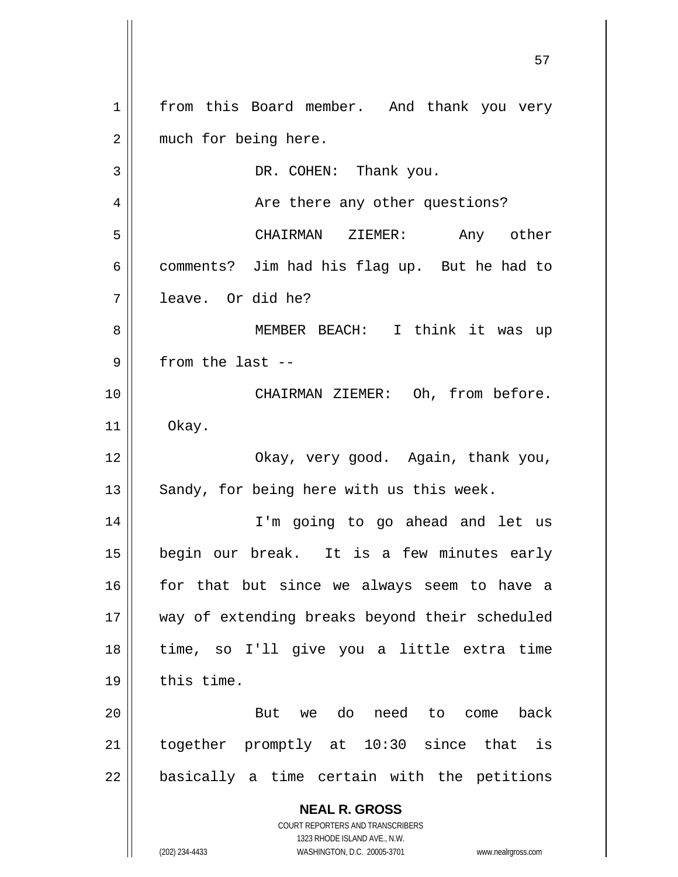**NEAL R. GROSS** COURT REPORTERS AND TRANSCRIBERS 1323 RHODE ISLAND AVE., N.W. (202) 234-4433 WASHINGTON, D.C. 20005-3701 www.nealrgross.com 1 2 3 4 5 6 7 8 9 10 11 12 13 14 15 16 17 18 19 20 21 22 from this Board member. And thank you very much for being here. DR. COHEN: Thank you. Are there any other questions? CHAIRMAN ZIEMER: Any other comments? Jim had his flag up. But he had to leave. Or did he? MEMBER BEACH: I think it was up from the last -- CHAIRMAN ZIEMER: Oh, from before. Okay. Okay, very good. Again, thank you, Sandy, for being here with us this week. I'm going to go ahead and let us begin our break. It is a few minutes early for that but since we always seem to have a way of extending breaks beyond their scheduled time, so I'll give you a little extra time this time. But we do need to come back together promptly at 10:30 since that is basically a time certain with the petitions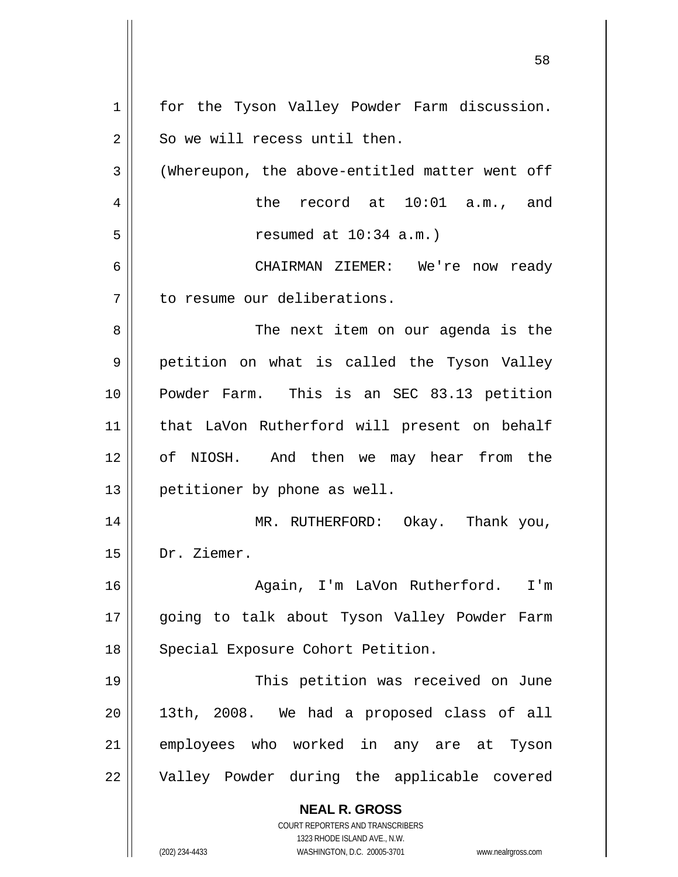| $\mathbf 1$ | for the Tyson Valley Powder Farm discussion.                        |
|-------------|---------------------------------------------------------------------|
| 2           | So we will recess until then.                                       |
| 3           | (Whereupon, the above-entitled matter went off                      |
| 4           | the record at 10:01 a.m., and                                       |
| 5           | resumed at $10:34$ a.m.)                                            |
| 6           | CHAIRMAN ZIEMER: We're now ready                                    |
| 7           | to resume our deliberations.                                        |
| 8           | The next item on our agenda is the                                  |
| 9           | petition on what is called the Tyson Valley                         |
| 10          | Powder Farm. This is an SEC 83.13 petition                          |
| 11          | that LaVon Rutherford will present on behalf                        |
| 12          | of NIOSH. And then we may hear from the                             |
| 13          | petitioner by phone as well.                                        |
| 14          | MR. RUTHERFORD: Okay. Thank you,                                    |
| 15          | Dr. Ziemer.                                                         |
| 16          | Again, I'm LaVon Rutherford. I'm                                    |
| 17          | going to talk about Tyson Valley Powder Farm                        |
| 18          | Special Exposure Cohort Petition.                                   |
| 19          | This petition was received on June                                  |
|             |                                                                     |
| 20          | 13th, 2008. We had a proposed class of all                          |
| 21          | employees who worked in any are at Tyson                            |
| 22          | Valley Powder during the applicable covered                         |
|             | <b>NEAL R. GROSS</b>                                                |
|             | <b>COURT REPORTERS AND TRANSCRIBERS</b>                             |
|             | 1323 RHODE ISLAND AVE., N.W.                                        |
|             | (202) 234-4433<br>WASHINGTON, D.C. 20005-3701<br>www.nealrgross.com |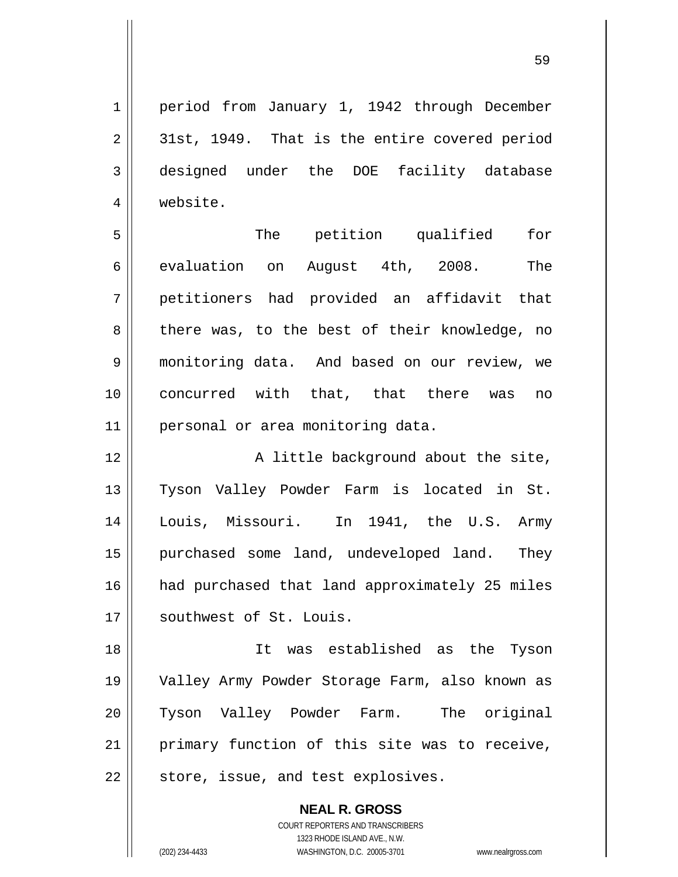period from January 1, 1942 through December 31st, 1949. That is the entire covered period designed under the DOE facility database website.

5 6 7 8 9 10 11 The petition qualified for evaluation on August 4th, 2008. The petitioners had provided an affidavit that there was, to the best of their knowledge, no monitoring data. And based on our review, we concurred with that, that there was no personal or area monitoring data.

12 13 14 15 16 17 A little background about the site, Tyson Valley Powder Farm is located in St. Louis, Missouri. In 1941, the U.S. Army purchased some land, undeveloped land. They had purchased that land approximately 25 miles southwest of St. Louis.

18 19 20 21 22 It was established as the Tyson Valley Army Powder Storage Farm, also known as Tyson Valley Powder Farm. The original primary function of this site was to receive, store, issue, and test explosives.

> **NEAL R. GROSS** COURT REPORTERS AND TRANSCRIBERS 1323 RHODE ISLAND AVE., N.W. (202) 234-4433 WASHINGTON, D.C. 20005-3701 www.nealrgross.com

1

2

3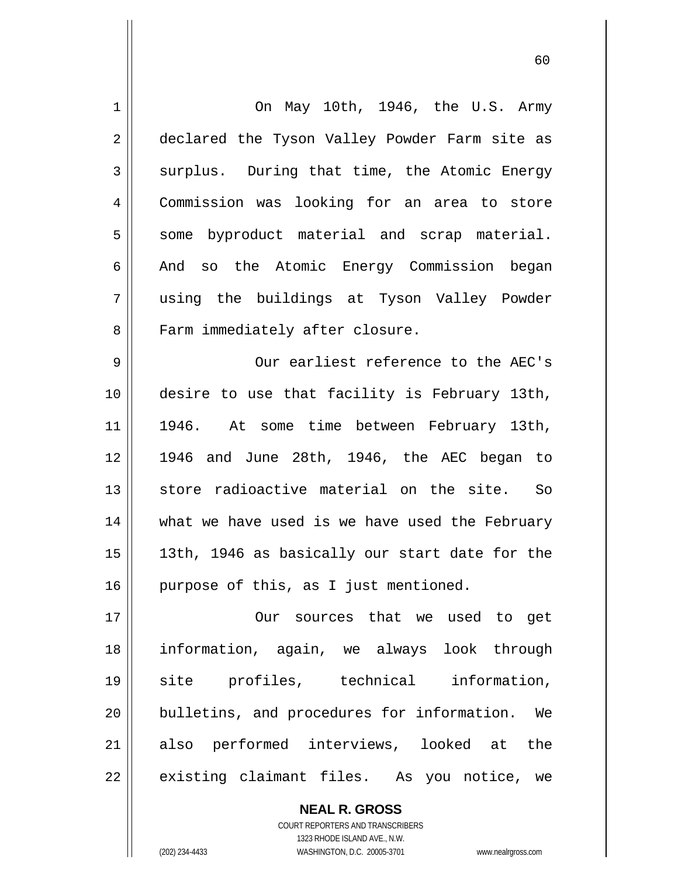| $\mathbf 1$    | On May 10th, 1946, the U.S. Army               |
|----------------|------------------------------------------------|
| $\overline{2}$ | declared the Tyson Valley Powder Farm site as  |
| $\mathbf{3}$   | surplus. During that time, the Atomic Energy   |
| 4              | Commission was looking for an area to store    |
| 5              | some byproduct material and scrap material.    |
| 6              | And so the Atomic Energy Commission began      |
| 7              | using the buildings at Tyson Valley Powder     |
| 8              | Farm immediately after closure.                |
| 9              | Our earliest reference to the AEC's            |
| 10             | desire to use that facility is February 13th,  |
| 11             | 1946. At some time between February 13th,      |
| 12             | 1946 and June 28th, 1946, the AEC began to     |
| 13             | store radioactive material on the site. So     |
| 14             | what we have used is we have used the February |
| 15             | 13th, 1946 as basically our start date for the |
| 16             | purpose of this, as I just mentioned.          |
| 17             |                                                |
|                | Our sources that we used to get                |
| 18             | information, again, we always look through     |
| 19             | site profiles, technical information,          |
| 20             | bulletins, and procedures for information. We  |
| 21             | also performed interviews, looked at<br>the    |

 $\sim$  60

COURT REPORTERS AND TRANSCRIBERS 1323 RHODE ISLAND AVE., N.W. (202) 234-4433 WASHINGTON, D.C. 20005-3701 www.nealrgross.com

**NEAL R. GROSS**

 $\mathsf{II}$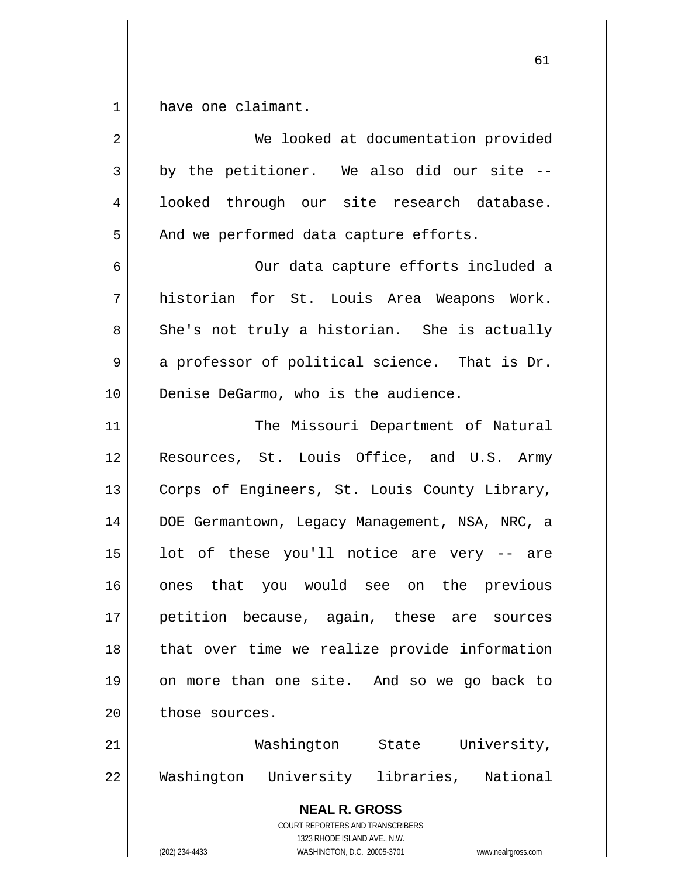1 have one claimant.

| $\overline{2}$ | We looked at documentation provided                                                                                                                                    |
|----------------|------------------------------------------------------------------------------------------------------------------------------------------------------------------------|
| 3              | by the petitioner. We also did our site --                                                                                                                             |
| 4              | looked through our site research database.                                                                                                                             |
| 5              | And we performed data capture efforts.                                                                                                                                 |
| 6              | Our data capture efforts included a                                                                                                                                    |
| 7              | historian for St. Louis Area Weapons Work.                                                                                                                             |
| 8              | She's not truly a historian. She is actually                                                                                                                           |
| 9              | a professor of political science. That is Dr.                                                                                                                          |
| 10             | Denise DeGarmo, who is the audience.                                                                                                                                   |
| 11             | The Missouri Department of Natural                                                                                                                                     |
| 12             | Resources, St. Louis Office, and U.S. Army                                                                                                                             |
| 13             | Corps of Engineers, St. Louis County Library,                                                                                                                          |
| 14             | DOE Germantown, Legacy Management, NSA, NRC, a                                                                                                                         |
| 15             | lot of these you'll notice are very -- are                                                                                                                             |
| 16             | that you would see on the previous<br>ones                                                                                                                             |
| 17             | petition because, again, these are sources                                                                                                                             |
| 18             | that over time we realize provide information                                                                                                                          |
| 19             | on more than one site. And so we go back to                                                                                                                            |
| 20             | those sources.                                                                                                                                                         |
| 21             | Washington State<br>University,                                                                                                                                        |
| 22             | Washington University libraries, National                                                                                                                              |
|                | <b>NEAL R. GROSS</b><br><b>COURT REPORTERS AND TRANSCRIBERS</b><br>1323 RHODE ISLAND AVE., N.W.<br>(202) 234-4433<br>WASHINGTON, D.C. 20005-3701<br>www.nealrgross.com |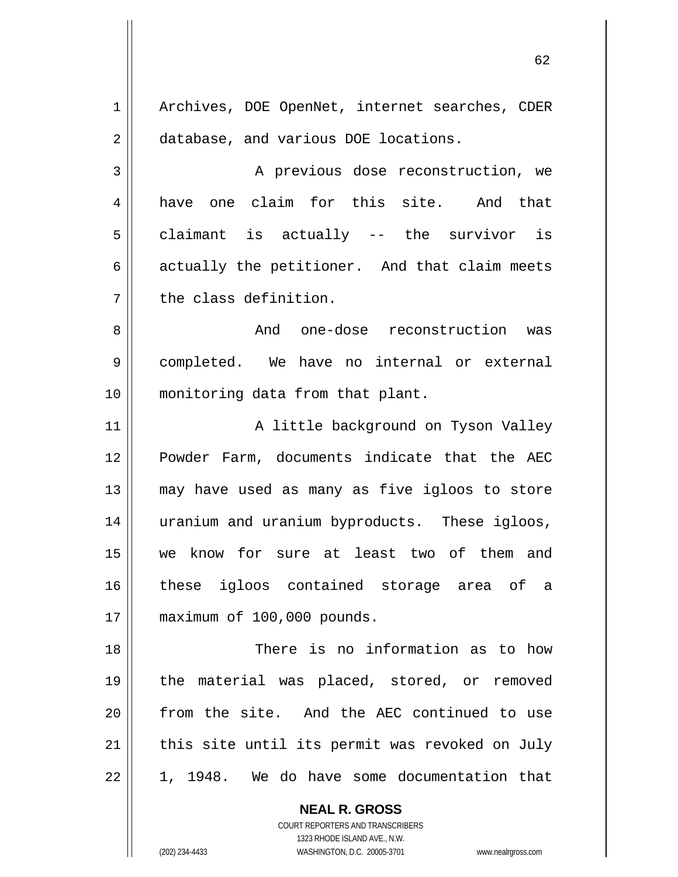1 2 3 4 5 6 7 8 9 10 11 12 13 14 15 16 17 18 19 20 21 Archives, DOE OpenNet, internet searches, CDER database, and various DOE locations. A previous dose reconstruction, we have one claim for this site. And that claimant is actually -- the survivor is actually the petitioner. And that claim meets the class definition. And one-dose reconstruction was completed. We have no internal or external monitoring data from that plant. A little background on Tyson Valley Powder Farm, documents indicate that the AEC may have used as many as five igloos to store uranium and uranium byproducts. These igloos, we know for sure at least two of them and these igloos contained storage area of a maximum of 100,000 pounds. There is no information as to how the material was placed, stored, or removed from the site. And the AEC continued to use this site until its permit was revoked on July

 $\sim$  62

1, 1948. We do have some documentation that

**NEAL R. GROSS** COURT REPORTERS AND TRANSCRIBERS

1323 RHODE ISLAND AVE., N.W.

(202) 234-4433 WASHINGTON, D.C. 20005-3701 www.nealrgross.com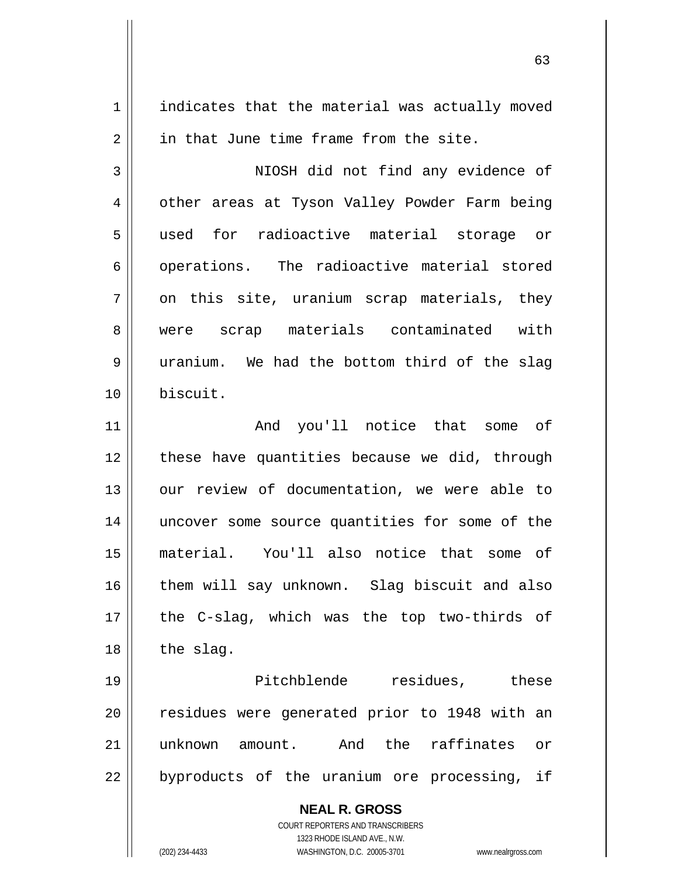indicates that the material was actually moved in that June time frame from the site.

3 4 5 6 7 8 9 10 NIOSH did not find any evidence of other areas at Tyson Valley Powder Farm being used for radioactive material storage or operations. The radioactive material stored on this site, uranium scrap materials, they were scrap materials contaminated with uranium. We had the bottom third of the slag biscuit.

11 12 13 14 15 16 17 18 And you'll notice that some of these have quantities because we did, through our review of documentation, we were able to uncover some source quantities for some of the material. You'll also notice that some of them will say unknown. Slag biscuit and also the C-slag, which was the top two-thirds of the slag.

19 20 21 22 Pitchblende residues, these residues were generated prior to 1948 with an unknown amount. And the raffinates or byproducts of the uranium ore processing, if

> **NEAL R. GROSS** COURT REPORTERS AND TRANSCRIBERS 1323 RHODE ISLAND AVE., N.W.

(202) 234-4433 WASHINGTON, D.C. 20005-3701 www.nealrgross.com

1

2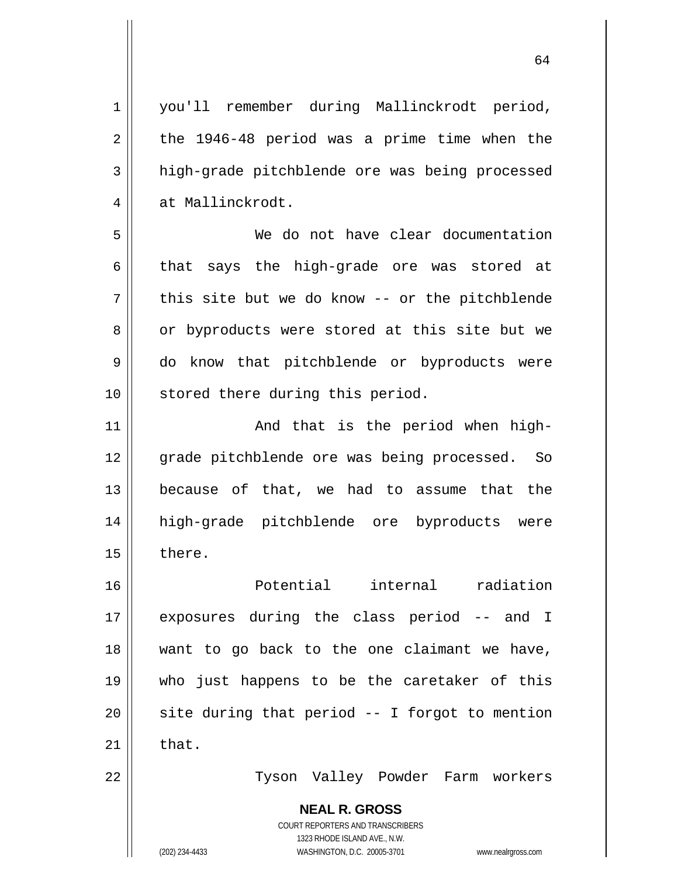**NEAL R. GROSS** COURT REPORTERS AND TRANSCRIBERS 1323 RHODE ISLAND AVE., N.W. 1 2 3 4 5 6 7 8 9 10 11 12 13 14 15 16 17 18 19 20 21 22 you'll remember during Mallinckrodt period, the 1946-48 period was a prime time when the high-grade pitchblende ore was being processed at Mallinckrodt. We do not have clear documentation that says the high-grade ore was stored at this site but we do know -- or the pitchblende or byproducts were stored at this site but we do know that pitchblende or byproducts were stored there during this period. And that is the period when highgrade pitchblende ore was being processed. So because of that, we had to assume that the high-grade pitchblende ore byproducts were there. Potential internal radiation exposures during the class period -- and I want to go back to the one claimant we have, who just happens to be the caretaker of this site during that period -- I forgot to mention that. Tyson Valley Powder Farm workers

64

(202) 234-4433 WASHINGTON, D.C. 20005-3701 www.nealrgross.com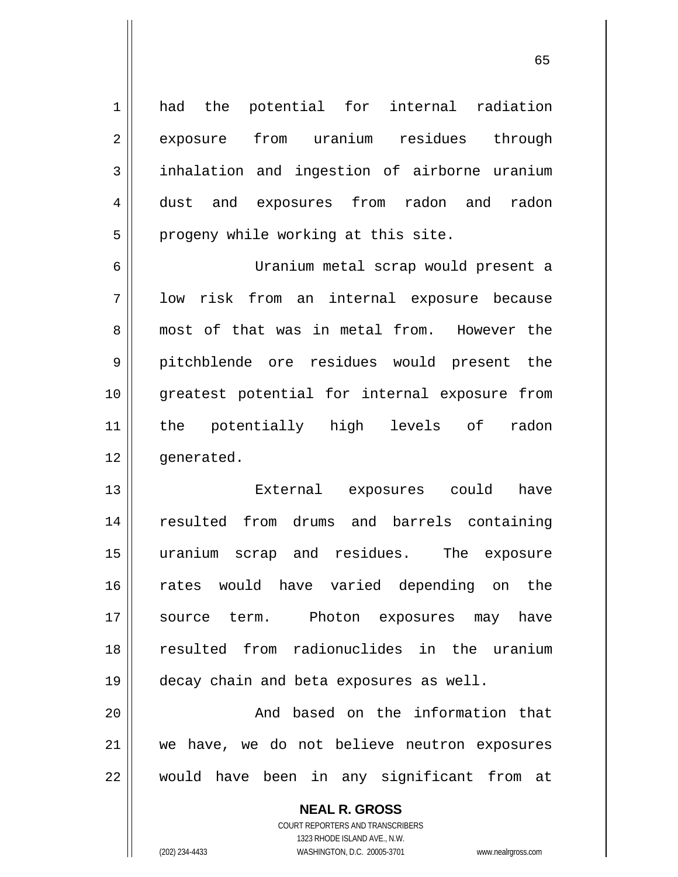had the potential for internal radiation exposure from uranium residues through inhalation and ingestion of airborne uranium dust and exposures from radon and radon progeny while working at this site.

 $\sim$  65

6 7 8 9 10 11 12 Uranium metal scrap would present a low risk from an internal exposure because most of that was in metal from. However the pitchblende ore residues would present the greatest potential for internal exposure from the potentially high levels of radon generated.

13 14 15 16 17 18 19 External exposures could have resulted from drums and barrels containing uranium scrap and residues. The exposure rates would have varied depending on the source term. Photon exposures may have resulted from radionuclides in the uranium decay chain and beta exposures as well.

20 21 22 And based on the information that we have, we do not believe neutron exposures would have been in any significant from at

> **NEAL R. GROSS** COURT REPORTERS AND TRANSCRIBERS 1323 RHODE ISLAND AVE., N.W. (202) 234-4433 WASHINGTON, D.C. 20005-3701 www.nealrgross.com

1

2

3

4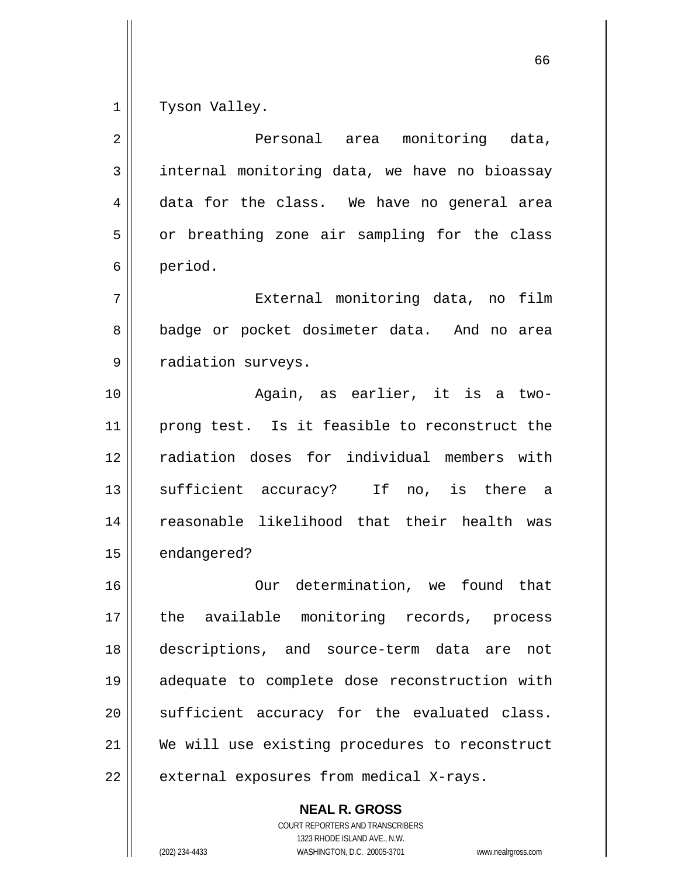1 Tyson Valley.

| 2  | Personal area monitoring data,                 |
|----|------------------------------------------------|
| 3  | internal monitoring data, we have no bioassay  |
| 4  | data for the class. We have no general area    |
| 5  | or breathing zone air sampling for the class   |
| 6  | period.                                        |
| 7  | External monitoring data, no<br>film           |
| 8  | badge or pocket dosimeter data. And no area    |
| 9  | radiation surveys.                             |
| 10 | Again, as earlier, it is a two-                |
| 11 | prong test. Is it feasible to reconstruct the  |
| 12 | radiation doses for individual members with    |
| 13 | sufficient accuracy? If no, is there a         |
| 14 | reasonable likelihood that their health was    |
| 15 | endangered?                                    |
| 16 | Our determination, we found that               |
| 17 | the available monitoring records, process      |
| 18 | descriptions, and source-term data are<br>not  |
| 19 | adequate to complete dose reconstruction with  |
| 20 | sufficient accuracy for the evaluated class.   |
| 21 | We will use existing procedures to reconstruct |
| 22 | external exposures from medical X-rays.        |

**NEAL R. GROSS** COURT REPORTERS AND TRANSCRIBERS

1323 RHODE ISLAND AVE., N.W.

(202) 234-4433 WASHINGTON, D.C. 20005-3701 www.nealrgross.com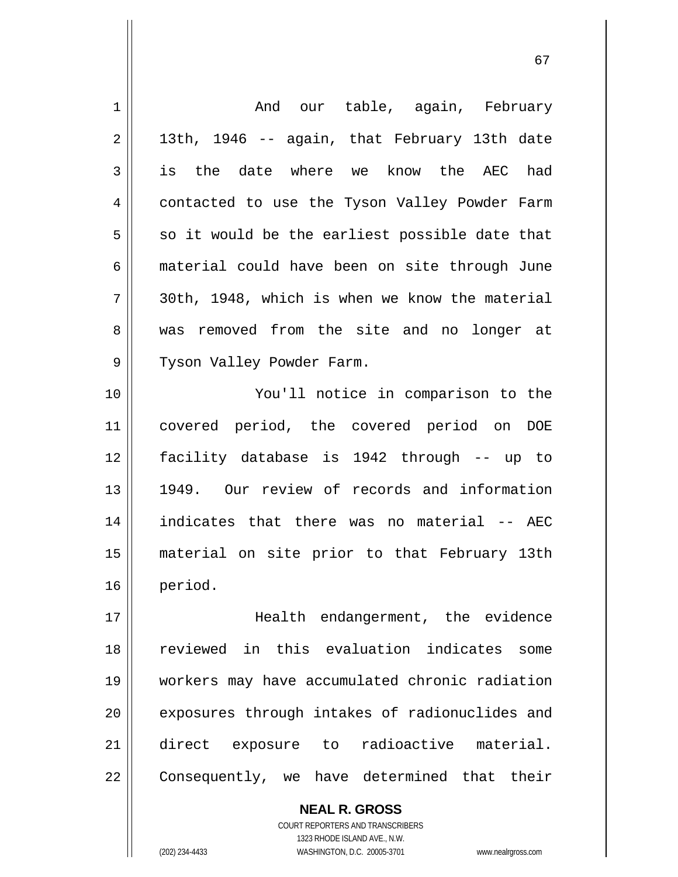| $\mathbf 1$ | And our table, again, February                 |
|-------------|------------------------------------------------|
| 2           | 13th, 1946 -- again, that February 13th date   |
| 3           | is the date where we know the AEC had          |
| 4           | contacted to use the Tyson Valley Powder Farm  |
| 5           | so it would be the earliest possible date that |
| 6           | material could have been on site through June  |
| 7           | 30th, 1948, which is when we know the material |
| 8           | was removed from the site and no longer at     |
| 9           | Tyson Valley Powder Farm.                      |
| 10          | You'll notice in comparison to the             |
| 11          | covered period, the covered period on DOE      |
| 12          | facility database is 1942 through -- up to     |
| 13          | 1949. Our review of records and information    |
| 14          | indicates that there was no material -- AEC    |
| 15          | material on site prior to that February 13th   |
| 16          | period.                                        |
| 17          | Health endangerment, the evidence              |
| 18          | reviewed in this evaluation indicates some     |
| 19          | workers may have accumulated chronic radiation |
| 20          | exposures through intakes of radionuclides and |
| 21          | direct exposure to radioactive material.       |
| 22          | Consequently, we have determined that their    |

67

**NEAL R. GROSS** COURT REPORTERS AND TRANSCRIBERS 1323 RHODE ISLAND AVE., N.W.

 $\mathsf{II}$ 

 $\mathsf{I}$ 

(202) 234-4433 WASHINGTON, D.C. 20005-3701 www.nealrgross.com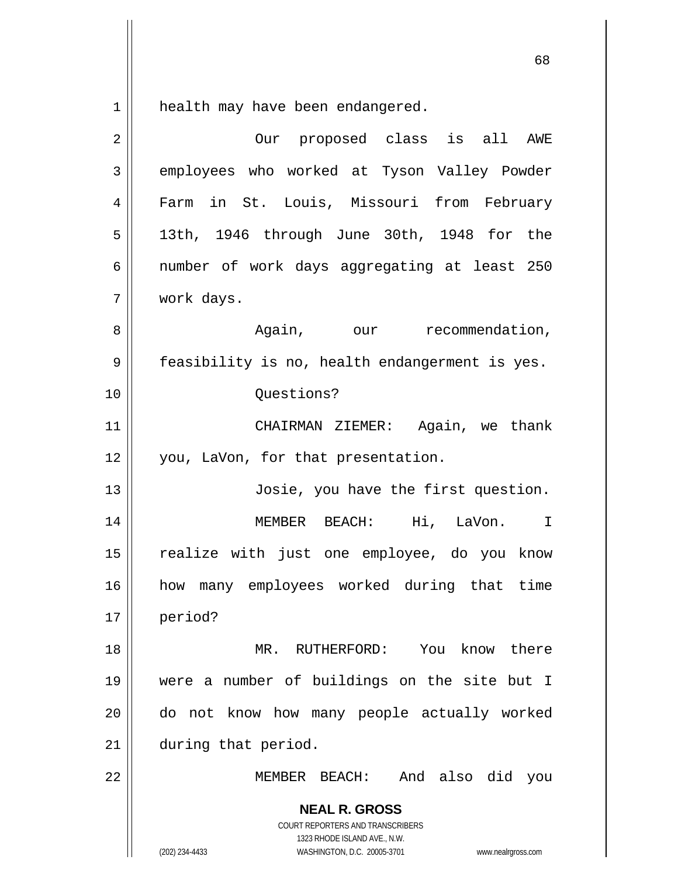$\begin{array}{c|c|c|c} 1 & 1 \\ \hline \end{array}$ health may have been endangered.

| $\overline{2}$ | Our proposed class is all AWE                                                                                                                                          |
|----------------|------------------------------------------------------------------------------------------------------------------------------------------------------------------------|
| 3              | employees who worked at Tyson Valley Powder                                                                                                                            |
| 4              | Farm in St. Louis, Missouri from February                                                                                                                              |
| 5              | 13th, 1946 through June 30th, 1948 for the                                                                                                                             |
| 6              | number of work days aggregating at least 250                                                                                                                           |
| 7              | work days.                                                                                                                                                             |
| 8              | Again, our recommendation,                                                                                                                                             |
| 9              | feasibility is no, health endangerment is yes.                                                                                                                         |
| 10             | Questions?                                                                                                                                                             |
| 11             | CHAIRMAN ZIEMER: Again, we thank                                                                                                                                       |
| 12             | you, LaVon, for that presentation.                                                                                                                                     |
| 13             | Josie, you have the first question.                                                                                                                                    |
| 14             | MEMBER BEACH: Hi, LaVon. I                                                                                                                                             |
| 15             | realize with just one employee, do you know                                                                                                                            |
| 16             | how many employees worked during that time                                                                                                                             |
| 17             | period?                                                                                                                                                                |
| 18             | MR. RUTHERFORD: You know there                                                                                                                                         |
| 19             | were a number of buildings on the site but I                                                                                                                           |
| 20             | do not know how many people actually worked                                                                                                                            |
| 21             | during that period.                                                                                                                                                    |
| 22             | MEMBER BEACH: And also did you                                                                                                                                         |
|                | <b>NEAL R. GROSS</b><br><b>COURT REPORTERS AND TRANSCRIBERS</b><br>1323 RHODE ISLAND AVE., N.W.<br>WASHINGTON, D.C. 20005-3701<br>(202) 234-4433<br>www.nealrgross.com |

 $\sim$  68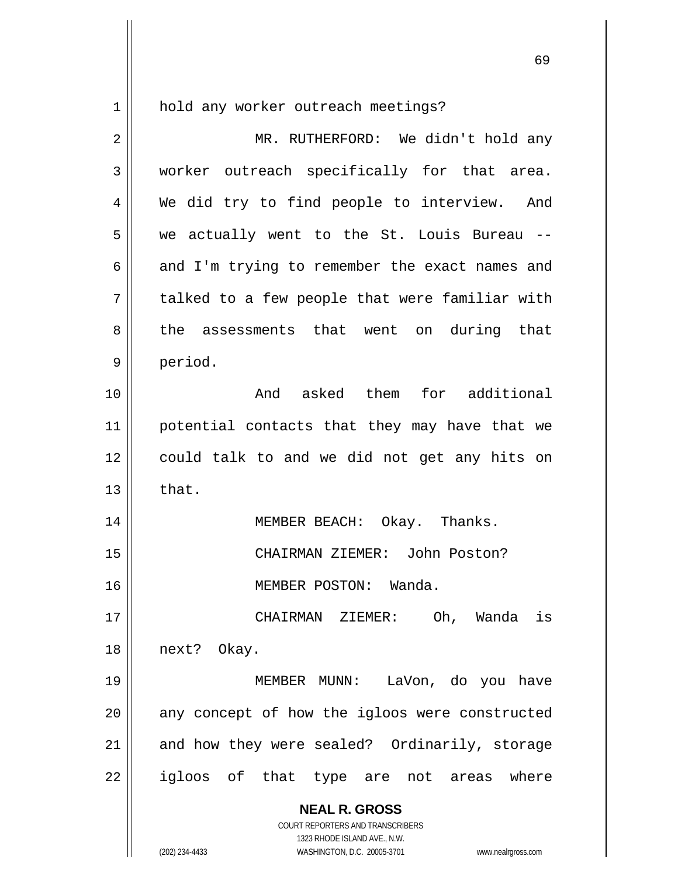$\begin{array}{c|c|c|c} 1 & 1 \end{array}$ hold any worker outreach meetings?

| $\overline{2}$ | MR. RUTHERFORD: We didn't hold any                                                                                                                              |
|----------------|-----------------------------------------------------------------------------------------------------------------------------------------------------------------|
| 3              | worker outreach specifically for that area.                                                                                                                     |
| 4              | We did try to find people to interview. And                                                                                                                     |
| 5              | we actually went to the St. Louis Bureau --                                                                                                                     |
| 6              | and I'm trying to remember the exact names and                                                                                                                  |
| 7              | talked to a few people that were familiar with                                                                                                                  |
| 8              | the assessments that went on during that                                                                                                                        |
| 9              | period.                                                                                                                                                         |
| 10             | And asked them for additional                                                                                                                                   |
| 11             | potential contacts that they may have that we                                                                                                                   |
| 12             | could talk to and we did not get any hits on                                                                                                                    |
| 13             | that.                                                                                                                                                           |
| 14             | MEMBER BEACH: Okay. Thanks.                                                                                                                                     |
| 15             | CHAIRMAN ZIEMER: John Poston?                                                                                                                                   |
| 16             | MEMBER POSTON: Wanda.                                                                                                                                           |
| 17             | CHAIRMAN ZIEMER: Oh, Wanda is                                                                                                                                   |
| 18             | next? Okay.                                                                                                                                                     |
| 19             | MEMBER MUNN: LaVon, do you have                                                                                                                                 |
| 20             | any concept of how the igloos were constructed                                                                                                                  |
| 21             | and how they were sealed? Ordinarily, storage                                                                                                                   |
| 22             | igloos of that type are not areas where                                                                                                                         |
|                | <b>NEAL R. GROSS</b><br>COURT REPORTERS AND TRANSCRIBERS<br>1323 RHODE ISLAND AVE., N.W.<br>(202) 234-4433<br>WASHINGTON, D.C. 20005-3701<br>www.nealrgross.com |

 $\sim$  69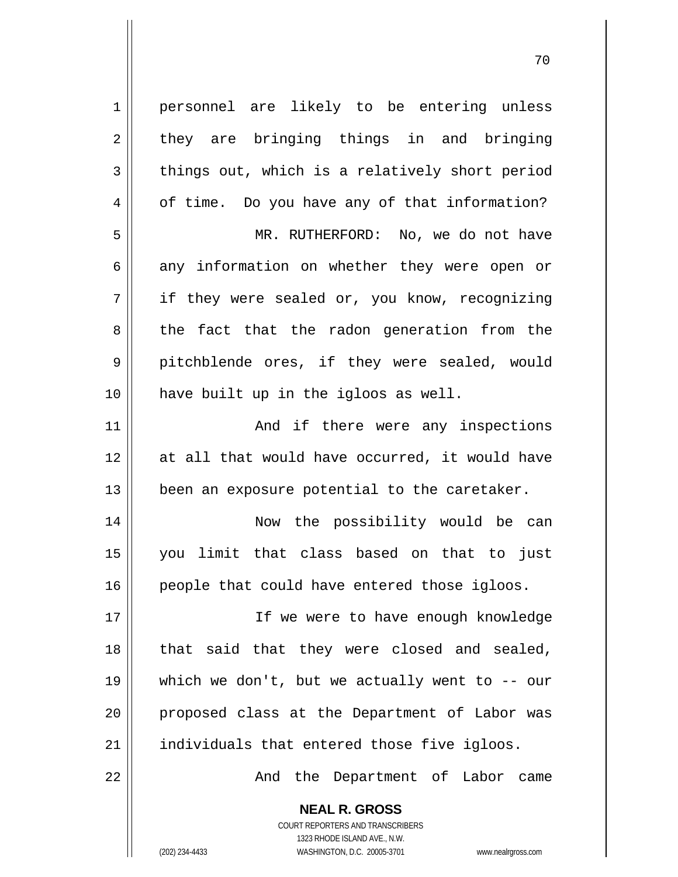1 2 3 4 5 6 7 8 9 10 11 12 13 14 15 16 17 18 19 20 21 22 personnel are likely to be entering unless they are bringing things in and bringing things out, which is a relatively short period of time. Do you have any of that information? MR. RUTHERFORD: No, we do not have any information on whether they were open or if they were sealed or, you know, recognizing the fact that the radon generation from the pitchblende ores, if they were sealed, would have built up in the igloos as well. And if there were any inspections at all that would have occurred, it would have been an exposure potential to the caretaker. Now the possibility would be can you limit that class based on that to just people that could have entered those igloos. If we were to have enough knowledge that said that they were closed and sealed, which we don't, but we actually went to  $--$  our proposed class at the Department of Labor was individuals that entered those five igloos. And the Department of Labor came

последници производите по последници по последници по последници по последници по последници по последници по<br>В 1930 године по последници по последници по последници по последници по последници по последници по последниц<br>

**NEAL R. GROSS** COURT REPORTERS AND TRANSCRIBERS 1323 RHODE ISLAND AVE., N.W. (202) 234-4433 WASHINGTON, D.C. 20005-3701 www.nealrgross.com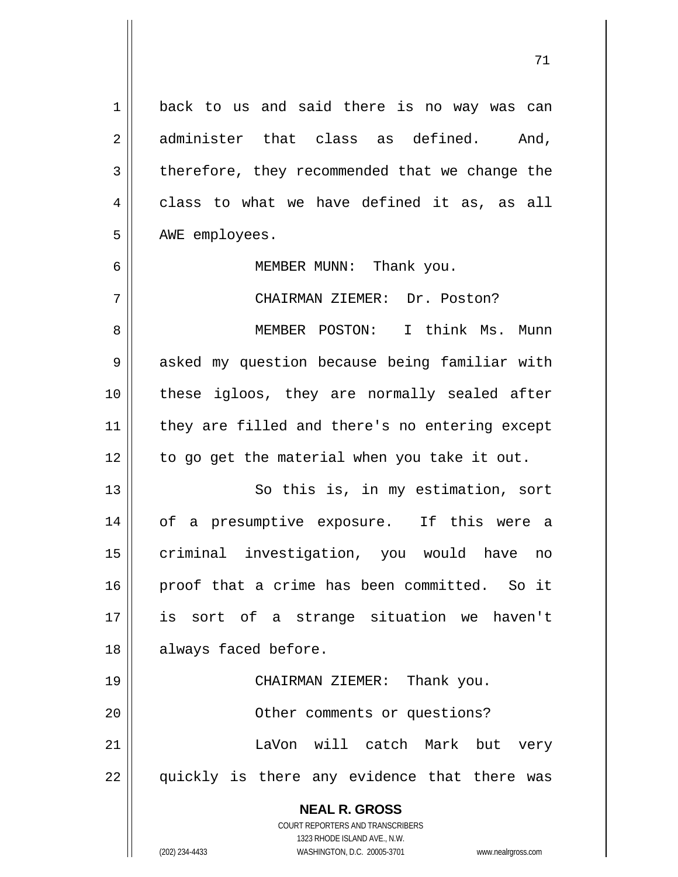**NEAL R. GROSS** COURT REPORTERS AND TRANSCRIBERS 1 2 3 4 5 6 7 8 9 10 11 12 13 14 15 16 17 18 19 20 21 22 back to us and said there is no way was can administer that class as defined. And, therefore, they recommended that we change the class to what we have defined it as, as all AWE employees. MEMBER MUNN: Thank you. CHAIRMAN ZIEMER: Dr. Poston? MEMBER POSTON: I think Ms. Munn asked my question because being familiar with these igloos, they are normally sealed after they are filled and there's no entering except to go get the material when you take it out. So this is, in my estimation, sort of a presumptive exposure. If this were a criminal investigation, you would have no proof that a crime has been committed. So it is sort of a strange situation we haven't always faced before. CHAIRMAN ZIEMER: Thank you. Other comments or questions? LaVon will catch Mark but very quickly is there any evidence that there was

71

1323 RHODE ISLAND AVE., N.W.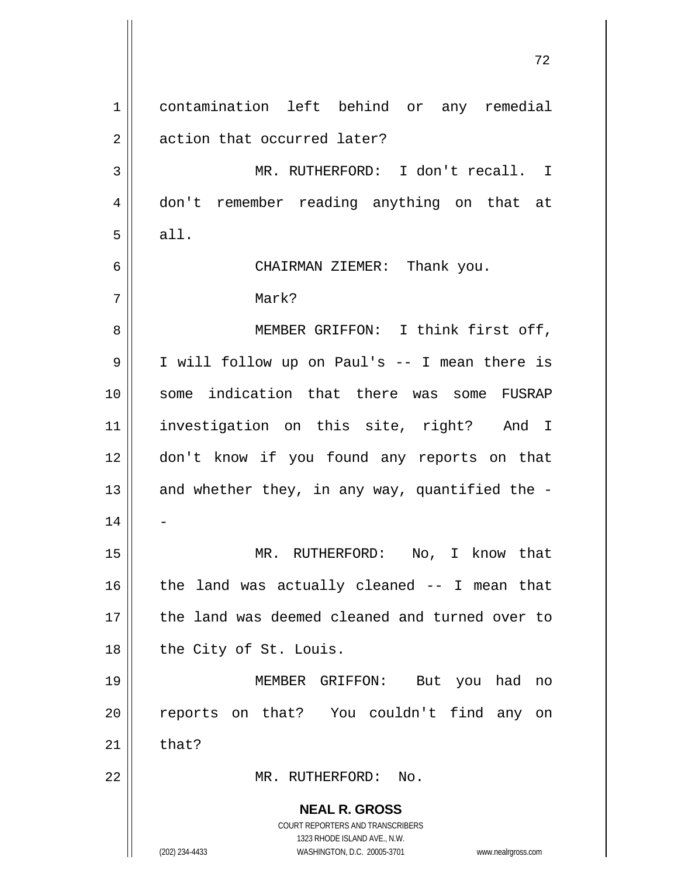**NEAL R. GROSS** COURT REPORTERS AND TRANSCRIBERS 1323 RHODE ISLAND AVE., N.W. (202) 234-4433 WASHINGTON, D.C. 20005-3701 www.nealrgross.com 1 2 3 4 5 6 7 8 9 10 11 12 13 14 15 16 17 18 19 20 21 22 contamination left behind or any remedial action that occurred later? MR. RUTHERFORD: I don't recall. I don't remember reading anything on that at all. CHAIRMAN ZIEMER: Thank you. Mark? MEMBER GRIFFON: I think first off, I will follow up on Paul's -- I mean there is some indication that there was some FUSRAP investigation on this site, right? And I don't know if you found any reports on that and whether they, in any way, quantified the - - MR. RUTHERFORD: No, I know that the land was actually cleaned -- I mean that the land was deemed cleaned and turned over to the City of St. Louis. MEMBER GRIFFON: But you had no reports on that? You couldn't find any on that? MR. RUTHERFORD: No.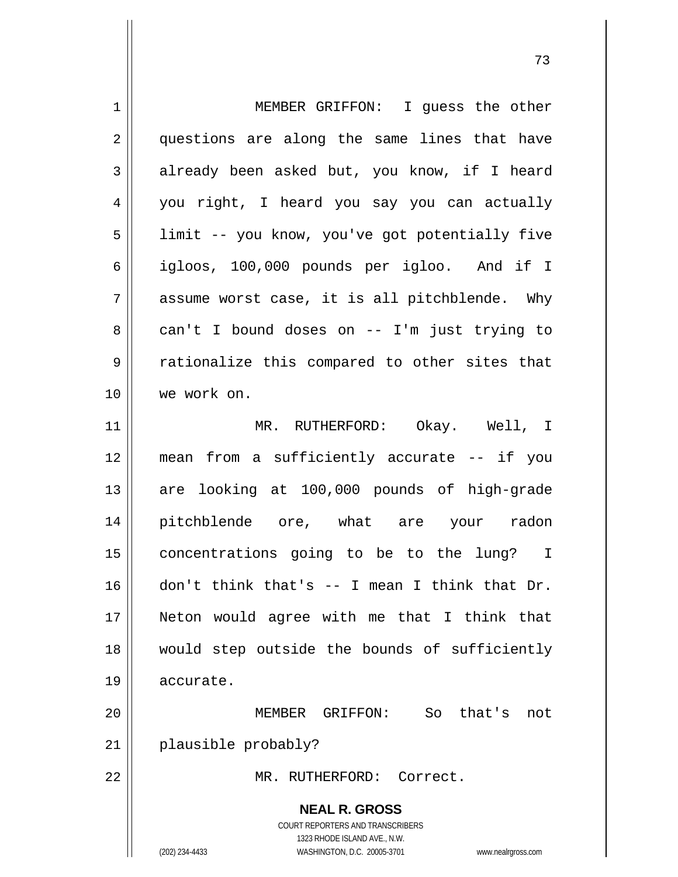| $\mathbf 1$    | MEMBER GRIFFON: I guess the other                                                                                                                               |  |
|----------------|-----------------------------------------------------------------------------------------------------------------------------------------------------------------|--|
| 2              | questions are along the same lines that have                                                                                                                    |  |
| 3              | already been asked but, you know, if I heard                                                                                                                    |  |
| $\overline{4}$ | you right, I heard you say you can actually                                                                                                                     |  |
| 5              | limit -- you know, you've got potentially five                                                                                                                  |  |
| 6              | igloos, 100,000 pounds per igloo. And if I                                                                                                                      |  |
| 7              | assume worst case, it is all pitchblende. Why                                                                                                                   |  |
| 8              | can't I bound doses on -- I'm just trying to                                                                                                                    |  |
| 9              | rationalize this compared to other sites that                                                                                                                   |  |
| 10             | we work on.                                                                                                                                                     |  |
| 11             | MR. RUTHERFORD: Okay. Well, I                                                                                                                                   |  |
| 12             | mean from a sufficiently accurate -- if you                                                                                                                     |  |
| 13             | are looking at 100,000 pounds of high-grade                                                                                                                     |  |
| 14             | pitchblende ore, what are your radon                                                                                                                            |  |
| 15             | concentrations going to be to the lung? I                                                                                                                       |  |
| 16             | don't think that's $-$ I mean I think that Dr.                                                                                                                  |  |
| 17             | Neton would agree with me that I think that                                                                                                                     |  |
| 18             | would step outside the bounds of sufficiently                                                                                                                   |  |
| 19             | accurate.                                                                                                                                                       |  |
| 20             | MEMBER GRIFFON: So<br>that's<br>not                                                                                                                             |  |
| 21             | plausible probably?                                                                                                                                             |  |
| 22             | MR. RUTHERFORD: Correct.                                                                                                                                        |  |
|                | <b>NEAL R. GROSS</b><br>COURT REPORTERS AND TRANSCRIBERS<br>1323 RHODE ISLAND AVE., N.W.<br>(202) 234-4433<br>WASHINGTON, D.C. 20005-3701<br>www.nealrgross.com |  |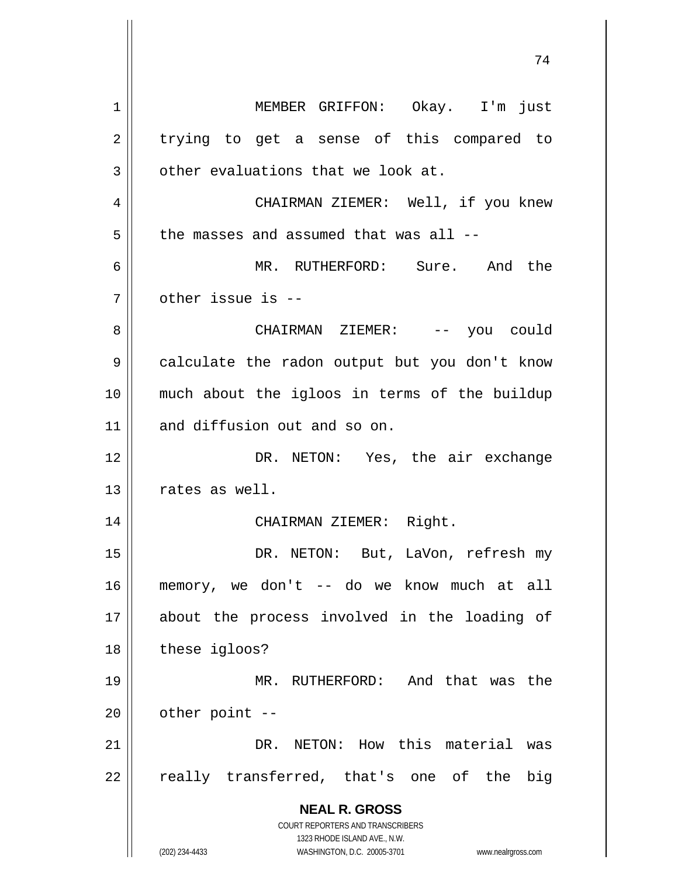**NEAL R. GROSS** COURT REPORTERS AND TRANSCRIBERS 1323 RHODE ISLAND AVE., N.W. (202) 234-4433 WASHINGTON, D.C. 20005-3701 www.nealrgross.com 1 2 3 4 5 6 7 8 9 10 11 12 13 14 15 16 17 18 19 20 21 22 MEMBER GRIFFON: Okay. I'm just trying to get a sense of this compared to other evaluations that we look at. CHAIRMAN ZIEMER: Well, if you knew the masses and assumed that was all -- MR. RUTHERFORD: Sure. And the other issue is -- CHAIRMAN ZIEMER: -- you could calculate the radon output but you don't know much about the igloos in terms of the buildup and diffusion out and so on. DR. NETON: Yes, the air exchange rates as well. CHAIRMAN ZIEMER: Right. DR. NETON: But, LaVon, refresh my memory, we don't -- do we know much at all about the process involved in the loading of these igloos? MR. RUTHERFORD: And that was the other point -- DR. NETON: How this material was really transferred, that's one of the big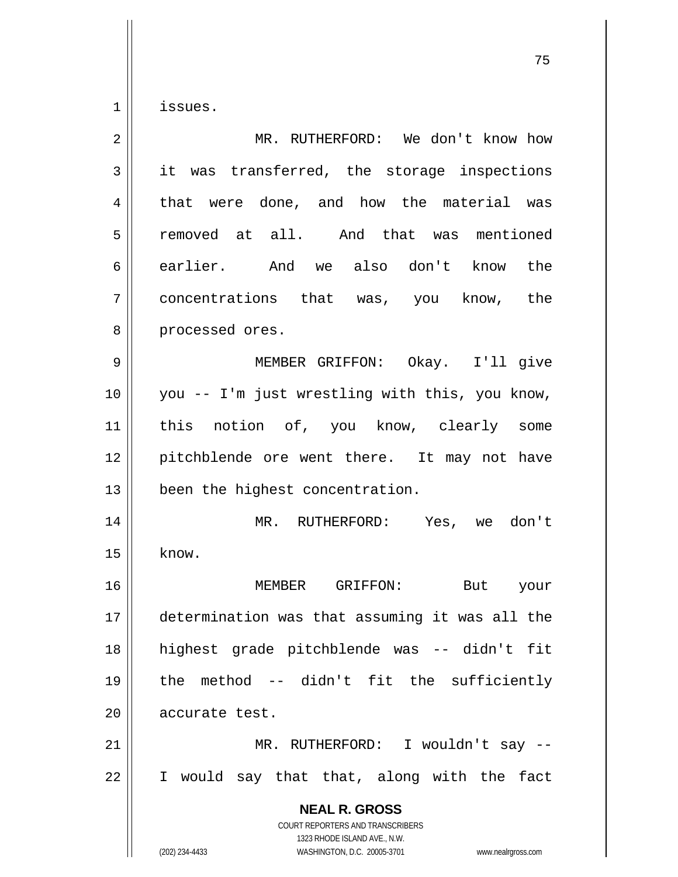1 issues.

| $\overline{2}$ | MR. RUTHERFORD: We don't know how                                                                                                                               |
|----------------|-----------------------------------------------------------------------------------------------------------------------------------------------------------------|
| 3              | it was transferred, the storage inspections                                                                                                                     |
| 4              | that were done, and how the material was                                                                                                                        |
| 5              | removed at all. And that was mentioned                                                                                                                          |
| 6              | earlier. And we also don't know the                                                                                                                             |
| 7              | concentrations that was, you know, the                                                                                                                          |
| 8              | processed ores.                                                                                                                                                 |
| 9              | MEMBER GRIFFON: Okay. I'll give                                                                                                                                 |
| 10             | you -- I'm just wrestling with this, you know,                                                                                                                  |
| 11             | this notion of, you know, clearly some                                                                                                                          |
| 12             | pitchblende ore went there. It may not have                                                                                                                     |
| 13             | been the highest concentration.                                                                                                                                 |
| 14             | MR. RUTHERFORD: Yes, we don't                                                                                                                                   |
| 15             | know.                                                                                                                                                           |
| 16             | MEMBER GRIFFON: But your                                                                                                                                        |
| 17             | determination was that assuming it was all the                                                                                                                  |
| 18             | highest grade pitchblende was -- didn't fit                                                                                                                     |
| 19             | the method -- didn't fit the sufficiently                                                                                                                       |
| 20             | accurate test.                                                                                                                                                  |
| 21             | MR. RUTHERFORD: I wouldn't say --                                                                                                                               |
| 22             | I would say that that, along with the fact                                                                                                                      |
|                | <b>NEAL R. GROSS</b><br>COURT REPORTERS AND TRANSCRIBERS<br>1323 RHODE ISLAND AVE., N.W.<br>(202) 234-4433<br>WASHINGTON, D.C. 20005-3701<br>www.nealrgross.com |

ли в село в село в село во село во село во село во село во село во село во село во село во село во село во сел<br>Во село во село во село во село во село во село во село во село во село во село во село во село во село во сел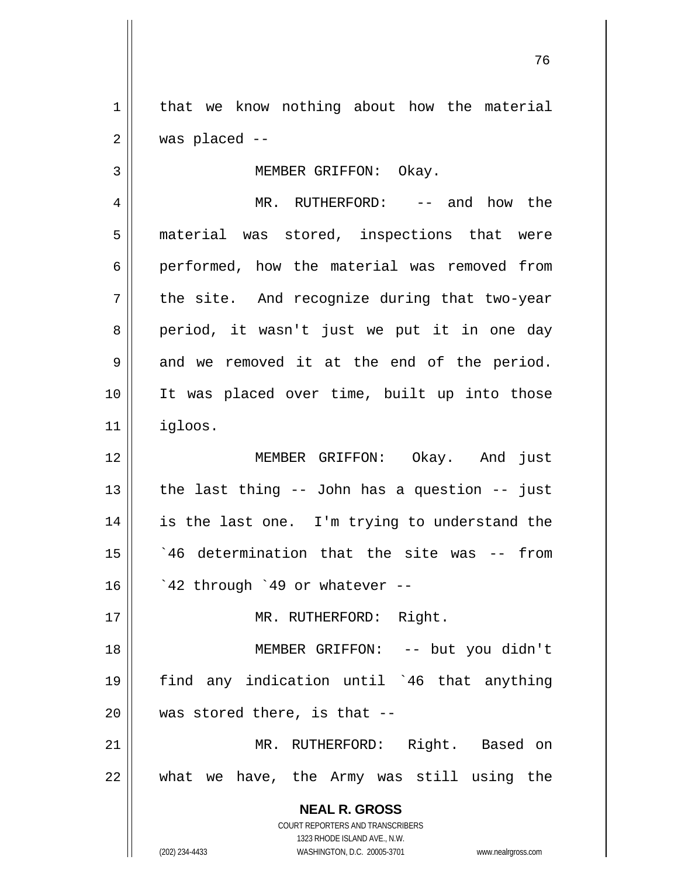1 2 that we know nothing about how the material was placed --

MEMBER GRIFFON: Okay.

4 5 6 7 8 9 10 11 MR. RUTHERFORD: -- and how the material was stored, inspections that were performed, how the material was removed from the site. And recognize during that two-year period, it wasn't just we put it in one day and we removed it at the end of the period. It was placed over time, built up into those igloos.

12 13 14 15 16 MEMBER GRIFFON: Okay. And just the last thing -- John has a question -- just is the last one. I'm trying to understand the `46 determination that the site was -- from `42 through `49 or whatever --

MR. RUTHERFORD: Right.

18 19 20 MEMBER GRIFFON: -- but you didn't find any indication until `46 that anything was stored there, is that --

21 22 MR. RUTHERFORD: Right. Based on what we have, the Army was still using the

> **NEAL R. GROSS** COURT REPORTERS AND TRANSCRIBERS

> > 1323 RHODE ISLAND AVE., N.W.

(202) 234-4433 WASHINGTON, D.C. 20005-3701 www.nealrgross.com

3

17

и процесс в политическиот производство в село в 176 година в 176 године. В 176 године в 176 године в 176 годин<br>В 176 године в 176 године в 176 године в 176 године в 176 године в 176 године в 176 године в 176 године в 176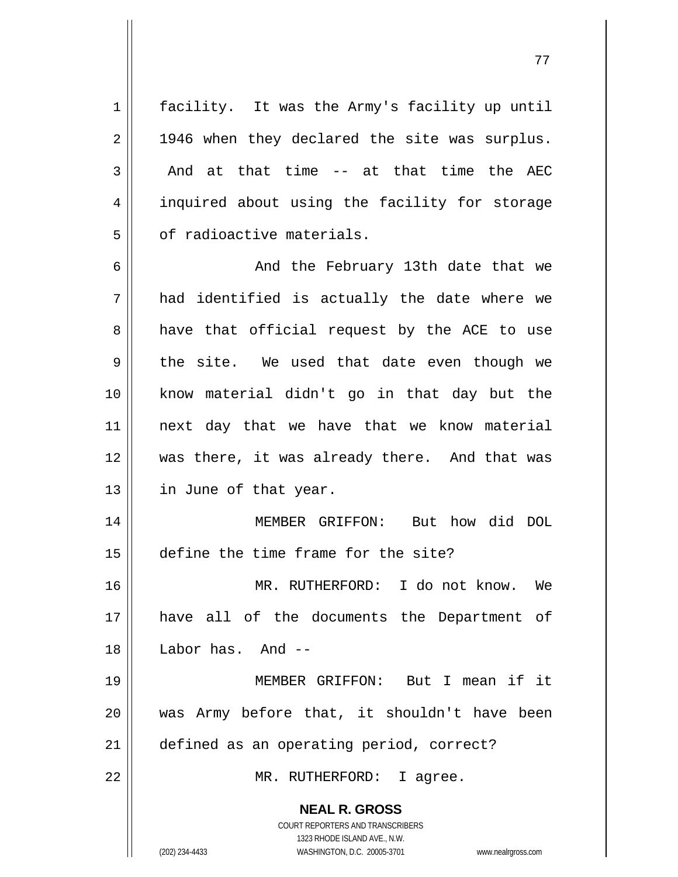1 2 3 4 5 6 7 8 facility. It was the Army's facility up until 1946 when they declared the site was surplus. And at that time -- at that time the AEC inquired about using the facility for storage of radioactive materials. And the February 13th date that we had identified is actually the date where we have that official request by the ACE to use

77

9 10 11 12 13 the site. We used that date even though we know material didn't go in that day but the next day that we have that we know material was there, it was already there. And that was in June of that year.

14 15 MEMBER GRIFFON: But how did DOL define the time frame for the site?

16 17 18 MR. RUTHERFORD: I do not know. We have all of the documents the Department of Labor has. And --

19 20 21 MEMBER GRIFFON: But I mean if it was Army before that, it shouldn't have been defined as an operating period, correct?

MR. RUTHERFORD: I agree.

**NEAL R. GROSS**

22

COURT REPORTERS AND TRANSCRIBERS 1323 RHODE ISLAND AVE., N.W. (202) 234-4433 WASHINGTON, D.C. 20005-3701 www.nealrgross.com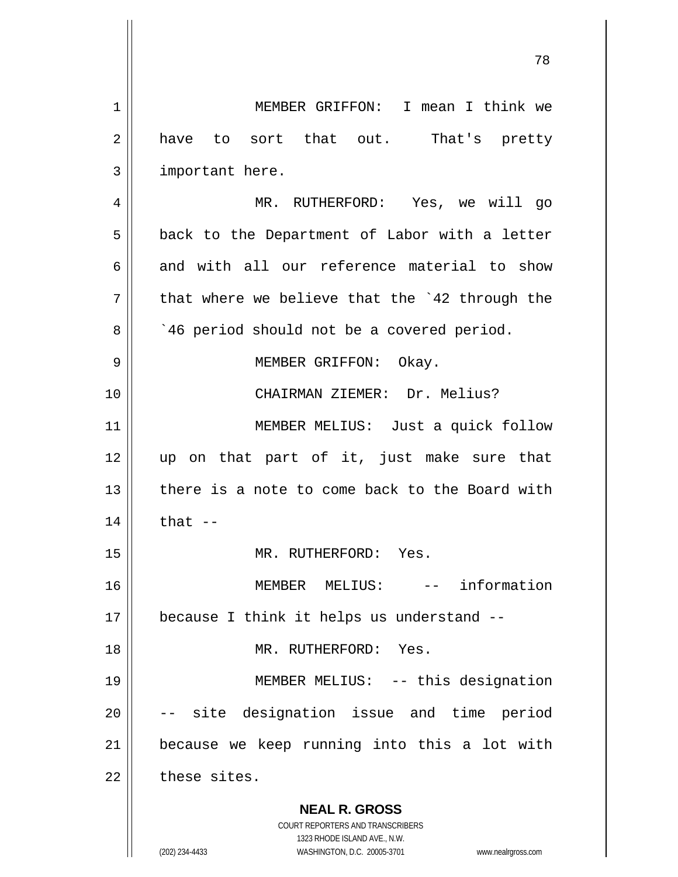**NEAL R. GROSS** COURT REPORTERS AND TRANSCRIBERS 1323 RHODE ISLAND AVE., N.W. (202) 234-4433 WASHINGTON, D.C. 20005-3701 www.nealrgross.com 1 2 3 4 5 6 7 8 9 10 11 12 13 14 15 16 17 18 19 20 21 22 MEMBER GRIFFON: I mean I think we have to sort that out. That's pretty important here. MR. RUTHERFORD: Yes, we will go back to the Department of Labor with a letter and with all our reference material to show that where we believe that the `42 through the `46 period should not be a covered period. MEMBER GRIFFON: Okay. CHAIRMAN ZIEMER: Dr. Melius? MEMBER MELIUS: Just a quick follow up on that part of it, just make sure that there is a note to come back to the Board with that  $--$  MR. RUTHERFORD: Yes. MEMBER MELIUS: -- information because I think it helps us understand -- MR. RUTHERFORD: Yes. MEMBER MELIUS: -- this designation -- site designation issue and time period because we keep running into this a lot with these sites.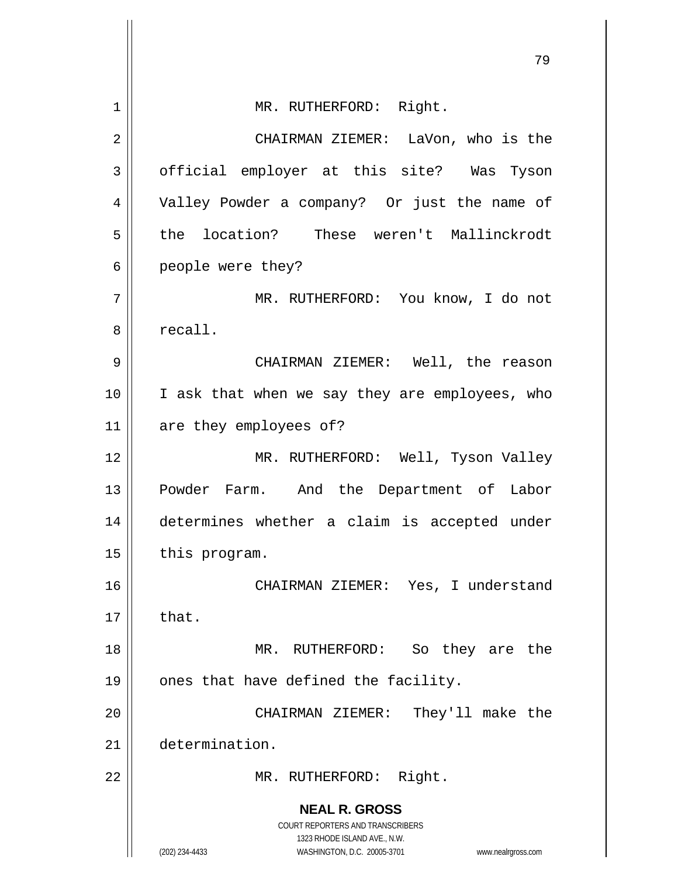|    | 79                                                                                                  |  |
|----|-----------------------------------------------------------------------------------------------------|--|
| 1  | MR. RUTHERFORD: Right.                                                                              |  |
|    |                                                                                                     |  |
| 2  | CHAIRMAN ZIEMER: LaVon, who is the                                                                  |  |
| 3  | official employer at this site? Was Tyson                                                           |  |
| 4  | Valley Powder a company? Or just the name of                                                        |  |
| 5  | the location? These weren't Mallinckrodt                                                            |  |
| 6  | people were they?                                                                                   |  |
| 7  | MR. RUTHERFORD: You know, I do not                                                                  |  |
| 8  | recall.                                                                                             |  |
| 9  | CHAIRMAN ZIEMER: Well, the reason                                                                   |  |
| 10 | I ask that when we say they are employees, who                                                      |  |
| 11 | are they employees of?                                                                              |  |
| 12 | MR. RUTHERFORD: Well, Tyson Valley                                                                  |  |
| 13 | Powder Farm. And the Department of Labor                                                            |  |
| 14 | determines whether a claim is accepted under                                                        |  |
| 15 | this program.                                                                                       |  |
| 16 | CHAIRMAN ZIEMER: Yes, I understand                                                                  |  |
| 17 | that.                                                                                               |  |
| 18 | MR. RUTHERFORD:<br>So they are the                                                                  |  |
| 19 | ones that have defined the facility.                                                                |  |
| 20 | They'll make the<br>CHAIRMAN ZIEMER:                                                                |  |
| 21 | determination.                                                                                      |  |
| 22 | Right.<br>MR. RUTHERFORD:                                                                           |  |
|    | <b>NEAL R. GROSS</b>                                                                                |  |
|    | <b>COURT REPORTERS AND TRANSCRIBERS</b>                                                             |  |
|    | 1323 RHODE ISLAND AVE., N.W.<br>(202) 234-4433<br>WASHINGTON, D.C. 20005-3701<br>www.nealrgross.com |  |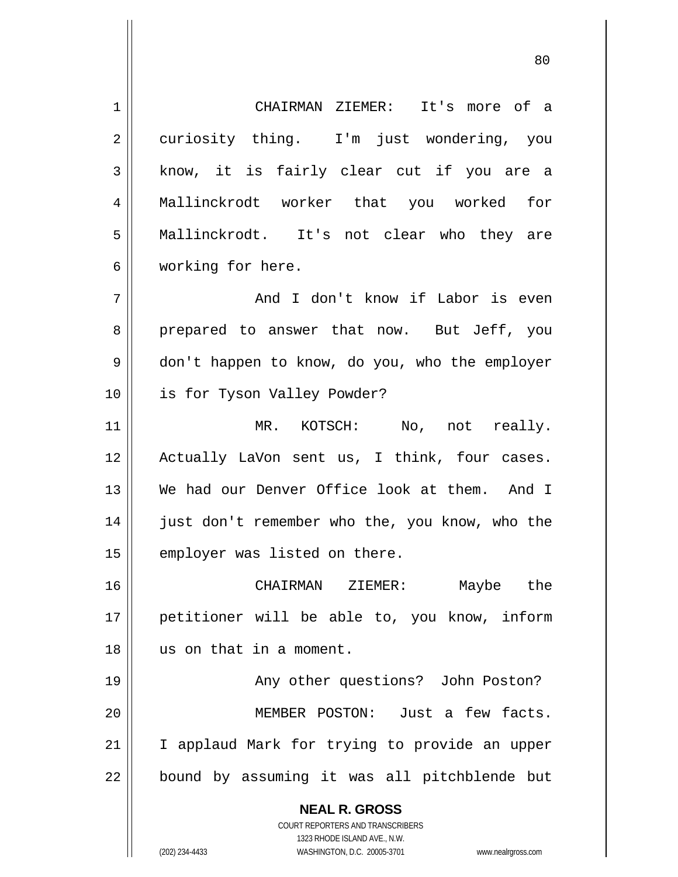**NEAL R. GROSS** COURT REPORTERS AND TRANSCRIBERS 1 2 3 4 5 6 7 8 9 10 11 12 13 14 15 16 17 18 19 20 21 22 CHAIRMAN ZIEMER: It's more of a curiosity thing. I'm just wondering, you know, it is fairly clear cut if you are a Mallinckrodt worker that you worked for Mallinckrodt. It's not clear who they are working for here. And I don't know if Labor is even prepared to answer that now. But Jeff, you don't happen to know, do you, who the employer is for Tyson Valley Powder? MR. KOTSCH: No, not really. Actually LaVon sent us, I think, four cases. We had our Denver Office look at them. And I just don't remember who the, you know, who the employer was listed on there. CHAIRMAN ZIEMER: Maybe the petitioner will be able to, you know, inform us on that in a moment. Any other questions? John Poston? MEMBER POSTON: Just a few facts. I applaud Mark for trying to provide an upper bound by assuming it was all pitchblende but

en and the state of the state of the state of the state of the state of the state of the state of the state of

1323 RHODE ISLAND AVE., N.W.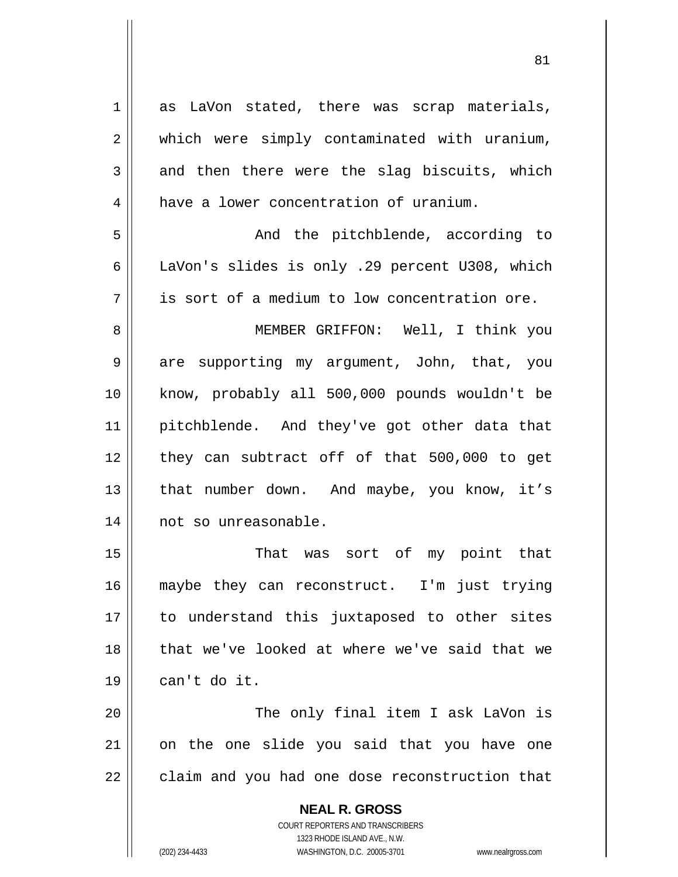**NEAL R. GROSS** COURT REPORTERS AND TRANSCRIBERS 1323 RHODE ISLAND AVE., N.W. 1 2 3 4 5 6 7 8 9 10 11 12 13 14 15 16 17 18 19 20 21 22 as LaVon stated, there was scrap materials, which were simply contaminated with uranium, and then there were the slag biscuits, which have a lower concentration of uranium. And the pitchblende, according to LaVon's slides is only .29 percent U308, which is sort of a medium to low concentration ore. MEMBER GRIFFON: Well, I think you are supporting my argument, John, that, you know, probably all 500,000 pounds wouldn't be pitchblende. And they've got other data that they can subtract off of that 500,000 to get that number down. And maybe, you know, it's not so unreasonable. That was sort of my point that maybe they can reconstruct. I'm just trying to understand this juxtaposed to other sites that we've looked at where we've said that we can't do it. The only final item I ask LaVon is on the one slide you said that you have one claim and you had one dose reconstruction that

81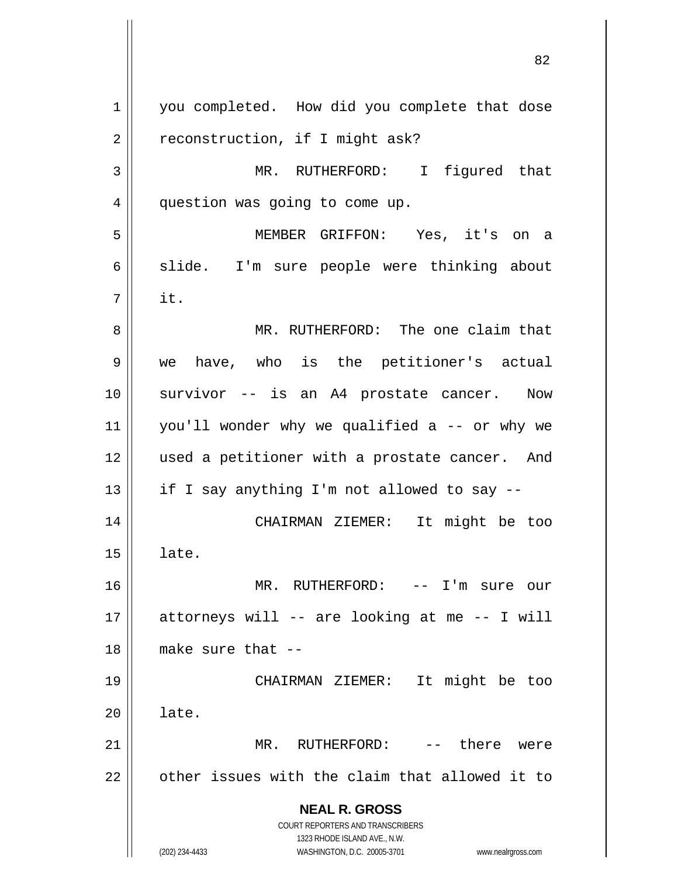**NEAL R. GROSS** COURT REPORTERS AND TRANSCRIBERS 1323 RHODE ISLAND AVE., N.W. (202) 234-4433 WASHINGTON, D.C. 20005-3701 www.nealrgross.com 1 2 3 4 5 6 7 8 9 10 11 12 13 14 15 16 17 18 19 20 21 22 you completed. How did you complete that dose reconstruction, if I might ask? MR. RUTHERFORD: I figured that question was going to come up. MEMBER GRIFFON: Yes, it's on a slide. I'm sure people were thinking about it. MR. RUTHERFORD: The one claim that we have, who is the petitioner's actual survivor -- is an A4 prostate cancer. Now you'll wonder why we qualified a -- or why we used a petitioner with a prostate cancer. And if I say anything I'm not allowed to say -- CHAIRMAN ZIEMER: It might be too late. MR. RUTHERFORD: -- I'm sure our attorneys will -- are looking at me -- I will make sure that -- CHAIRMAN ZIEMER: It might be too late. MR. RUTHERFORD: -- there were other issues with the claim that allowed it to

<u>82</u>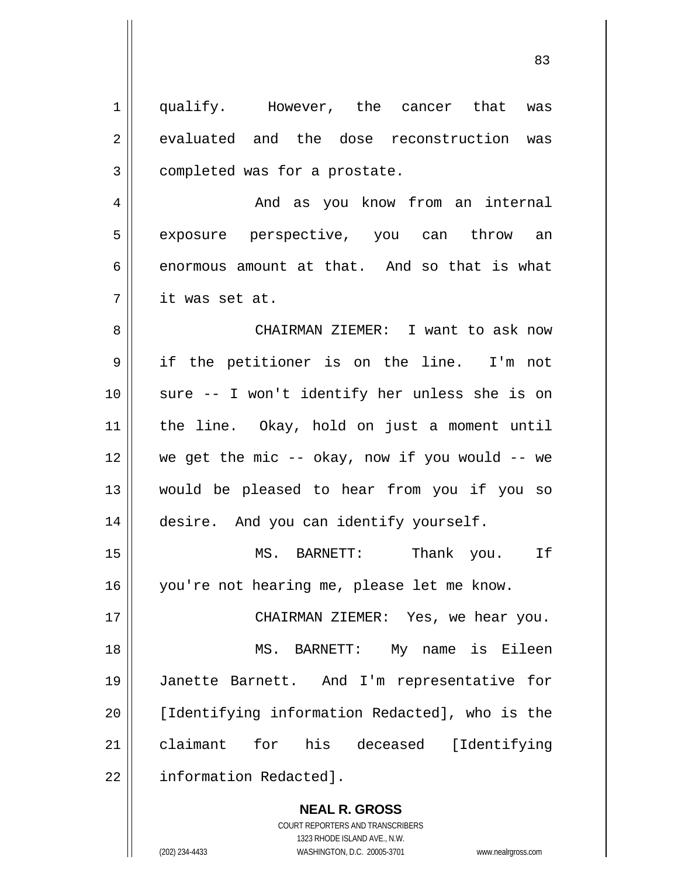| $\mathbf 1$    | qualify. However, the cancer that was                |
|----------------|------------------------------------------------------|
| $\overline{2}$ | evaluated and the dose reconstruction was            |
| 3              | completed was for a prostate.                        |
| 4              | And as you know from an internal                     |
| 5              | exposure perspective, you can throw an               |
| 6              | enormous amount at that. And so that is what         |
| 7              | it was set at.                                       |
| 8              | CHAIRMAN ZIEMER: I want to ask now                   |
| 9              | if the petitioner is on the line. I'm not            |
| 10             | sure -- I won't identify her unless she is on        |
| 11             | the line. Okay, hold on just a moment until          |
| 12             | we get the mic $-$ - okay, now if you would $-$ - we |
| 13             | would be pleased to hear from you if you so          |
| 14             | desire. And you can identify yourself.               |
| 15             | Thank you. If<br>MS. BARNETT:                        |
| 16             | you're not hearing me, please let me know.           |
| 17             | CHAIRMAN ZIEMER: Yes, we hear you.                   |
| 18             | MS. BARNETT: My name is Eileen                       |
| 19             | Janette Barnett. And I'm representative<br>for       |
| 20             | [Identifying information Redacted], who is the       |
| 21             | claimant for his deceased [Identifying               |
| 22             | information Redacted].                               |

**NEAL R. GROSS** COURT REPORTERS AND TRANSCRIBERS 1323 RHODE ISLAND AVE., N.W. (202) 234-4433 WASHINGTON, D.C. 20005-3701 www.nealrgross.com

 $\mathsf{II}$ 

<u>83</u>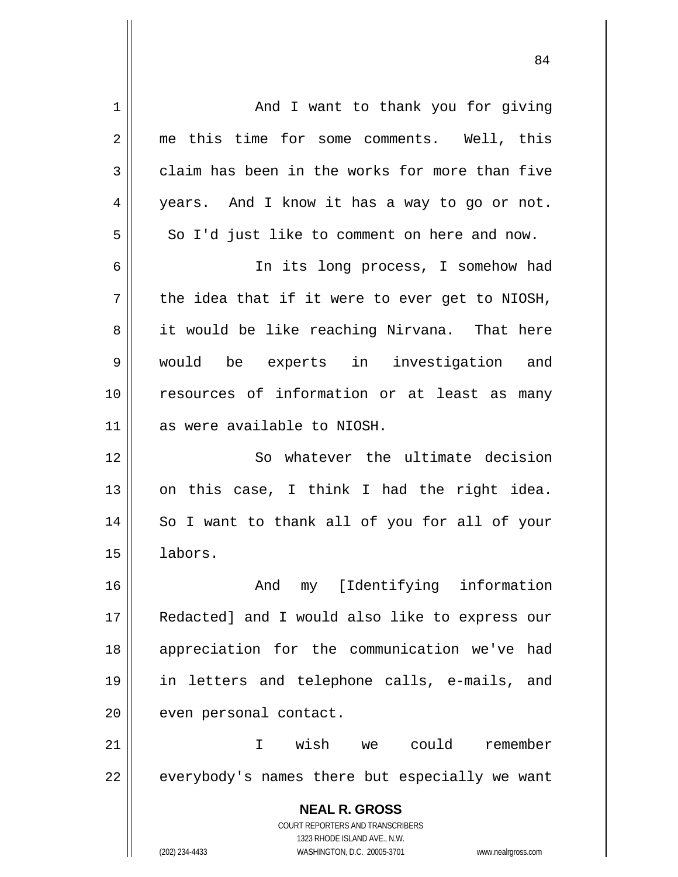**NEAL R. GROSS** COURT REPORTERS AND TRANSCRIBERS 1323 RHODE ISLAND AVE., N.W. (202) 234-4433 WASHINGTON, D.C. 20005-3701 www.nealrgross.com 1 2 3 4 5 6 7 8 9 10 11 12 13 14 15 16 17 18 19 20 21 22 And I want to thank you for giving me this time for some comments. Well, this claim has been in the works for more than five years. And I know it has a way to go or not. So I'd just like to comment on here and now. In its long process, I somehow had the idea that if it were to ever get to NIOSH, it would be like reaching Nirvana. That here would be experts in investigation and resources of information or at least as many as were available to NIOSH. So whatever the ultimate decision on this case, I think I had the right idea. So I want to thank all of you for all of your labors. And my [Identifying information Redacted] and I would also like to express our appreciation for the communication we've had in letters and telephone calls, e-mails, and even personal contact. I wish we could remember everybody's names there but especially we want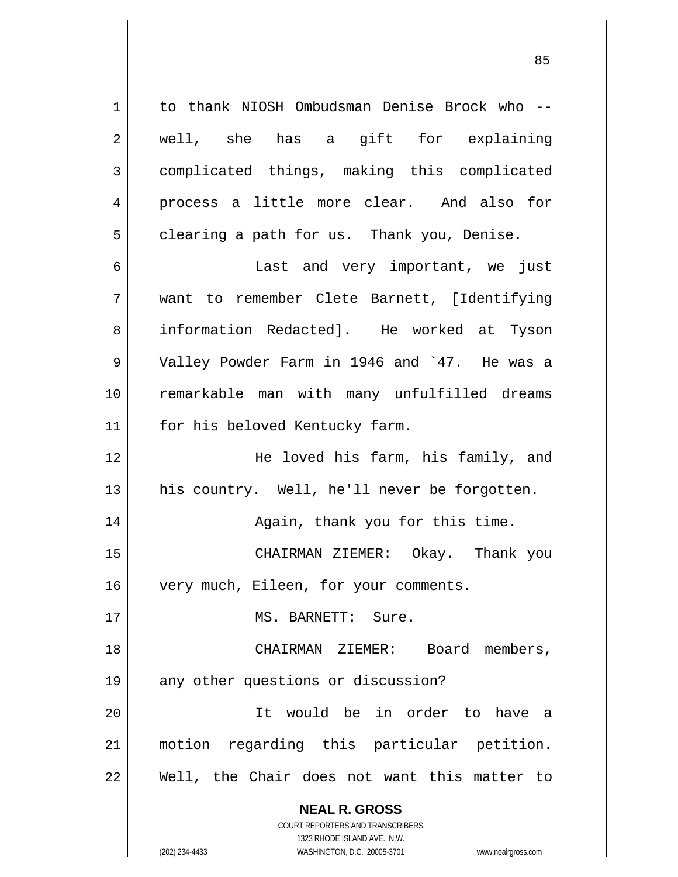**NEAL R. GROSS** COURT REPORTERS AND TRANSCRIBERS 1 2 3 4 5 6 7 8 9 10 11 12 13 14 15 16 17 18 19 20 21 22 to thank NIOSH Ombudsman Denise Brock who - well, she has a gift for explaining complicated things, making this complicated process a little more clear. And also for clearing a path for us. Thank you, Denise. Last and very important, we just want to remember Clete Barnett, [Identifying information Redacted]. He worked at Tyson Valley Powder Farm in 1946 and `47. He was a remarkable man with many unfulfilled dreams for his beloved Kentucky farm. He loved his farm, his family, and his country. Well, he'll never be forgotten. Again, thank you for this time. CHAIRMAN ZIEMER: Okay. Thank you very much, Eileen, for your comments. MS. BARNETT: Sure. CHAIRMAN ZIEMER: Board members, any other questions or discussion? It would be in order to have a motion regarding this particular petition. Well, the Chair does not want this matter to

<u>85 and 2001 and 2001 and 2001 and 2001 and 2001 and 2001 and 2001 and 2001 and 2001 and 2001 and 2001 and 200</u>

1323 RHODE ISLAND AVE., N.W.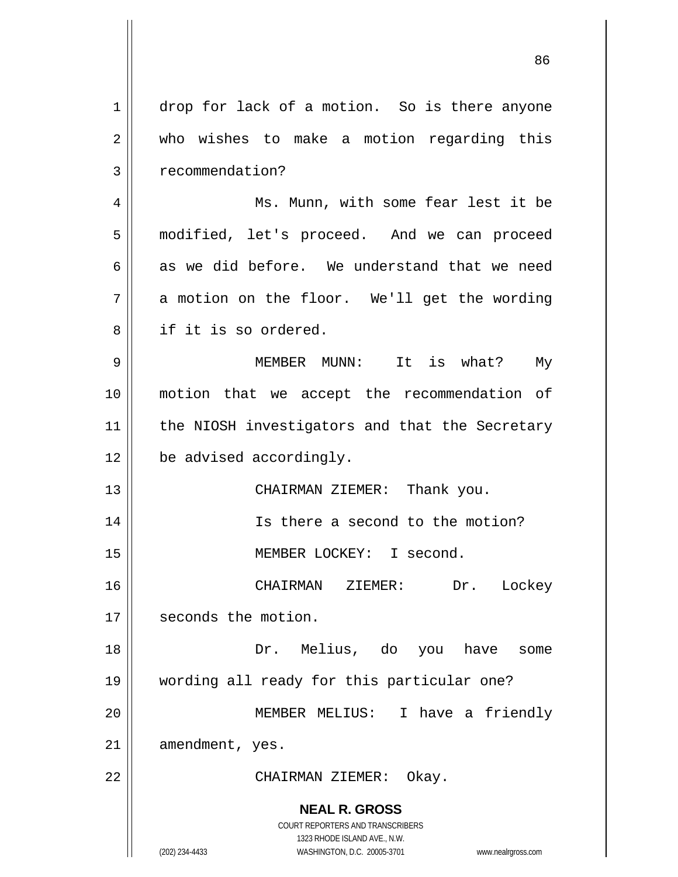| 1  | drop for lack of a motion. So is there anyone                                                       |  |
|----|-----------------------------------------------------------------------------------------------------|--|
| 2  | who wishes to make a motion regarding this                                                          |  |
| 3  | recommendation?                                                                                     |  |
| 4  | Ms. Munn, with some fear lest it be                                                                 |  |
| 5  | modified, let's proceed. And we can proceed                                                         |  |
| 6  | as we did before. We understand that we need                                                        |  |
| 7  | a motion on the floor. We'll get the wording                                                        |  |
| 8  | if it is so ordered.                                                                                |  |
| 9  | MEMBER MUNN: It is what? My                                                                         |  |
| 10 | motion that we accept the recommendation of                                                         |  |
| 11 | the NIOSH investigators and that the Secretary                                                      |  |
| 12 | be advised accordingly.                                                                             |  |
| 13 | CHAIRMAN ZIEMER: Thank you.                                                                         |  |
| 14 | Is there a second to the motion?                                                                    |  |
| 15 | MEMBER LOCKEY: I second.                                                                            |  |
| 16 | CHAIRMAN ZIEMER:<br>Dr. Lockey                                                                      |  |
| 17 | seconds the motion.                                                                                 |  |
| 18 | Dr. Melius, do you have<br>some                                                                     |  |
| 19 | wording all ready for this particular one?                                                          |  |
| 20 | MEMBER MELIUS: I have a friendly                                                                    |  |
| 21 | amendment, yes.                                                                                     |  |
| 22 | CHAIRMAN ZIEMER: Okay.                                                                              |  |
|    | <b>NEAL R. GROSS</b>                                                                                |  |
|    | <b>COURT REPORTERS AND TRANSCRIBERS</b>                                                             |  |
|    | 1323 RHODE ISLAND AVE., N.W.<br>(202) 234-4433<br>WASHINGTON, D.C. 20005-3701<br>www.nealrgross.com |  |

 $\begin{array}{c} \hline \end{array}$ 

 $\mathsf{II}$ 

<u>86 and 2001 and 2002 and 2003 and 2003 and 2003 and 2003 and 2003 and 2003 and 2003 and 2003 and 2003 and 200</u>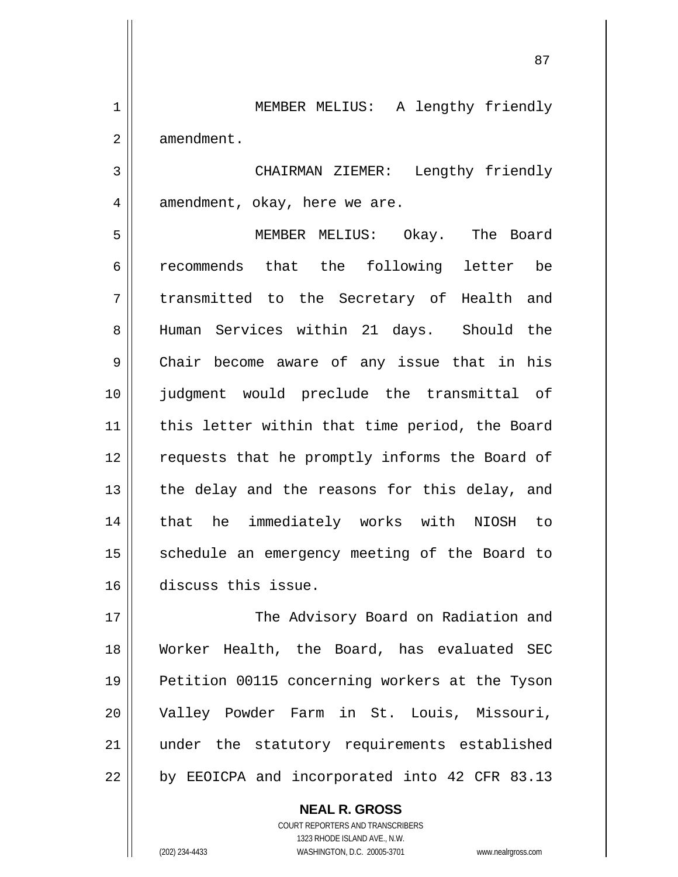MEMBER MELIUS: A lengthy friendly amendment.

 CHAIRMAN ZIEMER: Lengthy friendly amendment, okay, here we are.

5 6 7 8 9 10 11 12 13 14 15 16 MEMBER MELIUS: Okay. The Board recommends that the following letter be transmitted to the Secretary of Health and Human Services within 21 days. Should the Chair become aware of any issue that in his judgment would preclude the transmittal of this letter within that time period, the Board requests that he promptly informs the Board of the delay and the reasons for this delay, and that he immediately works with NIOSH to schedule an emergency meeting of the Board to discuss this issue.

17 18 19 20 21 22 The Advisory Board on Radiation and Worker Health, the Board, has evaluated SEC Petition 00115 concerning workers at the Tyson Valley Powder Farm in St. Louis, Missouri, under the statutory requirements established by EEOICPA and incorporated into 42 CFR 83.13

> COURT REPORTERS AND TRANSCRIBERS 1323 RHODE ISLAND AVE., N.W. (202) 234-4433 WASHINGTON, D.C. 20005-3701 www.nealrgross.com

**NEAL R. GROSS**

1

2

3

4

<u>87 and 2014 and 2014 and 2014 and 2014 and 2014 and 2014 and 2014 and 2014 and 2014 and 2014 and 2014 and 201</u>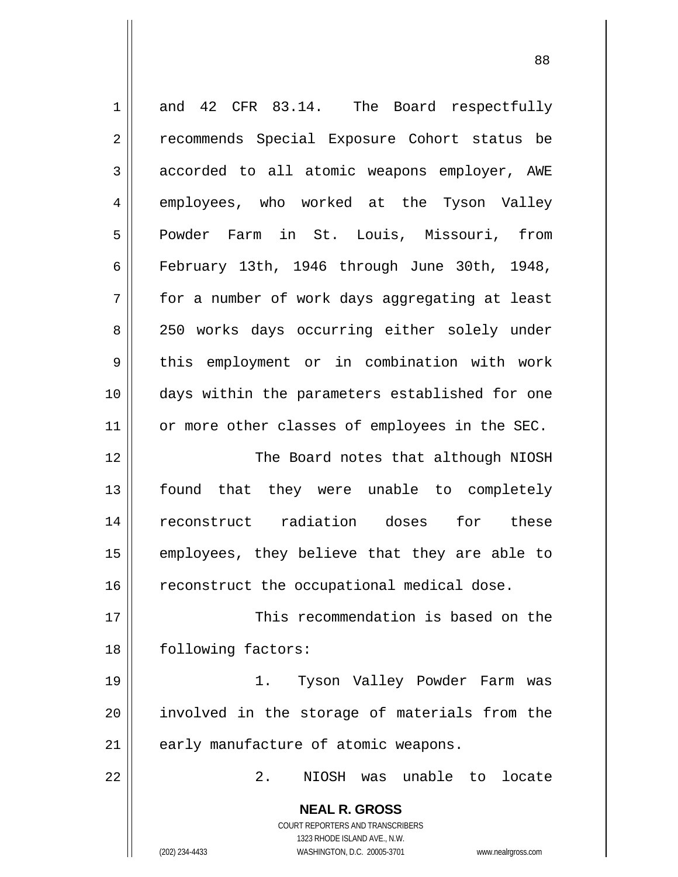| $\mathbf 1$ | and 42 CFR 83.14. The Board respectfully                            |
|-------------|---------------------------------------------------------------------|
| 2           | recommends Special Exposure Cohort status be                        |
| 3           | accorded to all atomic weapons employer, AWE                        |
| 4           | employees, who worked at the Tyson Valley                           |
| 5           | Powder Farm in St. Louis, Missouri, from                            |
| 6           | February 13th, 1946 through June 30th, 1948,                        |
| 7           | for a number of work days aggregating at least                      |
| 8           | 250 works days occurring either solely under                        |
| 9           | this employment or in combination with work                         |
| 10          | days within the parameters established for one                      |
| 11          | or more other classes of employees in the SEC.                      |
| 12          | The Board notes that although NIOSH                                 |
| 13          | found that they were unable to completely                           |
| 14          | reconstruct radiation doses<br>for these                            |
| 15          | employees, they believe that they are able to                       |
| 16          | reconstruct the occupational medical dose.                          |
| 17          | This recommendation is based on the                                 |
| 18          | following factors:                                                  |
| 19          | Tyson Valley Powder Farm was<br>1.                                  |
| 20          | involved in the storage of materials from the                       |
| 21          | early manufacture of atomic weapons.                                |
| 22          | 2.<br>NIOSH was unable to locate                                    |
|             | <b>NEAL R. GROSS</b>                                                |
|             | <b>COURT REPORTERS AND TRANSCRIBERS</b>                             |
|             | 1323 RHODE ISLAND AVE., N.W.                                        |
|             | (202) 234-4433<br>WASHINGTON, D.C. 20005-3701<br>www.nealrgross.com |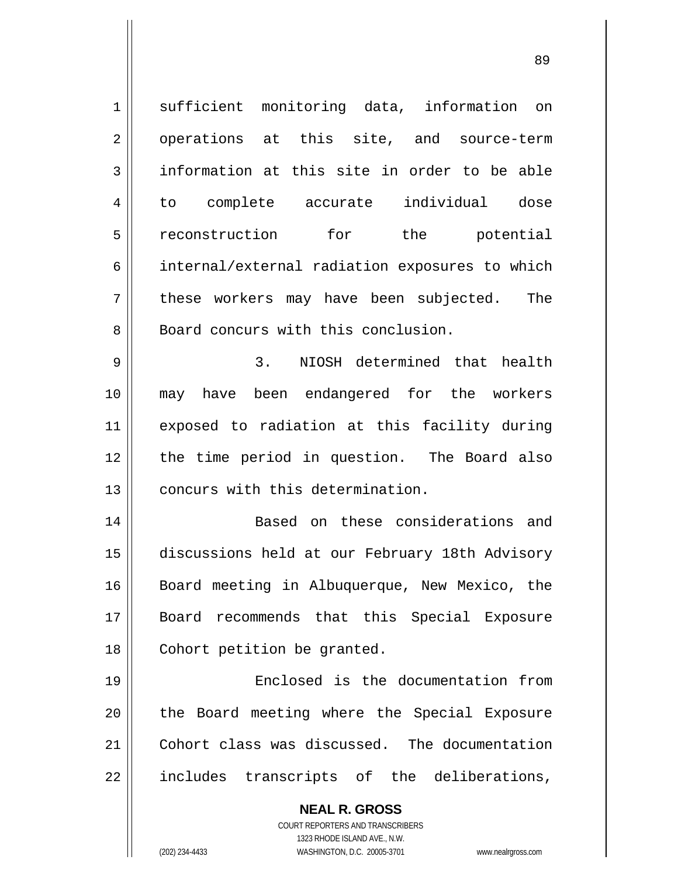| 1  | sufficient monitoring data, information on               |
|----|----------------------------------------------------------|
| 2  | operations at this site, and source-term                 |
| 3  | information at this site in order to be able             |
| 4  | to complete accurate individual<br>dose                  |
| 5  | reconstruction for the potential                         |
| 6  | internal/external radiation exposures to which           |
| 7  | these workers may have been subjected. The               |
| 8  | Board concurs with this conclusion.                      |
| 9  | 3. NIOSH determined that health                          |
| 10 | may have been endangered for the workers                 |
| 11 | exposed to radiation at this facility during             |
| 12 | the time period in question. The Board also              |
| 13 | concurs with this determination.                         |
| 14 | Based on these considerations and                        |
| 15 | discussions held at our February 18th Advisory           |
| 16 | Board meeting in Albuquerque, New Mexico, the            |
| 17 | Board recommends that this Special Exposure              |
| 18 | Cohort petition be granted.                              |
| 19 | Enclosed is the documentation from                       |
| 20 | the Board meeting where the Special Exposure             |
| 21 | Cohort class was discussed. The documentation            |
| 22 | includes transcripts of the deliberations,               |
|    | <b>NEAL R. GROSS</b><br>COURT REPORTERS AND TRANSCRIBERS |

1323 RHODE ISLAND AVE., N.W.

 $\prod$ 

(202) 234-4433 WASHINGTON, D.C. 20005-3701 www.nealrgross.com

<u>89 and 2001 and 2002 and 2003 and 2003 and 2004 and 2004 and 2004 and 2004 and 2004 and 2004 and 2004 and 200</u>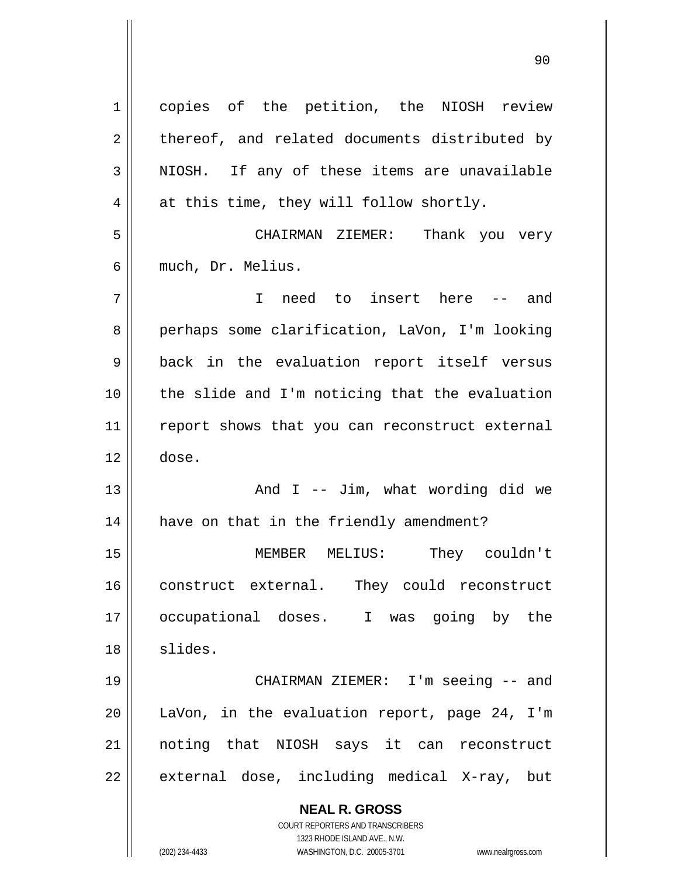| $\mathbf 1$    | copies of the petition, the NIOSH review                            |  |
|----------------|---------------------------------------------------------------------|--|
| $\overline{2}$ | thereof, and related documents distributed by                       |  |
| $\mathfrak{Z}$ | NIOSH. If any of these items are unavailable                        |  |
| 4              | at this time, they will follow shortly.                             |  |
| 5              | CHAIRMAN ZIEMER: Thank you very                                     |  |
| 6              | much, Dr. Melius.                                                   |  |
| 7              | I need to insert here -- and                                        |  |
| 8              | perhaps some clarification, LaVon, I'm looking                      |  |
| 9              | back in the evaluation report itself versus                         |  |
| 10             | the slide and I'm noticing that the evaluation                      |  |
| 11             | report shows that you can reconstruct external                      |  |
| 12             | dose.                                                               |  |
| 13             | And $I$ -- Jim, what wording did we                                 |  |
| 14             | have on that in the friendly amendment?                             |  |
| 15             | MEMBER MELIUS: They couldn't                                        |  |
| 16             | construct external. They could reconstruct                          |  |
| 17             | occupational doses. I was going by the                              |  |
| 18             | slides.                                                             |  |
| 19             | CHAIRMAN ZIEMER: I'm seeing -- and                                  |  |
| 20             | LaVon, in the evaluation report, page 24, I'm                       |  |
| 21             | noting that NIOSH says it can reconstruct                           |  |
| 22             | external dose, including medical X-ray, but                         |  |
|                | <b>NEAL R. GROSS</b>                                                |  |
|                | <b>COURT REPORTERS AND TRANSCRIBERS</b>                             |  |
|                | 1323 RHODE ISLAND AVE., N.W.                                        |  |
|                | (202) 234-4433<br>WASHINGTON, D.C. 20005-3701<br>www.nealrgross.com |  |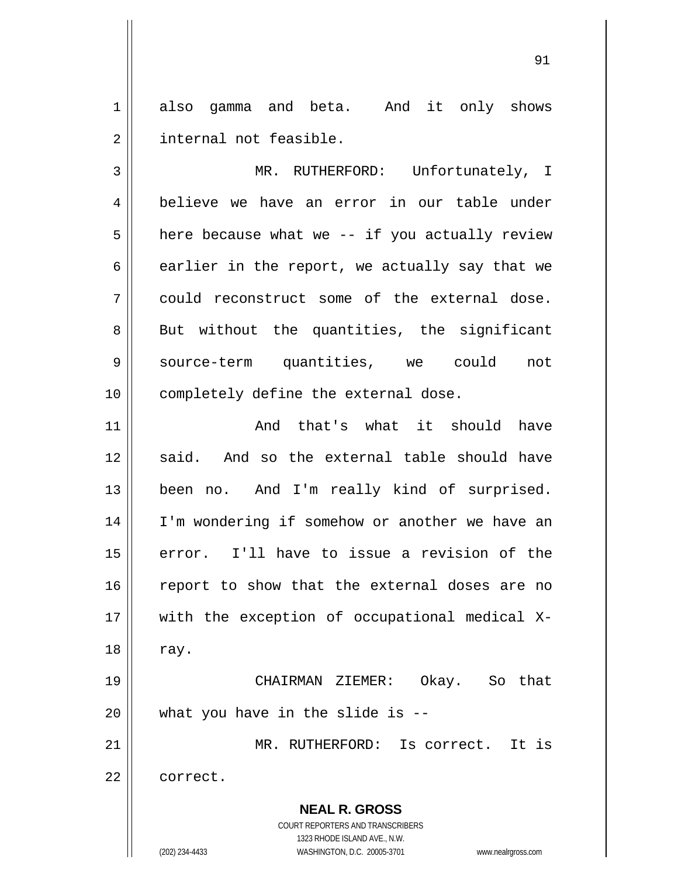1 2 also gamma and beta. And it only shows internal not feasible.

<u>91</u>

3 4 5 6 7 8 9 10 MR. RUTHERFORD: Unfortunately, I believe we have an error in our table under here because what we -- if you actually review earlier in the report, we actually say that we could reconstruct some of the external dose. But without the quantities, the significant source-term quantities, we could not completely define the external dose.

11 12 13 14 15 16 17 18 19 And that's what it should have said. And so the external table should have been no. And I'm really kind of surprised. I'm wondering if somehow or another we have an error. I'll have to issue a revision of the report to show that the external doses are no with the exception of occupational medical Xray.

 CHAIRMAN ZIEMER: Okay. So that what you have in the slide is --

MR. RUTHERFORD: Is correct. It is

22 correct.

20

21

**NEAL R. GROSS** COURT REPORTERS AND TRANSCRIBERS

1323 RHODE ISLAND AVE., N.W.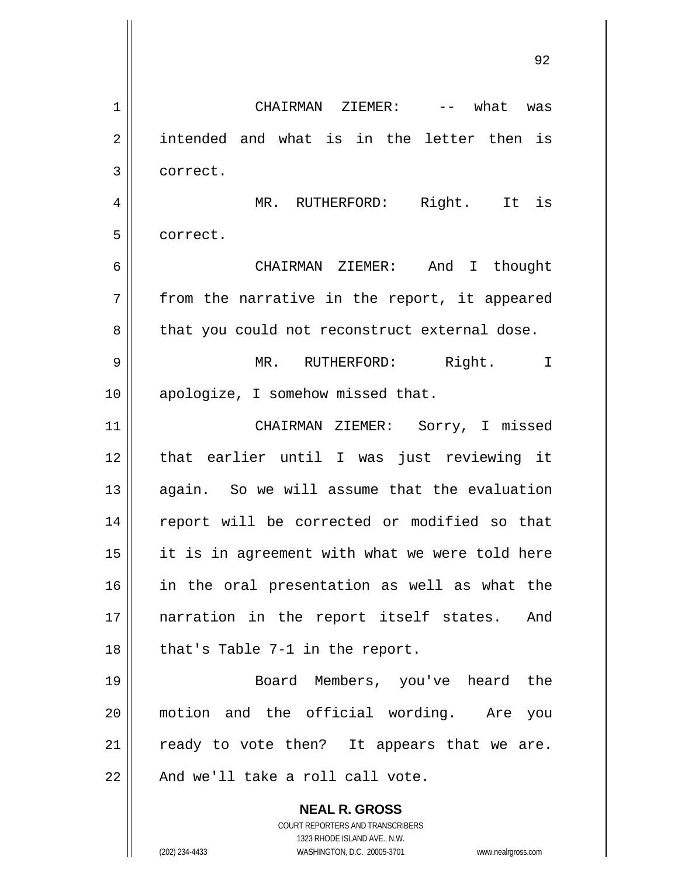**NEAL R. GROSS** COURT REPORTERS AND TRANSCRIBERS 1323 RHODE ISLAND AVE., N.W. 1 2 3 4 5 6 7 8 9 10 11 12 13 14 15 16 17 18 19 20 21 22 CHAIRMAN ZIEMER: -- what was intended and what is in the letter then is correct. MR. RUTHERFORD: Right. It is correct. CHAIRMAN ZIEMER: And I thought from the narrative in the report, it appeared that you could not reconstruct external dose. MR. RUTHERFORD: Right. I apologize, I somehow missed that. CHAIRMAN ZIEMER: Sorry, I missed that earlier until I was just reviewing it again. So we will assume that the evaluation report will be corrected or modified so that it is in agreement with what we were told here in the oral presentation as well as what the narration in the report itself states. And that's Table 7-1 in the report. Board Members, you've heard the motion and the official wording. Are you ready to vote then? It appears that we are. And we'll take a roll call vote.

<u>92 and 2014 and 2014 and 2014 and 2014 and 2014 and 2014 and 2014 and 2014 and 2014 and 2014 and 2014 and 201</u>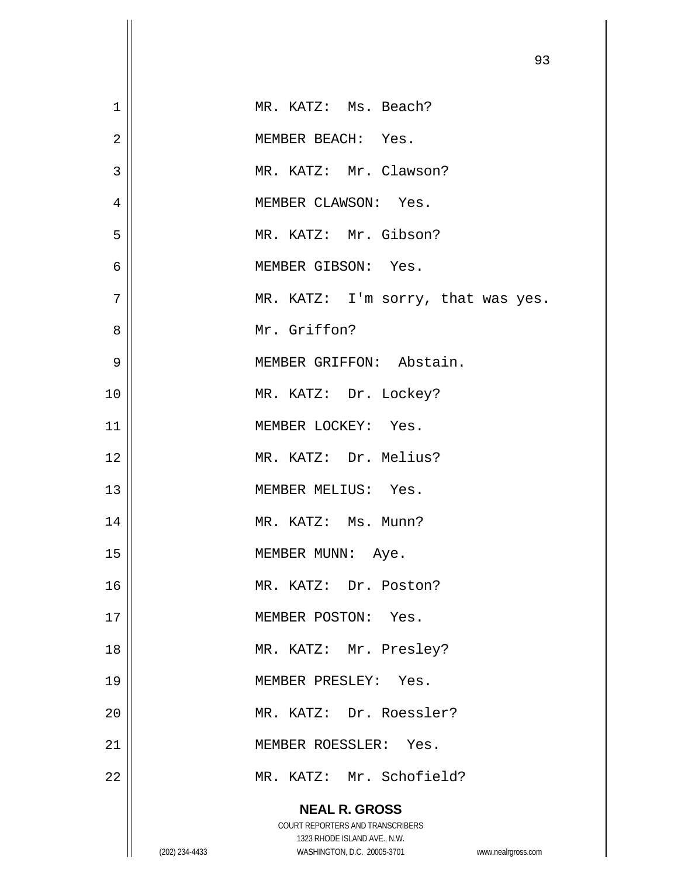|                |                |                                                             | 93                 |
|----------------|----------------|-------------------------------------------------------------|--------------------|
| $\mathbf 1$    |                | MR. KATZ: Ms. Beach?                                        |                    |
| $\overline{2}$ |                | MEMBER BEACH: Yes.                                          |                    |
| 3              |                | MR. KATZ: Mr. Clawson?                                      |                    |
| 4              |                | MEMBER CLAWSON: Yes.                                        |                    |
| 5              |                | MR. KATZ: Mr. Gibson?                                       |                    |
| 6              |                | MEMBER GIBSON: Yes.                                         |                    |
| 7              |                | MR. KATZ: I'm sorry, that was yes.                          |                    |
| 8              |                | Mr. Griffon?                                                |                    |
| 9              |                | MEMBER GRIFFON: Abstain.                                    |                    |
| 10             |                | MR. KATZ: Dr. Lockey?                                       |                    |
| 11             |                | MEMBER LOCKEY: Yes.                                         |                    |
| 12             |                | MR. KATZ: Dr. Melius?                                       |                    |
| 13             |                | MEMBER MELIUS: Yes.                                         |                    |
| 14             |                | MR. KATZ: Ms. Munn?                                         |                    |
| 15             |                | MEMBER MUNN:<br>Aye.                                        |                    |
| 16             |                | MR. KATZ: Dr. Poston?                                       |                    |
| 17             |                | MEMBER POSTON: Yes.                                         |                    |
| 18             |                | MR. KATZ: Mr. Presley?                                      |                    |
| 19             |                | MEMBER PRESLEY: Yes.                                        |                    |
| 20             |                | MR. KATZ: Dr. Roessler?                                     |                    |
| 21             |                | MEMBER ROESSLER: Yes.                                       |                    |
| 22             |                | MR. KATZ: Mr. Schofield?                                    |                    |
|                |                | <b>NEAL R. GROSS</b>                                        |                    |
|                |                | COURT REPORTERS AND TRANSCRIBERS                            |                    |
|                | (202) 234-4433 | 1323 RHODE ISLAND AVE., N.W.<br>WASHINGTON, D.C. 20005-3701 | www.nealrgross.com |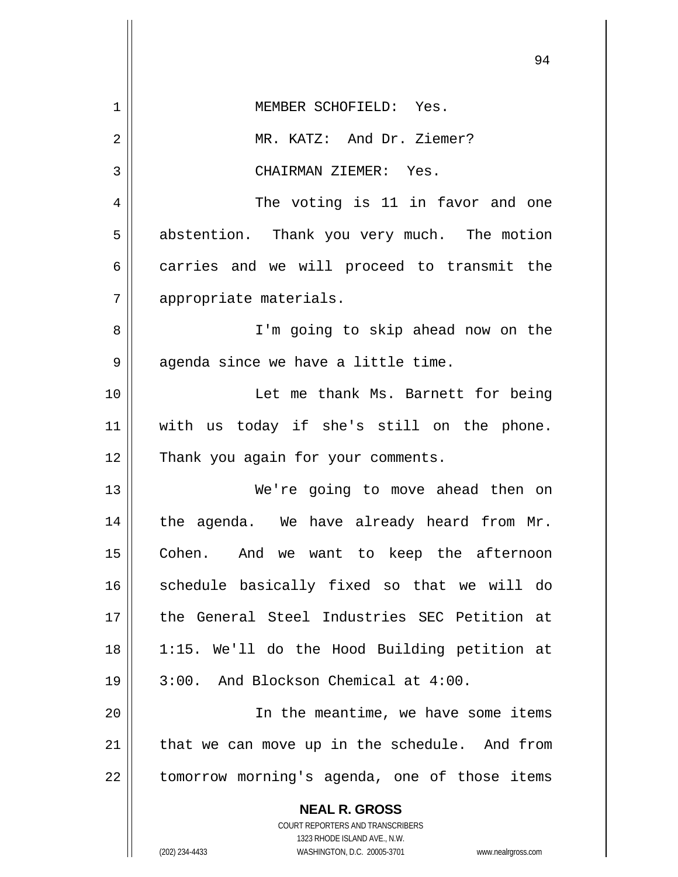|    | 94                                                               |  |
|----|------------------------------------------------------------------|--|
| 1  | MEMBER SCHOFIELD: Yes.                                           |  |
| 2  | MR. KATZ: And Dr. Ziemer?                                        |  |
| 3  | CHAIRMAN ZIEMER: Yes.                                            |  |
| 4  | The voting is 11 in favor and one                                |  |
| 5  | abstention. Thank you very much. The motion                      |  |
| 6  | carries and we will proceed to transmit the                      |  |
| 7  | appropriate materials.                                           |  |
| 8  | I'm going to skip ahead now on the                               |  |
| 9  | agenda since we have a little time.                              |  |
| 10 | Let me thank Ms. Barnett for being                               |  |
| 11 | with us today if she's still on the phone.                       |  |
| 12 | Thank you again for your comments.                               |  |
| 13 | We're going to move ahead then on                                |  |
| 14 | the agenda. We have already heard from Mr.                       |  |
| 15 | Cohen. And we want to keep the afternoon                         |  |
| 16 | schedule basically fixed so that we will do                      |  |
| 17 | the General Steel Industries SEC Petition at                     |  |
| 18 | 1:15. We'll do the Hood Building petition at                     |  |
| 19 | 3:00. And Blockson Chemical at 4:00.                             |  |
| 20 | In the meantime, we have some items                              |  |
| 21 | that we can move up in the schedule. And from                    |  |
| 22 | tomorrow morning's agenda, one of those items                    |  |
|    | <b>NEAL R. GROSS</b>                                             |  |
|    | COURT REPORTERS AND TRANSCRIBERS<br>1323 RHODE ISLAND AVE., N.W. |  |
|    | (202) 234-4433<br>WASHINGTON, D.C. 20005-3701 www.nealrgross.com |  |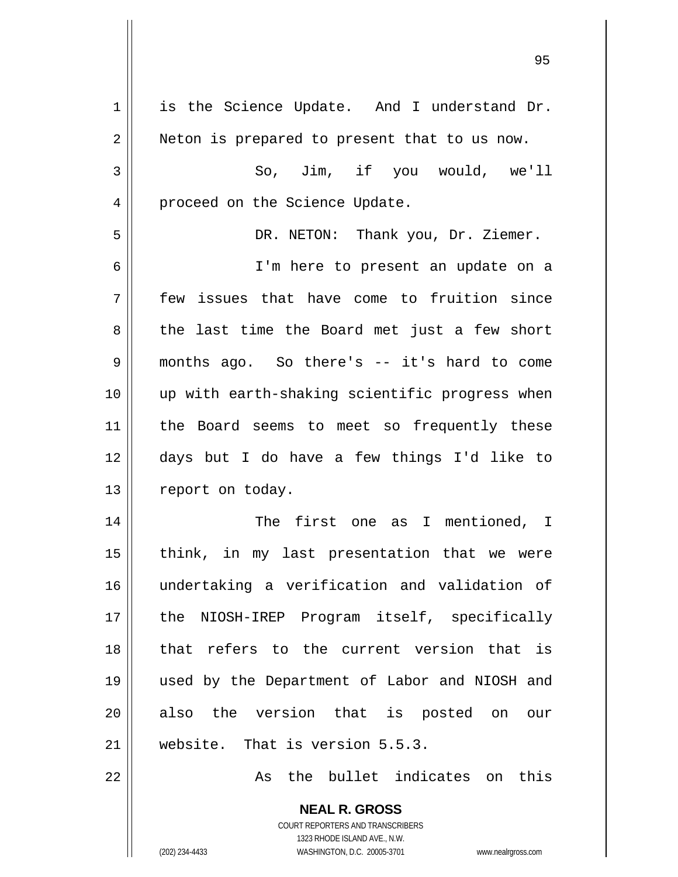| $\mathbf 1$ | is the Science Update. And I understand Dr.    |
|-------------|------------------------------------------------|
| 2           | Neton is prepared to present that to us now.   |
| 3           | So, Jim, if you would, we'll                   |
| 4           | proceed on the Science Update.                 |
| 5           | DR. NETON: Thank you, Dr. Ziemer.              |
| 6           | I'm here to present an update on a             |
| 7           | few issues that have come to fruition since    |
| 8           | the last time the Board met just a few short   |
| 9           | months ago. So there's -- it's hard to come    |
| 10          | up with earth-shaking scientific progress when |
| 11          | the Board seems to meet so frequently these    |
| 12          | days but I do have a few things I'd like to    |
| 13          | report on today.                               |
| 14          | The first one as I mentioned, I                |
| 15          | think, in my last presentation that we were    |
| 16          | undertaking a verification and validation of   |
| 17          | the NIOSH-IREP Program itself, specifically    |
| 18          | that refers to the current version that is     |
| 19          | used by the Department of Labor and NIOSH and  |
| 20          | also the version that is posted on<br>our      |
| 21          | website. That is version 5.5.3.                |
| 22          | the bullet indicates on<br>this<br>As          |

COURT REPORTERS AND TRANSCRIBERS 1323 RHODE ISLAND AVE., N.W. (202) 234-4433 WASHINGTON, D.C. 20005-3701 www.nealrgross.com

**NEAL R. GROSS**

<u>95 and 2001 and 2001 and 2001 and 2001 and 2001 and 2001 and 2001 and 2001 and 2001 and 2001 and 2001 and 200</u>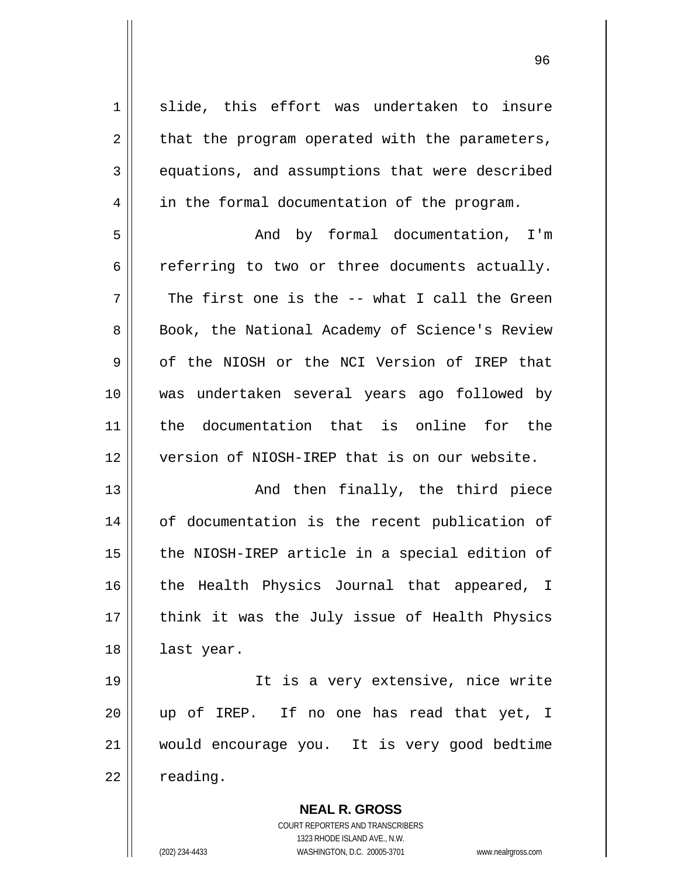1 2 3 4 5 6 7 8 9 10 11 12 13 14 15 16 17 18 19 20 21 22 slide, this effort was undertaken to insure that the program operated with the parameters, equations, and assumptions that were described in the formal documentation of the program. And by formal documentation, I'm referring to two or three documents actually. The first one is the -- what I call the Green Book, the National Academy of Science's Review of the NIOSH or the NCI Version of IREP that was undertaken several years ago followed by the documentation that is online for the version of NIOSH-IREP that is on our website. And then finally, the third piece of documentation is the recent publication of the NIOSH-IREP article in a special edition of the Health Physics Journal that appeared, I think it was the July issue of Health Physics last year. It is a very extensive, nice write up of IREP. If no one has read that yet, I would encourage you. It is very good bedtime reading.

<u>96 - Paul Barbara, poeta e a filozofoar a 196</u>

**NEAL R. GROSS** COURT REPORTERS AND TRANSCRIBERS 1323 RHODE ISLAND AVE., N.W. (202) 234-4433 WASHINGTON, D.C. 20005-3701 www.nealrgross.com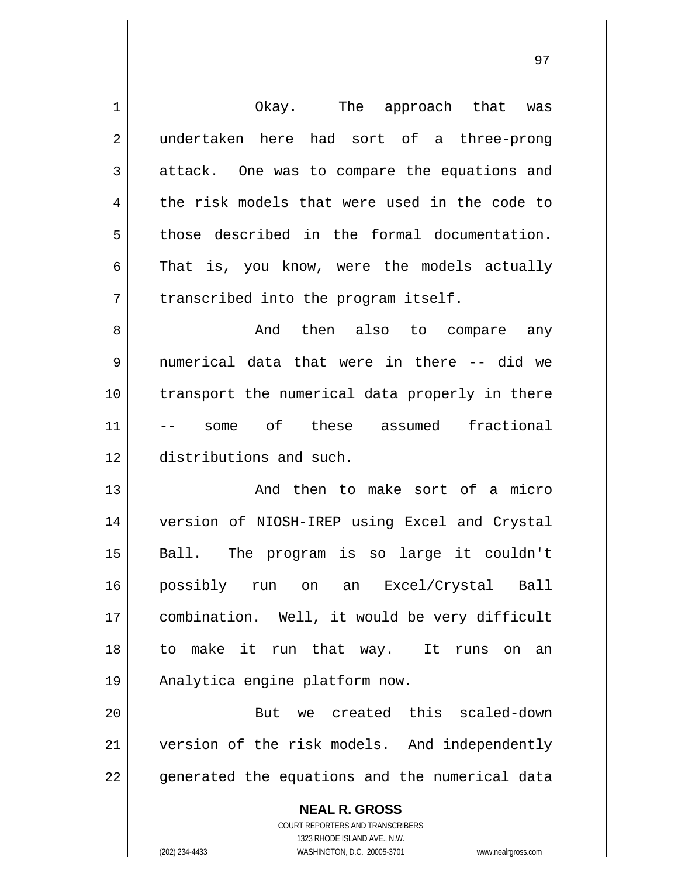| $\mathbf 1$    | Okay. The approach that was                              |
|----------------|----------------------------------------------------------|
| $\overline{2}$ | undertaken here had sort of a three-prong                |
| 3              | attack. One was to compare the equations and             |
| 4              | the risk models that were used in the code to            |
| 5              | those described in the formal documentation.             |
| 6              | That is, you know, were the models actually              |
| 7              | transcribed into the program itself.                     |
| 8              | And then also to compare any                             |
| 9              | numerical data that were in there -- did we              |
| 10             | transport the numerical data properly in there           |
| 11             | some of these assumed<br>fractional                      |
| 12             | distributions and such.                                  |
| 13             | And then to make sort of a micro                         |
| 14             | version of NIOSH-IREP using Excel and Crystal            |
| 15             | Ball. The program is so large it couldn't                |
| 16             | possibly run on an Excel/Crystal Ball                    |
| 17             | combination. Well, it would be very difficult            |
| 18             | to make it run that way. It runs on<br>an                |
| 19             | Analytica engine platform now.                           |
| 20             | we created this scaled-down<br>But                       |
| 21             | version of the risk models. And independently            |
| 22             | generated the equations and the numerical data           |
|                | <b>NEAL R. GROSS</b><br>COURT REPORTERS AND TRANSCRIBERS |

1323 RHODE ISLAND AVE., N.W.

 $\overline{\phantom{a}}$  $\prod_{i=1}^{n}$ 

(202) 234-4433 WASHINGTON, D.C. 20005-3701 www.nealrgross.com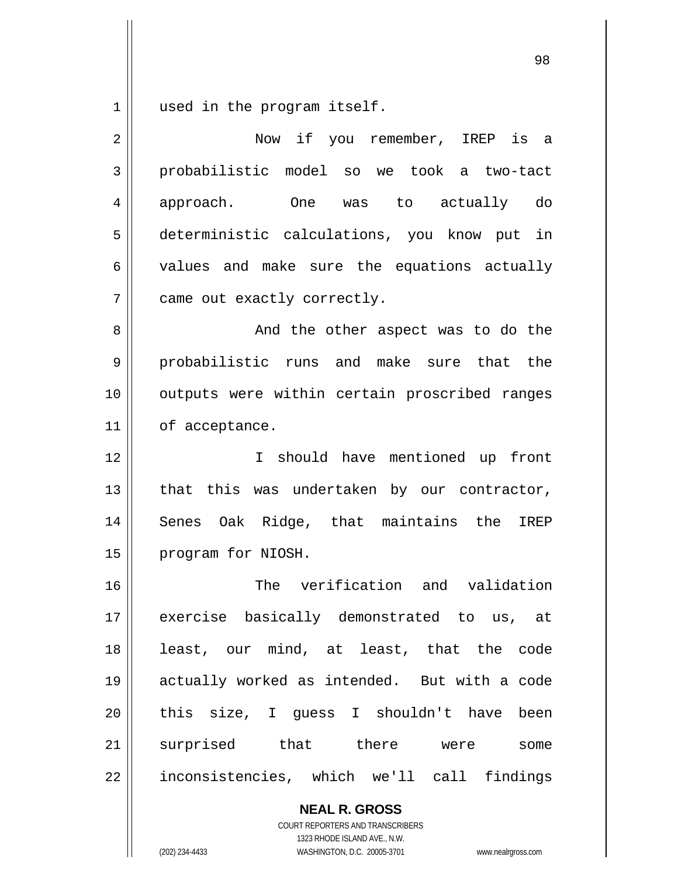1 used in the program itself.

| 2           | Now if you remember, IREP is<br>a             |
|-------------|-----------------------------------------------|
| 3           | probabilistic model so we took a two-tact     |
| 4           | approach.<br>One was to actually do           |
| 5           | deterministic calculations, you know put in   |
| 6           | values and make sure the equations actually   |
| 7           | came out exactly correctly.                   |
| 8           | And the other aspect was to do the            |
| $\mathsf 9$ | probabilistic runs and make sure that the     |
| 10          | outputs were within certain proscribed ranges |
| 11          | of acceptance.                                |
| 12          | should have mentioned up front<br>I.          |
| 13          | that this was undertaken by our contractor,   |
| 14          | Senes Oak Ridge, that maintains the<br>IREP   |
| 15          | program for NIOSH.                            |
| 16          | The verification and validation               |
| 17          | exercise basically demonstrated to us, at     |
| 18          | least, our mind, at least, that the code      |
| 19          | actually worked as intended. But with a code  |
| 20          | this size, I guess I shouldn't have been      |
| 21          | surprised that there were<br>some             |
| 22          | inconsistencies, which we'll call findings    |
|             | <b>NEAL R. GROSS</b>                          |

COURT REPORTERS AND TRANSCRIBERS 1323 RHODE ISLAND AVE., N.W.

(202) 234-4433 WASHINGTON, D.C. 20005-3701 www.nealrgross.com

<u>98 and 200 and 200 and 200 and 200 and 200 and 200 and 200 and 200 and 200 and 200 and 200 and 200 and 200 an</u>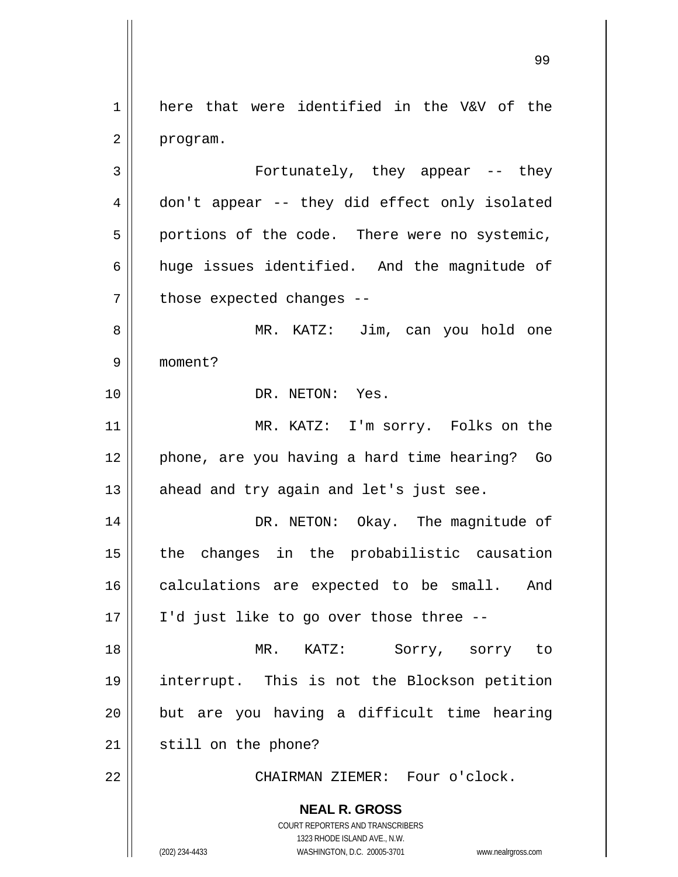1 2 3 4 here that were identified in the V&V of the program. Fortunately, they appear -- they don't appear -- they did effect only isolated

5 6 7 portions of the code. There were no systemic, huge issues identified. And the magnitude of those expected changes --

8 9 MR. KATZ: Jim, can you hold one moment?

DR. NETON: Yes.

11 12 13 MR. KATZ: I'm sorry. Folks on the phone, are you having a hard time hearing? Go ahead and try again and let's just see.

14 15 16 17 DR. NETON: Okay. The magnitude of the changes in the probabilistic causation calculations are expected to be small. And I'd just like to go over those three --

18 19 20 21 MR. KATZ: Sorry, sorry to interrupt. This is not the Blockson petition but are you having a difficult time hearing still on the phone?

CHAIRMAN ZIEMER: Four o'clock.

**NEAL R. GROSS**

10

22

COURT REPORTERS AND TRANSCRIBERS 1323 RHODE ISLAND AVE., N.W. (202) 234-4433 WASHINGTON, D.C. 20005-3701 www.nealrgross.com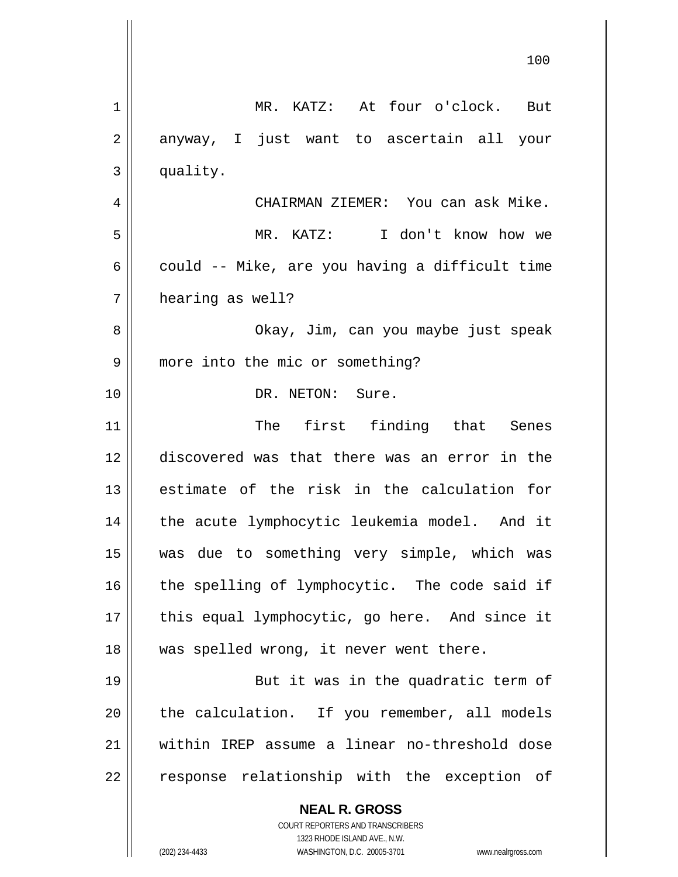**NEAL R. GROSS** COURT REPORTERS AND TRANSCRIBERS 1323 RHODE ISLAND AVE., N.W. 100 1 2 3 4 5 6 7 8 9 10 11 12 13 14 15 16 17 18 19 20 21 22 MR. KATZ: At four o'clock. But anyway, I just want to ascertain all your quality. CHAIRMAN ZIEMER: You can ask Mike. MR. KATZ: I don't know how we could -- Mike, are you having a difficult time hearing as well? Okay, Jim, can you maybe just speak more into the mic or something? DR. NETON: Sure. The first finding that Senes discovered was that there was an error in the estimate of the risk in the calculation for the acute lymphocytic leukemia model. And it was due to something very simple, which was the spelling of lymphocytic. The code said if this equal lymphocytic, go here. And since it was spelled wrong, it never went there. But it was in the quadratic term of the calculation. If you remember, all models within IREP assume a linear no-threshold dose response relationship with the exception of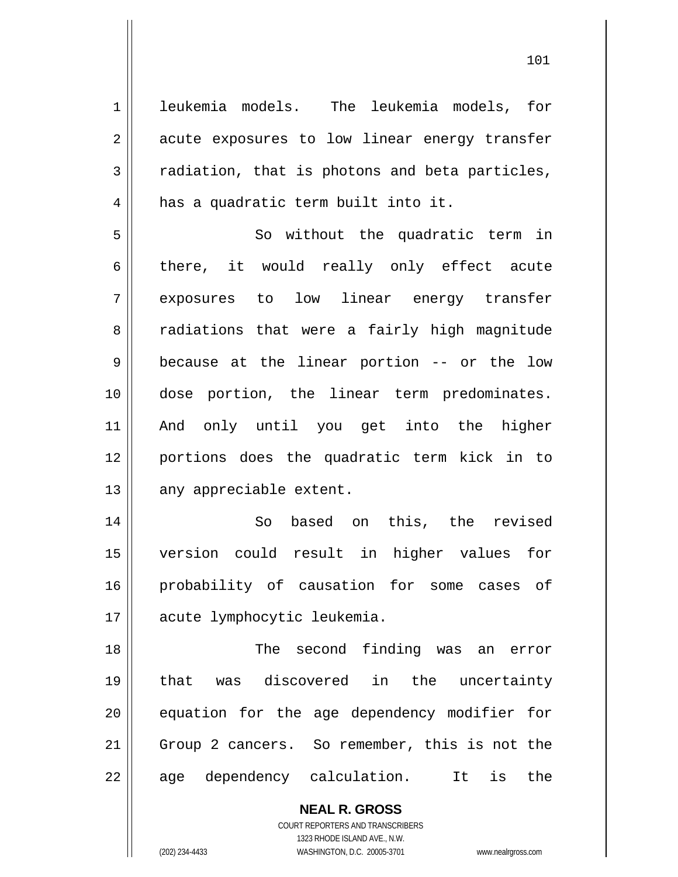**NEAL R. GROSS** 1 2 3 4 5 6 7 8 9 10 11 12 13 14 15 16 17 18 19 20 21 22 leukemia models. The leukemia models, for acute exposures to low linear energy transfer radiation, that is photons and beta particles, has a quadratic term built into it. So without the quadratic term in there, it would really only effect acute exposures to low linear energy transfer radiations that were a fairly high magnitude because at the linear portion -- or the low dose portion, the linear term predominates. And only until you get into the higher portions does the quadratic term kick in to any appreciable extent. So based on this, the revised version could result in higher values for probability of causation for some cases of acute lymphocytic leukemia. The second finding was an error that was discovered in the uncertainty equation for the age dependency modifier for Group 2 cancers. So remember, this is not the age dependency calculation. It is the

> COURT REPORTERS AND TRANSCRIBERS 1323 RHODE ISLAND AVE., N.W.

(202) 234-4433 WASHINGTON, D.C. 20005-3701 www.nealrgross.com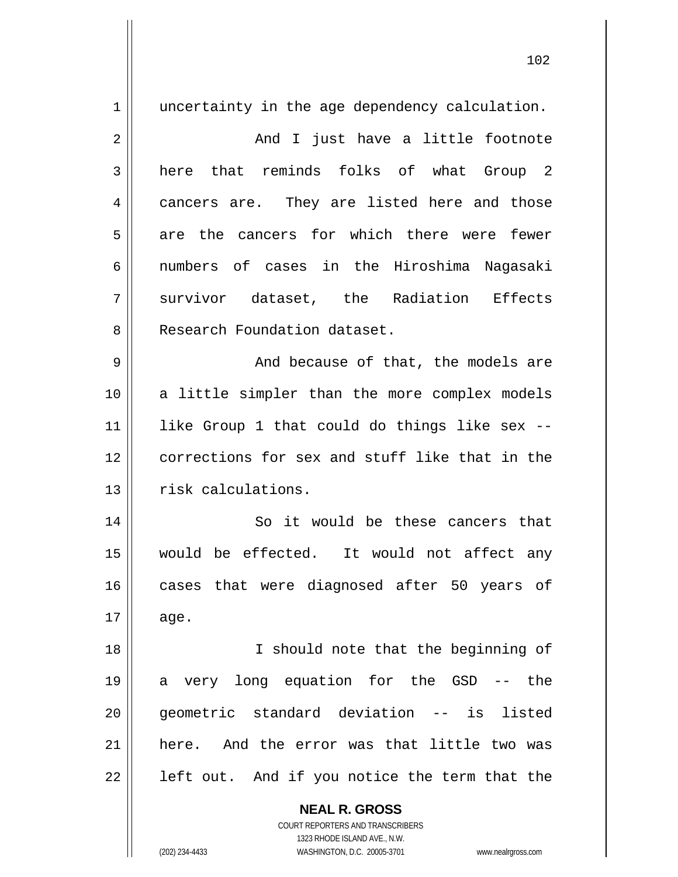**NEAL R. GROSS** COURT REPORTERS AND TRANSCRIBERS 1323 RHODE ISLAND AVE., N.W. 1 2 3 4 5 6 7 8 9 10 11 12 13 14 15 16 17 18 19 20 21 22 uncertainty in the age dependency calculation. And I just have a little footnote here that reminds folks of what Group 2 cancers are. They are listed here and those are the cancers for which there were fewer numbers of cases in the Hiroshima Nagasaki survivor dataset, the Radiation Effects Research Foundation dataset. And because of that, the models are a little simpler than the more complex models like Group 1 that could do things like sex - corrections for sex and stuff like that in the risk calculations. So it would be these cancers that would be effected. It would not affect any cases that were diagnosed after 50 years of age. I should note that the beginning of a very long equation for the GSD -- the geometric standard deviation -- is listed here. And the error was that little two was left out. And if you notice the term that the

(202) 234-4433 WASHINGTON, D.C. 20005-3701 www.nealrgross.com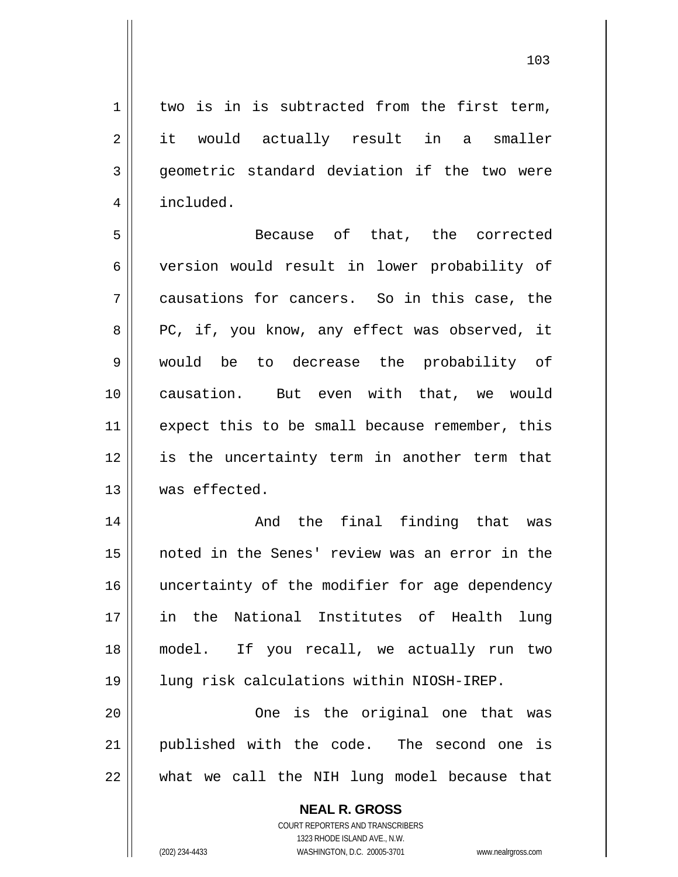1 2 3 4 5 6 7 8 9 10 11 12 two is in is subtracted from the first term, it would actually result in a smaller geometric standard deviation if the two were included. Because of that, the corrected version would result in lower probability of causations for cancers. So in this case, the PC, if, you know, any effect was observed, it would be to decrease the probability of causation. But even with that, we would expect this to be small because remember, this is the uncertainty term in another term that

14 15 16 17 18 19 And the final finding that was noted in the Senes' review was an error in the uncertainty of the modifier for age dependency in the National Institutes of Health lung model. If you recall, we actually run two lung risk calculations within NIOSH-IREP.

20 21 22 One is the original one that was published with the code. The second one is what we call the NIH lung model because that

> **NEAL R. GROSS** COURT REPORTERS AND TRANSCRIBERS 1323 RHODE ISLAND AVE., N.W. (202) 234-4433 WASHINGTON, D.C. 20005-3701 www.nealrgross.com

was effected.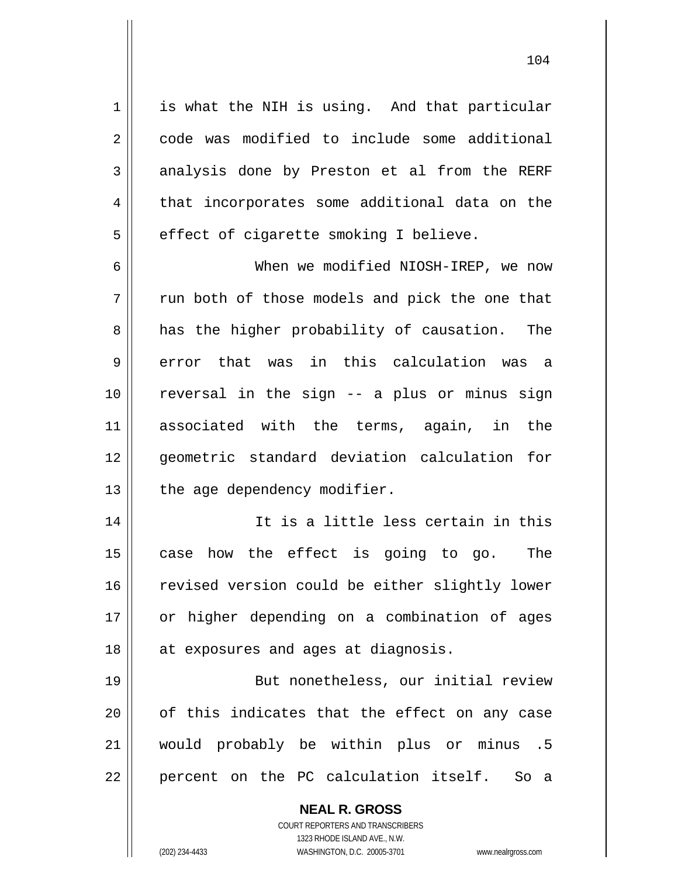is what the NIH is using. And that particular code was modified to include some additional analysis done by Preston et al from the RERF that incorporates some additional data on the effect of cigarette smoking I believe.

6 7 8 9 10 11 12 13 When we modified NIOSH-IREP, we now run both of those models and pick the one that has the higher probability of causation. The error that was in this calculation was a reversal in the sign -- a plus or minus sign associated with the terms, again, in the geometric standard deviation calculation for the age dependency modifier.

14 15 16 17 18 It is a little less certain in this case how the effect is going to go. The revised version could be either slightly lower or higher depending on a combination of ages at exposures and ages at diagnosis.

19 20 21 22 But nonetheless, our initial review of this indicates that the effect on any case would probably be within plus or minus .5 percent on the PC calculation itself. So a

> **NEAL R. GROSS** COURT REPORTERS AND TRANSCRIBERS 1323 RHODE ISLAND AVE., N.W. (202) 234-4433 WASHINGTON, D.C. 20005-3701 www.nealrgross.com

1

2

3

4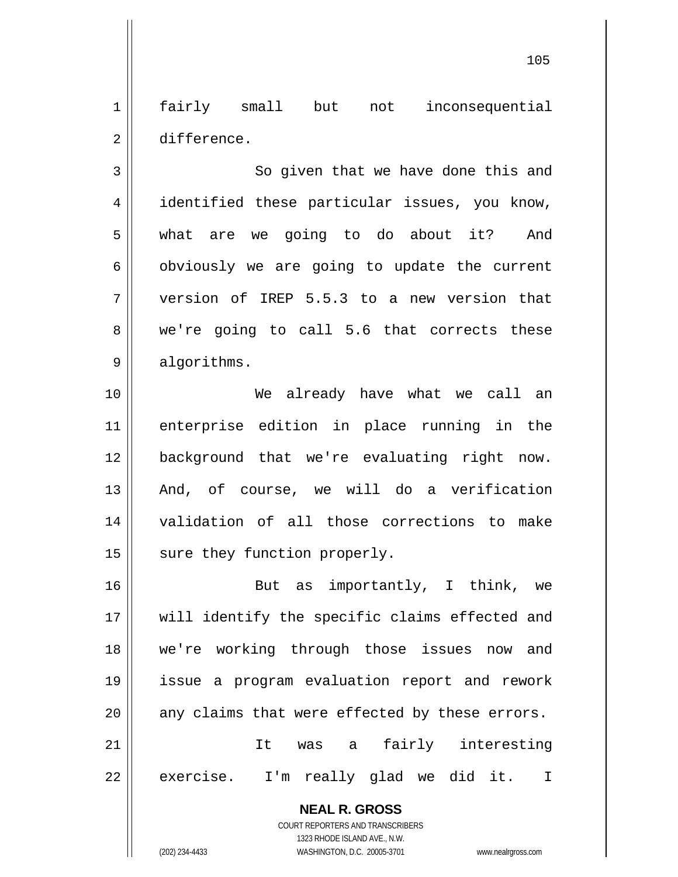1 2 fairly small but not inconsequential difference.

3 4 5 6 7 8 9 So given that we have done this and identified these particular issues, you know, what are we going to do about it? And obviously we are going to update the current version of IREP 5.5.3 to a new version that we're going to call 5.6 that corrects these algorithms.

10 11 12 13 14 15 We already have what we call an enterprise edition in place running in the background that we're evaluating right now. And, of course, we will do a verification validation of all those corrections to make sure they function properly.

16 17 18 19 20 21 22 But as importantly, I think, we will identify the specific claims effected and we're working through those issues now and issue a program evaluation report and rework any claims that were effected by these errors. It was a fairly interesting exercise. I'm really glad we did it. I

> **NEAL R. GROSS** COURT REPORTERS AND TRANSCRIBERS

> > 1323 RHODE ISLAND AVE., N.W.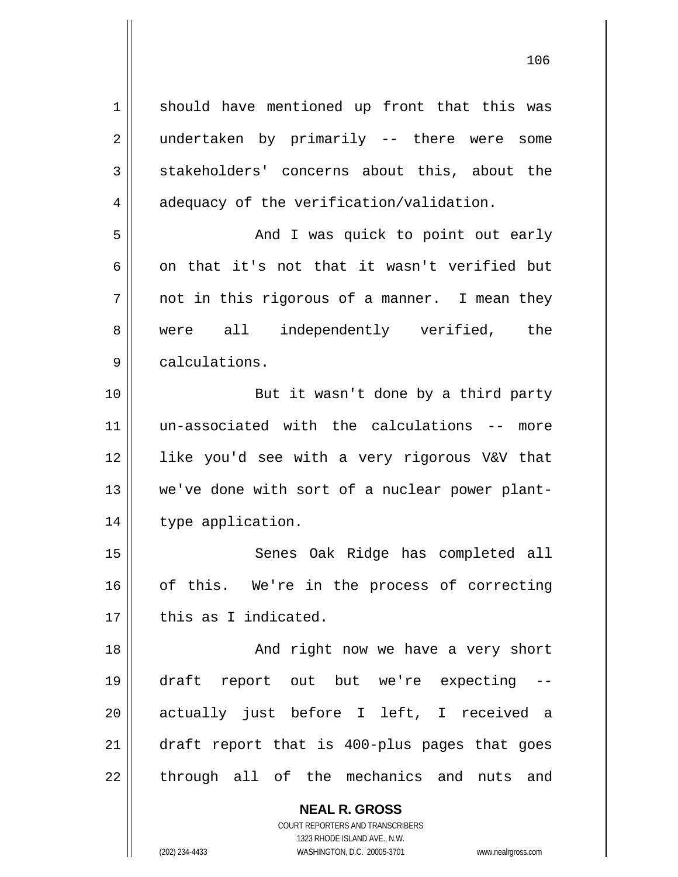1 2 3 4 5 6 7 8 9 10 11 12 13 14 15 16 17 18 19 20 21 22 should have mentioned up front that this was undertaken by primarily -- there were some stakeholders' concerns about this, about the adequacy of the verification/validation. And I was quick to point out early on that it's not that it wasn't verified but not in this rigorous of a manner. I mean they were all independently verified, the calculations. But it wasn't done by a third party un-associated with the calculations -- more like you'd see with a very rigorous V&V that we've done with sort of a nuclear power planttype application. Senes Oak Ridge has completed all of this. We're in the process of correcting this as I indicated. And right now we have a very short draft report out but we're expecting - actually just before I left, I received a draft report that is 400-plus pages that goes through all of the mechanics and nuts and

> **NEAL R. GROSS** COURT REPORTERS AND TRANSCRIBERS 1323 RHODE ISLAND AVE., N.W.

(202) 234-4433 WASHINGTON, D.C. 20005-3701 www.nealrgross.com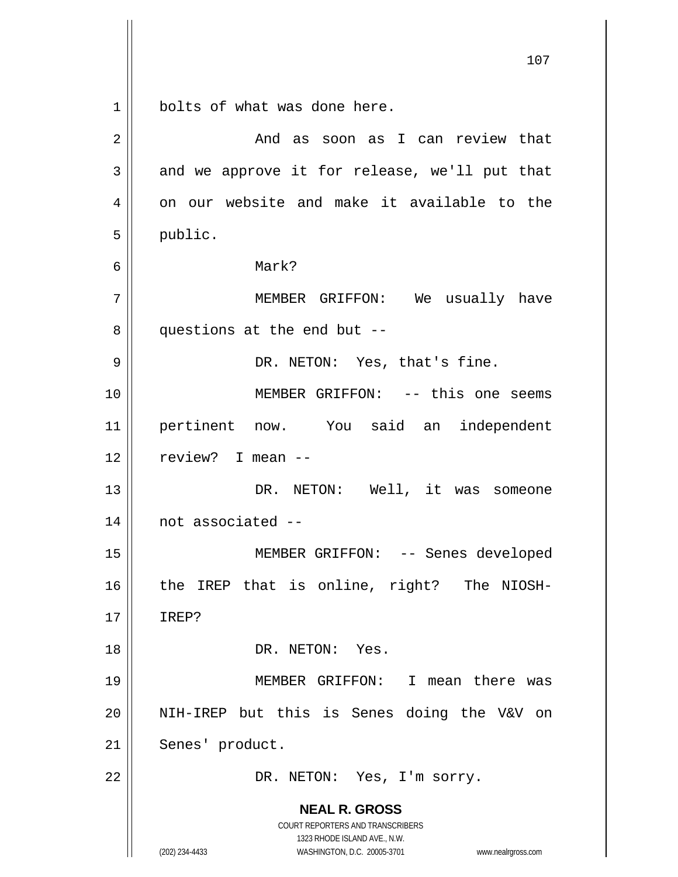**NEAL R. GROSS** COURT REPORTERS AND TRANSCRIBERS 1323 RHODE ISLAND AVE., N.W. 1 2 3 4 5 6 7 8 9 10 11 12 13 14 15 16 17 18 19 20 21 22 bolts of what was done here. And as soon as I can review that and we approve it for release, we'll put that on our website and make it available to the public. Mark? MEMBER GRIFFON: We usually have questions at the end but -- DR. NETON: Yes, that's fine. MEMBER GRIFFON: -- this one seems pertinent now. You said an independent review? I mean -- DR. NETON: Well, it was someone not associated -- MEMBER GRIFFON: -- Senes developed the IREP that is online, right? The NIOSH-IREP? DR. NETON: Yes. MEMBER GRIFFON: I mean there was NIH-IREP but this is Senes doing the V&V on Senes' product. DR. NETON: Yes, I'm sorry.

107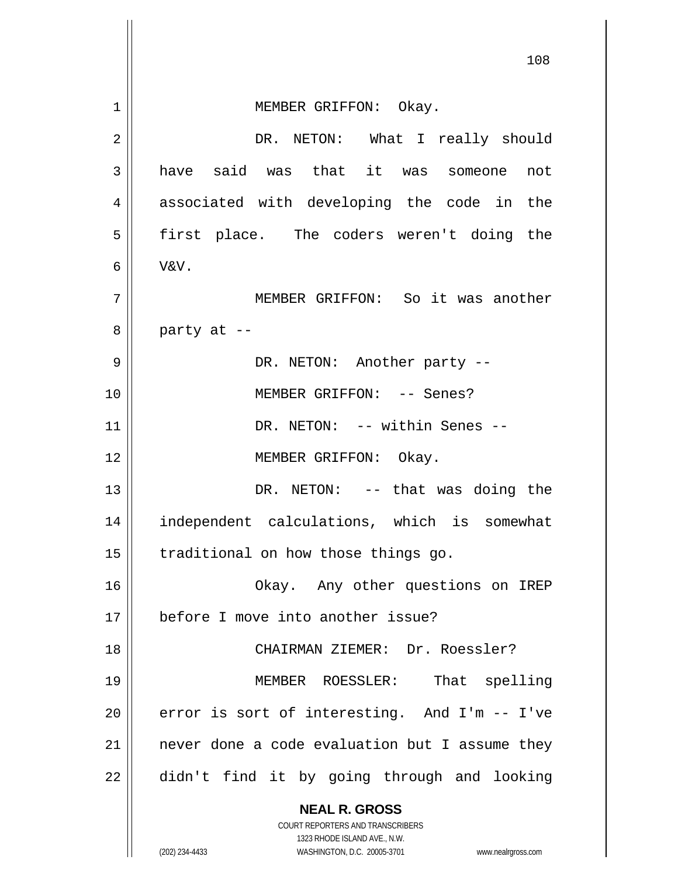|    | 108                                                                                                 |
|----|-----------------------------------------------------------------------------------------------------|
| 1  | MEMBER GRIFFON: Okay.                                                                               |
| 2  | DR. NETON: What I really should                                                                     |
| 3  | have said was that it was someone<br>not                                                            |
| 4  | associated with developing the code in the                                                          |
| 5  | first place. The coders weren't doing the                                                           |
| 6  | V&V.                                                                                                |
| 7  | MEMBER GRIFFON: So it was another                                                                   |
| 8  | party at --                                                                                         |
| 9  | DR. NETON: Another party --                                                                         |
| 10 | MEMBER GRIFFON: -- Senes?                                                                           |
| 11 | DR. NETON: -- within Senes --                                                                       |
| 12 | MEMBER GRIFFON: Okay.                                                                               |
| 13 | DR. NETON: -- that was doing the                                                                    |
| 14 | independent calculations, which is somewhat                                                         |
| 15 | traditional on how those things go.                                                                 |
| 16 | Okay. Any other questions on IREP                                                                   |
| 17 | before I move into another issue?                                                                   |
| 18 | CHAIRMAN ZIEMER: Dr. Roessler?                                                                      |
| 19 | That spelling<br>MEMBER ROESSLER:                                                                   |
| 20 | error is sort of interesting. And I'm -- I've                                                       |
| 21 | never done a code evaluation but I assume they                                                      |
| 22 | didn't find it by going through and looking                                                         |
|    | <b>NEAL R. GROSS</b>                                                                                |
|    | COURT REPORTERS AND TRANSCRIBERS                                                                    |
|    | 1323 RHODE ISLAND AVE., N.W.<br>(202) 234-4433<br>WASHINGTON, D.C. 20005-3701<br>www.nealrgross.com |

 $\mathsf{l}$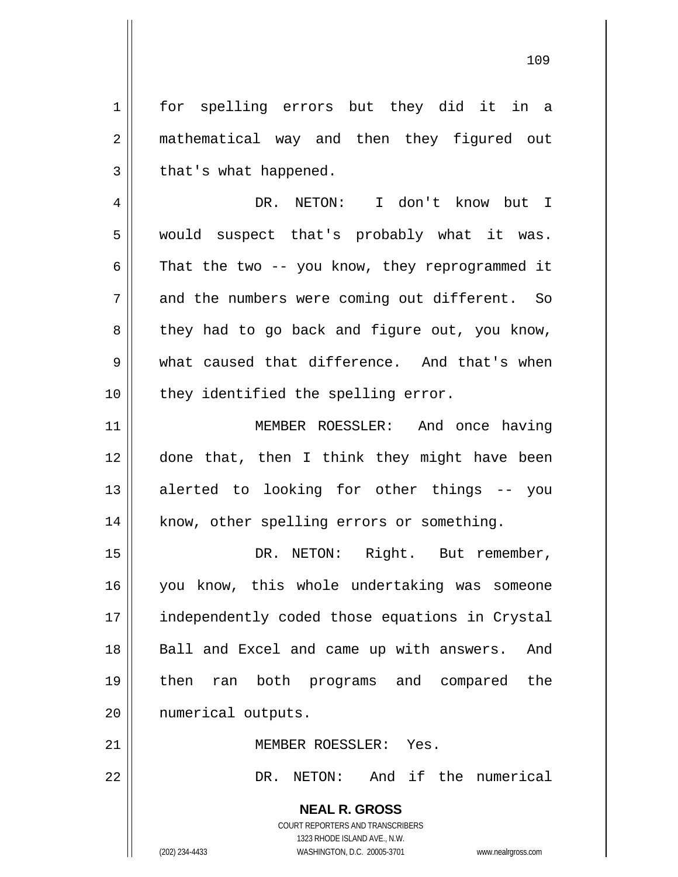1 2 3 4 5 6 7 8 9 10 11 12 13 14 15 16 17 18 19 20 21 22 for spelling errors but they did it in a mathematical way and then they figured out that's what happened. DR. NETON: I don't know but I would suspect that's probably what it was. That the two -- you know, they reprogrammed it and the numbers were coming out different. So they had to go back and figure out, you know, what caused that difference. And that's when they identified the spelling error. MEMBER ROESSLER: And once having done that, then I think they might have been alerted to looking for other things -- you know, other spelling errors or something. DR. NETON: Right. But remember, you know, this whole undertaking was someone independently coded those equations in Crystal Ball and Excel and came up with answers. And then ran both programs and compared the numerical outputs. MEMBER ROESSLER: Yes. DR. NETON: And if the numerical

> **NEAL R. GROSS** COURT REPORTERS AND TRANSCRIBERS 1323 RHODE ISLAND AVE., N.W.

(202) 234-4433 WASHINGTON, D.C. 20005-3701 www.nealrgross.com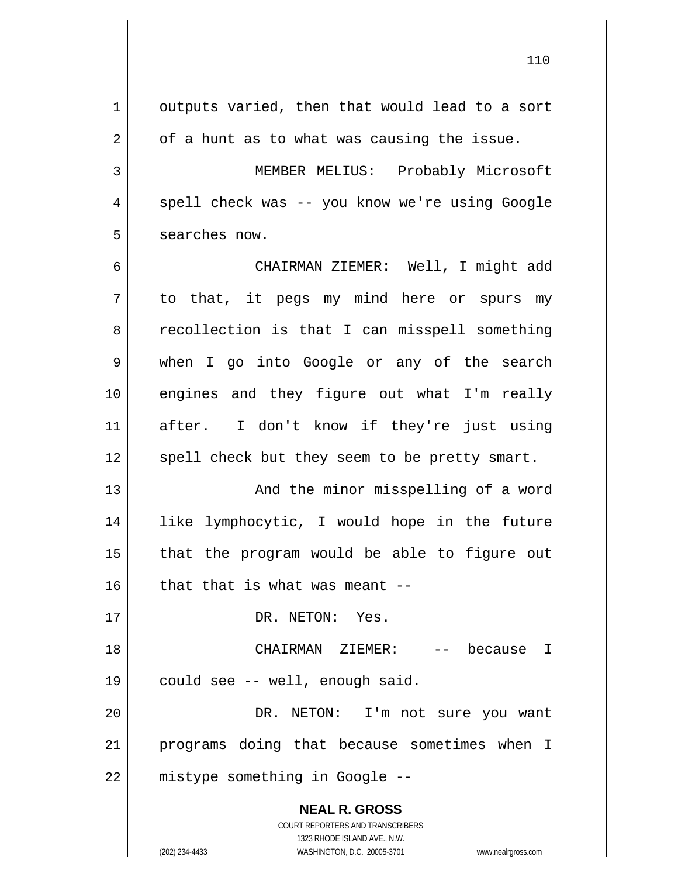| 1  | outputs varied, then that would lead to a sort                                                      |
|----|-----------------------------------------------------------------------------------------------------|
| 2  | of a hunt as to what was causing the issue.                                                         |
| 3  | MEMBER MELIUS: Probably Microsoft                                                                   |
| 4  | spell check was -- you know we're using Google                                                      |
| 5  | searches now.                                                                                       |
| 6  | CHAIRMAN ZIEMER: Well, I might add                                                                  |
| 7  | to that, it pegs my mind here or spurs my                                                           |
| 8  | recollection is that I can misspell something                                                       |
| 9  | when I go into Google or any of the search                                                          |
| 10 | engines and they figure out what I'm really                                                         |
| 11 | after. I don't know if they're just using                                                           |
| 12 | spell check but they seem to be pretty smart.                                                       |
| 13 | And the minor misspelling of a word                                                                 |
| 14 | like lymphocytic, I would hope in the future                                                        |
| 15 | that the program would be able to figure out                                                        |
| 16 | that that is what was meant --                                                                      |
| 17 | DR. NETON: Yes.                                                                                     |
| 18 | CHAIRMAN ZIEMER: -- because I                                                                       |
| 19 | could see -- well, enough said.                                                                     |
| 20 | DR. NETON: I'm not sure you want                                                                    |
| 21 | programs doing that because sometimes when I                                                        |
| 22 | mistype something in Google --                                                                      |
|    | <b>NEAL R. GROSS</b><br>COURT REPORTERS AND TRANSCRIBERS                                            |
|    | 1323 RHODE ISLAND AVE., N.W.<br>(202) 234-4433<br>WASHINGTON, D.C. 20005-3701<br>www.nealrgross.com |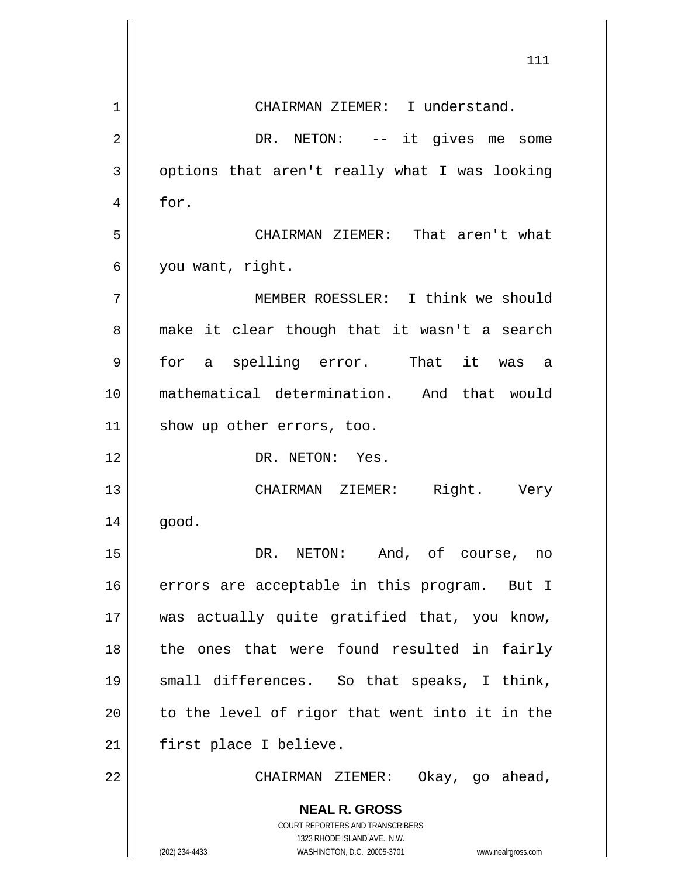|              | 111                                                                                              |
|--------------|--------------------------------------------------------------------------------------------------|
| $\mathbf{1}$ | CHAIRMAN ZIEMER: I understand.                                                                   |
| 2            | DR. NETON: -- it gives me some                                                                   |
| 3            | options that aren't really what I was looking                                                    |
| 4            | for.                                                                                             |
| 5            | CHAIRMAN ZIEMER: That aren't what                                                                |
| 6            | you want, right.                                                                                 |
| 7            | MEMBER ROESSLER: I think we should                                                               |
| 8            | make it clear though that it wasn't a search                                                     |
| 9            | for a spelling error. That it was a                                                              |
| 10           | mathematical determination. And that would                                                       |
| 11           | show up other errors, too.                                                                       |
| 12           | DR. NETON: Yes.                                                                                  |
| 13           | Right. Very<br>CHAIRMAN ZIEMER:                                                                  |
| 14           | good.                                                                                            |
| 15           | DR. NETON: And, of course, no                                                                    |
| 16           | errors are acceptable in this program. But I                                                     |
| 17           | was actually quite gratified that, you know,                                                     |
| 18           | the ones that were found resulted in fairly                                                      |
| 19           | small differences. So that speaks, I think,                                                      |
| 20           | to the level of rigor that went into it in the                                                   |
| 21           | first place I believe.                                                                           |
| 22           | CHAIRMAN ZIEMER: Okay, go ahead,                                                                 |
|              | <b>NEAL R. GROSS</b><br>COURT REPORTERS AND TRANSCRIBERS                                         |
|              | 1323 RHODE ISLAND AVE., N.W.<br>(202) 234-4433<br>WASHINGTON, D.C. 20005-3701 www.nealrgross.com |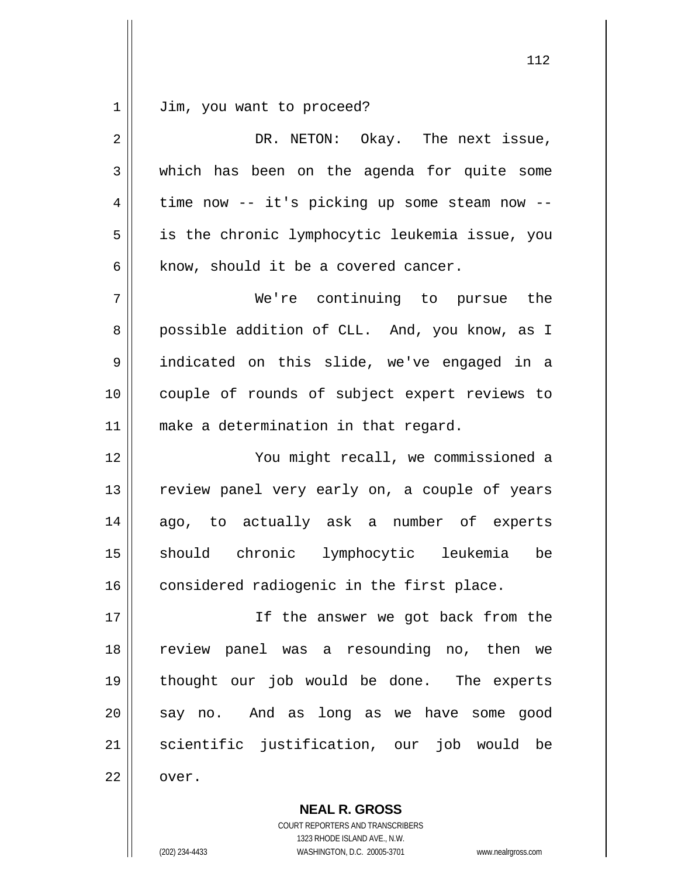1 Jim, you want to proceed?

| $\overline{2}$ | DR. NETON: Okay. The next issue,               |
|----------------|------------------------------------------------|
| 3              | which has been on the agenda for quite some    |
| 4              | time now -- it's picking up some steam now --  |
| 5              | is the chronic lymphocytic leukemia issue, you |
| 6              | know, should it be a covered cancer.           |
| 7              | We're continuing to pursue the                 |
| 8              | possible addition of CLL. And, you know, as I  |
| 9              | indicated on this slide, we've engaged in a    |
| 10             | couple of rounds of subject expert reviews to  |
| 11             | make a determination in that regard.           |
| 12             | You might recall, we commissioned a            |
| 13             | review panel very early on, a couple of years  |
| 14             | ago, to actually ask a number of experts       |
| 15             | should chronic lymphocytic leukemia be         |
| 16             | considered radiogenic in the first place.      |
| 17             | If the answer we got back from the             |
| 18             | review panel was a resounding no, then we      |
| 19             | thought our job would be done. The experts     |
| 20             | say no. And as long as we have some good       |
| 21             | scientific justification, our job would be     |
|                |                                                |

112

1323 RHODE ISLAND AVE., N.W. (202) 234-4433 WASHINGTON, D.C. 20005-3701 www.nealrgross.com

COURT REPORTERS AND TRANSCRIBERS

**NEAL R. GROSS**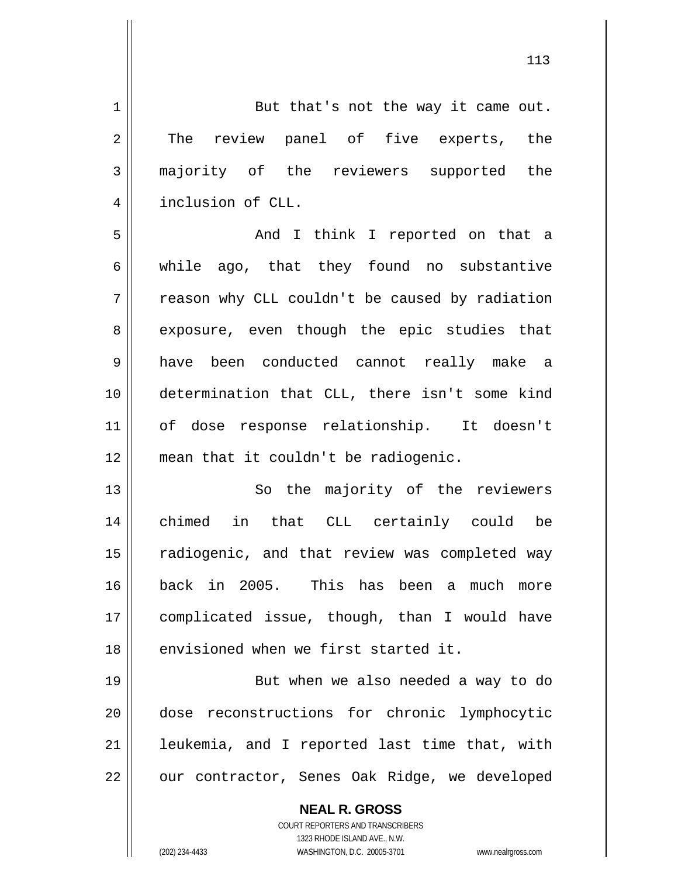1 2 3 4 5 6 7 8 9 10 11 12 13 14 15 16 17 18 19 20 21 22 But that's not the way it came out. The review panel of five experts, the majority of the reviewers supported the inclusion of CLL. And I think I reported on that a while ago, that they found no substantive reason why CLL couldn't be caused by radiation exposure, even though the epic studies that have been conducted cannot really make a determination that CLL, there isn't some kind of dose response relationship. It doesn't mean that it couldn't be radiogenic. So the majority of the reviewers chimed in that CLL certainly could be radiogenic, and that review was completed way back in 2005. This has been a much more complicated issue, though, than I would have envisioned when we first started it. But when we also needed a way to do dose reconstructions for chronic lymphocytic leukemia, and I reported last time that, with our contractor, Senes Oak Ridge, we developed

> **NEAL R. GROSS** COURT REPORTERS AND TRANSCRIBERS 1323 RHODE ISLAND AVE., N.W. (202) 234-4433 WASHINGTON, D.C. 20005-3701 www.nealrgross.com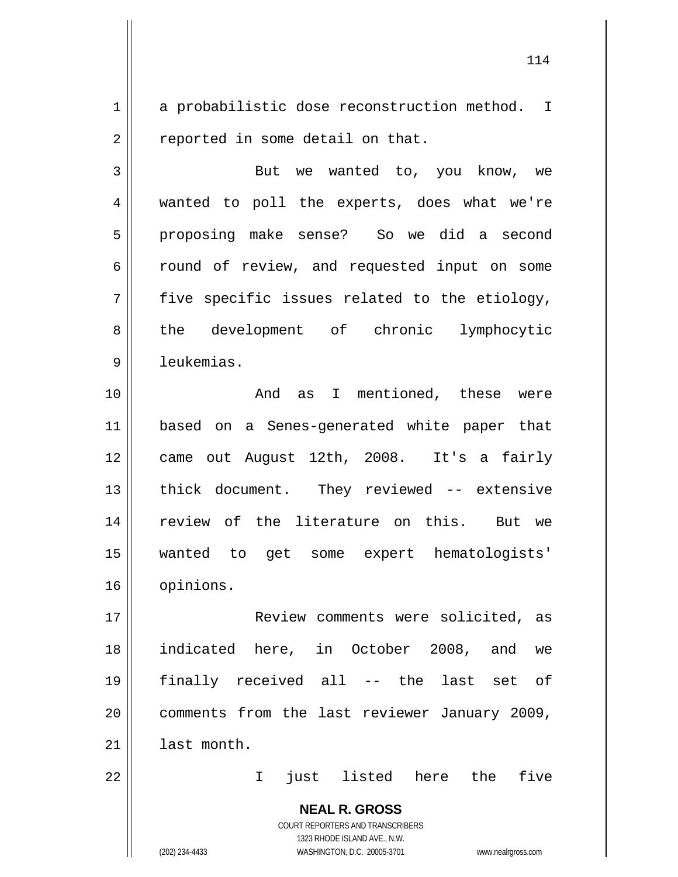1 2 a probabilistic dose reconstruction method. I reported in some detail on that.

3 4 5 6 7 8 9 But we wanted to, you know, we wanted to poll the experts, does what we're proposing make sense? So we did a second round of review, and requested input on some five specific issues related to the etiology, the development of chronic lymphocytic leukemias.

10 11 12 13 14 15 16 And as I mentioned, these were based on a Senes-generated white paper that came out August 12th, 2008. It's a fairly thick document. They reviewed -- extensive review of the literature on this. But we wanted to get some expert hematologists' opinions.

17 18 19 20 21 Review comments were solicited, as indicated here, in October 2008, and we finally received all -- the last set of comments from the last reviewer January 2009, last month.

I just listed here the five

**NEAL R. GROSS** COURT REPORTERS AND TRANSCRIBERS 1323 RHODE ISLAND AVE., N.W. (202) 234-4433 WASHINGTON, D.C. 20005-3701 www.nealrgross.com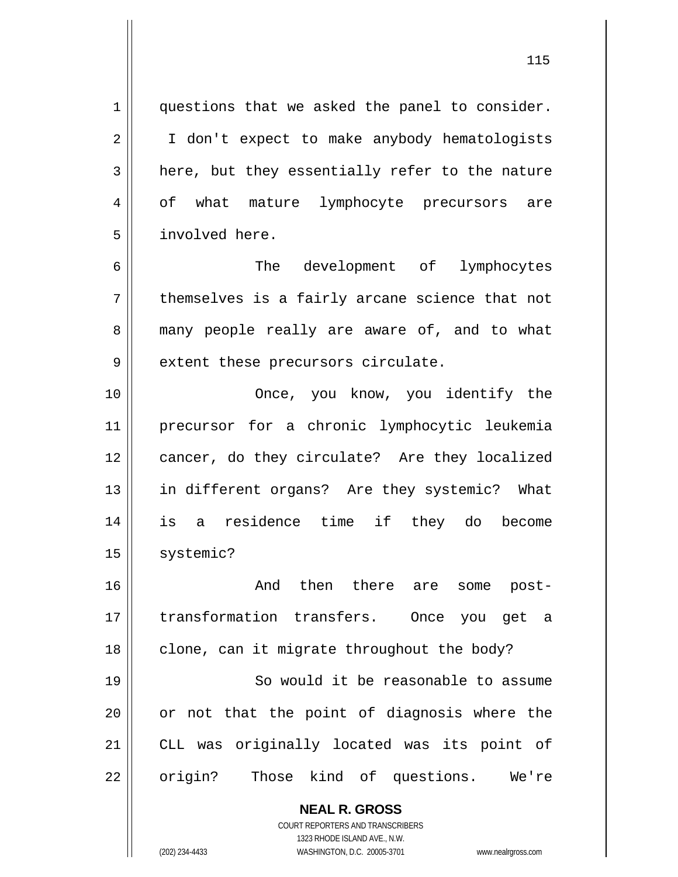questions that we asked the panel to consider. I don't expect to make anybody hematologists here, but they essentially refer to the nature of what mature lymphocyte precursors are involved here.

7 The development of lymphocytes themselves is a fairly arcane science that not many people really are aware of, and to what extent these precursors circulate.

10 11 12 13 14 15 Once, you know, you identify the precursor for a chronic lymphocytic leukemia cancer, do they circulate? Are they localized in different organs? Are they systemic? What is a residence time if they do become systemic?

16 17 18 And then there are some posttransformation transfers. Once you get a clone, can it migrate throughout the body?

19 20 21 22 So would it be reasonable to assume or not that the point of diagnosis where the CLL was originally located was its point of origin? Those kind of questions. We're

**NEAL R. GROSS**

COURT REPORTERS AND TRANSCRIBERS 1323 RHODE ISLAND AVE., N.W. (202) 234-4433 WASHINGTON, D.C. 20005-3701 www.nealrgross.com

1

2

3

4

5

6

8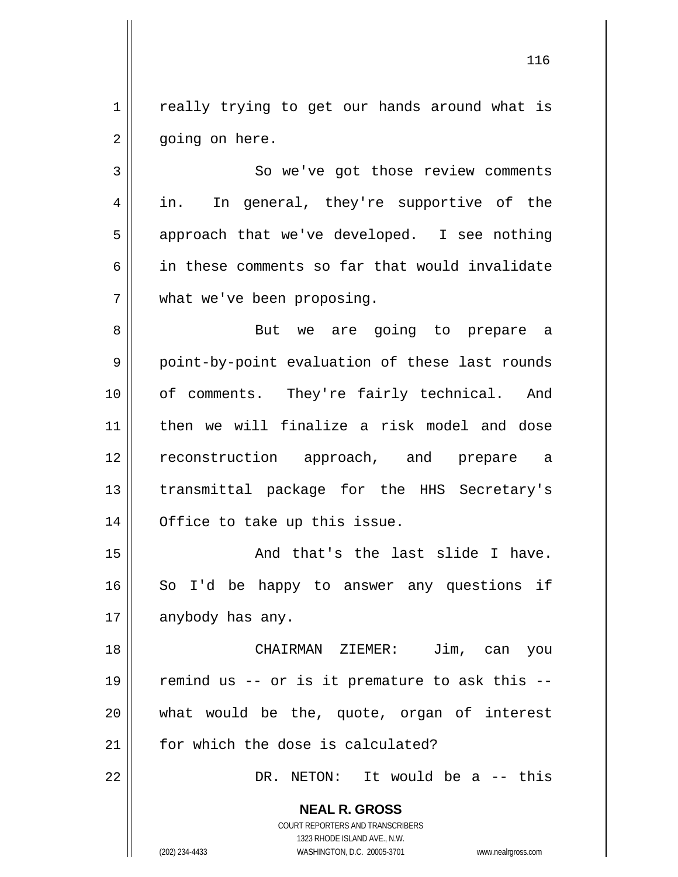1 2 really trying to get our hands around what is going on here.

3 4 5 6 7 So we've got those review comments in. In general, they're supportive of the approach that we've developed. I see nothing in these comments so far that would invalidate what we've been proposing.

8 9 10 11 12 13 14 But we are going to prepare a point-by-point evaluation of these last rounds of comments. They're fairly technical. And then we will finalize a risk model and dose reconstruction approach, and prepare a transmittal package for the HHS Secretary's Office to take up this issue.

15 16 17 And that's the last slide I have. So I'd be happy to answer any questions if anybody has any.

18 19 20 21 CHAIRMAN ZIEMER: Jim, can you remind us -- or is it premature to ask this - what would be the, quote, organ of interest for which the dose is calculated?

DR. NETON: It would be a -- this

**NEAL R. GROSS** COURT REPORTERS AND TRANSCRIBERS

1323 RHODE ISLAND AVE., N.W.

22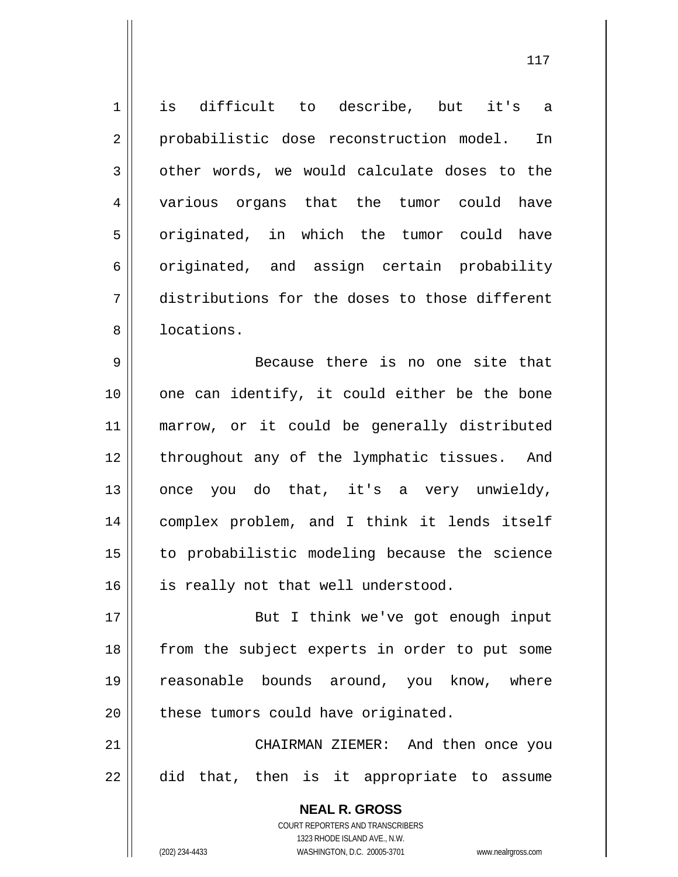**NEAL R. GROSS** COURT REPORTERS AND TRANSCRIBERS 1323 RHODE ISLAND AVE., N.W. 1 2 3 4 5 6 7 8 9 10 11 12 13 14 15 16 17 18 19 20 21 22 is difficult to describe, but it's a probabilistic dose reconstruction model. In other words, we would calculate doses to the various organs that the tumor could have originated, in which the tumor could have originated, and assign certain probability distributions for the doses to those different locations. Because there is no one site that one can identify, it could either be the bone marrow, or it could be generally distributed throughout any of the lymphatic tissues. And once you do that, it's a very unwieldy, complex problem, and I think it lends itself to probabilistic modeling because the science is really not that well understood. But I think we've got enough input from the subject experts in order to put some reasonable bounds around, you know, where these tumors could have originated. CHAIRMAN ZIEMER: And then once you did that, then is it appropriate to assume

(202) 234-4433 WASHINGTON, D.C. 20005-3701 www.nealrgross.com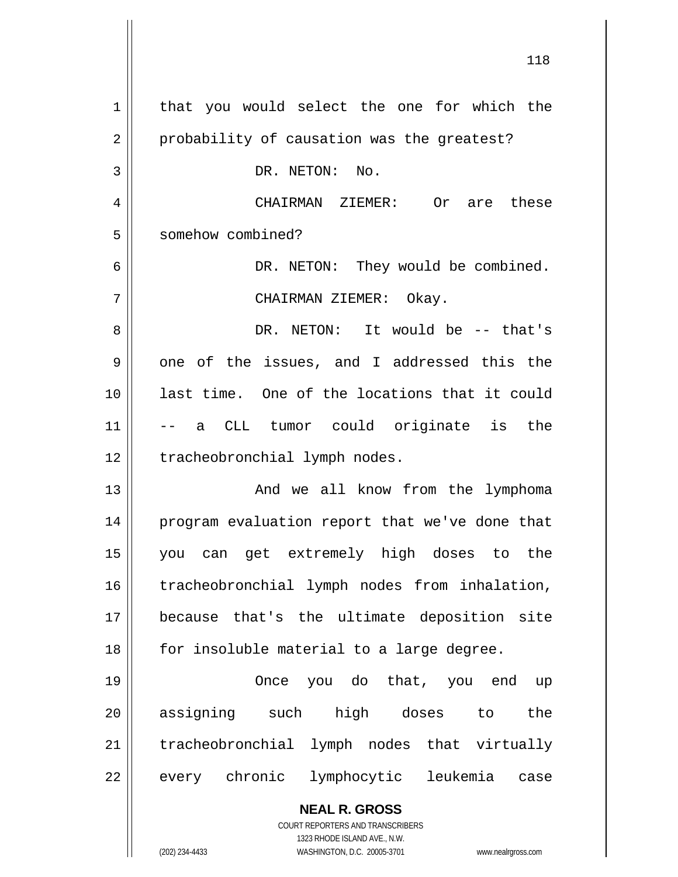| 1  | that you would select the one for which the                                                         |
|----|-----------------------------------------------------------------------------------------------------|
| 2  | probability of causation was the greatest?                                                          |
| 3  | DR. NETON: No.                                                                                      |
| 4  | CHAIRMAN ZIEMER: Or<br>are these                                                                    |
| 5  | somehow combined?                                                                                   |
| 6  | DR. NETON: They would be combined.                                                                  |
| 7  | CHAIRMAN ZIEMER: Okay.                                                                              |
| 8  | DR. NETON: It would be -- that's                                                                    |
| 9  | one of the issues, and I addressed this the                                                         |
| 10 | last time. One of the locations that it could                                                       |
| 11 | a CLL tumor could originate is the                                                                  |
| 12 | tracheobronchial lymph nodes.                                                                       |
| 13 | And we all know from the lymphoma                                                                   |
| 14 | program evaluation report that we've done that                                                      |
| 15 | you can get extremely high doses to the                                                             |
| 16 | tracheobronchial lymph nodes from inhalation,                                                       |
| 17 | because that's the ultimate deposition site                                                         |
| 18 | for insoluble material to a large degree.                                                           |
| 19 | Once you do that, you end up                                                                        |
| 20 | assigning such<br>high doses to<br>the                                                              |
| 21 | tracheobronchial lymph nodes that virtually                                                         |
| 22 | every chronic lymphocytic leukemia<br>case                                                          |
|    | <b>NEAL R. GROSS</b>                                                                                |
|    | COURT REPORTERS AND TRANSCRIBERS                                                                    |
|    | 1323 RHODE ISLAND AVE., N.W.<br>(202) 234-4433<br>WASHINGTON, D.C. 20005-3701<br>www.nealrgross.com |

118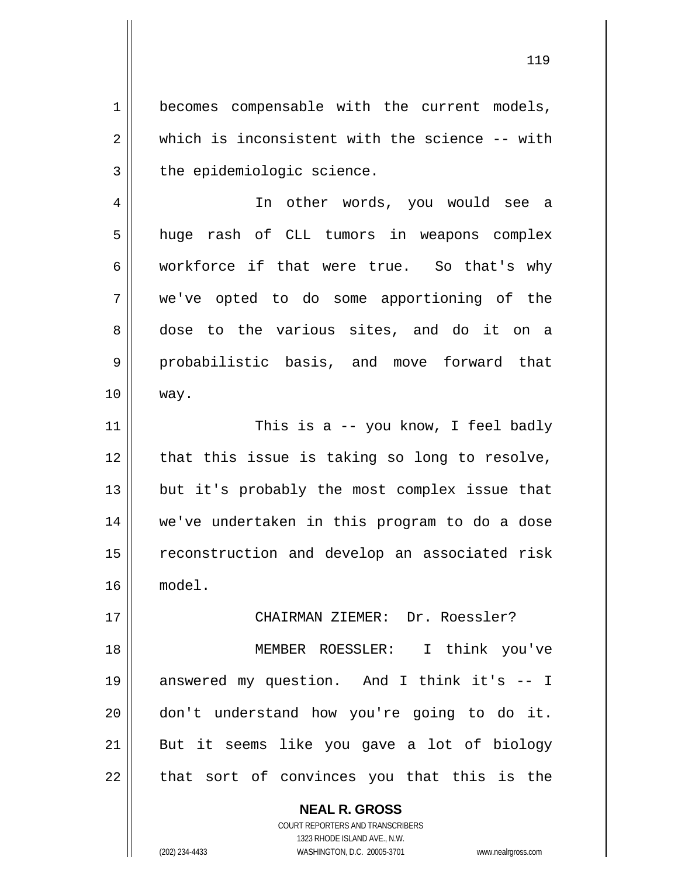1 2 3 becomes compensable with the current models, which is inconsistent with the science -- with the epidemiologic science.

4 5 6 7 8 9 10 In other words, you would see a huge rash of CLL tumors in weapons complex workforce if that were true. So that's why we've opted to do some apportioning of the dose to the various sites, and do it on a probabilistic basis, and move forward that way.

11 12 13 14 15 16 This is a -- you know, I feel badly that this issue is taking so long to resolve, but it's probably the most complex issue that we've undertaken in this program to do a dose reconstruction and develop an associated risk model.

18 19 20 21 22 MEMBER ROESSLER: I think you've answered my question. And I think it's -- I don't understand how you're going to do it. But it seems like you gave a lot of biology that sort of convinces you that this is the

CHAIRMAN ZIEMER: Dr. Roessler?

**NEAL R. GROSS** COURT REPORTERS AND TRANSCRIBERS 1323 RHODE ISLAND AVE., N.W. (202) 234-4433 WASHINGTON, D.C. 20005-3701 www.nealrgross.com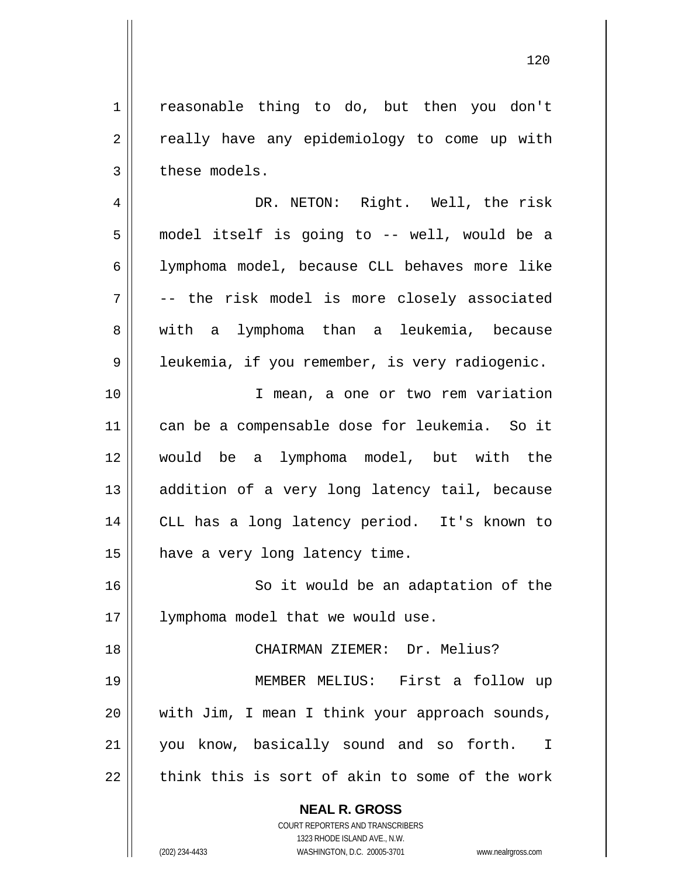1 2 3 reasonable thing to do, but then you don't really have any epidemiology to come up with these models.

4 5 6 7 8 9 DR. NETON: Right. Well, the risk model itself is going to -- well, would be a lymphoma model, because CLL behaves more like -- the risk model is more closely associated with a lymphoma than a leukemia, because leukemia, if you remember, is very radiogenic.

10 11 12 13 14 15 I mean, a one or two rem variation can be a compensable dose for leukemia. So it would be a lymphoma model, but with the addition of a very long latency tail, because CLL has a long latency period. It's known to have a very long latency time.

16 17 So it would be an adaptation of the lymphoma model that we would use.

18 19 20 21 22 CHAIRMAN ZIEMER: Dr. Melius? MEMBER MELIUS: First a follow up with Jim, I mean I think your approach sounds, you know, basically sound and so forth. I think this is sort of akin to some of the work

> **NEAL R. GROSS** COURT REPORTERS AND TRANSCRIBERS

> > 1323 RHODE ISLAND AVE., N.W.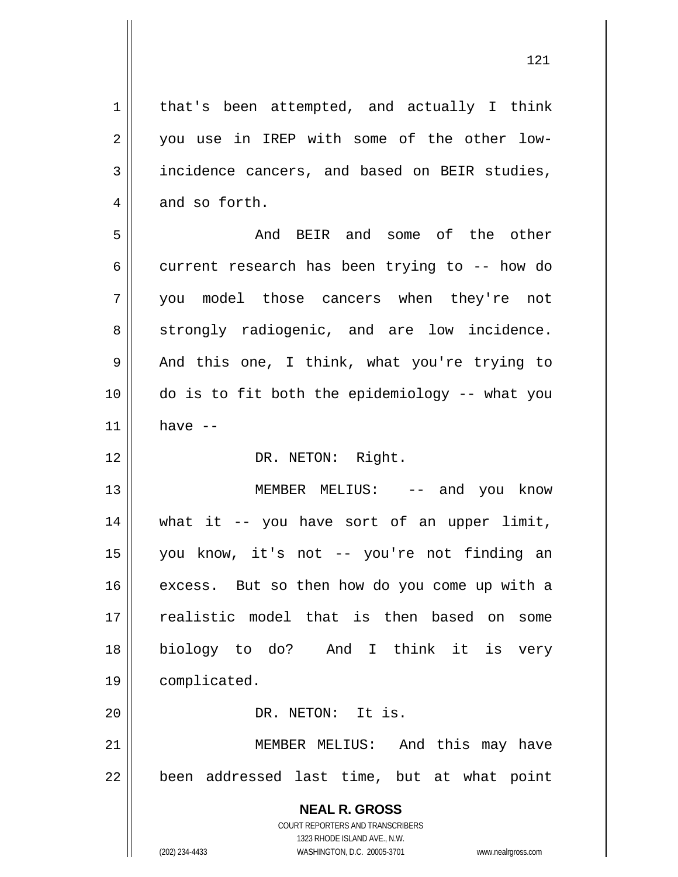that's been attempted, and actually I think you use in IREP with some of the other lowincidence cancers, and based on BEIR studies, and so forth.

1

2

3

4

12

20

121

5 6 7 8 9 10 11 And BEIR and some of the other current research has been trying to -- how do you model those cancers when they're not strongly radiogenic, and are low incidence. And this one, I think, what you're trying to do is to fit both the epidemiology -- what you have --

DR. NETON: Right.

13 14 15 16 17 18 19 MEMBER MELIUS: -- and you know what it -- you have sort of an upper limit, you know, it's not -- you're not finding an excess. But so then how do you come up with a realistic model that is then based on some biology to do? And I think it is very complicated.

DR. NETON: It is.

21 22 MEMBER MELIUS: And this may have been addressed last time, but at what point

> **NEAL R. GROSS** COURT REPORTERS AND TRANSCRIBERS 1323 RHODE ISLAND AVE., N.W. (202) 234-4433 WASHINGTON, D.C. 20005-3701 www.nealrgross.com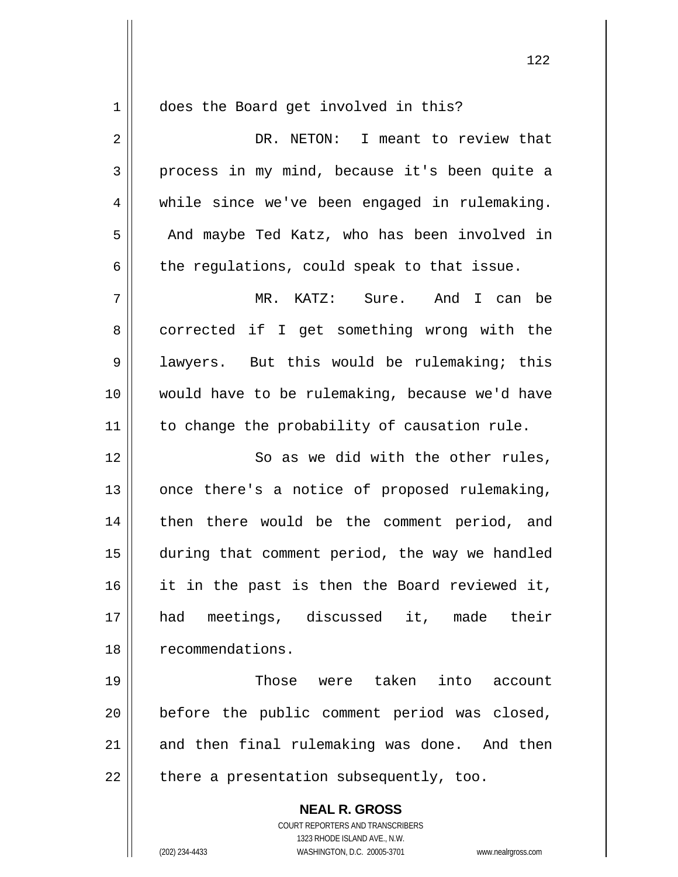$1$ 

does the Board get involved in this?

| $\overline{2}$ | DR. NETON: I meant to review that                        |
|----------------|----------------------------------------------------------|
| 3              | process in my mind, because it's been quite a            |
| 4              | while since we've been engaged in rulemaking.            |
| 5              | And maybe Ted Katz, who has been involved in             |
| 6              | the regulations, could speak to that issue.              |
| 7              | MR. KATZ: Sure. And I can be                             |
| 8              | corrected if I get something wrong with the              |
| 9              | lawyers. But this would be rulemaking; this              |
| 10             | would have to be rulemaking, because we'd have           |
| 11             | to change the probability of causation rule.             |
| 12             | So as we did with the other rules,                       |
| 13             | once there's a notice of proposed rulemaking,            |
| 14             | then there would be the comment period, and              |
| 15             | during that comment period, the way we handled           |
| 16             | it in the past is then the Board reviewed it,            |
| 17             | had<br>meetings, discussed it, made their                |
| 18             | recommendations.                                         |
| 19             | Those were taken into account                            |
| 20             | before the public comment period was closed,             |
| 21             | and then final rulemaking was done. And then             |
| 22             | there a presentation subsequently, too.                  |
|                | <b>NEAL R. GROSS</b><br>COURT REPORTERS AND TRANSCRIBERS |

 $\mathop{\text{||}}$ 

1323 RHODE ISLAND AVE., N.W. (202) 234-4433 WASHINGTON, D.C. 20005-3701 www.nealrgross.com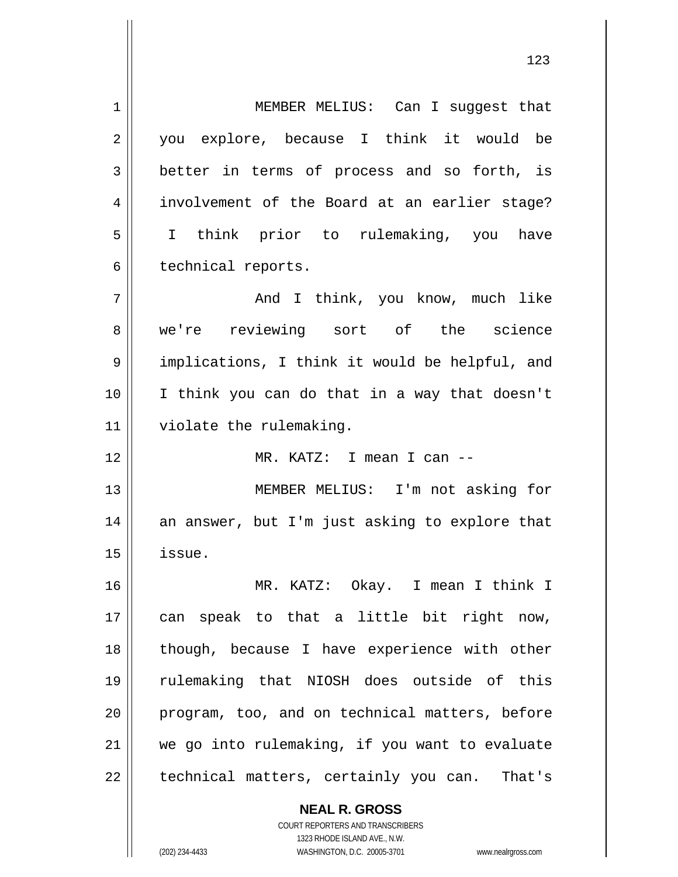1 2 3 4 5 6 7 8 9 10 11 12 13 14 15 16 17 18 19 20 21 22 MEMBER MELIUS: Can I suggest that you explore, because I think it would be better in terms of process and so forth, is involvement of the Board at an earlier stage? I think prior to rulemaking, you have technical reports. And I think, you know, much like we're reviewing sort of the science implications, I think it would be helpful, and I think you can do that in a way that doesn't violate the rulemaking. MR. KATZ: I mean I can -- MEMBER MELIUS: I'm not asking for an answer, but I'm just asking to explore that issue. MR. KATZ: Okay. I mean I think I can speak to that a little bit right now, though, because I have experience with other rulemaking that NIOSH does outside of this program, too, and on technical matters, before we go into rulemaking, if you want to evaluate technical matters, certainly you can. That's

> COURT REPORTERS AND TRANSCRIBERS 1323 RHODE ISLAND AVE., N.W. (202) 234-4433 WASHINGTON, D.C. 20005-3701 www.nealrgross.com

**NEAL R. GROSS**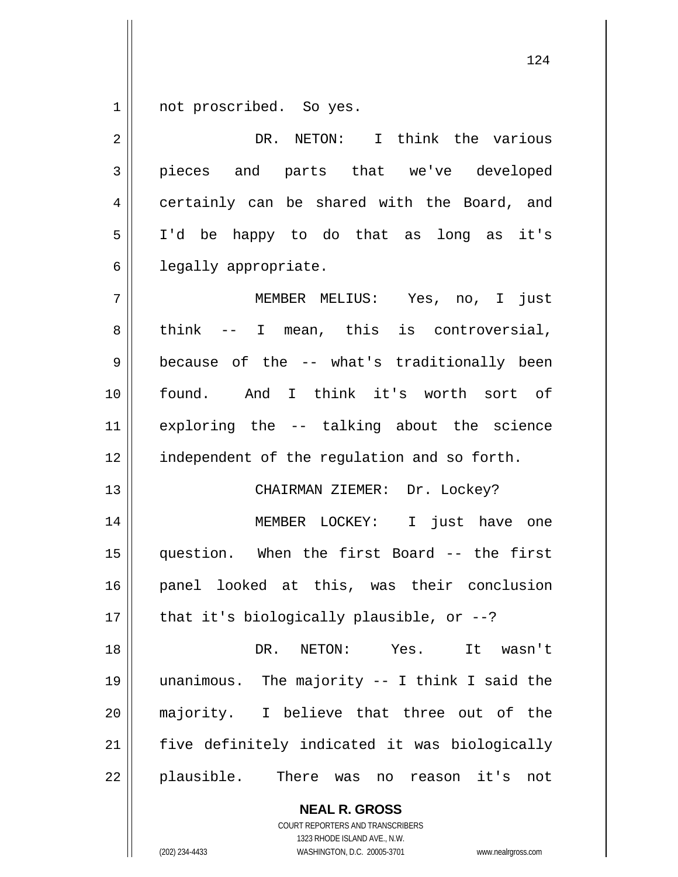1 not proscribed. So yes.

| $\overline{2}$ | DR. NETON: I think the various                            |
|----------------|-----------------------------------------------------------|
| 3              | pieces and parts that we've developed                     |
| 4              | certainly can be shared with the Board, and               |
| 5              | I'd be happy to do that as long as it's                   |
| 6              | legally appropriate.                                      |
| 7              | MEMBER MELIUS: Yes, no, I just                            |
| 8              | think -- I mean, this is controversial,                   |
| 9              | because of the -- what's traditionally been               |
| 10             | found. And I think it's worth sort of                     |
| 11             | exploring the -- talking about the science                |
| 12             | independent of the regulation and so forth.               |
| 13             | CHAIRMAN ZIEMER: Dr. Lockey?                              |
| 14             | MEMBER LOCKEY: I just have one                            |
| 15             | question. When the first Board -- the first               |
| 16             | panel looked at this, was their conclusion                |
| 17             | that it's biologically plausible, or $-$ -?               |
| 18             | NETON: Yes.<br>DR.<br>It wasn't                           |
| 19             | unanimous. The majority -- I think I said the             |
| 20             | majority. I believe that three out of the                 |
| 21             | five definitely indicated it was biologically             |
| 22             | plausible.<br>There<br>it's<br>was<br>reason<br>not<br>no |

**NEAL R. GROSS** COURT REPORTERS AND TRANSCRIBERS 1323 RHODE ISLAND AVE., N.W.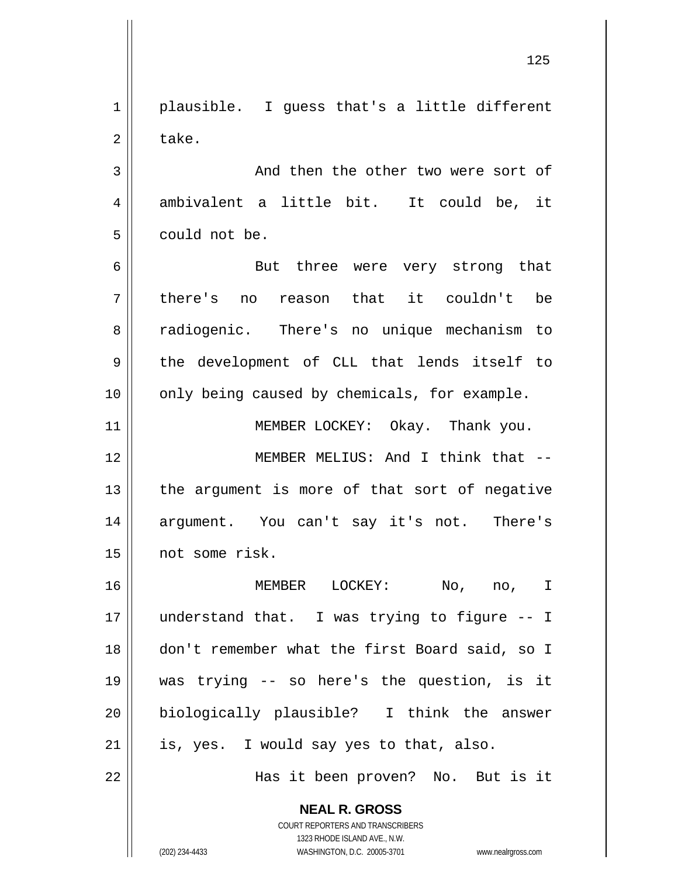1 2 plausible. I guess that's a little different take.

3 4 5 And then the other two were sort of ambivalent a little bit. It could be, it could not be.

6 7 8 9 10 But three were very strong that there's no reason that it couldn't be radiogenic. There's no unique mechanism to the development of CLL that lends itself to only being caused by chemicals, for example.

12 13 14 15 MEMBER MELIUS: And I think that - the argument is more of that sort of negative argument. You can't say it's not. There's not some risk.

MEMBER LOCKEY: Okay. Thank you.

16 17 18 19 20 21 MEMBER LOCKEY: No, no, I understand that. I was trying to figure -- I don't remember what the first Board said, so I was trying -- so here's the question, is it biologically plausible? I think the answer is, yes. I would say yes to that, also.

Has it been proven? No. But is it

**NEAL R. GROSS** COURT REPORTERS AND TRANSCRIBERS

1323 RHODE ISLAND AVE., N.W.

(202) 234-4433 WASHINGTON, D.C. 20005-3701 www.nealrgross.com

11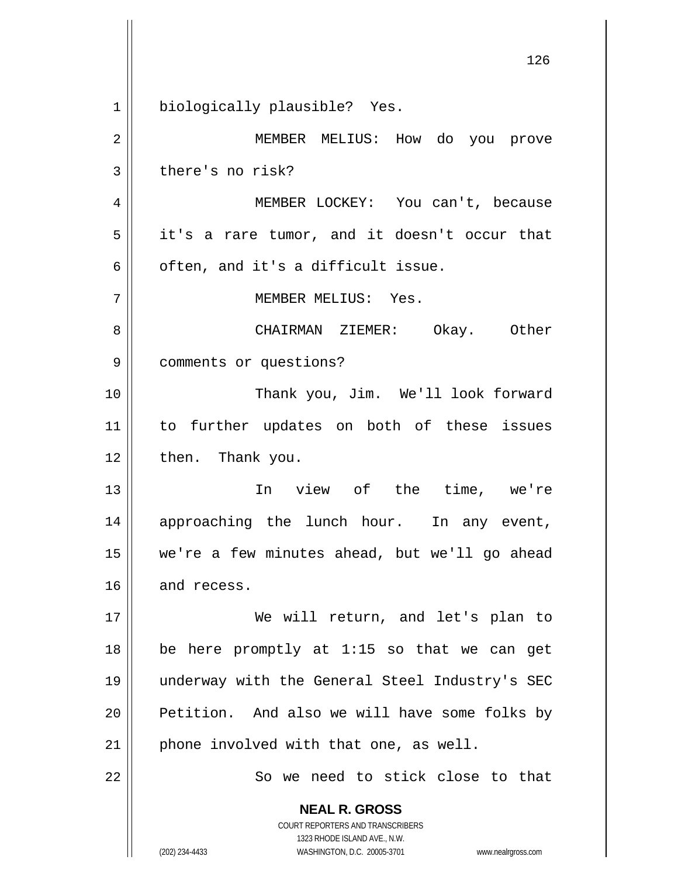**NEAL R. GROSS** COURT REPORTERS AND TRANSCRIBERS 1323 RHODE ISLAND AVE., N.W. 126 1 2 3 4 5 6 7 8 9 10 11 12 13 14 15 16 17 18 19 20 21 22 biologically plausible? Yes. MEMBER MELIUS: How do you prove there's no risk? MEMBER LOCKEY: You can't, because it's a rare tumor, and it doesn't occur that often, and it's a difficult issue. MEMBER MELIUS: Yes. CHAIRMAN ZIEMER: Okay. Other comments or questions? Thank you, Jim. We'll look forward to further updates on both of these issues then. Thank you. In view of the time, we're approaching the lunch hour. In any event, we're a few minutes ahead, but we'll go ahead and recess. We will return, and let's plan to be here promptly at 1:15 so that we can get underway with the General Steel Industry's SEC Petition. And also we will have some folks by phone involved with that one, as well. So we need to stick close to that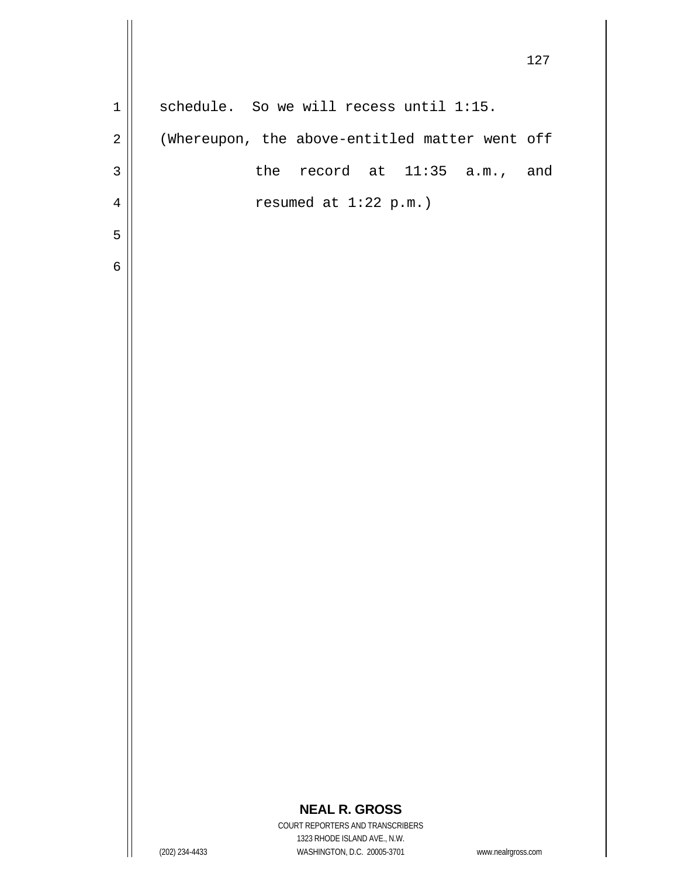127 1 2 3 4 5 6 schedule. So we will recess until 1:15. (Whereupon, the above-entitled matter went off the record at 11:35 a.m., and resumed at 1:22 p.m.)

COURT REPORTERS AND TRANSCRIBERS 1323 RHODE ISLAND AVE., N.W. (202) 234-4433 WASHINGTON, D.C. 20005-3701 www.nealrgross.com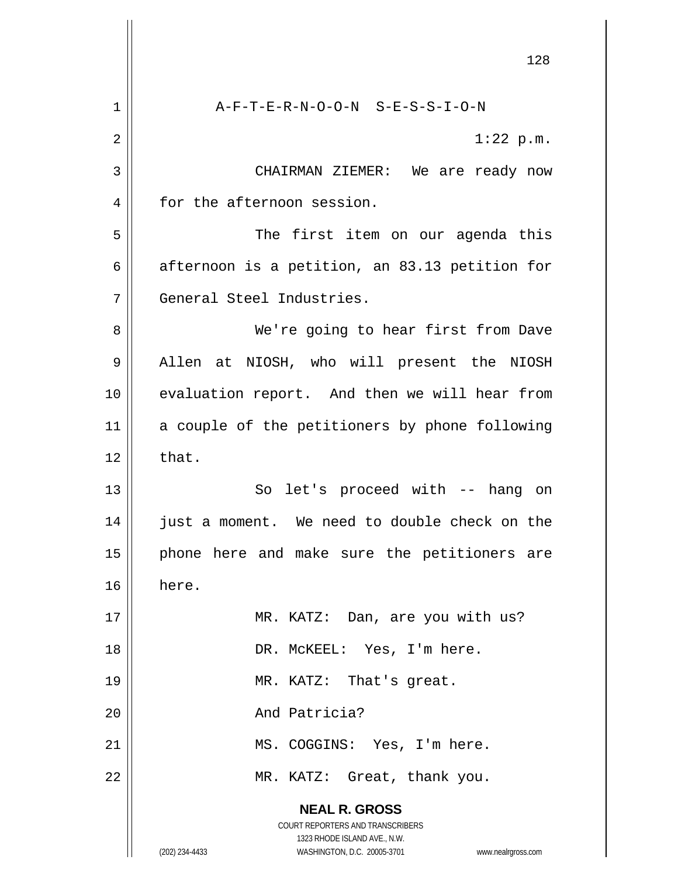**NEAL R. GROSS** COURT REPORTERS AND TRANSCRIBERS 1323 RHODE ISLAND AVE., N.W. (202) 234-4433 WASHINGTON, D.C. 20005-3701 www.nealrgross.com 128 1 2 3 4 5 6 7 8 9 10 11 12 13 14 15 16 17 18 19 20 21 22 A-F-T-E-R-N-O-O-N S-E-S-S-I-O-N 1:22 p.m. CHAIRMAN ZIEMER: We are ready now for the afternoon session. The first item on our agenda this afternoon is a petition, an 83.13 petition for General Steel Industries. We're going to hear first from Dave Allen at NIOSH, who will present the NIOSH evaluation report. And then we will hear from a couple of the petitioners by phone following that. So let's proceed with -- hang on just a moment. We need to double check on the phone here and make sure the petitioners are here. MR. KATZ: Dan, are you with us? DR. McKEEL: Yes, I'm here. MR. KATZ: That's great. And Patricia? MS. COGGINS: Yes, I'm here. MR. KATZ: Great, thank you.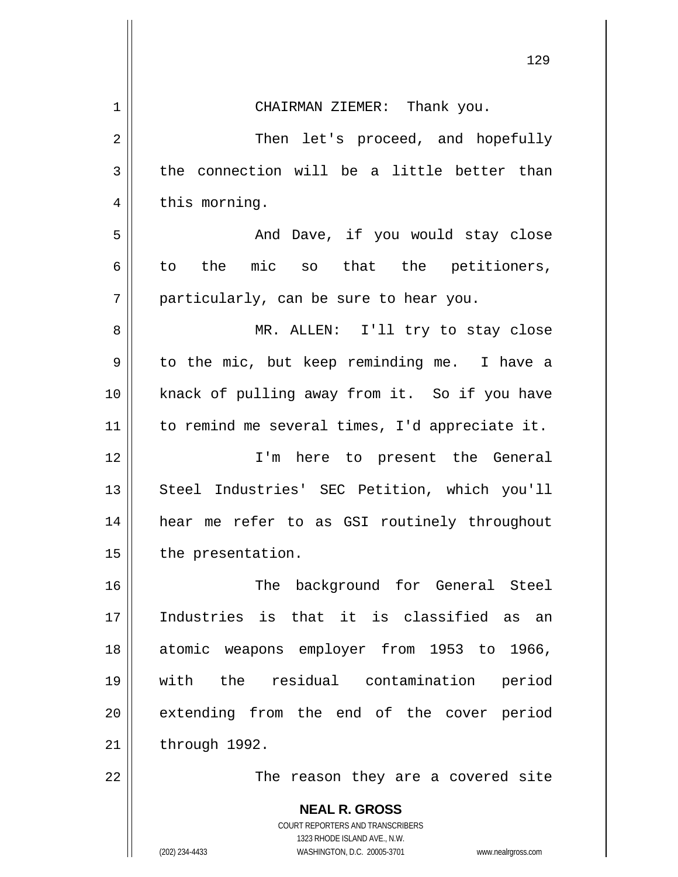| 129                                                                                                                                     |
|-----------------------------------------------------------------------------------------------------------------------------------------|
| CHAIRMAN ZIEMER: Thank you.                                                                                                             |
| Then let's proceed, and hopefully                                                                                                       |
| the connection will be a little better than                                                                                             |
| this morning.                                                                                                                           |
| And Dave, if you would stay close                                                                                                       |
| the mic so that the petitioners,<br>to                                                                                                  |
| particularly, can be sure to hear you.                                                                                                  |
| MR. ALLEN: I'll try to stay close                                                                                                       |
| to the mic, but keep reminding me. I have a                                                                                             |
| knack of pulling away from it. So if you have                                                                                           |
| to remind me several times, I'd appreciate it.                                                                                          |
| I'm here to present the General                                                                                                         |
| Steel Industries' SEC Petition, which you'll                                                                                            |
| hear me refer to as GSI routinely throughout                                                                                            |
| the presentation.                                                                                                                       |
| The background for General Steel                                                                                                        |
| Industries is that it is classified as an                                                                                               |
| atomic weapons employer from 1953 to 1966,                                                                                              |
| with the residual contamination period                                                                                                  |
| extending from the end of the cover period                                                                                              |
| through 1992.                                                                                                                           |
| The reason they are a covered site                                                                                                      |
| <b>NEAL R. GROSS</b>                                                                                                                    |
| COURT REPORTERS AND TRANSCRIBERS<br>1323 RHODE ISLAND AVE., N.W.<br>(202) 234-4433<br>WASHINGTON, D.C. 20005-3701<br>www.nealrgross.com |
|                                                                                                                                         |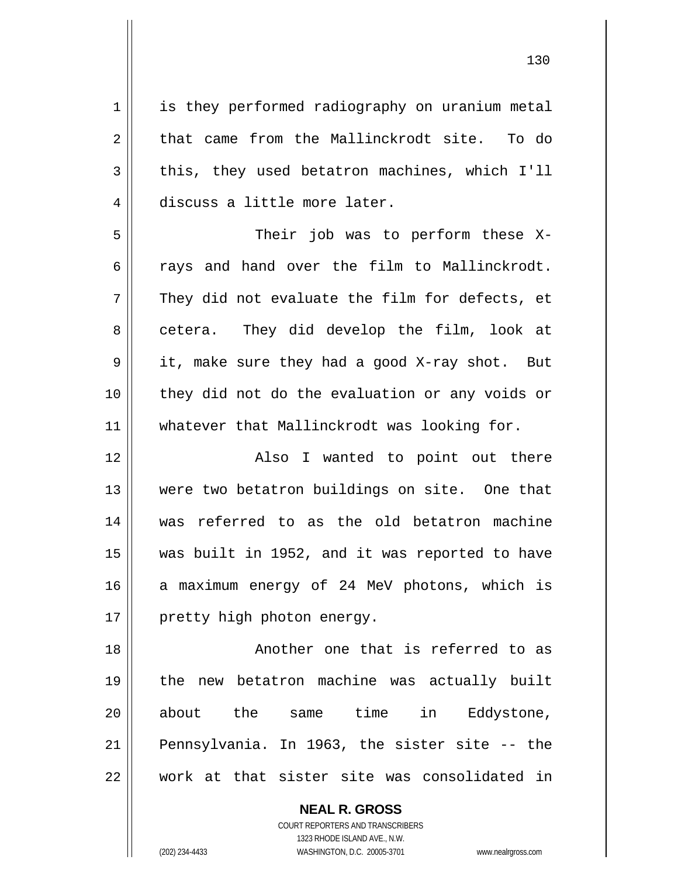1 2 3 4 5 6 7 8 9 10 11 12 13 14 15 16 17 18 19 20 21 22 is they performed radiography on uranium metal that came from the Mallinckrodt site. To do this, they used betatron machines, which I'll discuss a little more later. Their job was to perform these Xrays and hand over the film to Mallinckrodt. They did not evaluate the film for defects, et cetera. They did develop the film, look at it, make sure they had a good X-ray shot. But they did not do the evaluation or any voids or whatever that Mallinckrodt was looking for. Also I wanted to point out there were two betatron buildings on site. One that was referred to as the old betatron machine was built in 1952, and it was reported to have a maximum energy of 24 MeV photons, which is pretty high photon energy. Another one that is referred to as the new betatron machine was actually built about the same time in Eddystone, Pennsylvania. In 1963, the sister site -- the work at that sister site was consolidated in

> **NEAL R. GROSS** COURT REPORTERS AND TRANSCRIBERS 1323 RHODE ISLAND AVE., N.W.

(202) 234-4433 WASHINGTON, D.C. 20005-3701 www.nealrgross.com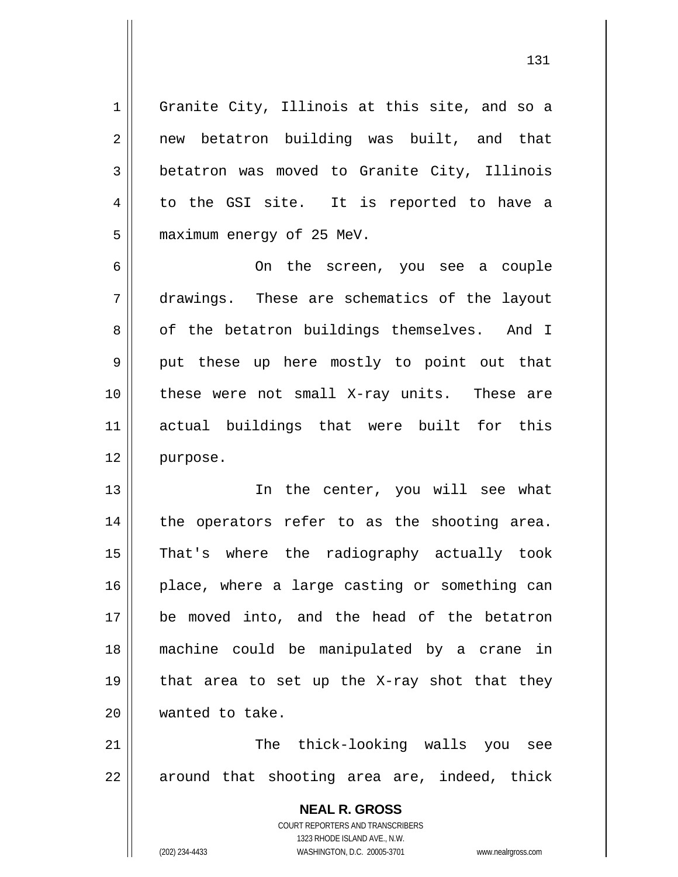1 4 Granite City, Illinois at this site, and so a new betatron building was built, and that betatron was moved to Granite City, Illinois to the GSI site. It is reported to have a maximum energy of 25 MeV.

6 7 8 9 10 11 12 On the screen, you see a couple drawings. These are schematics of the layout of the betatron buildings themselves. And I put these up here mostly to point out that these were not small X-ray units. These are actual buildings that were built for this purpose.

13 14 15 16 17 18 19 20 In the center, you will see what the operators refer to as the shooting area. That's where the radiography actually took place, where a large casting or something can be moved into, and the head of the betatron machine could be manipulated by a crane in that area to set up the X-ray shot that they wanted to take.

21 22 The thick-looking walls you see around that shooting area are, indeed, thick

> **NEAL R. GROSS** COURT REPORTERS AND TRANSCRIBERS 1323 RHODE ISLAND AVE., N.W. (202) 234-4433 WASHINGTON, D.C. 20005-3701 www.nealrgross.com

2

3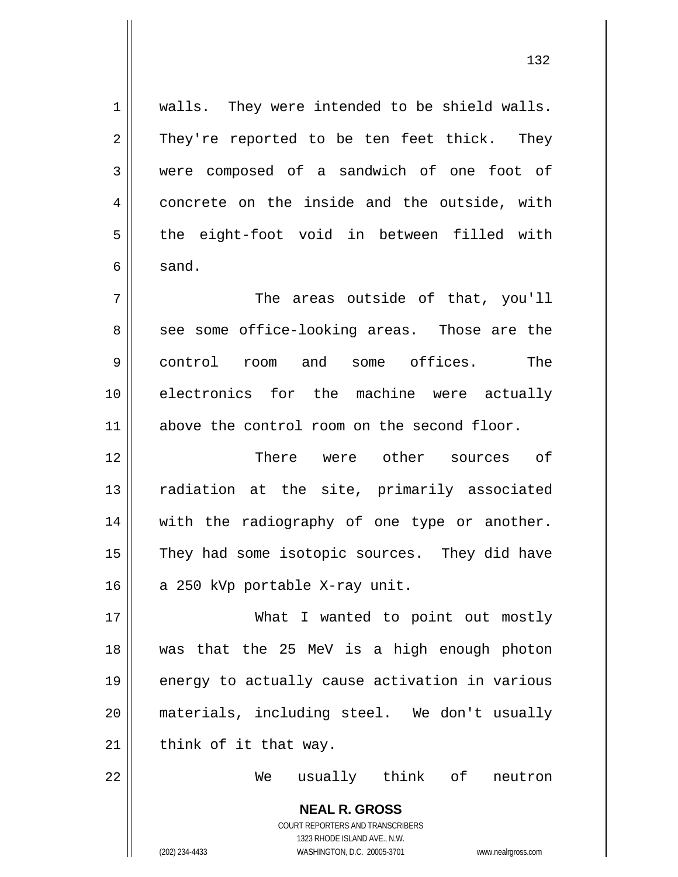walls. They were intended to be shield walls. They're reported to be ten feet thick. They were composed of a sandwich of one foot of concrete on the inside and the outside, with the eight-foot void in between filled with sand. The areas outside of that, you'll see some office-looking areas. Those are the control room and some offices. The

10 11 electronics for the machine were actually above the control room on the second floor.

12 13 14 15 16 There were other sources of radiation at the site, primarily associated with the radiography of one type or another. They had some isotopic sources. They did have a 250 kVp portable X-ray unit.

17 18 19 20 21 What I wanted to point out mostly was that the 25 MeV is a high enough photon energy to actually cause activation in various materials, including steel. We don't usually think of it that way.

22

1

2

3

4

5

6

7

8

9

We usually think of neutron

**NEAL R. GROSS** COURT REPORTERS AND TRANSCRIBERS 1323 RHODE ISLAND AVE., N.W. (202) 234-4433 WASHINGTON, D.C. 20005-3701 www.nealrgross.com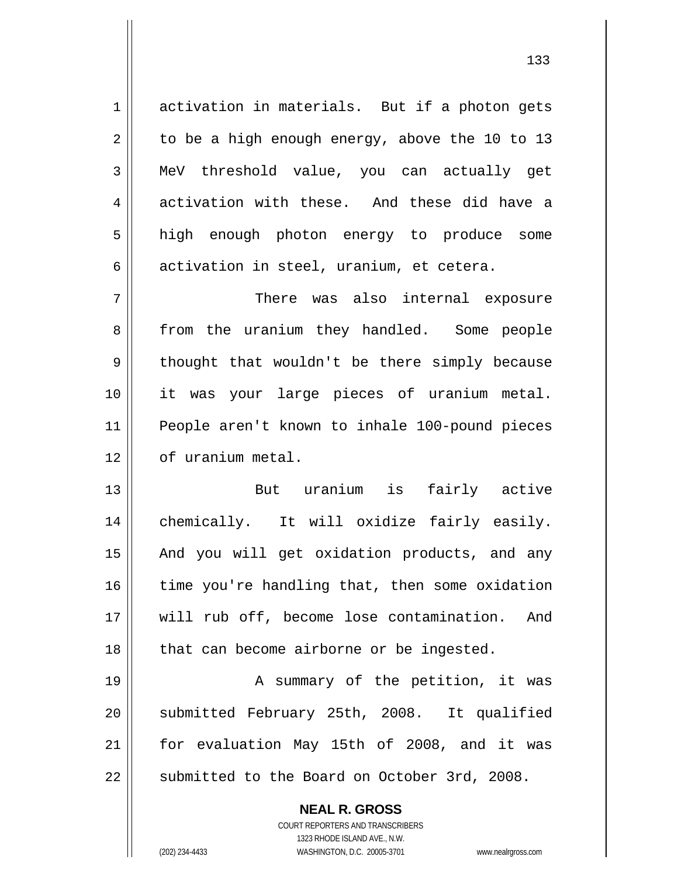activation in materials. But if a photon gets to be a high enough energy, above the 10 to 13 MeV threshold value, you can actually get activation with these. And these did have a high enough photon energy to produce some activation in steel, uranium, et cetera.

7 8 9 10 11 12 There was also internal exposure from the uranium they handled. Some people thought that wouldn't be there simply because it was your large pieces of uranium metal. People aren't known to inhale 100-pound pieces of uranium metal.

13 14 15 16 17 18 But uranium is fairly active chemically. It will oxidize fairly easily. And you will get oxidation products, and any time you're handling that, then some oxidation will rub off, become lose contamination. And that can become airborne or be ingested.

19 20 21 22 A summary of the petition, it was submitted February 25th, 2008. It qualified for evaluation May 15th of 2008, and it was submitted to the Board on October 3rd, 2008.

> **NEAL R. GROSS** COURT REPORTERS AND TRANSCRIBERS 1323 RHODE ISLAND AVE., N.W. (202) 234-4433 WASHINGTON, D.C. 20005-3701 www.nealrgross.com

1

2

3

4

5

6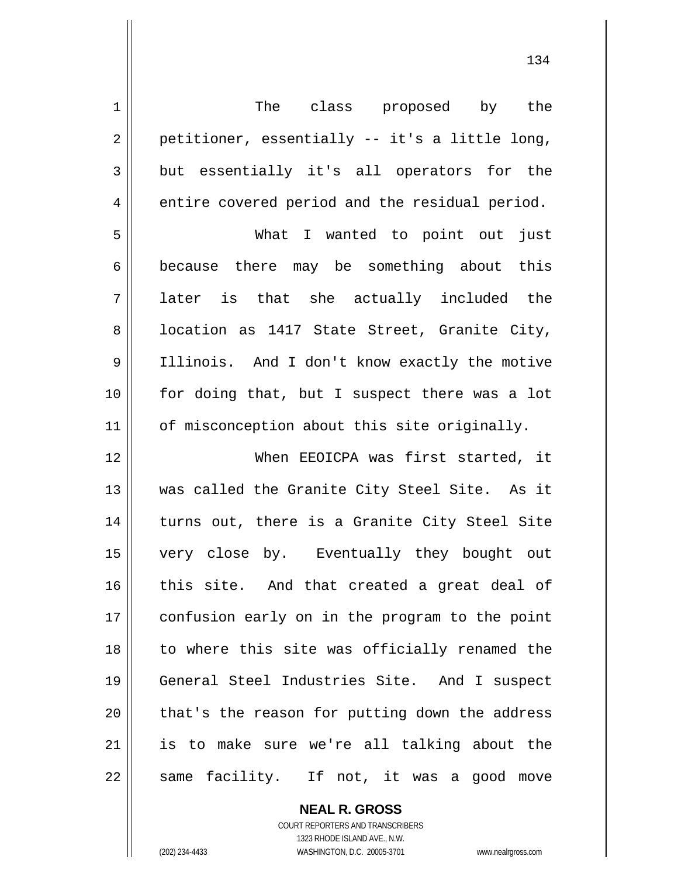| $\mathbf 1$    | The class proposed by the                      |
|----------------|------------------------------------------------|
| $\overline{2}$ | petitioner, essentially -- it's a little long, |
| 3              | but essentially it's all operators for the     |
| 4              | entire covered period and the residual period. |
| 5              | What I wanted to point out just                |
| 6              | because there may be something about this      |
| 7              | later is that she actually included the        |
| 8              | location as 1417 State Street, Granite City,   |
| 9              | Illinois. And I don't know exactly the motive  |
| 10             | for doing that, but I suspect there was a lot  |
| 11             | of misconception about this site originally.   |
| 12             | When EEOICPA was first started, it             |
| 13             | was called the Granite City Steel Site. As it  |
| 14             | turns out, there is a Granite City Steel Site  |
| 15             | very close by. Eventually they bought out      |
| 16             | this site. And that created a great deal of    |
| 17             | confusion early on in the program to the point |
| 18             | to where this site was officially renamed the  |
| 19             | General Steel Industries Site. And I suspect   |
| 20             | that's the reason for putting down the address |
| 21             | is to make sure we're all talking about the    |
| 22             | same facility. If not, it was a good move      |

**NEAL R. GROSS** COURT REPORTERS AND TRANSCRIBERS

1323 RHODE ISLAND AVE., N.W.

(202) 234-4433 WASHINGTON, D.C. 20005-3701 www.nealrgross.com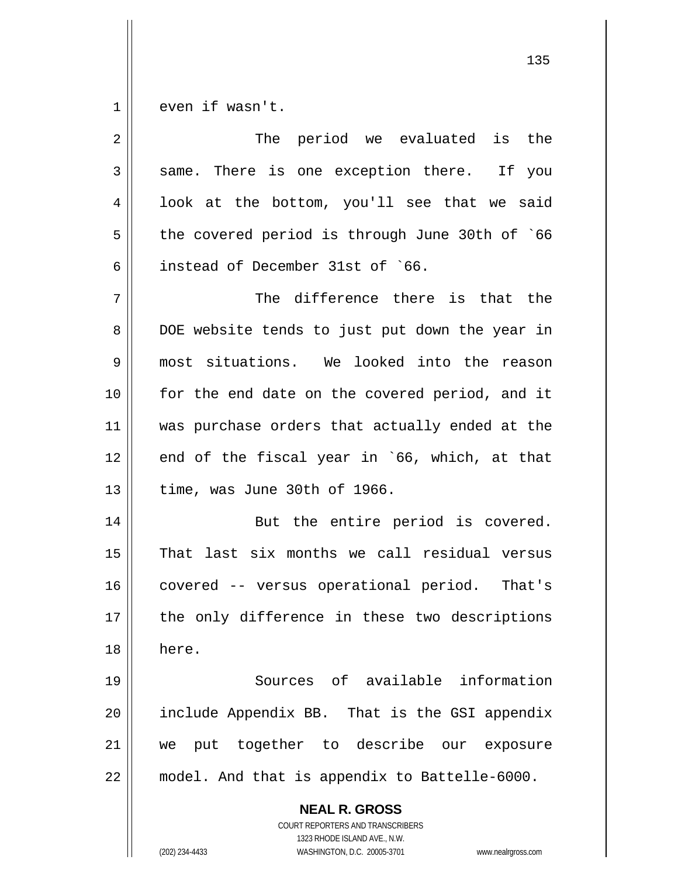1 even if wasn't.

| 2  | The period we evaluated is the                                                                                                                                         |
|----|------------------------------------------------------------------------------------------------------------------------------------------------------------------------|
| 3  | same. There is one exception there. If you                                                                                                                             |
| 4  | look at the bottom, you'll see that we said                                                                                                                            |
| 5  | the covered period is through June 30th of `66                                                                                                                         |
| 6  | instead of December 31st of `66.                                                                                                                                       |
| 7  | The difference there is that the                                                                                                                                       |
| 8  | DOE website tends to just put down the year in                                                                                                                         |
| 9  | most situations. We looked into the reason                                                                                                                             |
| 10 | for the end date on the covered period, and it                                                                                                                         |
| 11 | was purchase orders that actually ended at the                                                                                                                         |
| 12 | end of the fiscal year in `66, which, at that                                                                                                                          |
| 13 | time, was June 30th of 1966.                                                                                                                                           |
| 14 | But the entire period is covered.                                                                                                                                      |
| 15 | That last six months we call residual versus                                                                                                                           |
| 16 | covered -- versus operational period. That's                                                                                                                           |
| 17 | the only difference in these two descriptions                                                                                                                          |
| 18 | here.                                                                                                                                                                  |
| 19 | Sources of available information                                                                                                                                       |
| 20 | include Appendix BB. That is the GSI appendix                                                                                                                          |
| 21 | put together to describe our<br>we<br>exposure                                                                                                                         |
| 22 | model. And that is appendix to Battelle-6000.                                                                                                                          |
|    | <b>NEAL R. GROSS</b><br><b>COURT REPORTERS AND TRANSCRIBERS</b><br>1323 RHODE ISLAND AVE., N.W.<br>WASHINGTON, D.C. 20005-3701<br>(202) 234-4433<br>www.nealrgross.com |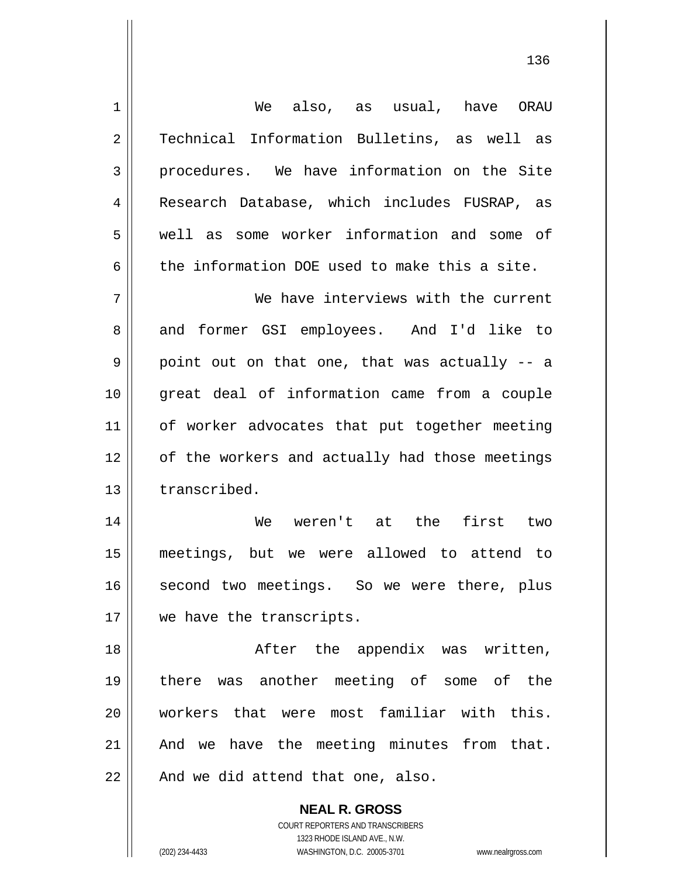| $1\,$          | We also, as usual, have ORAU                   |
|----------------|------------------------------------------------|
| $\overline{2}$ | Technical Information Bulletins, as well as    |
| 3              | procedures. We have information on the Site    |
| $\overline{4}$ | Research Database, which includes FUSRAP, as   |
| 5              | well as some worker information and some of    |
| 6              | the information DOE used to make this a site.  |
| 7              | We have interviews with the current            |
| 8              | and former GSI employees. And I'd like to      |
| 9              | point out on that one, that was actually -- a  |
| 10             | great deal of information came from a couple   |
| 11             | of worker advocates that put together meeting  |
| 12             | of the workers and actually had those meetings |
| 13             | transcribed.                                   |
| 14             | We weren't at the first two                    |
| 15             | meetings, but we were allowed to attend to     |
| 16             | second two meetings. So we were there, plus    |
| 17             | we have the transcripts.                       |
| 18             | After the appendix was written,                |
| 19             | there was another meeting of some of the       |
| 20             | workers that were most familiar with this.     |
| 21             | And we have the meeting minutes from that.     |
| 22             | And we did attend that one, also.              |
|                | <b>NEAL R. GROSS</b>                           |

COURT REPORTERS AND TRANSCRIBERS 1323 RHODE ISLAND AVE., N.W.

 $\mathbf{\mathsf{I}}$ 

(202) 234-4433 WASHINGTON, D.C. 20005-3701 www.nealrgross.com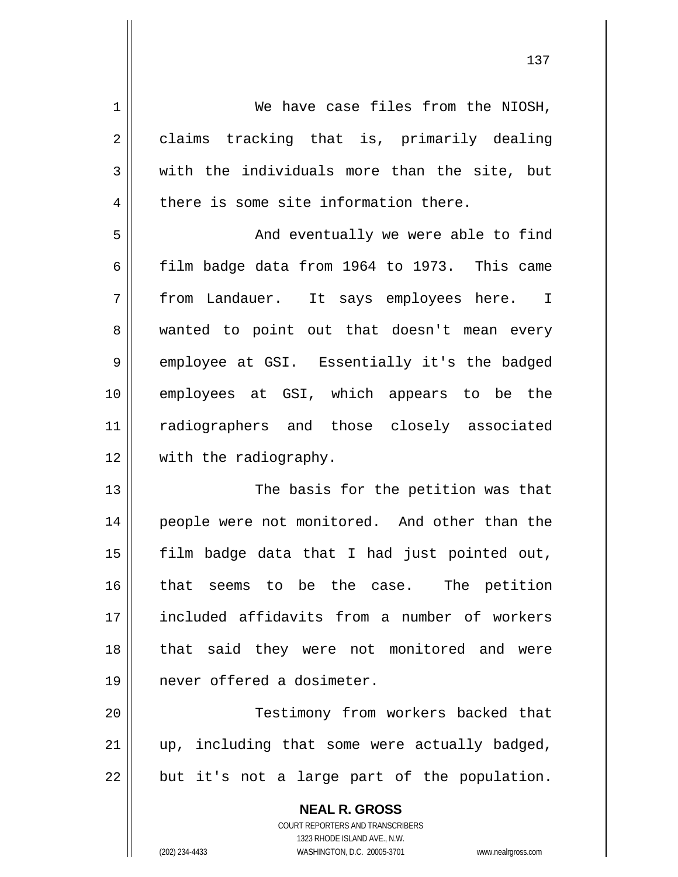1 2 3 4 5 6 7 8 9 10 11 12 13 14 15 16 17 18 19 We have case files from the NIOSH, claims tracking that is, primarily dealing with the individuals more than the site, but there is some site information there. And eventually we were able to find film badge data from 1964 to 1973. This came from Landauer. It says employees here. I wanted to point out that doesn't mean every employee at GSI. Essentially it's the badged employees at GSI, which appears to be the radiographers and those closely associated with the radiography. The basis for the petition was that people were not monitored. And other than the film badge data that I had just pointed out, that seems to be the case. The petition included affidavits from a number of workers that said they were not monitored and were never offered a dosimeter.

20 21 22 Testimony from workers backed that up, including that some were actually badged, but it's not a large part of the population.

> **NEAL R. GROSS** COURT REPORTERS AND TRANSCRIBERS 1323 RHODE ISLAND AVE., N.W. (202) 234-4433 WASHINGTON, D.C. 20005-3701 www.nealrgross.com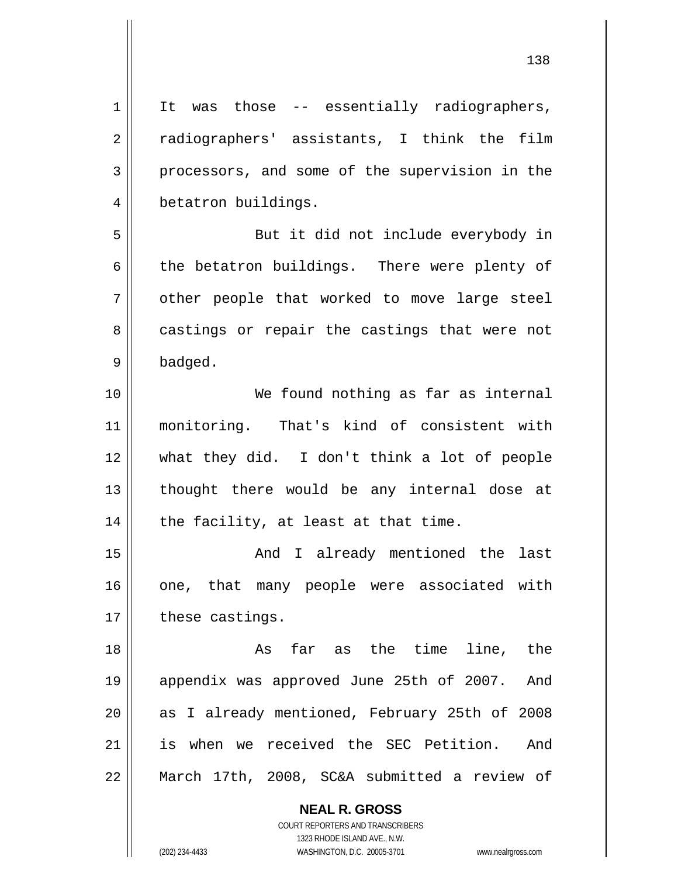1 2 3 4 5 It was those -- essentially radiographers, radiographers' assistants, I think the film processors, and some of the supervision in the betatron buildings. But it did not include everybody in

the betatron buildings. There were plenty of other people that worked to move large steel castings or repair the castings that were not badged.

10 11 12 13 14 We found nothing as far as internal monitoring. That's kind of consistent with what they did. I don't think a lot of people thought there would be any internal dose at the facility, at least at that time.

15 16 17 And I already mentioned the last one, that many people were associated with these castings.

18 19 20 21 22 As far as the time line, the appendix was approved June 25th of 2007. And as I already mentioned, February 25th of 2008 is when we received the SEC Petition. And March 17th, 2008, SC&A submitted a review of

> **NEAL R. GROSS** COURT REPORTERS AND TRANSCRIBERS

6

7

8

9

1323 RHODE ISLAND AVE., N.W. (202) 234-4433 WASHINGTON, D.C. 20005-3701 www.nealrgross.com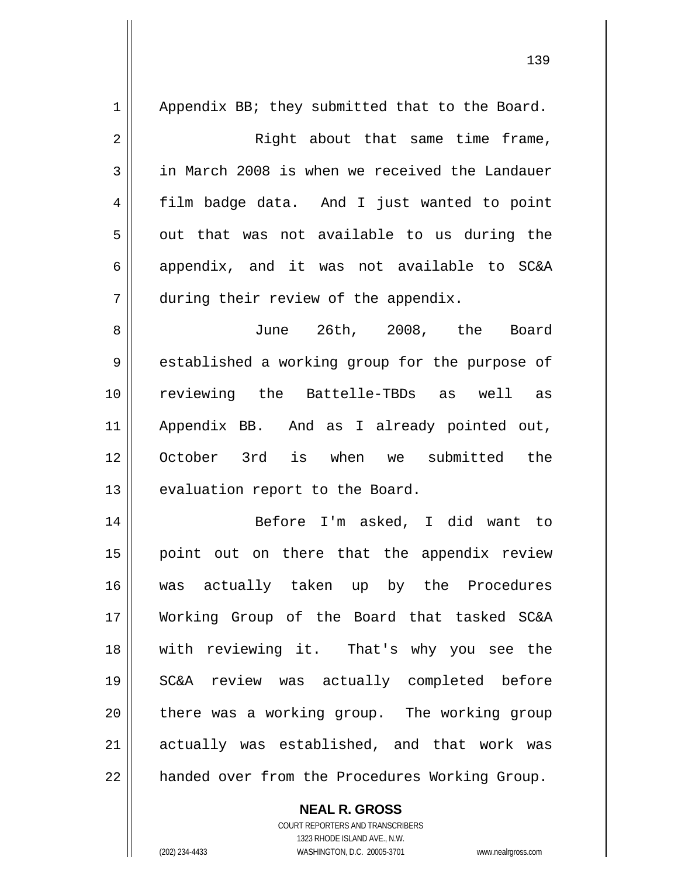| $\mathbf 1$    | Appendix BB; they submitted that to the Board. |
|----------------|------------------------------------------------|
| $\overline{2}$ | Right about that same time frame,              |
| 3              | in March 2008 is when we received the Landauer |
| 4              | film badge data. And I just wanted to point    |
| 5              | out that was not available to us during the    |
| 6              | appendix, and it was not available to SC&A     |
| 7              | during their review of the appendix.           |
| 8              | June 26th, 2008, the Board                     |
| 9              | established a working group for the purpose of |
| 10             | reviewing the Battelle-TBDs as well as         |
| 11             | Appendix BB. And as I already pointed out,     |
| 12             | October 3rd is when we submitted the           |
| 13             | evaluation report to the Board.                |
| 14             | Before I'm asked, I did want to                |
| 15             | point out on there that the appendix review    |
| 16             | was actually taken up by the Procedures        |
| 17             | Working Group of the Board that tasked SC&A    |
| 18             | with reviewing it. That's why you see the      |
| 19             | SC&A review was actually completed before      |
| 20             | there was a working group. The working group   |
| 21             | actually was established, and that work was    |
| 22             | handed over from the Procedures Working Group. |

**NEAL R. GROSS**

 $\mathsf{II}$ 

COURT REPORTERS AND TRANSCRIBERS 1323 RHODE ISLAND AVE., N.W. (202) 234-4433 WASHINGTON, D.C. 20005-3701 www.nealrgross.com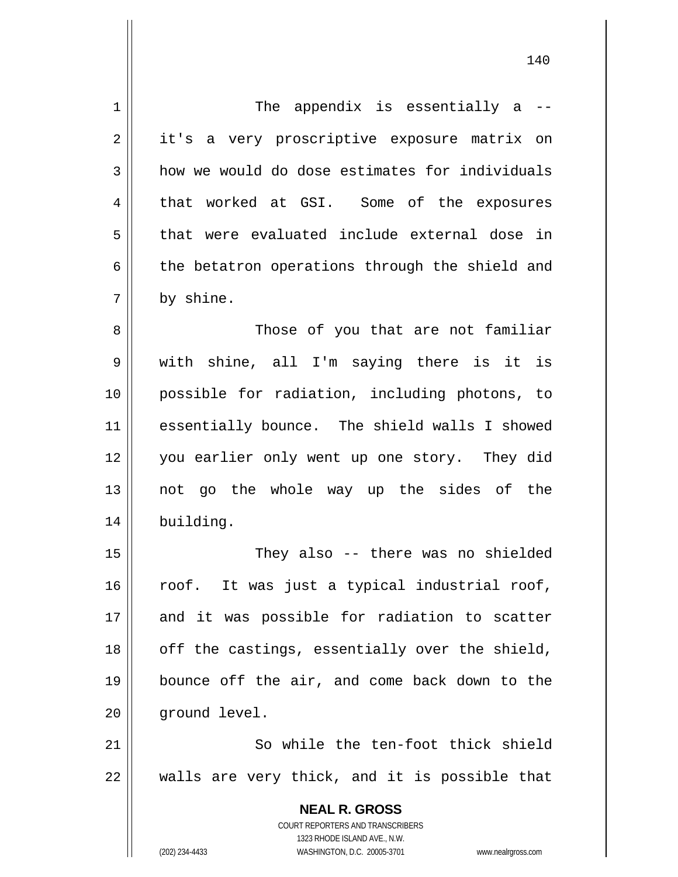| $\mathbf 1$    | The appendix is essentially a --                                                       |
|----------------|----------------------------------------------------------------------------------------|
| 2              | it's a very proscriptive exposure matrix on                                            |
| 3              | how we would do dose estimates for individuals                                         |
| $\overline{4}$ | that worked at GSI. Some of the exposures                                              |
| 5              | that were evaluated include external dose in                                           |
| 6              | the betatron operations through the shield and                                         |
| 7              | by shine.                                                                              |
| 8              | Those of you that are not familiar                                                     |
| 9              | with shine, all I'm saying there is it is                                              |
| 10             | possible for radiation, including photons, to                                          |
| 11             | essentially bounce. The shield walls I showed                                          |
| 12             | you earlier only went up one story. They did                                           |
| 13             | not go the whole way up the sides of the                                               |
| 14             | building.                                                                              |
| 15             | They also -- there was no shielded                                                     |
| 16             | roof. It was just a typical industrial roof,                                           |
| 17             | and it was possible for radiation to scatter                                           |
| 18             | off the castings, essentially over the shield,                                         |
| 19             | bounce off the air, and come back down to the                                          |
| 20             | ground level.                                                                          |
| 21             | So while the ten-foot thick shield                                                     |
| 22             | walls are very thick, and it is possible that                                          |
|                | <b>NEAL R. GROSS</b><br>COURT REPORTERS AND TRANSCRIBERS<br>1323 RHODE ISLAND AVE N.W. |

1323 RHODE ISLAND AVE., N.W.

 $\prod_{i=1}^{n}$ 

(202) 234-4433 WASHINGTON, D.C. 20005-3701 www.nealrgross.com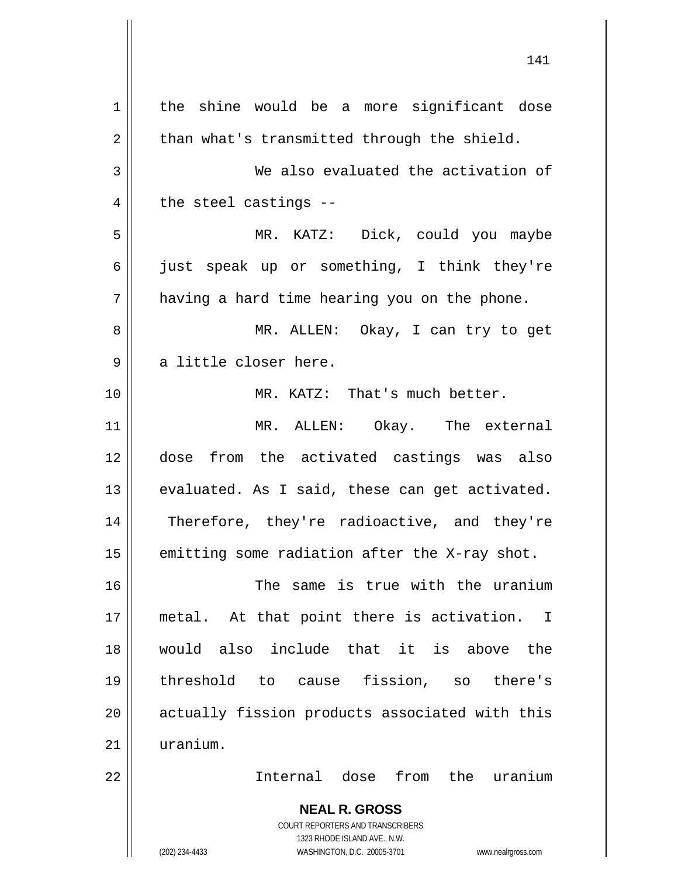**NEAL R. GROSS** COURT REPORTERS AND TRANSCRIBERS 1 2 3 4 5 6 7 8 9 10 11 12 13 14 15 16 17 18 19 20 21 22 the shine would be a more significant dose than what's transmitted through the shield. We also evaluated the activation of the steel castings -- MR. KATZ: Dick, could you maybe just speak up or something, I think they're having a hard time hearing you on the phone. MR. ALLEN: Okay, I can try to get a little closer here. MR. KATZ: That's much better. MR. ALLEN: Okay. The external dose from the activated castings was also evaluated. As I said, these can get activated. Therefore, they're radioactive, and they're emitting some radiation after the X-ray shot. The same is true with the uranium metal. At that point there is activation. I would also include that it is above the threshold to cause fission, so there's actually fission products associated with this uranium. Internal dose from the uranium

141

1323 RHODE ISLAND AVE., N.W.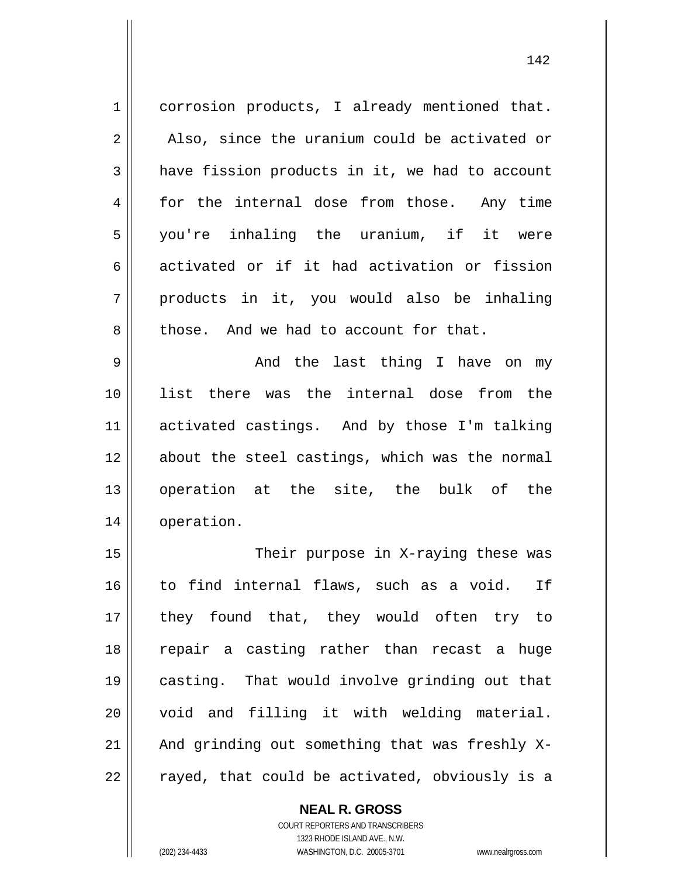1 2 3 4 5 6 7 8 corrosion products, I already mentioned that. Also, since the uranium could be activated or have fission products in it, we had to account for the internal dose from those. Any time you're inhaling the uranium, if it were activated or if it had activation or fission products in it, you would also be inhaling those. And we had to account for that.

9 10 11 12 13 14 And the last thing I have on my list there was the internal dose from the activated castings. And by those I'm talking about the steel castings, which was the normal operation at the site, the bulk of the operation.

15 16 17 18 19 20 21 22 Their purpose in X-raying these was to find internal flaws, such as a void. If they found that, they would often try to repair a casting rather than recast a huge casting. That would involve grinding out that void and filling it with welding material. And grinding out something that was freshly Xrayed, that could be activated, obviously is a

**NEAL R. GROSS**

COURT REPORTERS AND TRANSCRIBERS 1323 RHODE ISLAND AVE., N.W. (202) 234-4433 WASHINGTON, D.C. 20005-3701 www.nealrgross.com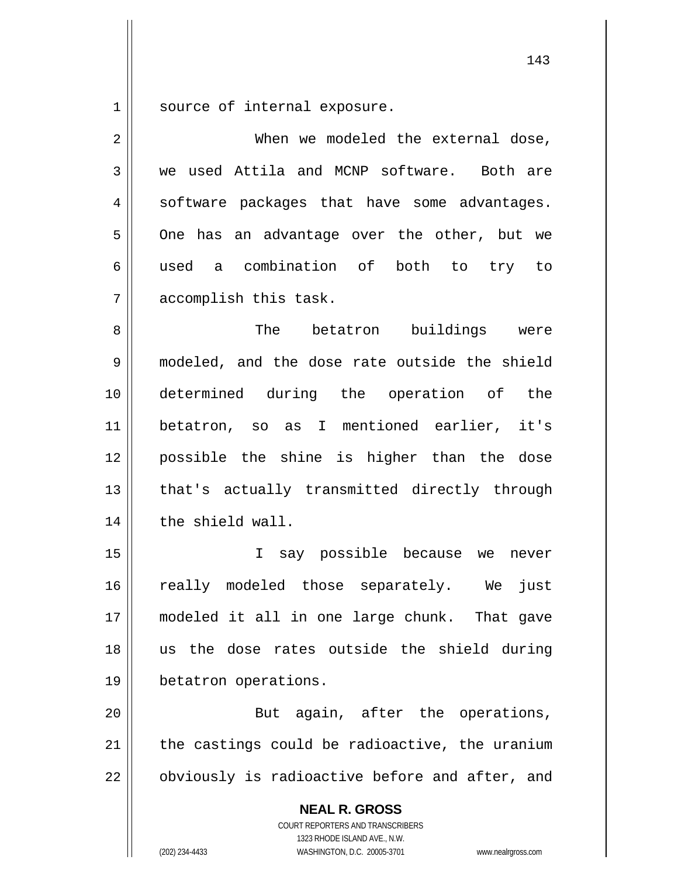1 source of internal exposure.

| $\overline{2}$ | When we modeled the external dose,                                                                                                                              |
|----------------|-----------------------------------------------------------------------------------------------------------------------------------------------------------------|
| 3              | we used Attila and MCNP software. Both are                                                                                                                      |
| 4              | software packages that have some advantages.                                                                                                                    |
| 5              | One has an advantage over the other, but we                                                                                                                     |
| 6              | used a combination of both to try to                                                                                                                            |
| 7              | accomplish this task.                                                                                                                                           |
| 8              | The betatron buildings were                                                                                                                                     |
| 9              | modeled, and the dose rate outside the shield                                                                                                                   |
| 10             | determined during the operation of the                                                                                                                          |
| 11             | betatron, so as I mentioned earlier, it's                                                                                                                       |
| 12             | possible the shine is higher than the dose                                                                                                                      |
| 13             | that's actually transmitted directly through                                                                                                                    |
| 14             | the shield wall.                                                                                                                                                |
| 15             | I say possible because we never                                                                                                                                 |
| 16             | really modeled those separately. We just                                                                                                                        |
| 17             | modeled it all in one large chunk. That gave                                                                                                                    |
| 18             | us the dose rates outside the shield during                                                                                                                     |
| 19             | betatron operations.                                                                                                                                            |
| 20             | But again, after the operations,                                                                                                                                |
| 21             | the castings could be radioactive, the uranium                                                                                                                  |
| 22             | obviously is radioactive before and after, and                                                                                                                  |
|                | <b>NEAL R. GROSS</b><br>COURT REPORTERS AND TRANSCRIBERS<br>1323 RHODE ISLAND AVE., N.W.<br>(202) 234-4433<br>WASHINGTON, D.C. 20005-3701<br>www.nealrgross.com |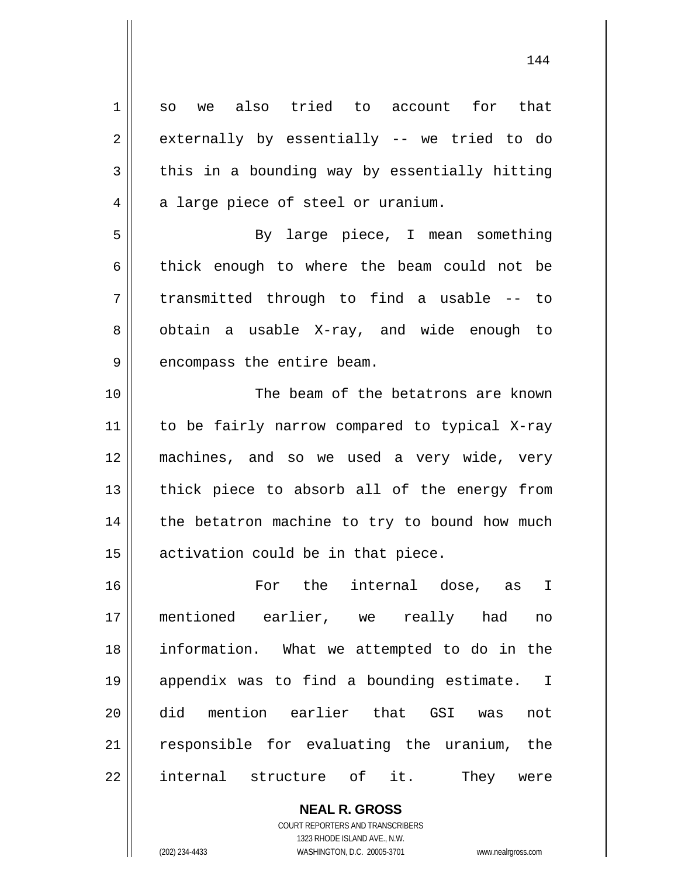1 2 3 4 5 6 7 8 9 10 11 12 13 14 15 16 17 18 19 20 21 22 so we also tried to account for that externally by essentially -- we tried to do this in a bounding way by essentially hitting a large piece of steel or uranium. By large piece, I mean something thick enough to where the beam could not be transmitted through to find a usable -- to obtain a usable X-ray, and wide enough to encompass the entire beam. The beam of the betatrons are known to be fairly narrow compared to typical X-ray machines, and so we used a very wide, very thick piece to absorb all of the energy from the betatron machine to try to bound how much activation could be in that piece. For the internal dose, as I mentioned earlier, we really had no information. What we attempted to do in the appendix was to find a bounding estimate. I did mention earlier that GSI was not responsible for evaluating the uranium, the internal structure of it. They were

> **NEAL R. GROSS** COURT REPORTERS AND TRANSCRIBERS

> > 1323 RHODE ISLAND AVE., N.W.

(202) 234-4433 WASHINGTON, D.C. 20005-3701 www.nealrgross.com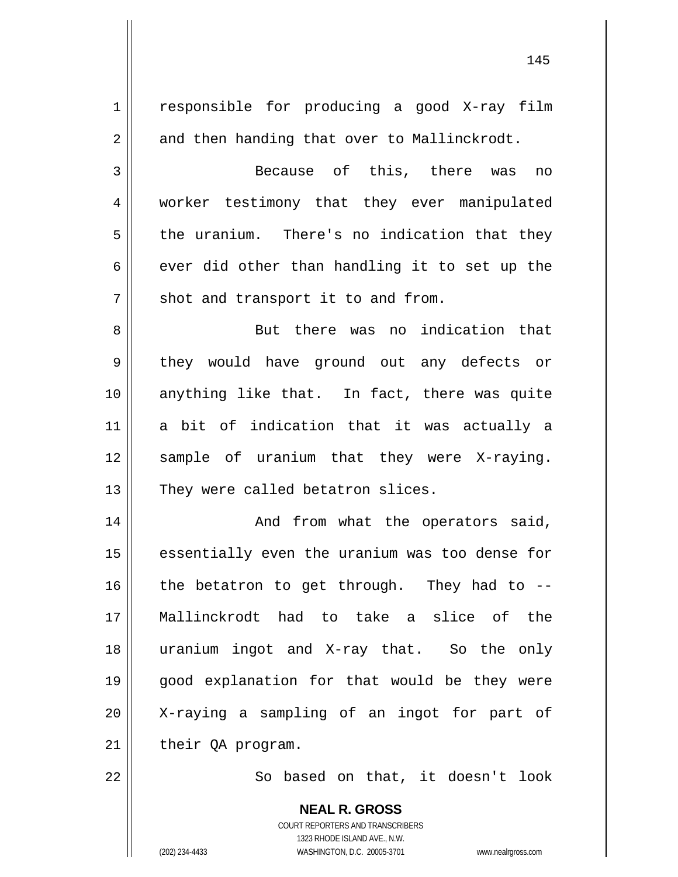|             | <b>NEAL R. GROSS</b>                           |
|-------------|------------------------------------------------|
| 22          | So based on that, it doesn't look              |
| 21          | their QA program.                              |
| 20          | X-raying a sampling of an ingot for part of    |
| 19          | good explanation for that would be they were   |
| 18          | uranium ingot and X-ray that. So the only      |
| 17          | Mallinckrodt had to take a slice of the        |
| 16          | the betatron to get through. They had to --    |
| 15          | essentially even the uranium was too dense for |
| 14          | And from what the operators said,              |
| 13          | They were called betatron slices.              |
| 12          | sample of uranium that they were X-raying.     |
| 11          | a bit of indication that it was actually a     |
| 10          | anything like that. In fact, there was quite   |
| 9           | they would have ground out any defects or      |
| 8           | But there was no indication that               |
| 7           | shot and transport it to and from.             |
| 6           | ever did other than handling it to set up the  |
| 5           | the uranium. There's no indication that they   |
| 4           | worker testimony that they ever manipulated    |
| 3           | Because of this, there was<br>no               |
| 2           | and then handing that over to Mallinckrodt.    |
|             | responsible for producing a good X-ray film    |
| $\mathbf 1$ |                                                |

COURT REPORTERS AND TRANSCRIBERS 1323 RHODE ISLAND AVE., N.W.

 $\prod$ 

(202) 234-4433 WASHINGTON, D.C. 20005-3701 www.nealrgross.com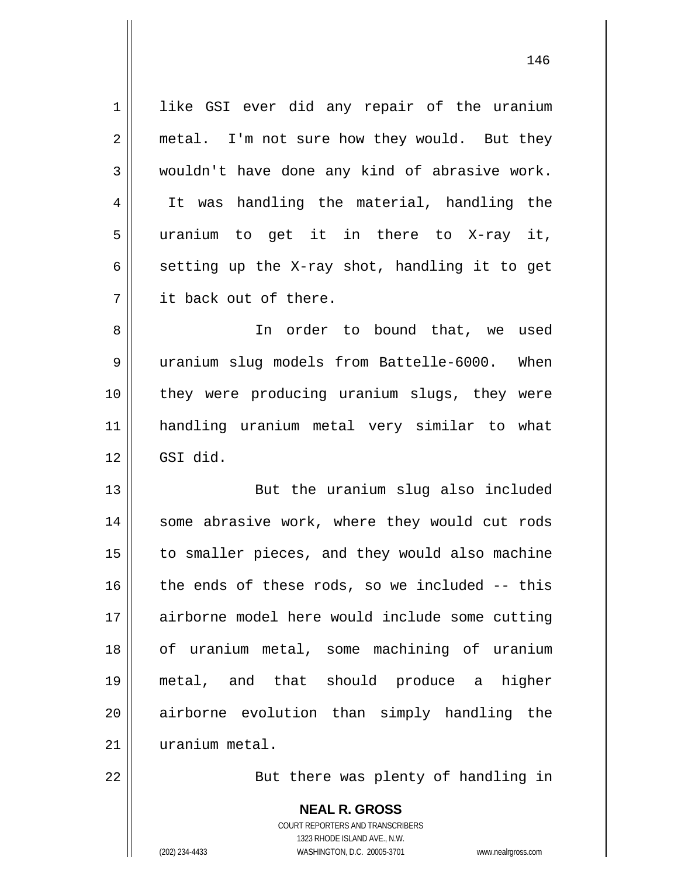1 2 3 4 5 6 7 8 9 10 11 12 13 14 15 16 17 18 19 20 21 like GSI ever did any repair of the uranium metal. I'm not sure how they would. But they wouldn't have done any kind of abrasive work. It was handling the material, handling the uranium to get it in there to X-ray it, setting up the X-ray shot, handling it to get it back out of there. In order to bound that, we used uranium slug models from Battelle-6000. When they were producing uranium slugs, they were handling uranium metal very similar to what GSI did. But the uranium slug also included some abrasive work, where they would cut rods to smaller pieces, and they would also machine the ends of these rods, so we included -- this airborne model here would include some cutting of uranium metal, some machining of uranium metal, and that should produce a higher airborne evolution than simply handling the uranium metal.

146

22

But there was plenty of handling in

**NEAL R. GROSS** COURT REPORTERS AND TRANSCRIBERS 1323 RHODE ISLAND AVE., N.W. (202) 234-4433 WASHINGTON, D.C. 20005-3701 www.nealrgross.com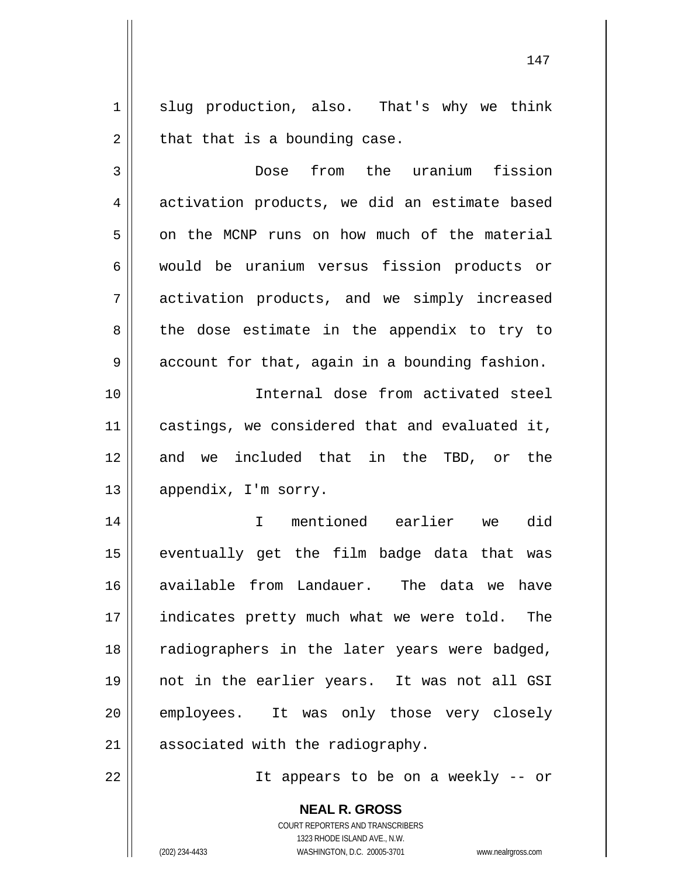1 2 slug production, also. That's why we think that that is a bounding case.

3 4 5 6 7 8 9 Dose from the uranium fission activation products, we did an estimate based on the MCNP runs on how much of the material would be uranium versus fission products or activation products, and we simply increased the dose estimate in the appendix to try to account for that, again in a bounding fashion.

 Internal dose from activated steel castings, we considered that and evaluated it, and we included that in the TBD, or the appendix, I'm sorry.

14 15 16 17 18 19 20 21 I mentioned earlier we did eventually get the film badge data that was available from Landauer. The data we have indicates pretty much what we were told. The radiographers in the later years were badged, not in the earlier years. It was not all GSI employees. It was only those very closely associated with the radiography.

22

10

11

12

13

It appears to be on a weekly -- or

COURT REPORTERS AND TRANSCRIBERS 1323 RHODE ISLAND AVE., N.W. (202) 234-4433 WASHINGTON, D.C. 20005-3701 www.nealrgross.com

**NEAL R. GROSS**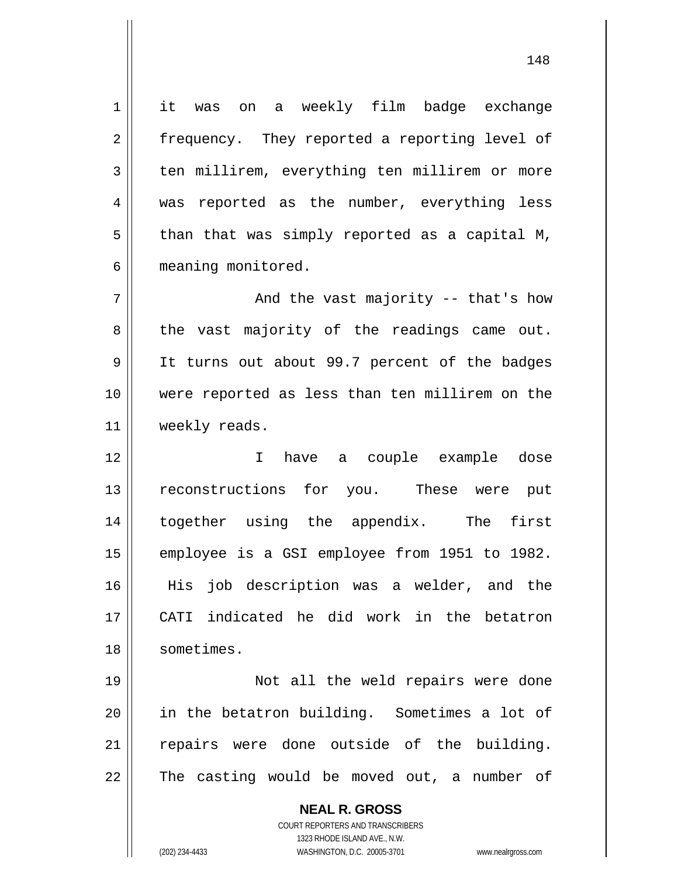1 4 it was on a weekly film badge exchange frequency. They reported a reporting level of ten millirem, everything ten millirem or more was reported as the number, everything less than that was simply reported as a capital M, meaning monitored.

7 8 9 10 11 And the vast majority -- that's how the vast majority of the readings came out. It turns out about 99.7 percent of the badges were reported as less than ten millirem on the weekly reads.

12 13 14 15 16 17 18 I have a couple example dose reconstructions for you. These were put together using the appendix. The first employee is a GSI employee from 1951 to 1982. His job description was a welder, and the CATI indicated he did work in the betatron sometimes.

19 20 21 22 Not all the weld repairs were done in the betatron building. Sometimes a lot of repairs were done outside of the building. The casting would be moved out, a number of

> **NEAL R. GROSS** COURT REPORTERS AND TRANSCRIBERS 1323 RHODE ISLAND AVE., N.W. (202) 234-4433 WASHINGTON, D.C. 20005-3701 www.nealrgross.com

2

3

5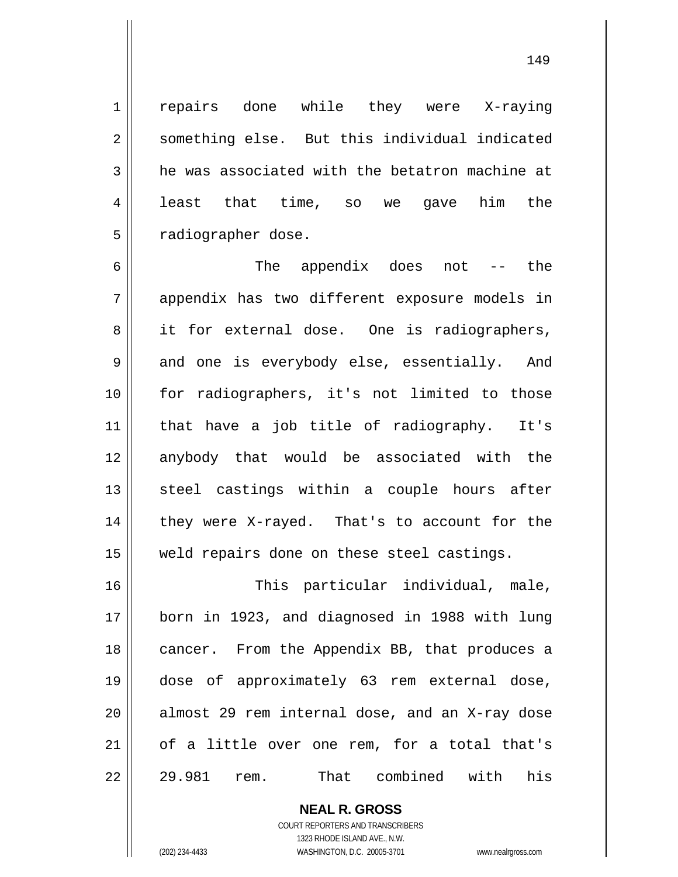repairs done while they were X-raying something else. But this individual indicated he was associated with the betatron machine at least that time, so we gave him the radiographer dose.

6 7 8 9 10 11 12 13 14 15 The appendix does not -- the appendix has two different exposure models in it for external dose. One is radiographers, and one is everybody else, essentially. And for radiographers, it's not limited to those that have a job title of radiography. It's anybody that would be associated with the steel castings within a couple hours after they were X-rayed. That's to account for the weld repairs done on these steel castings.

16 17 18 19 20 21 22 This particular individual, male, born in 1923, and diagnosed in 1988 with lung cancer. From the Appendix BB, that produces a dose of approximately 63 rem external dose, almost 29 rem internal dose, and an X-ray dose of a little over one rem, for a total that's 29.981 rem. That combined with his

> **NEAL R. GROSS** COURT REPORTERS AND TRANSCRIBERS 1323 RHODE ISLAND AVE., N.W. (202) 234-4433 WASHINGTON, D.C. 20005-3701 www.nealrgross.com

1

2

3

4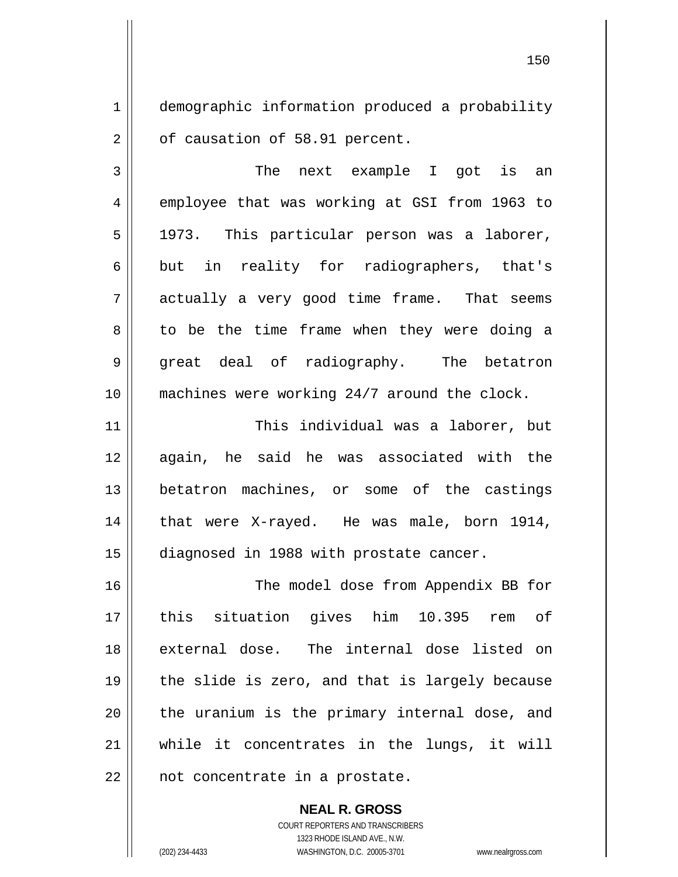1 2 demographic information produced a probability of causation of 58.91 percent.

3 4 5 6 7 8 9 10 The next example I got is an employee that was working at GSI from 1963 to 1973. This particular person was a laborer, but in reality for radiographers, that's actually a very good time frame. That seems to be the time frame when they were doing a great deal of radiography. The betatron machines were working 24/7 around the clock.

11 12 13 14 15 This individual was a laborer, but again, he said he was associated with the betatron machines, or some of the castings that were X-rayed. He was male, born 1914, diagnosed in 1988 with prostate cancer.

16 17 18 19 20 21 22 The model dose from Appendix BB for this situation gives him 10.395 rem of external dose. The internal dose listed on the slide is zero, and that is largely because the uranium is the primary internal dose, and while it concentrates in the lungs, it will not concentrate in a prostate.

> **NEAL R. GROSS** COURT REPORTERS AND TRANSCRIBERS 1323 RHODE ISLAND AVE., N.W. (202) 234-4433 WASHINGTON, D.C. 20005-3701 www.nealrgross.com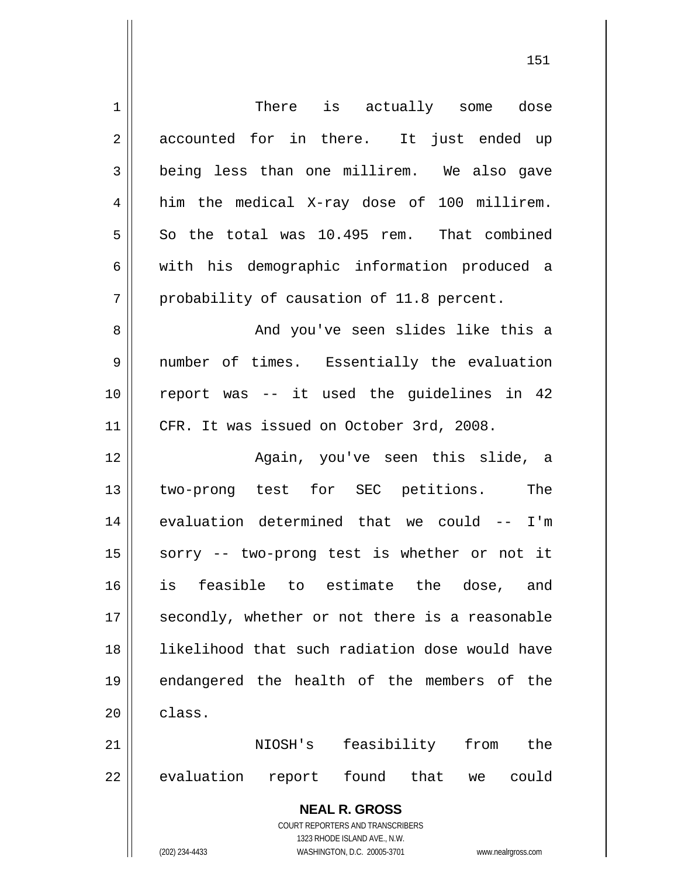| 1              | There is actually some dose                                         |
|----------------|---------------------------------------------------------------------|
| $\overline{2}$ | accounted for in there. It just ended up                            |
| 3              | being less than one millirem. We also gave                          |
| 4              | him the medical X-ray dose of 100 millirem.                         |
| 5              | So the total was 10.495 rem. That combined                          |
| 6              | with his demographic information produced a                         |
| 7              | probability of causation of 11.8 percent.                           |
| 8              | And you've seen slides like this a                                  |
| 9              | number of times. Essentially the evaluation                         |
| 10             | report was -- it used the guidelines in 42                          |
| 11             | CFR. It was issued on October 3rd, 2008.                            |
| 12             | Again, you've seen this slide, a                                    |
| 13             | two-prong test for SEC petitions. The                               |
| 14             | evaluation determined that we could -- I'm                          |
| 15             | sorry -- two-prong test is whether or not it                        |
| 16             | to estimate<br>feasible<br>the<br>dose,<br>is<br>and                |
| 17             | secondly, whether or not there is a reasonable                      |
| 18             | likelihood that such radiation dose would have                      |
| 19             | endangered the health of the members of the                         |
| 20             | class.                                                              |
| 21             | feasibility from<br>NIOSH's<br>the                                  |
| 22             | evaluation<br>found<br>that<br>report<br>could<br>we                |
|                | <b>NEAL R. GROSS</b>                                                |
|                | <b>COURT REPORTERS AND TRANSCRIBERS</b>                             |
|                | 1323 RHODE ISLAND AVE., N.W.                                        |
|                | (202) 234-4433<br>WASHINGTON, D.C. 20005-3701<br>www.nealrgross.com |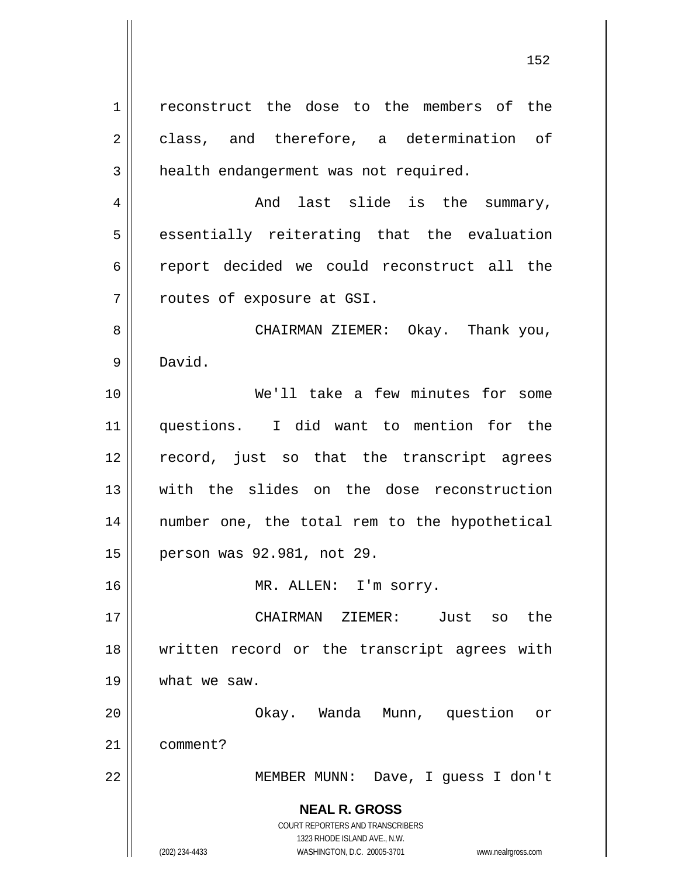**NEAL R. GROSS** COURT REPORTERS AND TRANSCRIBERS 1323 RHODE ISLAND AVE., N.W. (202) 234-4433 WASHINGTON, D.C. 20005-3701 www.nealrgross.com 1 2 3 4 5 6 7 8 9 10 11 12 13 14 15 16 17 18 19 20 21 22 reconstruct the dose to the members of the class, and therefore, a determination of health endangerment was not required. And last slide is the summary, essentially reiterating that the evaluation report decided we could reconstruct all the routes of exposure at GSI. CHAIRMAN ZIEMER: Okay. Thank you, David. We'll take a few minutes for some questions. I did want to mention for the record, just so that the transcript agrees with the slides on the dose reconstruction number one, the total rem to the hypothetical person was 92.981, not 29. MR. ALLEN: I'm sorry. CHAIRMAN ZIEMER: Just so the written record or the transcript agrees with what we saw. Okay. Wanda Munn, question or comment? MEMBER MUNN: Dave, I guess I don't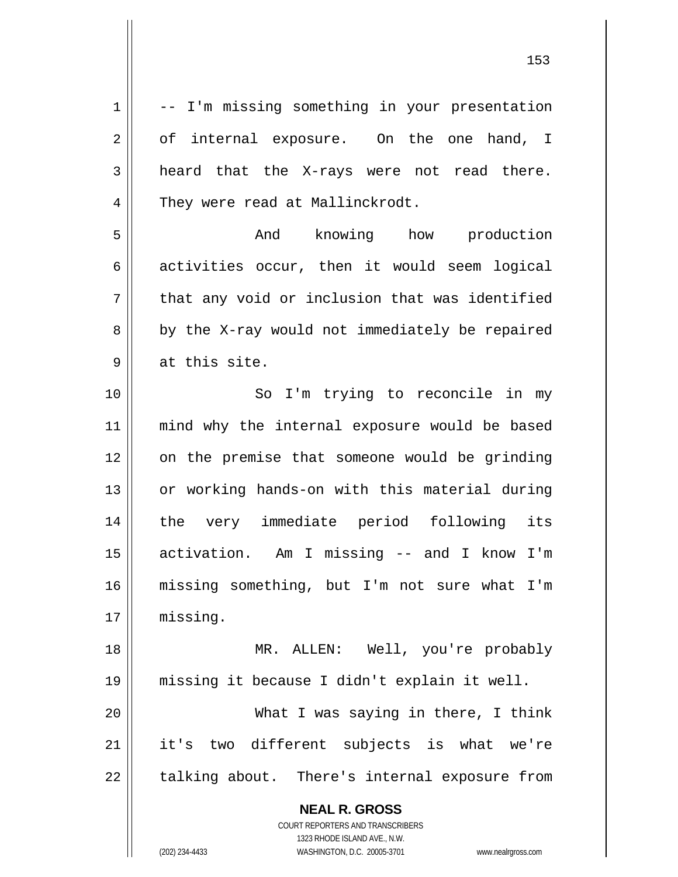**NEAL R. GROSS** 1 2 3 4 5 6 7 8 9 10 11 12 13 14 15 16 17 18 19 20 21 22 -- I'm missing something in your presentation of internal exposure. On the one hand, I heard that the X-rays were not read there. They were read at Mallinckrodt. And knowing how production activities occur, then it would seem logical that any void or inclusion that was identified by the X-ray would not immediately be repaired at this site. So I'm trying to reconcile in my mind why the internal exposure would be based on the premise that someone would be grinding or working hands-on with this material during the very immediate period following its activation. Am I missing -- and I know I'm missing something, but I'm not sure what I'm missing. MR. ALLEN: Well, you're probably missing it because I didn't explain it well. What I was saying in there, I think it's two different subjects is what we're talking about. There's internal exposure from

> COURT REPORTERS AND TRANSCRIBERS 1323 RHODE ISLAND AVE., N.W.

(202) 234-4433 WASHINGTON, D.C. 20005-3701 www.nealrgross.com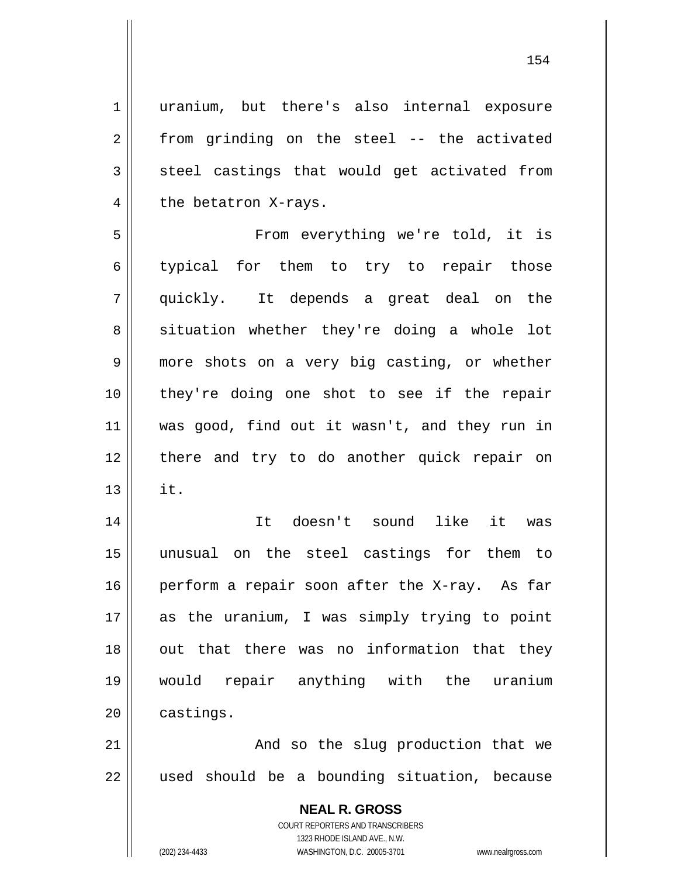uranium, but there's also internal exposure from grinding on the steel -- the activated steel castings that would get activated from the betatron X-rays.

5 6 7 8 9 10 11 12 13 From everything we're told, it is typical for them to try to repair those quickly. It depends a great deal on the situation whether they're doing a whole lot more shots on a very big casting, or whether they're doing one shot to see if the repair was good, find out it wasn't, and they run in there and try to do another quick repair on it.

14 15 16 17 18 19 20 It doesn't sound like it was unusual on the steel castings for them to perform a repair soon after the X-ray. As far as the uranium, I was simply trying to point out that there was no information that they would repair anything with the uranium castings.

21 22 And so the slug production that we used should be a bounding situation, because

> **NEAL R. GROSS** COURT REPORTERS AND TRANSCRIBERS 1323 RHODE ISLAND AVE., N.W. (202) 234-4433 WASHINGTON, D.C. 20005-3701 www.nealrgross.com

1

2

3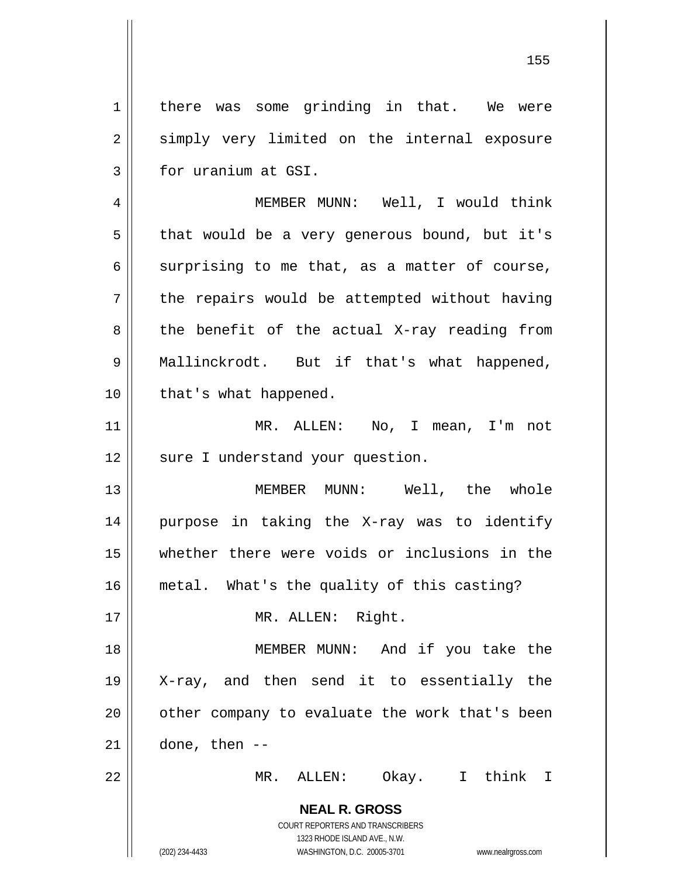1 2 3 there was some grinding in that. We were simply very limited on the internal exposure for uranium at GSI.

4 5 6 7 8 9 10 MEMBER MUNN: Well, I would think that would be a very generous bound, but it's surprising to me that, as a matter of course, the repairs would be attempted without having the benefit of the actual X-ray reading from Mallinckrodt. But if that's what happened, that's what happened.

11 12 MR. ALLEN: No, I mean, I'm not sure I understand your question.

13 14 15 16 MEMBER MUNN: Well, the whole purpose in taking the X-ray was to identify whether there were voids or inclusions in the metal. What's the quality of this casting?

MR. ALLEN: Right.

18 19 20 21 MEMBER MUNN: And if you take the X-ray, and then send it to essentially the other company to evaluate the work that's been done, then --

MR. ALLEN: Okay. I think I

**NEAL R. GROSS** COURT REPORTERS AND TRANSCRIBERS 1323 RHODE ISLAND AVE., N.W.

17

22

(202) 234-4433 WASHINGTON, D.C. 20005-3701 www.nealrgross.com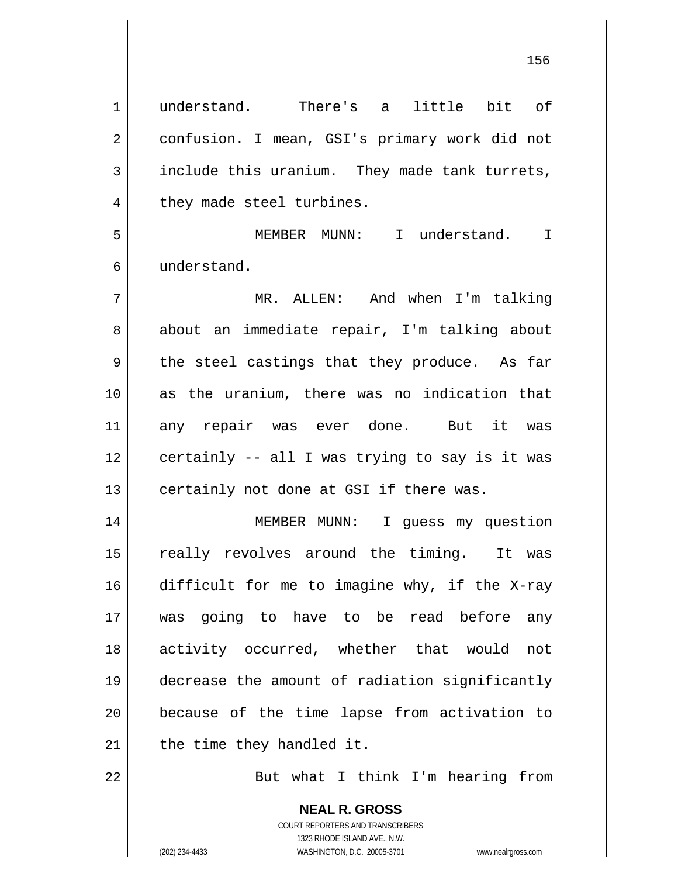1 2 3 4 5 6 7 8 9 10 11 12 13 14 15 16 17 18 19 20 21 22 understand. There's a little bit of confusion. I mean, GSI's primary work did not include this uranium. They made tank turrets, they made steel turbines. MEMBER MUNN: I understand. I understand. MR. ALLEN: And when I'm talking about an immediate repair, I'm talking about the steel castings that they produce. As far as the uranium, there was no indication that any repair was ever done. But it was certainly -- all I was trying to say is it was certainly not done at GSI if there was. MEMBER MUNN: I guess my question really revolves around the timing. It was difficult for me to imagine why, if the X-ray was going to have to be read before any activity occurred, whether that would not decrease the amount of radiation significantly because of the time lapse from activation to the time they handled it. But what I think I'm hearing from

> **NEAL R. GROSS** COURT REPORTERS AND TRANSCRIBERS 1323 RHODE ISLAND AVE., N.W. (202) 234-4433 WASHINGTON, D.C. 20005-3701 www.nealrgross.com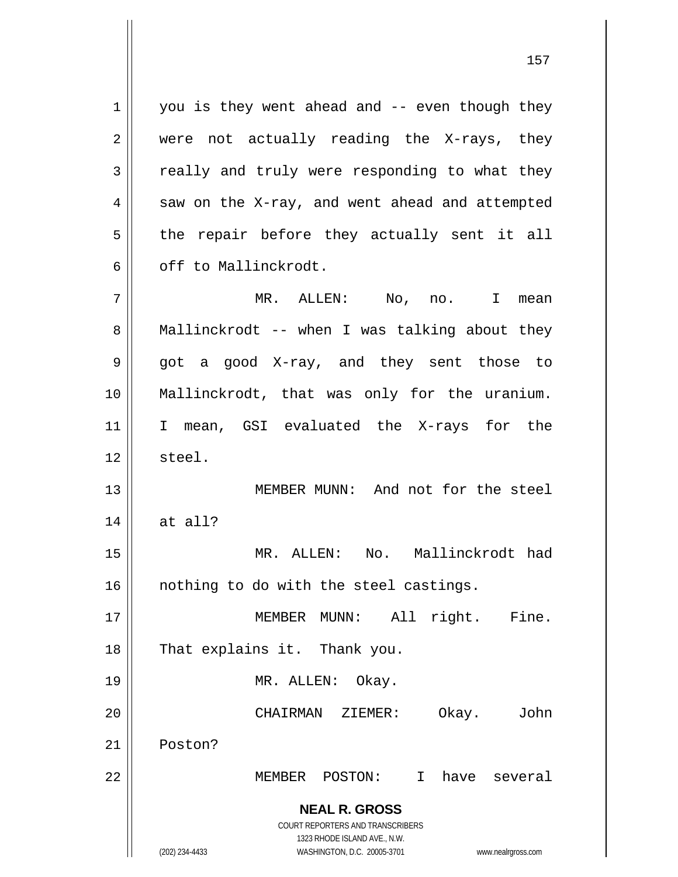**NEAL R. GROSS** COURT REPORTERS AND TRANSCRIBERS 1323 RHODE ISLAND AVE., N.W. (202) 234-4433 WASHINGTON, D.C. 20005-3701 www.nealrgross.com 1 2 3 4 5 6 7 8 9 10 11 12 13 14 15 16 17 18 19 20 21 22 you is they went ahead and -- even though they were not actually reading the X-rays, they really and truly were responding to what they saw on the X-ray, and went ahead and attempted the repair before they actually sent it all off to Mallinckrodt. MR. ALLEN: No, no. I mean Mallinckrodt -- when I was talking about they got a good X-ray, and they sent those to Mallinckrodt, that was only for the uranium. I mean, GSI evaluated the X-rays for the steel. MEMBER MUNN: And not for the steel at all? MR. ALLEN: No. Mallinckrodt had nothing to do with the steel castings. MEMBER MUNN: All right. Fine. That explains it. Thank you. MR. ALLEN: Okay. CHAIRMAN ZIEMER: Okay. John Poston? MEMBER POSTON: I have several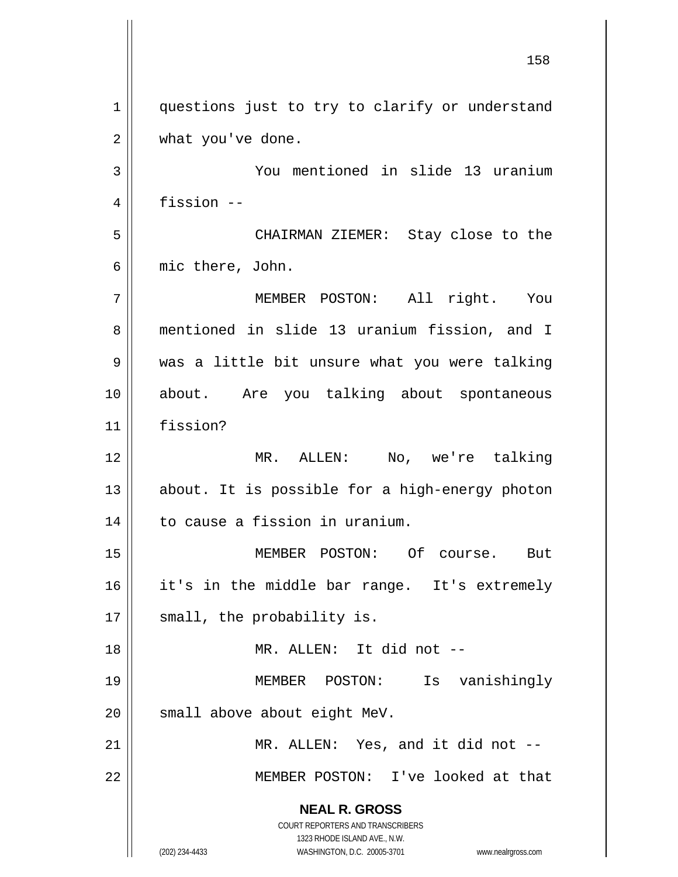**NEAL R. GROSS** COURT REPORTERS AND TRANSCRIBERS 1323 RHODE ISLAND AVE., N.W. (202) 234-4433 WASHINGTON, D.C. 20005-3701 www.nealrgross.com 158 1 2 3 4 5 6 7 8 9 10 11 12 13 14 15 16 17 18 19 20 21 22 questions just to try to clarify or understand what you've done. You mentioned in slide 13 uranium fission -- CHAIRMAN ZIEMER: Stay close to the mic there, John. MEMBER POSTON: All right. You mentioned in slide 13 uranium fission, and I was a little bit unsure what you were talking about. Are you talking about spontaneous fission? MR. ALLEN: No, we're talking about. It is possible for a high-energy photon to cause a fission in uranium. MEMBER POSTON: Of course. But it's in the middle bar range. It's extremely small, the probability is. MR. ALLEN: It did not -- MEMBER POSTON: Is vanishingly small above about eight MeV. MR. ALLEN: Yes, and it did not -- MEMBER POSTON: I've looked at that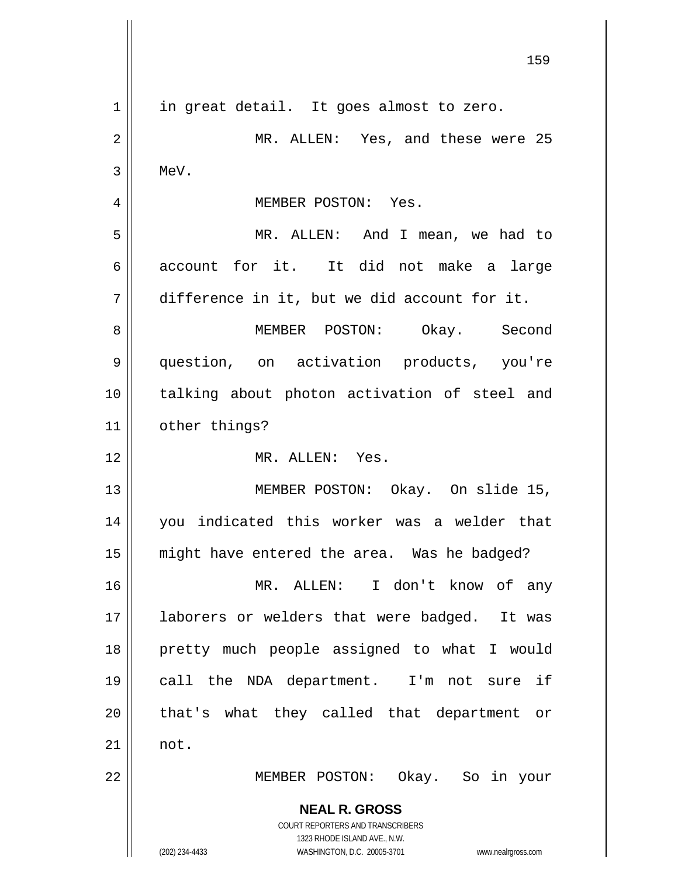**NEAL R. GROSS** COURT REPORTERS AND TRANSCRIBERS 1323 RHODE ISLAND AVE., N.W. (202) 234-4433 WASHINGTON, D.C. 20005-3701 www.nealrgross.com 159 1 2 3 4 5 6 7 8 9 10 11 12 13 14 15 16 17 18 19 20 21 22 in great detail. It goes almost to zero. MR. ALLEN: Yes, and these were 25 MeV. MEMBER POSTON: Yes. MR. ALLEN: And I mean, we had to account for it. It did not make a large difference in it, but we did account for it. MEMBER POSTON: Okay. Second question, on activation products, you're talking about photon activation of steel and other things? MR. ALLEN: Yes. MEMBER POSTON: Okay. On slide 15, you indicated this worker was a welder that might have entered the area. Was he badged? MR. ALLEN: I don't know of any laborers or welders that were badged. It was pretty much people assigned to what I would call the NDA department. I'm not sure if that's what they called that department or not. MEMBER POSTON: Okay. So in your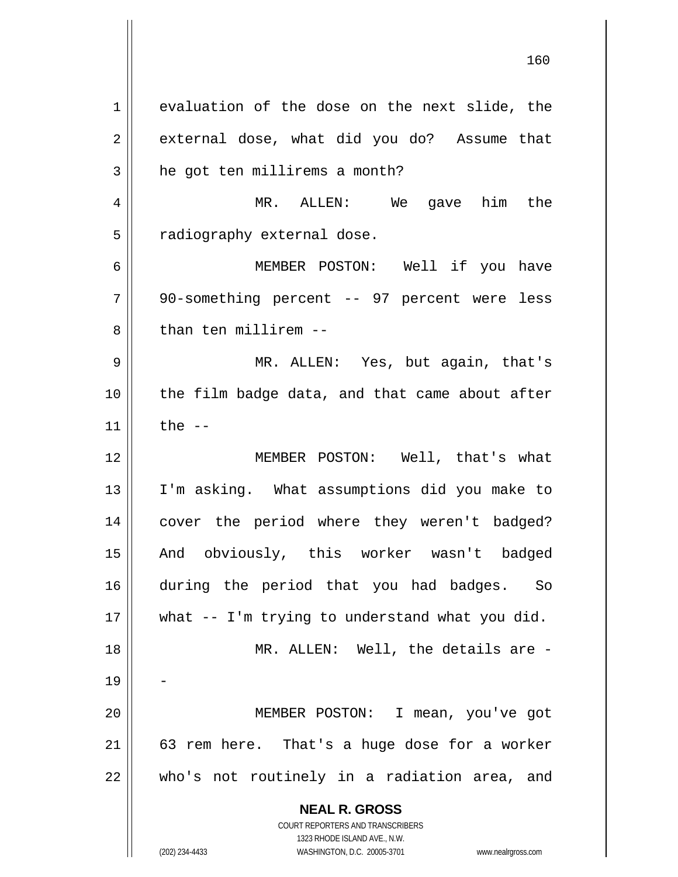**NEAL R. GROSS** COURT REPORTERS AND TRANSCRIBERS 1323 RHODE ISLAND AVE., N.W. 1 2 3 4 5 6 7 8 9 10 11 12 13 14 15 16 17 18 19 20 21 22 evaluation of the dose on the next slide, the external dose, what did you do? Assume that he got ten millirems a month? MR. ALLEN: We gave him the radiography external dose. MEMBER POSTON: Well if you have 90-something percent -- 97 percent were less than ten millirem -- MR. ALLEN: Yes, but again, that's the film badge data, and that came about after the  $--$  MEMBER POSTON: Well, that's what I'm asking. What assumptions did you make to cover the period where they weren't badged? And obviously, this worker wasn't badged during the period that you had badges. So what -- I'm trying to understand what you did. MR. ALLEN: Well, the details are -- MEMBER POSTON: I mean, you've got 63 rem here. That's a huge dose for a worker who's not routinely in a radiation area, and

160

(202) 234-4433 WASHINGTON, D.C. 20005-3701 www.nealrgross.com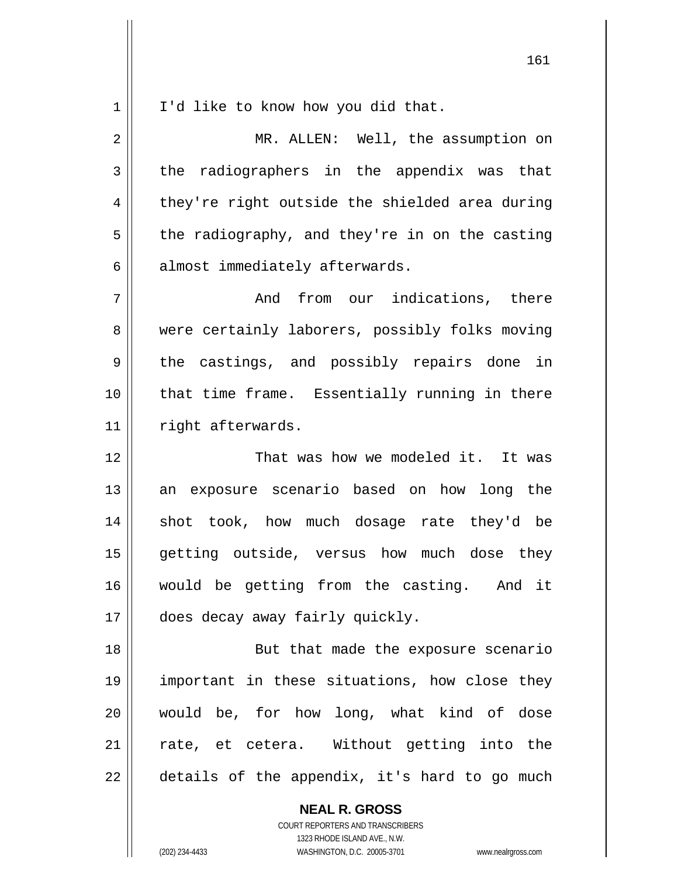1 I'd like to know how you did that.

2 3 4 5 6 7 8 9 10 11 12 13 14 15 16 17 18 19 MR. ALLEN: Well, the assumption on the radiographers in the appendix was that they're right outside the shielded area during the radiography, and they're in on the casting almost immediately afterwards. And from our indications, there were certainly laborers, possibly folks moving the castings, and possibly repairs done in that time frame. Essentially running in there right afterwards. That was how we modeled it. It was an exposure scenario based on how long the shot took, how much dosage rate they'd be getting outside, versus how much dose they would be getting from the casting. And it does decay away fairly quickly. But that made the exposure scenario important in these situations, how close they

21 22 rate, et cetera. Without getting into the details of the appendix, it's hard to go much

> **NEAL R. GROSS** COURT REPORTERS AND TRANSCRIBERS 1323 RHODE ISLAND AVE., N.W. (202) 234-4433 WASHINGTON, D.C. 20005-3701 www.nealrgross.com

would be, for how long, what kind of dose

20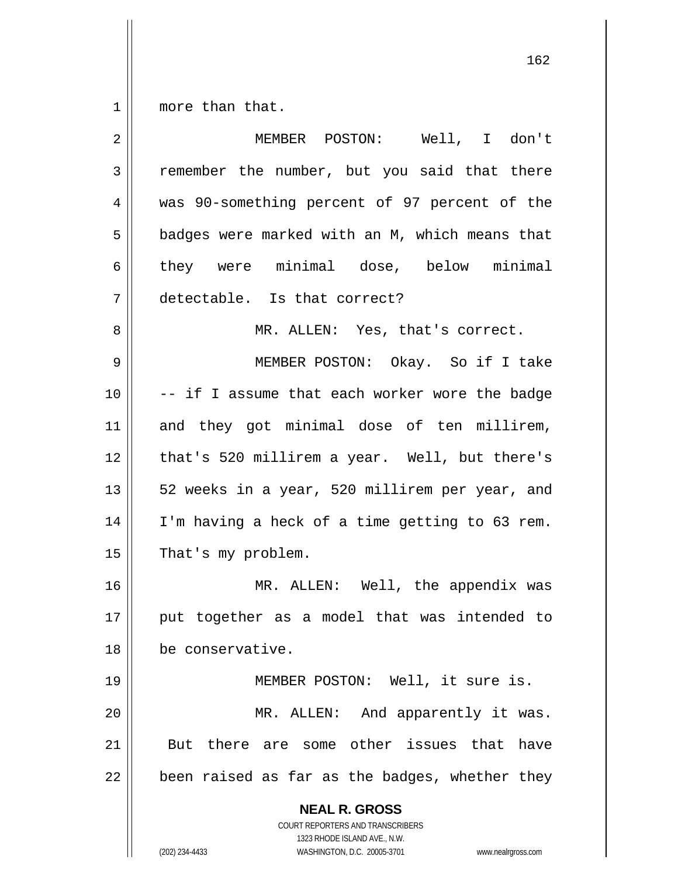1 more than that.

| $\overline{2}$ | MEMBER POSTON: Well, I don't                                                                    |
|----------------|-------------------------------------------------------------------------------------------------|
| 3              | remember the number, but you said that there                                                    |
| 4              | was 90-something percent of 97 percent of the                                                   |
| 5              | badges were marked with an M, which means that                                                  |
| 6              | they were minimal dose, below minimal                                                           |
| 7              | detectable. Is that correct?                                                                    |
| 8              | MR. ALLEN: Yes, that's correct.                                                                 |
| 9              | MEMBER POSTON: Okay. So if I take                                                               |
| 10             | -- if I assume that each worker wore the badge                                                  |
| 11             | and they got minimal dose of ten millirem,                                                      |
| 12             | that's 520 millirem a year. Well, but there's                                                   |
| 13             | 52 weeks in a year, 520 millirem per year, and                                                  |
| 14             | I'm having a heck of a time getting to 63 rem.                                                  |
| 15             | That's my problem.                                                                              |
| 16             | MR. ALLEN: Well, the appendix was                                                               |
| 17             | put together as a model that was intended to                                                    |
| 18             | be conservative.                                                                                |
| 19             | MEMBER POSTON: Well, it sure is.                                                                |
| 20             | And apparently it was.<br>MR. ALLEN:                                                            |
| 21             | But there are some other issues that have                                                       |
| 22             | been raised as far as the badges, whether they                                                  |
|                | <b>NEAL R. GROSS</b><br><b>COURT REPORTERS AND TRANSCRIBERS</b><br>1323 RHODE ISLAND AVE., N.W. |
|                | (202) 234-4433<br>WASHINGTON, D.C. 20005-3701<br>www.nealrgross.com                             |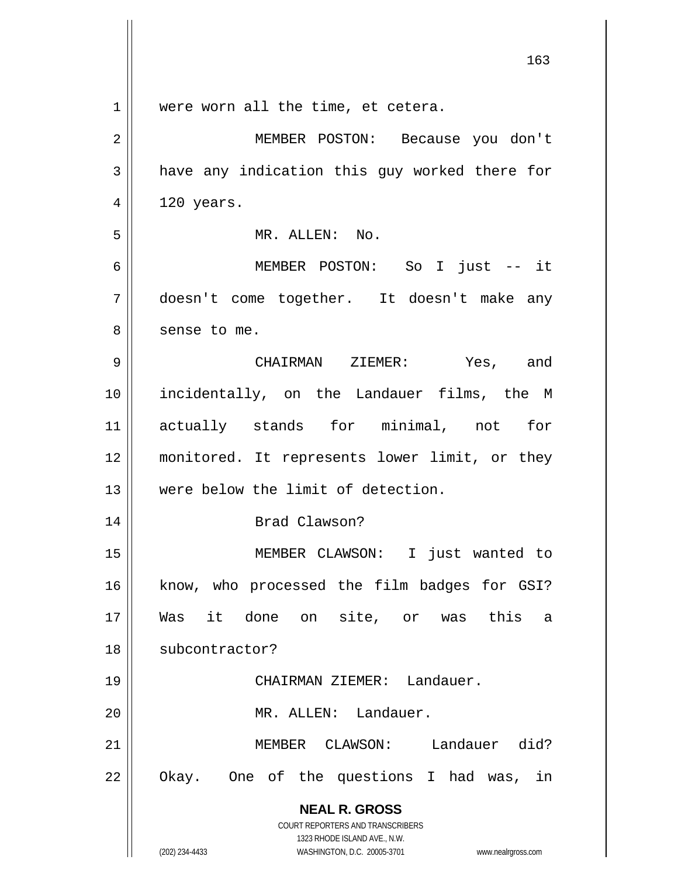|             | 163                                                                                      |
|-------------|------------------------------------------------------------------------------------------|
| $\mathbf 1$ | were worn all the time, et cetera.                                                       |
| 2           | MEMBER POSTON: Because you don't                                                         |
| 3           | have any indication this guy worked there for                                            |
| 4           | 120 years.                                                                               |
| 5           | MR. ALLEN: No.                                                                           |
| 6           | MEMBER POSTON: So I just -- it                                                           |
| 7           | doesn't come together. It doesn't make any                                               |
| 8           | sense to me.                                                                             |
| 9           | CHAIRMAN ZIEMER: Yes, and                                                                |
| 10          | incidentally, on the Landauer films, the M                                               |
| 11          | actually stands for minimal, not for                                                     |
| 12          | monitored. It represents lower limit, or they                                            |
| 13          | were below the limit of detection.                                                       |
| 14          | Brad Clawson?                                                                            |
| 15          | MEMBER CLAWSON: I just wanted to                                                         |
| 16          | know, who processed the film badges for GSI?                                             |
| 17          | Was it done on site, or was this<br>a                                                    |
| 18          | subcontractor?                                                                           |
| 19          | CHAIRMAN ZIEMER: Landauer.                                                               |
| 20          | MR. ALLEN: Landauer.                                                                     |
| 21          | MEMBER CLAWSON: Landauer did?                                                            |
| 22          | Okay. One of the questions I had was, in                                                 |
|             | <b>NEAL R. GROSS</b><br>COURT REPORTERS AND TRANSCRIBERS<br>1323 RHODE ISLAND AVE., N.W. |
|             | (202) 234-4433<br>WASHINGTON, D.C. 20005-3701<br>www.nealrgross.com                      |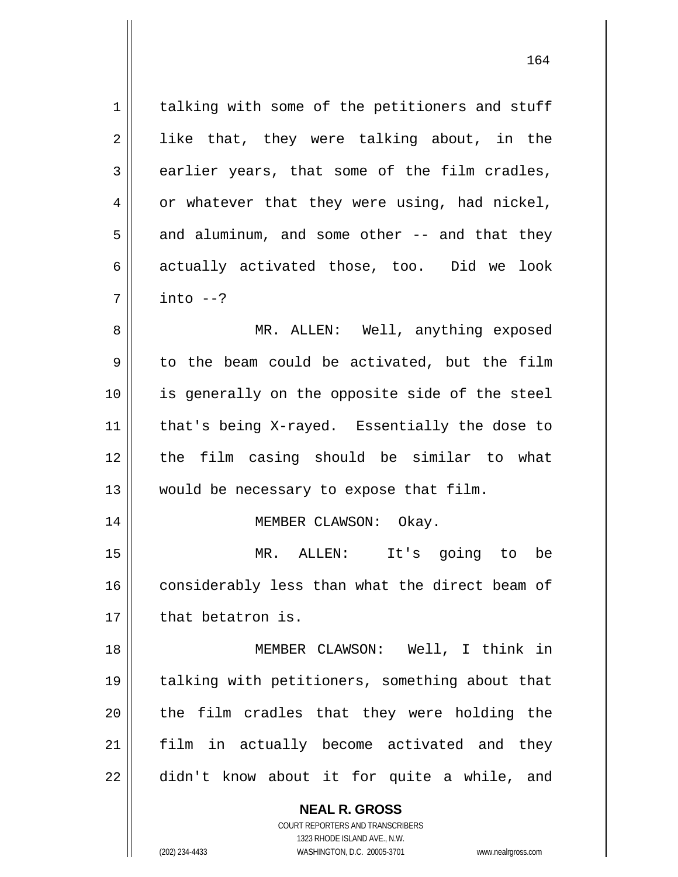1 2 3 4 5 6 7 talking with some of the petitioners and stuff like that, they were talking about, in the earlier years, that some of the film cradles, or whatever that they were using, had nickel, and aluminum, and some other -- and that they actually activated those, too. Did we look  $into --?$ 

8 9 10 11 12 13 MR. ALLEN: Well, anything exposed to the beam could be activated, but the film is generally on the opposite side of the steel that's being X-rayed. Essentially the dose to the film casing should be similar to what would be necessary to expose that film.

MEMBER CLAWSON: Okay.

15 16 17 MR. ALLEN: It's going to be considerably less than what the direct beam of that betatron is.

18 19 20 21 22 MEMBER CLAWSON: Well, I think in talking with petitioners, something about that the film cradles that they were holding the film in actually become activated and they didn't know about it for quite a while, and

> **NEAL R. GROSS** COURT REPORTERS AND TRANSCRIBERS

14

1323 RHODE ISLAND AVE., N.W. (202) 234-4433 WASHINGTON, D.C. 20005-3701 www.nealrgross.com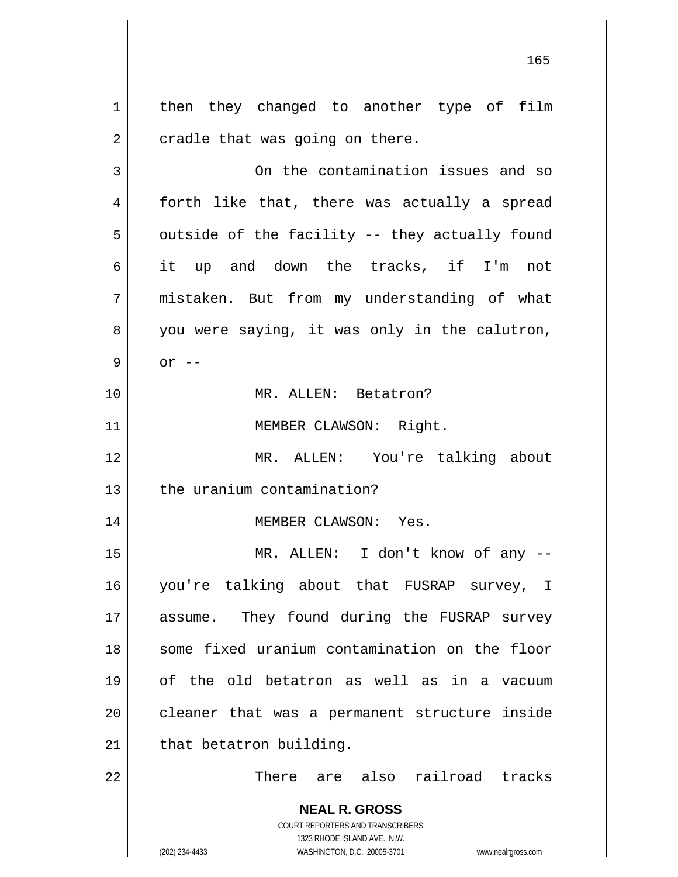**NEAL R. GROSS** COURT REPORTERS AND TRANSCRIBERS 1 2 3 4 5 6 7 8 9 10 11 12 13 14 15 16 17 18 19 20 21 22 then they changed to another type of film cradle that was going on there. On the contamination issues and so forth like that, there was actually a spread outside of the facility -- they actually found it up and down the tracks, if I'm not mistaken. But from my understanding of what you were saying, it was only in the calutron,  $or$   $--$  MR. ALLEN: Betatron? MEMBER CLAWSON: Right. MR. ALLEN: You're talking about the uranium contamination? MEMBER CLAWSON: Yes. MR. ALLEN: I don't know of any - you're talking about that FUSRAP survey, I assume. They found during the FUSRAP survey some fixed uranium contamination on the floor of the old betatron as well as in a vacuum cleaner that was a permanent structure inside that betatron building. There are also railroad tracks

> 1323 RHODE ISLAND AVE., N.W. (202) 234-4433 WASHINGTON, D.C. 20005-3701 www.nealrgross.com

<u>165</u>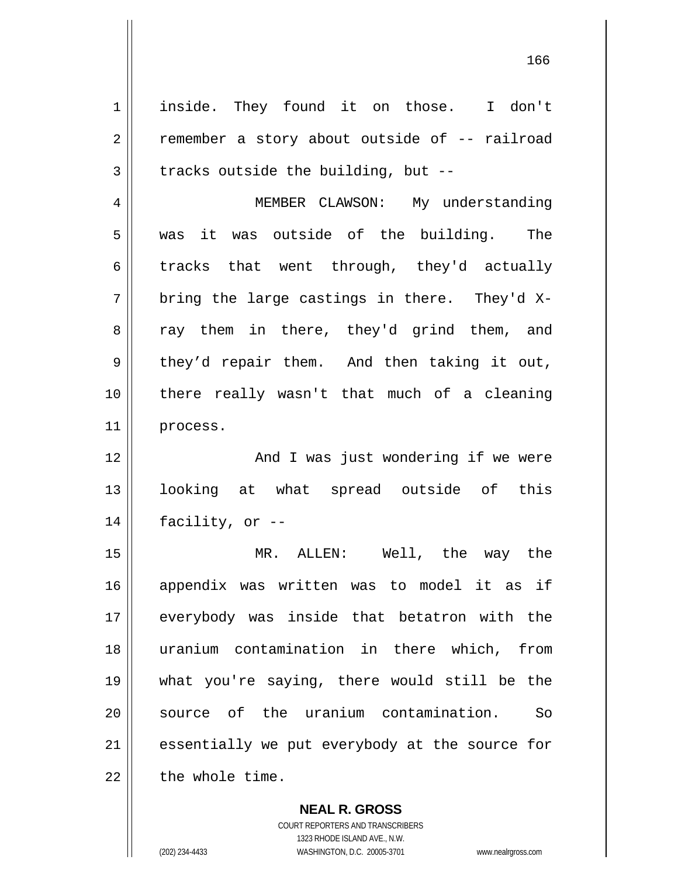1 2 3 4 5 6 7 8 9 10 11 12 13 14 15 16 17 18 19 20 inside. They found it on those. I don't remember a story about outside of -- railroad tracks outside the building, but -- MEMBER CLAWSON: My understanding was it was outside of the building. The tracks that went through, they'd actually bring the large castings in there. They'd Xray them in there, they'd grind them, and they'd repair them. And then taking it out, there really wasn't that much of a cleaning process. And I was just wondering if we were looking at what spread outside of this facility, or -- MR. ALLEN: Well, the way the appendix was written was to model it as if everybody was inside that betatron with the uranium contamination in there which, from what you're saying, there would still be the source of the uranium contamination. So

21 22 essentially we put everybody at the source for the whole time.

> **NEAL R. GROSS** COURT REPORTERS AND TRANSCRIBERS 1323 RHODE ISLAND AVE., N.W. (202) 234-4433 WASHINGTON, D.C. 20005-3701 www.nealrgross.com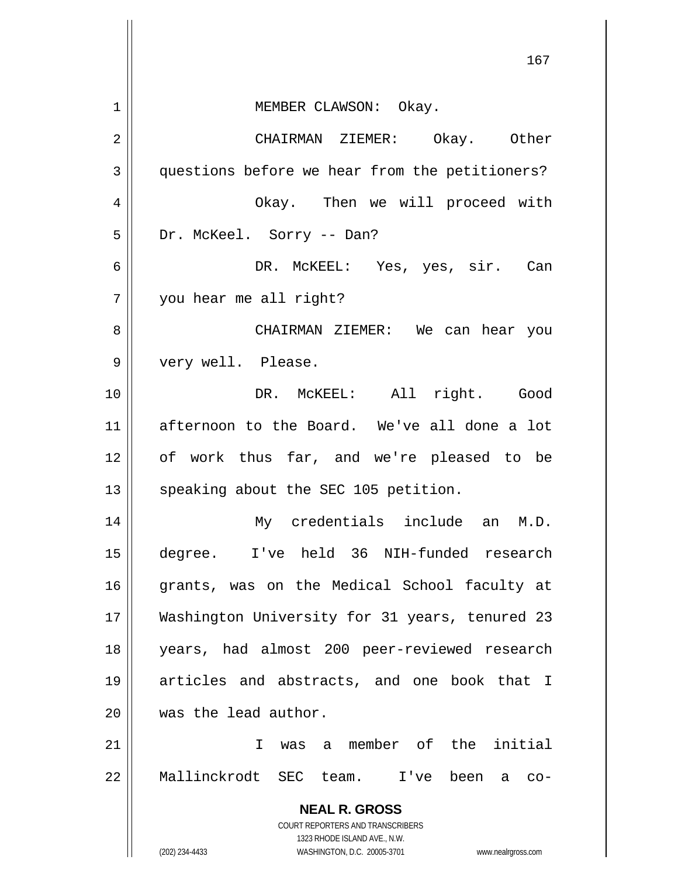|    | 167                                                                                      |
|----|------------------------------------------------------------------------------------------|
| 1  | MEMBER CLAWSON: Okay.                                                                    |
| 2  | CHAIRMAN ZIEMER: Okay. Other                                                             |
| 3  | questions before we hear from the petitioners?                                           |
| 4  | Okay. Then we will proceed with                                                          |
| 5  | Dr. McKeel. Sorry -- Dan?                                                                |
| 6  | DR. MCKEEL: Yes, yes, sir. Can                                                           |
| 7  | you hear me all right?                                                                   |
| 8  | CHAIRMAN ZIEMER: We can hear you                                                         |
| 9  | very well. Please.                                                                       |
| 10 | DR. MCKEEL: All right. Good                                                              |
| 11 | afternoon to the Board. We've all done a lot                                             |
| 12 | of work thus far, and we're pleased to be                                                |
| 13 | speaking about the SEC 105 petition.                                                     |
| 14 | My credentials include an M.D.                                                           |
| 15 | degree. I've held 36 NIH-funded research                                                 |
| 16 | grants, was on the Medical School faculty at                                             |
| 17 | Washington University for 31 years, tenured 23                                           |
| 18 | years, had almost 200 peer-reviewed research                                             |
| 19 | articles and abstracts, and one book that I                                              |
| 20 | was the lead author.                                                                     |
| 21 | was a member of the initial<br>I.                                                        |
| 22 | Mallinckrodt SEC team. I've been<br>a co-                                                |
|    | <b>NEAL R. GROSS</b><br>COURT REPORTERS AND TRANSCRIBERS<br>1323 RHODE ISLAND AVE., N.W. |
|    | (202) 234-4433<br>WASHINGTON, D.C. 20005-3701<br>www.nealrgross.com                      |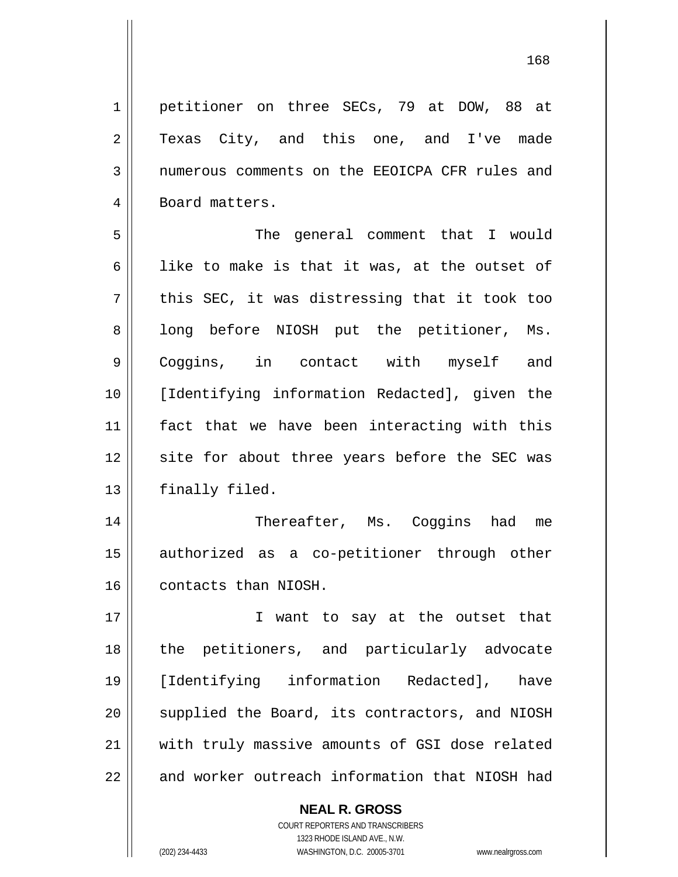petitioner on three SECs, 79 at DOW, 88 at Texas City, and this one, and I've made numerous comments on the EEOICPA CFR rules and Board matters.

5 6 7 8 9 10 11 12 13 The general comment that I would like to make is that it was, at the outset of this SEC, it was distressing that it took too long before NIOSH put the petitioner, Ms. Coggins, in contact with myself and [Identifying information Redacted], given the fact that we have been interacting with this site for about three years before the SEC was finally filed.

14 15 16 Thereafter, Ms. Coggins had me authorized as a co-petitioner through other contacts than NIOSH.

17 18 19 20 21 22 I want to say at the outset that the petitioners, and particularly advocate [Identifying information Redacted], have supplied the Board, its contractors, and NIOSH with truly massive amounts of GSI dose related and worker outreach information that NIOSH had

> **NEAL R. GROSS** COURT REPORTERS AND TRANSCRIBERS 1323 RHODE ISLAND AVE., N.W. (202) 234-4433 WASHINGTON, D.C. 20005-3701 www.nealrgross.com

1

2

3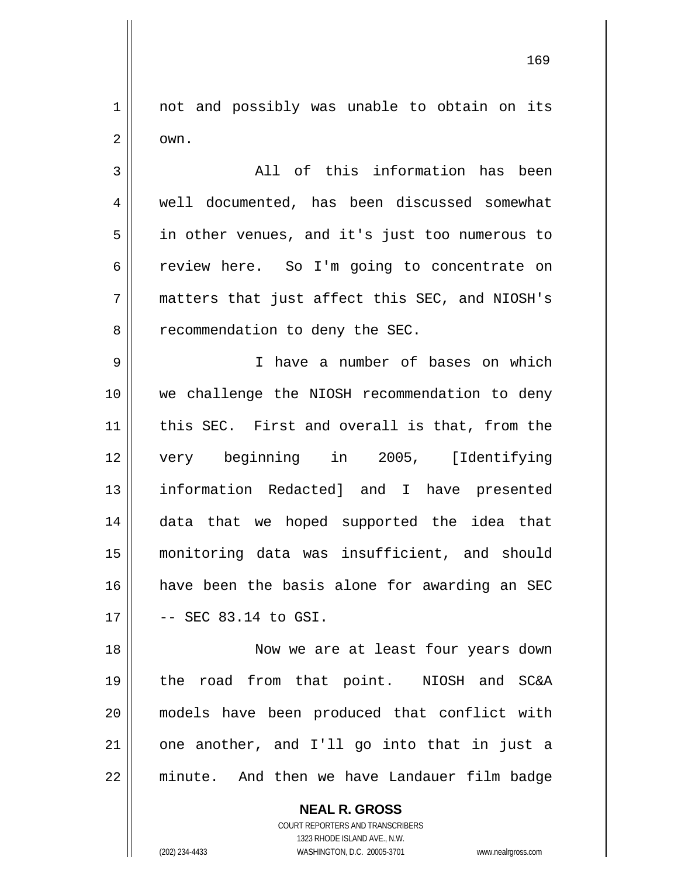1 2 not and possibly was unable to obtain on its own.

3 4 5 6 7 8 All of this information has been well documented, has been discussed somewhat in other venues, and it's just too numerous to review here. So I'm going to concentrate on matters that just affect this SEC, and NIOSH's recommendation to deny the SEC.

9 10 11 12 13 14 15 16 17 I have a number of bases on which we challenge the NIOSH recommendation to deny this SEC. First and overall is that, from the very beginning in 2005, [Identifying information Redacted] and I have presented data that we hoped supported the idea that monitoring data was insufficient, and should have been the basis alone for awarding an SEC -- SEC 83.14 to GSI.

18 19 20 21 22 Now we are at least four years down the road from that point. NIOSH and SC&A models have been produced that conflict with one another, and I'll go into that in just a minute. And then we have Landauer film badge

> **NEAL R. GROSS** COURT REPORTERS AND TRANSCRIBERS 1323 RHODE ISLAND AVE., N.W. (202) 234-4433 WASHINGTON, D.C. 20005-3701 www.nealrgross.com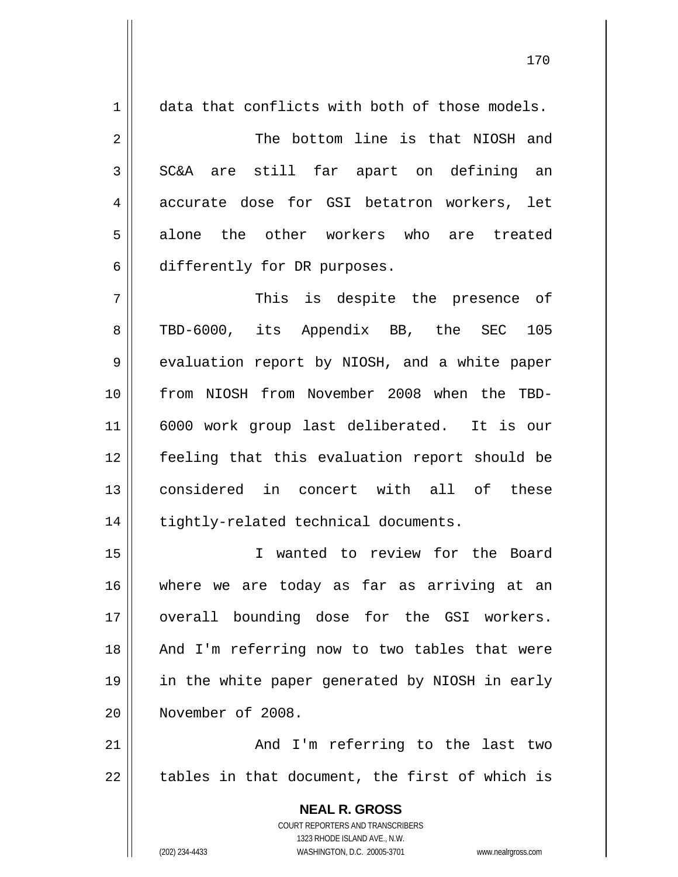**NEAL R. GROSS** COURT REPORTERS AND TRANSCRIBERS 1323 RHODE ISLAND AVE., N.W. 1 2 3 4 5 6 7 8 9 10 11 12 13 14 15 16 17 18 19 20 21 22 data that conflicts with both of those models. The bottom line is that NIOSH and SC&A are still far apart on defining an accurate dose for GSI betatron workers, let alone the other workers who are treated differently for DR purposes. This is despite the presence of TBD-6000, its Appendix BB, the SEC 105 evaluation report by NIOSH, and a white paper from NIOSH from November 2008 when the TBD-6000 work group last deliberated. It is our feeling that this evaluation report should be considered in concert with all of these tightly-related technical documents. I wanted to review for the Board where we are today as far as arriving at an overall bounding dose for the GSI workers. And I'm referring now to two tables that were in the white paper generated by NIOSH in early November of 2008. And I'm referring to the last two tables in that document, the first of which is

(202) 234-4433 WASHINGTON, D.C. 20005-3701 www.nealrgross.com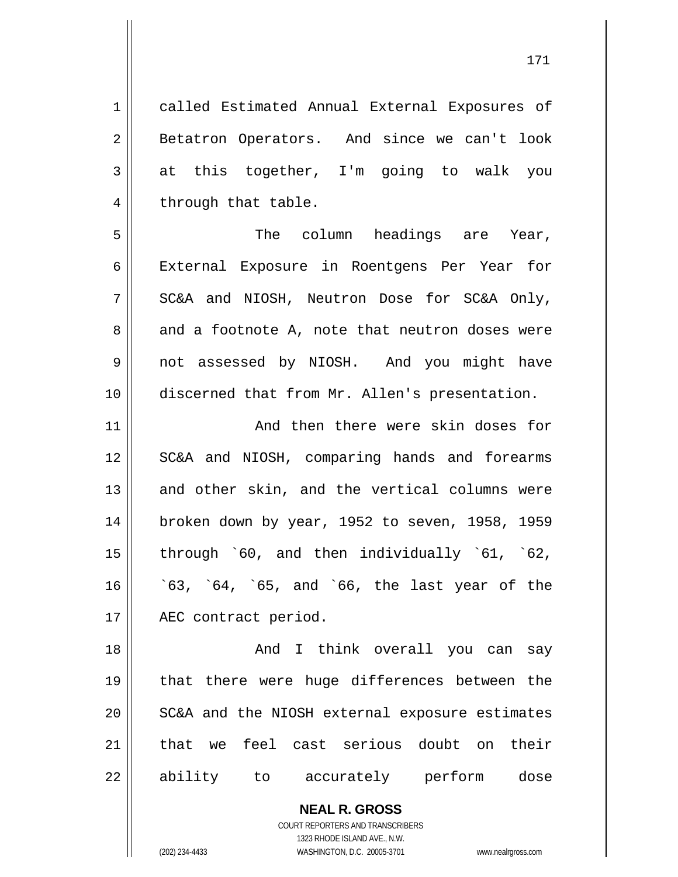**NEAL R. GROSS** 1 2 3 4 5 6 7 8 9 10 11 12 13 14 15 16 17 18 19 20 21 22 called Estimated Annual External Exposures of Betatron Operators. And since we can't look at this together, I'm going to walk you through that table. The column headings are Year, External Exposure in Roentgens Per Year for SC&A and NIOSH, Neutron Dose for SC&A Only, and a footnote A, note that neutron doses were not assessed by NIOSH. And you might have discerned that from Mr. Allen's presentation. And then there were skin doses for SC&A and NIOSH, comparing hands and forearms and other skin, and the vertical columns were broken down by year, 1952 to seven, 1958, 1959 through `60, and then individually `61, `62, `63, `64, `65, and `66, the last year of the AEC contract period. And I think overall you can say that there were huge differences between the SC&A and the NIOSH external exposure estimates that we feel cast serious doubt on their ability to accurately perform dose

> COURT REPORTERS AND TRANSCRIBERS 1323 RHODE ISLAND AVE., N.W.

(202) 234-4433 WASHINGTON, D.C. 20005-3701 www.nealrgross.com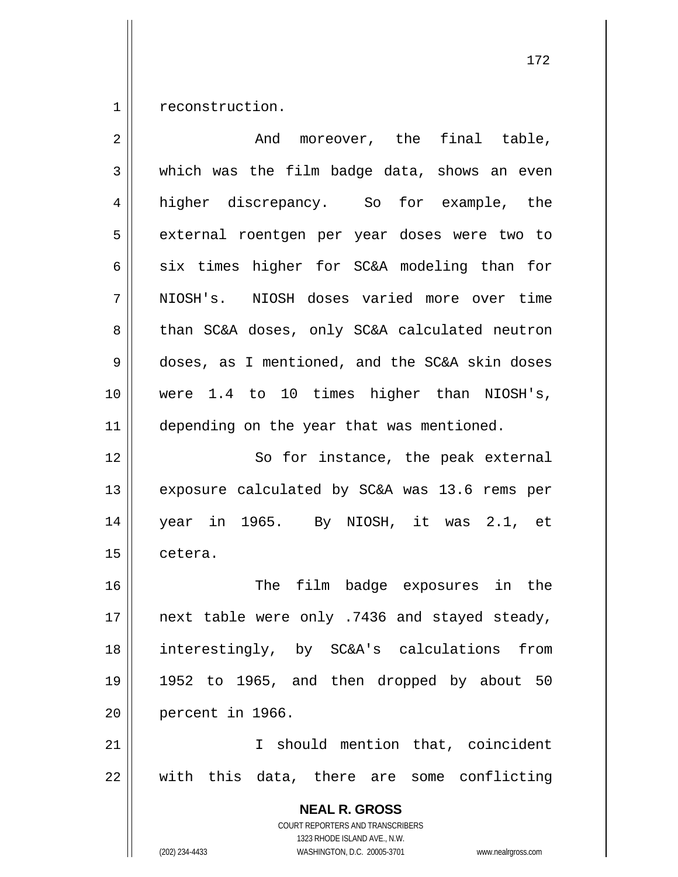1 reconstruction.

| $\overline{2}$ | And moreover, the final table,                                                                                                                                         |
|----------------|------------------------------------------------------------------------------------------------------------------------------------------------------------------------|
| 3              | which was the film badge data, shows an even                                                                                                                           |
| $\overline{4}$ | higher discrepancy. So for example, the                                                                                                                                |
| 5              | external roentgen per year doses were two to                                                                                                                           |
| 6              | six times higher for SC&A modeling than for                                                                                                                            |
| 7              | NIOSH's. NIOSH doses varied more over time                                                                                                                             |
| 8              | than SC&A doses, only SC&A calculated neutron                                                                                                                          |
| 9              | doses, as I mentioned, and the SC&A skin doses                                                                                                                         |
| 10             | were 1.4 to 10 times higher than NIOSH's,                                                                                                                              |
| 11             | depending on the year that was mentioned.                                                                                                                              |
| 12             | So for instance, the peak external                                                                                                                                     |
| 13             | exposure calculated by SC&A was 13.6 rems per                                                                                                                          |
| 14             | year in 1965. By NIOSH, it was 2.1, et                                                                                                                                 |
| 15             | cetera.                                                                                                                                                                |
| 16             | The film badge exposures in the                                                                                                                                        |
| 17             | next table were only .7436 and stayed steady,                                                                                                                          |
| 18             | interestingly, by SC&A's calculations from                                                                                                                             |
| 19             | 1952 to 1965, and then dropped by about 50                                                                                                                             |
| 20             | percent in 1966.                                                                                                                                                       |
| 21             | I should mention that, coincident                                                                                                                                      |
| 22             | with this data, there are some conflicting                                                                                                                             |
|                | <b>NEAL R. GROSS</b><br><b>COURT REPORTERS AND TRANSCRIBERS</b><br>1323 RHODE ISLAND AVE., N.W.<br>(202) 234-4433<br>WASHINGTON, D.C. 20005-3701<br>www.nealrgross.com |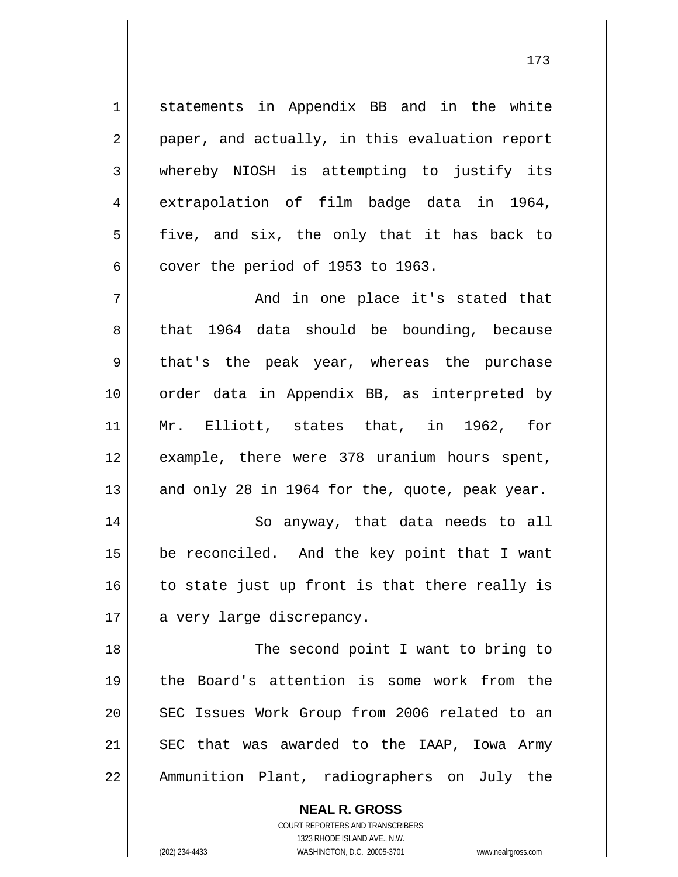statements in Appendix BB and in the white paper, and actually, in this evaluation report whereby NIOSH is attempting to justify its extrapolation of film badge data in 1964, five, and six, the only that it has back to cover the period of 1953 to 1963.

7 8 9 10 11 12 13 And in one place it's stated that that 1964 data should be bounding, because that's the peak year, whereas the purchase order data in Appendix BB, as interpreted by Mr. Elliott, states that, in 1962, for example, there were 378 uranium hours spent, and only 28 in 1964 for the, quote, peak year.

14 15 16 17 So anyway, that data needs to all be reconciled. And the key point that I want to state just up front is that there really is a very large discrepancy.

18 19 20 21 22 The second point I want to bring to the Board's attention is some work from the SEC Issues Work Group from 2006 related to an SEC that was awarded to the IAAP, Iowa Army Ammunition Plant, radiographers on July the

> **NEAL R. GROSS** COURT REPORTERS AND TRANSCRIBERS 1323 RHODE ISLAND AVE., N.W. (202) 234-4433 WASHINGTON, D.C. 20005-3701 www.nealrgross.com

1

2

3

4

5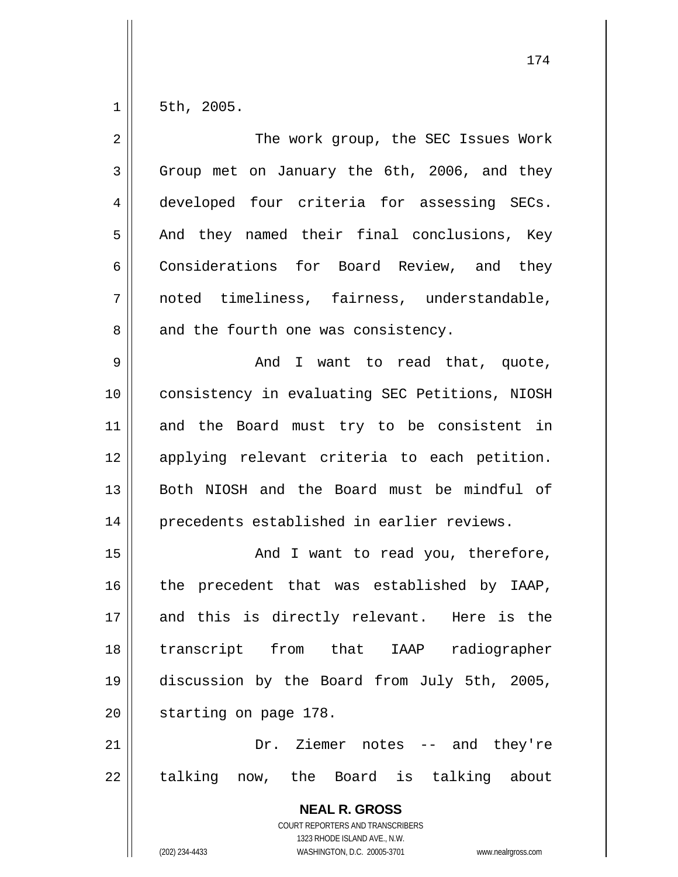1 5th, 2005.

| $\overline{2}$ | The work group, the SEC Issues Work                                                      |
|----------------|------------------------------------------------------------------------------------------|
| 3              | Group met on January the 6th, 2006, and they                                             |
| 4              | developed four criteria for assessing SECs.                                              |
| 5              | And they named their final conclusions, Key                                              |
| 6              | Considerations for Board Review, and they                                                |
| 7              | noted timeliness, fairness, understandable,                                              |
| 8              | and the fourth one was consistency.                                                      |
| 9              | And I want to read that, quote,                                                          |
| 10             | consistency in evaluating SEC Petitions, NIOSH                                           |
| 11             | and the Board must try to be consistent in                                               |
| 12             | applying relevant criteria to each petition.                                             |
| 13             | Both NIOSH and the Board must be mindful of                                              |
| 14             | precedents established in earlier reviews.                                               |
| 15             | And I want to read you, therefore,                                                       |
| 16             | the precedent that was established by IAAP,                                              |
| 17             | and this is directly relevant. Here is the                                               |
| 18             | transcript from that IAAP radiographer                                                   |
| 19             | discussion by the Board from July 5th, 2005,                                             |
| 20             | starting on page 178.                                                                    |
| 21             | Dr. Ziemer notes -- and they're                                                          |
| 22             | talking now, the Board is talking about                                                  |
|                | <b>NEAL R. GROSS</b><br>COURT REPORTERS AND TRANSCRIBERS<br>1323 RHODE ISLAND AVE., N.W. |
|                | WASHINGTON, D.C. 20005-3701<br>(202) 234-4433<br>www.nealrgross.com                      |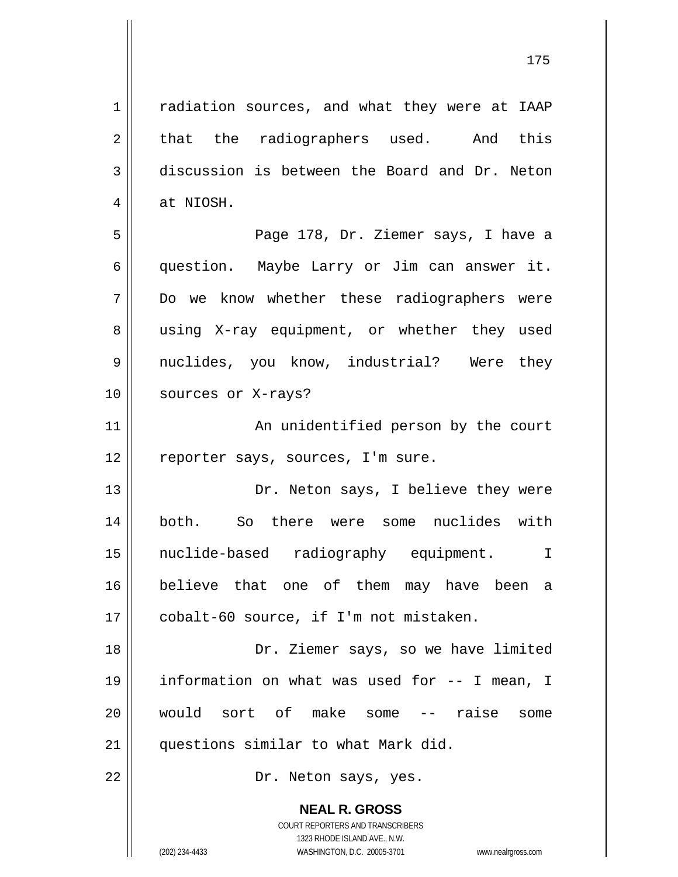**NEAL R. GROSS** COURT REPORTERS AND TRANSCRIBERS 1 2 3 4 5 6 7 8 9 10 11 12 13 14 15 16 17 18 19 20 21 22 radiation sources, and what they were at IAAP that the radiographers used. And this discussion is between the Board and Dr. Neton at NIOSH. Page 178, Dr. Ziemer says, I have a question. Maybe Larry or Jim can answer it. Do we know whether these radiographers were using X-ray equipment, or whether they used nuclides, you know, industrial? Were they sources or X-rays? An unidentified person by the court reporter says, sources, I'm sure. Dr. Neton says, I believe they were both. So there were some nuclides with nuclide-based radiography equipment. I believe that one of them may have been a cobalt-60 source, if I'm not mistaken. Dr. Ziemer says, so we have limited information on what was used for -- I mean, I would sort of make some -- raise some questions similar to what Mark did. Dr. Neton says, yes.

1323 RHODE ISLAND AVE., N.W.

(202) 234-4433 WASHINGTON, D.C. 20005-3701 www.nealrgross.com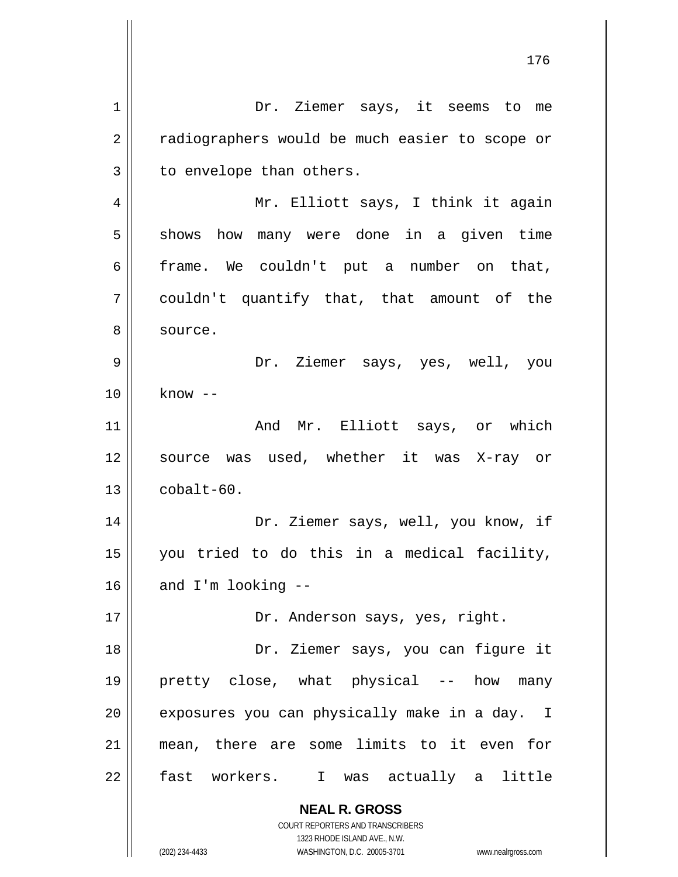**NEAL R. GROSS** COURT REPORTERS AND TRANSCRIBERS 1323 RHODE ISLAND AVE., N.W. (202) 234-4433 WASHINGTON, D.C. 20005-3701 www.nealrgross.com 1 2 3 4 5 6 7 8 9 10 11 12 13 14 15 16 17 18 19 20 21 22 Dr. Ziemer says, it seems to me radiographers would be much easier to scope or to envelope than others. Mr. Elliott says, I think it again shows how many were done in a given time frame. We couldn't put a number on that, couldn't quantify that, that amount of the source. Dr. Ziemer says, yes, well, you know -- And Mr. Elliott says, or which source was used, whether it was X-ray or cobalt-60. Dr. Ziemer says, well, you know, if you tried to do this in a medical facility, and I'm looking -- Dr. Anderson says, yes, right. Dr. Ziemer says, you can figure it pretty close, what physical -- how many exposures you can physically make in a day. I mean, there are some limits to it even for fast workers. I was actually a little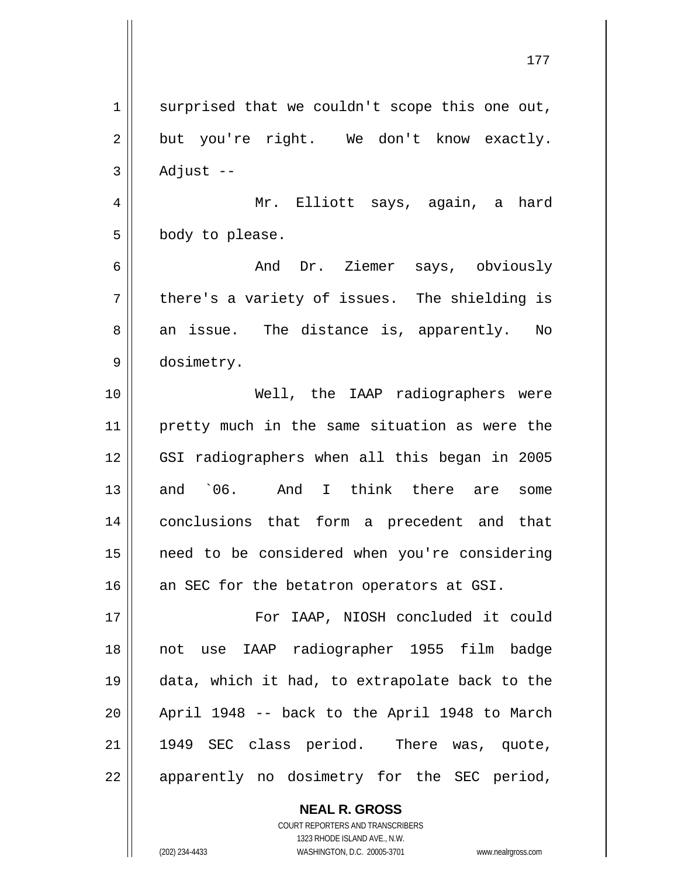1 2 3 4 5 6 7 8 9 10 11 12 13 14 15 16 17 18 19 20 21 22 surprised that we couldn't scope this one out, but you're right. We don't know exactly. Adjust -- Mr. Elliott says, again, a hard body to please. And Dr. Ziemer says, obviously there's a variety of issues. The shielding is an issue. The distance is, apparently. No dosimetry. Well, the IAAP radiographers were pretty much in the same situation as were the GSI radiographers when all this began in 2005 and `06. And I think there are some conclusions that form a precedent and that need to be considered when you're considering an SEC for the betatron operators at GSI. For IAAP, NIOSH concluded it could not use IAAP radiographer 1955 film badge data, which it had, to extrapolate back to the April 1948 -- back to the April 1948 to March 1949 SEC class period. There was, quote, apparently no dosimetry for the SEC period,

177

**NEAL R. GROSS** COURT REPORTERS AND TRANSCRIBERS 1323 RHODE ISLAND AVE., N.W. (202) 234-4433 WASHINGTON, D.C. 20005-3701 www.nealrgross.com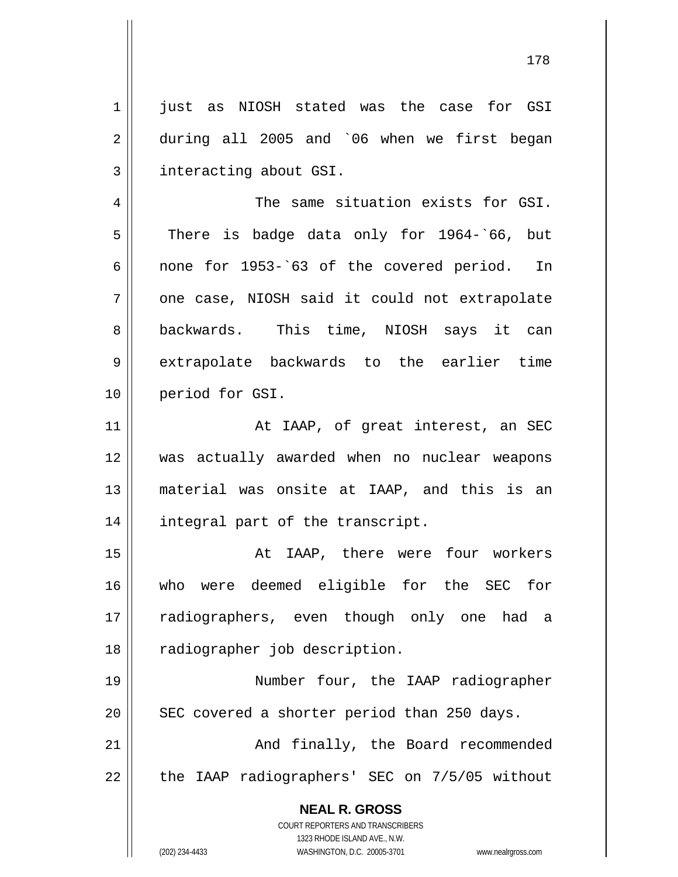1 2 3 4 5 just as NIOSH stated was the case for GSI during all 2005 and `06 when we first began interacting about GSI. The same situation exists for GSI. There is badge data only for 1964-`66, but

6 7 8 9 10 none for 1953-`63 of the covered period. In one case, NIOSH said it could not extrapolate backwards. This time, NIOSH says it can extrapolate backwards to the earlier time period for GSI.

11 12 13 14 At IAAP, of great interest, an SEC was actually awarded when no nuclear weapons material was onsite at IAAP, and this is an integral part of the transcript.

15 16 17 18 At IAAP, there were four workers who were deemed eligible for the SEC for radiographers, even though only one had a radiographer job description.

19 20 Number four, the IAAP radiographer SEC covered a shorter period than 250 days.

21 22 And finally, the Board recommended the IAAP radiographers' SEC on 7/5/05 without

> **NEAL R. GROSS** COURT REPORTERS AND TRANSCRIBERS 1323 RHODE ISLAND AVE., N.W.

(202) 234-4433 WASHINGTON, D.C. 20005-3701 www.nealrgross.com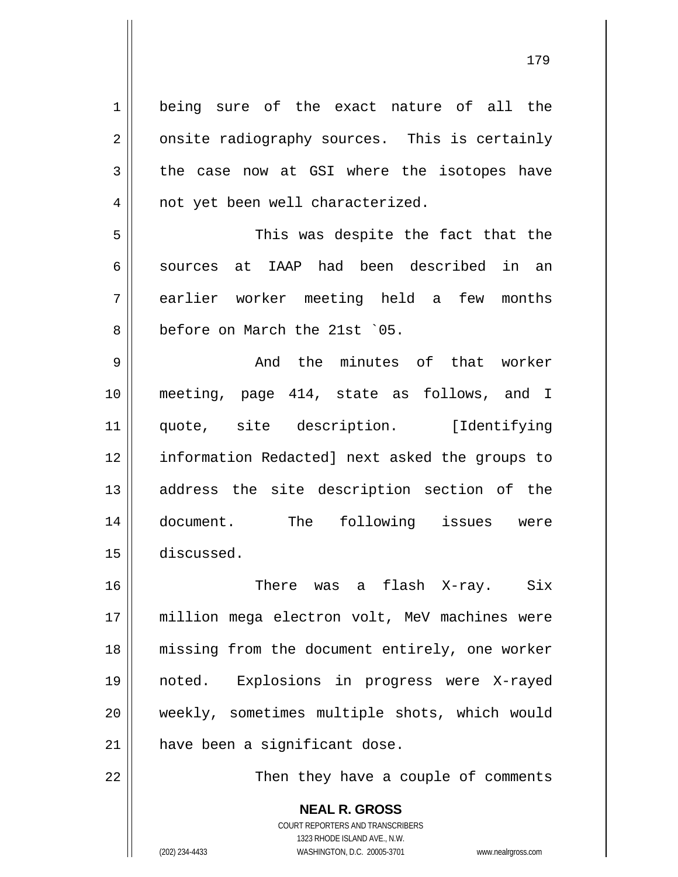1 2 3 4 5 6 7 8 9 10 11 12 13 14 15 16 17 18 19 20 21 22 being sure of the exact nature of all the onsite radiography sources. This is certainly the case now at GSI where the isotopes have not yet been well characterized. This was despite the fact that the sources at IAAP had been described in an earlier worker meeting held a few months before on March the 21st `05. And the minutes of that worker meeting, page 414, state as follows, and I quote, site description. [Identifying information Redacted] next asked the groups to address the site description section of the document. The following issues were discussed. There was a flash X-ray. Six million mega electron volt, MeV machines were missing from the document entirely, one worker noted. Explosions in progress were X-rayed weekly, sometimes multiple shots, which would have been a significant dose.

179

Then they have a couple of comments

**NEAL R. GROSS** COURT REPORTERS AND TRANSCRIBERS 1323 RHODE ISLAND AVE., N.W. (202) 234-4433 WASHINGTON, D.C. 20005-3701 www.nealrgross.com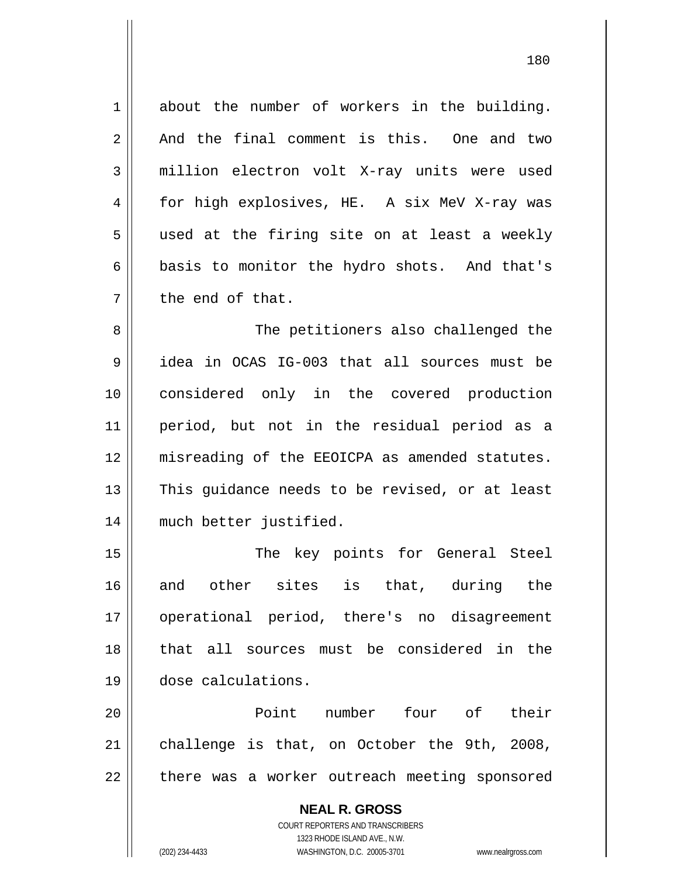1 3 4 7 about the number of workers in the building. And the final comment is this. One and two million electron volt X-ray units were used for high explosives, HE. A six MeV X-ray was used at the firing site on at least a weekly basis to monitor the hydro shots. And that's the end of that.

2

5

6

180

8 9 10 11 12 13 14 The petitioners also challenged the idea in OCAS IG-003 that all sources must be considered only in the covered production period, but not in the residual period as a misreading of the EEOICPA as amended statutes. This guidance needs to be revised, or at least much better justified.

15 16 17 18 19 The key points for General Steel and other sites is that, during the operational period, there's no disagreement that all sources must be considered in the dose calculations.

20 21 22 Point number four of their challenge is that, on October the 9th, 2008, there was a worker outreach meeting sponsored

> **NEAL R. GROSS** COURT REPORTERS AND TRANSCRIBERS 1323 RHODE ISLAND AVE., N.W. (202) 234-4433 WASHINGTON, D.C. 20005-3701 www.nealrgross.com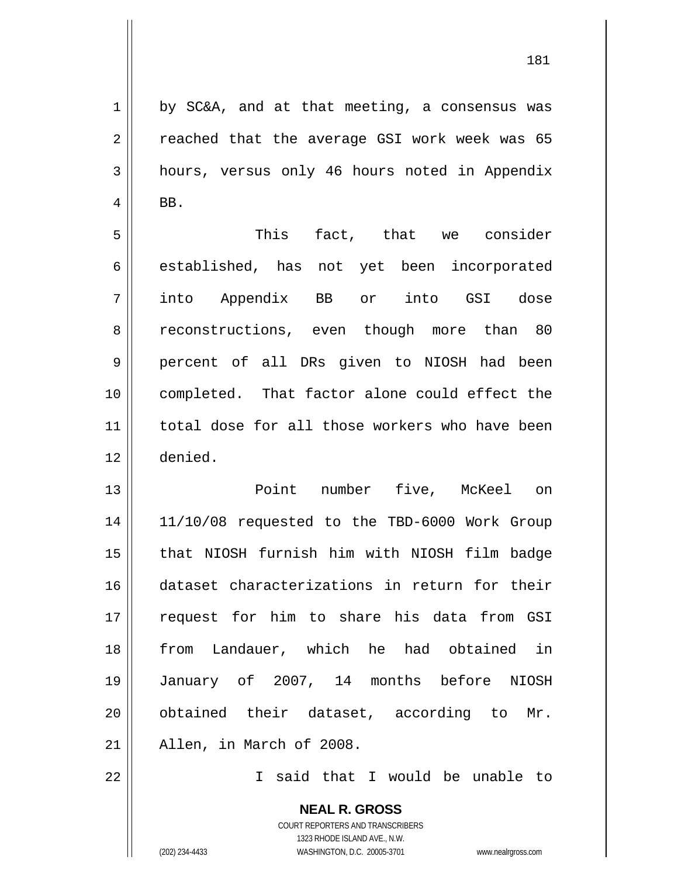by SC&A, and at that meeting, a consensus was reached that the average GSI work week was 65 hours, versus only 46 hours noted in Appendix BB.

5 6 7 8 9 10 11 12 This fact, that we consider established, has not yet been incorporated into Appendix BB or into GSI dose reconstructions, even though more than 80 percent of all DRs given to NIOSH had been completed. That factor alone could effect the total dose for all those workers who have been denied.

13 14 15 16 17 18 19 20 21 Point number five, McKeel on 11/10/08 requested to the TBD-6000 Work Group that NIOSH furnish him with NIOSH film badge dataset characterizations in return for their request for him to share his data from GSI from Landauer, which he had obtained in January of 2007, 14 months before NIOSH obtained their dataset, according to Mr. Allen, in March of 2008.

I said that I would be unable to

**NEAL R. GROSS** COURT REPORTERS AND TRANSCRIBERS 1323 RHODE ISLAND AVE., N.W. (202) 234-4433 WASHINGTON, D.C. 20005-3701 www.nealrgross.com

22

1

2

3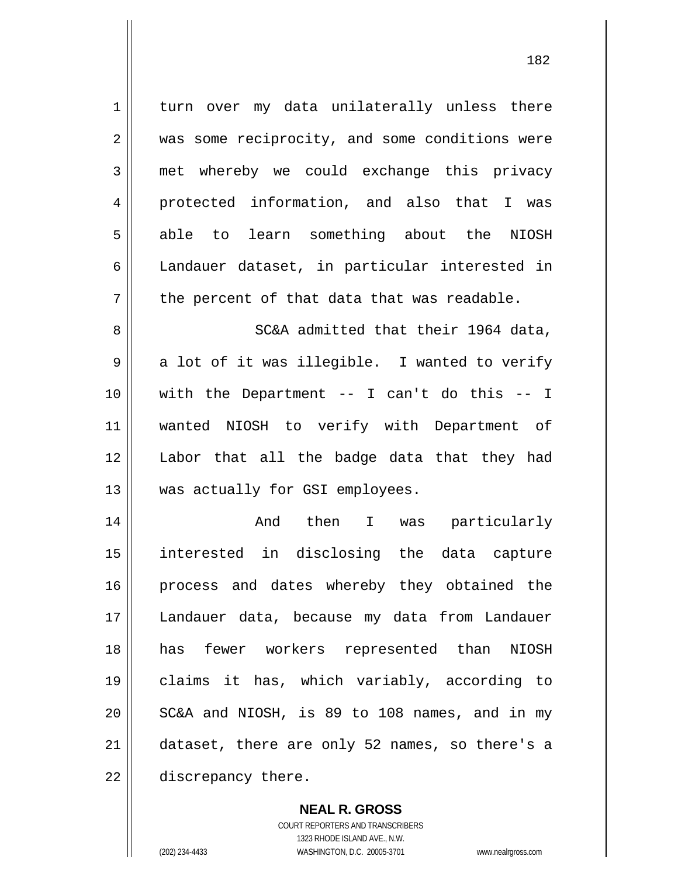1 2 3 4 5 6 7 8 9 10 11 12 13 14 15 16 turn over my data unilaterally unless there was some reciprocity, and some conditions were met whereby we could exchange this privacy protected information, and also that I was able to learn something about the NIOSH Landauer dataset, in particular interested in the percent of that data that was readable. SC&A admitted that their 1964 data, a lot of it was illegible. I wanted to verify with the Department -- I can't do this -- I wanted NIOSH to verify with Department of Labor that all the badge data that they had was actually for GSI employees. And then I was particularly interested in disclosing the data capture process and dates whereby they obtained the

17

18

19

20

21

22

discrepancy there.

COURT REPORTERS AND TRANSCRIBERS 1323 RHODE ISLAND AVE., N.W. (202) 234-4433 WASHINGTON, D.C. 20005-3701 www.nealrgross.com

**NEAL R. GROSS**

Landauer data, because my data from Landauer

has fewer workers represented than NIOSH

claims it has, which variably, according to

SC&A and NIOSH, is 89 to 108 names, and in my

dataset, there are only 52 names, so there's a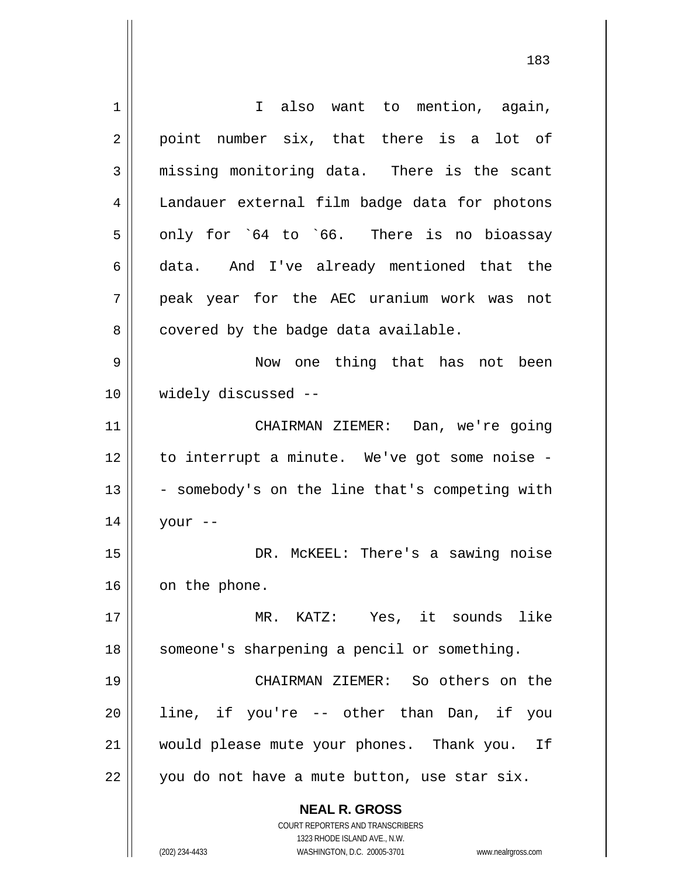**NEAL R. GROSS** COURT REPORTERS AND TRANSCRIBERS 1323 RHODE ISLAND AVE., N.W. 1 2 3 4 5 6 7 8 9 10 11 12 13 14 15 16 17 18 19 20 21 22 I also want to mention, again, point number six, that there is a lot of missing monitoring data. There is the scant Landauer external film badge data for photons only for `64 to `66. There is no bioassay data. And I've already mentioned that the peak year for the AEC uranium work was not covered by the badge data available. Now one thing that has not been widely discussed -- CHAIRMAN ZIEMER: Dan, we're going to interrupt a minute. We've got some noise - - somebody's on the line that's competing with your -- DR. McKEEL: There's a sawing noise on the phone. MR. KATZ: Yes, it sounds like someone's sharpening a pencil or something. CHAIRMAN ZIEMER: So others on the line, if you're -- other than Dan, if you would please mute your phones. Thank you. If you do not have a mute button, use star six.

(202) 234-4433 WASHINGTON, D.C. 20005-3701 www.nealrgross.com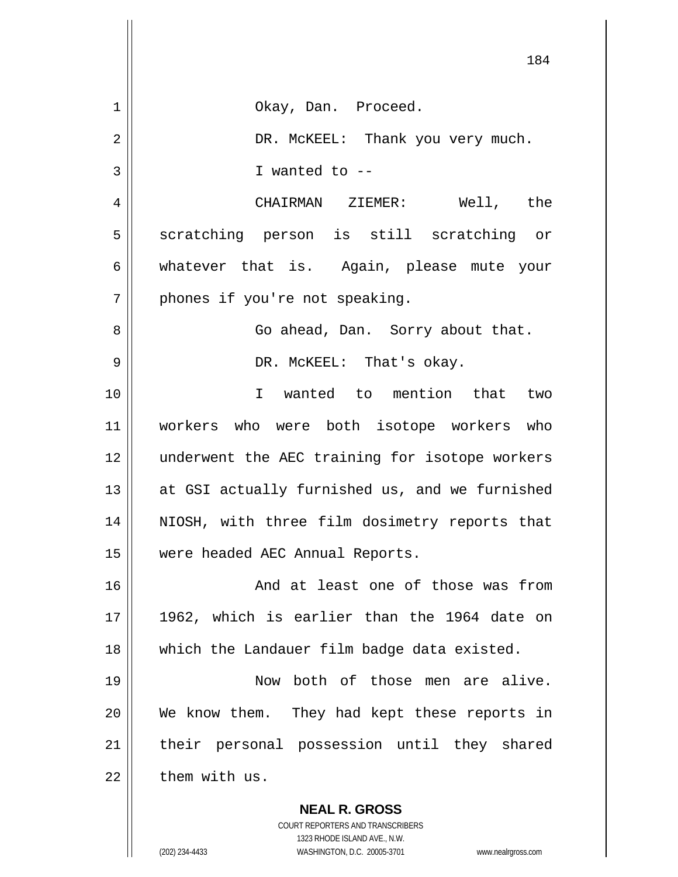|             | 184                                                      |
|-------------|----------------------------------------------------------|
| $\mathbf 1$ | Okay, Dan. Proceed.                                      |
| 2           | DR. MCKEEL: Thank you very much.                         |
| 3           | I wanted to $-$                                          |
| 4           | CHAIRMAN ZIEMER: Well, the                               |
| 5           | scratching person is still scratching or                 |
| 6           | whatever that is. Again, please mute your                |
| 7           | phones if you're not speaking.                           |
| 8           | Go ahead, Dan. Sorry about that.                         |
| 9           | DR. MCKEEL: That's okay.                                 |
| 10          | I wanted to mention that two                             |
| 11          | workers who were both isotope workers who                |
| 12          | underwent the AEC training for isotope workers           |
| 13          | at GSI actually furnished us, and we furnished           |
| 14          | NIOSH, with three film dosimetry reports that            |
| 15          | were headed AEC Annual Reports.                          |
| 16          | And at least one of those was from                       |
| 17          | 1962, which is earlier than the 1964 date on             |
| 18          | which the Landauer film badge data existed.              |
| 19          | Now both of those men are alive.                         |
| 20          | We know them. They had kept these reports in             |
| 21          | their personal possession until they shared              |
| 22          | them with us.                                            |
|             | <b>NEAL R. GROSS</b><br>COURT REPORTERS AND TRANSCRIBERS |

1323 RHODE ISLAND AVE., N.W.

 $\prod$ 

 $\overline{\phantom{a}}$  $\mathbb{I}$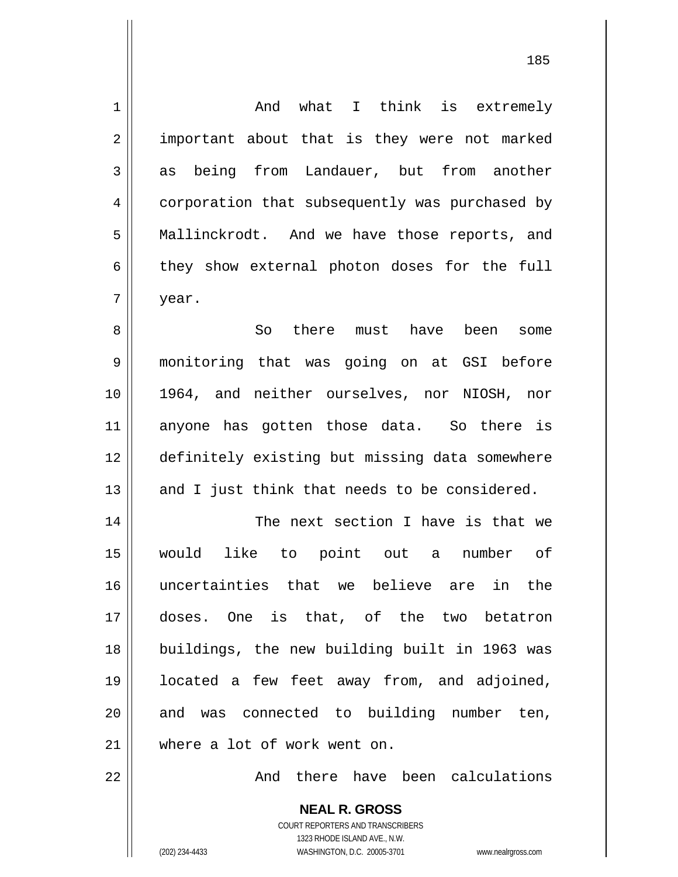| $\mathbf 1$    | And what I think is extremely                  |
|----------------|------------------------------------------------|
| 2              | important about that is they were not marked   |
| 3              | as being from Landauer, but from another       |
| $\overline{4}$ | corporation that subsequently was purchased by |
| 5              | Mallinckrodt. And we have those reports, and   |
| 6              | they show external photon doses for the full   |
| 7              | year.                                          |
| 8              | So<br>there must have been<br>some             |
| 9              | monitoring that was going on at GSI before     |
| 10             | 1964, and neither ourselves, nor NIOSH, nor    |
| 11             | anyone has gotten those data. So there is      |
| 12             | definitely existing but missing data somewhere |
| 13             | and I just think that needs to be considered.  |
| 14             | The next section I have is that we             |
| 15             | would<br>like to point out<br>number of<br>a   |
| 16             | uncertainties that we believe are in the       |
| 17             | doses. One is that, of the two betatron        |
| 18             | buildings, the new building built in 1963 was  |
| 19             | located a few feet away from, and adjoined,    |
| 20             | and was connected to building number ten,      |
| 21             | where a lot of work went on.                   |
| 22             | And there have been calculations               |
|                | <b>NEAL R. GROSS</b>                           |

185

COURT REPORTERS AND TRANSCRIBERS 1323 RHODE ISLAND AVE., N.W.

 $\mathsf{II}$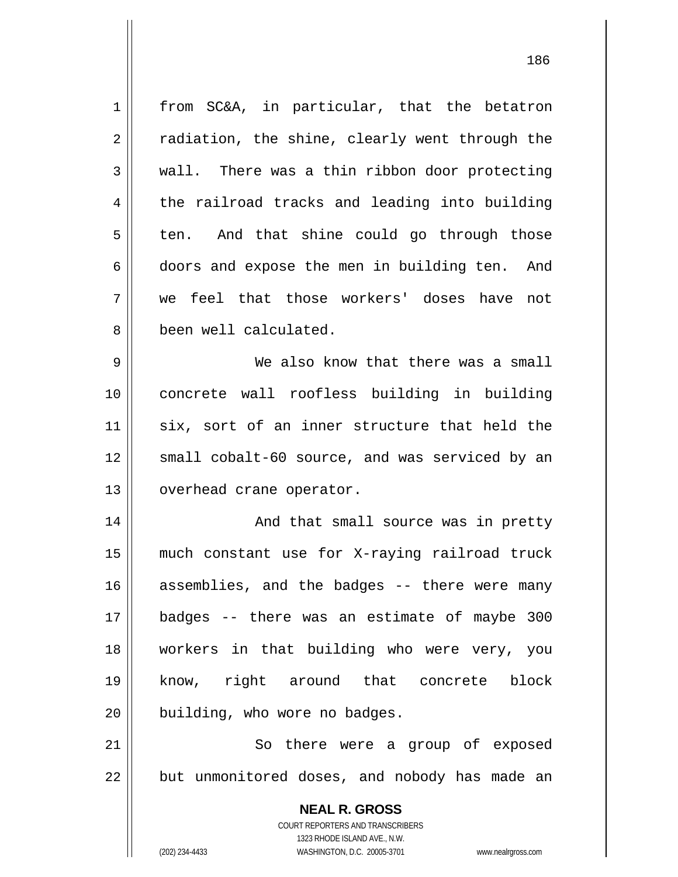**NEAL R. GROSS** COURT REPORTERS AND TRANSCRIBERS 1323 RHODE ISLAND AVE., N.W. 1 2 3 4 5 6 7 8 9 10 11 12 13 14 15 16 17 18 19 20 21 22 from SC&A, in particular, that the betatron radiation, the shine, clearly went through the wall. There was a thin ribbon door protecting the railroad tracks and leading into building ten. And that shine could go through those doors and expose the men in building ten. And we feel that those workers' doses have not been well calculated. We also know that there was a small concrete wall roofless building in building six, sort of an inner structure that held the small cobalt-60 source, and was serviced by an overhead crane operator. And that small source was in pretty much constant use for X-raying railroad truck assemblies, and the badges -- there were many badges -- there was an estimate of maybe 300 workers in that building who were very, you know, right around that concrete block building, who wore no badges. So there were a group of exposed but unmonitored doses, and nobody has made an

186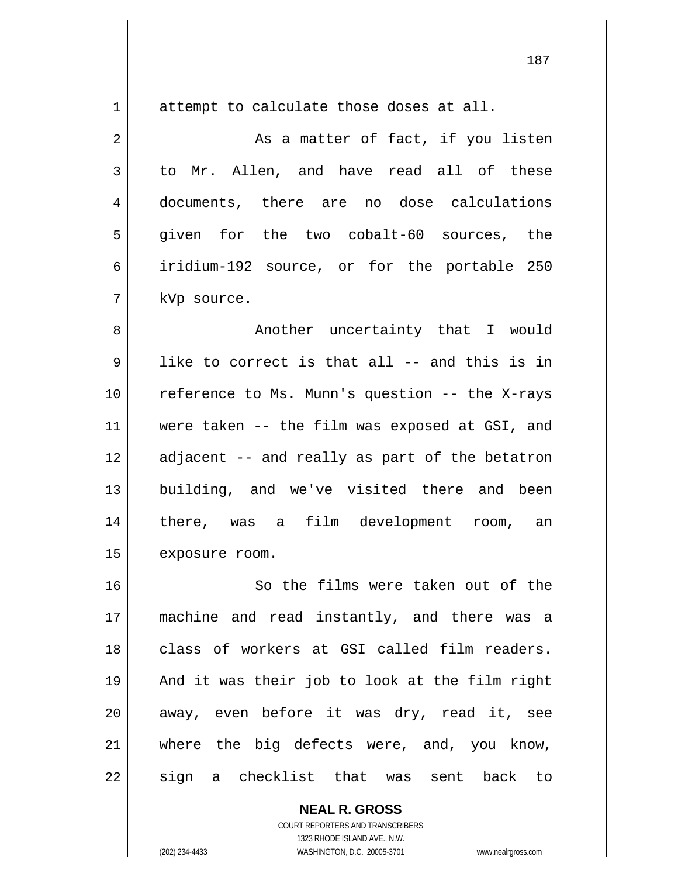| $\mathbf 1$ | attempt to calculate those doses at all.       |
|-------------|------------------------------------------------|
| 2           | As a matter of fact, if you listen             |
| 3           | to Mr. Allen, and have read all of these       |
| 4           | documents, there are no dose calculations      |
| 5           | given for the two cobalt-60 sources, the       |
| 6           | iridium-192 source, or for the portable 250    |
| 7           | kVp source.                                    |
| 8           | Another uncertainty that I would               |
| 9           | like to correct is that all -- and this is in  |
| 10          | reference to Ms. Munn's question -- the X-rays |
| 11          | were taken -- the film was exposed at GSI, and |
| 12          | adjacent -- and really as part of the betatron |
| 13          | building, and we've visited there and been     |
| 14          | there, was a film development room, an         |
| 15          | exposure room.                                 |
| 16          | So the films were taken out of the             |
| 17          | machine and read instantly, and there was a    |
| 18          | class of workers at GSI called film readers.   |
| 19          | And it was their job to look at the film right |
| 20          | away, even before it was dry, read it, see     |
| 21          | where the big defects were, and, you know,     |
| 22          | sign a checklist that was sent<br>back to      |

**NEAL R. GROSS** COURT REPORTERS AND TRANSCRIBERS 1323 RHODE ISLAND AVE., N.W. (202) 234-4433 WASHINGTON, D.C. 20005-3701 www.nealrgross.com

 $\mathsf{II}$ 

 $\mathsf{I}$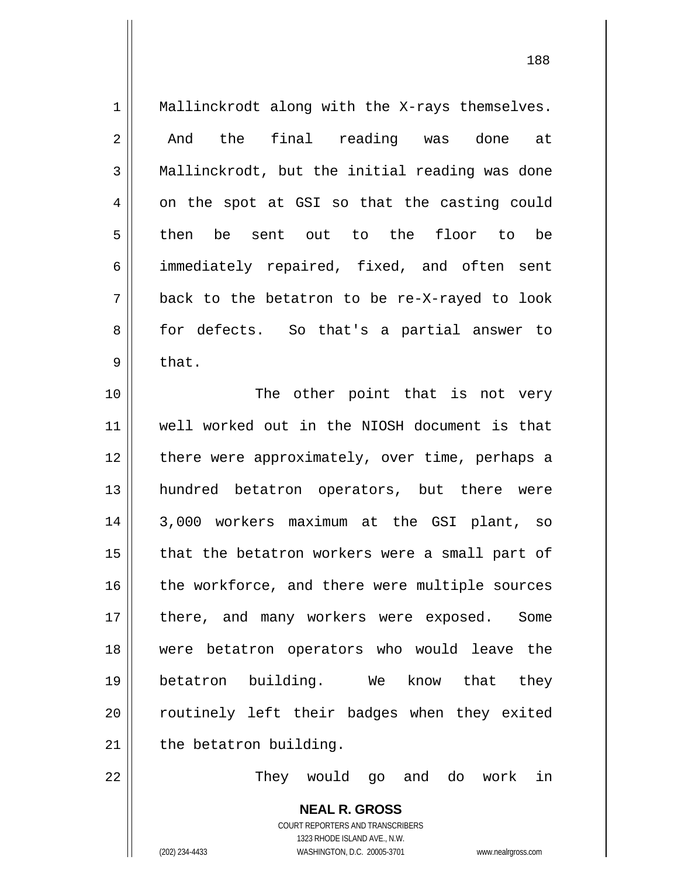1 2 3 4 5 6 7 8 9 10 11 12 13 14 15 16 17 18 19 20 21 22 Mallinckrodt along with the X-rays themselves. And the final reading was done at Mallinckrodt, but the initial reading was done on the spot at GSI so that the casting could then be sent out to the floor to be immediately repaired, fixed, and often sent back to the betatron to be re-X-rayed to look for defects. So that's a partial answer to that. The other point that is not very well worked out in the NIOSH document is that there were approximately, over time, perhaps a hundred betatron operators, but there were 3,000 workers maximum at the GSI plant, so that the betatron workers were a small part of the workforce, and there were multiple sources there, and many workers were exposed. Some were betatron operators who would leave the betatron building. We know that they routinely left their badges when they exited the betatron building. They would go and do work in

> **NEAL R. GROSS** COURT REPORTERS AND TRANSCRIBERS 1323 RHODE ISLAND AVE., N.W. (202) 234-4433 WASHINGTON, D.C. 20005-3701 www.nealrgross.com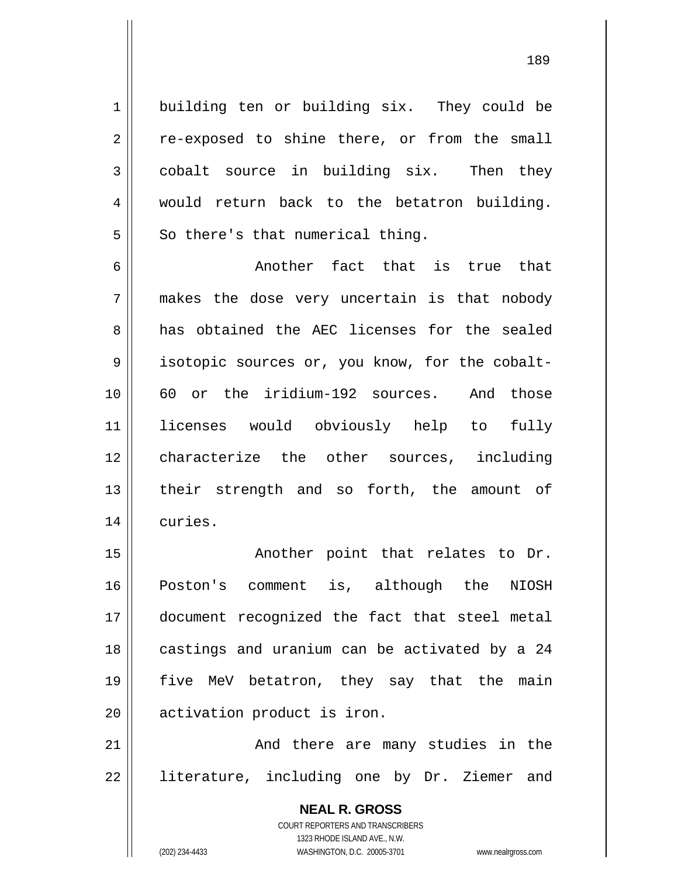building ten or building six. They could be re-exposed to shine there, or from the small cobalt source in building six. Then they would return back to the betatron building. So there's that numerical thing.

189

6 7 8 9 10 11 12 13 14 Another fact that is true that makes the dose very uncertain is that nobody has obtained the AEC licenses for the sealed isotopic sources or, you know, for the cobalt-60 or the iridium-192 sources. And those licenses would obviously help to fully characterize the other sources, including their strength and so forth, the amount of curies.

15 16 17 18 19 20 Another point that relates to Dr. Poston's comment is, although the NIOSH document recognized the fact that steel metal castings and uranium can be activated by a 24 five MeV betatron, they say that the main activation product is iron.

21 22 And there are many studies in the literature, including one by Dr. Ziemer and

> **NEAL R. GROSS** COURT REPORTERS AND TRANSCRIBERS 1323 RHODE ISLAND AVE., N.W. (202) 234-4433 WASHINGTON, D.C. 20005-3701 www.nealrgross.com

1

2

3

4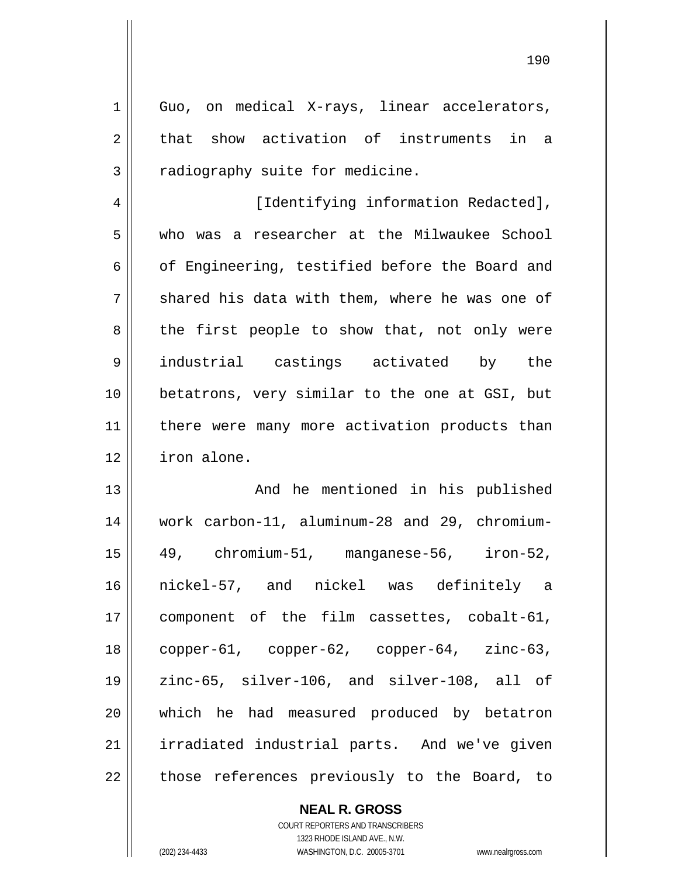Guo, on medical X-rays, linear accelerators, that show activation of instruments in a radiography suite for medicine.

1

2

3

4 5 6 7 8 9 10 11 12 [Identifying information Redacted], who was a researcher at the Milwaukee School of Engineering, testified before the Board and shared his data with them, where he was one of the first people to show that, not only were industrial castings activated by the betatrons, very similar to the one at GSI, but there were many more activation products than iron alone.

13 14 15 16 17 18 19 20 21 22 And he mentioned in his published work carbon-11, aluminum-28 and 29, chromium-49, chromium-51, manganese-56, iron-52, nickel-57, and nickel was definitely a component of the film cassettes, cobalt-61, copper-61, copper-62, copper-64, zinc-63, zinc-65, silver-106, and silver-108, all of which he had measured produced by betatron irradiated industrial parts. And we've given those references previously to the Board, to

> **NEAL R. GROSS** COURT REPORTERS AND TRANSCRIBERS 1323 RHODE ISLAND AVE., N.W. (202) 234-4433 WASHINGTON, D.C. 20005-3701 www.nealrgross.com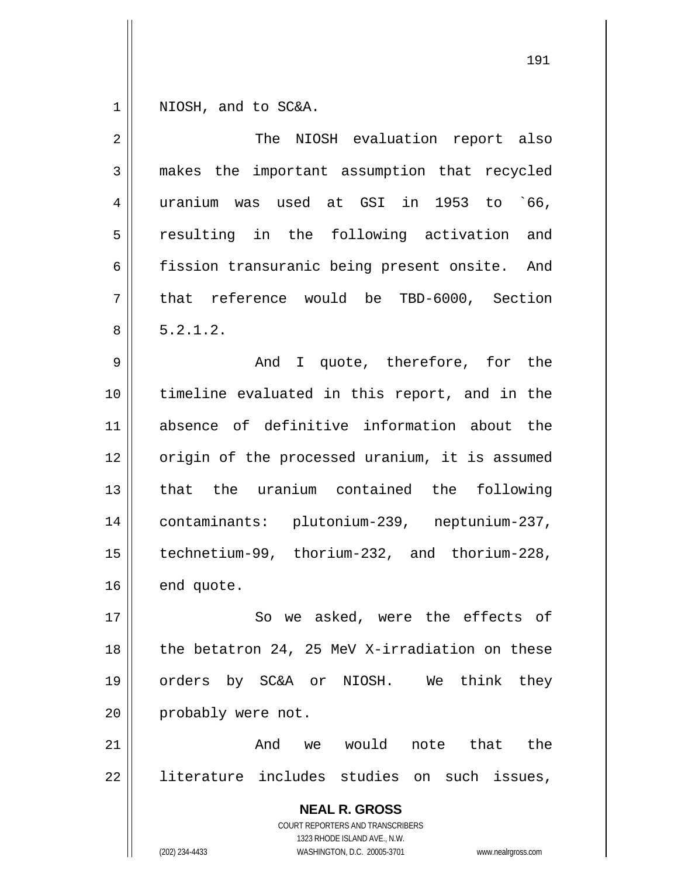1 NIOSH, and to SC&A.

| $\overline{2}$ | The NIOSH evaluation report also                                                                                                                                |
|----------------|-----------------------------------------------------------------------------------------------------------------------------------------------------------------|
| $\mathfrak{Z}$ | makes the important assumption that recycled                                                                                                                    |
| 4              | uranium was used at GSI in 1953 to `66,                                                                                                                         |
| 5              | resulting in the following activation and                                                                                                                       |
| 6              | fission transuranic being present onsite. And                                                                                                                   |
| 7              | that reference would be TBD-6000, Section                                                                                                                       |
| 8              | 5.2.1.2.                                                                                                                                                        |
| 9              | And I quote, therefore, for the                                                                                                                                 |
| 10             | timeline evaluated in this report, and in the                                                                                                                   |
| 11             | absence of definitive information about the                                                                                                                     |
| 12             | origin of the processed uranium, it is assumed                                                                                                                  |
| 13             | that the uranium contained the following                                                                                                                        |
| 14             | contaminants: plutonium-239, neptunium-237,                                                                                                                     |
| 15             | technetium-99, thorium-232, and thorium-228,                                                                                                                    |
| 16             | end quote.                                                                                                                                                      |
| 17             | So we asked, were the effects of                                                                                                                                |
| 18             | the betatron 24, 25 MeV X-irradiation on these                                                                                                                  |
| 19             | by SC&A or NIOSH. We<br>think<br>orders<br>they                                                                                                                 |
| 20             | probably were not.                                                                                                                                              |
| 21             | we would<br>And<br>that<br>the<br>note                                                                                                                          |
| 22             | literature includes studies on such issues,                                                                                                                     |
|                | <b>NEAL R. GROSS</b><br>COURT REPORTERS AND TRANSCRIBERS<br>1323 RHODE ISLAND AVE., N.W.<br>(202) 234-4433<br>WASHINGTON, D.C. 20005-3701<br>www.nealrgross.com |
|                |                                                                                                                                                                 |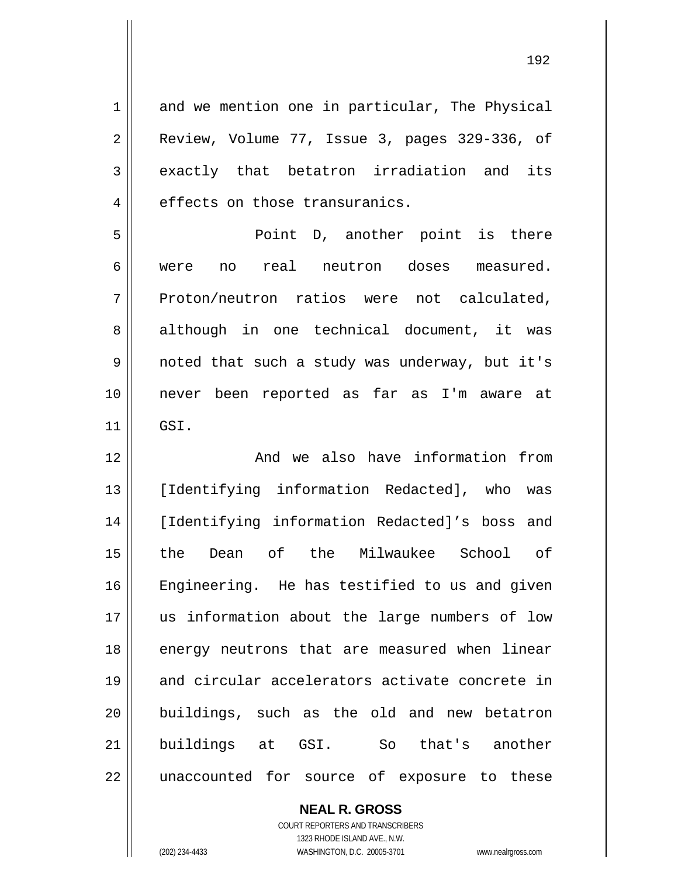1 2 3 4 5 6 7 8 9 10 11 12 13 14 15 16 17 18 19 20 21 22 and we mention one in particular, The Physical Review, Volume 77, Issue 3, pages 329-336, of exactly that betatron irradiation and its effects on those transuranics. Point D, another point is there were no real neutron doses measured. Proton/neutron ratios were not calculated, although in one technical document, it was noted that such a study was underway, but it's never been reported as far as I'm aware at GSI. And we also have information from [Identifying information Redacted], who was [Identifying information Redacted]'s boss and the Dean of the Milwaukee School of Engineering. He has testified to us and given us information about the large numbers of low energy neutrons that are measured when linear and circular accelerators activate concrete in buildings, such as the old and new betatron buildings at GSI. So that's another unaccounted for source of exposure to these

> **NEAL R. GROSS** COURT REPORTERS AND TRANSCRIBERS

1323 RHODE ISLAND AVE., N.W. (202) 234-4433 WASHINGTON, D.C. 20005-3701 www.nealrgross.com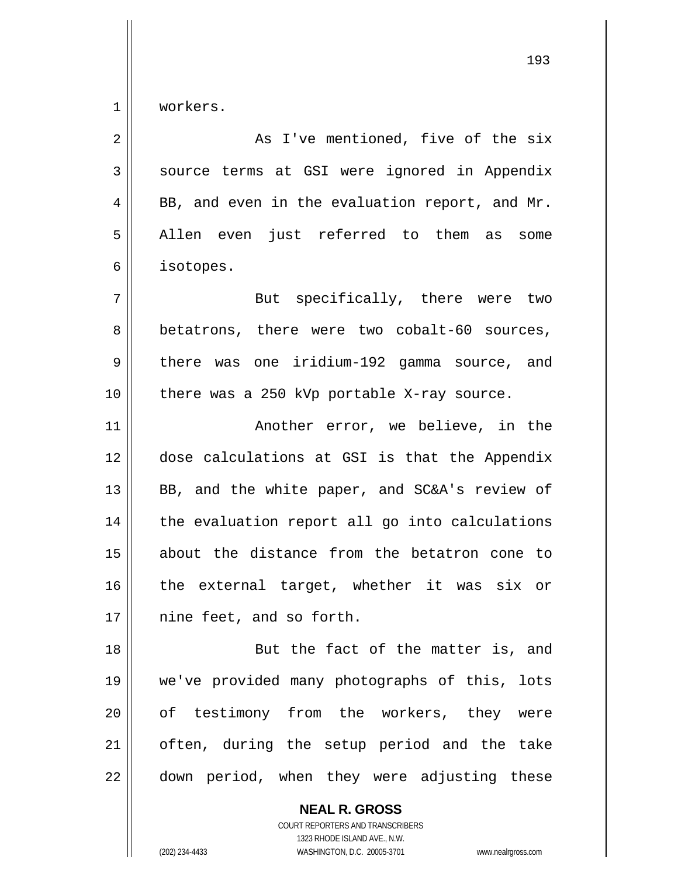1 workers.

| $\overline{2}$ | As I've mentioned, five of the six             |
|----------------|------------------------------------------------|
| 3              | source terms at GSI were ignored in Appendix   |
| 4              | BB, and even in the evaluation report, and Mr. |
| 5              | Allen even just referred to them as<br>some    |
| 6              | isotopes.                                      |
| 7              | But specifically, there were two               |
| 8              | betatrons, there were two cobalt-60 sources,   |
| 9              | there was one iridium-192 gamma source, and    |
| 10             | there was a 250 kVp portable X-ray source.     |
| 11             | Another error, we believe, in the              |
| 12             | dose calculations at GSI is that the Appendix  |
| 13             | BB, and the white paper, and SC&A's review of  |
| 14             | the evaluation report all go into calculations |
| 15             | about the distance from the betatron cone to   |
| 16             | the external target, whether it was six or     |
| 17             | nine feet, and so forth.                       |
| 18             | But the fact of the matter is, and             |
| 19             | we've provided many photographs of this, lots  |
| 20             | of testimony from the workers, they were       |
| 21             | often, during the setup period and the take    |
| 22             | down period, when they were adjusting these    |
|                | <b>NEAL R. GROSS</b>                           |

COURT REPORTERS AND TRANSCRIBERS 1323 RHODE ISLAND AVE., N.W. (202) 234-4433 WASHINGTON, D.C. 20005-3701 www.nealrgross.com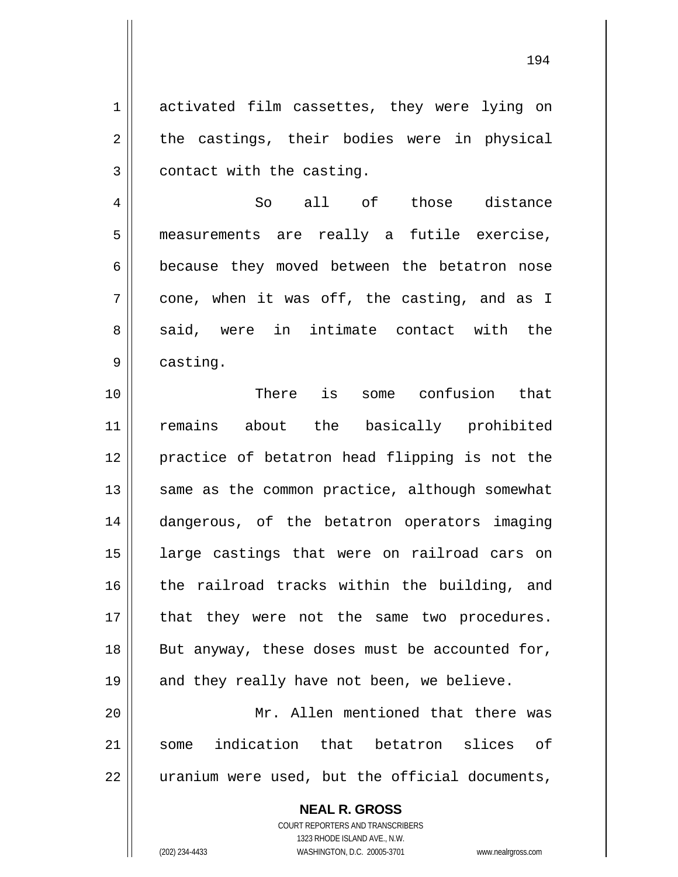1 2 3 activated film cassettes, they were lying on the castings, their bodies were in physical contact with the casting.

4 5 6 7 8 9 So all of those distance measurements are really a futile exercise, because they moved between the betatron nose cone, when it was off, the casting, and as I said, were in intimate contact with the casting.

10 11 12 13 14 15 16 17 18 19 20 21 There is some confusion that remains about the basically prohibited practice of betatron head flipping is not the same as the common practice, although somewhat dangerous, of the betatron operators imaging large castings that were on railroad cars on the railroad tracks within the building, and that they were not the same two procedures. But anyway, these doses must be accounted for, and they really have not been, we believe. Mr. Allen mentioned that there was some indication that betatron slices of

22 uranium were used, but the official documents,

> COURT REPORTERS AND TRANSCRIBERS 1323 RHODE ISLAND AVE., N.W. (202) 234-4433 WASHINGTON, D.C. 20005-3701 www.nealrgross.com

**NEAL R. GROSS**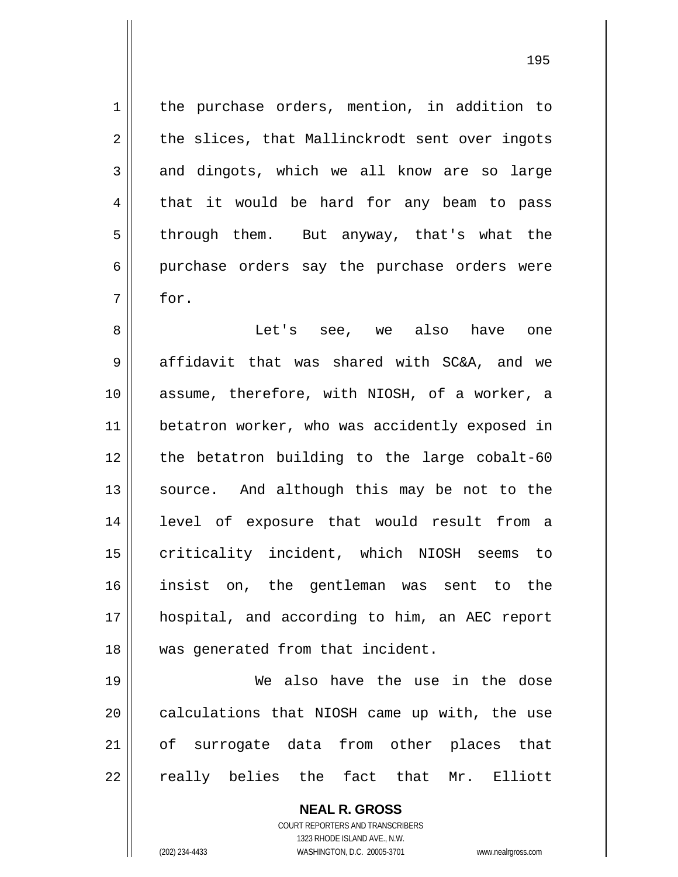the purchase orders, mention, in addition to the slices, that Mallinckrodt sent over ingots and dingots, which we all know are so large that it would be hard for any beam to pass through them. But anyway, that's what the purchase orders say the purchase orders were for.

8 9 10 11 12 13 14 15 16 17 18 Let's see, we also have one affidavit that was shared with SC&A, and we assume, therefore, with NIOSH, of a worker, a betatron worker, who was accidently exposed in the betatron building to the large cobalt-60 source. And although this may be not to the level of exposure that would result from a criticality incident, which NIOSH seems to insist on, the gentleman was sent to the hospital, and according to him, an AEC report was generated from that incident.

19 20 21 22 We also have the use in the dose calculations that NIOSH came up with, the use of surrogate data from other places that really belies the fact that Mr. Elliott

> **NEAL R. GROSS** COURT REPORTERS AND TRANSCRIBERS 1323 RHODE ISLAND AVE., N.W. (202) 234-4433 WASHINGTON, D.C. 20005-3701 www.nealrgross.com

1

2

3

4

5

6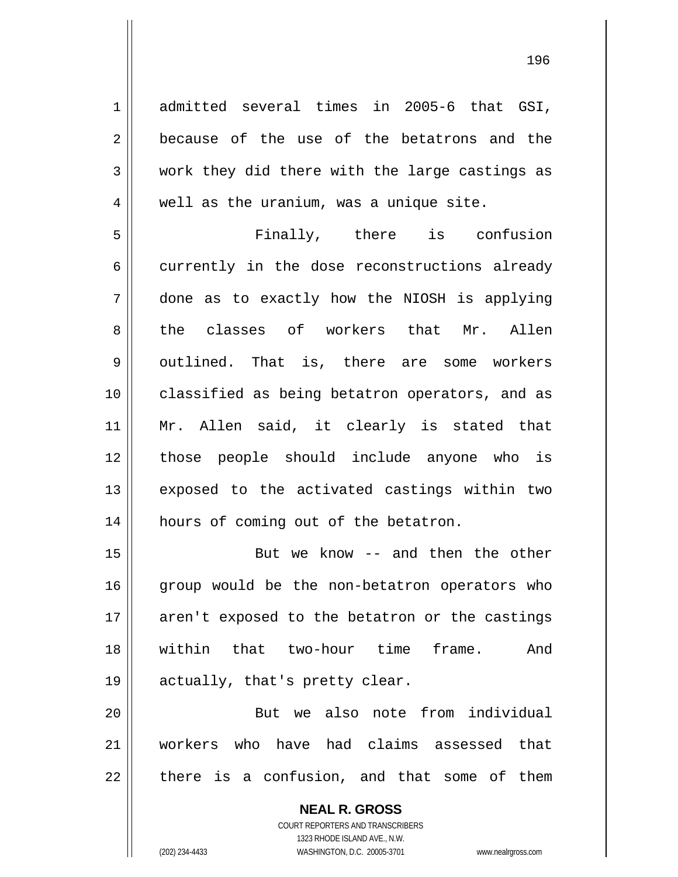admitted several times in 2005-6 that GSI, because of the use of the betatrons and the work they did there with the large castings as well as the uranium, was a unique site.

1

2

3

4

196

5 6 7 8 9 10 11 12 13 14 Finally, there is confusion currently in the dose reconstructions already done as to exactly how the NIOSH is applying the classes of workers that Mr. Allen outlined. That is, there are some workers classified as being betatron operators, and as Mr. Allen said, it clearly is stated that those people should include anyone who is exposed to the activated castings within two hours of coming out of the betatron.

15 16 17 18 19 But we know -- and then the other group would be the non-betatron operators who aren't exposed to the betatron or the castings within that two-hour time frame. And actually, that's pretty clear.

20 21 22 But we also note from individual workers who have had claims assessed that there is a confusion, and that some of them

> **NEAL R. GROSS** COURT REPORTERS AND TRANSCRIBERS 1323 RHODE ISLAND AVE., N.W. (202) 234-4433 WASHINGTON, D.C. 20005-3701 www.nealrgross.com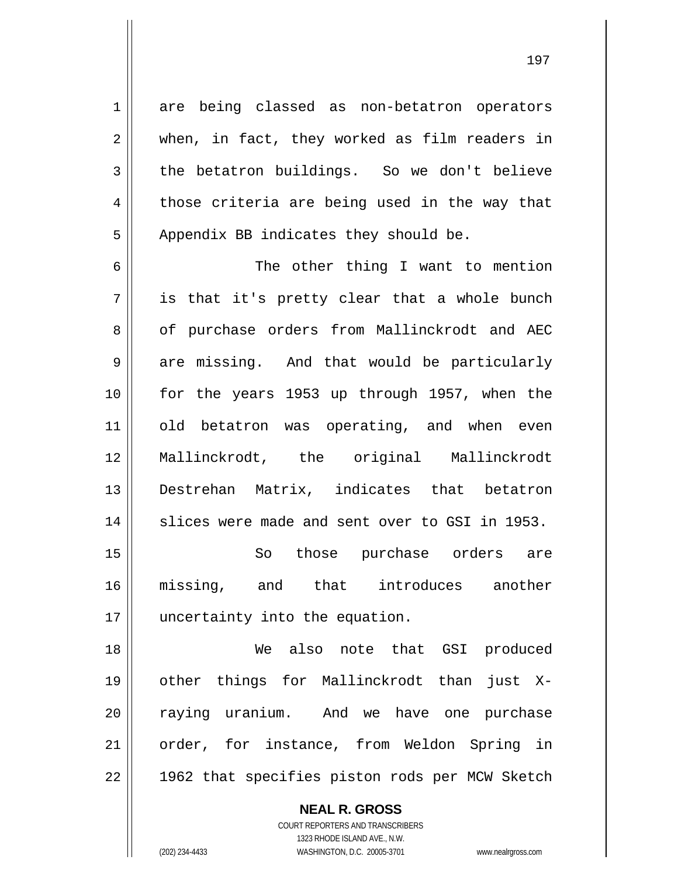are being classed as non-betatron operators when, in fact, they worked as film readers in the betatron buildings. So we don't believe those criteria are being used in the way that Appendix BB indicates they should be.

6 7 8 9 10 11 12 13 14 The other thing I want to mention is that it's pretty clear that a whole bunch of purchase orders from Mallinckrodt and AEC are missing. And that would be particularly for the years 1953 up through 1957, when the old betatron was operating, and when even Mallinckrodt, the original Mallinckrodt Destrehan Matrix, indicates that betatron slices were made and sent over to GSI in 1953.

15 16 17 So those purchase orders are missing, and that introduces another uncertainty into the equation.

18 19 20 21 22 We also note that GSI produced other things for Mallinckrodt than just Xraying uranium. And we have one purchase order, for instance, from Weldon Spring in 1962 that specifies piston rods per MCW Sketch

**NEAL R. GROSS**

1

2

3

4

5

COURT REPORTERS AND TRANSCRIBERS 1323 RHODE ISLAND AVE., N.W. (202) 234-4433 WASHINGTON, D.C. 20005-3701 www.nealrgross.com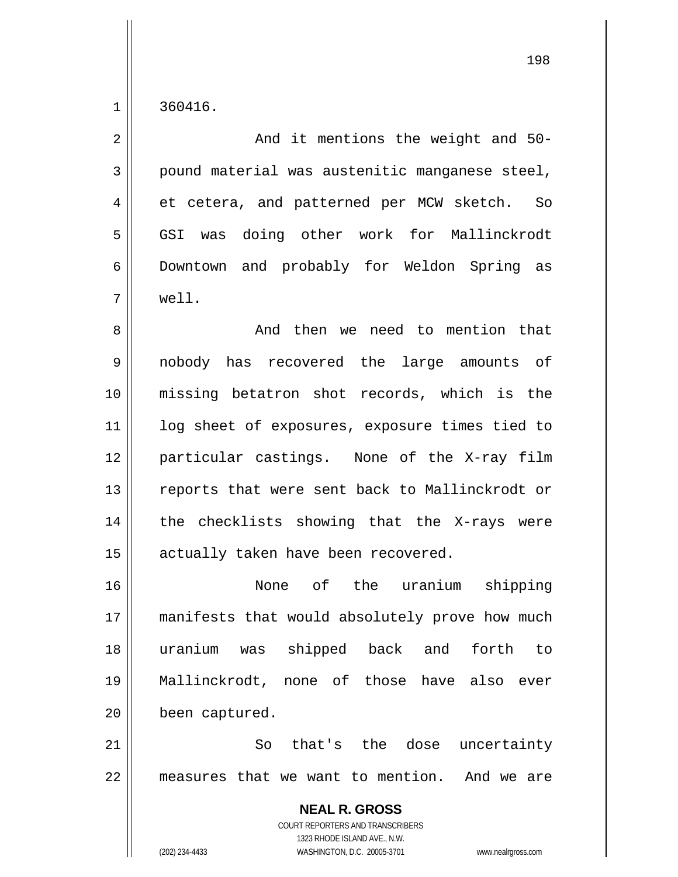1

| And it mentions the weight and 50-                                                                                                                                     |
|------------------------------------------------------------------------------------------------------------------------------------------------------------------------|
| pound material was austenitic manganese steel,                                                                                                                         |
| et cetera, and patterned per MCW sketch. So                                                                                                                            |
| GSI was doing other work for Mallinckrodt                                                                                                                              |
| Downtown and probably for Weldon Spring as                                                                                                                             |
| well.                                                                                                                                                                  |
| And then we need to mention that                                                                                                                                       |
| nobody has recovered the large amounts of                                                                                                                              |
| missing betatron shot records, which is the                                                                                                                            |
| log sheet of exposures, exposure times tied to                                                                                                                         |
| particular castings. None of the X-ray film                                                                                                                            |
| reports that were sent back to Mallinckrodt or                                                                                                                         |
| the checklists showing that the X-rays were                                                                                                                            |
| actually taken have been recovered.                                                                                                                                    |
| None of the uranium shipping                                                                                                                                           |
| manifests that would absolutely prove how much                                                                                                                         |
| shipped back and<br>forth to<br>uranium<br>was                                                                                                                         |
| Mallinckrodt, none of those have<br>also<br>ever                                                                                                                       |
| been captured.                                                                                                                                                         |
| that's the dose<br>So<br>uncertainty                                                                                                                                   |
| measures that we want to mention. And we are                                                                                                                           |
| <b>NEAL R. GROSS</b><br><b>COURT REPORTERS AND TRANSCRIBERS</b><br>1323 RHODE ISLAND AVE., N.W.<br>(202) 234-4433<br>WASHINGTON, D.C. 20005-3701<br>www.nealrgross.com |
|                                                                                                                                                                        |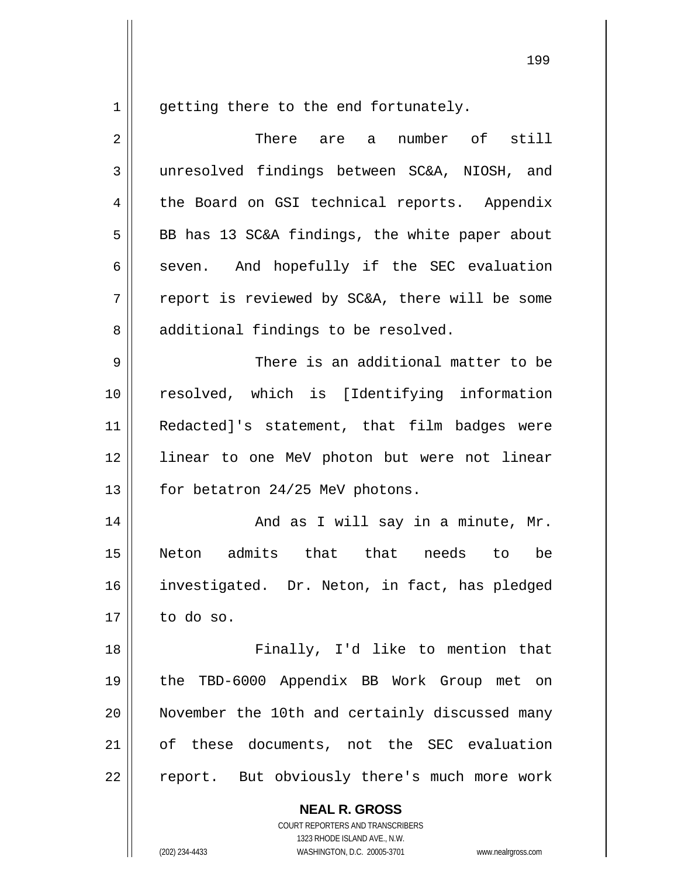1

getting there to the end fortunately.

| 2  | There are a number of still                    |
|----|------------------------------------------------|
| 3  | unresolved findings between SC&A, NIOSH, and   |
| 4  | the Board on GSI technical reports. Appendix   |
| 5  | BB has 13 SC&A findings, the white paper about |
| 6  | seven. And hopefully if the SEC evaluation     |
| 7  | report is reviewed by SC&A, there will be some |
| 8  | additional findings to be resolved.            |
| 9  | There is an additional matter to be            |
| 10 | resolved, which is [Identifying information    |
| 11 | Redacted]'s statement, that film badges were   |
| 12 | linear to one MeV photon but were not linear   |
| 13 | for betatron 24/25 MeV photons.                |
| 14 | And as I will say in a minute, Mr.             |
| 15 | Neton admits that that needs to<br>be          |
| 16 | investigated. Dr. Neton, in fact, has pledged  |
| 17 | to do so.                                      |
| 18 | Finally, I'd like to mention that              |
| 19 | the TBD-6000 Appendix BB Work Group met on     |
| 20 | November the 10th and certainly discussed many |
| 21 | of these documents, not the SEC evaluation     |
| 22 | report. But obviously there's much more work   |

**NEAL R. GROSS** COURT REPORTERS AND TRANSCRIBERS

1323 RHODE ISLAND AVE., N.W.

(202) 234-4433 WASHINGTON, D.C. 20005-3701 www.nealrgross.com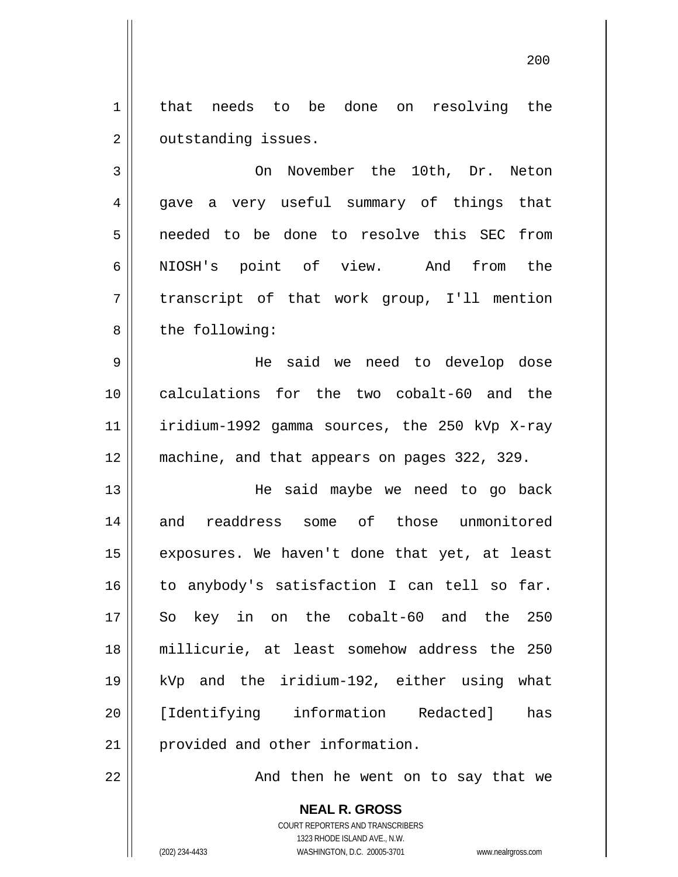1 2 that needs to be done on resolving the outstanding issues.

3 4 5 6 7 8 On November the 10th, Dr. Neton gave a very useful summary of things that needed to be done to resolve this SEC from NIOSH's point of view. And from the transcript of that work group, I'll mention the following:

9 10 11 12 He said we need to develop dose calculations for the two cobalt-60 and the iridium-1992 gamma sources, the 250 kVp X-ray machine, and that appears on pages 322, 329.

13 14 15 16 17 18 19 20 21 He said maybe we need to go back and readdress some of those unmonitored exposures. We haven't done that yet, at least to anybody's satisfaction I can tell so far. So key in on the cobalt-60 and the 250 millicurie, at least somehow address the 250 kVp and the iridium-192, either using what [Identifying information Redacted] has provided and other information.

22

And then he went on to say that we

200

COURT REPORTERS AND TRANSCRIBERS 1323 RHODE ISLAND AVE., N.W. (202) 234-4433 WASHINGTON, D.C. 20005-3701 www.nealrgross.com

**NEAL R. GROSS**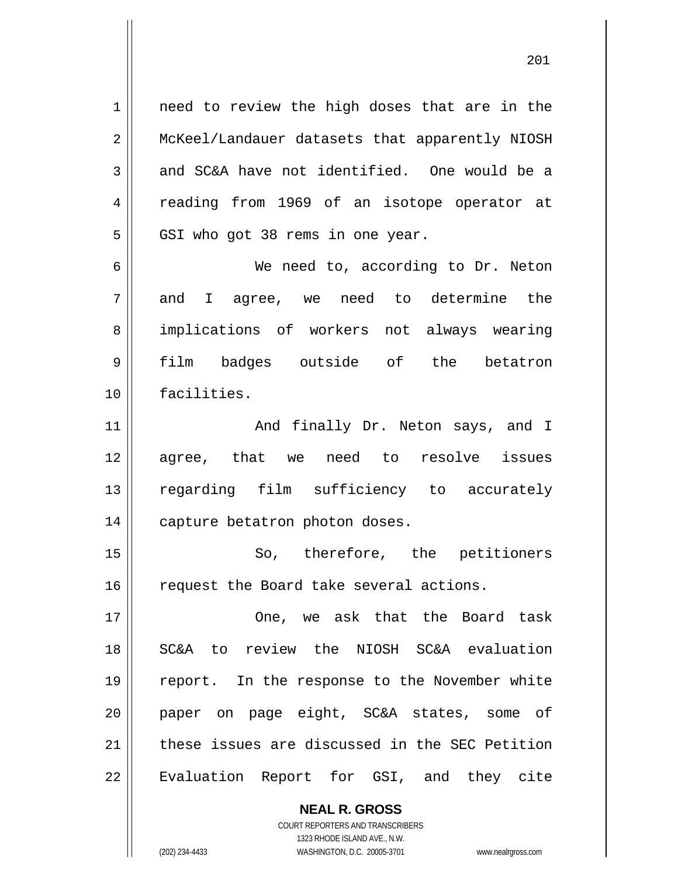1 2 3 4 5 need to review the high doses that are in the McKeel/Landauer datasets that apparently NIOSH and SC&A have not identified. One would be a reading from 1969 of an isotope operator at GSI who got 38 rems in one year.

201

6 7 8 9 10 We need to, according to Dr. Neton and I agree, we need to determine the implications of workers not always wearing film badges outside of the betatron facilities.

11 12 13 14 And finally Dr. Neton says, and I agree, that we need to resolve issues regarding film sufficiency to accurately capture betatron photon doses.

15 16 So, therefore, the petitioners request the Board take several actions.

17 18 19 20 21 22 One, we ask that the Board task SC&A to review the NIOSH SC&A evaluation report. In the response to the November white paper on page eight, SC&A states, some of these issues are discussed in the SEC Petition Evaluation Report for GSI, and they cite

> COURT REPORTERS AND TRANSCRIBERS 1323 RHODE ISLAND AVE., N.W. (202) 234-4433 WASHINGTON, D.C. 20005-3701 www.nealrgross.com

**NEAL R. GROSS**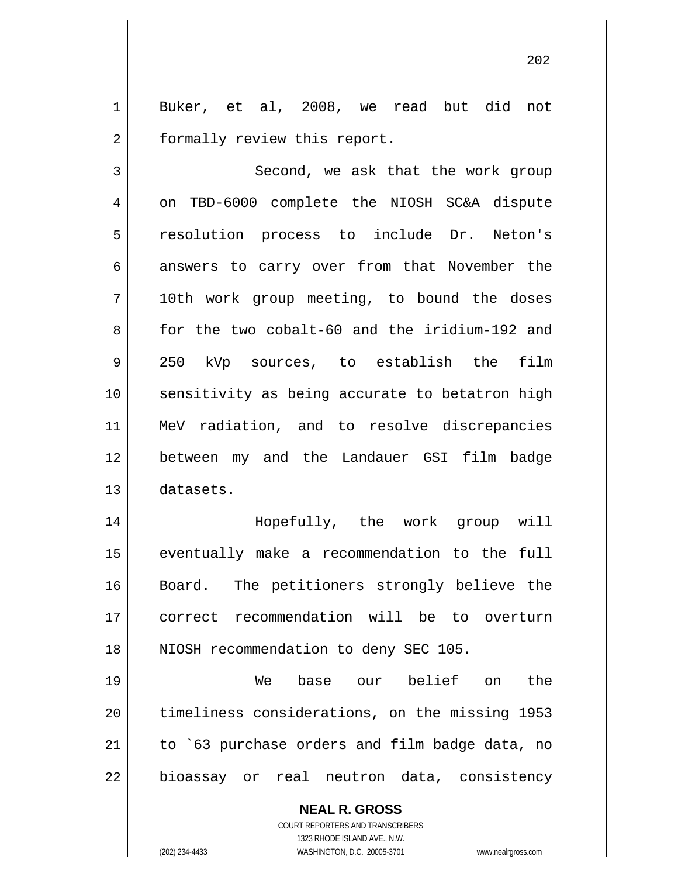1 2 Buker, et al, 2008, we read but did not formally review this report.

3 4 5 6 7 8 9 10 11 12 13 Second, we ask that the work group on TBD-6000 complete the NIOSH SC&A dispute resolution process to include Dr. Neton's answers to carry over from that November the 10th work group meeting, to bound the doses for the two cobalt-60 and the iridium-192 and 250 kVp sources, to establish the film sensitivity as being accurate to betatron high MeV radiation, and to resolve discrepancies between my and the Landauer GSI film badge datasets.

14 15 16 17 18 Hopefully, the work group will eventually make a recommendation to the full Board. The petitioners strongly believe the correct recommendation will be to overturn NIOSH recommendation to deny SEC 105.

19 20 21 22 We base our belief on the timeliness considerations, on the missing 1953 to `63 purchase orders and film badge data, no bioassay or real neutron data, consistency

> **NEAL R. GROSS** COURT REPORTERS AND TRANSCRIBERS 1323 RHODE ISLAND AVE., N.W. (202) 234-4433 WASHINGTON, D.C. 20005-3701 www.nealrgross.com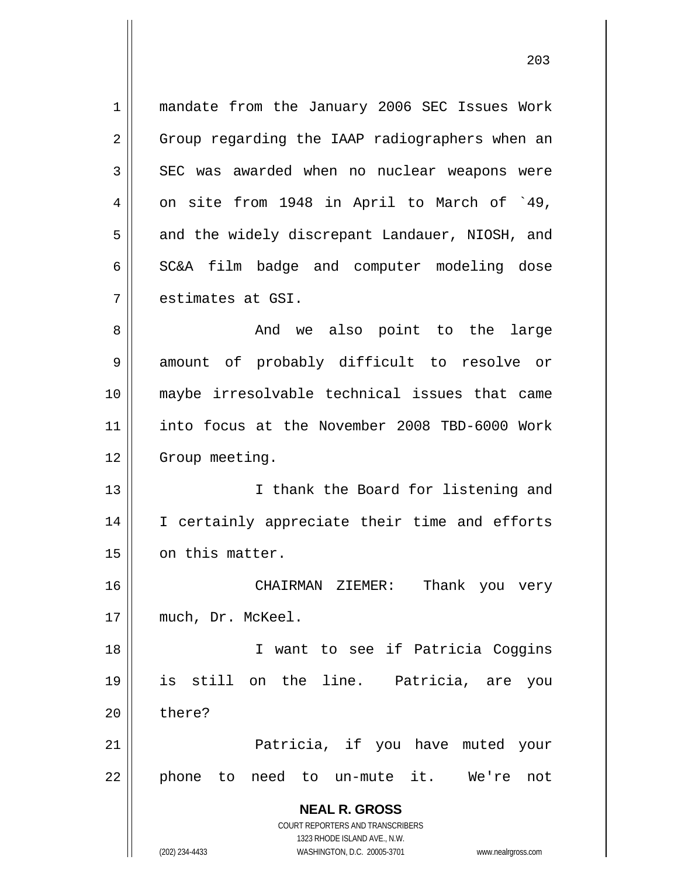1 2 3 4 5 6 7 mandate from the January 2006 SEC Issues Work Group regarding the IAAP radiographers when an SEC was awarded when no nuclear weapons were on site from 1948 in April to March of `49, and the widely discrepant Landauer, NIOSH, and SC&A film badge and computer modeling dose estimates at GSI.

8 9 10 11 12 And we also point to the large amount of probably difficult to resolve or maybe irresolvable technical issues that came into focus at the November 2008 TBD-6000 Work Group meeting.

13 14 15 I thank the Board for listening and I certainly appreciate their time and efforts on this matter.

16 17 CHAIRMAN ZIEMER: Thank you very much, Dr. McKeel.

18 19 20 I want to see if Patricia Coggins is still on the line. Patricia, are you there?

21 22 Patricia, if you have muted your phone to need to un-mute it. We're not

> **NEAL R. GROSS** COURT REPORTERS AND TRANSCRIBERS

> > 1323 RHODE ISLAND AVE., N.W.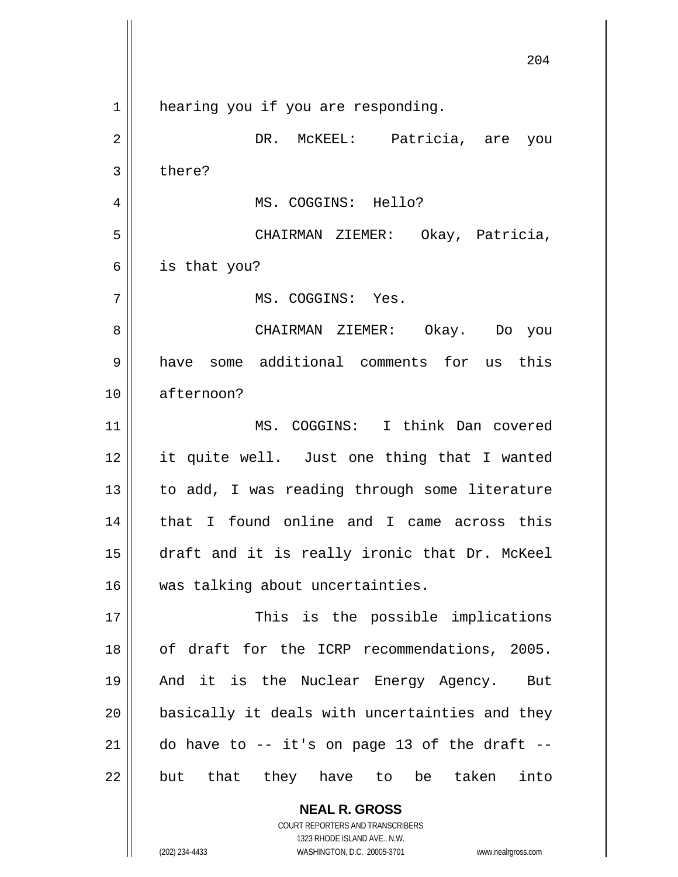**NEAL R. GROSS** 204 1 2 3 4 5 6 7 8 9 10 11 12 13 14 15 16 17 18 19 20 21 22 hearing you if you are responding. DR. McKEEL: Patricia, are you there? MS. COGGINS: Hello? CHAIRMAN ZIEMER: Okay, Patricia, is that you? MS. COGGINS: Yes. CHAIRMAN ZIEMER: Okay. Do you have some additional comments for us this afternoon? MS. COGGINS: I think Dan covered it quite well. Just one thing that I wanted to add, I was reading through some literature that I found online and I came across this draft and it is really ironic that Dr. McKeel was talking about uncertainties. This is the possible implications of draft for the ICRP recommendations, 2005. And it is the Nuclear Energy Agency. But basically it deals with uncertainties and they do have to  $-$  it's on page 13 of the draft  $$ but that they have to be taken into

> COURT REPORTERS AND TRANSCRIBERS 1323 RHODE ISLAND AVE., N.W.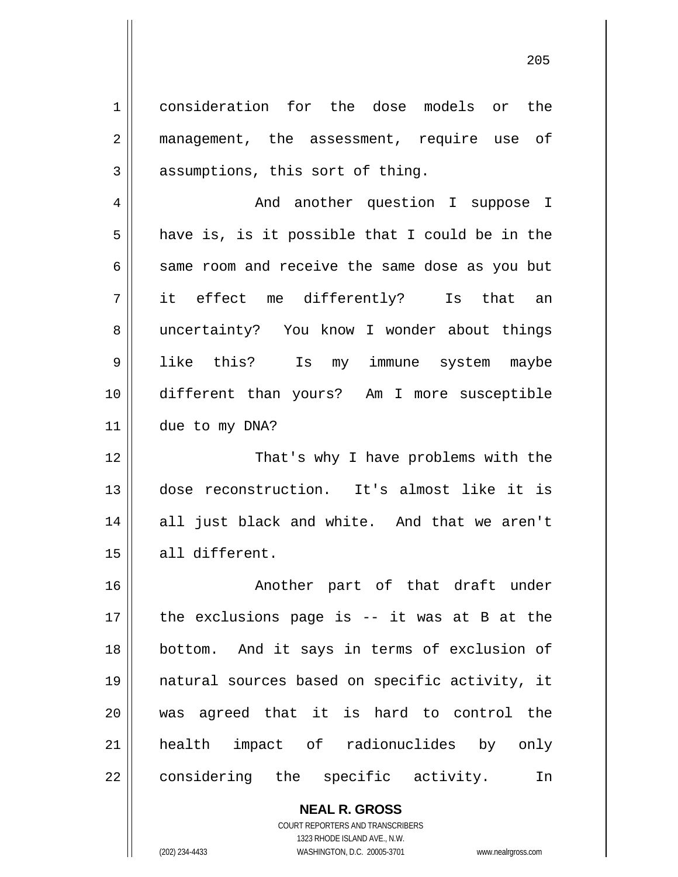consideration for the dose models or the management, the assessment, require use of assumptions, this sort of thing.

4 5 6 7 8 9 10 11 And another question I suppose I have is, is it possible that I could be in the same room and receive the same dose as you but it effect me differently? Is that an uncertainty? You know I wonder about things like this? Is my immune system maybe different than yours? Am I more susceptible due to my DNA?

12 13 14 15 That's why I have problems with the dose reconstruction. It's almost like it is all just black and white. And that we aren't all different.

16 17 18 19 20 21 22 Another part of that draft under the exclusions page is -- it was at B at the bottom. And it says in terms of exclusion of natural sources based on specific activity, it was agreed that it is hard to control the health impact of radionuclides by only considering the specific activity. In

> **NEAL R. GROSS** COURT REPORTERS AND TRANSCRIBERS 1323 RHODE ISLAND AVE., N.W.

1

2

3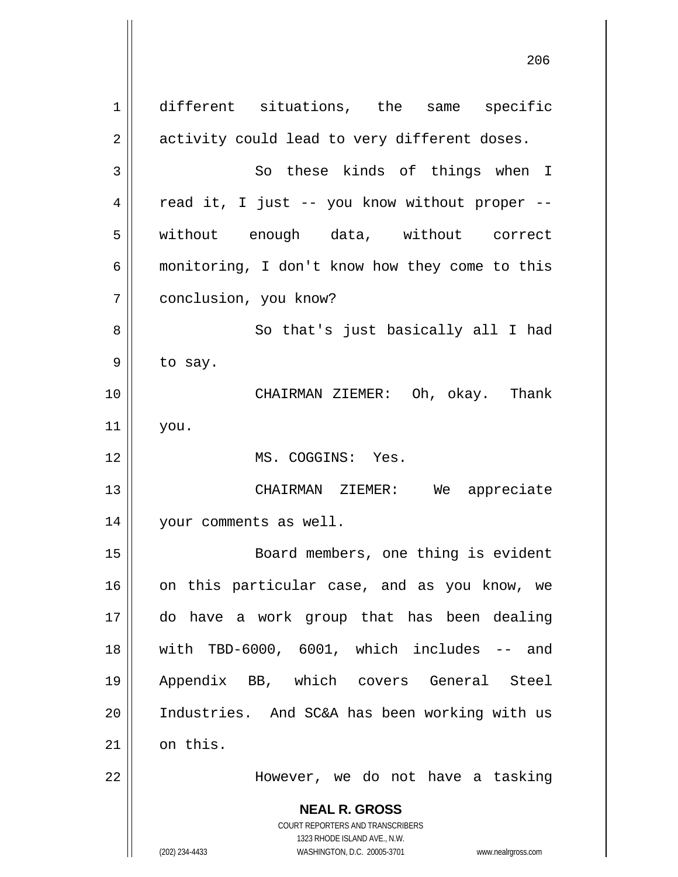**NEAL R. GROSS** COURT REPORTERS AND TRANSCRIBERS 1323 RHODE ISLAND AVE., N.W. (202) 234-4433 WASHINGTON, D.C. 20005-3701 www.nealrgross.com 1 2 3 4 5 6 7 8 9 10 11 12 13 14 15 16 17 18 19 20 21 22 different situations, the same specific activity could lead to very different doses. So these kinds of things when I read it, I just -- you know without proper - without enough data, without correct monitoring, I don't know how they come to this conclusion, you know? So that's just basically all I had to say. CHAIRMAN ZIEMER: Oh, okay. Thank you. MS. COGGINS: Yes. CHAIRMAN ZIEMER: We appreciate your comments as well. Board members, one thing is evident on this particular case, and as you know, we do have a work group that has been dealing with TBD-6000, 6001, which includes -- and Appendix BB, which covers General Steel Industries. And SC&A has been working with us on this. However, we do not have a tasking

проставление производство в село в 1990 године в 206 године в 206 године в 206 године в 206 године в 206 годин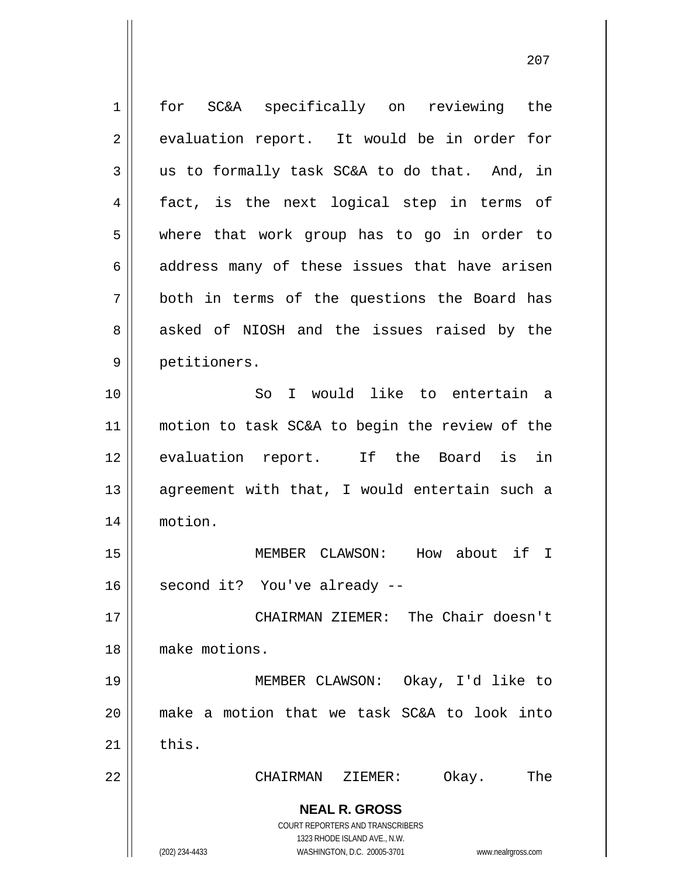**NEAL R. GROSS** COURT REPORTERS AND TRANSCRIBERS 1323 RHODE ISLAND AVE., N.W. (202) 234-4433 WASHINGTON, D.C. 20005-3701 www.nealrgross.com 1 2 3 4 5 6 7 8 9 10 11 12 13 14 15 16 17 18 19 20 21 22 for SC&A specifically on reviewing the evaluation report. It would be in order for us to formally task SC&A to do that. And, in fact, is the next logical step in terms of where that work group has to go in order to address many of these issues that have arisen both in terms of the questions the Board has asked of NIOSH and the issues raised by the petitioners. So I would like to entertain a motion to task SC&A to begin the review of the evaluation report. If the Board is in agreement with that, I would entertain such a motion. MEMBER CLAWSON: How about if I second it? You've already -- CHAIRMAN ZIEMER: The Chair doesn't make motions. MEMBER CLAWSON: Okay, I'd like to make a motion that we task SC&A to look into this. CHAIRMAN ZIEMER: Okay. The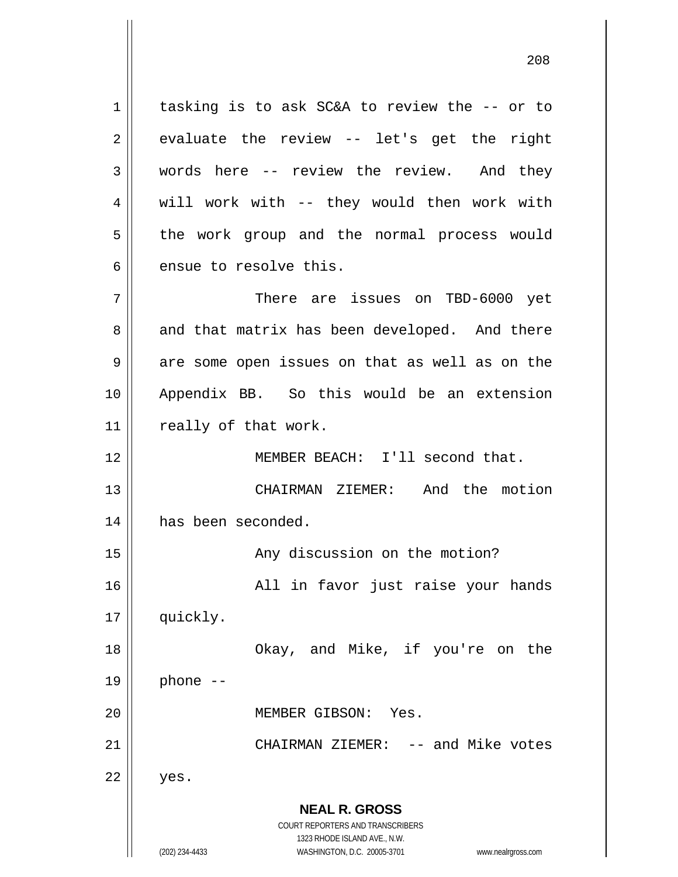1 2 3 4 5 6 7 8 9 10 11 12 13 14 15 16 tasking is to ask SC&A to review the -- or to evaluate the review -- let's get the right words here -- review the review. And they will work with -- they would then work with the work group and the normal process would ensue to resolve this. There are issues on TBD-6000 yet and that matrix has been developed. And there are some open issues on that as well as on the Appendix BB. So this would be an extension really of that work. MEMBER BEACH: I'll second that. CHAIRMAN ZIEMER: And the motion has been seconded. Any discussion on the motion? All in favor just raise your hands

17 quickly.

18

19

20

21

22

 Okay, and Mike, if you're on the phone -- MEMBER GIBSON: Yes.

CHAIRMAN ZIEMER: -- and Mike votes

yes.

**NEAL R. GROSS** COURT REPORTERS AND TRANSCRIBERS 1323 RHODE ISLAND AVE., N.W.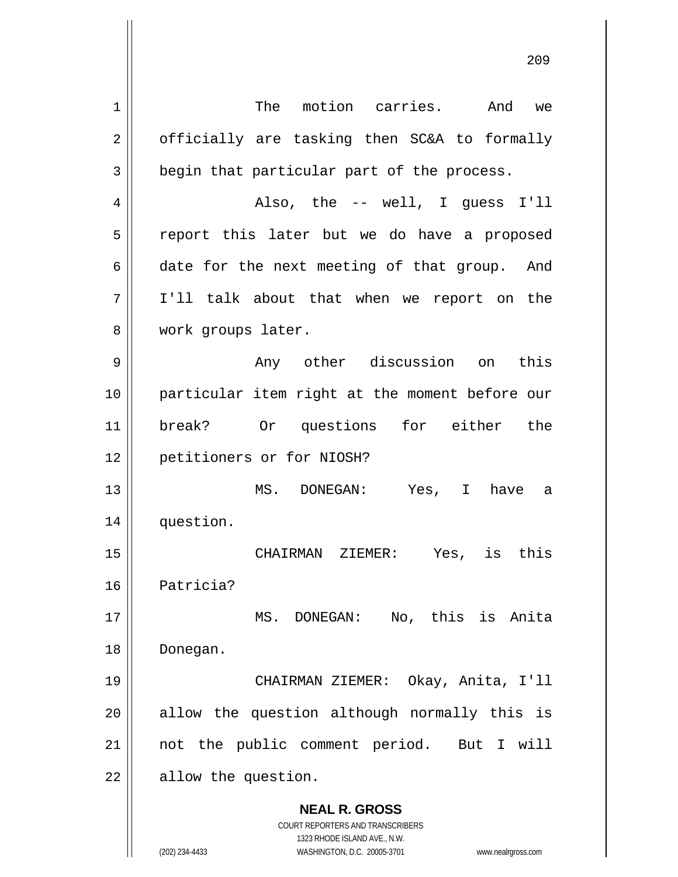**NEAL R. GROSS** COURT REPORTERS AND TRANSCRIBERS 1323 RHODE ISLAND AVE., N.W. (202) 234-4433 WASHINGTON, D.C. 20005-3701 www.nealrgross.com 1 2 3 4 5 6 7 8 9 10 11 12 13 14 15 16 17 18 19 20 21 22 The motion carries. And we officially are tasking then SC&A to formally begin that particular part of the process. Also, the -- well, I guess I'll report this later but we do have a proposed date for the next meeting of that group. And I'll talk about that when we report on the work groups later. Any other discussion on this particular item right at the moment before our break? Or questions for either the petitioners or for NIOSH? MS. DONEGAN: Yes, I have a question. CHAIRMAN ZIEMER: Yes, is this Patricia? MS. DONEGAN: No, this is Anita Donegan. CHAIRMAN ZIEMER: Okay, Anita, I'll allow the question although normally this is not the public comment period. But I will allow the question.

<u>209 - Andre Stein Barbara, amerikan pendadaran pendada personal dan personal dan personal dan personal dan pe</u>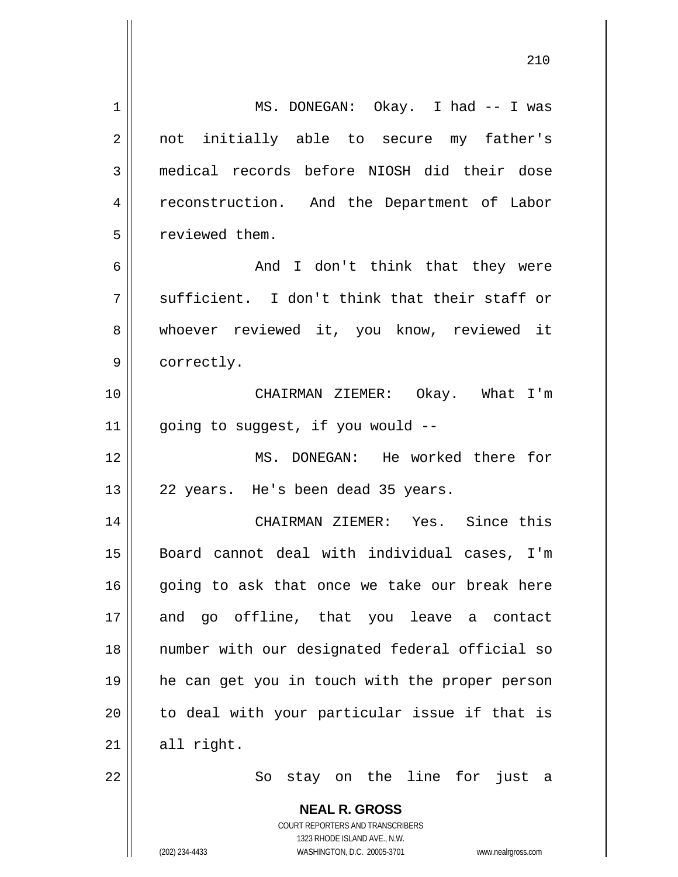| 1  | MS. DONEGAN: Okay. I had -- I was                                   |
|----|---------------------------------------------------------------------|
| 2  | not initially able to secure my father's                            |
| 3  | medical records before NIOSH did their dose                         |
| 4  | reconstruction. And the Department of Labor                         |
| 5  | reviewed them.                                                      |
| 6  | And I don't think that they were                                    |
| 7  | sufficient. I don't think that their staff or                       |
| 8  | whoever reviewed it, you know, reviewed it                          |
| 9  | correctly.                                                          |
| 10 | CHAIRMAN ZIEMER: Okay. What I'm                                     |
| 11 | going to suggest, if you would --                                   |
| 12 | MS. DONEGAN: He worked there for                                    |
| 13 | 22 years. He's been dead 35 years.                                  |
| 14 | CHAIRMAN ZIEMER: Yes. Since this                                    |
| 15 | Board cannot deal with individual cases, I'm                        |
| 16 | going to ask that once we take our break here                       |
| 17 | and go offline, that you leave a contact                            |
| 18 | number with our designated federal official so                      |
|    |                                                                     |
| 19 | he can get you in touch with the proper person                      |
| 20 | to deal with your particular issue if that is                       |
| 21 | all right.                                                          |
| 22 | stay on the line for just<br>So<br>- a                              |
|    | <b>NEAL R. GROSS</b>                                                |
|    | <b>COURT REPORTERS AND TRANSCRIBERS</b>                             |
|    | 1323 RHODE ISLAND AVE., N.W.                                        |
|    | (202) 234-4433<br>WASHINGTON, D.C. 20005-3701<br>www.nealrgross.com |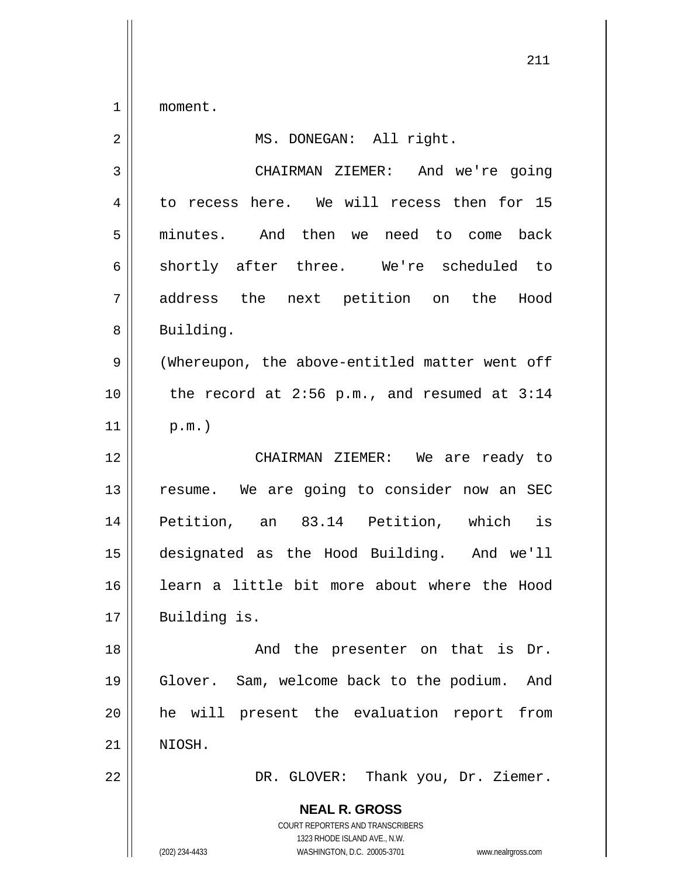1 moment.

| $\overline{2}$ | MS. DONEGAN: All right.                                                                                                                                         |
|----------------|-----------------------------------------------------------------------------------------------------------------------------------------------------------------|
| 3              | CHAIRMAN ZIEMER: And we're going                                                                                                                                |
| 4              | to recess here. We will recess then for 15                                                                                                                      |
| 5              | minutes. And then we need to come back                                                                                                                          |
| 6              | shortly after three. We're scheduled to                                                                                                                         |
| 7              | address the next petition on the<br>Hood                                                                                                                        |
| 8              | Building.                                                                                                                                                       |
| $\mathsf 9$    | (Whereupon, the above-entitled matter went off                                                                                                                  |
| 10             | the record at $2:56$ p.m., and resumed at $3:14$                                                                                                                |
| 11             | $p.m.$ )                                                                                                                                                        |
| 12             | CHAIRMAN ZIEMER: We are ready to                                                                                                                                |
| 13             | resume. We are going to consider now an SEC                                                                                                                     |
| 14             | Petition, an 83.14 Petition, which is                                                                                                                           |
| 15             | designated as the Hood Building. And we'll                                                                                                                      |
| 16             | learn a little bit more about where the Hood                                                                                                                    |
| 17             | Building is.                                                                                                                                                    |
| 18             | And the presenter on that is Dr.                                                                                                                                |
| 19             | Glover. Sam, welcome back to the podium. And                                                                                                                    |
| 20             | he will present the evaluation report<br>from                                                                                                                   |
| 21             | NIOSH.                                                                                                                                                          |
| 22             | DR. GLOVER: Thank you, Dr. Ziemer.                                                                                                                              |
|                | <b>NEAL R. GROSS</b><br>COURT REPORTERS AND TRANSCRIBERS<br>1323 RHODE ISLAND AVE., N.W.<br>(202) 234-4433<br>WASHINGTON, D.C. 20005-3701<br>www.nealrgross.com |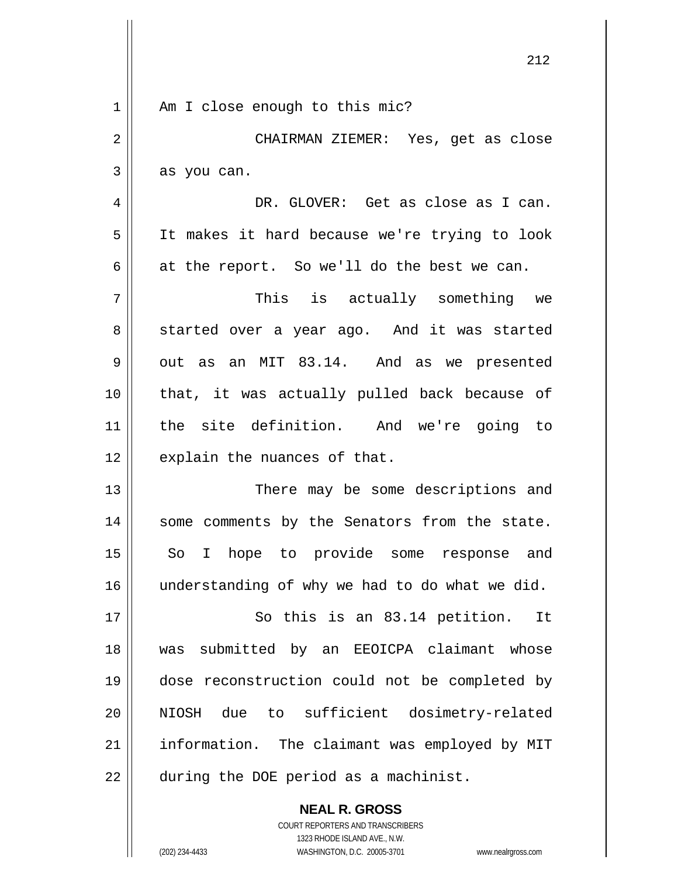|                | 212                                            |
|----------------|------------------------------------------------|
| 1              | Am I close enough to this mic?                 |
| $\overline{2}$ | CHAIRMAN ZIEMER: Yes, get as close             |
| 3              | as you can.                                    |
| 4              | DR. GLOVER: Get as close as I can.             |
| 5              | It makes it hard because we're trying to look  |
| 6              | at the report. So we'll do the best we can.    |
| 7              | This is actually something we                  |
| 8              | started over a year ago. And it was started    |
| 9              | out as an MIT 83.14. And as we presented       |
| 10             | that, it was actually pulled back because of   |
| 11             | the site definition. And we're going to        |
| 12             | explain the nuances of that.                   |
| 13             |                                                |
|                | There may be some descriptions and             |
| 14             | some comments by the Senators from the state.  |
| 15             | So I hope to provide some response and         |
| 16             | understanding of why we had to do what we did. |
| 17             | So this is an 83.14 petition.<br>It            |
| 18             | submitted by an EEOICPA claimant whose<br>was  |
| 19             | dose reconstruction could not be completed by  |
| 20             | due to sufficient dosimetry-related<br>NIOSH   |
| 21             | information. The claimant was employed by MIT  |
| 22             | during the DOE period as a machinist.          |
|                | <b>NEAL R. GROSS</b>                           |

COURT REPORTERS AND TRANSCRIBERS 1323 RHODE ISLAND AVE., N.W.

 $\mathsf{II}$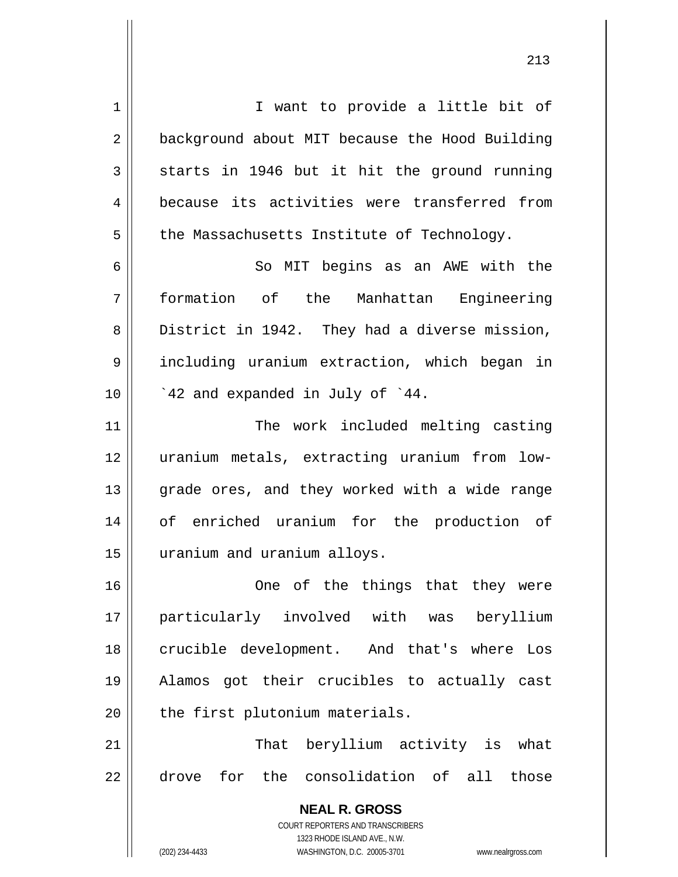**NEAL R. GROSS** COURT REPORTERS AND TRANSCRIBERS 1 2 3 4 5 6 7 8 9 10 11 12 13 14 15 16 17 18 19 20 21 22 I want to provide a little bit of background about MIT because the Hood Building starts in 1946 but it hit the ground running because its activities were transferred from the Massachusetts Institute of Technology. So MIT begins as an AWE with the formation of the Manhattan Engineering District in 1942. They had a diverse mission, including uranium extraction, which began in `42 and expanded in July of `44. The work included melting casting uranium metals, extracting uranium from lowgrade ores, and they worked with a wide range of enriched uranium for the production of uranium and uranium alloys. One of the things that they were particularly involved with was beryllium crucible development. And that's where Los Alamos got their crucibles to actually cast the first plutonium materials. That beryllium activity is what drove for the consolidation of all those

1323 RHODE ISLAND AVE., N.W.

(202) 234-4433 WASHINGTON, D.C. 20005-3701 www.nealrgross.com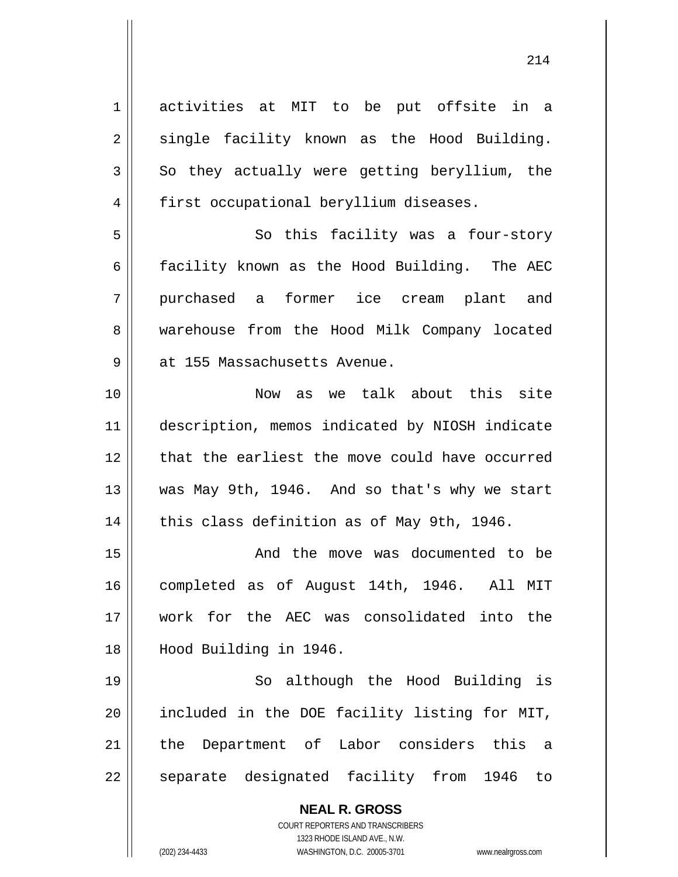**NEAL R. GROSS** COURT REPORTERS AND TRANSCRIBERS 1323 RHODE ISLAND AVE., N.W. 1 2 3 4 5 6 7 8 9 10 11 12 13 14 15 16 17 18 19 20 21 22 activities at MIT to be put offsite in a single facility known as the Hood Building. So they actually were getting beryllium, the first occupational beryllium diseases. So this facility was a four-story facility known as the Hood Building. The AEC purchased a former ice cream plant and warehouse from the Hood Milk Company located at 155 Massachusetts Avenue. Now as we talk about this site description, memos indicated by NIOSH indicate that the earliest the move could have occurred was May 9th, 1946. And so that's why we start this class definition as of May 9th, 1946. And the move was documented to be completed as of August 14th, 1946. All MIT work for the AEC was consolidated into the Hood Building in 1946. So although the Hood Building is included in the DOE facility listing for MIT, the Department of Labor considers this a separate designated facility from 1946 to

(202) 234-4433 WASHINGTON, D.C. 20005-3701 www.nealrgross.com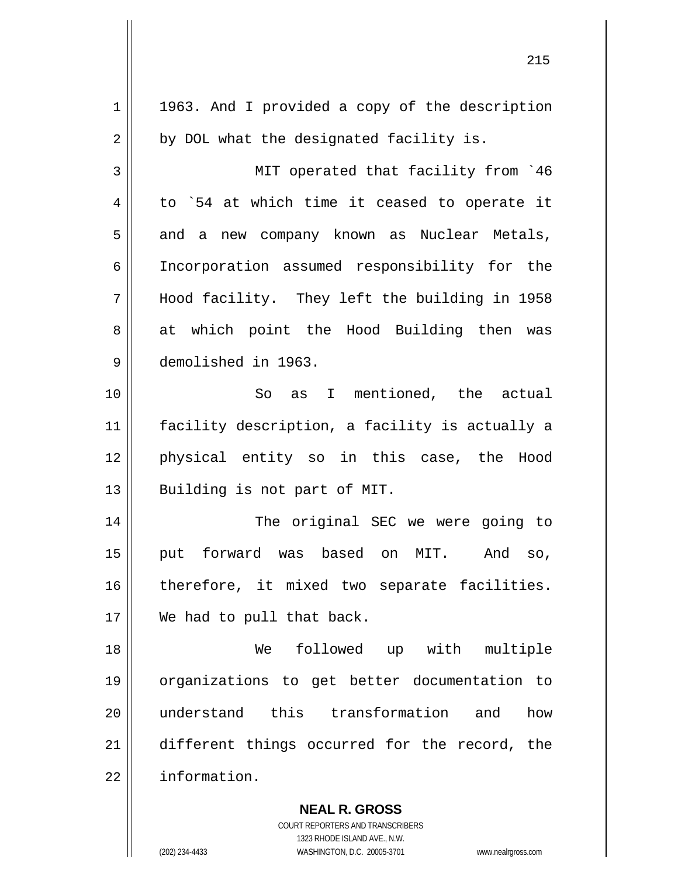| $\mathbf 1$ | 1963. And I provided a copy of the description           |
|-------------|----------------------------------------------------------|
| 2           | by DOL what the designated facility is.                  |
| 3           | MIT operated that facility from '46                      |
| 4           | to `54 at which time it ceased to operate it             |
| 5           | and a new company known as Nuclear Metals,               |
| 6           | Incorporation assumed responsibility for the             |
| 7           | Hood facility. They left the building in 1958            |
| 8           | at which point the Hood Building then was                |
| 9           | demolished in 1963.                                      |
| 10          | So as I mentioned, the actual                            |
| 11          | facility description, a facility is actually a           |
| 12          | physical entity so in this case, the Hood                |
| 13          | Building is not part of MIT.                             |
| 14          | The original SEC we were going to                        |
| 15          | forward was based<br>on MIT.<br>And<br>put<br>SO,        |
| 16          | therefore, it mixed two separate facilities.             |
| 17          | We had to pull that back.                                |
| 18          | followed up with multiple<br>We                          |
| 19          | organizations to get better documentation to             |
| 20          | understand this transformation and<br>how                |
| 21          | different things occurred for the record, the            |
| 22          | information.                                             |
|             | <b>NEAL R. GROSS</b><br>COURT REPORTERS AND TRANSCRIBERS |

<u>215</u>

1323 RHODE ISLAND AVE., N.W.

 $\prod$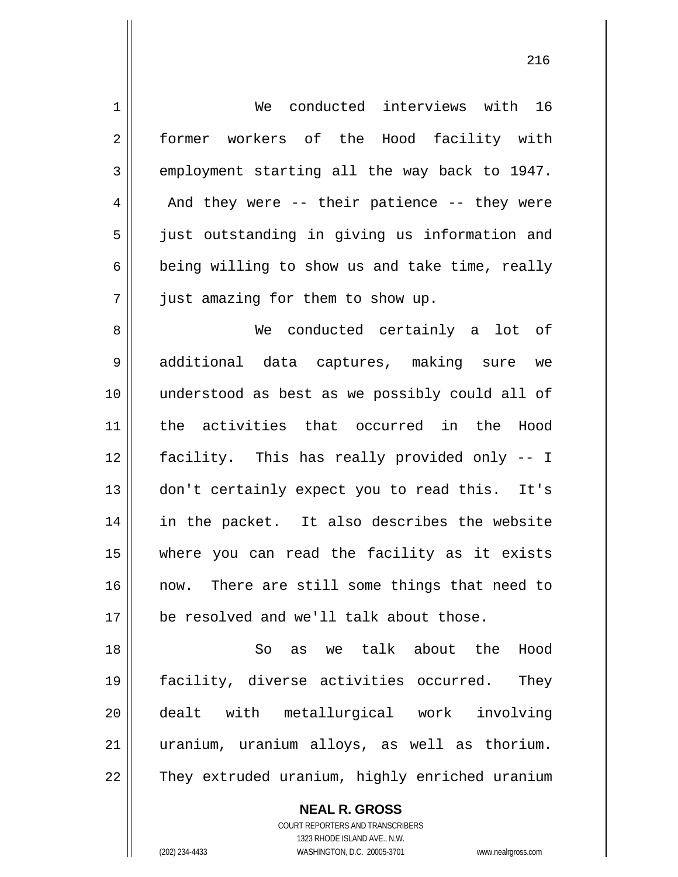1 2 3 4 5 6 7 8 9 10 11 12 13 14 15 16 17 18 19 20 21 22 We conducted interviews with 16 former workers of the Hood facility with employment starting all the way back to 1947. And they were -- their patience -- they were just outstanding in giving us information and being willing to show us and take time, really just amazing for them to show up. We conducted certainly a lot of additional data captures, making sure we understood as best as we possibly could all of the activities that occurred in the Hood facility. This has really provided only -- I don't certainly expect you to read this. It's in the packet. It also describes the website where you can read the facility as it exists now. There are still some things that need to be resolved and we'll talk about those. So as we talk about the Hood facility, diverse activities occurred. They dealt with metallurgical work involving uranium, uranium alloys, as well as thorium. They extruded uranium, highly enriched uranium

> COURT REPORTERS AND TRANSCRIBERS 1323 RHODE ISLAND AVE., N.W. (202) 234-4433 WASHINGTON, D.C. 20005-3701 www.nealrgross.com

**NEAL R. GROSS**

<u>216</u>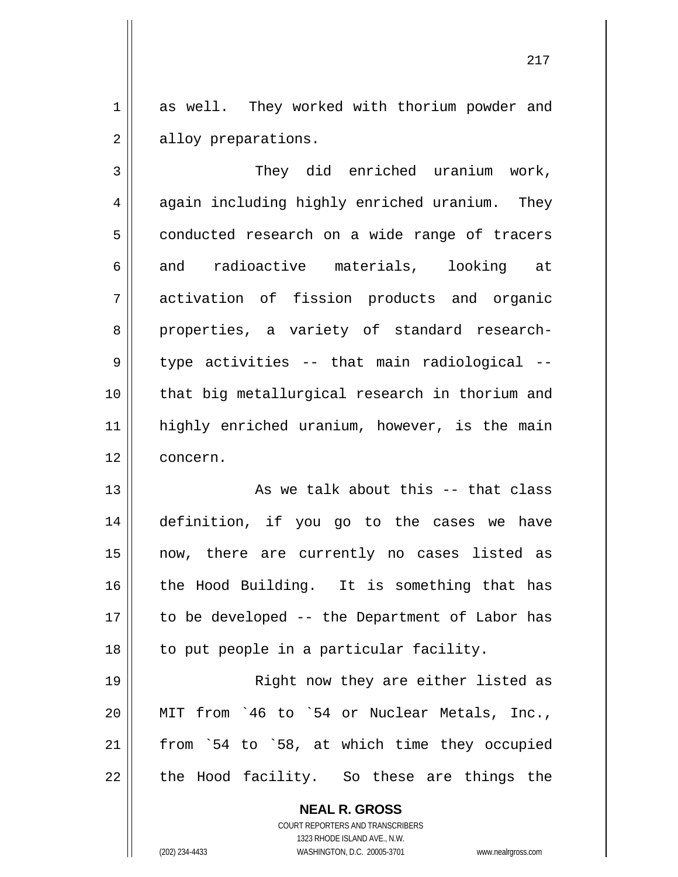1 2 as well. They worked with thorium powder and alloy preparations.

3 4 5 6 7 8 9 10 11 12 They did enriched uranium work, again including highly enriched uranium. They conducted research on a wide range of tracers and radioactive materials, looking at activation of fission products and organic properties, a variety of standard researchtype activities -- that main radiological - that big metallurgical research in thorium and highly enriched uranium, however, is the main concern.

13 14 15 16 17 18 As we talk about this -- that class definition, if you go to the cases we have now, there are currently no cases listed as the Hood Building. It is something that has to be developed -- the Department of Labor has to put people in a particular facility.

19 20 21 22 Right now they are either listed as MIT from `46 to `54 or Nuclear Metals, Inc., from `54 to `58, at which time they occupied the Hood facility. So these are things the

> **NEAL R. GROSS** COURT REPORTERS AND TRANSCRIBERS 1323 RHODE ISLAND AVE., N.W.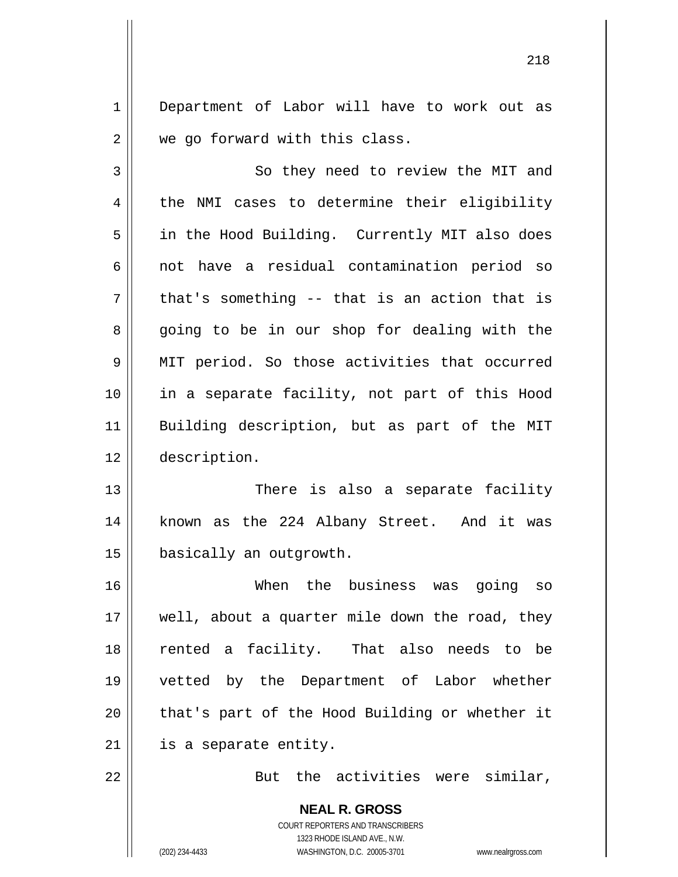1 2 Department of Labor will have to work out as we go forward with this class.

3 4 5 6 7 8 9 10 11 12 So they need to review the MIT and the NMI cases to determine their eligibility in the Hood Building. Currently MIT also does not have a residual contamination period so that's something -- that is an action that is going to be in our shop for dealing with the MIT period. So those activities that occurred in a separate facility, not part of this Hood Building description, but as part of the MIT description.

13 14 15 There is also a separate facility known as the 224 Albany Street. And it was basically an outgrowth.

16 17 18 19 20 21 When the business was going so well, about a quarter mile down the road, they rented a facility. That also needs to be vetted by the Department of Labor whether that's part of the Hood Building or whether it is a separate entity.

22

But the activities were similar,

**NEAL R. GROSS** COURT REPORTERS AND TRANSCRIBERS 1323 RHODE ISLAND AVE., N.W. (202) 234-4433 WASHINGTON, D.C. 20005-3701 www.nealrgross.com

<u>218</u>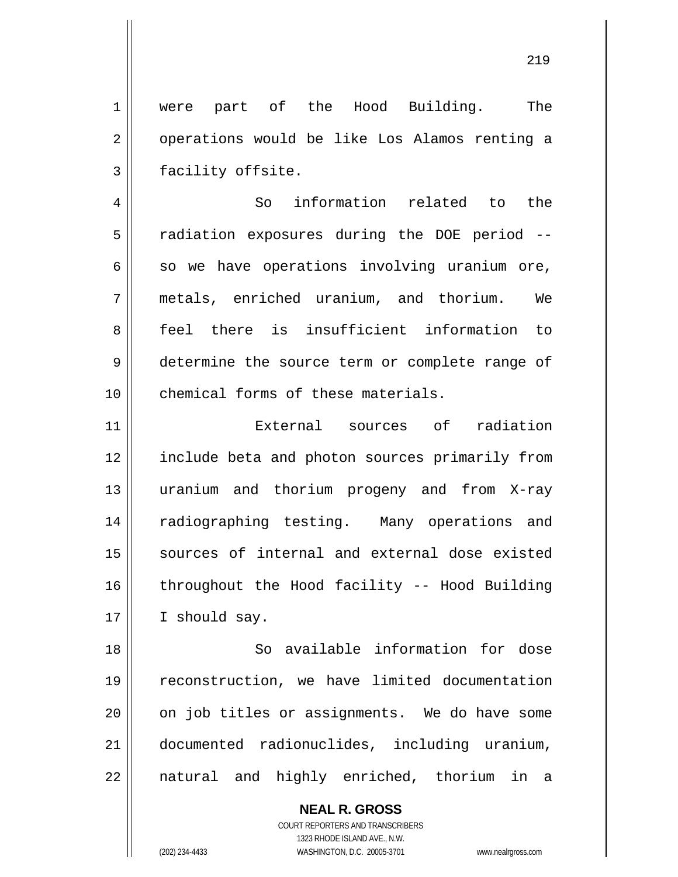1 2 3 were part of the Hood Building. The operations would be like Los Alamos renting a facility offsite.

4 5 6 7 8 9 10 So information related to the radiation exposures during the DOE period - so we have operations involving uranium ore, metals, enriched uranium, and thorium. We feel there is insufficient information to determine the source term or complete range of chemical forms of these materials.

11 12 13 14 15 16 17 External sources of radiation include beta and photon sources primarily from uranium and thorium progeny and from X-ray radiographing testing. Many operations and sources of internal and external dose existed throughout the Hood facility -- Hood Building I should say.

18 19 20 21 22 So available information for dose reconstruction, we have limited documentation on job titles or assignments. We do have some documented radionuclides, including uranium, natural and highly enriched, thorium in a

> **NEAL R. GROSS** COURT REPORTERS AND TRANSCRIBERS 1323 RHODE ISLAND AVE., N.W. (202) 234-4433 WASHINGTON, D.C. 20005-3701 www.nealrgross.com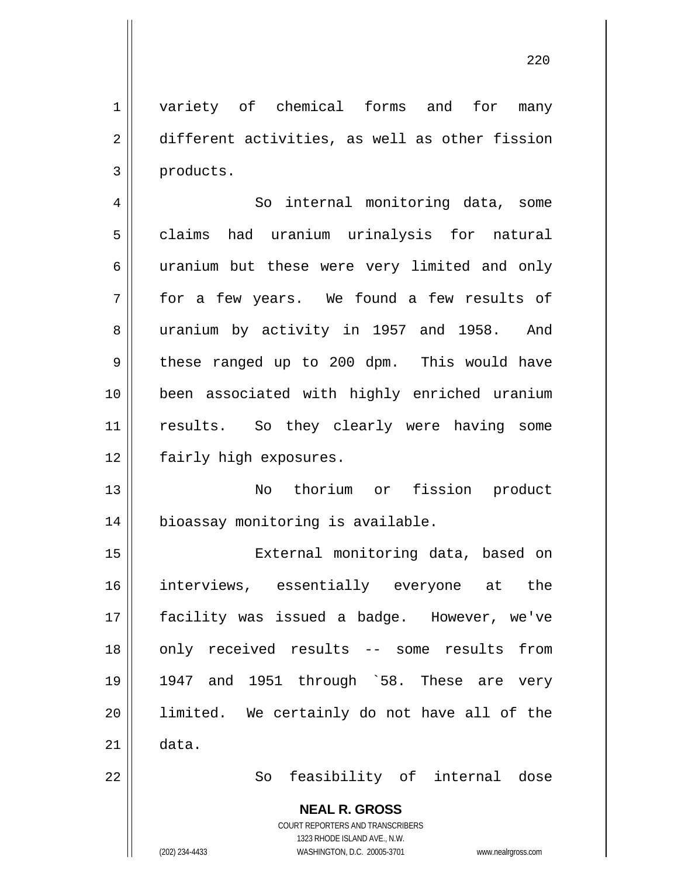1 2 3 variety of chemical forms and for many different activities, as well as other fission products.

4 5 6 7 8 9 10 11 12 So internal monitoring data, some claims had uranium urinalysis for natural uranium but these were very limited and only for a few years. We found a few results of uranium by activity in 1957 and 1958. And these ranged up to 200 dpm. This would have been associated with highly enriched uranium results. So they clearly were having some fairly high exposures.

13 14 No thorium or fission product bioassay monitoring is available.

15 16 17 18 19 20 21 22 External monitoring data, based on interviews, essentially everyone at the facility was issued a badge. However, we've only received results -- some results from 1947 and 1951 through `58. These are very limited. We certainly do not have all of the data. So feasibility of internal dose

**NEAL R. GROSS**

COURT REPORTERS AND TRANSCRIBERS 1323 RHODE ISLAND AVE., N.W.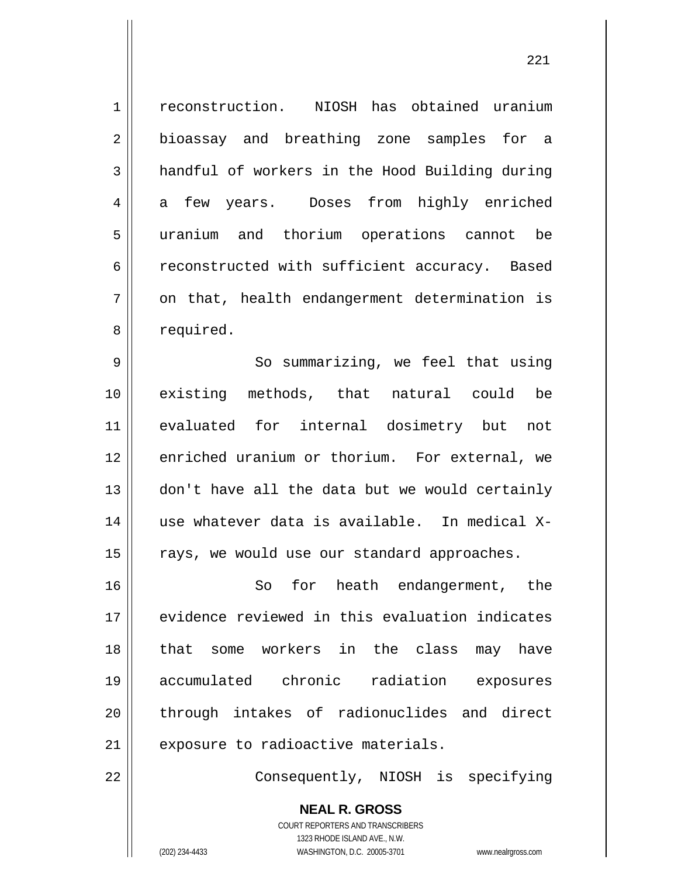1 2 3 4 5 6 7 8 reconstruction. NIOSH has obtained uranium bioassay and breathing zone samples for a handful of workers in the Hood Building during a few years. Doses from highly enriched uranium and thorium operations cannot be reconstructed with sufficient accuracy. Based on that, health endangerment determination is required.

9 10 11 12 13 14 15 So summarizing, we feel that using existing methods, that natural could be evaluated for internal dosimetry but not enriched uranium or thorium. For external, we don't have all the data but we would certainly use whatever data is available. In medical Xrays, we would use our standard approaches.

16 17 18 19 20 21 So for heath endangerment, the evidence reviewed in this evaluation indicates that some workers in the class may have accumulated chronic radiation exposures through intakes of radionuclides and direct exposure to radioactive materials.

Consequently, NIOSH is specifying

**NEAL R. GROSS** COURT REPORTERS AND TRANSCRIBERS 1323 RHODE ISLAND AVE., N.W. (202) 234-4433 WASHINGTON, D.C. 20005-3701 www.nealrgross.com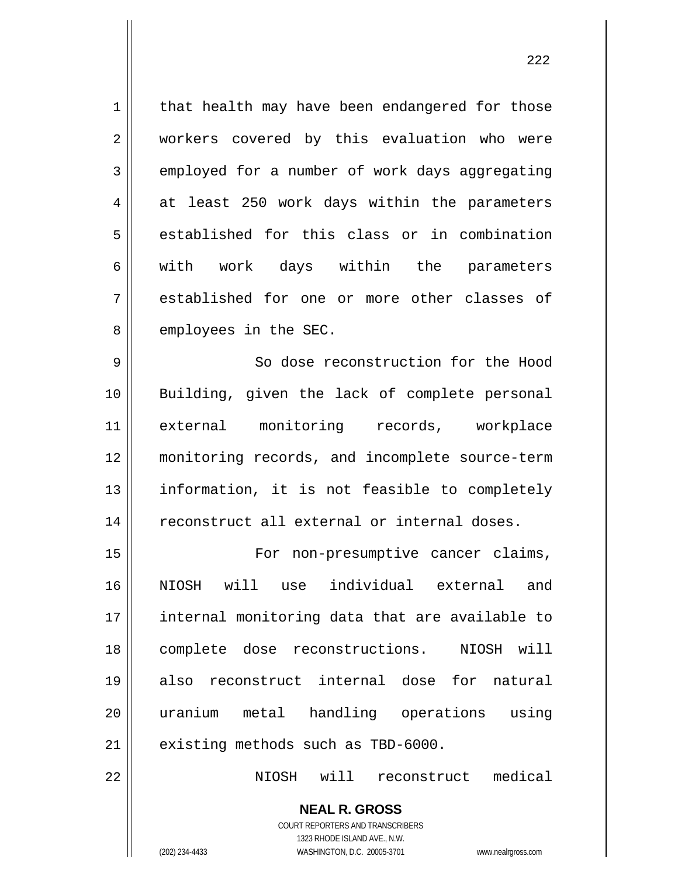1 2 3 4 5 6 7 8 that health may have been endangered for those workers covered by this evaluation who were employed for a number of work days aggregating at least 250 work days within the parameters established for this class or in combination with work days within the parameters established for one or more other classes of employees in the SEC.

9 10 11 12 13 14 So dose reconstruction for the Hood Building, given the lack of complete personal external monitoring records, workplace monitoring records, and incomplete source-term information, it is not feasible to completely reconstruct all external or internal doses.

15 16 17 18 19 20 21 For non-presumptive cancer claims, NIOSH will use individual external and internal monitoring data that are available to complete dose reconstructions. NIOSH will also reconstruct internal dose for natural uranium metal handling operations using existing methods such as TBD-6000.

NIOSH will reconstruct medical

**NEAL R. GROSS** COURT REPORTERS AND TRANSCRIBERS 1323 RHODE ISLAND AVE., N.W. (202) 234-4433 WASHINGTON, D.C. 20005-3701 www.nealrgross.com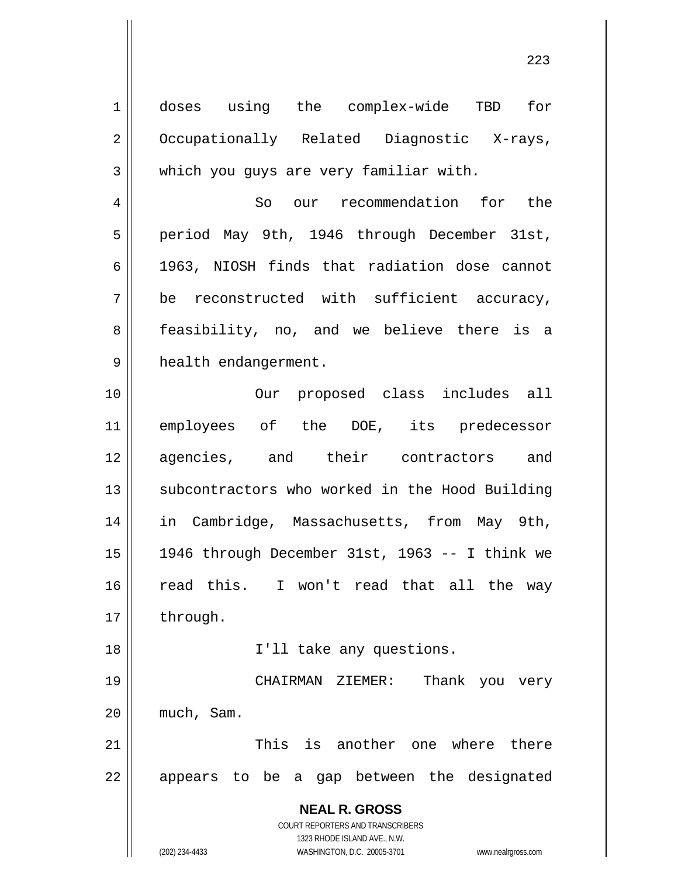**NEAL R. GROSS** COURT REPORTERS AND TRANSCRIBERS 1323 RHODE ISLAND AVE., N.W. (202) 234-4433 WASHINGTON, D.C. 20005-3701 www.nealrgross.com 1 2 3 4 5 6 7 8 9 10 11 12 13 14 15 16 17 18 19 20 21 22 doses using the complex-wide TBD for Occupationally Related Diagnostic X-rays, which you guys are very familiar with. So our recommendation for the period May 9th, 1946 through December 31st, 1963, NIOSH finds that radiation dose cannot be reconstructed with sufficient accuracy, feasibility, no, and we believe there is a health endangerment. Our proposed class includes all employees of the DOE, its predecessor agencies, and their contractors and subcontractors who worked in the Hood Building in Cambridge, Massachusetts, from May 9th, 1946 through December 31st, 1963 -- I think we read this. I won't read that all the way through. I'll take any questions. CHAIRMAN ZIEMER: Thank you very much, Sam. This is another one where there appears to be a gap between the designated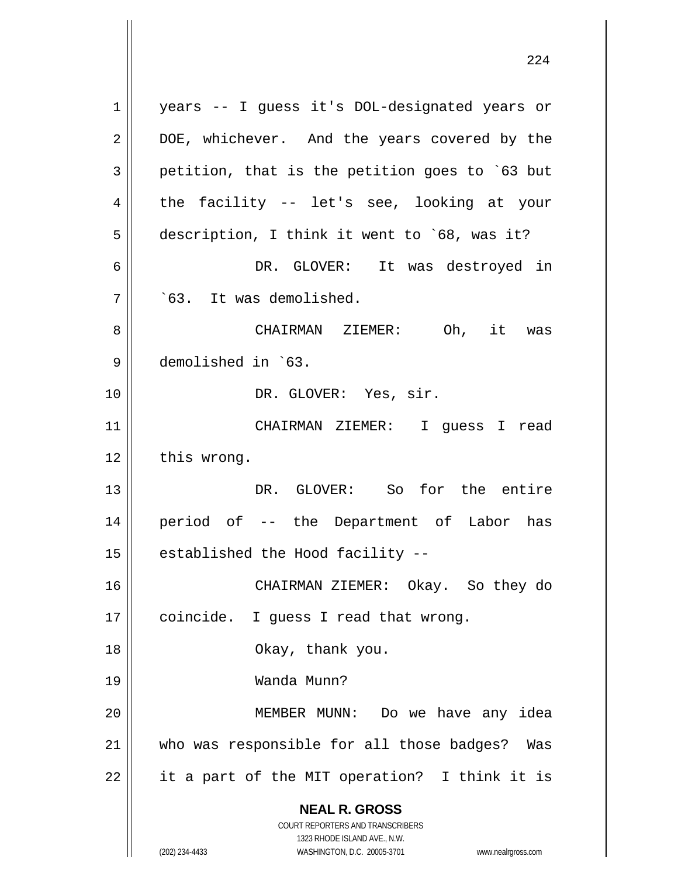**NEAL R. GROSS** COURT REPORTERS AND TRANSCRIBERS 1323 RHODE ISLAND AVE., N.W. (202) 234-4433 WASHINGTON, D.C. 20005-3701 www.nealrgross.com 1 2 3 4 5 6 7 8 9 10 11 12 13 14 15 16 17 18 19 20 21 22 years -- I guess it's DOL-designated years or DOE, whichever. And the years covered by the petition, that is the petition goes to `63 but the facility -- let's see, looking at your description, I think it went to `68, was it? DR. GLOVER: It was destroyed in `63. It was demolished. CHAIRMAN ZIEMER: Oh, it was demolished in `63. DR. GLOVER: Yes, sir. CHAIRMAN ZIEMER: I guess I read this wrong. DR. GLOVER: So for the entire period of -- the Department of Labor has established the Hood facility -- CHAIRMAN ZIEMER: Okay. So they do coincide. I guess I read that wrong. Okay, thank you. Wanda Munn? MEMBER MUNN: Do we have any idea who was responsible for all those badges? Was it a part of the MIT operation? I think it is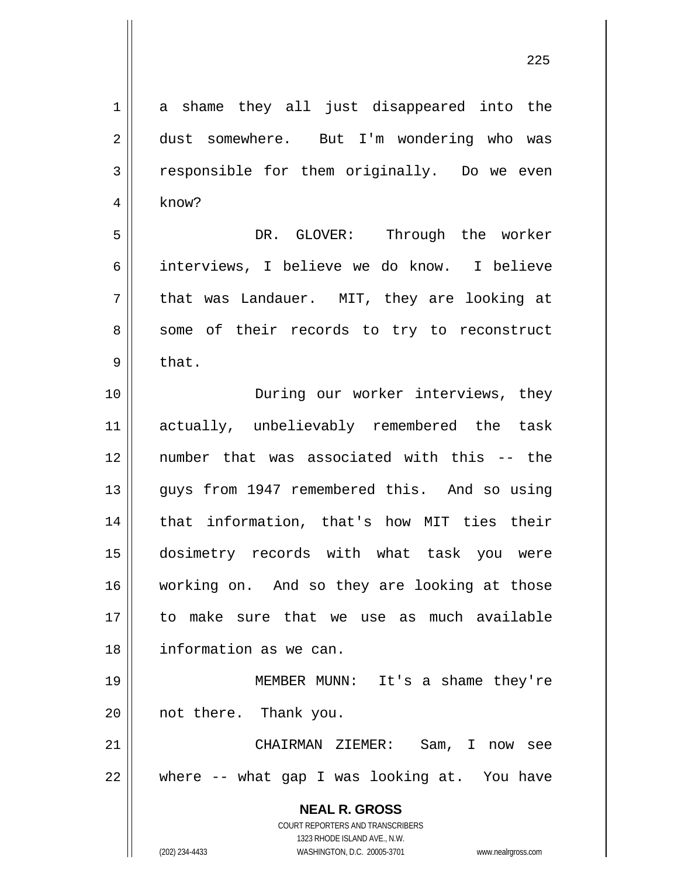| $\mathbf 1$    | a shame they all just disappeared into the                                                          |
|----------------|-----------------------------------------------------------------------------------------------------|
| $\overline{2}$ | dust somewhere. But I'm wondering who was                                                           |
| $\mathfrak{Z}$ | responsible for them originally. Do we even                                                         |
| $\overline{4}$ | know?                                                                                               |
| 5              | DR. GLOVER: Through the worker                                                                      |
| 6              | interviews, I believe we do know. I believe                                                         |
| 7              | that was Landauer. MIT, they are looking at                                                         |
| 8              | some of their records to try to reconstruct                                                         |
| 9              | that.                                                                                               |
| 10             | During our worker interviews, they                                                                  |
| 11             | actually, unbelievably remembered the task                                                          |
| 12             | number that was associated with this -- the                                                         |
| 13             | guys from 1947 remembered this. And so using                                                        |
| 14             | that information, that's how MIT ties their                                                         |
| 15             | dosimetry records with what task you were                                                           |
| 16             | working on. And so they are looking at those                                                        |
| 17             | to make sure that we use as much available                                                          |
| 18             | information as we can.                                                                              |
| 19             | MEMBER MUNN: It's a shame they're                                                                   |
| 20             | not there. Thank you.                                                                               |
| 21             | CHAIRMAN ZIEMER:<br>Sam, I now see                                                                  |
| 22             | where -- what gap I was looking at. You have                                                        |
|                | <b>NEAL R. GROSS</b>                                                                                |
|                | <b>COURT REPORTERS AND TRANSCRIBERS</b>                                                             |
|                | 1323 RHODE ISLAND AVE., N.W.<br>(202) 234-4433<br>WASHINGTON, D.C. 20005-3701<br>www.nealrgross.com |

<u>225</u>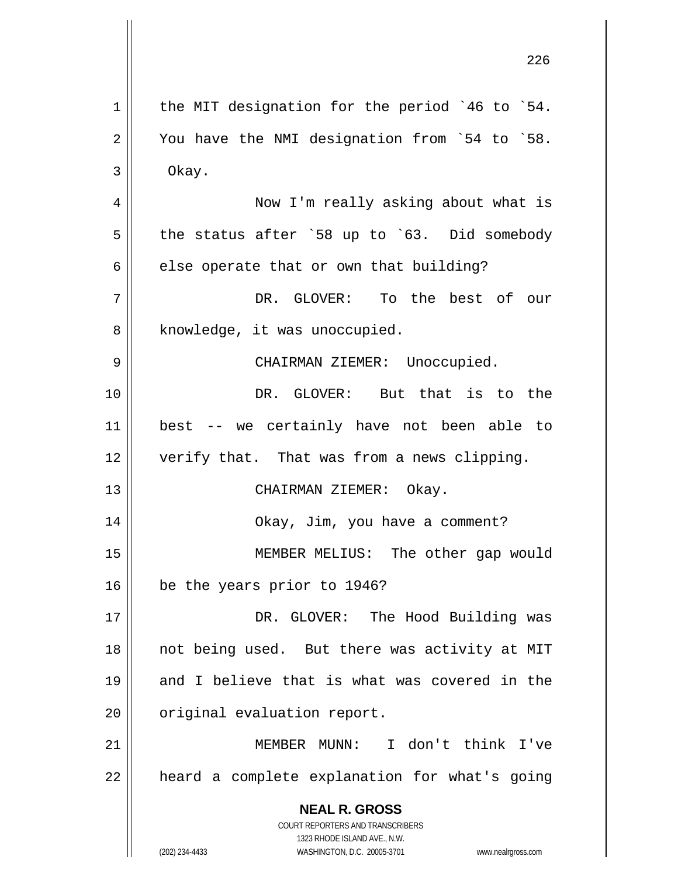**NEAL R. GROSS** COURT REPORTERS AND TRANSCRIBERS 1323 RHODE ISLAND AVE., N.W. (202) 234-4433 WASHINGTON, D.C. 20005-3701 www.nealrgross.com 1 2 3 4 5 6 7 8 9 10 11 12 13 14 15 16 17 18 19 20 21 22 the MIT designation for the period `46 to `54. You have the NMI designation from `54 to `58. Okay. Now I'm really asking about what is the status after `58 up to `63. Did somebody else operate that or own that building? DR. GLOVER: To the best of our knowledge, it was unoccupied. CHAIRMAN ZIEMER: Unoccupied. DR. GLOVER: But that is to the best -- we certainly have not been able to verify that. That was from a news clipping. CHAIRMAN ZIEMER: Okay. Okay, Jim, you have a comment? MEMBER MELIUS: The other gap would be the years prior to 1946? DR. GLOVER: The Hood Building was not being used. But there was activity at MIT and I believe that is what was covered in the original evaluation report. MEMBER MUNN: I don't think I've heard a complete explanation for what's going

<u>226 میں اس کا اعتبار میں اس کا اعتبار میں اس کا اعتبار میں اس کا اعتبار میں اس کا اعتبار میں اس کا اعتبار میں</u>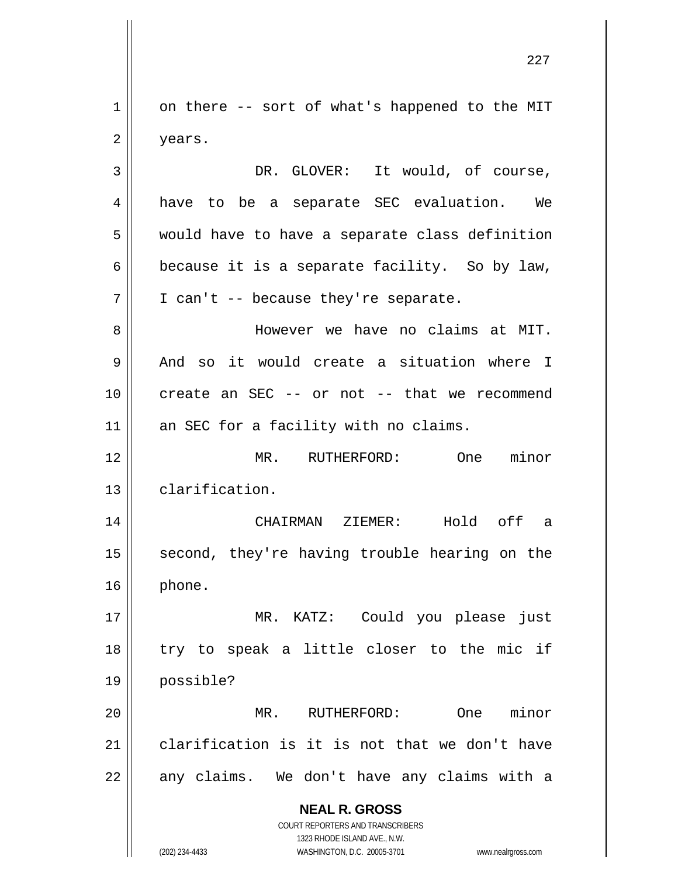1 2 3 4 5 6 on there -- sort of what's happened to the MIT years. DR. GLOVER: It would, of course, have to be a separate SEC evaluation. We would have to have a separate class definition because it is a separate facility. So by law,

8 9 10 11 However we have no claims at MIT. And so it would create a situation where I create an SEC -- or not -- that we recommend an SEC for a facility with no claims.

I can't -- because they're separate.

12 13 MR. RUTHERFORD: One minor clarification.

14 15 16 CHAIRMAN ZIEMER: Hold off a second, they're having trouble hearing on the phone.

17 18 19 MR. KATZ: Could you please just try to speak a little closer to the mic if possible?

20 21 22 MR. RUTHERFORD: One minor clarification is it is not that we don't have any claims. We don't have any claims with a

> **NEAL R. GROSS** COURT REPORTERS AND TRANSCRIBERS

> > 1323 RHODE ISLAND AVE., N.W.

7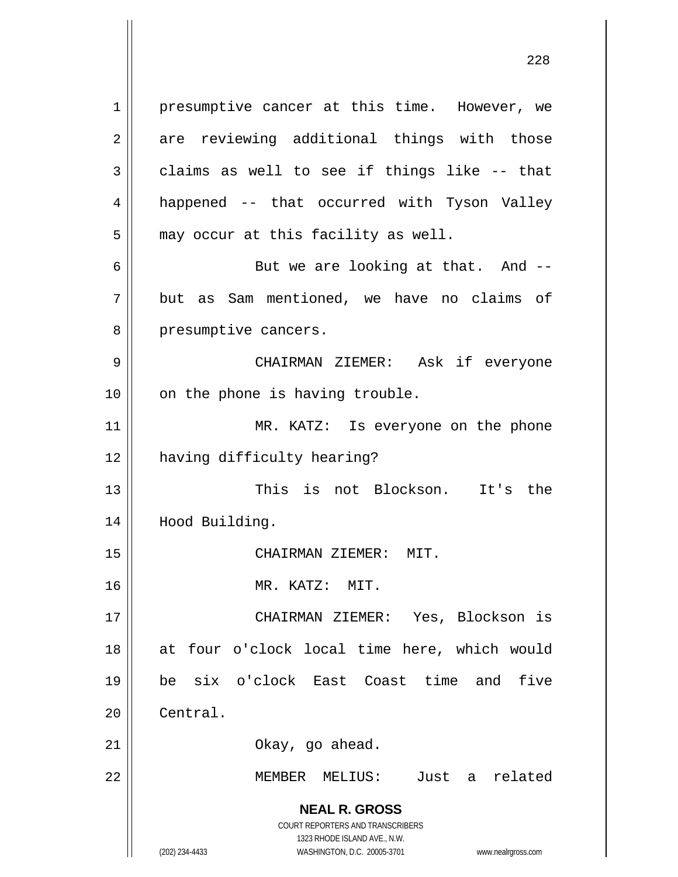**NEAL R. GROSS** COURT REPORTERS AND TRANSCRIBERS 1323 RHODE ISLAND AVE., N.W. 1 2 3 4 5 6 7 8 9 10 11 12 13 14 15 16 17 18 19 20 21 22 presumptive cancer at this time. However, we are reviewing additional things with those claims as well to see if things like -- that happened -- that occurred with Tyson Valley may occur at this facility as well. But we are looking at that. And - but as Sam mentioned, we have no claims of presumptive cancers. CHAIRMAN ZIEMER: Ask if everyone on the phone is having trouble. MR. KATZ: Is everyone on the phone having difficulty hearing? This is not Blockson. It's the Hood Building. CHAIRMAN ZIEMER: MIT. MR. KATZ: MIT. CHAIRMAN ZIEMER: Yes, Blockson is at four o'clock local time here, which would be six o'clock East Coast time and five Central. Okay, go ahead. MEMBER MELIUS: Just a related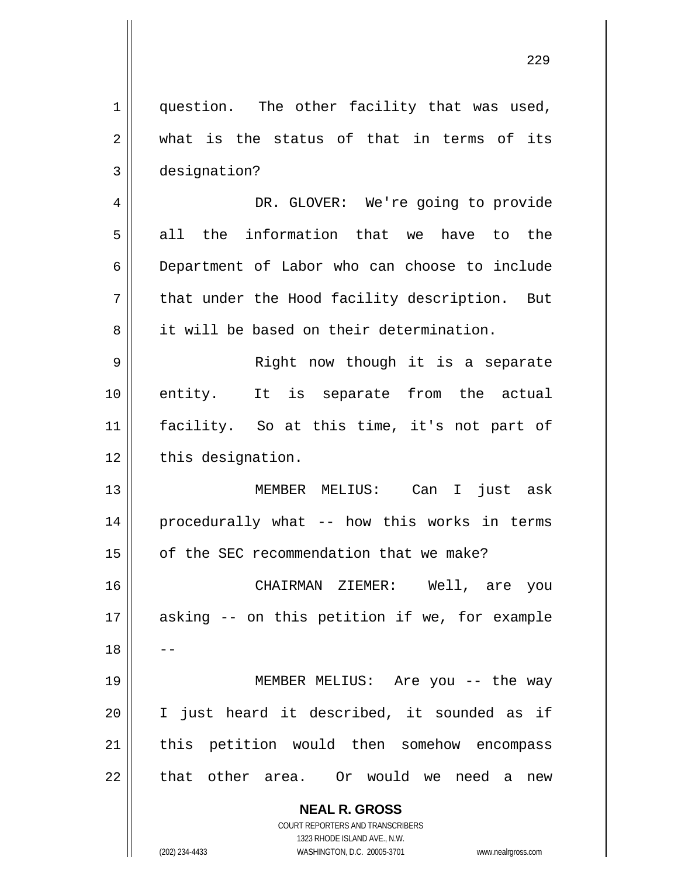| $\mathbf 1$    | question. The other facility that was used,   |
|----------------|-----------------------------------------------|
| $\overline{2}$ | what is the status of that in terms of its    |
| $\mathfrak{Z}$ | designation?                                  |
| 4              | DR. GLOVER: We're going to provide            |
| 5              | all the information that we have to the       |
| 6              | Department of Labor who can choose to include |
| 7              | that under the Hood facility description. But |
| 8              | it will be based on their determination.      |
| 9              | Right now though it is a separate             |
| 10             | entity. It is separate from the actual        |
| 11             | facility. So at this time, it's not part of   |
| 12             | this designation.                             |
| 13             | MEMBER MELIUS: Can I just ask                 |
| 14             | procedurally what -- how this works in terms  |
| 15             | of the SEC recommendation that we make?       |
| 16             | CHAIRMAN ZIEMER: Well, are you                |
| 17             | asking -- on this petition if we, for example |
| 18             |                                               |
| 19             | MEMBER MELIUS: Are you -- the way             |
| 20             | I just heard it described, it sounded as if   |
| 21             | this petition would then somehow encompass    |
| 22             | that other area. Or would we need a new       |
|                | <b>NEAL R. GROSS</b>                          |

COURT REPORTERS AND TRANSCRIBERS 1323 RHODE ISLAND AVE., N.W.

 $\mathbf{\mathcal{L}}$ 

(202) 234-4433 WASHINGTON, D.C. 20005-3701 www.nealrgross.com

<u>229</u>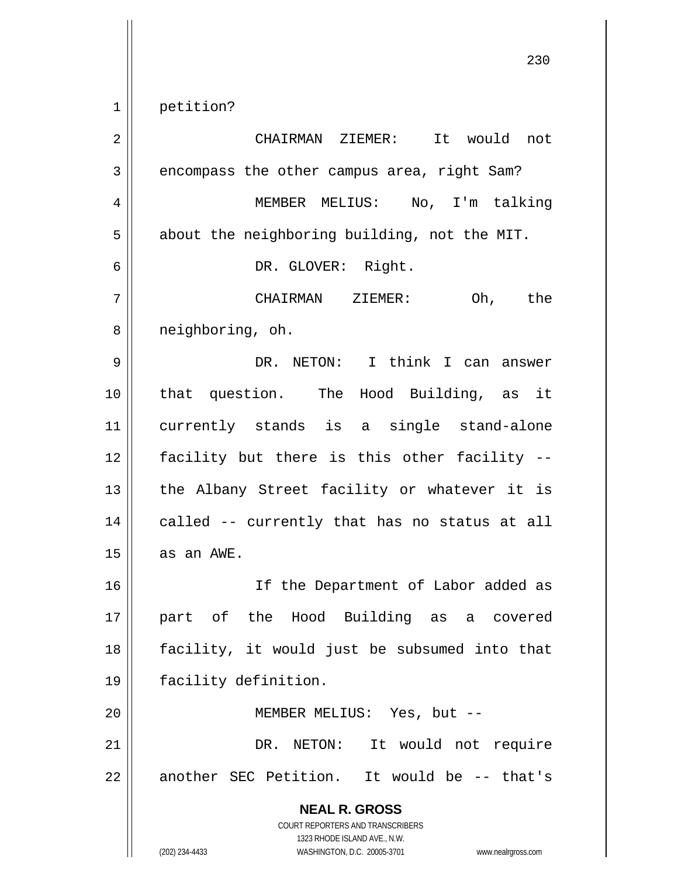1 petition?

**NEAL R. GROSS** COURT REPORTERS AND TRANSCRIBERS 1323 RHODE ISLAND AVE., N.W. (202) 234-4433 WASHINGTON, D.C. 20005-3701 www.nealrgross.com 2 3 4 5 6 7 8 9 10 11 12 13 14 15 16 17 18 19 20 21 22 CHAIRMAN ZIEMER: It would not encompass the other campus area, right Sam? MEMBER MELIUS: No, I'm talking about the neighboring building, not the MIT. DR. GLOVER: Right. CHAIRMAN ZIEMER: Oh, the neighboring, oh. DR. NETON: I think I can answer that question. The Hood Building, as it currently stands is a single stand-alone facility but there is this other facility - the Albany Street facility or whatever it is called -- currently that has no status at all as an AWE. If the Department of Labor added as part of the Hood Building as a covered facility, it would just be subsumed into that facility definition. MEMBER MELIUS: Yes, but -- DR. NETON: It would not require another SEC Petition. It would be -- that's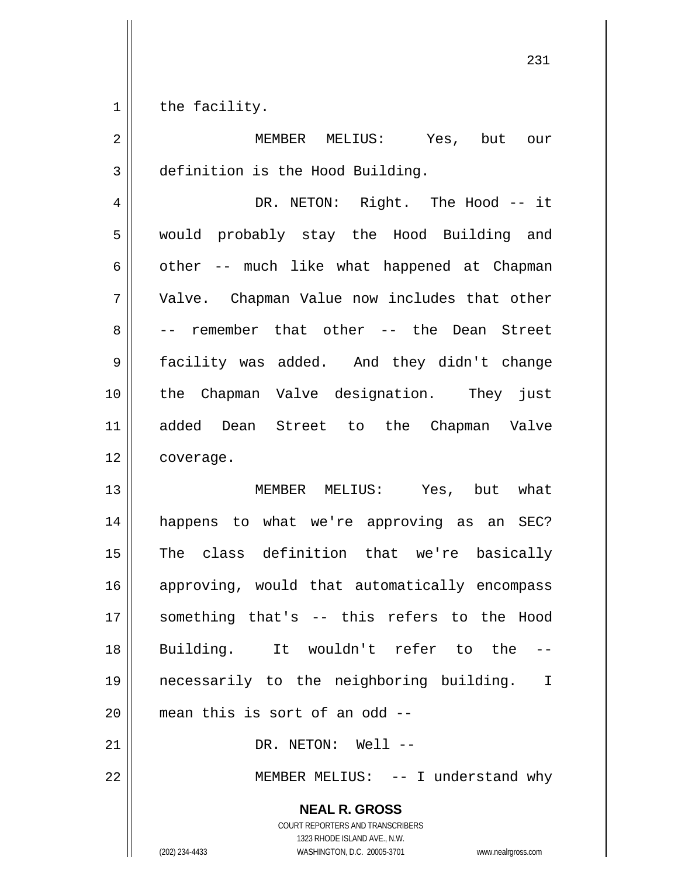1 the facility.

| $\overline{2}$ | MEMBER MELIUS: Yes, but our                                                                                                                                     |
|----------------|-----------------------------------------------------------------------------------------------------------------------------------------------------------------|
| 3              | definition is the Hood Building.                                                                                                                                |
| 4              | DR. NETON: Right. The Hood -- it                                                                                                                                |
| 5              | would probably stay the Hood Building and                                                                                                                       |
| 6              | other -- much like what happened at Chapman                                                                                                                     |
| 7              | Valve. Chapman Value now includes that other                                                                                                                    |
| 8              | -- remember that other -- the Dean Street                                                                                                                       |
| 9              | facility was added. And they didn't change                                                                                                                      |
| 10             | the Chapman Valve designation. They just                                                                                                                        |
| 11             | added Dean Street to the Chapman Valve                                                                                                                          |
| 12             | coverage.                                                                                                                                                       |
| 13             | MEMBER MELIUS: Yes, but what                                                                                                                                    |
| 14             | happens to what we're approving as an SEC?                                                                                                                      |
| 15             | The class definition that we're basically                                                                                                                       |
| 16             | approving, would that automatically encompass                                                                                                                   |
| 17             | something that's -- this refers to the Hood                                                                                                                     |
| 18             | Building. It wouldn't refer to the                                                                                                                              |
| 19             | necessarily to the neighboring building.<br>$\mathbf I$                                                                                                         |
| 20             | mean this is sort of an odd --                                                                                                                                  |
| 21             | DR. NETON: Well --                                                                                                                                              |
| 22             | MEMBER MELIUS: -- I understand why                                                                                                                              |
|                | <b>NEAL R. GROSS</b><br>COURT REPORTERS AND TRANSCRIBERS<br>1323 RHODE ISLAND AVE., N.W.<br>WASHINGTON, D.C. 20005-3701<br>(202) 234-4433<br>www.nealrgross.com |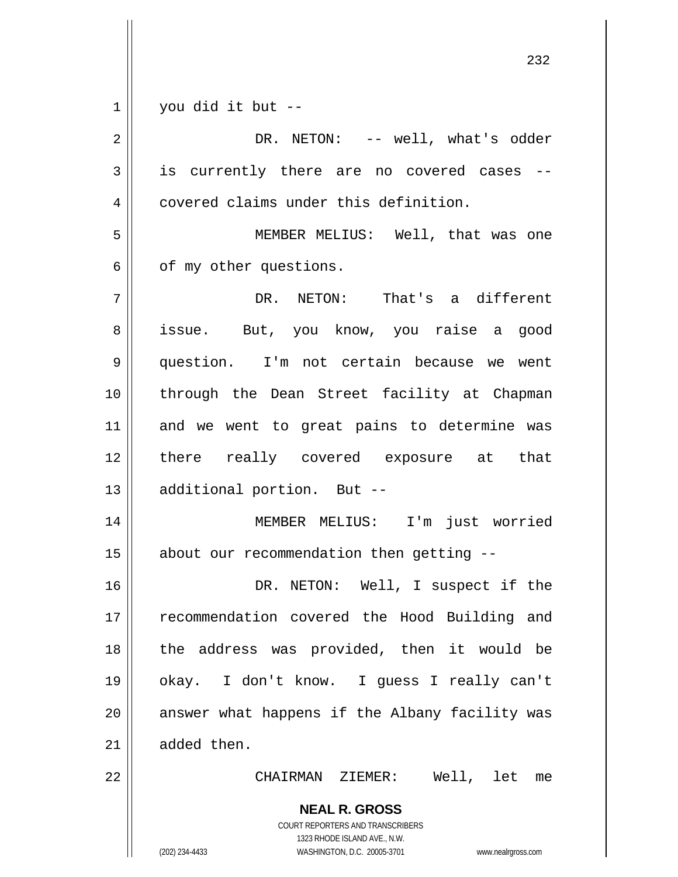|                | 232                                                                 |
|----------------|---------------------------------------------------------------------|
| 1              | you did it but --                                                   |
| $\overline{2}$ | DR. NETON: -- well, what's odder                                    |
| 3              | is currently there are no covered cases                             |
| 4              | covered claims under this definition.                               |
| 5              | MEMBER MELIUS: Well, that was one                                   |
| 6              | of my other questions.                                              |
| 7              | DR. NETON: That's a different                                       |
| 8              | issue. But, you know, you raise a good                              |
| 9              | question. I'm not certain because we went                           |
| 10             | through the Dean Street facility at Chapman                         |
| 11             | and we went to great pains to determine was                         |
| 12             | there really covered exposure at that                               |
| 13             | additional portion. But --                                          |
| 14             | MEMBER MELIUS: I'm just worried                                     |
| 15             | about our recommendation then getting --                            |
| 16             | DR. NETON: Well, I suspect if the                                   |
| 17             | recommendation covered the Hood Building and                        |
| 18             | the address was provided, then it would be                          |
| 19             | okay. I don't know. I guess I really can't                          |
| 20             | answer what happens if the Albany facility was                      |
| 21             | added then.                                                         |
| 22             | Well, let me<br>CHAIRMAN ZIEMER:                                    |
|                | <b>NEAL R. GROSS</b><br>COURT REPORTERS AND TRANSCRIBERS            |
|                | 1323 RHODE ISLAND AVE., N.W.                                        |
|                | (202) 234-4433<br>WASHINGTON, D.C. 20005-3701<br>www.nealrgross.com |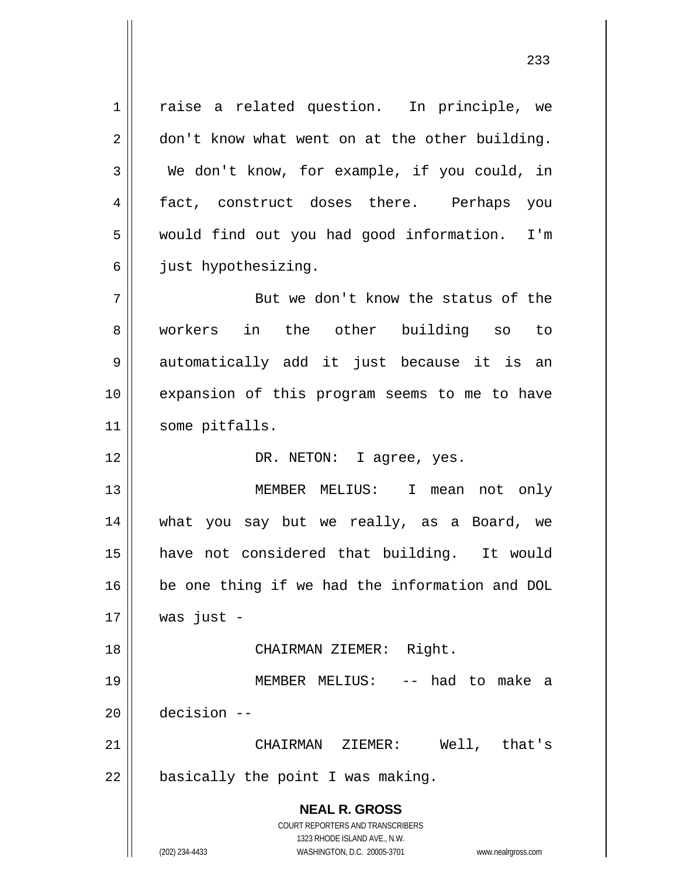**NEAL R. GROSS** COURT REPORTERS AND TRANSCRIBERS 1 2 3 4 5 6 7 8 9 10 11 12 13 14 15 16 17 18 19 20 21 22 raise a related question. In principle, we don't know what went on at the other building. We don't know, for example, if you could, in fact, construct doses there. Perhaps you would find out you had good information. I'm just hypothesizing. But we don't know the status of the workers in the other building so to automatically add it just because it is an expansion of this program seems to me to have some pitfalls. DR. NETON: I agree, yes. MEMBER MELIUS: I mean not only what you say but we really, as a Board, we have not considered that building. It would be one thing if we had the information and DOL was just - CHAIRMAN ZIEMER: Right. MEMBER MELIUS: -- had to make a decision -- CHAIRMAN ZIEMER: Well, that's basically the point I was making.

> 1323 RHODE ISLAND AVE., N.W. (202) 234-4433 WASHINGTON, D.C. 20005-3701 www.nealrgross.com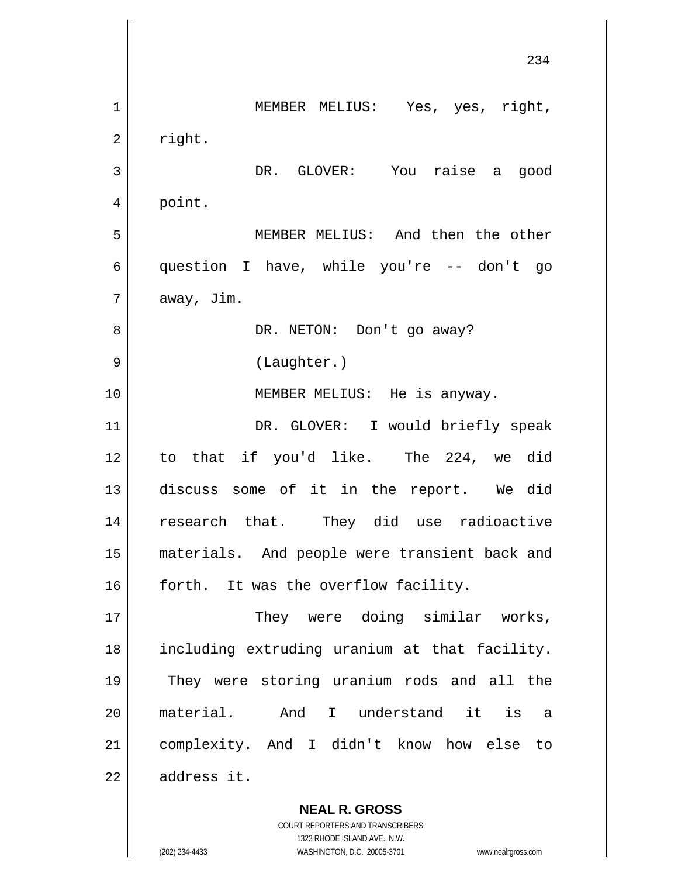**NEAL R. GROSS** 234 1 2 3 4 5 6 7 8 9 10 11 12 13 14 15 16 17 18 19 20 21 22 MEMBER MELIUS: Yes, yes, right, right. DR. GLOVER: You raise a good point. MEMBER MELIUS: And then the other question I have, while you're -- don't go away, Jim. DR. NETON: Don't go away? (Laughter.) MEMBER MELIUS: He is anyway. DR. GLOVER: I would briefly speak to that if you'd like. The 224, we did discuss some of it in the report. We did research that. They did use radioactive materials. And people were transient back and forth. It was the overflow facility. They were doing similar works, including extruding uranium at that facility. They were storing uranium rods and all the material. And I understand it is a complexity. And I didn't know how else to address it.

> COURT REPORTERS AND TRANSCRIBERS 1323 RHODE ISLAND AVE., N.W.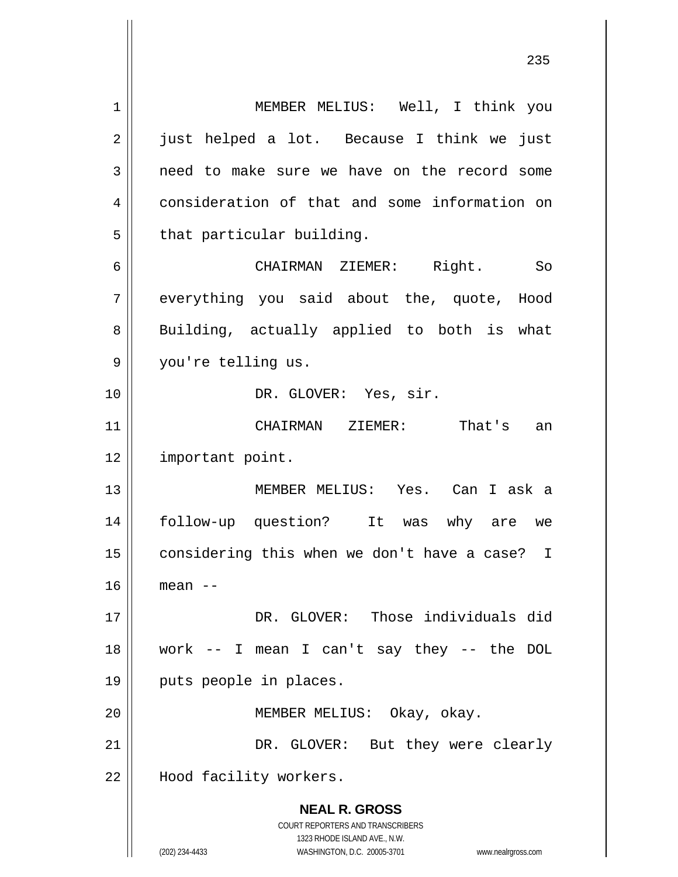**NEAL R. GROSS** COURT REPORTERS AND TRANSCRIBERS 1323 RHODE ISLAND AVE., N.W. (202) 234-4433 WASHINGTON, D.C. 20005-3701 www.nealrgross.com 1 2 3 4 5 6 7 8 9 10 11 12 13 14 15 16 17 18 19 20 21 22 MEMBER MELIUS: Well, I think you just helped a lot. Because I think we just need to make sure we have on the record some consideration of that and some information on that particular building. CHAIRMAN ZIEMER: Right. So everything you said about the, quote, Hood Building, actually applied to both is what you're telling us. DR. GLOVER: Yes, sir. CHAIRMAN ZIEMER: That's an important point. MEMBER MELIUS: Yes. Can I ask a follow-up question? It was why are we considering this when we don't have a case? I mean -- DR. GLOVER: Those individuals did work -- I mean I can't say they -- the DOL puts people in places. MEMBER MELIUS: Okay, okay. DR. GLOVER: But they were clearly Hood facility workers.

<u>235</u>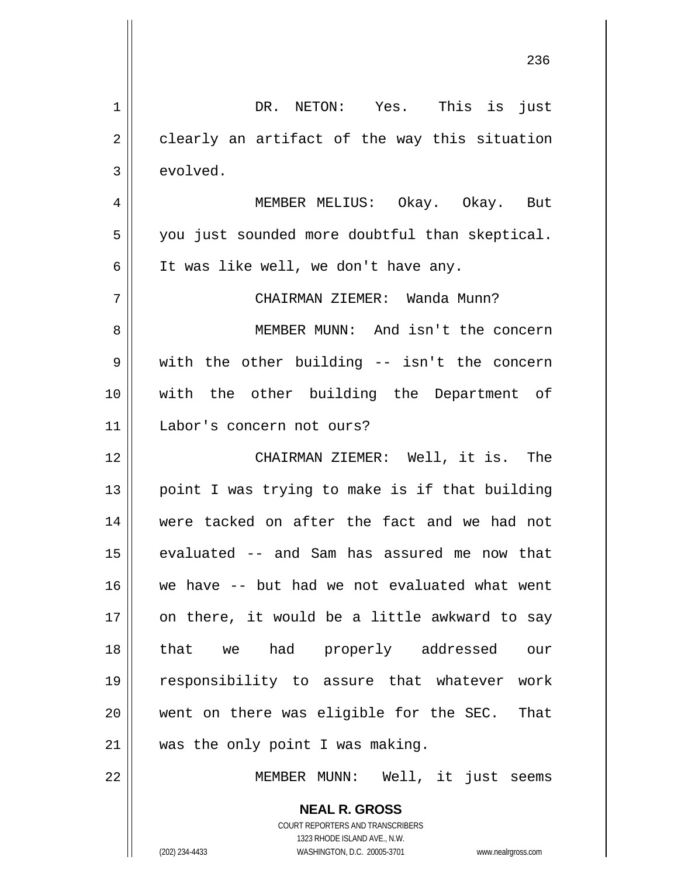| $\mathbf 1$  | DR. NETON: Yes. This is just                                                                        |
|--------------|-----------------------------------------------------------------------------------------------------|
| $\mathbf{2}$ | clearly an artifact of the way this situation                                                       |
| 3            | evolved.                                                                                            |
| 4            | MEMBER MELIUS: Okay. Okay. But                                                                      |
| 5            | you just sounded more doubtful than skeptical.                                                      |
| 6            | It was like well, we don't have any.                                                                |
| 7            | CHAIRMAN ZIEMER: Wanda Munn?                                                                        |
| 8            | MEMBER MUNN: And isn't the concern                                                                  |
| 9            | with the other building -- isn't the concern                                                        |
| 10           | with the other building the Department of                                                           |
| 11           | Labor's concern not ours?                                                                           |
| 12           | CHAIRMAN ZIEMER: Well, it is. The                                                                   |
| 13           | point I was trying to make is if that building                                                      |
| 14           | were tacked on after the fact and we had not                                                        |
| 15           | evaluated -- and Sam has assured me now that                                                        |
| 16           | we have -- but had we not evaluated what went                                                       |
| 17           | on there, it would be a little awkward to say                                                       |
| 18           | that we had properly addressed<br>our                                                               |
| 19           | responsibility to assure that whatever work                                                         |
| 20           | went on there was eligible for the SEC.<br>That                                                     |
| 21           | was the only point I was making.                                                                    |
| 22           | MEMBER MUNN: Well, it just seems                                                                    |
|              | <b>NEAL R. GROSS</b>                                                                                |
|              | <b>COURT REPORTERS AND TRANSCRIBERS</b>                                                             |
|              | 1323 RHODE ISLAND AVE., N.W.<br>(202) 234-4433<br>WASHINGTON, D.C. 20005-3701<br>www.nealrgross.com |

<u>236</u>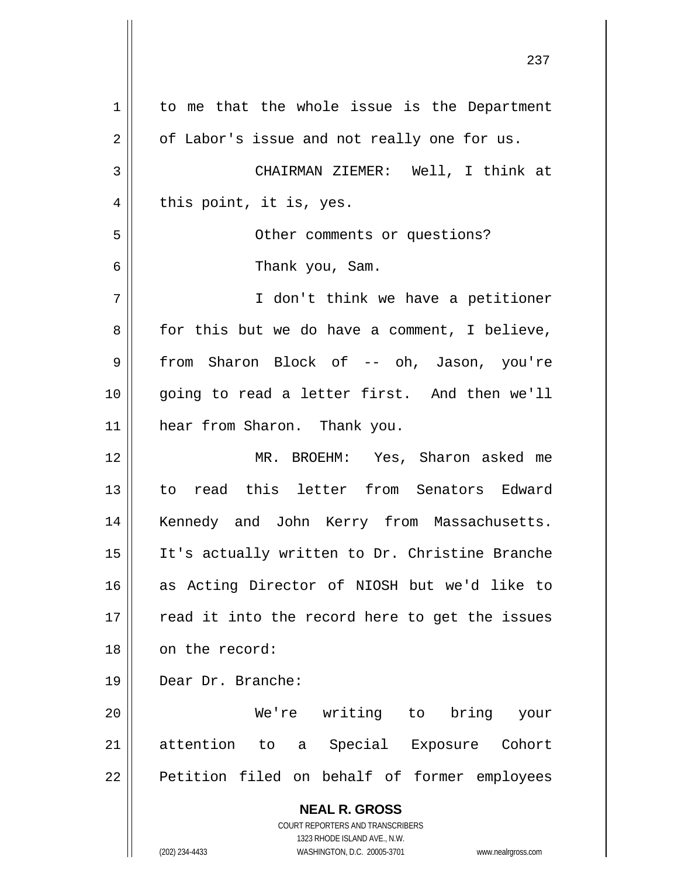**NEAL R. GROSS** COURT REPORTERS AND TRANSCRIBERS 1323 RHODE ISLAND AVE., N.W. (202) 234-4433 WASHINGTON, D.C. 20005-3701 www.nealrgross.com 1 2 3 4 5 6 7 8 9 10 11 12 13 14 15 16 17 18 19 20 21 22 to me that the whole issue is the Department of Labor's issue and not really one for us. CHAIRMAN ZIEMER: Well, I think at this point, it is, yes. Other comments or questions? Thank you, Sam. I don't think we have a petitioner for this but we do have a comment, I believe, from Sharon Block of -- oh, Jason, you're going to read a letter first. And then we'll hear from Sharon. Thank you. MR. BROEHM: Yes, Sharon asked me to read this letter from Senators Edward Kennedy and John Kerry from Massachusetts. It's actually written to Dr. Christine Branche as Acting Director of NIOSH but we'd like to read it into the record here to get the issues on the record: Dear Dr. Branche: We're writing to bring your attention to a Special Exposure Cohort Petition filed on behalf of former employees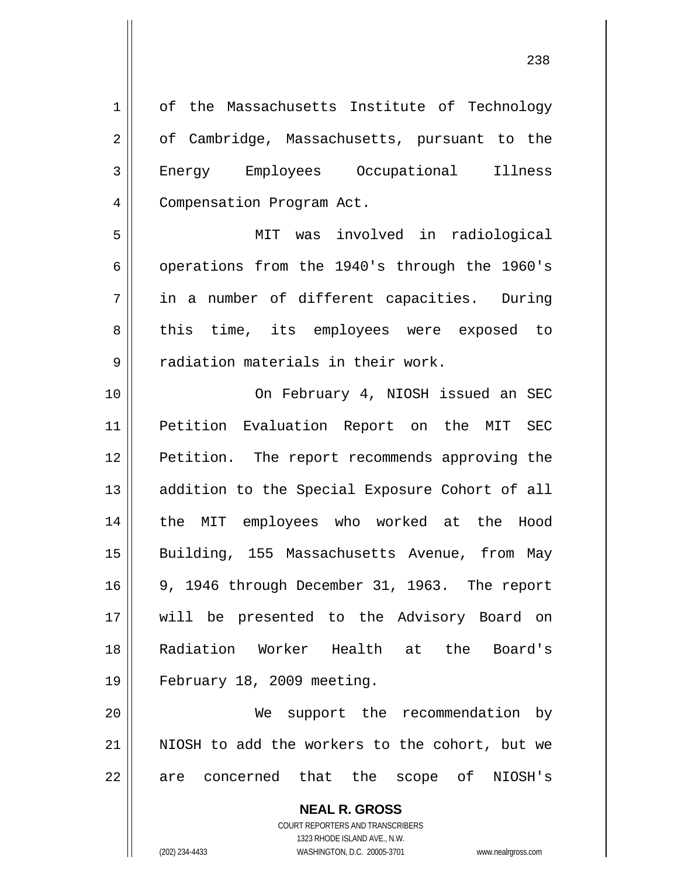**NEAL R. GROSS** 1 2 3 4 5 6 7 8 9 10 11 12 13 14 15 16 17 18 19 20 21 22 of the Massachusetts Institute of Technology of Cambridge, Massachusetts, pursuant to the Energy Employees Occupational Illness Compensation Program Act. MIT was involved in radiological operations from the 1940's through the 1960's in a number of different capacities. During this time, its employees were exposed to radiation materials in their work. On February 4, NIOSH issued an SEC Petition Evaluation Report on the MIT SEC Petition. The report recommends approving the addition to the Special Exposure Cohort of all the MIT employees who worked at the Hood Building, 155 Massachusetts Avenue, from May 9, 1946 through December 31, 1963. The report will be presented to the Advisory Board on Radiation Worker Health at the Board's February 18, 2009 meeting. We support the recommendation by NIOSH to add the workers to the cohort, but we are concerned that the scope of NIOSH's

> COURT REPORTERS AND TRANSCRIBERS 1323 RHODE ISLAND AVE., N.W.

(202) 234-4433 WASHINGTON, D.C. 20005-3701 www.nealrgross.com

<u>238</u>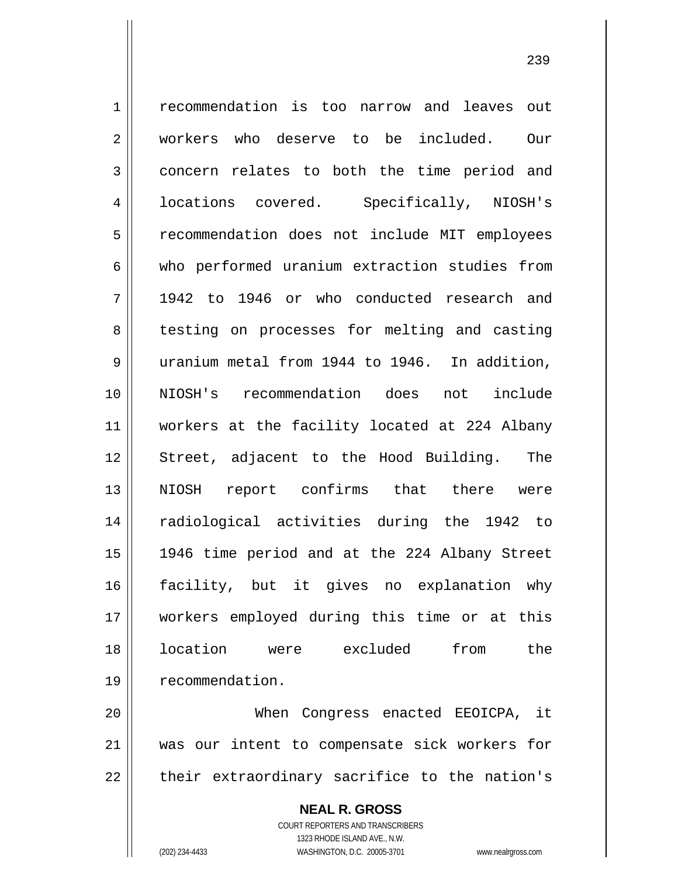1 2 3 4 5 6 7 8 9 10 11 12 13 14 15 16 17 18 19 20 recommendation is too narrow and leaves out workers who deserve to be included. Our concern relates to both the time period and locations covered. Specifically, NIOSH's recommendation does not include MIT employees who performed uranium extraction studies from 1942 to 1946 or who conducted research and testing on processes for melting and casting uranium metal from 1944 to 1946. In addition, NIOSH's recommendation does not include workers at the facility located at 224 Albany Street, adjacent to the Hood Building. The NIOSH report confirms that there were radiological activities during the 1942 to 1946 time period and at the 224 Albany Street facility, but it gives no explanation why workers employed during this time or at this location were excluded from the recommendation. When Congress enacted EEOICPA, it

21 22 was our intent to compensate sick workers for their extraordinary sacrifice to the nation's

> **NEAL R. GROSS** COURT REPORTERS AND TRANSCRIBERS 1323 RHODE ISLAND AVE., N.W. (202) 234-4433 WASHINGTON, D.C. 20005-3701 www.nealrgross.com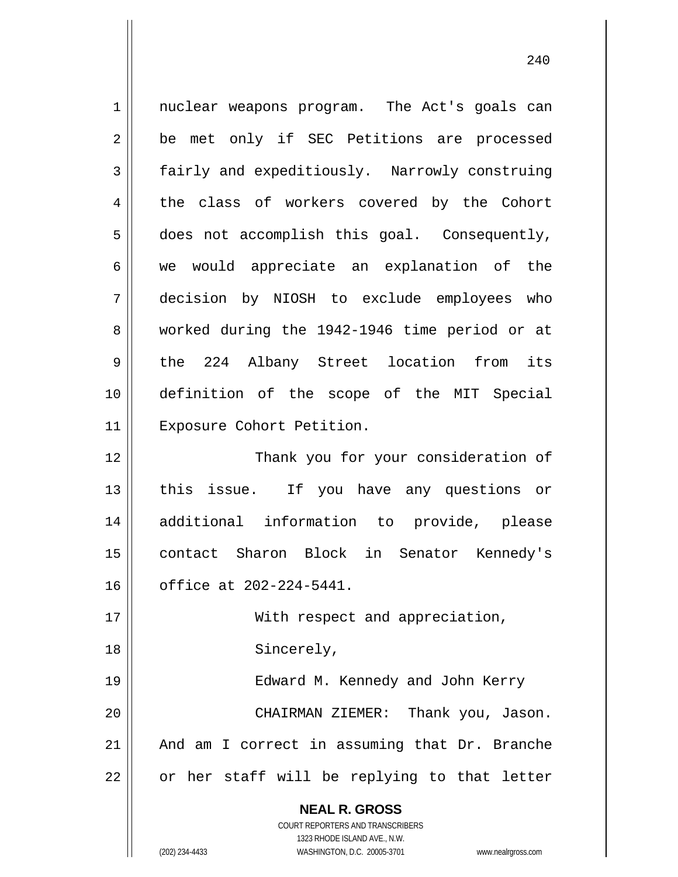**NEAL R. GROSS** COURT REPORTERS AND TRANSCRIBERS 1323 RHODE ISLAND AVE., N.W. 1 2 3 4 5 6 7 8 9 10 11 12 13 14 15 16 17 18 19 20 21 22 nuclear weapons program. The Act's goals can be met only if SEC Petitions are processed fairly and expeditiously. Narrowly construing the class of workers covered by the Cohort does not accomplish this goal. Consequently, we would appreciate an explanation of the decision by NIOSH to exclude employees who worked during the 1942-1946 time period or at the 224 Albany Street location from its definition of the scope of the MIT Special Exposure Cohort Petition. Thank you for your consideration of this issue. If you have any questions or additional information to provide, please contact Sharon Block in Senator Kennedy's office at 202-224-5441. With respect and appreciation, Sincerely, Edward M. Kennedy and John Kerry CHAIRMAN ZIEMER: Thank you, Jason. And am I correct in assuming that Dr. Branche or her staff will be replying to that letter

(202) 234-4433 WASHINGTON, D.C. 20005-3701 www.nealrgross.com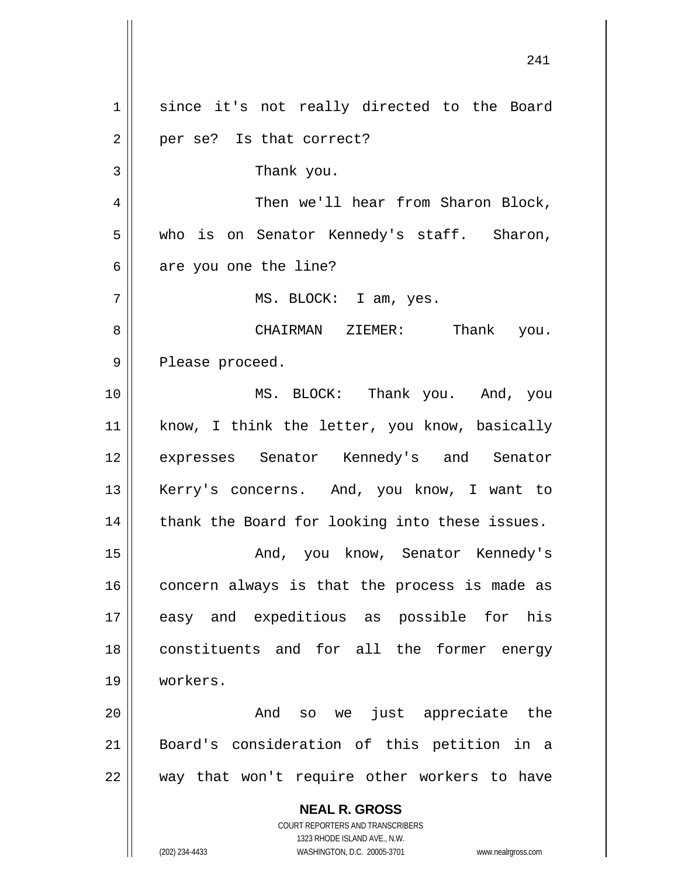**NEAL R. GROSS** COURT REPORTERS AND TRANSCRIBERS 1323 RHODE ISLAND AVE., N.W. 241 1 2 3 4 5 6 7 8 9 10 11 12 13 14 15 16 17 18 19 20 21 22 since it's not really directed to the Board per se? Is that correct? Thank you. Then we'll hear from Sharon Block, who is on Senator Kennedy's staff. Sharon, are you one the line? MS. BLOCK: I am, yes. CHAIRMAN ZIEMER: Thank you. Please proceed. MS. BLOCK: Thank you. And, you know, I think the letter, you know, basically expresses Senator Kennedy's and Senator Kerry's concerns. And, you know, I want to thank the Board for looking into these issues. And, you know, Senator Kennedy's concern always is that the process is made as easy and expeditious as possible for his constituents and for all the former energy workers. And so we just appreciate the Board's consideration of this petition in a way that won't require other workers to have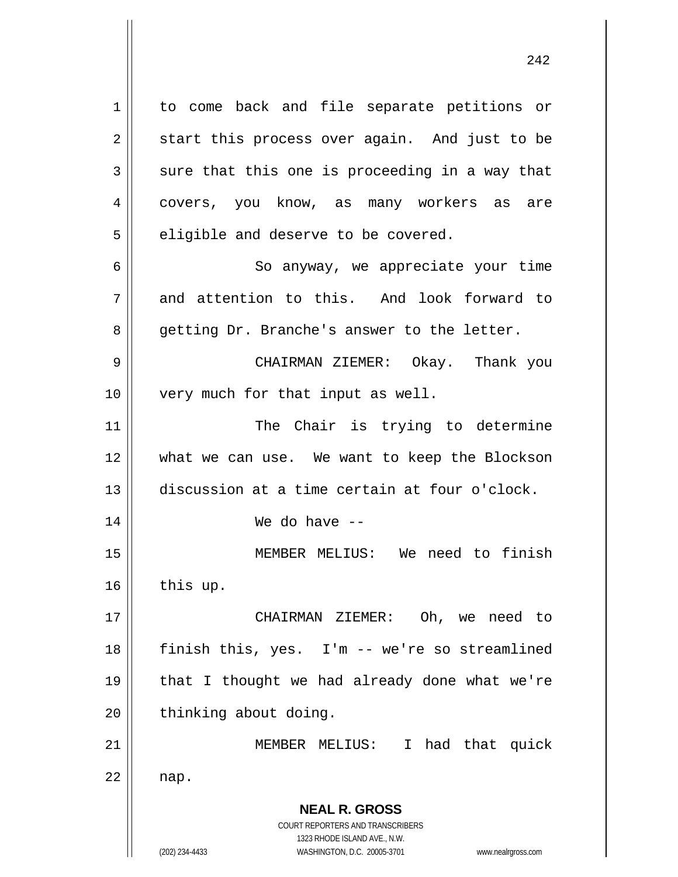**NEAL R. GROSS** COURT REPORTERS AND TRANSCRIBERS 1323 RHODE ISLAND AVE., N.W. (202) 234-4433 WASHINGTON, D.C. 20005-3701 www.nealrgross.com 1 2 3 4 5 6 7 8 9 10 11 12 13 14 15 16 17 18 19 20 21 22 to come back and file separate petitions or start this process over again. And just to be sure that this one is proceeding in a way that covers, you know, as many workers as are eligible and deserve to be covered. So anyway, we appreciate your time and attention to this. And look forward to getting Dr. Branche's answer to the letter. CHAIRMAN ZIEMER: Okay. Thank you very much for that input as well. The Chair is trying to determine what we can use. We want to keep the Blockson discussion at a time certain at four o'clock. We do have -- MEMBER MELIUS: We need to finish this up. CHAIRMAN ZIEMER: Oh, we need to finish this, yes. I'm -- we're so streamlined that I thought we had already done what we're thinking about doing. MEMBER MELIUS: I had that quick nap.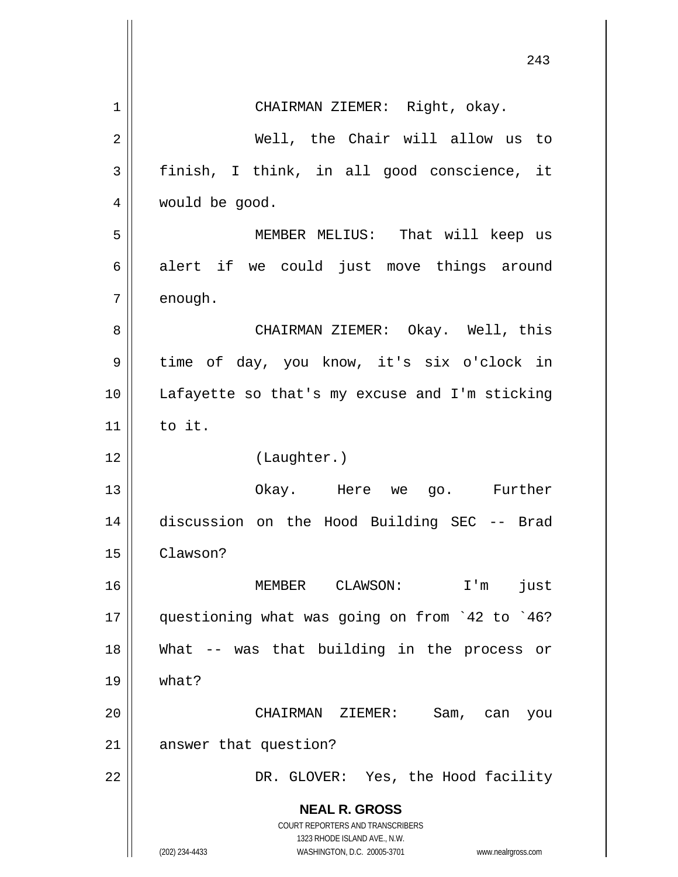|             | 243                                                                                                                                                             |
|-------------|-----------------------------------------------------------------------------------------------------------------------------------------------------------------|
| $\mathbf 1$ | CHAIRMAN ZIEMER: Right, okay.                                                                                                                                   |
| 2           | Well, the Chair will allow us to                                                                                                                                |
| 3           | finish, I think, in all good conscience, it                                                                                                                     |
| 4           | would be good.                                                                                                                                                  |
| 5           | MEMBER MELIUS: That will keep us                                                                                                                                |
| 6           | alert if we could just move things around                                                                                                                       |
| 7           | enough.                                                                                                                                                         |
| 8           | CHAIRMAN ZIEMER: Okay. Well, this                                                                                                                               |
| 9           | time of day, you know, it's six o'clock in                                                                                                                      |
| 10          | Lafayette so that's my excuse and I'm sticking                                                                                                                  |
| 11          | to it.                                                                                                                                                          |
| 12          | (Laughter.)                                                                                                                                                     |
| 13          | Okay. Here we go. Further                                                                                                                                       |
| 14          | discussion on the Hood Building SEC -- Brad                                                                                                                     |
| 15          | Clawson?                                                                                                                                                        |
| 16          | just<br>MEMBER<br>CLAWSON:<br>$I'$ m                                                                                                                            |
| 17          | questioning what was going on from '42 to '46?                                                                                                                  |
| 18          | What -- was that building in the process<br>Оr                                                                                                                  |
| 19          | what?                                                                                                                                                           |
| 20          | CHAIRMAN ZIEMER:<br>Sam,<br>can<br>you                                                                                                                          |
| 21          | answer that question?                                                                                                                                           |
| 22          | DR. GLOVER: Yes, the Hood facility                                                                                                                              |
|             | <b>NEAL R. GROSS</b><br>COURT REPORTERS AND TRANSCRIBERS<br>1323 RHODE ISLAND AVE., N.W.<br>(202) 234-4433<br>WASHINGTON, D.C. 20005-3701<br>www.nealrgross.com |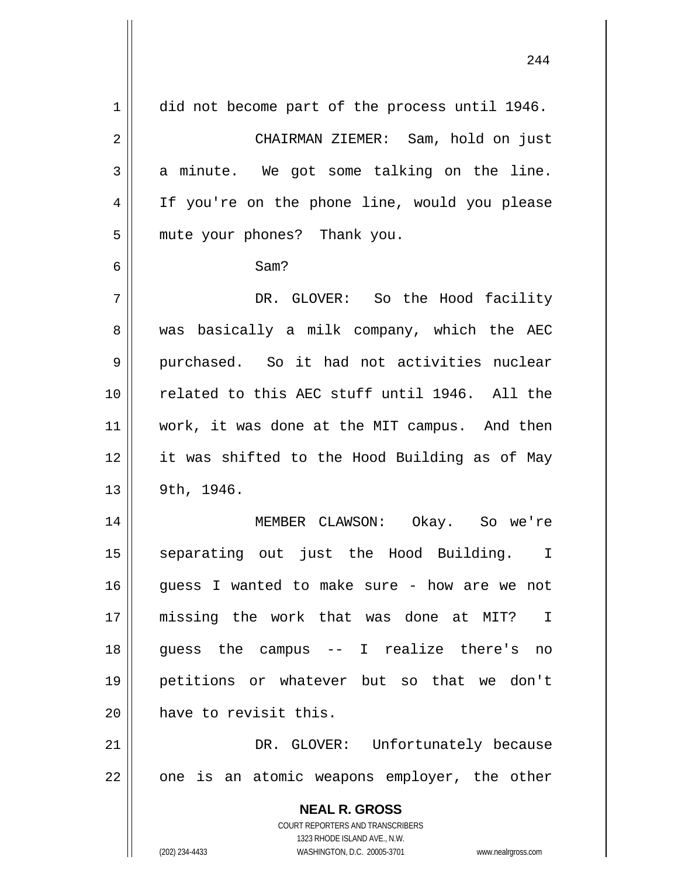| 1  | did not become part of the process until 1946.                      |
|----|---------------------------------------------------------------------|
| 2  | CHAIRMAN ZIEMER: Sam, hold on just                                  |
| 3  | a minute. We got some talking on the line.                          |
| 4  | If you're on the phone line, would you please                       |
| 5  | mute your phones? Thank you.                                        |
| 6  | Sam?                                                                |
| 7  | DR. GLOVER: So the Hood facility                                    |
| 8  | was basically a milk company, which the AEC                         |
| 9  | purchased. So it had not activities nuclear                         |
| 10 | related to this AEC stuff until 1946. All the                       |
| 11 | work, it was done at the MIT campus. And then                       |
| 12 | it was shifted to the Hood Building as of May                       |
| 13 | 9th, 1946.                                                          |
| 14 | MEMBER CLAWSON: Okay. So we're                                      |
| 15 | separating out just the Hood Building. I                            |
| 16 | guess I wanted to make sure - how are we not                        |
| 17 | missing the work that was done at MIT? I                            |
| 18 | guess the campus -- I realize there's no                            |
| 19 | petitions or whatever but so that we don't                          |
| 20 | have to revisit this.                                               |
| 21 | DR. GLOVER: Unfortunately because                                   |
| 22 | one is an atomic weapons employer, the other                        |
|    | <b>NEAL R. GROSS</b>                                                |
|    | COURT REPORTERS AND TRANSCRIBERS                                    |
|    | 1323 RHODE ISLAND AVE., N.W.                                        |
|    | (202) 234-4433<br>WASHINGTON, D.C. 20005-3701<br>www.nealrgross.com |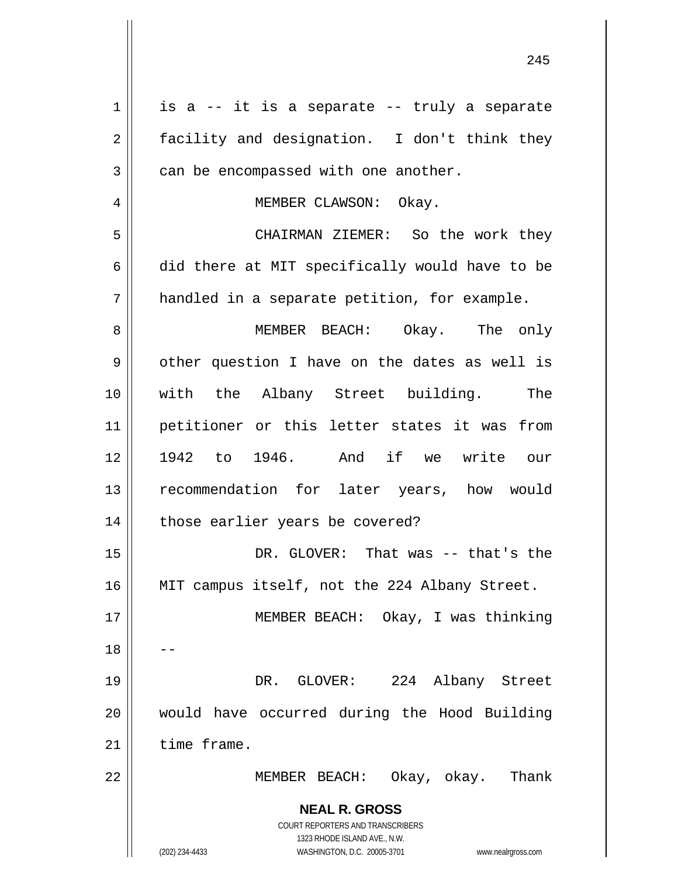| $\mathbf 1$    | is a -- it is a separate -- truly a separate                                                        |
|----------------|-----------------------------------------------------------------------------------------------------|
| $\overline{2}$ | facility and designation. I don't think they                                                        |
| 3              | can be encompassed with one another.                                                                |
| 4              | MEMBER CLAWSON: Okay.                                                                               |
| 5              | CHAIRMAN ZIEMER: So the work they                                                                   |
| 6              | did there at MIT specifically would have to be                                                      |
| 7              | handled in a separate petition, for example.                                                        |
| 8              | MEMBER BEACH: Okay. The only                                                                        |
| 9              | other question I have on the dates as well is                                                       |
| 10             | with the Albany Street building. The                                                                |
| 11             | petitioner or this letter states it was from                                                        |
| 12             | 1942 to 1946. And if we write our                                                                   |
| 13             | recommendation for later years, how would                                                           |
| 14             | those earlier years be covered?                                                                     |
| 15             | DR. GLOVER: That was -- that's the                                                                  |
|                |                                                                                                     |
| 16             | MIT campus itself, not the 224 Albany Street.                                                       |
| 17             | MEMBER BEACH: Okay, I was thinking                                                                  |
| 18             |                                                                                                     |
| 19             | DR. GLOVER: 224 Albany Street                                                                       |
| 20             | would have occurred during the Hood Building                                                        |
| 21             | time frame.                                                                                         |
| 22             | MEMBER BEACH: Okay, okay. Thank                                                                     |
|                | <b>NEAL R. GROSS</b>                                                                                |
|                | COURT REPORTERS AND TRANSCRIBERS                                                                    |
|                | 1323 RHODE ISLAND AVE., N.W.<br>(202) 234-4433<br>WASHINGTON, D.C. 20005-3701<br>www.nealrgross.com |

<u>245</u>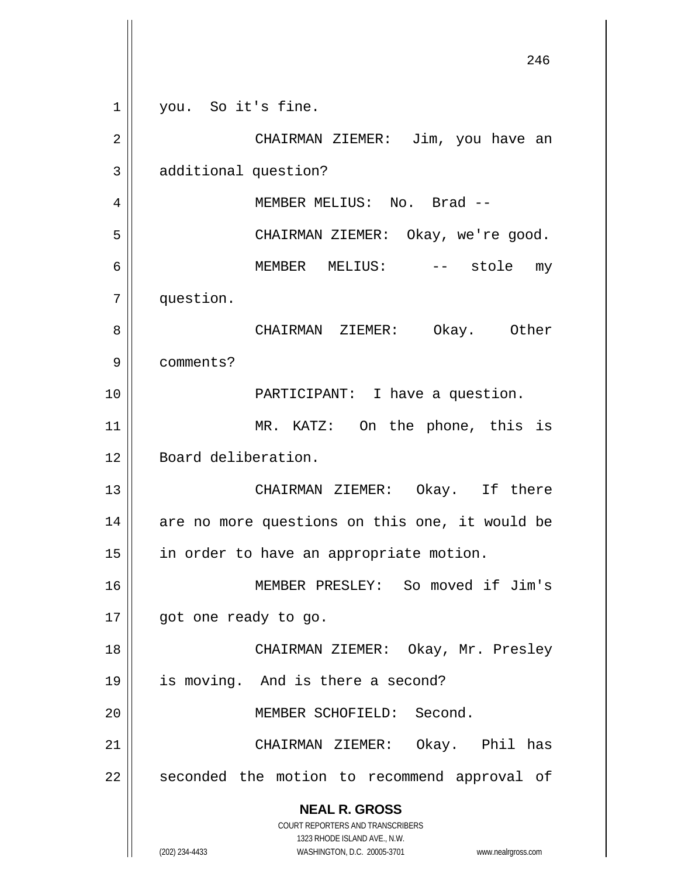**NEAL R. GROSS** COURT REPORTERS AND TRANSCRIBERS 1323 RHODE ISLAND AVE., N.W. (202) 234-4433 WASHINGTON, D.C. 20005-3701 www.nealrgross.com <u>246</u> 1 2 3 4 5 6 7 8 9 10 11 12 13 14 15 16 17 18 19 20 21 22 you. So it's fine. CHAIRMAN ZIEMER: Jim, you have an additional question? MEMBER MELIUS: No. Brad -- CHAIRMAN ZIEMER: Okay, we're good. MEMBER MELIUS: -- stole my question. CHAIRMAN ZIEMER: Okay. Other comments? PARTICIPANT: I have a question. MR. KATZ: On the phone, this is Board deliberation. CHAIRMAN ZIEMER: Okay. If there are no more questions on this one, it would be in order to have an appropriate motion. MEMBER PRESLEY: So moved if Jim's got one ready to go. CHAIRMAN ZIEMER: Okay, Mr. Presley is moving. And is there a second? MEMBER SCHOFIELD: Second. CHAIRMAN ZIEMER: Okay. Phil has seconded the motion to recommend approval of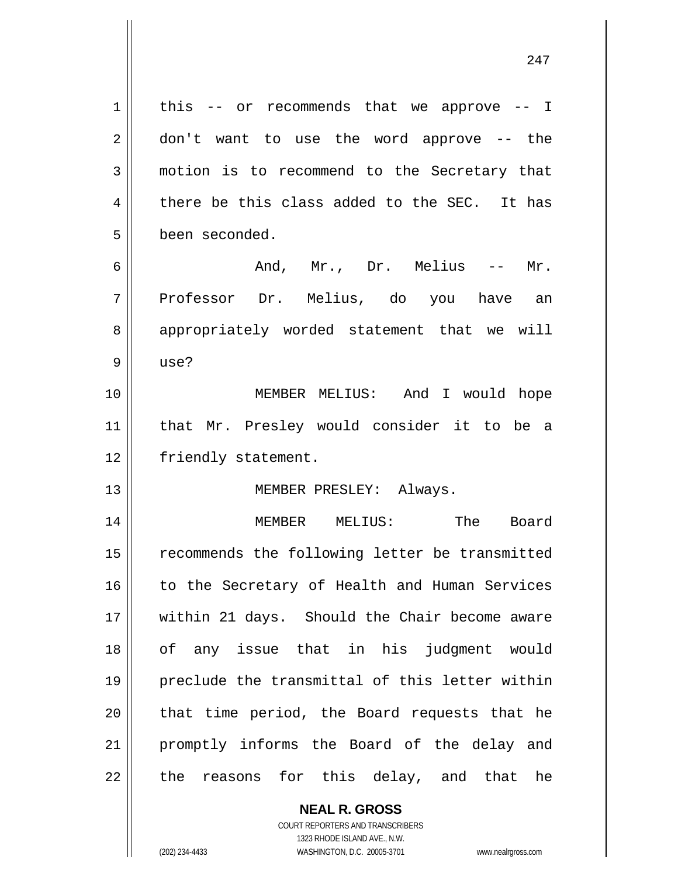1 2 3 4 5 6 7 8 9 10 11 12 13 14 15 16 17 18 19 20 21 22 this -- or recommends that we approve -- I don't want to use the word approve -- the motion is to recommend to the Secretary that there be this class added to the SEC. It has been seconded. And, Mr., Dr. Melius -- Mr. Professor Dr. Melius, do you have an appropriately worded statement that we will use? MEMBER MELIUS: And I would hope that Mr. Presley would consider it to be a friendly statement. MEMBER PRESLEY: Always. MEMBER MELIUS: The Board recommends the following letter be transmitted to the Secretary of Health and Human Services within 21 days. Should the Chair become aware of any issue that in his judgment would preclude the transmittal of this letter within that time period, the Board requests that he promptly informs the Board of the delay and the reasons for this delay, and that he

247

**NEAL R. GROSS** COURT REPORTERS AND TRANSCRIBERS 1323 RHODE ISLAND AVE., N.W.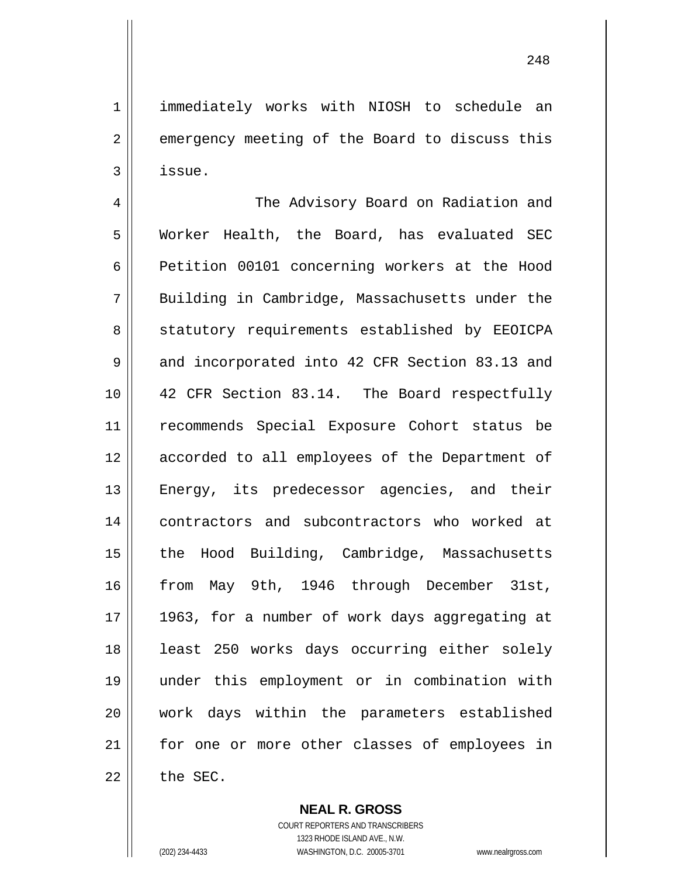immediately works with NIOSH to schedule an emergency meeting of the Board to discuss this issue.

4 5 6 7 8 9 10 11 12 13 14 15 16 17 18 19 20 21 22 The Advisory Board on Radiation and Worker Health, the Board, has evaluated SEC Petition 00101 concerning workers at the Hood Building in Cambridge, Massachusetts under the statutory requirements established by EEOICPA and incorporated into 42 CFR Section 83.13 and 42 CFR Section 83.14. The Board respectfully recommends Special Exposure Cohort status be accorded to all employees of the Department of Energy, its predecessor agencies, and their contractors and subcontractors who worked at the Hood Building, Cambridge, Massachusetts from May 9th, 1946 through December 31st, 1963, for a number of work days aggregating at least 250 works days occurring either solely under this employment or in combination with work days within the parameters established for one or more other classes of employees in the SEC.

> **NEAL R. GROSS** COURT REPORTERS AND TRANSCRIBERS

> > 1323 RHODE ISLAND AVE., N.W.

1

2

3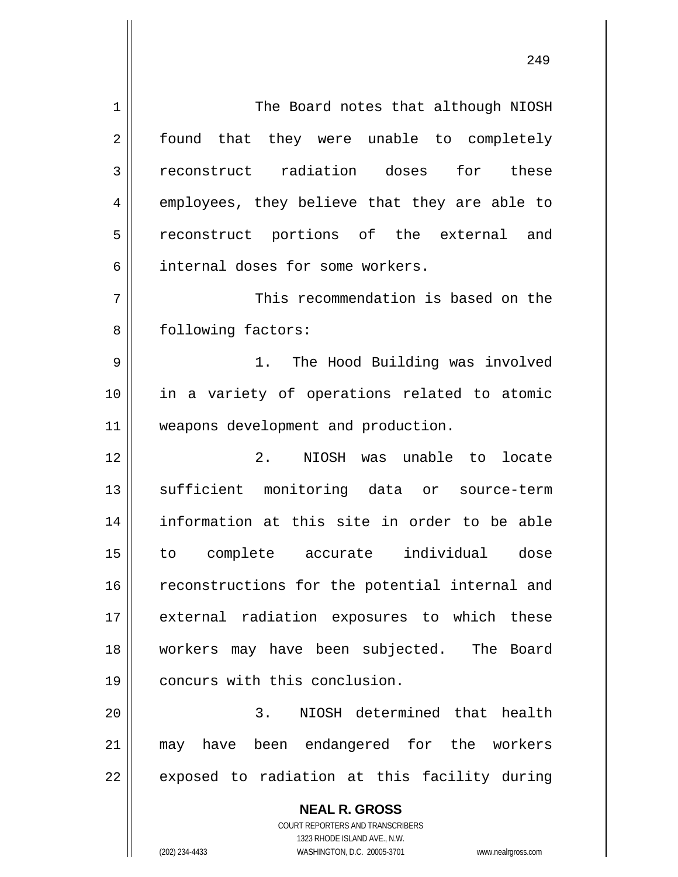**NEAL R. GROSS** COURT REPORTERS AND TRANSCRIBERS 1 2 3 4 5 6 7 8 9 10 11 12 13 14 15 16 17 18 19 20 21 22 The Board notes that although NIOSH found that they were unable to completely reconstruct radiation doses for these employees, they believe that they are able to reconstruct portions of the external and internal doses for some workers. This recommendation is based on the following factors: 1. The Hood Building was involved in a variety of operations related to atomic weapons development and production. 2. NIOSH was unable to locate sufficient monitoring data or source-term information at this site in order to be able to complete accurate individual dose reconstructions for the potential internal and external radiation exposures to which these workers may have been subjected. The Board concurs with this conclusion. 3. NIOSH determined that health may have been endangered for the workers exposed to radiation at this facility during

249

1323 RHODE ISLAND AVE., N.W.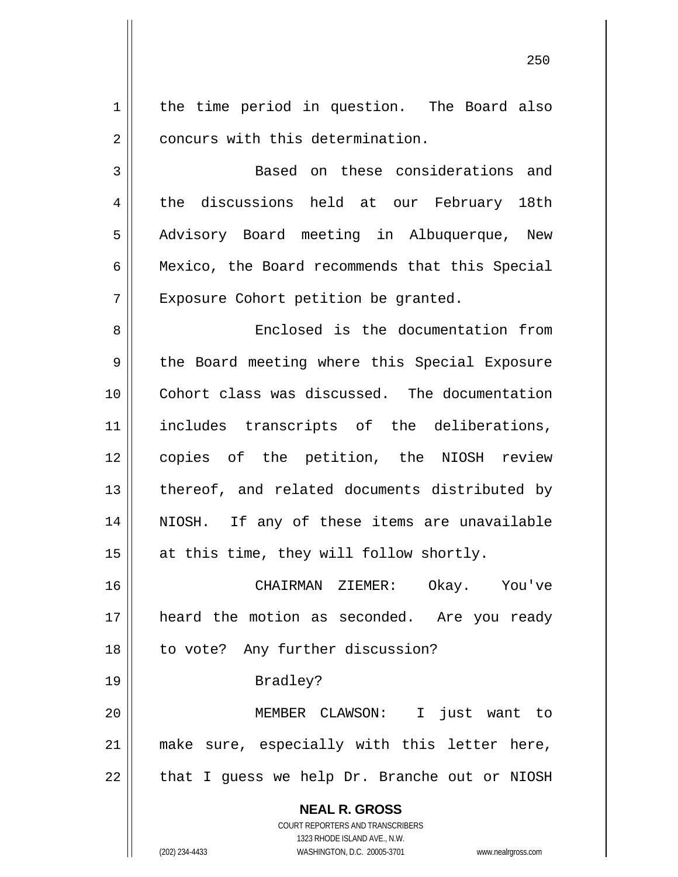1 2 the time period in question. The Board also concurs with this determination.

<u>250</u>

3 4 5 6 7 Based on these considerations and the discussions held at our February 18th Advisory Board meeting in Albuquerque, New Mexico, the Board recommends that this Special Exposure Cohort petition be granted.

8 9 10 11 12 13 14 15 Enclosed is the documentation from the Board meeting where this Special Exposure Cohort class was discussed. The documentation includes transcripts of the deliberations, copies of the petition, the NIOSH review thereof, and related documents distributed by NIOSH. If any of these items are unavailable at this time, they will follow shortly.

16 17 18 CHAIRMAN ZIEMER: Okay. You've heard the motion as seconded. Are you ready to vote? Any further discussion?

## Bradley?

19

20 21 22 MEMBER CLAWSON: I just want to make sure, especially with this letter here, that I guess we help Dr. Branche out or NIOSH

**NEAL R. GROSS**

COURT REPORTERS AND TRANSCRIBERS 1323 RHODE ISLAND AVE., N.W. (202) 234-4433 WASHINGTON, D.C. 20005-3701 www.nealrgross.com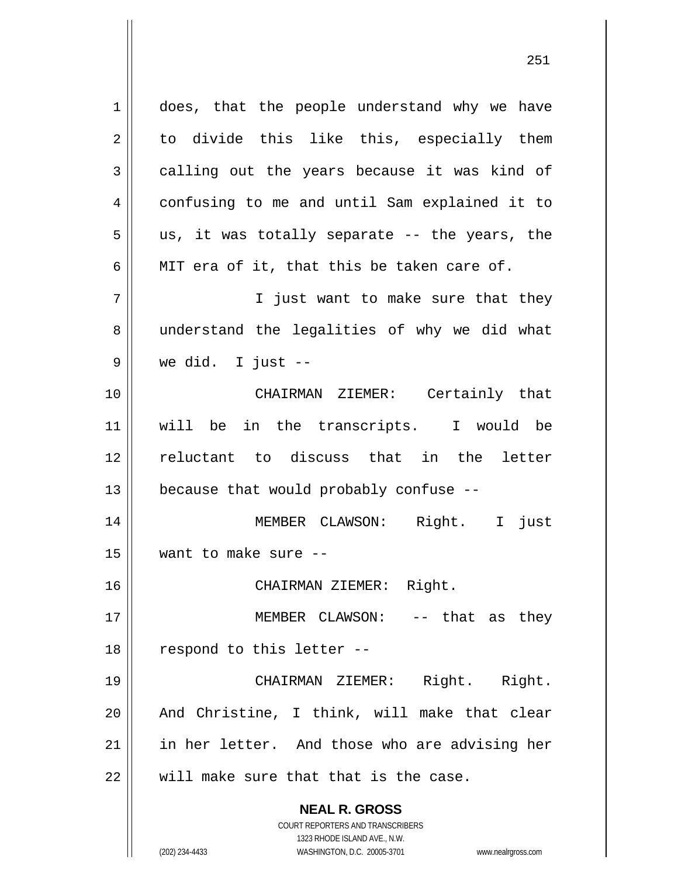**NEAL R. GROSS** COURT REPORTERS AND TRANSCRIBERS 1323 RHODE ISLAND AVE., N.W. 1 2 3 4 5 6 7 8 9 10 11 12 13 14 15 16 17 18 19 20 21 22 does, that the people understand why we have to divide this like this, especially them calling out the years because it was kind of confusing to me and until Sam explained it to us, it was totally separate -- the years, the MIT era of it, that this be taken care of. I just want to make sure that they understand the legalities of why we did what we did. I just -- CHAIRMAN ZIEMER: Certainly that will be in the transcripts. I would be reluctant to discuss that in the letter because that would probably confuse -- MEMBER CLAWSON: Right. I just want to make sure -- CHAIRMAN ZIEMER: Right. MEMBER CLAWSON: -- that as they respond to this letter -- CHAIRMAN ZIEMER: Right. Right. And Christine, I think, will make that clear in her letter. And those who are advising her will make sure that that is the case.

251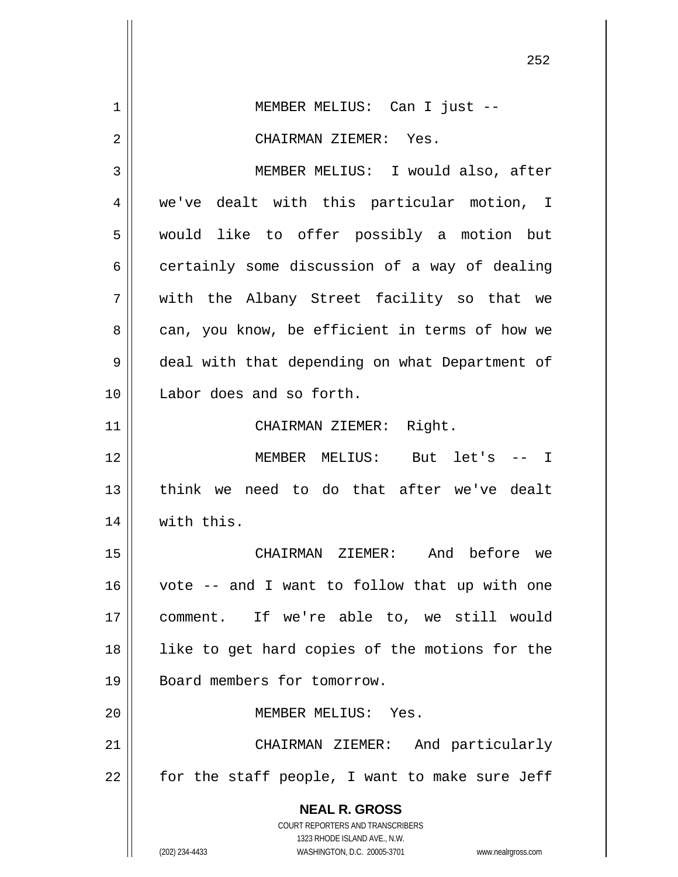**NEAL R. GROSS** COURT REPORTERS AND TRANSCRIBERS 1323 RHODE ISLAND AVE., N.W. (202) 234-4433 WASHINGTON, D.C. 20005-3701 www.nealrgross.com 252 1 2 3 4 5 6 7 8 9 10 11 12 13 14 15 16 17 18 19 20 21 22 MEMBER MELIUS: Can I just -- CHAIRMAN ZIEMER: Yes. MEMBER MELIUS: I would also, after we've dealt with this particular motion, I would like to offer possibly a motion but certainly some discussion of a way of dealing with the Albany Street facility so that we can, you know, be efficient in terms of how we deal with that depending on what Department of Labor does and so forth. CHAIRMAN ZIEMER: Right. MEMBER MELIUS: But let's -- I think we need to do that after we've dealt with this. CHAIRMAN ZIEMER: And before we vote -- and I want to follow that up with one comment. If we're able to, we still would like to get hard copies of the motions for the Board members for tomorrow. MEMBER MELIUS: Yes. CHAIRMAN ZIEMER: And particularly for the staff people, I want to make sure Jeff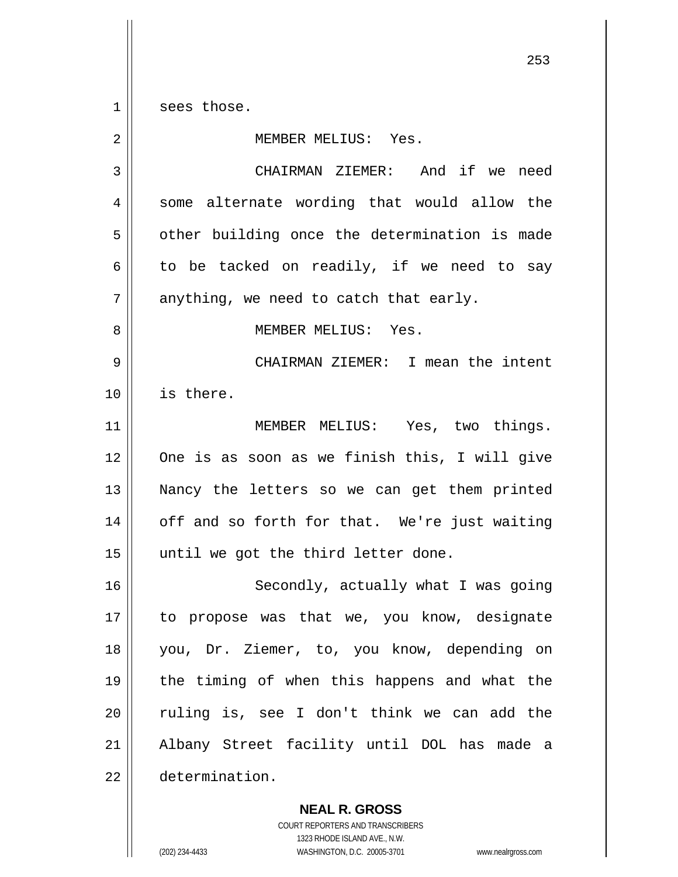$\begin{array}{c|c|c|c|c} 1 & 1 \\ \hline \end{array}$ sees those.

| $\overline{2}$ | MEMBER MELIUS: Yes.                           |
|----------------|-----------------------------------------------|
| 3              | CHAIRMAN ZIEMER: And if we need               |
| 4              | some alternate wording that would allow the   |
| 5              | other building once the determination is made |
| 6              | to be tacked on readily, if we need to say    |
| 7              | anything, we need to catch that early.        |
| 8              | MEMBER MELIUS: Yes.                           |
| 9              | CHAIRMAN ZIEMER: I mean the intent            |
| 10             | is there.                                     |
| 11             | MEMBER MELIUS: Yes, two things.               |
| 12             | One is as soon as we finish this, I will give |
| 13             | Nancy the letters so we can get them printed  |
| 14             | off and so forth for that. We're just waiting |
| 15             | until we got the third letter done.           |
| 16             | Secondly, actually what I was going           |
| 17             | to propose was that we, you know, designate   |
| 18             | you, Dr. Ziemer, to, you know, depending on   |
| 19             | the timing of when this happens and what the  |
| 20             | ruling is, see I don't think we can add the   |
| 21             | Albany Street facility until DOL has made a   |
| 22             | determination.                                |

**NEAL R. GROSS** COURT REPORTERS AND TRANSCRIBERS

1323 RHODE ISLAND AVE., N.W.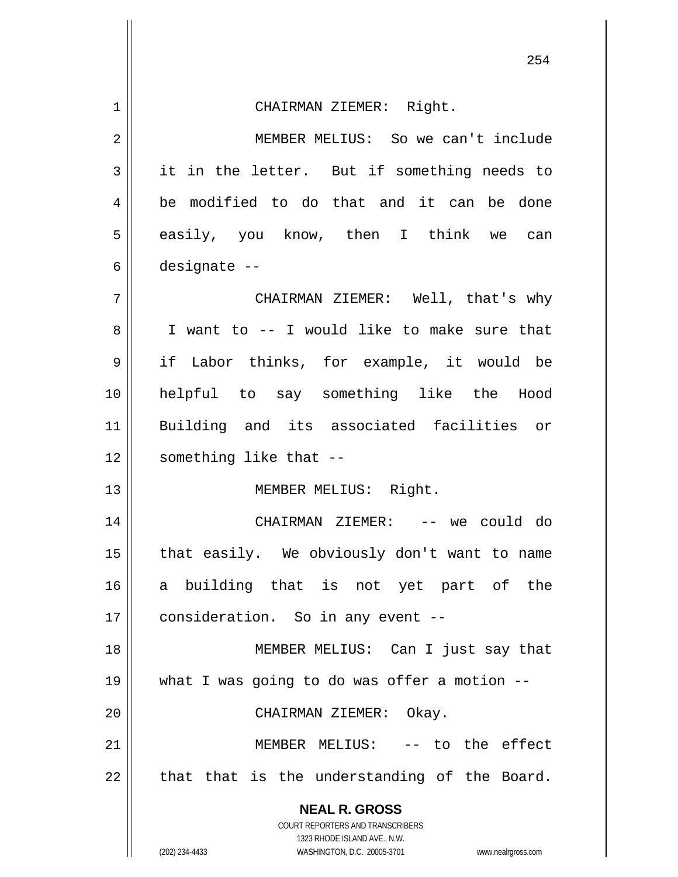|                | 254                                                                                                 |
|----------------|-----------------------------------------------------------------------------------------------------|
| $\mathbf 1$    | CHAIRMAN ZIEMER: Right.                                                                             |
| $\overline{2}$ | MEMBER MELIUS: So we can't include                                                                  |
| 3              | it in the letter. But if something needs to                                                         |
| 4              | be modified to do that and it can be done                                                           |
| 5              | easily, you know, then I think we can                                                               |
| 6              | designate --                                                                                        |
| 7              | CHAIRMAN ZIEMER: Well, that's why                                                                   |
| 8              | I want to -- I would like to make sure that                                                         |
| 9              | if Labor thinks, for example, it would be                                                           |
| 10             | helpful to say something like the Hood                                                              |
| 11             | Building and its associated facilities or                                                           |
| 12             | something like that --                                                                              |
| 13             | MEMBER MELIUS: Right.                                                                               |
| 14             | CHAIRMAN ZIEMER: -- we could do                                                                     |
| 15             | that easily. We obviously don't want to name                                                        |
| 16             | a building that is not yet part of the                                                              |
| 17             | consideration. So in any event --                                                                   |
| 18             | MEMBER MELIUS: Can I just say that                                                                  |
| 19             | what I was going to do was offer a motion --                                                        |
| 20             | CHAIRMAN ZIEMER: Okay.                                                                              |
| 21             | MEMBER MELIUS: -- to the effect                                                                     |
| 22             | that that is the understanding of the Board.                                                        |
|                | <b>NEAL R. GROSS</b><br>COURT REPORTERS AND TRANSCRIBERS                                            |
|                | 1323 RHODE ISLAND AVE., N.W.<br>(202) 234-4433<br>WASHINGTON, D.C. 20005-3701<br>www.nealrgross.com |

 $\mathsf{l}$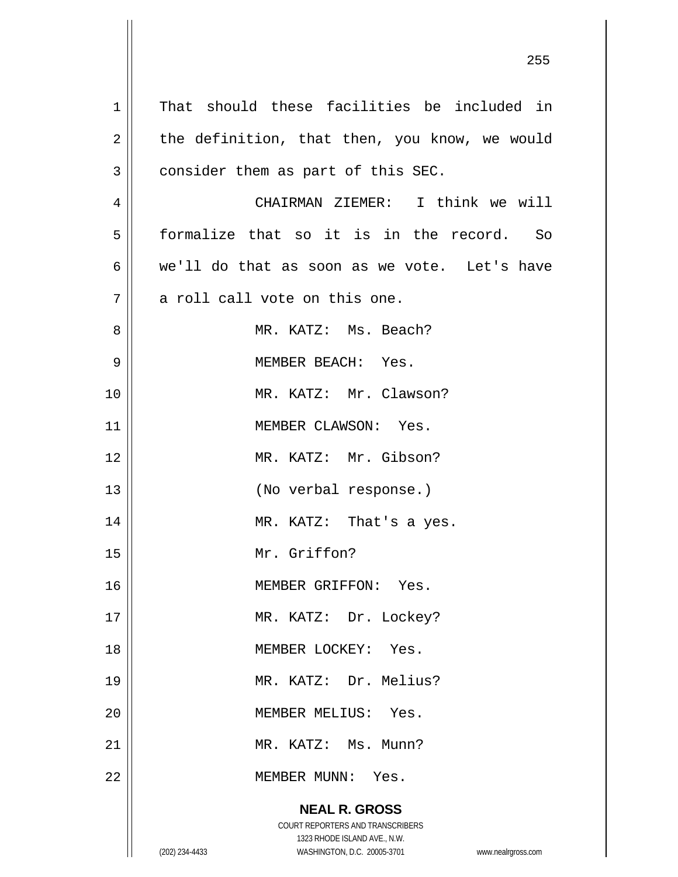| $\mathbf 1$    | That should these facilities be included in                                                                                                                     |
|----------------|-----------------------------------------------------------------------------------------------------------------------------------------------------------------|
| 2              | the definition, that then, you know, we would                                                                                                                   |
| $\mathfrak{Z}$ | consider them as part of this SEC.                                                                                                                              |
| $\overline{4}$ | CHAIRMAN ZIEMER: I think we will                                                                                                                                |
| 5              | formalize that so it is in the record. So                                                                                                                       |
| 6              | we'll do that as soon as we vote. Let's have                                                                                                                    |
| 7              | a roll call vote on this one.                                                                                                                                   |
| 8              | MR. KATZ: Ms. Beach?                                                                                                                                            |
| $\mathsf 9$    | MEMBER BEACH: Yes.                                                                                                                                              |
| 10             | MR. KATZ: Mr. Clawson?                                                                                                                                          |
| 11             | MEMBER CLAWSON: Yes.                                                                                                                                            |
| 12             | MR. KATZ: Mr. Gibson?                                                                                                                                           |
| 13             | (No verbal response.)                                                                                                                                           |
| 14             | MR. KATZ: That's a yes.                                                                                                                                         |
| 15             | Mr. Griffon?                                                                                                                                                    |
| 16             | MEMBER GRIFFON:<br>Yes.                                                                                                                                         |
| 17             | MR. KATZ: Dr. Lockey?                                                                                                                                           |
| 18             | MEMBER LOCKEY: Yes.                                                                                                                                             |
| 19             | MR. KATZ: Dr. Melius?                                                                                                                                           |
| 20             | MEMBER MELIUS: Yes.                                                                                                                                             |
| 21             | MR. KATZ: Ms. Munn?                                                                                                                                             |
| 22             | MEMBER MUNN: Yes.                                                                                                                                               |
|                | <b>NEAL R. GROSS</b><br>COURT REPORTERS AND TRANSCRIBERS<br>1323 RHODE ISLAND AVE., N.W.<br>(202) 234-4433<br>WASHINGTON, D.C. 20005-3701<br>www.nealrgross.com |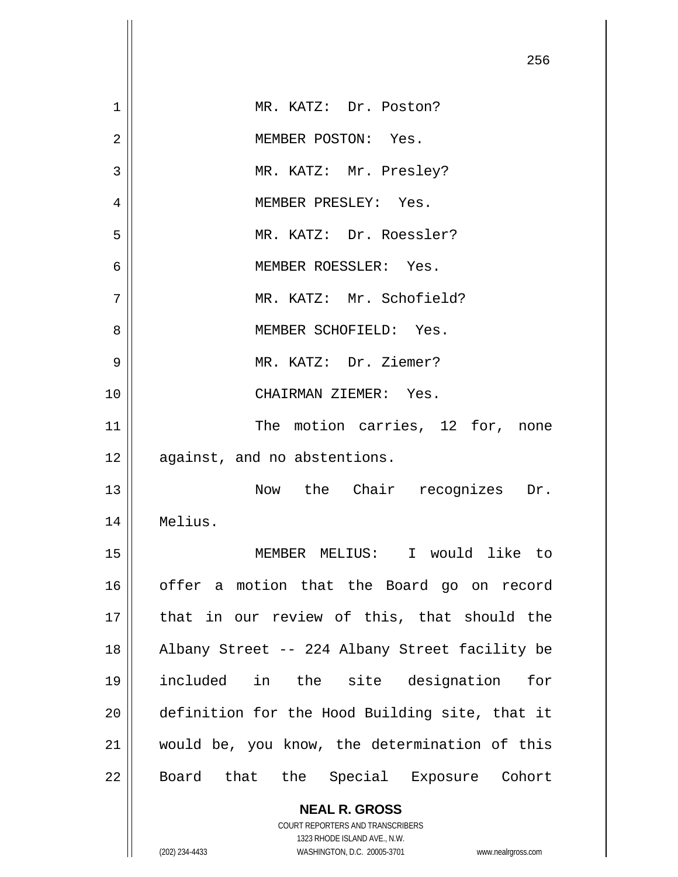|    | 256                                            |
|----|------------------------------------------------|
| 1  | MR. KATZ: Dr. Poston?                          |
| 2  | MEMBER POSTON: Yes.                            |
| 3  | MR. KATZ: Mr. Presley?                         |
| 4  | MEMBER PRESLEY: Yes.                           |
| 5  | MR. KATZ: Dr. Roessler?                        |
| 6  | MEMBER ROESSLER: Yes.                          |
| 7  | MR. KATZ: Mr. Schofield?                       |
| 8  | MEMBER SCHOFIELD: Yes.                         |
| 9  | MR. KATZ: Dr. Ziemer?                          |
| 10 | CHAIRMAN ZIEMER: Yes.                          |
| 11 | The motion carries, 12 for, none               |
| 12 | against, and no abstentions.                   |
| 13 | Now the Chair recognizes Dr.                   |
| 14 | Melius.                                        |
| 15 | MEMBER MELIUS: I would like to                 |
| 16 | offer a motion that the Board go on record     |
| 17 | that in our review of this, that should the    |
| 18 | Albany Street -- 224 Albany Street facility be |
| 19 | included in the site designation<br>for        |
| 20 | definition for the Hood Building site, that it |
| 21 | would be, you know, the determination of this  |
| 22 | Board that the Special Exposure Cohort         |
|    | <b>NEAL R. GROSS</b>                           |

COURT REPORTERS AND TRANSCRIBERS 1323 RHODE ISLAND AVE., N.W.

 $\prod$ 

 $\mathsf{I}$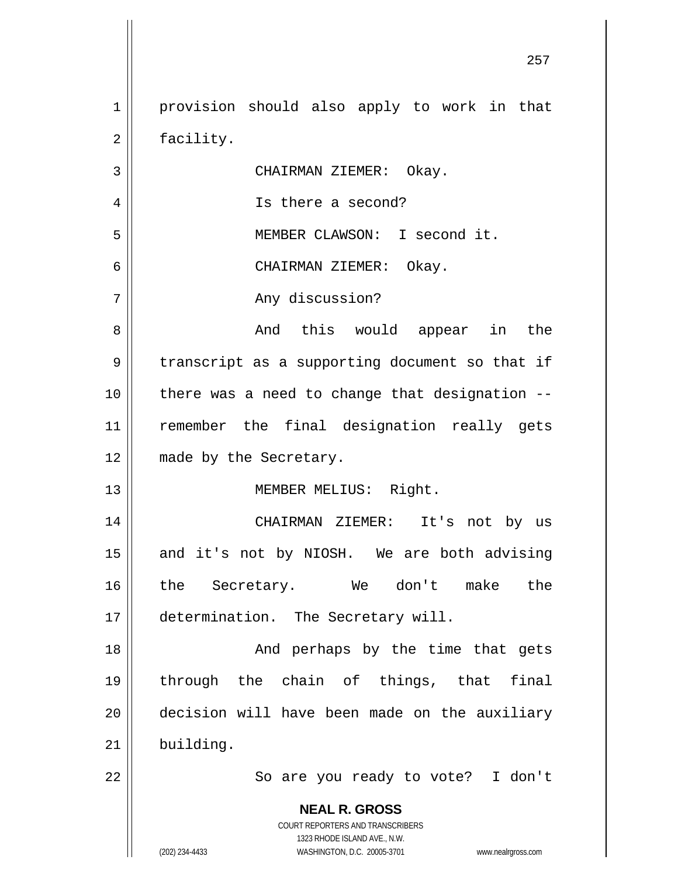**NEAL R. GROSS** COURT REPORTERS AND TRANSCRIBERS 1323 RHODE ISLAND AVE., N.W. (202) 234-4433 WASHINGTON, D.C. 20005-3701 www.nealrgross.com <u>257 до најзина од селото на селото на 257 до најзина од селото на селото на селото на 257 до на</u> 1 2 3 4 5 6 7 8 9 10 11 12 13 14 15 16 17 18 19 20 21 22 provision should also apply to work in that facility. CHAIRMAN ZIEMER: Okay. Is there a second? MEMBER CLAWSON: I second it. CHAIRMAN ZIEMER: Okay. Any discussion? And this would appear in the transcript as a supporting document so that if there was a need to change that designation - remember the final designation really gets made by the Secretary. MEMBER MELIUS: Right. CHAIRMAN ZIEMER: It's not by us and it's not by NIOSH. We are both advising the Secretary. We don't make the determination. The Secretary will. And perhaps by the time that gets through the chain of things, that final decision will have been made on the auxiliary building. So are you ready to vote? I don't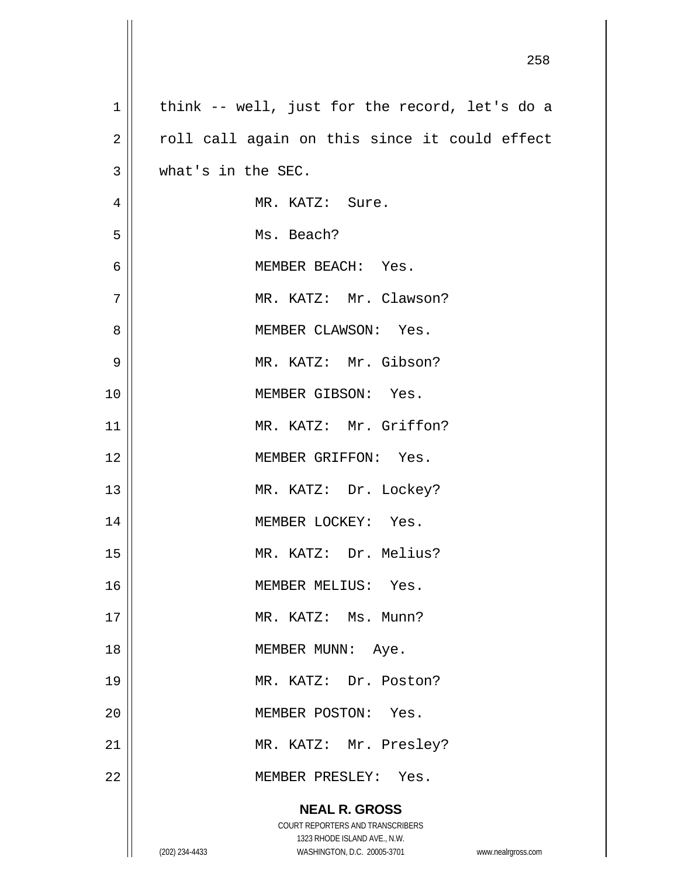| $\mathbf 1$    | think -- well, just for the record, let's do a                      |
|----------------|---------------------------------------------------------------------|
| $\overline{2}$ | roll call again on this since it could effect                       |
| $\mathfrak{Z}$ | what's in the SEC.                                                  |
| $\overline{4}$ | MR. KATZ: Sure.                                                     |
| 5              | Ms. Beach?                                                          |
| 6              | MEMBER BEACH: Yes.                                                  |
| 7              | MR. KATZ: Mr. Clawson?                                              |
| 8              | MEMBER CLAWSON: Yes.                                                |
| $\mathsf 9$    | MR. KATZ: Mr. Gibson?                                               |
| 10             | MEMBER GIBSON: Yes.                                                 |
| 11             | MR. KATZ: Mr. Griffon?                                              |
| 12             | MEMBER GRIFFON: Yes.                                                |
| 13             | MR. KATZ: Dr. Lockey?                                               |
| 14             | MEMBER LOCKEY: Yes.                                                 |
| 15             | MR. KATZ: Dr. Melius?                                               |
| 16             | MEMBER MELIUS: Yes.                                                 |
| 17             | MR. KATZ: Ms. Munn?                                                 |
| 18             | MEMBER MUNN: Aye.                                                   |
| 19             | MR. KATZ: Dr. Poston?                                               |
| 20             | MEMBER POSTON: Yes.                                                 |
| 21             | MR. KATZ: Mr. Presley?                                              |
| 22             | MEMBER PRESLEY: Yes.                                                |
|                | <b>NEAL R. GROSS</b>                                                |
|                | COURT REPORTERS AND TRANSCRIBERS                                    |
|                | 1323 RHODE ISLAND AVE., N.W.                                        |
|                | (202) 234-4433<br>WASHINGTON, D.C. 20005-3701<br>www.nealrgross.com |

 $\mathbf{I}$ 

<u>258 and 258 and 258 and 258 and 258 and 258 and 258 and 258 and 258 and 258 and 258 and 258 and 258 and 258 and 258 and 258 and 258 and 258 and 258 and 258 and 258 and 258 and 258 and 258 and 258 and 258 and 258 and 258 a</u>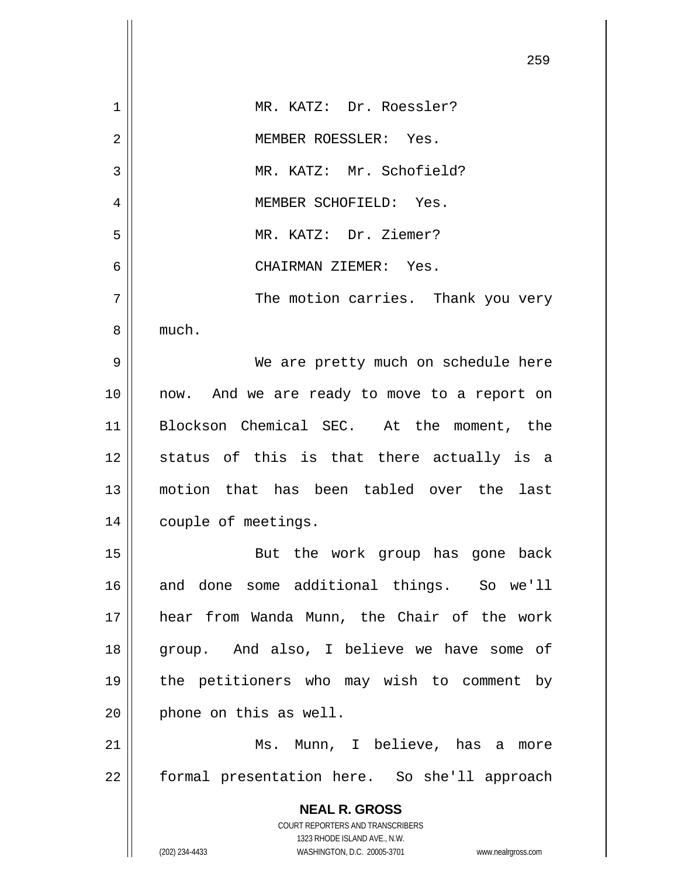|    | 259                                                                                                 |
|----|-----------------------------------------------------------------------------------------------------|
| 1  | MR. KATZ: Dr. Roessler?                                                                             |
| 2  | MEMBER ROESSLER: Yes.                                                                               |
| 3  | MR. KATZ: Mr. Schofield?                                                                            |
| 4  | MEMBER SCHOFIELD: Yes.                                                                              |
| 5  | MR. KATZ: Dr. Ziemer?                                                                               |
| 6  | CHAIRMAN ZIEMER: Yes.                                                                               |
| 7  | The motion carries. Thank you very                                                                  |
| 8  | much.                                                                                               |
| 9  | We are pretty much on schedule here                                                                 |
| 10 | now. And we are ready to move to a report on                                                        |
| 11 | Blockson Chemical SEC. At the moment, the                                                           |
| 12 | status of this is that there actually is a                                                          |
| 13 | motion that has been tabled over the last                                                           |
| 14 | couple of meetings.                                                                                 |
| 15 | But the work group has gone back                                                                    |
| 16 | and done some additional things. So we'll                                                           |
| 17 | hear from Wanda Munn, the Chair of the work                                                         |
| 18 | group. And also, I believe we have some of                                                          |
| 19 | the petitioners who may wish to comment by                                                          |
| 20 | phone on this as well.                                                                              |
| 21 | Ms. Munn, I believe, has a more                                                                     |
| 22 | formal presentation here. So she'll approach                                                        |
|    | <b>NEAL R. GROSS</b>                                                                                |
|    | COURT REPORTERS AND TRANSCRIBERS                                                                    |
|    | 1323 RHODE ISLAND AVE., N.W.<br>(202) 234-4433<br>WASHINGTON, D.C. 20005-3701<br>www.nealrgross.com |

 $\mathsf{I}$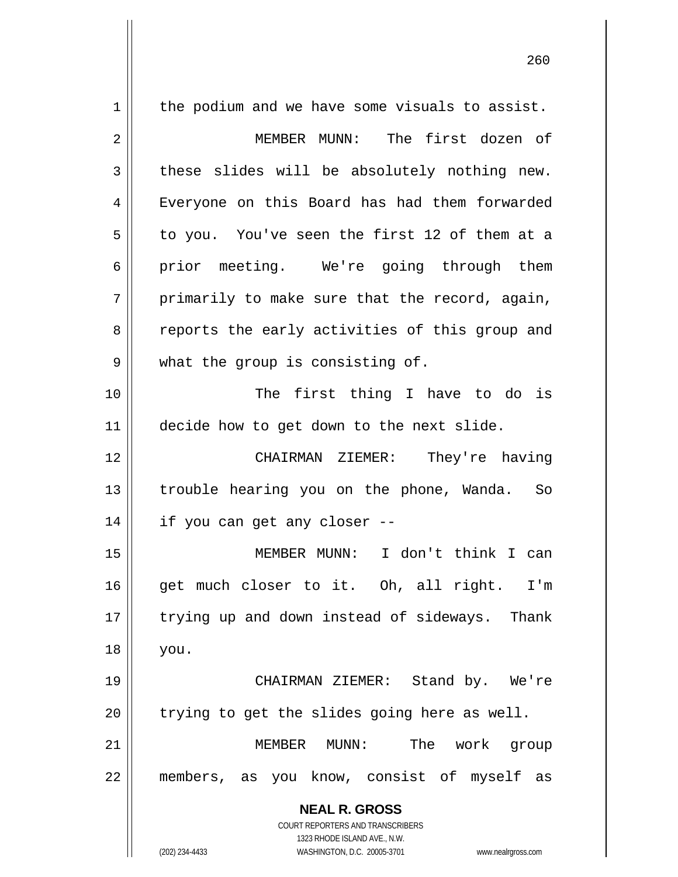**NEAL R. GROSS** COURT REPORTERS AND TRANSCRIBERS 1323 RHODE ISLAND AVE., N.W. 1 2 3 4 5 6 7 8 9 10 11 12 13 14 15 16 17 18 19 20 21 22 the podium and we have some visuals to assist. MEMBER MUNN: The first dozen of these slides will be absolutely nothing new. Everyone on this Board has had them forwarded to you. You've seen the first 12 of them at a prior meeting. We're going through them primarily to make sure that the record, again, reports the early activities of this group and what the group is consisting of. The first thing I have to do is decide how to get down to the next slide. CHAIRMAN ZIEMER: They're having trouble hearing you on the phone, Wanda. So if you can get any closer -- MEMBER MUNN: I don't think I can get much closer to it. Oh, all right. I'm trying up and down instead of sideways. Thank you. CHAIRMAN ZIEMER: Stand by. We're trying to get the slides going here as well. MEMBER MUNN: The work group members, as you know, consist of myself as

(202) 234-4433 WASHINGTON, D.C. 20005-3701 www.nealrgross.com

<u>260</u>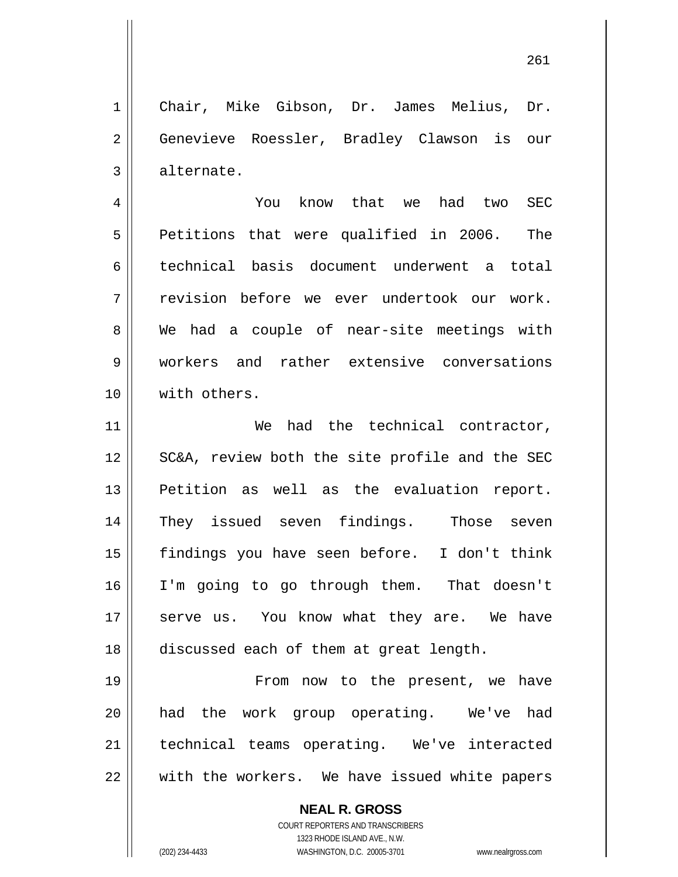261

1 2 3 Chair, Mike Gibson, Dr. James Melius, Dr. Genevieve Roessler, Bradley Clawson is our alternate.

4 5 6 7 8 9 10 You know that we had two SEC Petitions that were qualified in 2006. The technical basis document underwent a total revision before we ever undertook our work. We had a couple of near-site meetings with workers and rather extensive conversations with others.

11 12 13 14 15 16 17 18 We had the technical contractor, SC&A, review both the site profile and the SEC Petition as well as the evaluation report. They issued seven findings. Those seven findings you have seen before. I don't think I'm going to go through them. That doesn't serve us. You know what they are. We have discussed each of them at great length.

19 20 21 22 From now to the present, we have had the work group operating. We've had technical teams operating. We've interacted with the workers. We have issued white papers

> **NEAL R. GROSS** COURT REPORTERS AND TRANSCRIBERS

> > 1323 RHODE ISLAND AVE., N.W.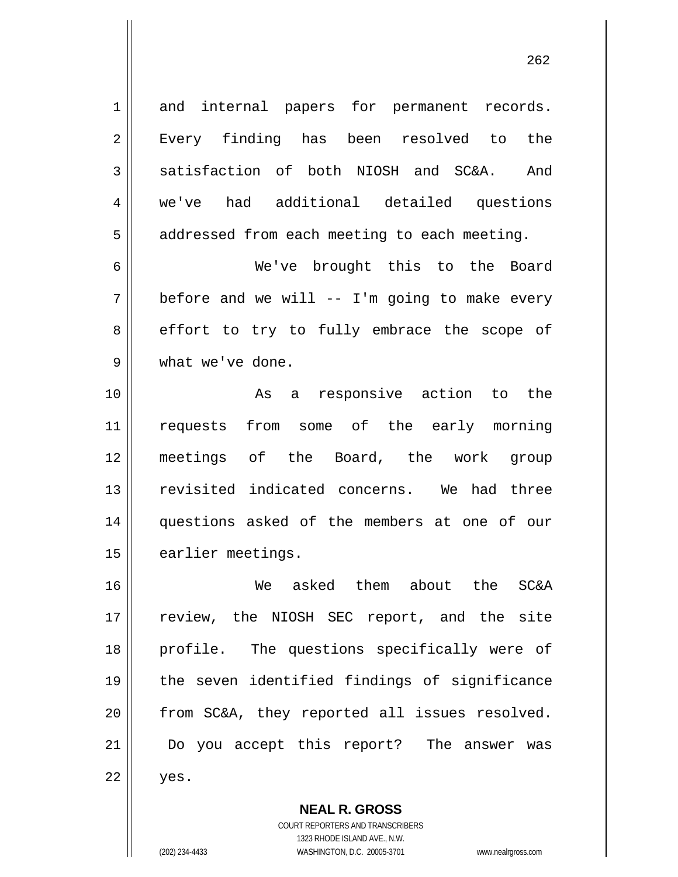and internal papers for permanent records. Every finding has been resolved to the satisfaction of both NIOSH and SC&A. And we've had additional detailed questions addressed from each meeting to each meeting.

проставление в село в село в 1962 године в 262 године в 262 године в 262 године в 262 године в 262 године в 26<br>Представляет село в 262 године в 262 године в 262 године в 262 године в 262 године в 262 године в 262 године в

 We've brought this to the Board before and we will -- I'm going to make every effort to try to fully embrace the scope of what we've done.

10 11 12 13 14 15 As a responsive action to the requests from some of the early morning meetings of the Board, the work group revisited indicated concerns. We had three questions asked of the members at one of our earlier meetings.

16 17 18 19 20 21 22 We asked them about the SC&A review, the NIOSH SEC report, and the site profile. The questions specifically were of the seven identified findings of significance from SC&A, they reported all issues resolved. Do you accept this report? The answer was yes.

> **NEAL R. GROSS** COURT REPORTERS AND TRANSCRIBERS 1323 RHODE ISLAND AVE., N.W. (202) 234-4433 WASHINGTON, D.C. 20005-3701 www.nealrgross.com

1

2

3

4

5

6

7

8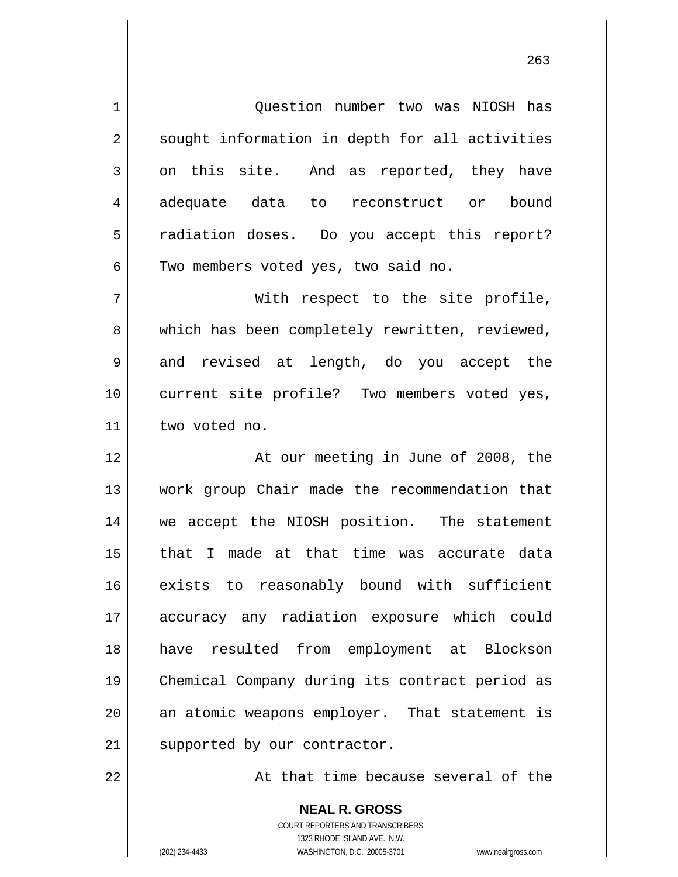1 2 3 4 5 6 7 8 9 10 11 12 13 14 15 16 17 18 19 20 21 22 Question number two was NIOSH has sought information in depth for all activities on this site. And as reported, they have adequate data to reconstruct or bound radiation doses. Do you accept this report? Two members voted yes, two said no. With respect to the site profile, which has been completely rewritten, reviewed, and revised at length, do you accept the current site profile? Two members voted yes, two voted no. At our meeting in June of 2008, the work group Chair made the recommendation that we accept the NIOSH position. The statement that I made at that time was accurate data exists to reasonably bound with sufficient accuracy any radiation exposure which could have resulted from employment at Blockson Chemical Company during its contract period as an atomic weapons employer. That statement is supported by our contractor. At that time because several of the

> **NEAL R. GROSS** COURT REPORTERS AND TRANSCRIBERS 1323 RHODE ISLAND AVE., N.W. (202) 234-4433 WASHINGTON, D.C. 20005-3701 www.nealrgross.com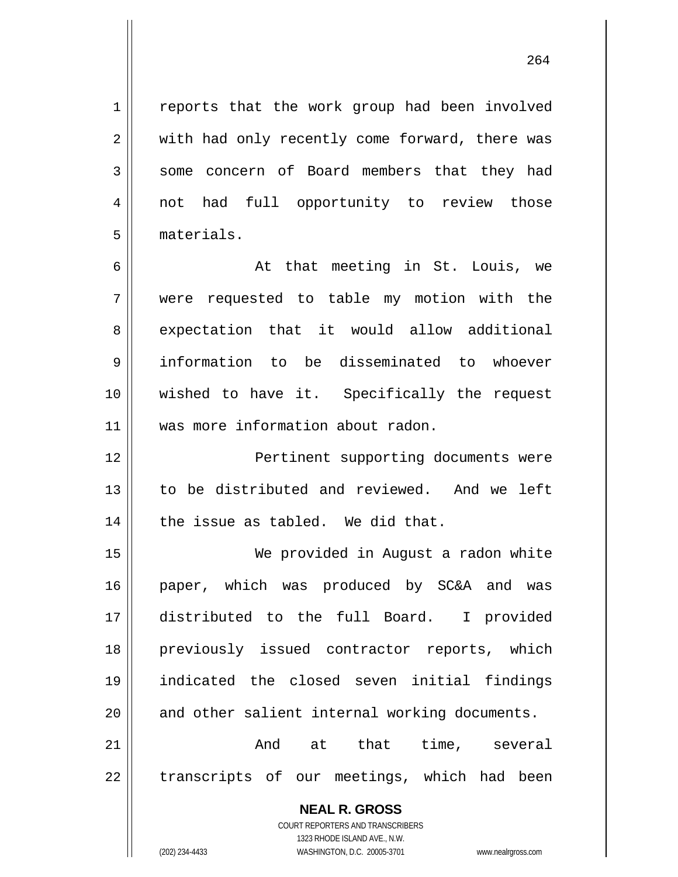reports that the work group had been involved with had only recently come forward, there was some concern of Board members that they had not had full opportunity to review those materials.

6 7 8 9 10 11 At that meeting in St. Louis, we were requested to table my motion with the expectation that it would allow additional information to be disseminated to whoever wished to have it. Specifically the request was more information about radon.

12 13 14 Pertinent supporting documents were to be distributed and reviewed. And we left the issue as tabled. We did that.

15 16 17 18 19 20 We provided in August a radon white paper, which was produced by SC&A and was distributed to the full Board. I provided previously issued contractor reports, which indicated the closed seven initial findings and other salient internal working documents. And at that time, several

21 22 transcripts of our meetings, which had been

**NEAL R. GROSS**

COURT REPORTERS AND TRANSCRIBERS 1323 RHODE ISLAND AVE., N.W. (202) 234-4433 WASHINGTON, D.C. 20005-3701 www.nealrgross.com

1

2

3

4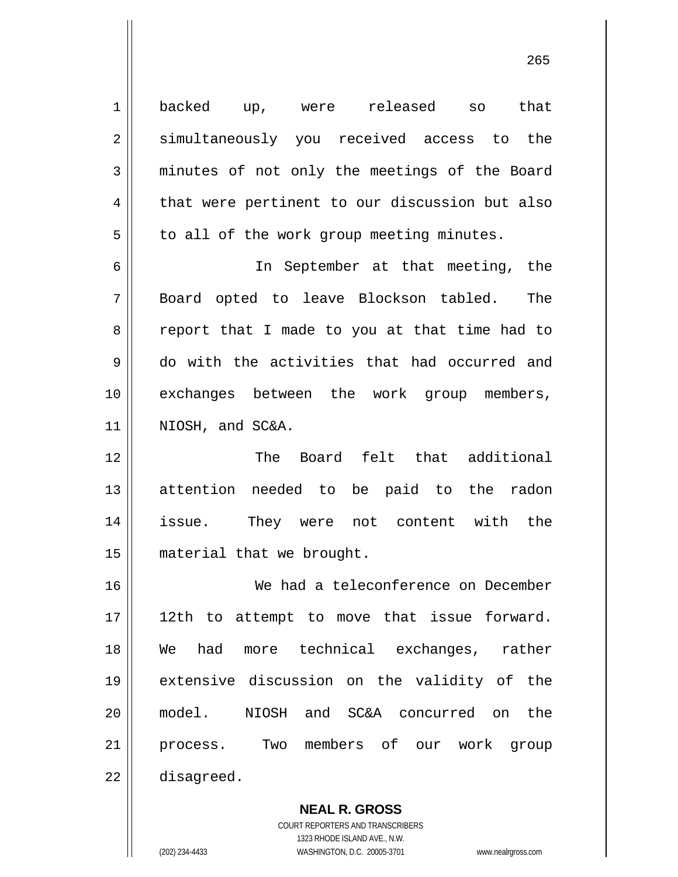1 2 3 4 5 6 7 8 9 10 11 12 13 14 15 16 17 18 19 20 21 22 backed up, were released so that simultaneously you received access to the minutes of not only the meetings of the Board that were pertinent to our discussion but also to all of the work group meeting minutes. In September at that meeting, the Board opted to leave Blockson tabled. The report that I made to you at that time had to do with the activities that had occurred and exchanges between the work group members, NIOSH, and SC&A. The Board felt that additional attention needed to be paid to the radon issue. They were not content with the material that we brought. We had a teleconference on December 12th to attempt to move that issue forward. We had more technical exchanges, rather extensive discussion on the validity of the model. NIOSH and SC&A concurred on the process. Two members of our work group disagreed.

<u>265</u>

**NEAL R. GROSS** COURT REPORTERS AND TRANSCRIBERS

1323 RHODE ISLAND AVE., N.W.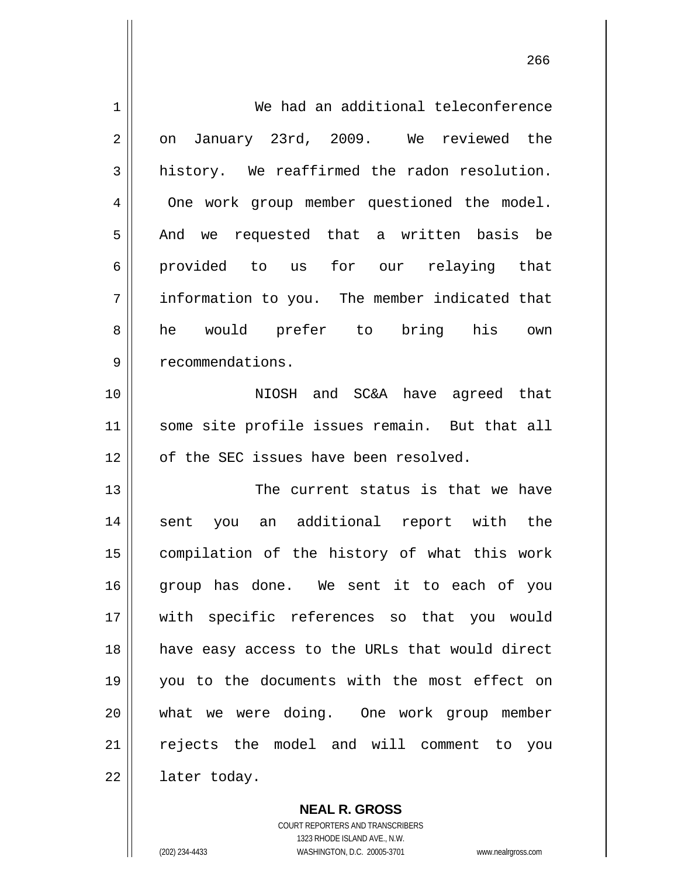| 1  | We had an additional teleconference            |
|----|------------------------------------------------|
| 2  | January 23rd, 2009. We reviewed the<br>on      |
| 3  | history. We reaffirmed the radon resolution.   |
| 4  | One work group member questioned the model.    |
| 5  | And we requested that a written basis be       |
| 6  | provided to us for our relaying that           |
| 7  | information to you. The member indicated that  |
| 8  | he would prefer to bring his own               |
| 9  | recommendations.                               |
| 10 | NIOSH and SC&A have agreed that                |
| 11 | some site profile issues remain. But that all  |
| 12 | of the SEC issues have been resolved.          |
| 13 | The current status is that we have             |
| 14 | sent you an additional report with the         |
| 15 | compilation of the history of what this work   |
| 16 | group has done. We sent it to each of you      |
| 17 | with specific references so that you would     |
| 18 | have easy access to the URLs that would direct |
| 19 | you to the documents with the most effect on   |
| 20 | what we were doing. One work group member      |
| 21 | rejects the model and will comment to you      |
| 22 | later today.                                   |

**NEAL R. GROSS** COURT REPORTERS AND TRANSCRIBERS 1323 RHODE ISLAND AVE., N.W. (202) 234-4433 WASHINGTON, D.C. 20005-3701 www.nealrgross.com

проставление производит в село в 1966 године в 1966 године в 1966 године в 1966 године в 1966 године в 1966 го<br>В 1966 године в 1966 године в 1966 године в 1966 године в 1966 године в 1966 године в 1966 године в 1966 годин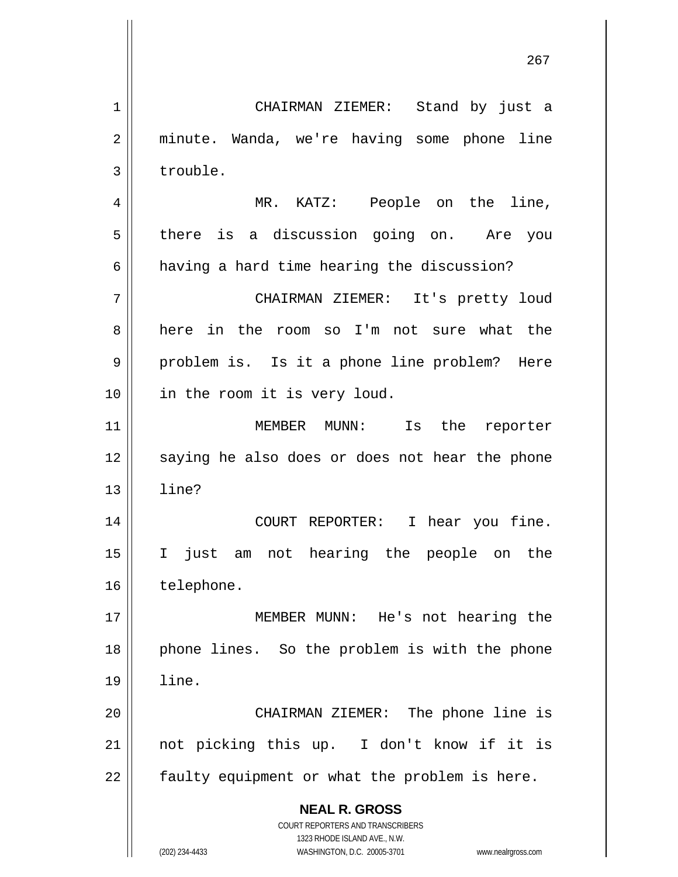**NEAL R. GROSS** COURT REPORTERS AND TRANSCRIBERS 1323 RHODE ISLAND AVE., N.W. 1 2 3 4 5 6 7 8 9 10 11 12 13 14 15 16 17 18 19 20 21 22 CHAIRMAN ZIEMER: Stand by just a minute. Wanda, we're having some phone line trouble. MR. KATZ: People on the line, there is a discussion going on. Are you having a hard time hearing the discussion? CHAIRMAN ZIEMER: It's pretty loud here in the room so I'm not sure what the problem is. Is it a phone line problem? Here in the room it is very loud. MEMBER MUNN: Is the reporter saying he also does or does not hear the phone line? COURT REPORTER: I hear you fine. I just am not hearing the people on the telephone. MEMBER MUNN: He's not hearing the phone lines. So the problem is with the phone line. CHAIRMAN ZIEMER: The phone line is not picking this up. I don't know if it is faulty equipment or what the problem is here.

проставление в последником производство в село в 1967 године в 1967 године в село в 1967 године в 1967 године<br>В 1967 године в 1968 године в 1968 године в 1968 године в 1968 године в 1968 године в 1968 године в 1968 годин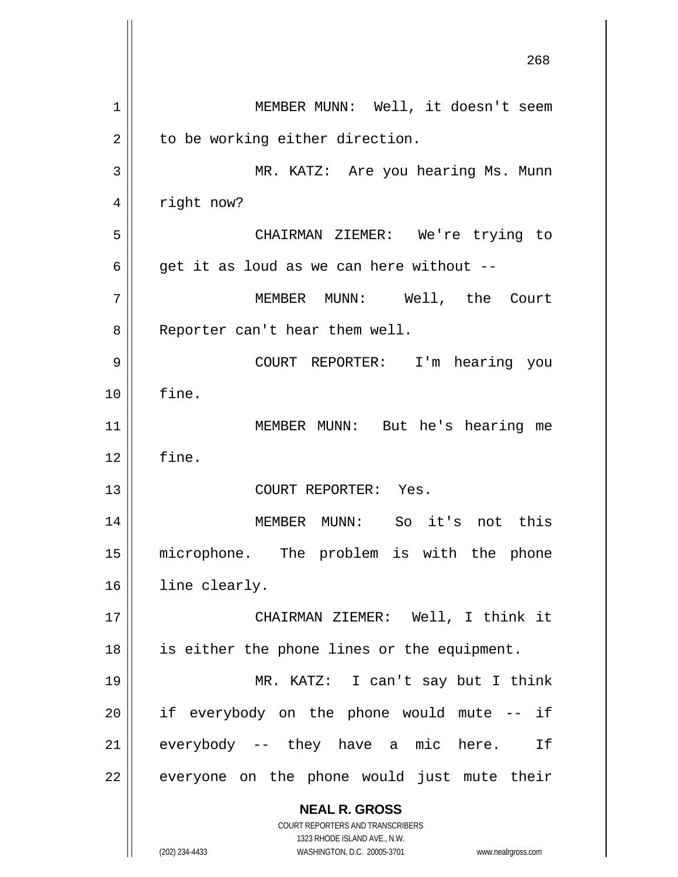**NEAL R. GROSS** COURT REPORTERS AND TRANSCRIBERS 1323 RHODE ISLAND AVE., N.W. (202) 234-4433 WASHINGTON, D.C. 20005-3701 www.nealrgross.com <u>268</u> 1 2 3 4 5 6 7 8 9 10 11 12 13 14 15 16 17 18 19 20 21 22 MEMBER MUNN: Well, it doesn't seem to be working either direction. MR. KATZ: Are you hearing Ms. Munn right now? CHAIRMAN ZIEMER: We're trying to get it as loud as we can here without -- MEMBER MUNN: Well, the Court Reporter can't hear them well. COURT REPORTER: I'm hearing you fine. MEMBER MUNN: But he's hearing me fine. COURT REPORTER: Yes. MEMBER MUNN: So it's not this microphone. The problem is with the phone line clearly. CHAIRMAN ZIEMER: Well, I think it is either the phone lines or the equipment. MR. KATZ: I can't say but I think if everybody on the phone would mute -- if everybody -- they have a mic here. If everyone on the phone would just mute their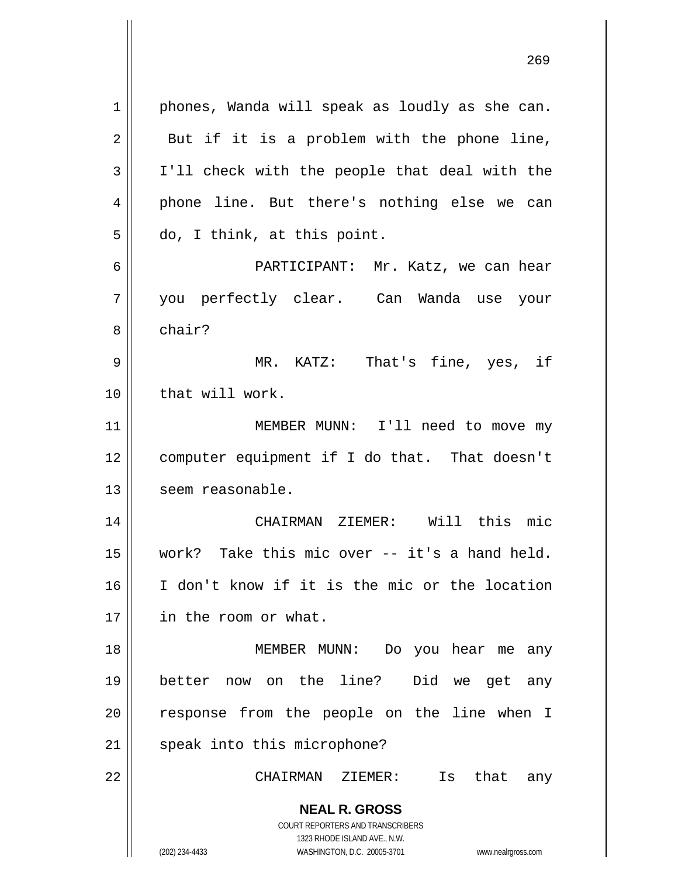**NEAL R. GROSS** COURT REPORTERS AND TRANSCRIBERS 1323 RHODE ISLAND AVE., N.W. 1 2 3 4 5 6 7 8 9 10 11 12 13 14 15 16 17 18 19 20 21 22 phones, Wanda will speak as loudly as she can. But if it is a problem with the phone line, I'll check with the people that deal with the phone line. But there's nothing else we can do, I think, at this point. PARTICIPANT: Mr. Katz, we can hear you perfectly clear. Can Wanda use your chair? MR. KATZ: That's fine, yes, if that will work. MEMBER MUNN: I'll need to move my computer equipment if I do that. That doesn't seem reasonable. CHAIRMAN ZIEMER: Will this mic work? Take this mic over -- it's a hand held. I don't know if it is the mic or the location in the room or what. MEMBER MUNN: Do you hear me any better now on the line? Did we get any response from the people on the line when I speak into this microphone? CHAIRMAN ZIEMER: Is that any

<u>269</u>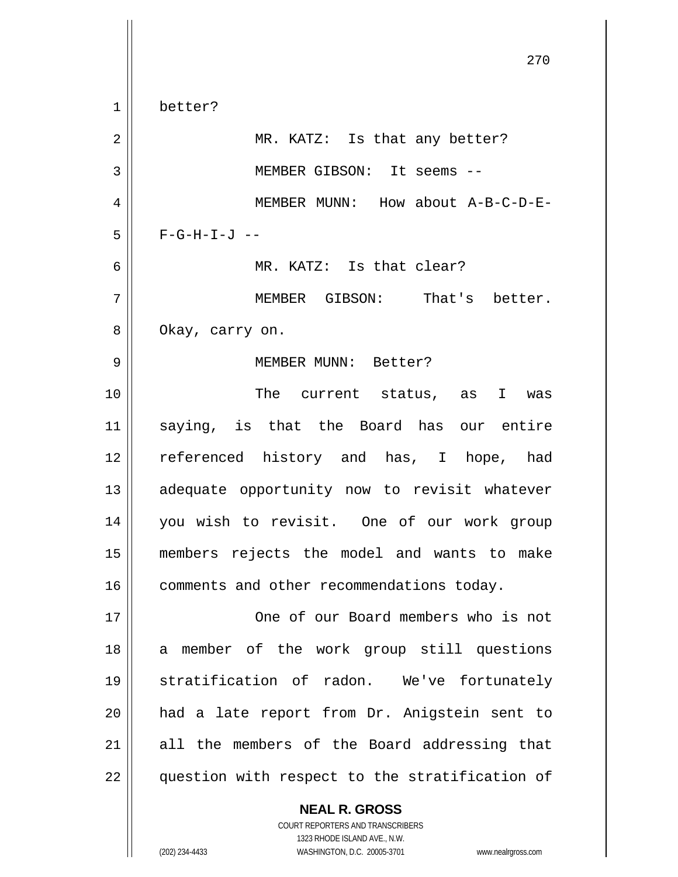270 1 2 3 4 5 6 7 8 9 10 11 12 13 14 15 16 17 18 19 20 21 22 better? MR. KATZ: Is that any better? MEMBER GIBSON: It seems -- MEMBER MUNN: How about A-B-C-D-E- $F-G-H-I-J$  -- MR. KATZ: Is that clear? MEMBER GIBSON: That's better. Okay, carry on. MEMBER MUNN: Better? The current status, as I was saying, is that the Board has our entire referenced history and has, I hope, had adequate opportunity now to revisit whatever you wish to revisit. One of our work group members rejects the model and wants to make comments and other recommendations today. One of our Board members who is not a member of the work group still questions stratification of radon. We've fortunately had a late report from Dr. Anigstein sent to all the members of the Board addressing that question with respect to the stratification of

> COURT REPORTERS AND TRANSCRIBERS 1323 RHODE ISLAND AVE., N.W. (202) 234-4433 WASHINGTON, D.C. 20005-3701 www.nealrgross.com

**NEAL R. GROSS**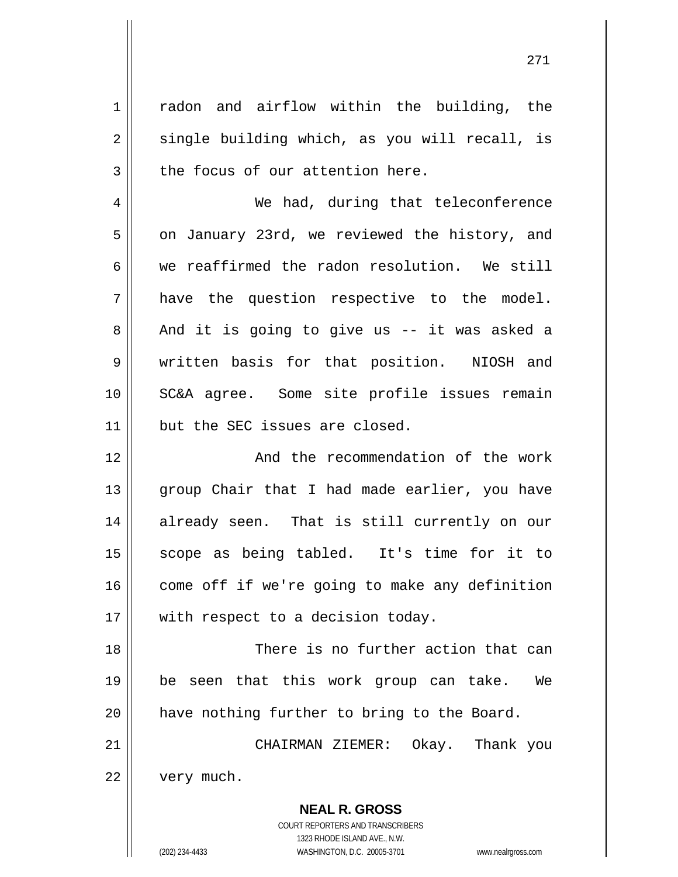radon and airflow within the building, the single building which, as you will recall, is the focus of our attention here.

4 5 6 7 8 9 10 11 We had, during that teleconference on January 23rd, we reviewed the history, and we reaffirmed the radon resolution. We still have the question respective to the model. And it is going to give us -- it was asked a written basis for that position. NIOSH and SC&A agree. Some site profile issues remain but the SEC issues are closed.

12 13 14 15 16 17 And the recommendation of the work group Chair that I had made earlier, you have already seen. That is still currently on our scope as being tabled. It's time for it to come off if we're going to make any definition with respect to a decision today.

18 19 20 There is no further action that can be seen that this work group can take. We have nothing further to bring to the Board.

21 22 CHAIRMAN ZIEMER: Okay. Thank you very much.

> COURT REPORTERS AND TRANSCRIBERS 1323 RHODE ISLAND AVE., N.W. (202) 234-4433 WASHINGTON, D.C. 20005-3701 www.nealrgross.com

**NEAL R. GROSS**

1

2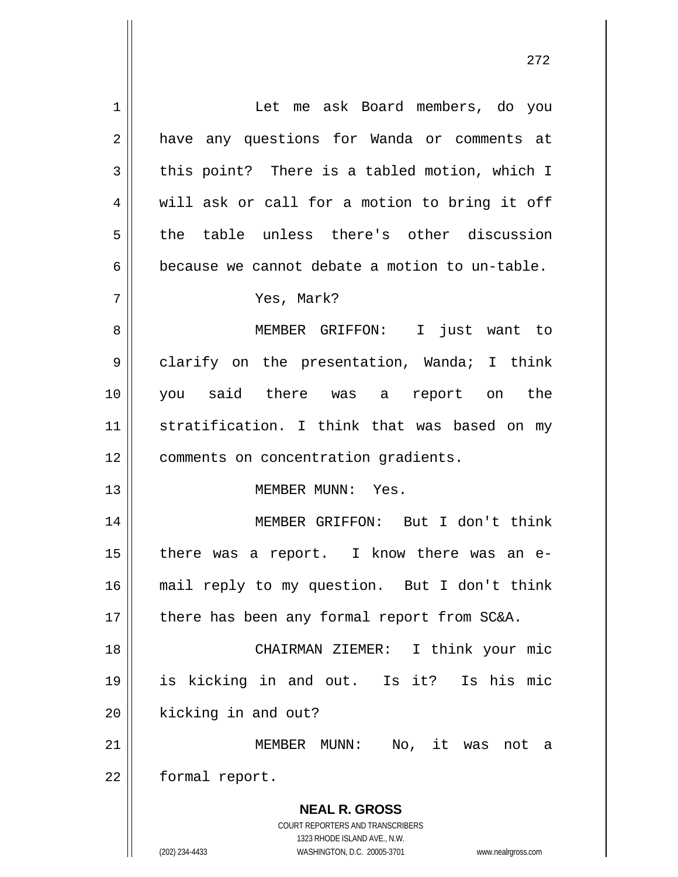**NEAL R. GROSS** COURT REPORTERS AND TRANSCRIBERS 1323 RHODE ISLAND AVE., N.W. 1 2 3 4 5 6 7 8 9 10 11 12 13 14 15 16 17 18 19 20 21 22 Let me ask Board members, do you have any questions for Wanda or comments at this point? There is a tabled motion, which I will ask or call for a motion to bring it off the table unless there's other discussion because we cannot debate a motion to un-table. Yes, Mark? MEMBER GRIFFON: I just want to clarify on the presentation, Wanda; I think you said there was a report on the stratification. I think that was based on my comments on concentration gradients. MEMBER MUNN: Yes. MEMBER GRIFFON: But I don't think there was a report. I know there was an email reply to my question. But I don't think there has been any formal report from SC&A. CHAIRMAN ZIEMER: I think your mic is kicking in and out. Is it? Is his mic kicking in and out? MEMBER MUNN: No, it was not a formal report.

272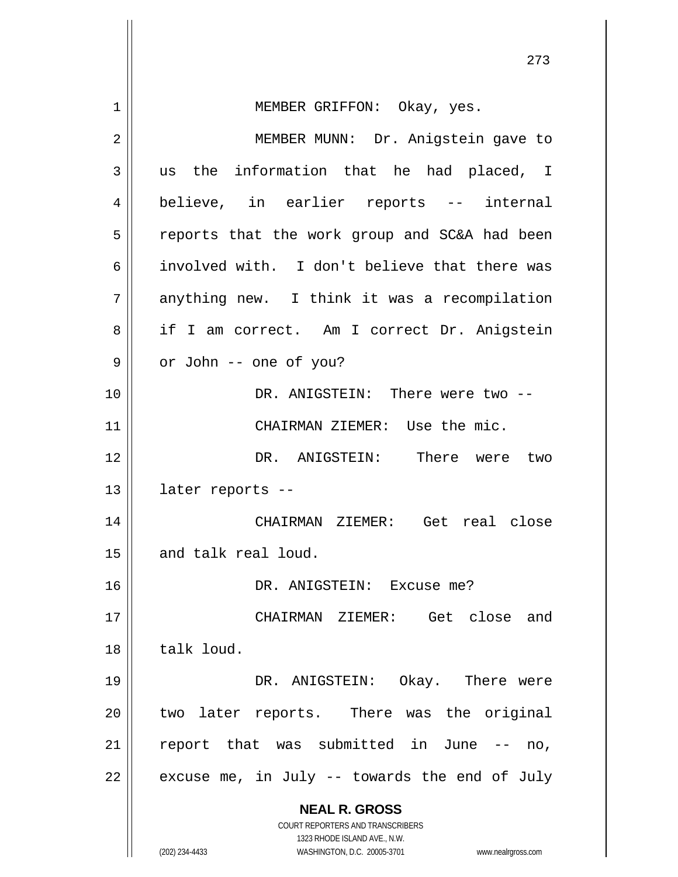**NEAL R. GROSS** COURT REPORTERS AND TRANSCRIBERS 1323 RHODE ISLAND AVE., N.W. (202) 234-4433 WASHINGTON, D.C. 20005-3701 www.nealrgross.com 273 1 2 3 4 5 6 7 8 9 10 11 12 13 14 15 16 17 18 19 20 21 22 MEMBER GRIFFON: Okay, yes. MEMBER MUNN: Dr. Anigstein gave to us the information that he had placed, I believe, in earlier reports -- internal reports that the work group and SC&A had been involved with. I don't believe that there was anything new. I think it was a recompilation if I am correct. Am I correct Dr. Anigstein or John -- one of you? DR. ANIGSTEIN: There were two -- CHAIRMAN ZIEMER: Use the mic. DR. ANIGSTEIN: There were two later reports -- CHAIRMAN ZIEMER: Get real close and talk real loud. DR. ANIGSTEIN: Excuse me? CHAIRMAN ZIEMER: Get close and talk loud. DR. ANIGSTEIN: Okay. There were two later reports. There was the original report that was submitted in June -- no, excuse me, in July -- towards the end of July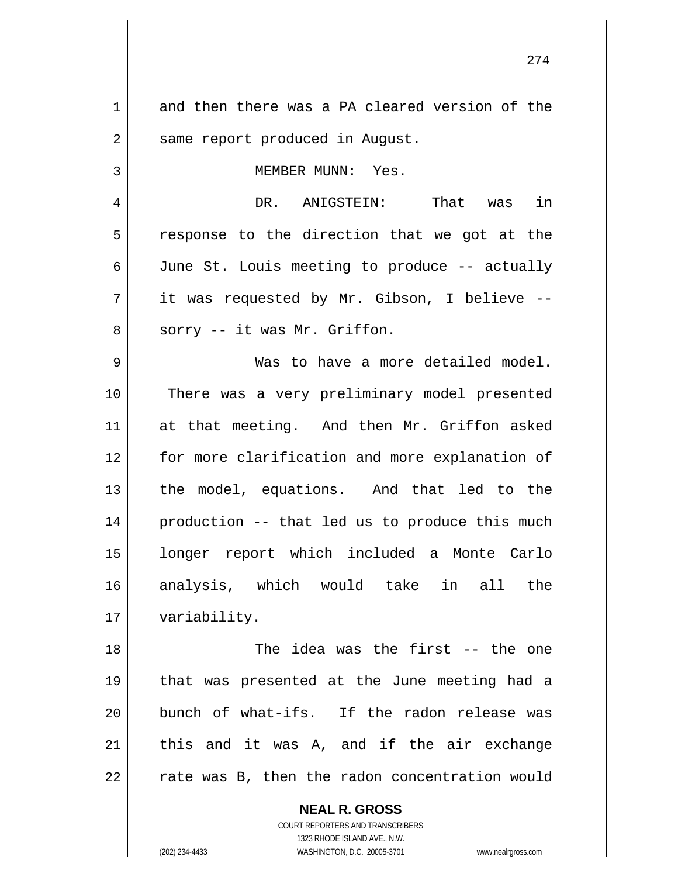1 2 3 4 5 6 7 8 9 10 11 12 13 14 15 16 17 18 19 20 21 22 and then there was a PA cleared version of the same report produced in August. MEMBER MUNN: Yes. DR. ANIGSTEIN: That was in response to the direction that we got at the June St. Louis meeting to produce -- actually it was requested by Mr. Gibson, I believe - sorry -- it was Mr. Griffon. Was to have a more detailed model. There was a very preliminary model presented at that meeting. And then Mr. Griffon asked for more clarification and more explanation of the model, equations. And that led to the production -- that led us to produce this much longer report which included a Monte Carlo analysis, which would take in all the variability. The idea was the first -- the one that was presented at the June meeting had a bunch of what-ifs. If the radon release was this and it was A, and if the air exchange rate was B, then the radon concentration would

274

COURT REPORTERS AND TRANSCRIBERS 1323 RHODE ISLAND AVE., N.W. (202) 234-4433 WASHINGTON, D.C. 20005-3701 www.nealrgross.com

**NEAL R. GROSS**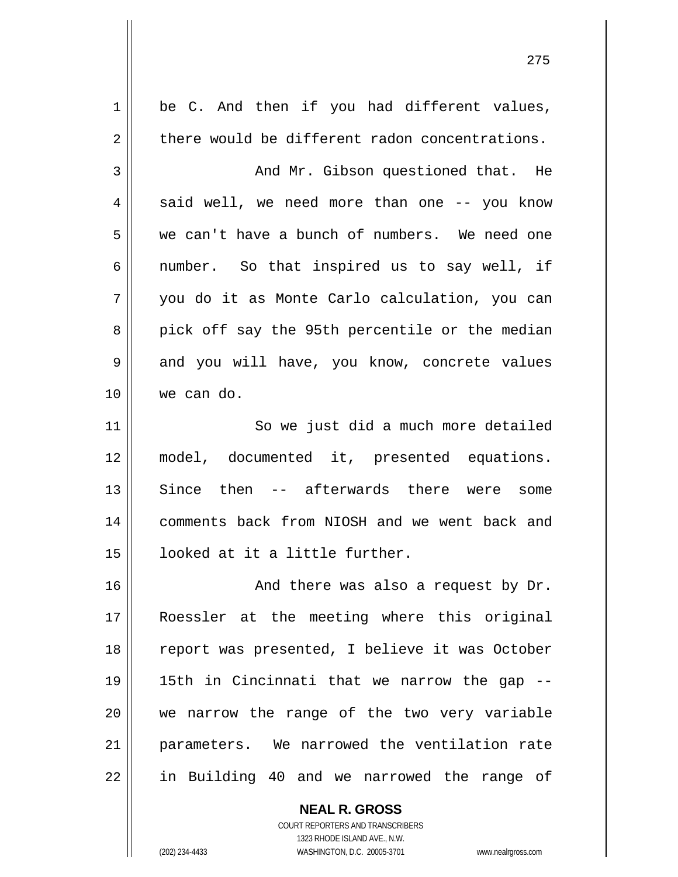| 1  | be C. And then if you had different values,    |
|----|------------------------------------------------|
| 2  | there would be different radon concentrations. |
| 3  | And Mr. Gibson questioned that. He             |
| 4  | said well, we need more than one -- you know   |
| 5  | we can't have a bunch of numbers. We need one  |
| 6  | number. So that inspired us to say well, if    |
| 7  | you do it as Monte Carlo calculation, you can  |
| 8  | pick off say the 95th percentile or the median |
| 9  | and you will have, you know, concrete values   |
| 10 | we can do.                                     |
| 11 | So we just did a much more detailed            |
| 12 | model, documented it, presented equations.     |
| 13 | Since then -- afterwards there were some       |
| 14 | comments back from NIOSH and we went back and  |
| 15 | looked at it a little further.                 |
| 16 | And there was also a request by Dr.            |
| 17 | Roessler at the meeting where this original    |
| 18 | report was presented, I believe it was October |
| 19 | 15th in Cincinnati that we narrow the gap --   |
| 20 | we narrow the range of the two very variable   |
| 21 | parameters. We narrowed the ventilation rate   |
| 22 | in Building 40 and we narrowed the range of    |
|    |                                                |

<u>275</u>

COURT REPORTERS AND TRANSCRIBERS 1323 RHODE ISLAND AVE., N.W. (202) 234-4433 WASHINGTON, D.C. 20005-3701 www.nealrgross.com

**NEAL R. GROSS**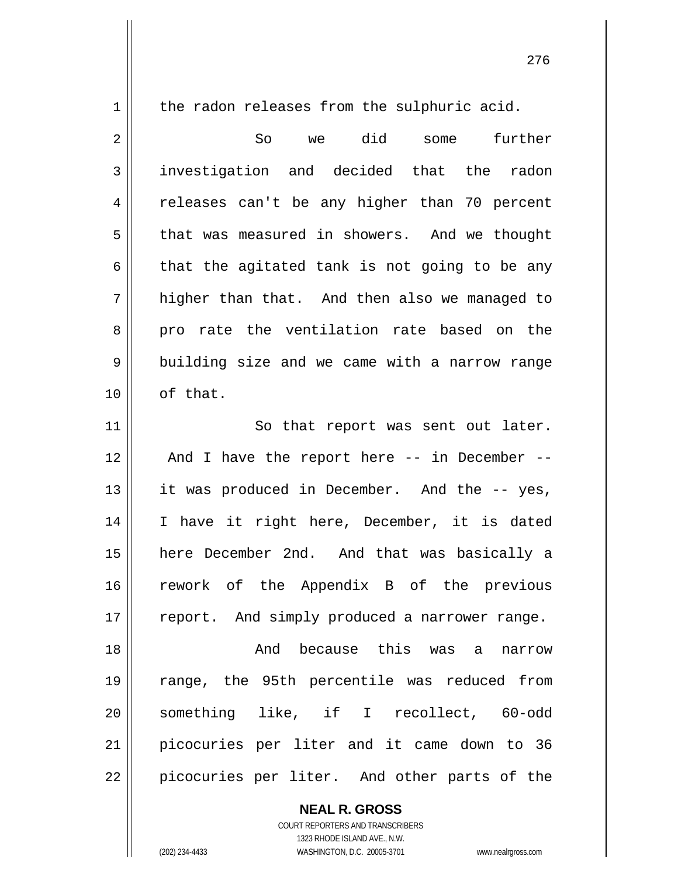1

the radon releases from the sulphuric acid.

2 3 4 5 6 7 8 9 10 So we did some further investigation and decided that the radon releases can't be any higher than 70 percent that was measured in showers. And we thought that the agitated tank is not going to be any higher than that. And then also we managed to pro rate the ventilation rate based on the building size and we came with a narrow range of that.

11 12 13 14 15 16 17 So that report was sent out later. And I have the report here -- in December - it was produced in December. And the -- yes, I have it right here, December, it is dated here December 2nd. And that was basically a rework of the Appendix B of the previous report. And simply produced a narrower range.

18 19 20 21 22 And because this was a narrow range, the 95th percentile was reduced from something like, if I recollect, 60-odd picocuries per liter and it came down to 36 picocuries per liter. And other parts of the

> **NEAL R. GROSS** COURT REPORTERS AND TRANSCRIBERS 1323 RHODE ISLAND AVE., N.W.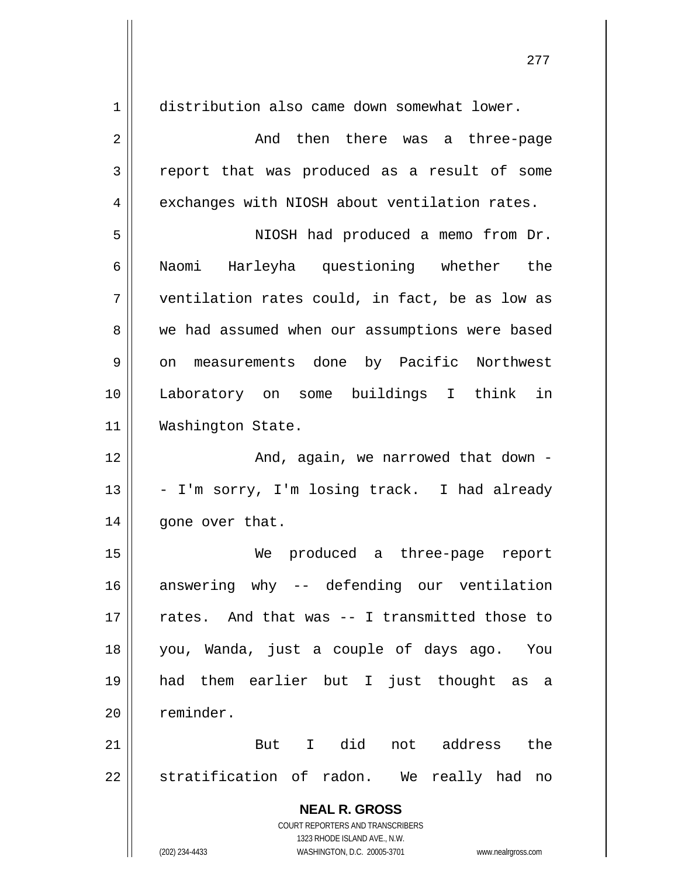| $\mathbf 1$    | distribution also came down somewhat lower.              |
|----------------|----------------------------------------------------------|
| $\overline{a}$ | And then there was a three-page                          |
| 3              | report that was produced as a result of some             |
| 4              | exchanges with NIOSH about ventilation rates.            |
| 5              | NIOSH had produced a memo from Dr.                       |
| 6              | Naomi Harleyha questioning whether the                   |
| 7              | ventilation rates could, in fact, be as low as           |
| 8              | we had assumed when our assumptions were based           |
| 9              | measurements done by Pacific Northwest<br>on             |
| 10             | Laboratory on some buildings I think in                  |
| 11             | Washington State.                                        |
| 12             | And, again, we narrowed that down -                      |
| 13             | - I'm sorry, I'm losing track. I had already             |
| 14             | gone over that.                                          |
| 15             | produced a three-page report<br>We                       |
| 16             | -- defending our ventilation<br>answering why            |
| 17             | rates. And that was -- I transmitted those to            |
| 18             | you, Wanda, just a couple of days ago. You               |
| 19             | had them earlier but I just thought as a                 |
| 20             | reminder.                                                |
| 21             | But I did not address the                                |
| 22             | stratification of radon. We really had no                |
|                | <b>NEAL R. GROSS</b><br>COURT REPORTERS AND TRANSCRIBERS |

277

 $\begin{array}{c} \hline \end{array}$ 

1323 RHODE ISLAND AVE., N.W.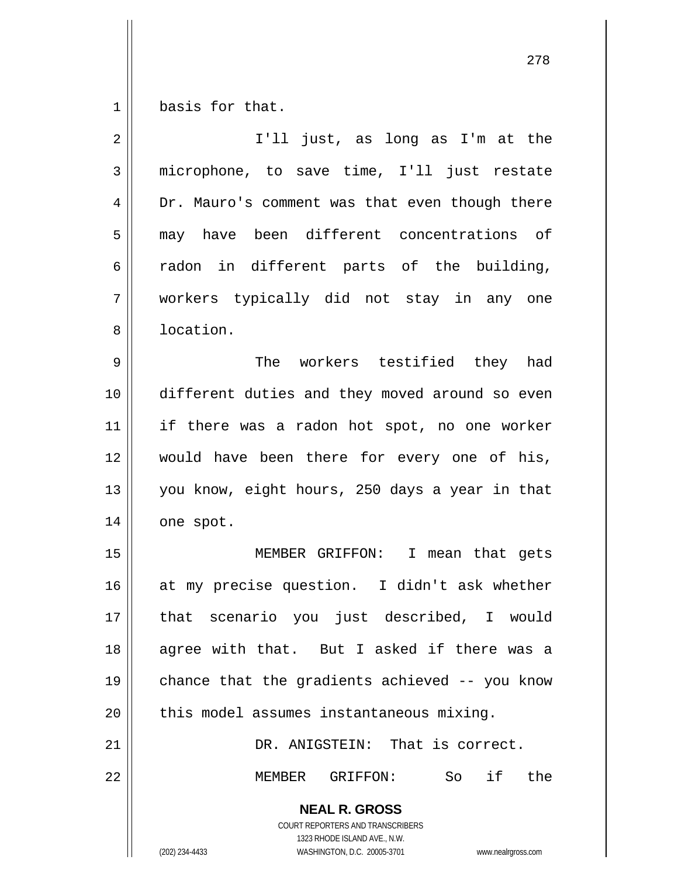1 basis for that.

| $\overline{2}$ | I'll just, as long as I'm at the                                                                                                                                |
|----------------|-----------------------------------------------------------------------------------------------------------------------------------------------------------------|
| 3              | microphone, to save time, I'll just restate                                                                                                                     |
| 4              | Dr. Mauro's comment was that even though there                                                                                                                  |
| 5              | may have been different concentrations of                                                                                                                       |
| 6              | radon in different parts of the building,                                                                                                                       |
| 7              | workers typically did not stay in any one                                                                                                                       |
| 8              | location.                                                                                                                                                       |
| 9              | The workers testified they had                                                                                                                                  |
| 10             | different duties and they moved around so even                                                                                                                  |
| 11             | if there was a radon hot spot, no one worker                                                                                                                    |
| 12             | would have been there for every one of his,                                                                                                                     |
| 13             | you know, eight hours, 250 days a year in that                                                                                                                  |
| 14             | one spot.                                                                                                                                                       |
| 15             | MEMBER GRIFFON: I mean that gets                                                                                                                                |
| 16             | at my precise question. I didn't ask whether                                                                                                                    |
| 17             | that scenario you just described, I would                                                                                                                       |
| 18             | agree with that. But I asked if there was a                                                                                                                     |
| 19             | chance that the gradients achieved -- you know                                                                                                                  |
| 20             | this model assumes instantaneous mixing.                                                                                                                        |
| 21             | DR. ANIGSTEIN: That is correct.                                                                                                                                 |
| 22             | So if the<br>GRIFFON:<br>MEMBER                                                                                                                                 |
|                | <b>NEAL R. GROSS</b><br>COURT REPORTERS AND TRANSCRIBERS<br>1323 RHODE ISLAND AVE., N.W.<br>(202) 234-4433<br>WASHINGTON, D.C. 20005-3701<br>www.nealrgross.com |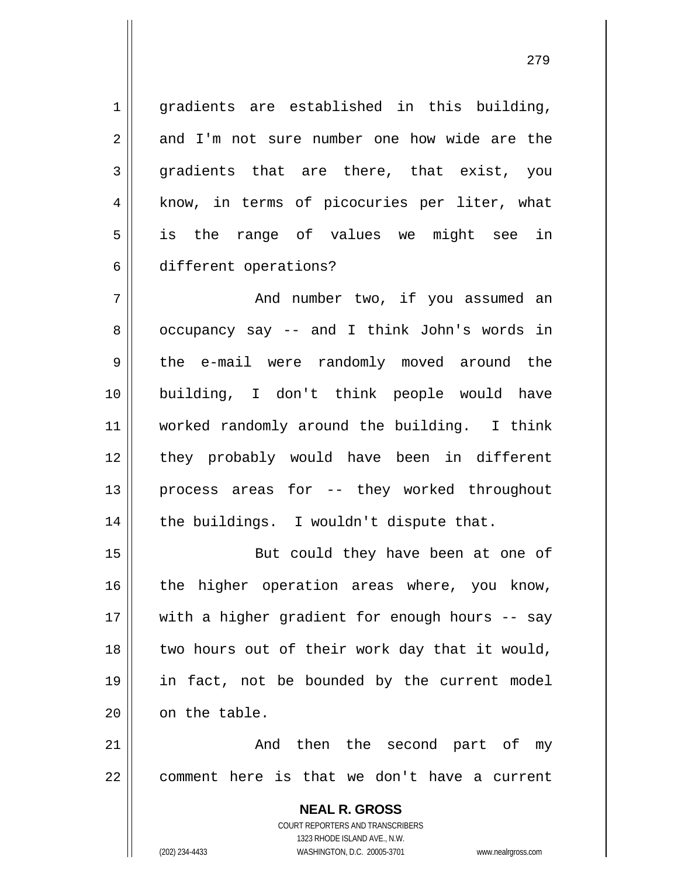gradients are established in this building, and I'm not sure number one how wide are the gradients that are there, that exist, you know, in terms of picocuries per liter, what is the range of values we might see in different operations?

7 8 9 10 11 12 13 14 And number two, if you assumed an occupancy say -- and I think John's words in the e-mail were randomly moved around the building, I don't think people would have worked randomly around the building. I think they probably would have been in different process areas for -- they worked throughout the buildings. I wouldn't dispute that.

15 16 17 18 19 20 But could they have been at one of the higher operation areas where, you know, with a higher gradient for enough hours -- say two hours out of their work day that it would, in fact, not be bounded by the current model on the table.

21 22 And then the second part of my comment here is that we don't have a current

> **NEAL R. GROSS** COURT REPORTERS AND TRANSCRIBERS 1323 RHODE ISLAND AVE., N.W. (202) 234-4433 WASHINGTON, D.C. 20005-3701 www.nealrgross.com

1

2

3

4

5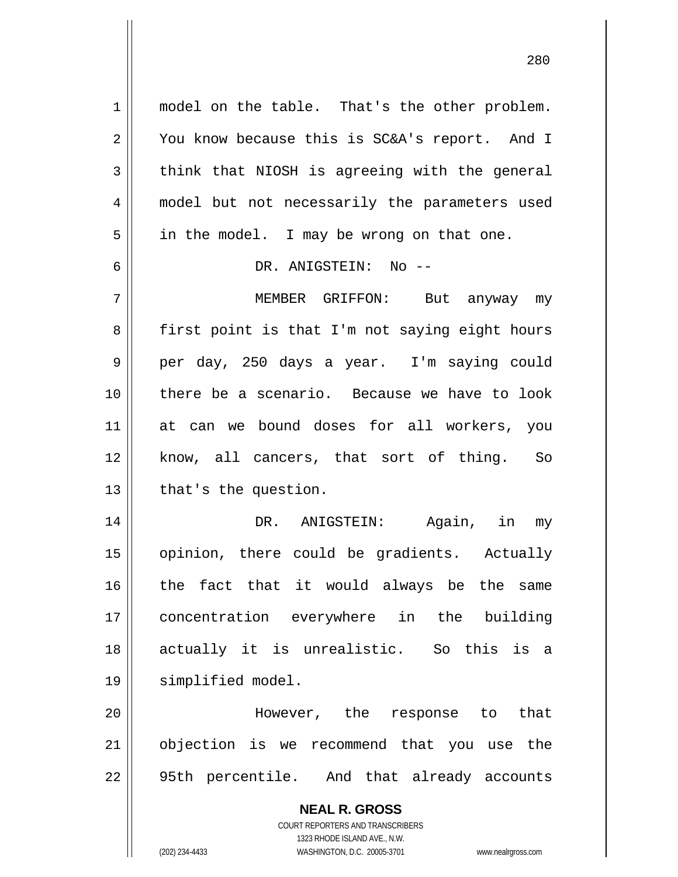**NEAL R. GROSS** COURT REPORTERS AND TRANSCRIBERS 1 2 3 4 5 6 7 8 9 10 11 12 13 14 15 16 17 18 19 20 21 22 model on the table. That's the other problem. You know because this is SC&A's report. And I think that NIOSH is agreeing with the general model but not necessarily the parameters used in the model. I may be wrong on that one. DR. ANIGSTEIN: No -- MEMBER GRIFFON: But anyway my first point is that I'm not saying eight hours per day, 250 days a year. I'm saying could there be a scenario. Because we have to look at can we bound doses for all workers, you know, all cancers, that sort of thing. So that's the question. DR. ANIGSTEIN: Again, in my opinion, there could be gradients. Actually the fact that it would always be the same concentration everywhere in the building actually it is unrealistic. So this is a simplified model. However, the response to that objection is we recommend that you use the 95th percentile. And that already accounts

1323 RHODE ISLAND AVE., N.W.

(202) 234-4433 WASHINGTON, D.C. 20005-3701 www.nealrgross.com

<u>280</u>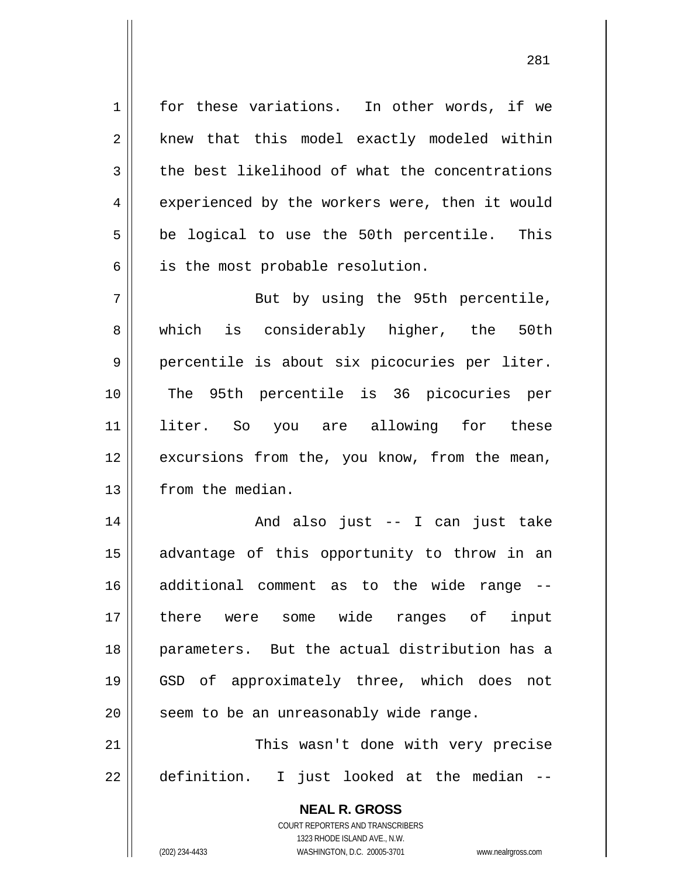for these variations. In other words, if we knew that this model exactly modeled within the best likelihood of what the concentrations experienced by the workers were, then it would be logical to use the 50th percentile. This is the most probable resolution.

7 8 9 10 11 12 13 But by using the 95th percentile, which is considerably higher, the 50th percentile is about six picocuries per liter. The 95th percentile is 36 picocuries per liter. So you are allowing for these excursions from the, you know, from the mean, from the median.

14 15 16 17 18 19 20 21 And also just -- I can just take advantage of this opportunity to throw in an additional comment as to the wide range - there were some wide ranges of input parameters. But the actual distribution has a GSD of approximately three, which does not seem to be an unreasonably wide range. This wasn't done with very precise

22 definition. I just looked at the median --

> **NEAL R. GROSS** COURT REPORTERS AND TRANSCRIBERS 1323 RHODE ISLAND AVE., N.W. (202) 234-4433 WASHINGTON, D.C. 20005-3701 www.nealrgross.com

1

2

3

4

5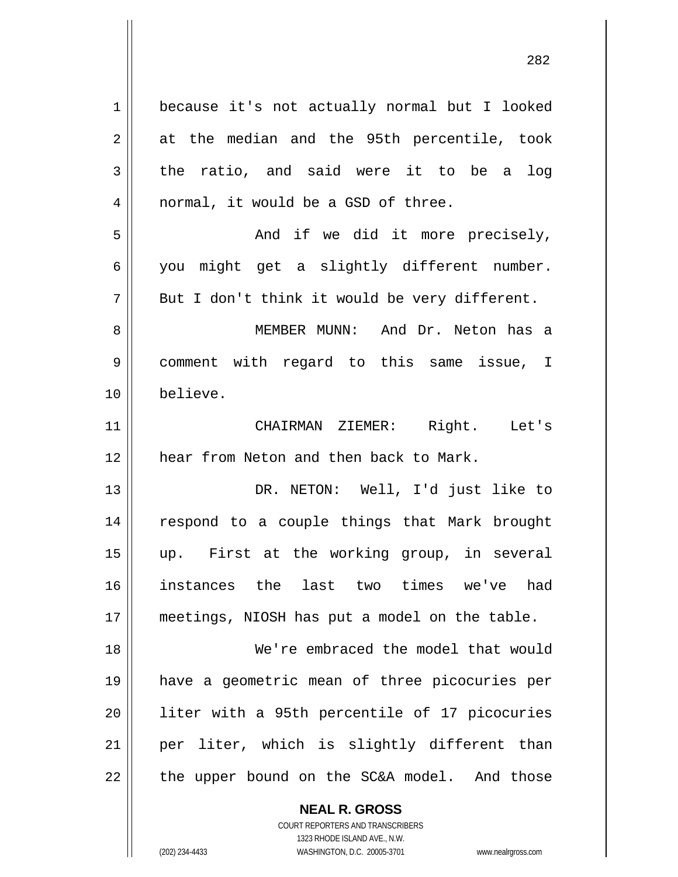| 1  | because it's not actually normal but I looked |
|----|-----------------------------------------------|
| 2  | at the median and the 95th percentile, took   |
| 3  | the ratio, and said were it to be a log       |
| 4  | normal, it would be a GSD of three.           |
| 5  | And if we did it more precisely,              |
| 6  | you might get a slightly different number.    |
| 7  | But I don't think it would be very different. |
| 8  | MEMBER MUNN: And Dr. Neton has a              |
| 9  | comment with regard to this same issue, I     |
| 10 | believe.                                      |
| 11 | CHAIRMAN ZIEMER: Right. Let's                 |
| 12 | hear from Neton and then back to Mark.        |
| 13 | DR. NETON: Well, I'd just like to             |
| 14 | respond to a couple things that Mark brought  |
| 15 | up. First at the working group, in several    |
| 16 | instances the last two times we've had        |
| 17 | meetings, NIOSH has put a model on the table. |
| 18 | We're embraced the model that would           |
| 19 | have a geometric mean of three picocuries per |
| 20 | liter with a 95th percentile of 17 picocuries |
| 21 | per liter, which is slightly different than   |
| 22 | the upper bound on the SC&A model. And those  |
|    | <b>NEAL R. GROSS</b>                          |

282

 $\mathop{\text{||}}$ 

1323 RHODE ISLAND AVE., N.W. (202) 234-4433 WASHINGTON, D.C. 20005-3701 www.nealrgross.com

COURT REPORTERS AND TRANSCRIBERS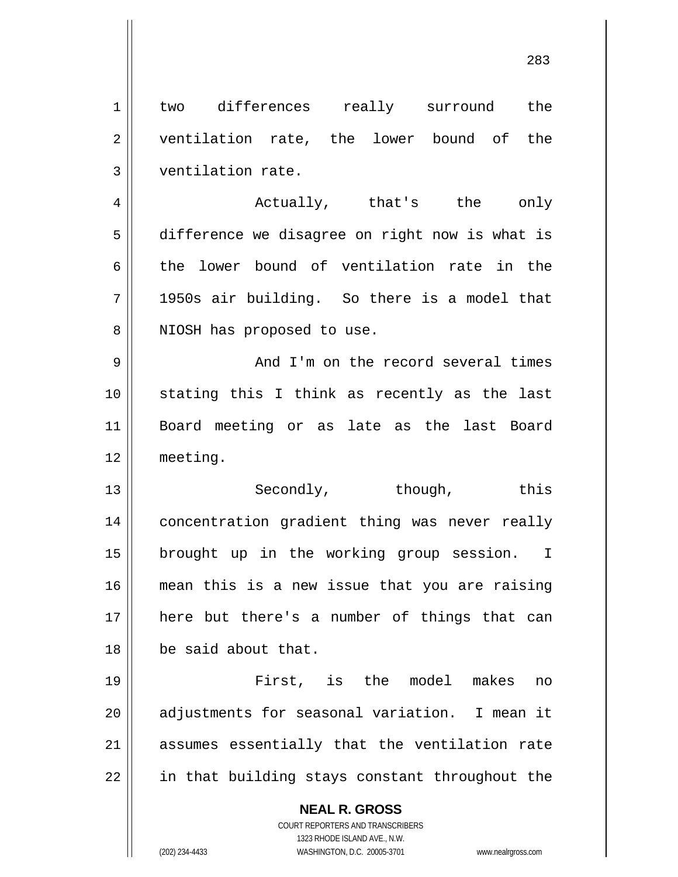1 2 3 4 two differences really surround the ventilation rate, the lower bound of the ventilation rate. Actually, that's the only

5 6 7 8 difference we disagree on right now is what is the lower bound of ventilation rate in the 1950s air building. So there is a model that NIOSH has proposed to use.

9 10 11 12 And I'm on the record several times stating this I think as recently as the last Board meeting or as late as the last Board meeting.

13 14 15 16 17 18 Secondly, though, this concentration gradient thing was never really brought up in the working group session. I mean this is a new issue that you are raising here but there's a number of things that can be said about that.

19 20 21 22 First, is the model makes no adjustments for seasonal variation. I mean it assumes essentially that the ventilation rate in that building stays constant throughout the

**NEAL R. GROSS**

COURT REPORTERS AND TRANSCRIBERS 1323 RHODE ISLAND AVE., N.W. (202) 234-4433 WASHINGTON, D.C. 20005-3701 www.nealrgross.com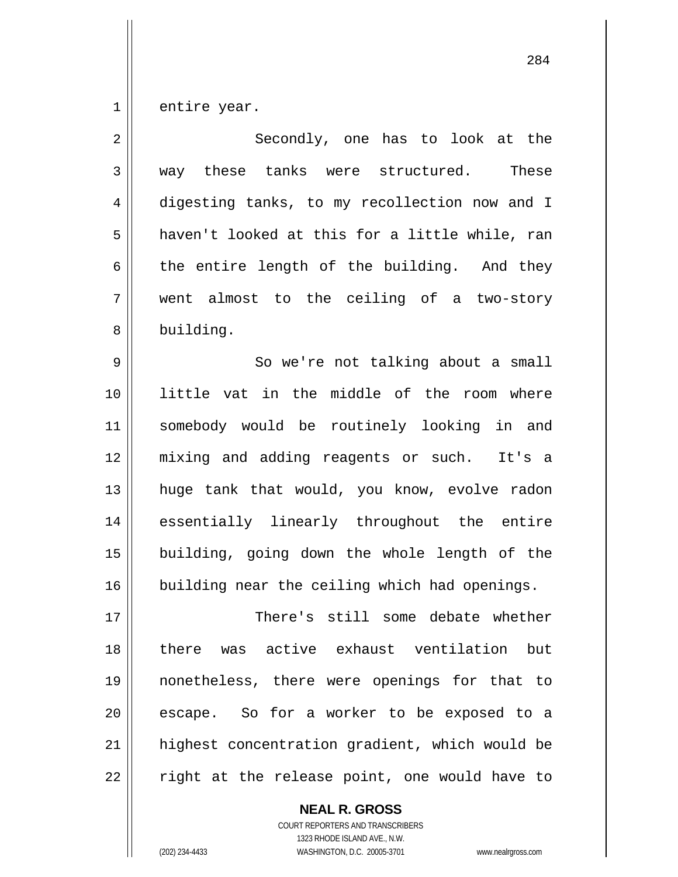1 entire year.

| $\overline{2}$ | Secondly, one has to look at the               |
|----------------|------------------------------------------------|
| 3              | way these tanks were structured.<br>These      |
| 4              | digesting tanks, to my recollection now and I  |
| 5              | haven't looked at this for a little while, ran |
| 6              | the entire length of the building. And they    |
| 7              | went almost to the ceiling of a two-story      |
| 8              | building.                                      |
| $\mathsf 9$    | So we're not talking about a small             |
| 10             | little vat in the middle of the room where     |
| 11             | somebody would be routinely looking in and     |
| 12             | mixing and adding reagents or such. It's a     |
| 13             | huge tank that would, you know, evolve radon   |
| 14             | essentially linearly throughout the entire     |
| 15             | building, going down the whole length of the   |
| 16             | building near the ceiling which had openings.  |
| 17             | There's still some debate whether              |
| 18             | there was active exhaust ventilation but       |
| 19             | nonetheless, there were openings for that to   |
| 20             | escape. So for a worker to be exposed to a     |
| 21             | highest concentration gradient, which would be |
| 22             | right at the release point, one would have to  |

**NEAL R. GROSS** COURT REPORTERS AND TRANSCRIBERS 1323 RHODE ISLAND AVE., N.W.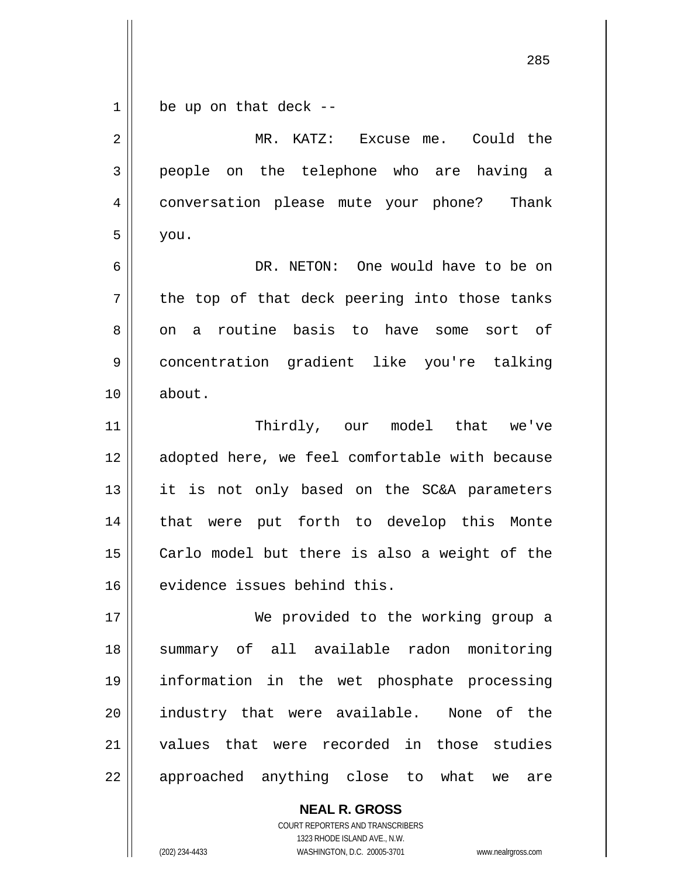1 be up on that deck --

| $\overline{2}$ | MR. KATZ: Excuse me. Could the                 |
|----------------|------------------------------------------------|
| 3              | people on the telephone who are having a       |
| 4              | conversation please mute your phone? Thank     |
| 5              | you.                                           |
| 6              | DR. NETON: One would have to be on             |
| 7              | the top of that deck peering into those tanks  |
| 8              | on a routine basis to have some sort of        |
| 9              | concentration gradient like you're talking     |
| 10             | about.                                         |
| 11             | Thirdly, our model that we've                  |
| 12             | adopted here, we feel comfortable with because |
| 13             | it is not only based on the SC&A parameters    |
| 14             | that were put forth to develop this Monte      |
| 15             | Carlo model but there is also a weight of the  |
| 16             | evidence issues behind this.                   |
| 17             | We provided to the working group a             |
| 18             | summary of all available radon monitoring      |
| 19             | information in the wet phosphate processing    |
| 20             | industry that were available. None of the      |
| 21             | values that were recorded in those studies     |
| 22             | approached anything close to what<br>we<br>are |

COURT REPORTERS AND TRANSCRIBERS 1323 RHODE ISLAND AVE., N.W. (202) 234-4433 WASHINGTON, D.C. 20005-3701 www.nealrgross.com

**NEAL R. GROSS**

<u>285 and 285 and 286 and 286 and 286 and 286 and 286 and 286 and 286 and 286 and 286 and 286 and 286 and 286 and 287 and 287 and 287 and 287 and 287 and 287 and 287 and 287 and 288 and 287 and 288 and 288 and 288 and 288 a</u>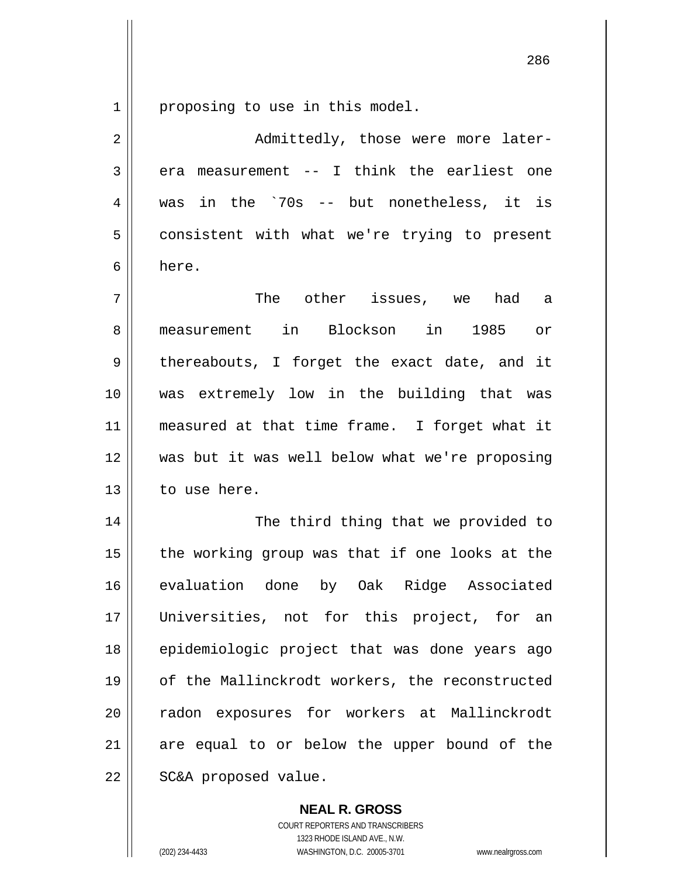1 proposing to use in this model.

| 2              | Admittedly, those were more later-             |
|----------------|------------------------------------------------|
| $\mathfrak{Z}$ | era measurement -- I think the earliest one    |
| 4              | was in the `70s -- but nonetheless, it is      |
| 5              | consistent with what we're trying to present   |
| 6              | here.                                          |
| 7              | The other issues, we had a                     |
| 8              | measurement in Blockson in 1985 or             |
| 9              | thereabouts, I forget the exact date, and it   |
| 10             | was extremely low in the building that was     |
| 11             | measured at that time frame. I forget what it  |
| 12             | was but it was well below what we're proposing |
| 13             | to use here.                                   |
| 14             | The third thing that we provided to            |
| 15             | the working group was that if one looks at the |
| 16             | evaluation done by Oak Ridge Associated        |
| 17             | Universities, not for this project, for an     |
| 18             | epidemiologic project that was done years ago  |
| 19             | of the Mallinckrodt workers, the reconstructed |
| 20             | radon exposures for workers at Mallinckrodt    |
| 21             | are equal to or below the upper bound of the   |
| 22             | SC&A proposed value.                           |

**NEAL R. GROSS**

COURT REPORTERS AND TRANSCRIBERS 1323 RHODE ISLAND AVE., N.W. (202) 234-4433 WASHINGTON, D.C. 20005-3701 www.nealrgross.com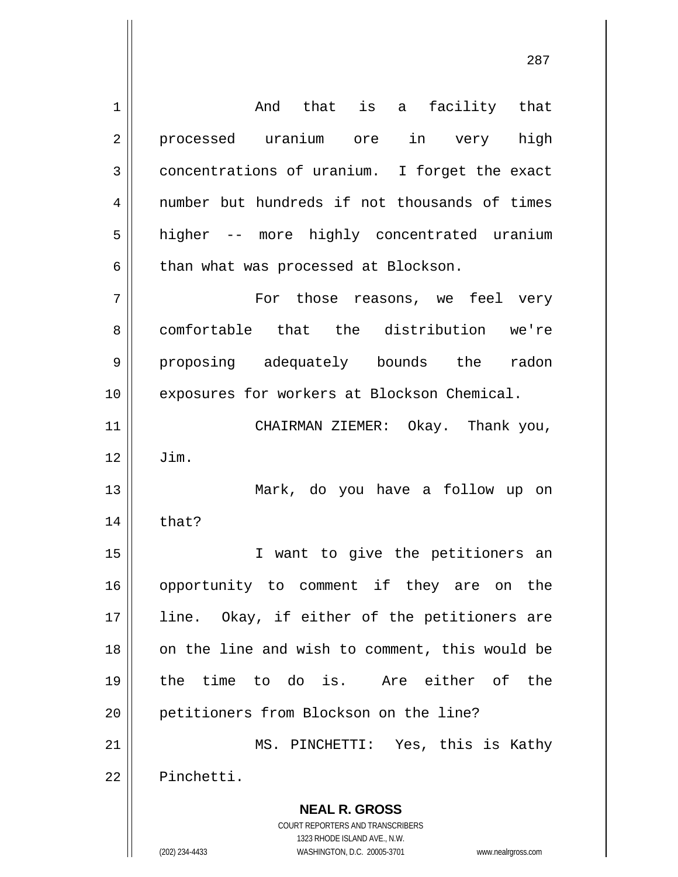**NEAL R. GROSS** COURT REPORTERS AND TRANSCRIBERS 1323 RHODE ISLAND AVE., N.W. 1 2 3 4 5 6 7 8 9 10 11 12 13 14 15 16 17 18 19 20 21 22 And that is a facility that processed uranium ore in very high concentrations of uranium. I forget the exact number but hundreds if not thousands of times higher -- more highly concentrated uranium than what was processed at Blockson. For those reasons, we feel very comfortable that the distribution we're proposing adequately bounds the radon exposures for workers at Blockson Chemical. CHAIRMAN ZIEMER: Okay. Thank you, Jim. Mark, do you have a follow up on that? I want to give the petitioners an opportunity to comment if they are on the line. Okay, if either of the petitioners are on the line and wish to comment, this would be the time to do is. Are either of the petitioners from Blockson on the line? MS. PINCHETTI: Yes, this is Kathy Pinchetti.

(202) 234-4433 WASHINGTON, D.C. 20005-3701 www.nealrgross.com

<u>287 до најзина од селото на селото на селото на селото на селото на селото на селото на селото на селото на с</u>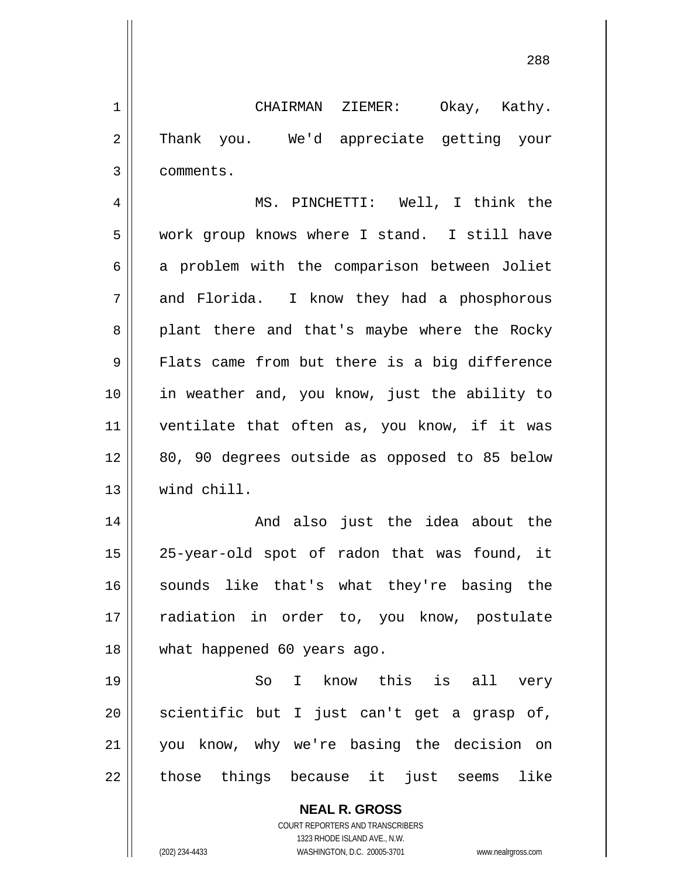CHAIRMAN ZIEMER: Okay, Kathy. Thank you. We'd appreciate getting your comments.

1

2

3

4 5 6 7 8 9 10 11 12 13 MS. PINCHETTI: Well, I think the work group knows where I stand. I still have a problem with the comparison between Joliet and Florida. I know they had a phosphorous plant there and that's maybe where the Rocky Flats came from but there is a big difference in weather and, you know, just the ability to ventilate that often as, you know, if it was 80, 90 degrees outside as opposed to 85 below wind chill.

14 15 16 17 18 And also just the idea about the 25-year-old spot of radon that was found, it sounds like that's what they're basing the radiation in order to, you know, postulate what happened 60 years ago.

19 20 21 22 So I know this is all very scientific but I just can't get a grasp of, you know, why we're basing the decision on those things because it just seems like

> **NEAL R. GROSS** COURT REPORTERS AND TRANSCRIBERS 1323 RHODE ISLAND AVE., N.W. (202) 234-4433 WASHINGTON, D.C. 20005-3701 www.nealrgross.com

<u>288 and 288 and 288 and 288 and 288 and 288 and 288 and 288 and 288 and 288 and 288 and 288 and 288 and 288 and 288 and 288 and 288 and 288 and 288 and 288 and 288 and 288 and 288 and 288 and 288 and 288 and 288 and 288 a</u>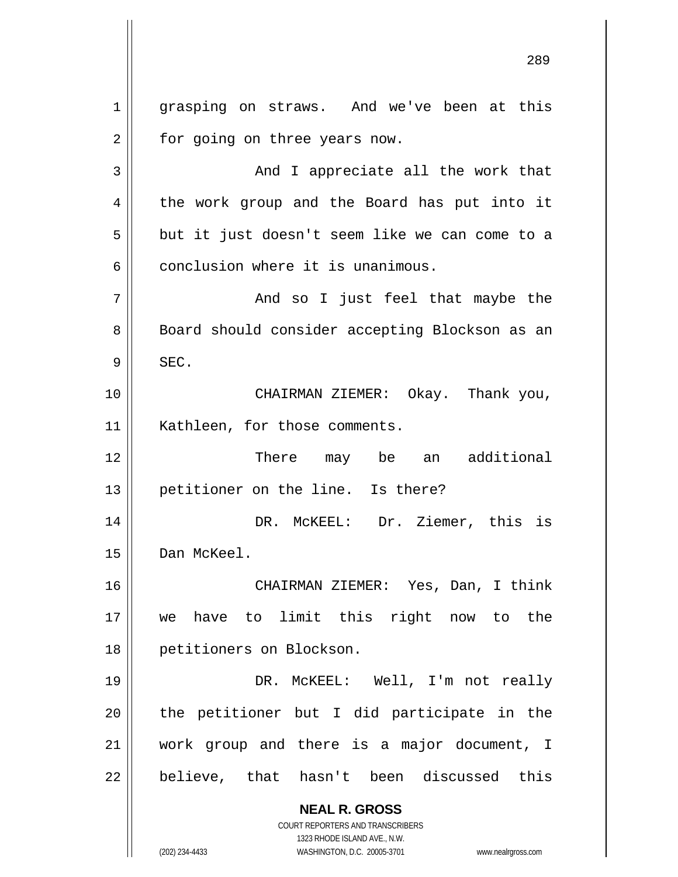**NEAL R. GROSS** COURT REPORTERS AND TRANSCRIBERS 1323 RHODE ISLAND AVE., N.W. 1 2 3 4 5 6 7 8 9 10 11 12 13 14 15 16 17 18 19 20 21 22 grasping on straws. And we've been at this for going on three years now. And I appreciate all the work that the work group and the Board has put into it but it just doesn't seem like we can come to a conclusion where it is unanimous. And so I just feel that maybe the Board should consider accepting Blockson as an SEC. CHAIRMAN ZIEMER: Okay. Thank you, Kathleen, for those comments. There may be an additional petitioner on the line. Is there? DR. McKEEL: Dr. Ziemer, this is Dan McKeel. CHAIRMAN ZIEMER: Yes, Dan, I think we have to limit this right now to the petitioners on Blockson. DR. McKEEL: Well, I'm not really the petitioner but I did participate in the work group and there is a major document, I believe, that hasn't been discussed this

<u>289 and 289 and 289 and 289 and 289 and 289 and 289 and 289 and 289 and 289 and 289 and 289 and 289 and 289 and 289 and 289 and 289 and 289 and 289 and 289 and 289 and 289 and 289 and 289 and 289 and 289 and 289 and 289 a</u>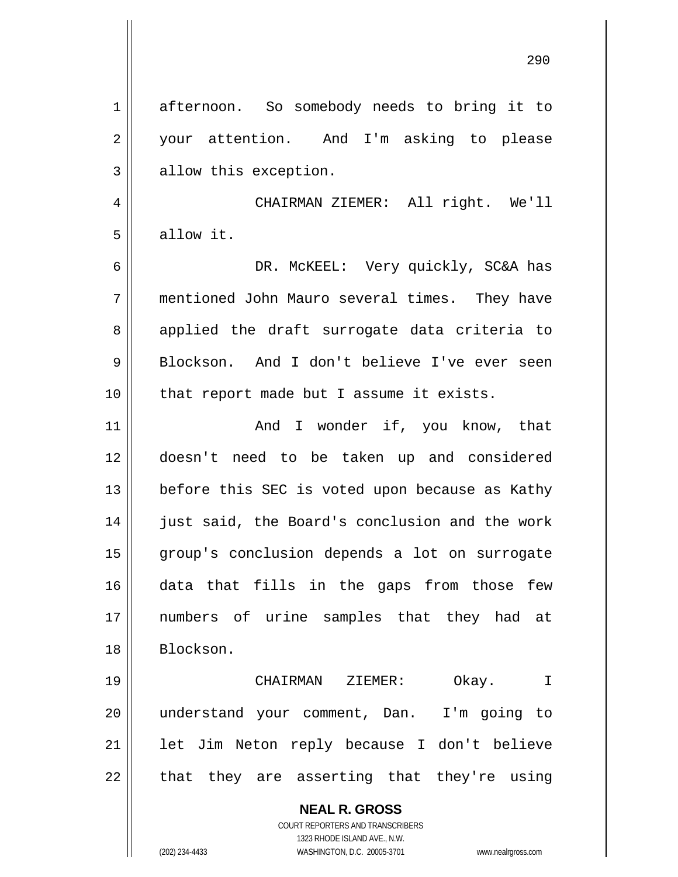**NEAL R. GROSS** COURT REPORTERS AND TRANSCRIBERS 1323 RHODE ISLAND AVE., N.W. 1 2 3 4 5 6 7 8 9 10 11 12 13 14 15 16 17 18 19 20 21 22 afternoon. So somebody needs to bring it to your attention. And I'm asking to please allow this exception. CHAIRMAN ZIEMER: All right. We'll allow it. DR. McKEEL: Very quickly, SC&A has mentioned John Mauro several times. They have applied the draft surrogate data criteria to Blockson. And I don't believe I've ever seen that report made but I assume it exists. And I wonder if, you know, that doesn't need to be taken up and considered before this SEC is voted upon because as Kathy just said, the Board's conclusion and the work group's conclusion depends a lot on surrogate data that fills in the gaps from those few numbers of urine samples that they had at Blockson. CHAIRMAN ZIEMER: Okay. I understand your comment, Dan. I'm going to let Jim Neton reply because I don't believe that they are asserting that they're using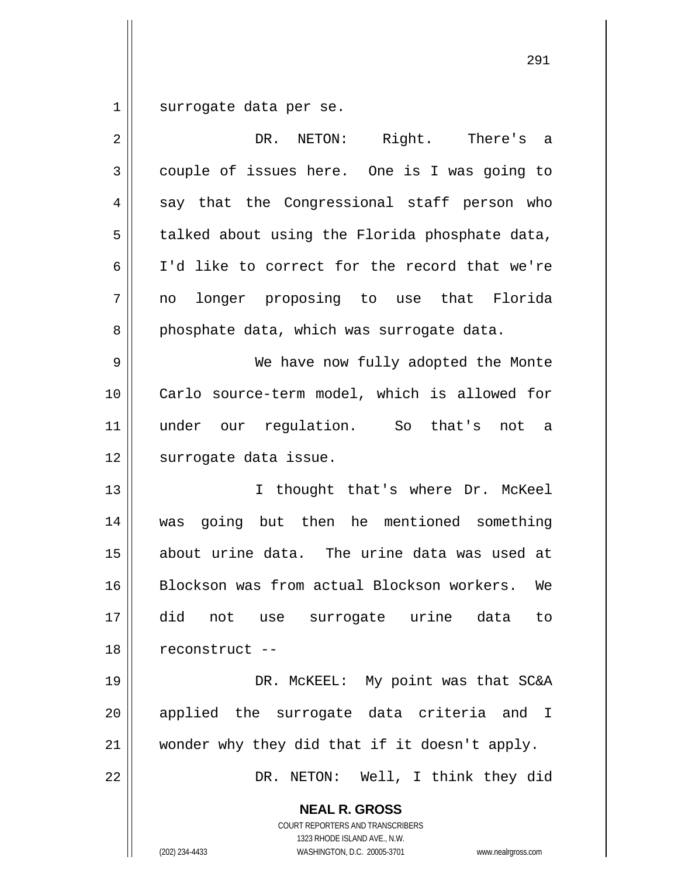1 surrogate data per se.

| $\overline{2}$ | Right.<br>DR.<br>NETON:<br>There's a                                                                                                                            |
|----------------|-----------------------------------------------------------------------------------------------------------------------------------------------------------------|
| 3              | couple of issues here. One is I was going to                                                                                                                    |
| 4              | say that the Congressional staff person who                                                                                                                     |
| 5              | talked about using the Florida phosphate data,                                                                                                                  |
| 6              | I'd like to correct for the record that we're                                                                                                                   |
| 7              | longer proposing to use that Florida<br>no                                                                                                                      |
| 8              | phosphate data, which was surrogate data.                                                                                                                       |
| 9              | We have now fully adopted the Monte                                                                                                                             |
| 10             | Carlo source-term model, which is allowed for                                                                                                                   |
| 11             | under our regulation. So that's not a                                                                                                                           |
| 12             | surrogate data issue.                                                                                                                                           |
| 13             | I thought that's where Dr. McKeel                                                                                                                               |
| 14             | going but then he mentioned something<br>was                                                                                                                    |
| 15             | about urine data. The urine data was used at                                                                                                                    |
| 16             | Blockson was from actual Blockson workers. We                                                                                                                   |
| 17             | did<br>not use surrogate urine data<br>to                                                                                                                       |
| 18             | reconstruct --                                                                                                                                                  |
| 19             | DR. MCKEEL: My point was that SC&A                                                                                                                              |
| 20             | applied the surrogate data criteria and I                                                                                                                       |
| 21             | wonder why they did that if it doesn't apply.                                                                                                                   |
| 22             | DR. NETON: Well, I think they did                                                                                                                               |
|                | <b>NEAL R. GROSS</b><br>COURT REPORTERS AND TRANSCRIBERS<br>1323 RHODE ISLAND AVE., N.W.<br>(202) 234-4433<br>WASHINGTON, D.C. 20005-3701<br>www.nealrgross.com |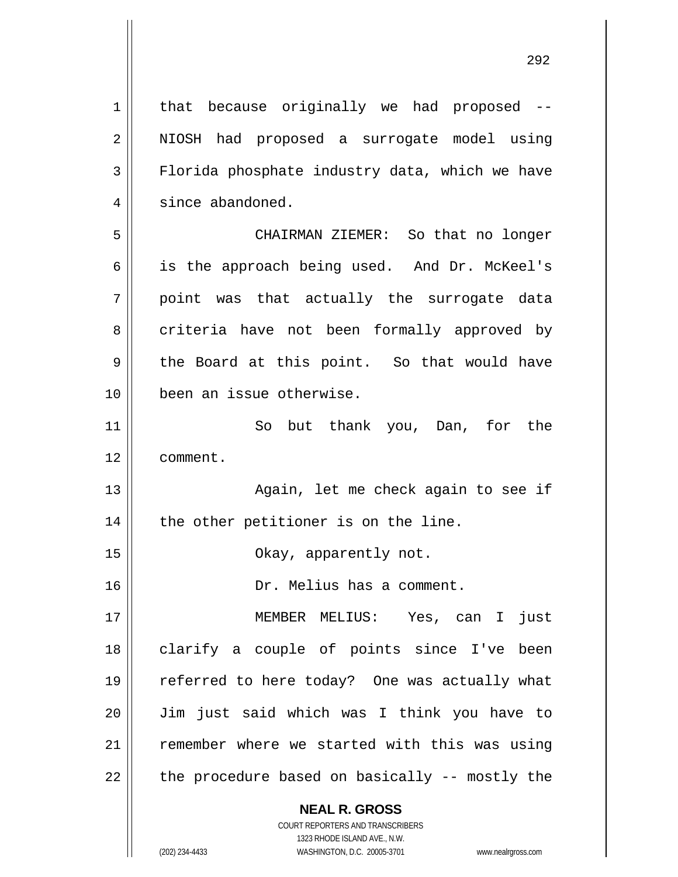1 2 3 4 5 6 7 8 9 10 11 12 13 14 15 16 17 18 19 20 21 22 that because originally we had proposed -- NIOSH had proposed a surrogate model using Florida phosphate industry data, which we have since abandoned. CHAIRMAN ZIEMER: So that no longer is the approach being used. And Dr. McKeel's point was that actually the surrogate data criteria have not been formally approved by the Board at this point. So that would have been an issue otherwise. So but thank you, Dan, for the comment. Again, let me check again to see if the other petitioner is on the line. Okay, apparently not. Dr. Melius has a comment. MEMBER MELIUS: Yes, can I just clarify a couple of points since I've been referred to here today? One was actually what Jim just said which was I think you have to remember where we started with this was using the procedure based on basically -- mostly the

> **NEAL R. GROSS** COURT REPORTERS AND TRANSCRIBERS

1323 RHODE ISLAND AVE., N.W. (202) 234-4433 WASHINGTON, D.C. 20005-3701 www.nealrgross.com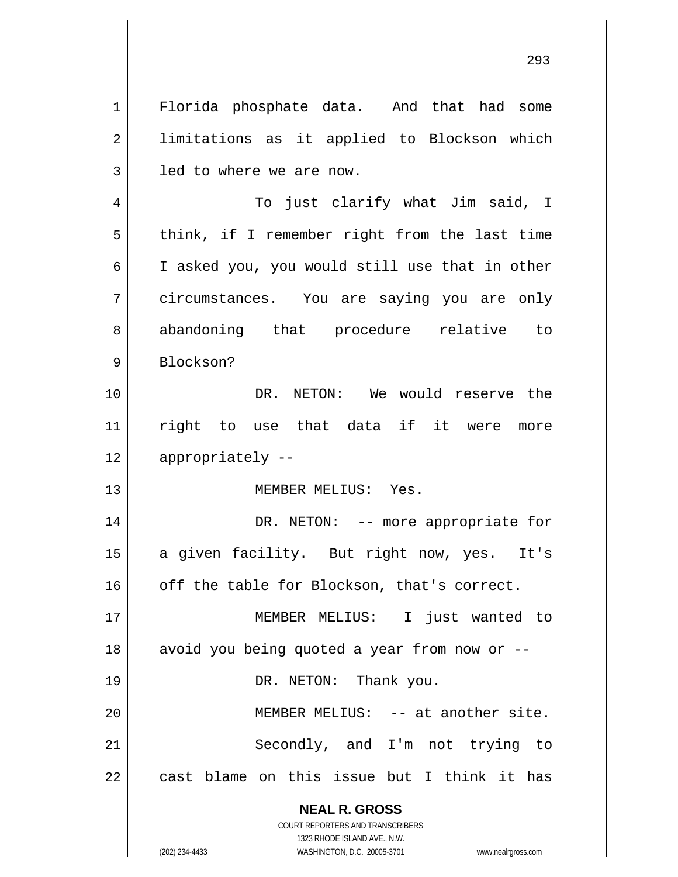**NEAL R. GROSS** COURT REPORTERS AND TRANSCRIBERS 1 2 3 4 5 6 7 8 9 10 11 12 13 14 15 16 17 18 19 20 21 22 Florida phosphate data. And that had some limitations as it applied to Blockson which led to where we are now. To just clarify what Jim said, I think, if I remember right from the last time I asked you, you would still use that in other circumstances. You are saying you are only abandoning that procedure relative to Blockson? DR. NETON: We would reserve the right to use that data if it were more appropriately -- MEMBER MELIUS: Yes. DR. NETON: -- more appropriate for a given facility. But right now, yes. It's off the table for Blockson, that's correct. MEMBER MELIUS: I just wanted to avoid you being quoted a year from now or -- DR. NETON: Thank you. MEMBER MELIUS: -- at another site. Secondly, and I'm not trying to cast blame on this issue but I think it has

<u>293</u>

1323 RHODE ISLAND AVE., N.W.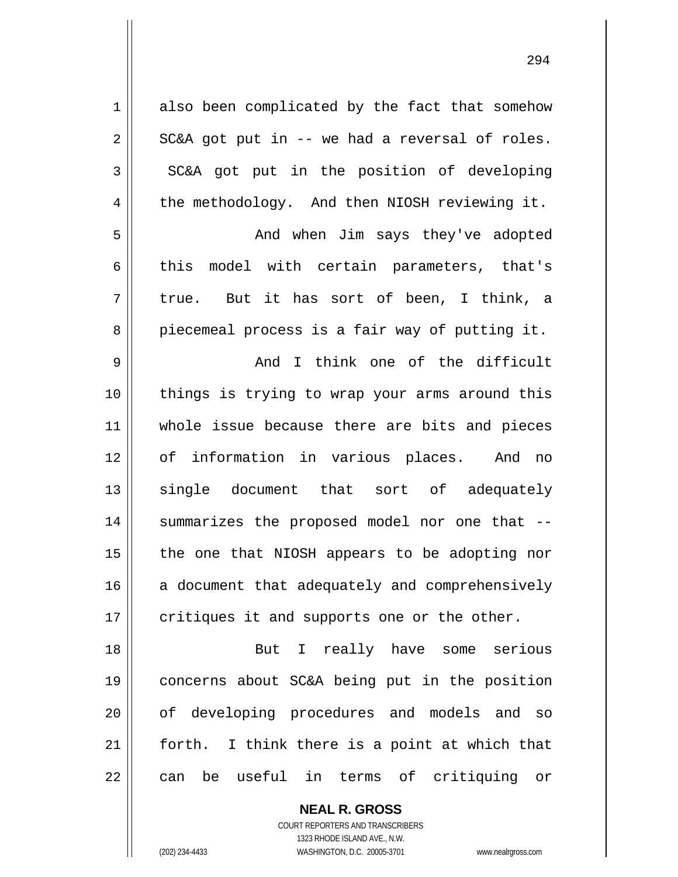| $\mathbf 1$ | also been complicated by the fact that somehow   |
|-------------|--------------------------------------------------|
| $\sqrt{2}$  | SC&A got put in -- we had a reversal of roles.   |
| 3           | SC&A got put in the position of developing       |
| 4           | the methodology. And then NIOSH reviewing it.    |
| 5           | And when Jim says they've adopted                |
| 6           | model with certain parameters, that's<br>this    |
| 7           | true. But it has sort of been, I think, a        |
| 8           | piecemeal process is a fair way of putting it.   |
| $\mathsf 9$ | And I think one of the difficult                 |
| 10          | things is trying to wrap your arms around this   |
| 11          | whole issue because there are bits and pieces    |
| 12          | of information in various places. And no         |
| 13          | single document that sort of adequately          |
| 14          | summarizes the proposed model nor one that --    |
| 15          | the one that NIOSH appears to be adopting nor    |
| 16          | a document that adequately and comprehensively   |
| 17          | critiques it and supports one or the other.      |
| 18          | But I really have some serious                   |
| 19          | concerns about SC&A being put in the position    |
| 20          | of developing procedures and models and<br>SO    |
| 21          | I think there is a point at which that<br>forth. |
| 22          | be useful in terms of critiquing or<br>can       |

**NEAL R. GROSS** COURT REPORTERS AND TRANSCRIBERS

1323 RHODE ISLAND AVE., N.W.

(202) 234-4433 WASHINGTON, D.C. 20005-3701 www.nealrgross.com

<u>294</u>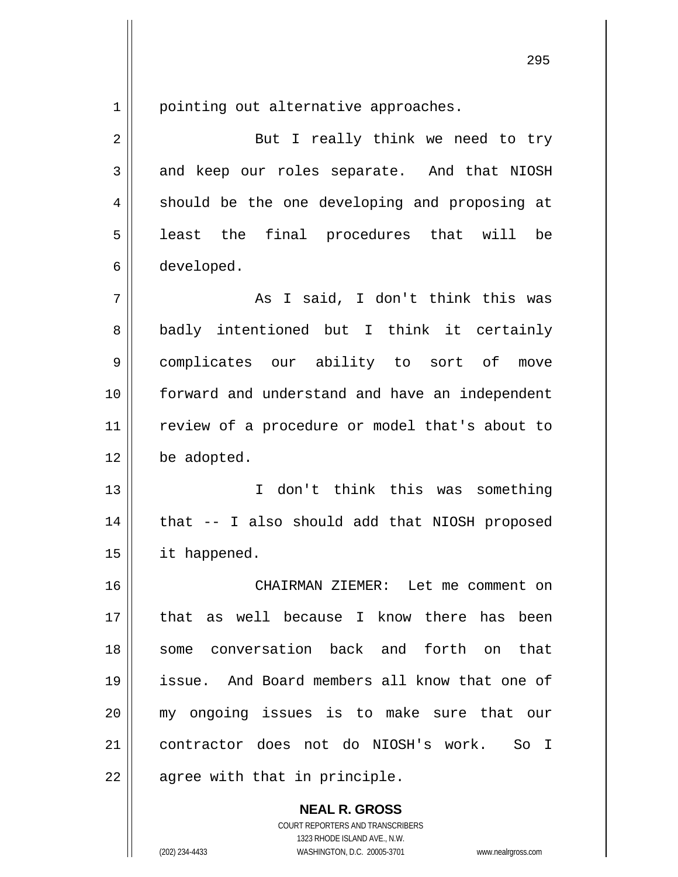1 pointing out alternative approaches.

| $\overline{2}$ | But I really think we need to try                |
|----------------|--------------------------------------------------|
| 3              | and keep our roles separate. And that NIOSH      |
| 4              | should be the one developing and proposing at    |
| 5              | least the final procedures that will<br>be       |
| 6              | developed.                                       |
| 7              | As I said, I don't think this was                |
| 8              | badly intentioned but I think it certainly       |
| 9              | complicates our ability to sort of<br>move       |
| 10             | forward and understand and have an independent   |
| 11             | review of a procedure or model that's about to   |
| 12             | be adopted.                                      |
| 13             | don't think this was something<br>$\mathbf{I}$   |
| 14             | that -- I also should add that NIOSH proposed    |
| 15             | it happened.                                     |
| 16             | CHAIRMAN ZIEMER: Let me comment on               |
| 17             | well because I know there has been<br>that<br>as |
| 18             | conversation back and forth on<br>that<br>some   |
| 19             | issue. And Board members all know that one of    |
| 20             | my ongoing issues is to make sure that our       |
| 21             | contractor does not do NIOSH's work.<br>So I     |
| 22             | agree with that in principle.                    |

COURT REPORTERS AND TRANSCRIBERS 1323 RHODE ISLAND AVE., N.W. (202) 234-4433 WASHINGTON, D.C. 20005-3701 www.nealrgross.com

**NEAL R. GROSS**

<u>295</u>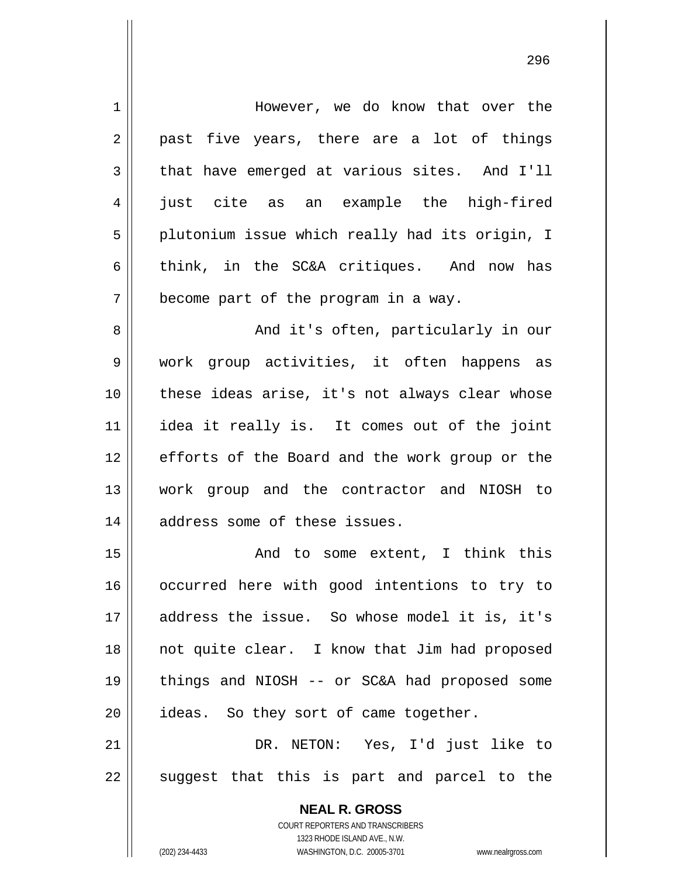| $\mathbf 1$    | However, we do know that over the                                                                   |
|----------------|-----------------------------------------------------------------------------------------------------|
| 2              | past five years, there are a lot of things                                                          |
| 3              | that have emerged at various sites. And I'll                                                        |
| $\overline{4}$ | just cite as an example the high-fired                                                              |
| 5              | plutonium issue which really had its origin, I                                                      |
| 6              | think, in the SC&A critiques. And now has                                                           |
| 7              | become part of the program in a way.                                                                |
| 8              | And it's often, particularly in our                                                                 |
| 9              | work group activities, it often happens as                                                          |
| 10             | these ideas arise, it's not always clear whose                                                      |
| 11             | idea it really is. It comes out of the joint                                                        |
| 12             | efforts of the Board and the work group or the                                                      |
| 13             | work group and the contractor and NIOSH to                                                          |
| 14             | address some of these issues.                                                                       |
| 15             | And to some extent, I think this                                                                    |
| 16             | occurred here with good intentions to try to                                                        |
| 17             | address the issue. So whose model it is, it's                                                       |
| 18             | not quite clear. I know that Jim had proposed                                                       |
| 19             | things and NIOSH $-$ or SC&A had proposed some                                                      |
| 20             | ideas. So they sort of came together.                                                               |
| 21             | DR. NETON: Yes, I'd just like to                                                                    |
| 22             | suggest that this is part and parcel to the                                                         |
|                | <b>NEAL R. GROSS</b>                                                                                |
|                | COURT REPORTERS AND TRANSCRIBERS                                                                    |
|                | 1323 RHODE ISLAND AVE., N.W.<br>(202) 234-4433<br>WASHINGTON, D.C. 20005-3701<br>www.nealrgross.com |
|                |                                                                                                     |

<u>296 - 296 - 297 - 298 - 298 - 298 - 298 - 298 - 298 - 298 - 298 - 298 - 298 - 298 - 298 - 298 - 298 - 298 - 2</u>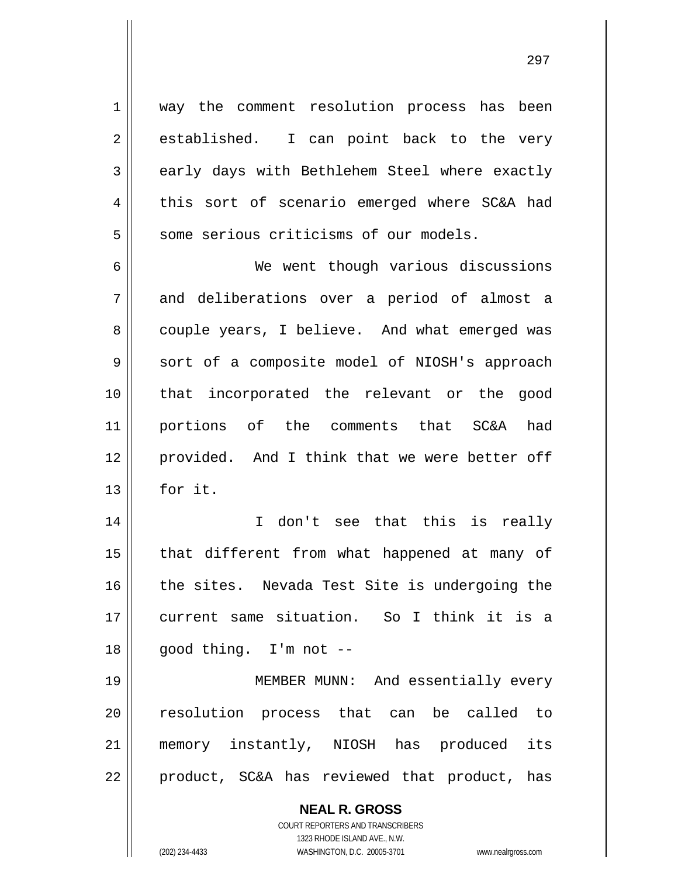1 2 3 4 5 6 7 8 9 10 11 12 13 14 15 16 17 18 19 20 21 way the comment resolution process has been established. I can point back to the very early days with Bethlehem Steel where exactly this sort of scenario emerged where SC&A had some serious criticisms of our models. We went though various discussions and deliberations over a period of almost a couple years, I believe. And what emerged was sort of a composite model of NIOSH's approach that incorporated the relevant or the good portions of the comments that SC&A had provided. And I think that we were better off for it. I don't see that this is really that different from what happened at many of the sites. Nevada Test Site is undergoing the current same situation. So I think it is a good thing. I'm not -- MEMBER MUNN: And essentially every resolution process that can be called to memory instantly, NIOSH has produced its

product, SC&A has reviewed that product, has

**NEAL R. GROSS** COURT REPORTERS AND TRANSCRIBERS

1323 RHODE ISLAND AVE., N.W.

22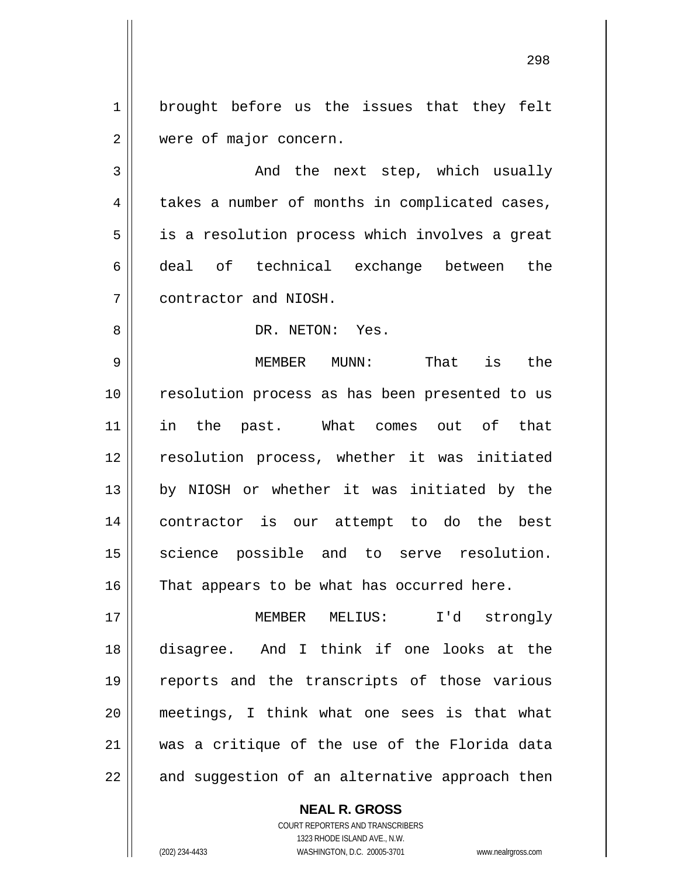1 2 brought before us the issues that they felt were of major concern.

3 4 5 6 7 And the next step, which usually takes a number of months in complicated cases, is a resolution process which involves a great deal of technical exchange between the contractor and NIOSH.

DR. NETON: Yes.

9 10 11 12 13 14 15 16 MEMBER MUNN: That is the resolution process as has been presented to us in the past. What comes out of that resolution process, whether it was initiated by NIOSH or whether it was initiated by the contractor is our attempt to do the best science possible and to serve resolution. That appears to be what has occurred here.

17 18 19 20 21 22 MEMBER MELIUS: I'd strongly disagree. And I think if one looks at the reports and the transcripts of those various meetings, I think what one sees is that what was a critique of the use of the Florida data and suggestion of an alternative approach then

**NEAL R. GROSS**

COURT REPORTERS AND TRANSCRIBERS 1323 RHODE ISLAND AVE., N.W. (202) 234-4433 WASHINGTON, D.C. 20005-3701 www.nealrgross.com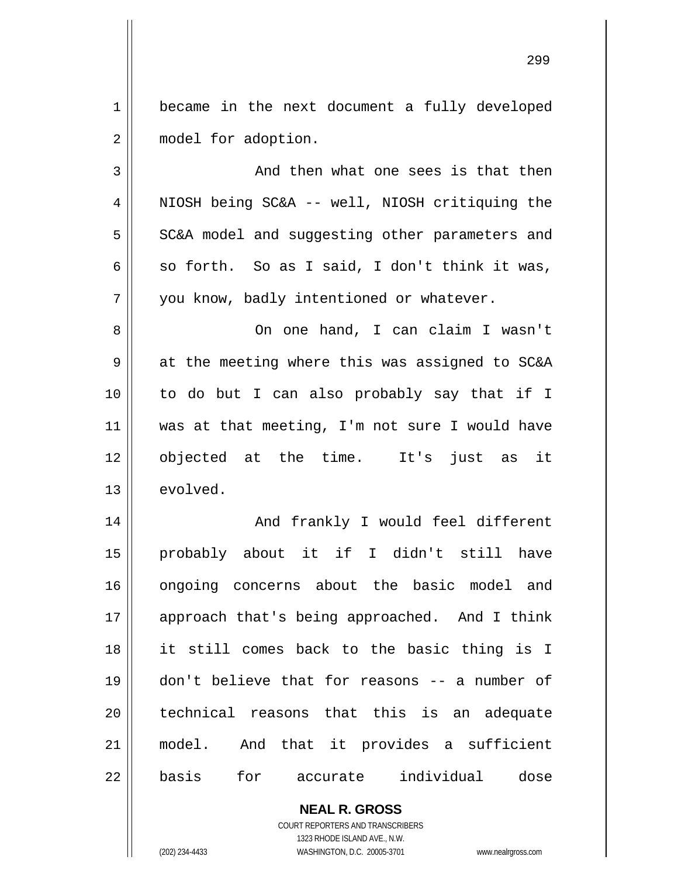1 2 became in the next document a fully developed model for adoption.

3 4 5 6 7 And then what one sees is that then NIOSH being SC&A -- well, NIOSH critiquing the SC&A model and suggesting other parameters and so forth. So as I said, I don't think it was, you know, badly intentioned or whatever.

8 9 10 11 12 13 On one hand, I can claim I wasn't at the meeting where this was assigned to SC&A to do but I can also probably say that if I was at that meeting, I'm not sure I would have objected at the time. It's just as it evolved.

14 15 16 17 18 19 20 21 22 And frankly I would feel different probably about it if I didn't still have ongoing concerns about the basic model and approach that's being approached. And I think it still comes back to the basic thing is I don't believe that for reasons -- a number of technical reasons that this is an adequate model. And that it provides a sufficient basis for accurate individual dose

> **NEAL R. GROSS** COURT REPORTERS AND TRANSCRIBERS 1323 RHODE ISLAND AVE., N.W.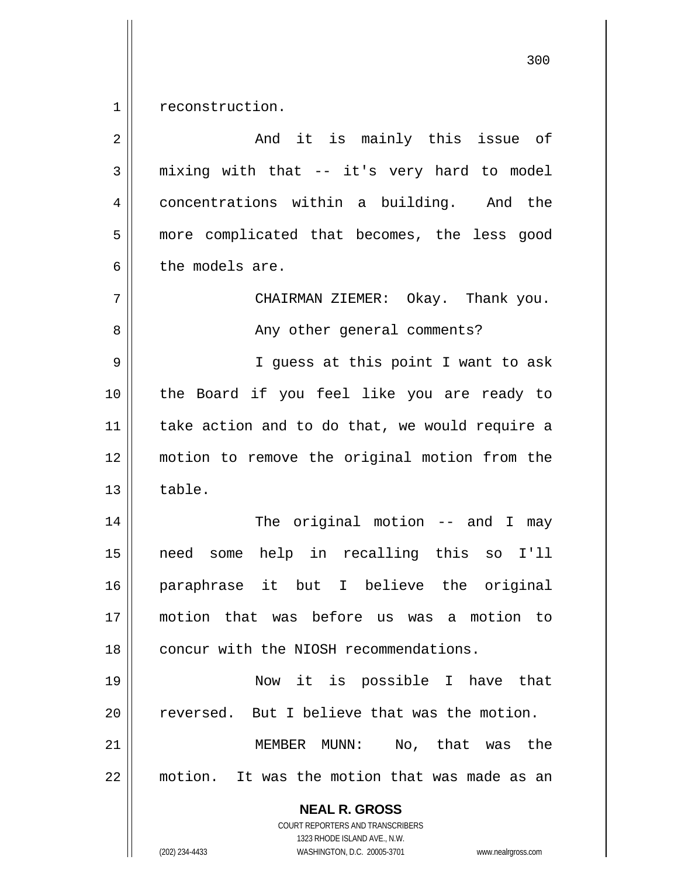1 reconstruction.

| $\overline{2}$ | And it is mainly this issue of                                                                                                                                         |
|----------------|------------------------------------------------------------------------------------------------------------------------------------------------------------------------|
| 3              | mixing with that -- it's very hard to model                                                                                                                            |
| 4              | concentrations within a building. And the                                                                                                                              |
| 5              | more complicated that becomes, the less good                                                                                                                           |
| 6              | the models are.                                                                                                                                                        |
| 7              | CHAIRMAN ZIEMER: Okay. Thank you.                                                                                                                                      |
| 8              | Any other general comments?                                                                                                                                            |
| 9              | I guess at this point I want to ask                                                                                                                                    |
| 10             | the Board if you feel like you are ready to                                                                                                                            |
| 11             | take action and to do that, we would require a                                                                                                                         |
| 12             | motion to remove the original motion from the                                                                                                                          |
| 13             | table.                                                                                                                                                                 |
| 14             | The original motion $--$ and I may                                                                                                                                     |
| 15             | some help in recalling this so I'll<br>need                                                                                                                            |
| 16             | paraphrase it but I believe the original                                                                                                                               |
| 17             | motion that was before us was a motion to                                                                                                                              |
| 18             | concur with the NIOSH recommendations.                                                                                                                                 |
| 19             | Now it is possible I have<br>that                                                                                                                                      |
| 20             | But I believe that was the motion.<br>reversed.                                                                                                                        |
| 21             | No, that was the<br>MEMBER MUNN:                                                                                                                                       |
| 22             | motion. It was the motion that was made as an                                                                                                                          |
|                | <b>NEAL R. GROSS</b><br><b>COURT REPORTERS AND TRANSCRIBERS</b><br>1323 RHODE ISLAND AVE., N.W.<br>(202) 234-4433<br>WASHINGTON, D.C. 20005-3701<br>www.nealrgross.com |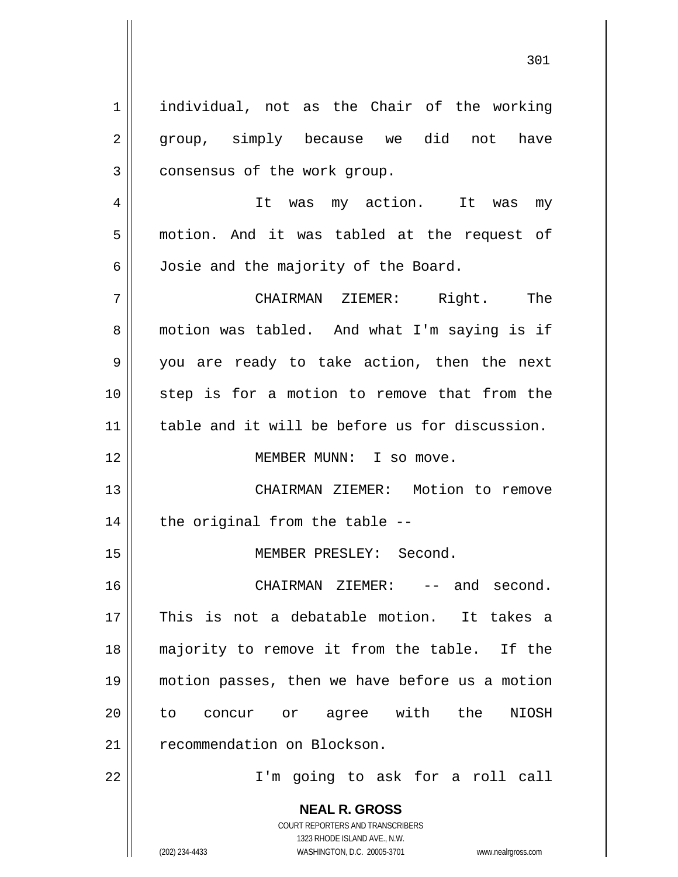**NEAL R. GROSS** COURT REPORTERS AND TRANSCRIBERS 1 2 3 4 5 6 7 8 9 10 11 12 13 14 15 16 17 18 19 20 21 22 individual, not as the Chair of the working group, simply because we did not have consensus of the work group. It was my action. It was my motion. And it was tabled at the request of Josie and the majority of the Board. CHAIRMAN ZIEMER: Right. The motion was tabled. And what I'm saying is if you are ready to take action, then the next step is for a motion to remove that from the table and it will be before us for discussion. MEMBER MUNN: I so move. CHAIRMAN ZIEMER: Motion to remove the original from the table -- MEMBER PRESLEY: Second. CHAIRMAN ZIEMER: -- and second. This is not a debatable motion. It takes a majority to remove it from the table. If the motion passes, then we have before us a motion to concur or agree with the NIOSH recommendation on Blockson. I'm going to ask for a roll call

1323 RHODE ISLAND AVE., N.W.

(202) 234-4433 WASHINGTON, D.C. 20005-3701 www.nealrgross.com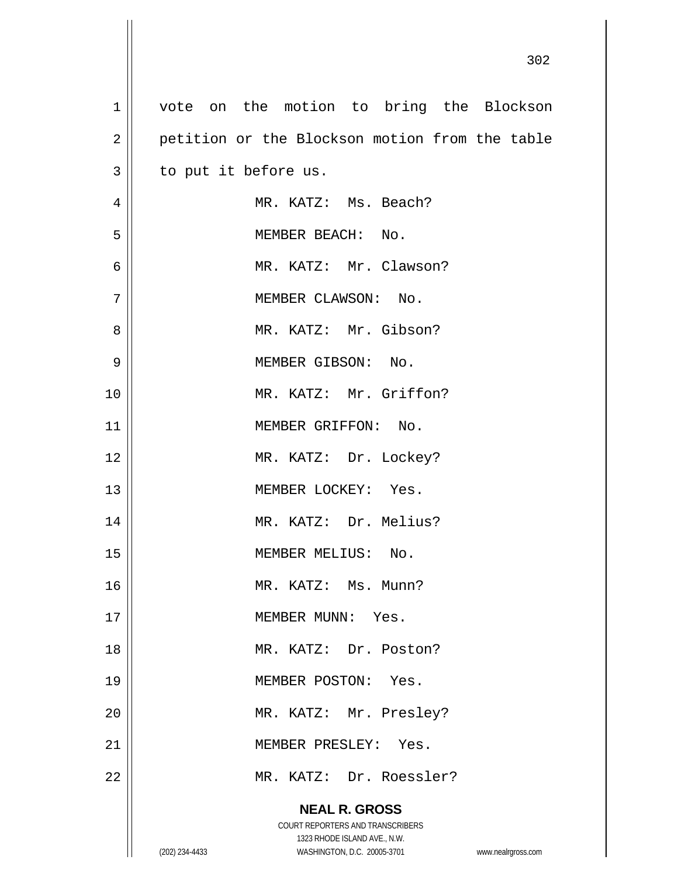| $\mathbf 1$    | vote on the motion to bring the Blockson       |                    |
|----------------|------------------------------------------------|--------------------|
| $\overline{2}$ | petition or the Blockson motion from the table |                    |
| $\mathfrak{Z}$ | to put it before us.                           |                    |
| 4              | MR. KATZ: Ms. Beach?                           |                    |
| 5              | MEMBER BEACH: No.                              |                    |
| 6              | MR. KATZ: Mr. Clawson?                         |                    |
| 7              | MEMBER CLAWSON: No.                            |                    |
| 8              | MR. KATZ: Mr. Gibson?                          |                    |
| 9              | MEMBER GIBSON: No.                             |                    |
| 10             | MR. KATZ: Mr. Griffon?                         |                    |
| 11             | MEMBER GRIFFON: No.                            |                    |
| 12             | MR. KATZ: Dr. Lockey?                          |                    |
| 13             | MEMBER LOCKEY: Yes.                            |                    |
| 14             | MR. KATZ: Dr. Melius?                          |                    |
| 15             | MEMBER MELIUS: No.                             |                    |
| 16             | MR. KATZ: Ms. Munn?                            |                    |
| 17             | MEMBER MUNN: Yes.                              |                    |
| 18             | MR. KATZ: Dr. Poston?                          |                    |
| 19             | MEMBER POSTON: Yes.                            |                    |
| 20             | MR. KATZ: Mr. Presley?                         |                    |
| 21             | MEMBER PRESLEY: Yes.                           |                    |
| 22             | MR. KATZ: Dr. Roessler?                        |                    |
|                | <b>NEAL R. GROSS</b>                           |                    |
|                | COURT REPORTERS AND TRANSCRIBERS               |                    |
|                | 1323 RHODE ISLAND AVE., N.W.                   |                    |
|                | (202) 234-4433<br>WASHINGTON, D.C. 20005-3701  | www.nealrgross.com |

Ш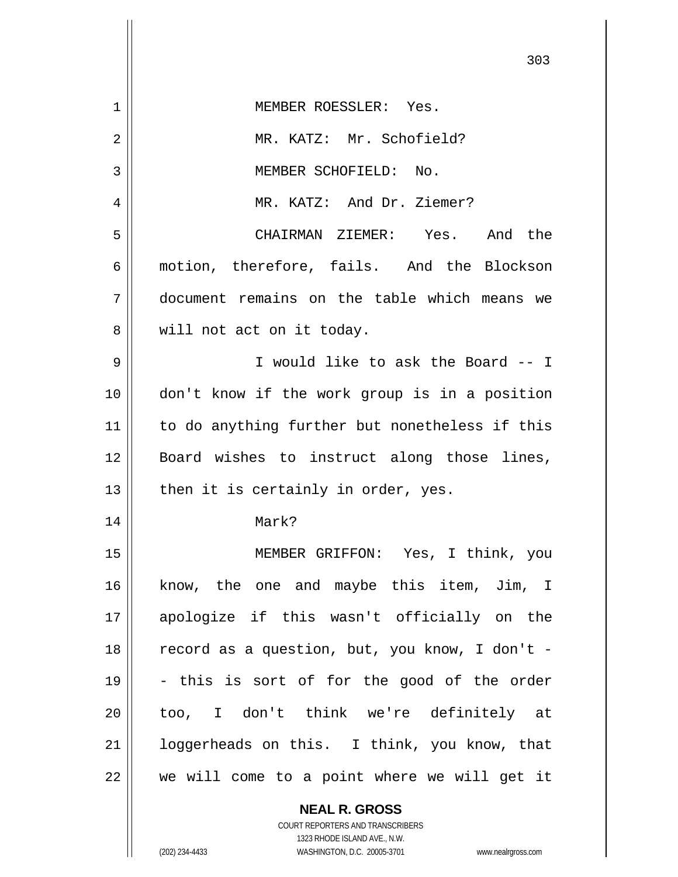|             | 303                                            |
|-------------|------------------------------------------------|
| $\mathbf 1$ | MEMBER ROESSLER: Yes.                          |
| 2           | MR. KATZ: Mr. Schofield?                       |
| 3           | MEMBER SCHOFIELD: No.                          |
| 4           | MR. KATZ: And Dr. Ziemer?                      |
| 5           | CHAIRMAN ZIEMER: Yes. And the                  |
| 6           | motion, therefore, fails. And the Blockson     |
| 7           | document remains on the table which means we   |
| 8           | will not act on it today.                      |
| 9           | I would like to ask the Board -- I             |
| 10          | don't know if the work group is in a position  |
| 11          | to do anything further but nonetheless if this |
| 12          | Board wishes to instruct along those lines,    |
| 13          | then it is certainly in order, yes.            |
| 14          | Mark?                                          |
| 15          | MEMBER GRIFFON: Yes, I think, you              |
| 16          | know, the one and maybe this item, Jim, I      |
| 17          | apologize if this wasn't officially on the     |
| 18          | record as a question, but, you know, I don't - |
| 19          | - this is sort of for the good of the order    |
| 20          | too, I don't think we're definitely at         |
| 21          | loggerheads on this. I think, you know, that   |
| 22          | we will come to a point where we will get it   |
|             | <b>NEAL R. GROSS</b>                           |

COURT REPORTERS AND TRANSCRIBERS 1323 RHODE ISLAND AVE., N.W.

 $\mathsf{II}$ 

 $\mathsf{I}$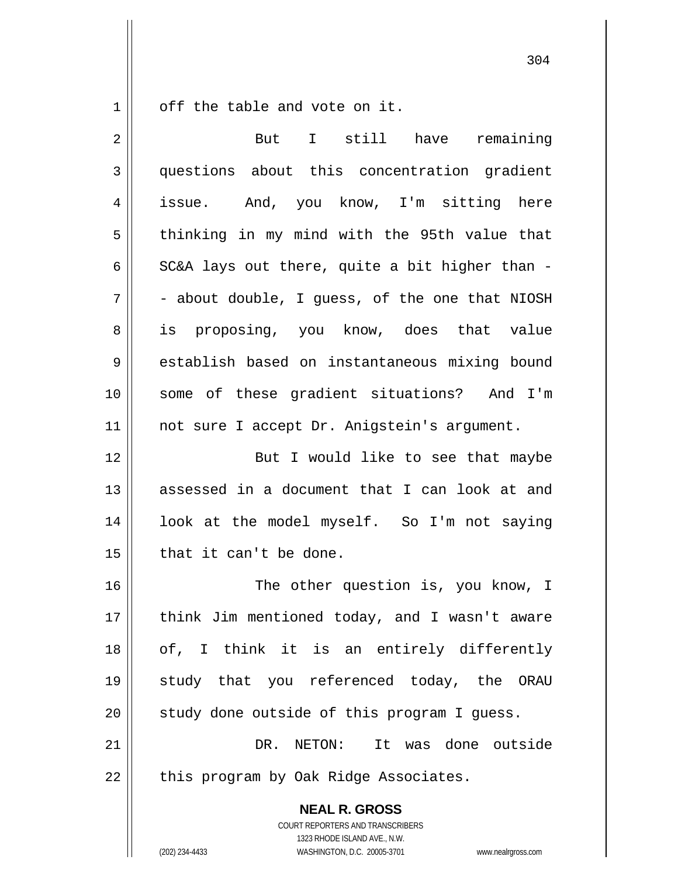off the table and vote on it.

1

| 2  | But<br>I still have<br>remaining                                                                    |
|----|-----------------------------------------------------------------------------------------------------|
| 3  | questions about this concentration gradient                                                         |
| 4  | issue. And, you know, I'm sitting here                                                              |
| 5  | thinking in my mind with the 95th value that                                                        |
| 6  | SC&A lays out there, quite a bit higher than -                                                      |
| 7  | - about double, I guess, of the one that NIOSH                                                      |
| 8  | is proposing, you know, does that value                                                             |
| 9  | establish based on instantaneous mixing bound                                                       |
| 10 | some of these gradient situations? And I'm                                                          |
| 11 | not sure I accept Dr. Anigstein's argument.                                                         |
| 12 | But I would like to see that maybe                                                                  |
| 13 | assessed in a document that I can look at and                                                       |
| 14 | look at the model myself. So I'm not saying                                                         |
| 15 | that it can't be done.                                                                              |
| 16 | The other question is, you know, I                                                                  |
| 17 | think Jim mentioned today, and I wasn't aware                                                       |
| 18 | of, I think it is an entirely differently                                                           |
| 19 | study that you referenced today, the<br>ORAU                                                        |
| 20 | study done outside of this program I guess.                                                         |
| 21 | DR. NETON: It was done outside                                                                      |
| 22 | this program by Oak Ridge Associates.                                                               |
|    | <b>NEAL R. GROSS</b><br>COURT REPORTERS AND TRANSCRIBERS                                            |
|    | 1323 RHODE ISLAND AVE., N.W.<br>(202) 234-4433<br>WASHINGTON, D.C. 20005-3701<br>www.nealrgross.com |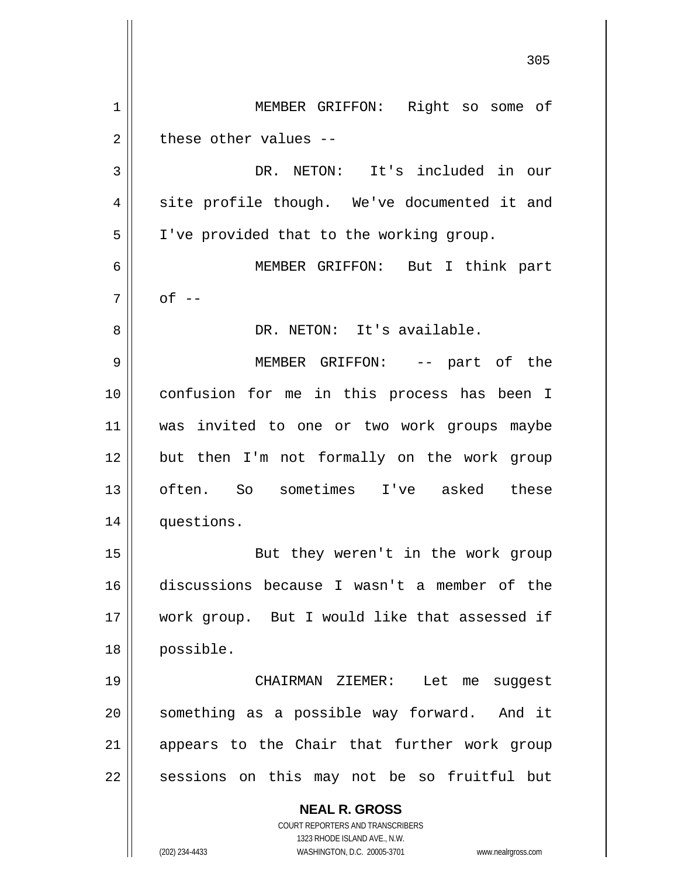**NEAL R. GROSS** COURT REPORTERS AND TRANSCRIBERS 1323 RHODE ISLAND AVE., N.W. <u>305</u> 1 2 3 4 5 6 7 8 9 10 11 12 13 14 15 16 17 18 19 20 21 22 MEMBER GRIFFON: Right so some of these other values -- DR. NETON: It's included in our site profile though. We've documented it and I've provided that to the working group. MEMBER GRIFFON: But I think part  $of$   $-$  DR. NETON: It's available. MEMBER GRIFFON: -- part of the confusion for me in this process has been I was invited to one or two work groups maybe but then I'm not formally on the work group often. So sometimes I've asked these questions. But they weren't in the work group discussions because I wasn't a member of the work group. But I would like that assessed if possible. CHAIRMAN ZIEMER: Let me suggest something as a possible way forward. And it appears to the Chair that further work group sessions on this may not be so fruitful but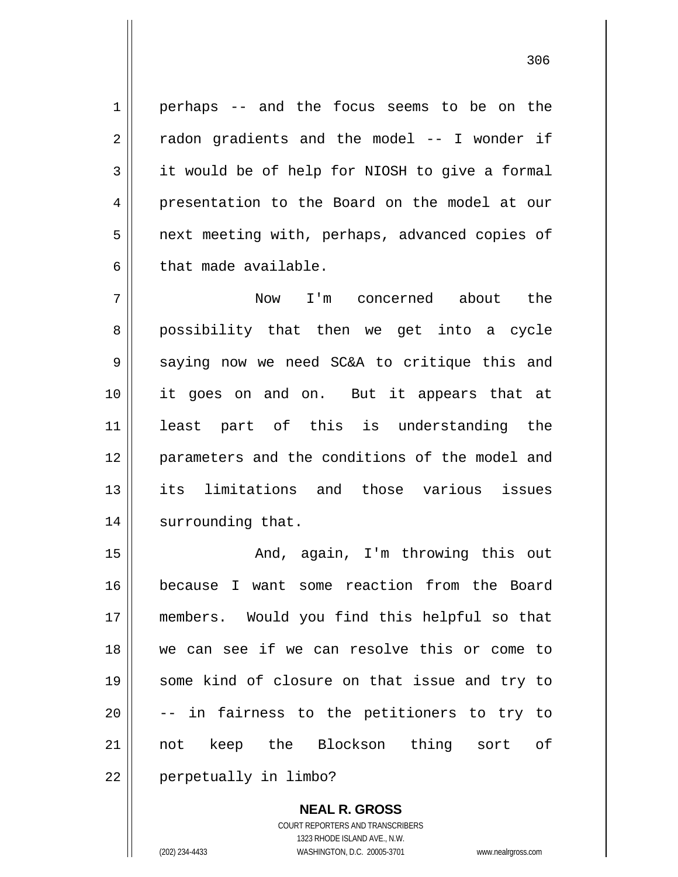perhaps -- and the focus seems to be on the radon gradients and the model -- I wonder if it would be of help for NIOSH to give a formal presentation to the Board on the model at our next meeting with, perhaps, advanced copies of that made available.

7 8 9 10 11 12 13 14 Now I'm concerned about the possibility that then we get into a cycle saying now we need SC&A to critique this and it goes on and on. But it appears that at least part of this is understanding the parameters and the conditions of the model and its limitations and those various issues surrounding that.

15 16 17 18 19 20 21 22 And, again, I'm throwing this out because I want some reaction from the Board members. Would you find this helpful so that we can see if we can resolve this or come to some kind of closure on that issue and try to -- in fairness to the petitioners to try to not keep the Blockson thing sort of perpetually in limbo?

> **NEAL R. GROSS** COURT REPORTERS AND TRANSCRIBERS 1323 RHODE ISLAND AVE., N.W. (202) 234-4433 WASHINGTON, D.C. 20005-3701 www.nealrgross.com

1

2

3

4

5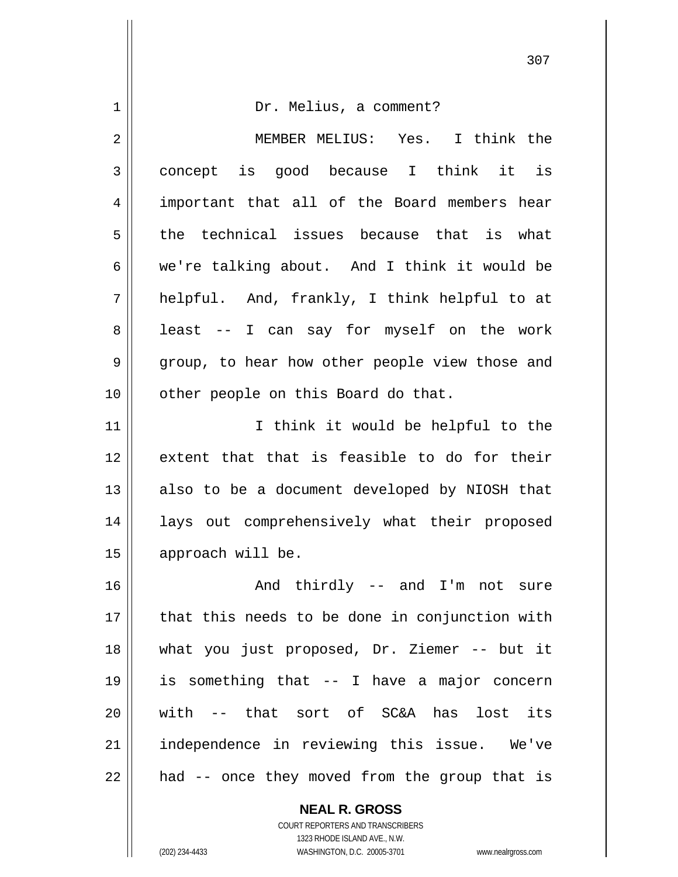1 2 3 4 5 6 7 8 9 10 11 12 13 14 15 16 17 18 19 20 21 22 Dr. Melius, a comment? MEMBER MELIUS: Yes. I think the concept is good because I think it is important that all of the Board members hear the technical issues because that is what we're talking about. And I think it would be helpful. And, frankly, I think helpful to at least -- I can say for myself on the work group, to hear how other people view those and other people on this Board do that. I think it would be helpful to the extent that that is feasible to do for their also to be a document developed by NIOSH that lays out comprehensively what their proposed approach will be. And thirdly -- and I'm not sure that this needs to be done in conjunction with what you just proposed, Dr. Ziemer -- but it is something that -- I have a major concern with -- that sort of SC&A has lost its independence in reviewing this issue. We've had -- once they moved from the group that is

307

**NEAL R. GROSS** COURT REPORTERS AND TRANSCRIBERS 1323 RHODE ISLAND AVE., N.W.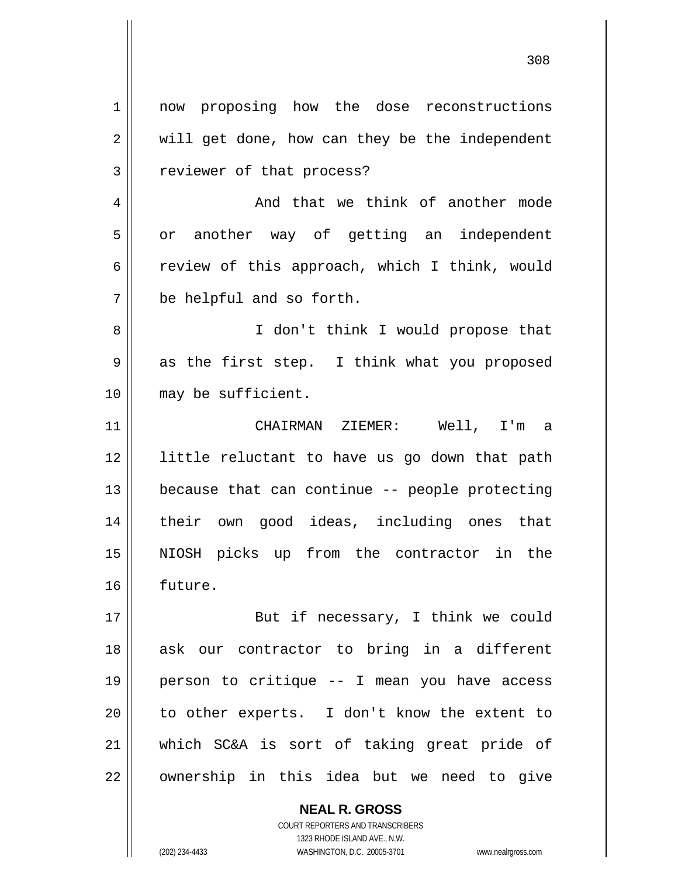1 2 3 4 5 6 7 8 9 10 11 12 13 14 15 16 17 18 19 20 21 22 now proposing how the dose reconstructions will get done, how can they be the independent reviewer of that process? And that we think of another mode or another way of getting an independent review of this approach, which I think, would be helpful and so forth. I don't think I would propose that as the first step. I think what you proposed may be sufficient. CHAIRMAN ZIEMER: Well, I'm a little reluctant to have us go down that path because that can continue -- people protecting their own good ideas, including ones that NIOSH picks up from the contractor in the future. But if necessary, I think we could ask our contractor to bring in a different person to critique -- I mean you have access to other experts. I don't know the extent to which SC&A is sort of taking great pride of ownership in this idea but we need to give

<u>308</u>

COURT REPORTERS AND TRANSCRIBERS 1323 RHODE ISLAND AVE., N.W. (202) 234-4433 WASHINGTON, D.C. 20005-3701 www.nealrgross.com

**NEAL R. GROSS**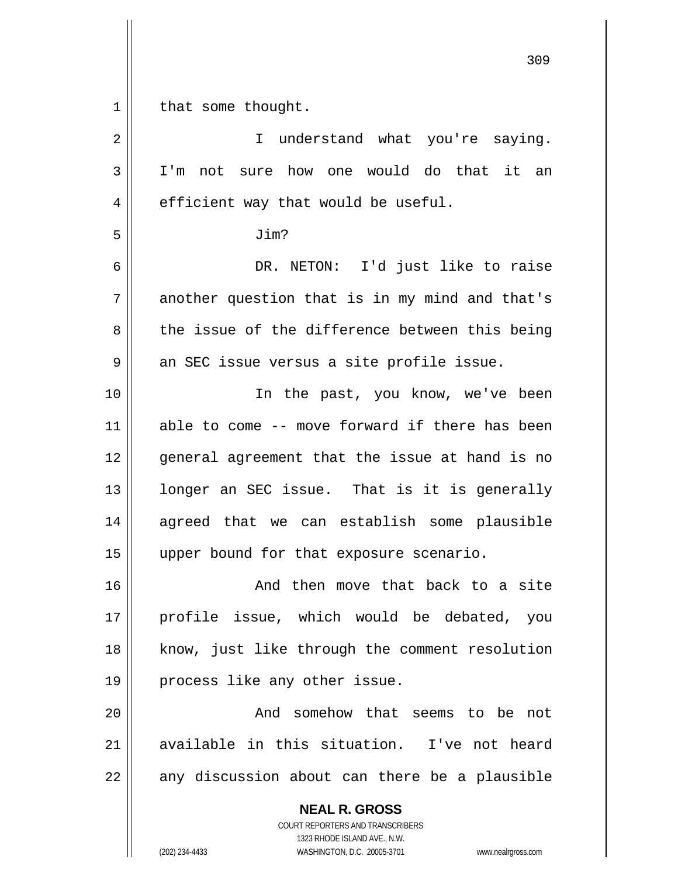| $\mathbf 1$ | that some thought.                             |
|-------------|------------------------------------------------|
| 2           | I understand what you're saying.               |
| 3           | I'm not sure how one would do that it an       |
| 4           | efficient way that would be useful.            |
| 5           | Jim?                                           |
| 6           | DR. NETON: I'd just like to raise              |
| 7           | another question that is in my mind and that's |
| 8           | the issue of the difference between this being |
| 9           | an SEC issue versus a site profile issue.      |
| 10          | In the past, you know, we've been              |
| 11          | able to come -- move forward if there has been |
| 12          | general agreement that the issue at hand is no |
| 13          | longer an SEC issue. That is it is generally   |
| 14          | agreed that we can establish some plausible    |
| 15          | upper bound for that exposure scenario.        |
| 16          | And then move that back to a site              |
| 17          | profile issue, which would be debated, you     |
| 18          | know, just like through the comment resolution |
| 19          | process like any other issue.                  |
| 20          | And somehow that seems to be not               |
| 21          | available in this situation. I've not heard    |
| 22          | any discussion about can there be a plausible  |
|             | <b>NEAL R. GROSS</b>                           |

COURT REPORTERS AND TRANSCRIBERS 1323 RHODE ISLAND AVE., N.W.

(202) 234-4433 WASHINGTON, D.C. 20005-3701 www.nealrgross.com

<u>309</u>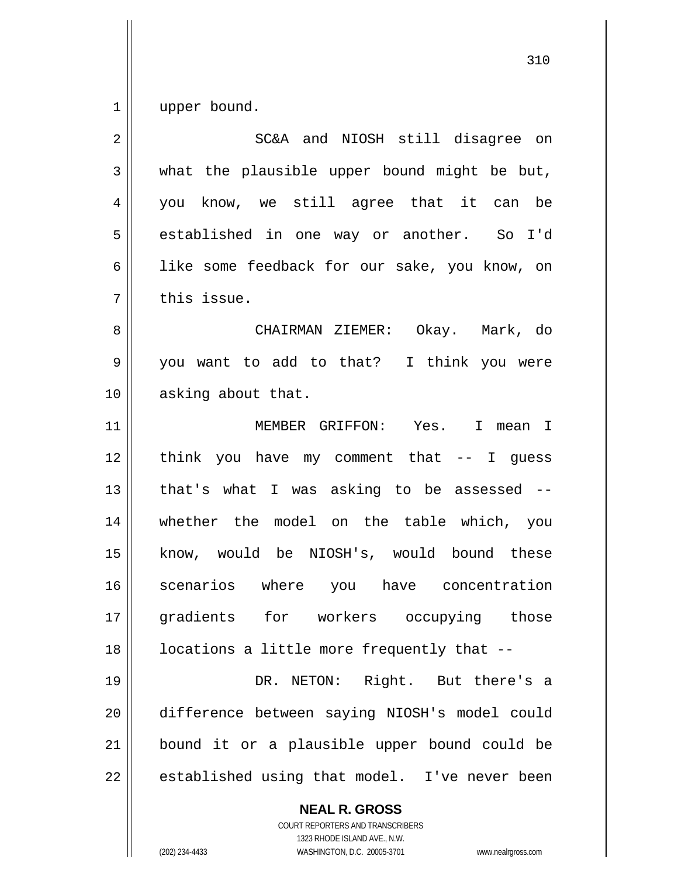1 upper bound.

| $\overline{2}$ | SC&A and NIOSH still disagree on              |
|----------------|-----------------------------------------------|
| 3              | what the plausible upper bound might be but,  |
| 4              | you know, we still agree that it can be       |
| 5              | established in one way or another. So I'd     |
| 6              | like some feedback for our sake, you know, on |
| 7              | this issue.                                   |
| 8              | CHAIRMAN ZIEMER: Okay. Mark, do               |
| 9              | you want to add to that? I think you were     |
| 10             | asking about that.                            |
| 11             | MEMBER GRIFFON: Yes. I mean I                 |
| 12             | think you have my comment that $-$ - I guess  |
| 13             | that's what I was asking to be assessed --    |
| 14             | whether the model on the table which, you     |
| 15             | know, would be NIOSH's, would bound these     |
| 16             | scenarios where you have concentration        |
| 17             | gradients for workers occupying those         |
| 18             | locations a little more frequently that --    |
| 19             | DR. NETON: Right. But there's a               |
| 20             | difference between saying NIOSH's model could |
| 21             | bound it or a plausible upper bound could be  |
| 22             | established using that model. I've never been |
|                | <b>NEAL R. GROSS</b>                          |

 $\mathsf{II}$ 

COURT REPORTERS AND TRANSCRIBERS 1323 RHODE ISLAND AVE., N.W. (202) 234-4433 WASHINGTON, D.C. 20005-3701 www.nealrgross.com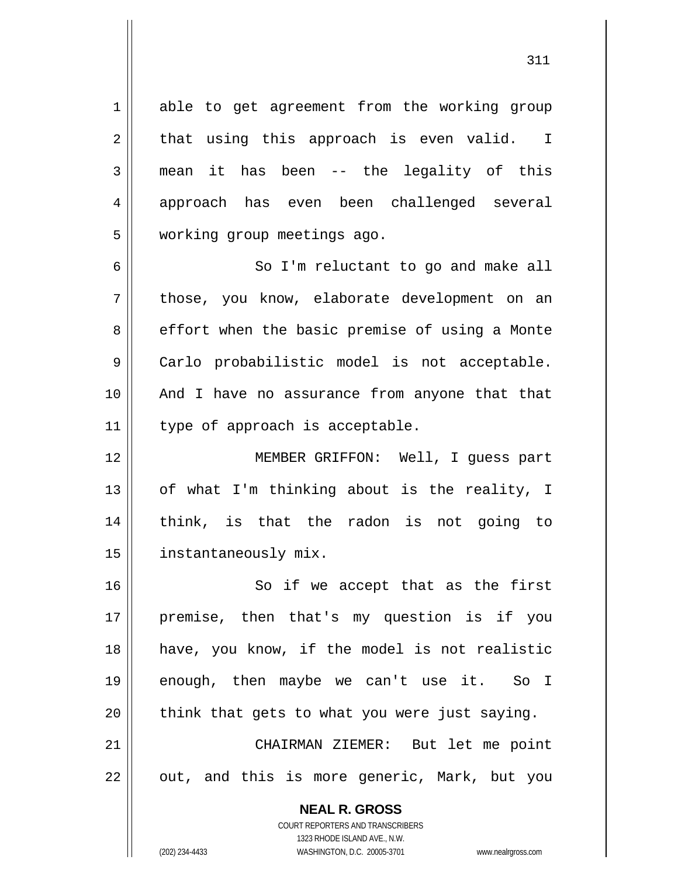able to get agreement from the working group that using this approach is even valid. I mean it has been -- the legality of this approach has even been challenged several working group meetings ago.

6 7 8 9 10 11 So I'm reluctant to go and make all those, you know, elaborate development on an effort when the basic premise of using a Monte Carlo probabilistic model is not acceptable. And I have no assurance from anyone that that type of approach is acceptable.

12 13 14 15 MEMBER GRIFFON: Well, I guess part of what I'm thinking about is the reality, I think, is that the radon is not going to instantaneously mix.

16 17 18 19 20 21 So if we accept that as the first premise, then that's my question is if you have, you know, if the model is not realistic enough, then maybe we can't use it. So I think that gets to what you were just saying. CHAIRMAN ZIEMER: But let me point

22

1

2

3

4

5

**NEAL R. GROSS**

out, and this is more generic, Mark, but you

COURT REPORTERS AND TRANSCRIBERS 1323 RHODE ISLAND AVE., N.W. (202) 234-4433 WASHINGTON, D.C. 20005-3701 www.nealrgross.com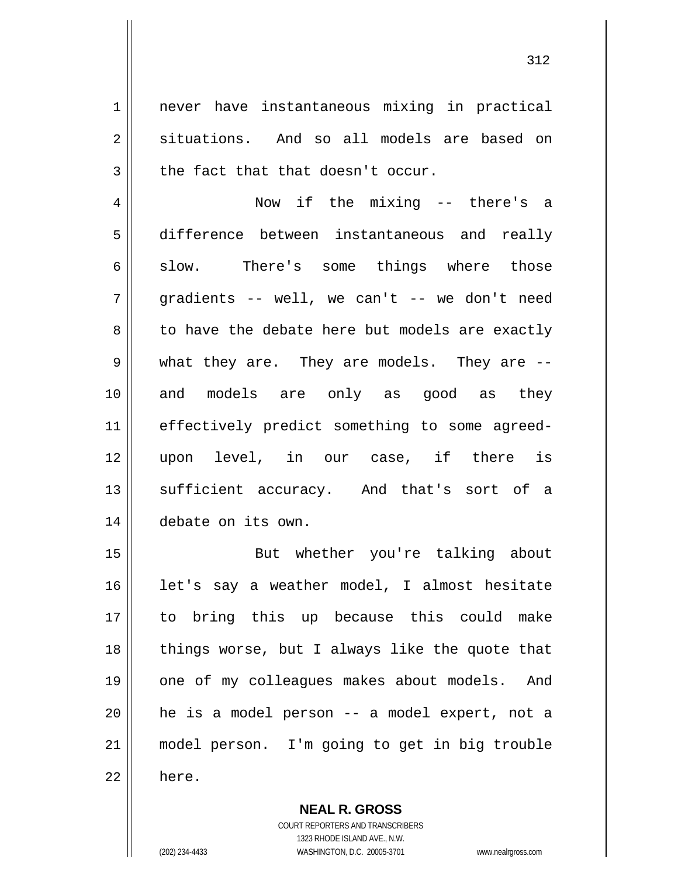never have instantaneous mixing in practical situations. And so all models are based on the fact that that doesn't occur.

4 5 6 7 8 9 10 11 12 13 14 Now if the mixing -- there's a difference between instantaneous and really slow. There's some things where those gradients -- well, we can't -- we don't need to have the debate here but models are exactly what they are. They are models. They are - and models are only as good as they effectively predict something to some agreedupon level, in our case, if there is sufficient accuracy. And that's sort of a debate on its own.

15 16 17 18 19 20 21 22 But whether you're talking about let's say a weather model, I almost hesitate to bring this up because this could make things worse, but I always like the quote that one of my colleagues makes about models. And he is a model person -- a model expert, not a model person. I'm going to get in big trouble here.

> **NEAL R. GROSS** COURT REPORTERS AND TRANSCRIBERS 1323 RHODE ISLAND AVE., N.W. (202) 234-4433 WASHINGTON, D.C. 20005-3701 www.nealrgross.com

1

2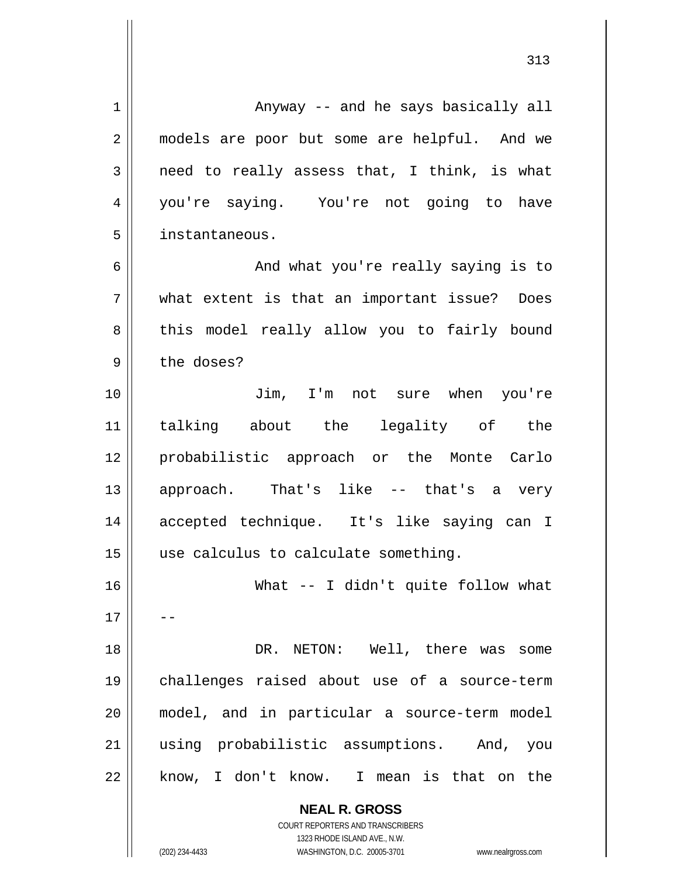**NEAL R. GROSS** COURT REPORTERS AND TRANSCRIBERS 1 2 3 4 5 6 7 8 9 10 11 12 13 14 15 16 17 18 19 20 21 22 Anyway -- and he says basically all models are poor but some are helpful. And we need to really assess that, I think, is what you're saying. You're not going to have instantaneous. And what you're really saying is to what extent is that an important issue? Does this model really allow you to fairly bound the doses? Jim, I'm not sure when you're talking about the legality of the probabilistic approach or the Monte Carlo approach. That's like -- that's a very accepted technique. It's like saying can I use calculus to calculate something. What -- I didn't quite follow what -- DR. NETON: Well, there was some challenges raised about use of a source-term model, and in particular a source-term model using probabilistic assumptions. And, you know, I don't know. I mean is that on the

313

1323 RHODE ISLAND AVE., N.W.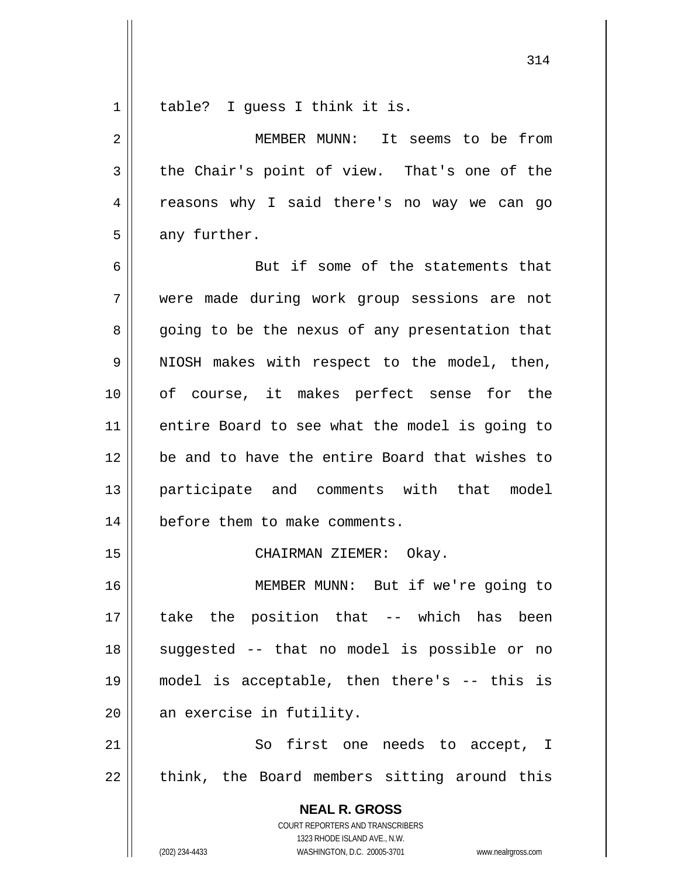1 table? I guess I think it is.

2 3 4 5 6 7 8 9 10 11 12 MEMBER MUNN: It seems to be from the Chair's point of view. That's one of the reasons why I said there's no way we can go any further. But if some of the statements that were made during work group sessions are not going to be the nexus of any presentation that NIOSH makes with respect to the model, then, of course, it makes perfect sense for the entire Board to see what the model is going to be and to have the entire Board that wishes to

13 14 participate and comments with that model before them to make comments.

CHAIRMAN ZIEMER: Okay.

16 17 18 19 20 MEMBER MUNN: But if we're going to take the position that -- which has been suggested -- that no model is possible or no model is acceptable, then there's -- this is an exercise in futility.

21 22 So first one needs to accept, I think, the Board members sitting around this

> **NEAL R. GROSS** COURT REPORTERS AND TRANSCRIBERS 1323 RHODE ISLAND AVE., N.W. (202) 234-4433 WASHINGTON, D.C. 20005-3701 www.nealrgross.com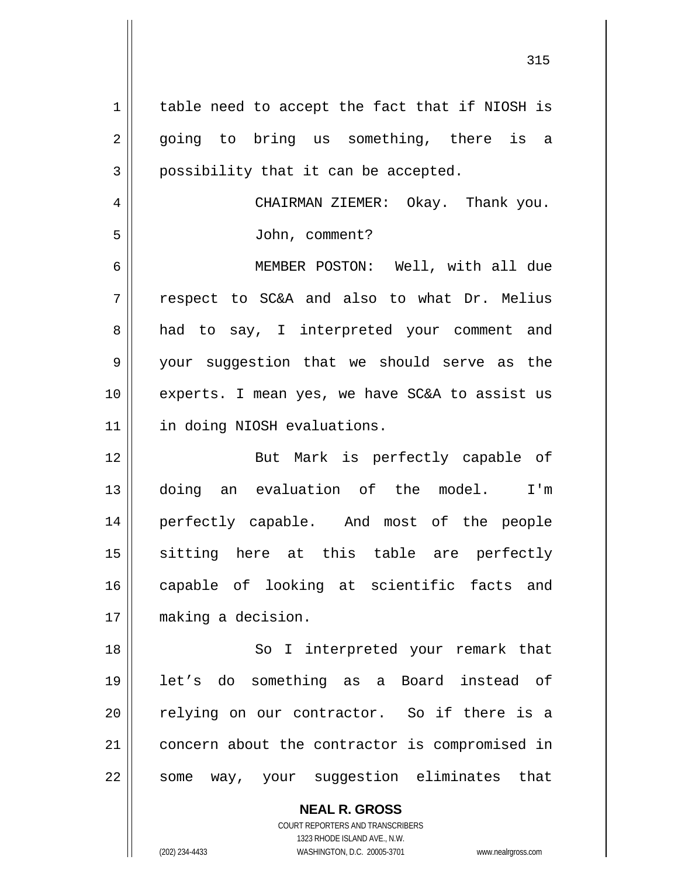1 2 3 4 5 6 7 8 9 10 11 12 13 14 15 16 17 18 19 20 21 22 table need to accept the fact that if NIOSH is going to bring us something, there is a possibility that it can be accepted. CHAIRMAN ZIEMER: Okay. Thank you. John, comment? MEMBER POSTON: Well, with all due respect to SC&A and also to what Dr. Melius had to say, I interpreted your comment and your suggestion that we should serve as the experts. I mean yes, we have SC&A to assist us in doing NIOSH evaluations. But Mark is perfectly capable of doing an evaluation of the model. I'm perfectly capable. And most of the people sitting here at this table are perfectly capable of looking at scientific facts and making a decision. So I interpreted your remark that let's do something as a Board instead of relying on our contractor. So if there is a concern about the contractor is compromised in some way, your suggestion eliminates that

> **NEAL R. GROSS** COURT REPORTERS AND TRANSCRIBERS 1323 RHODE ISLAND AVE., N.W.

(202) 234-4433 WASHINGTON, D.C. 20005-3701 www.nealrgross.com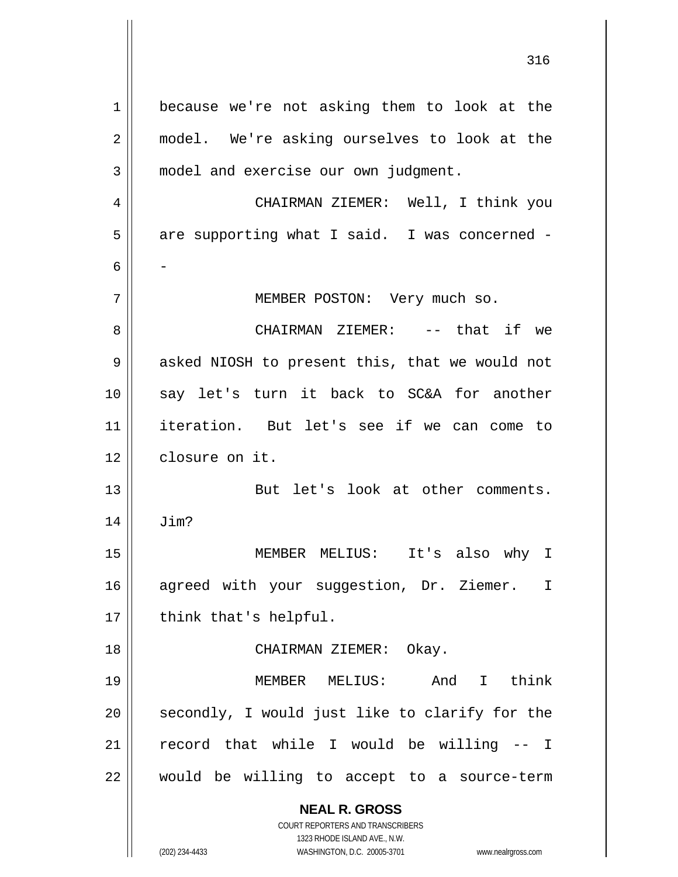**NEAL R. GROSS** COURT REPORTERS AND TRANSCRIBERS 1323 RHODE ISLAND AVE., N.W. 1 2 3 4 5 6 7 8 9 10 11 12 13 14 15 16 17 18 19 20 21 22 because we're not asking them to look at the model. We're asking ourselves to look at the model and exercise our own judgment. CHAIRMAN ZIEMER: Well, I think you are supporting what I said. I was concerned - - MEMBER POSTON: Very much so. CHAIRMAN ZIEMER: -- that if we asked NIOSH to present this, that we would not say let's turn it back to SC&A for another iteration. But let's see if we can come to closure on it. But let's look at other comments. Jim? MEMBER MELIUS: It's also why I agreed with your suggestion, Dr. Ziemer. I think that's helpful. CHAIRMAN ZIEMER: Okay. MEMBER MELIUS: And I think secondly, I would just like to clarify for the record that while I would be willing -- I would be willing to accept to a source-term

316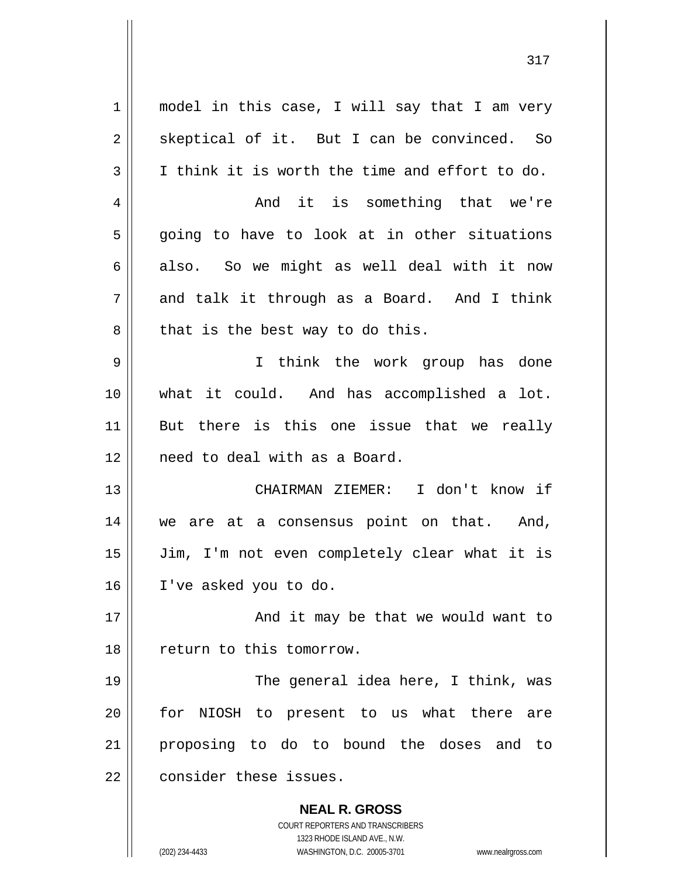| $\mathbf 1$    | model in this case, I will say that I am very                           |
|----------------|-------------------------------------------------------------------------|
| $\overline{2}$ | skeptical of it. But I can be convinced. So                             |
| 3              | I think it is worth the time and effort to do.                          |
| 4              | And it is something that we're                                          |
| 5              | going to have to look at in other situations                            |
| 6              | also. So we might as well deal with it now                              |
| 7              | and talk it through as a Board. And I think                             |
| 8              | that is the best way to do this.                                        |
| 9              | I think the work group has done                                         |
| 10             | what it could. And has accomplished a lot.                              |
| 11             | But there is this one issue that we really                              |
|                |                                                                         |
| 12             | need to deal with as a Board.                                           |
| 13             | CHAIRMAN ZIEMER: I don't know if                                        |
| 14             | we are at a consensus point on that. And,                               |
| 15             | Jim, I'm not even completely clear what it is                           |
| 16             | I've asked you to do.                                                   |
| 17             | And it may be that we would want to                                     |
| 18             | return to this tomorrow.                                                |
| 19             | The general idea here, I think, was                                     |
| 20             | for NIOSH to present to us what there are                               |
| 21             | proposing to do to bound the doses and to                               |
|                |                                                                         |
| 22             | consider these issues.                                                  |
|                | <b>NEAL R. GROSS</b>                                                    |
|                | <b>COURT REPORTERS AND TRANSCRIBERS</b><br>1323 RHODE ISLAND AVE., N.W. |
|                | (202) 234-4433<br>WASHINGTON, D.C. 20005-3701<br>www.nealrgross.com     |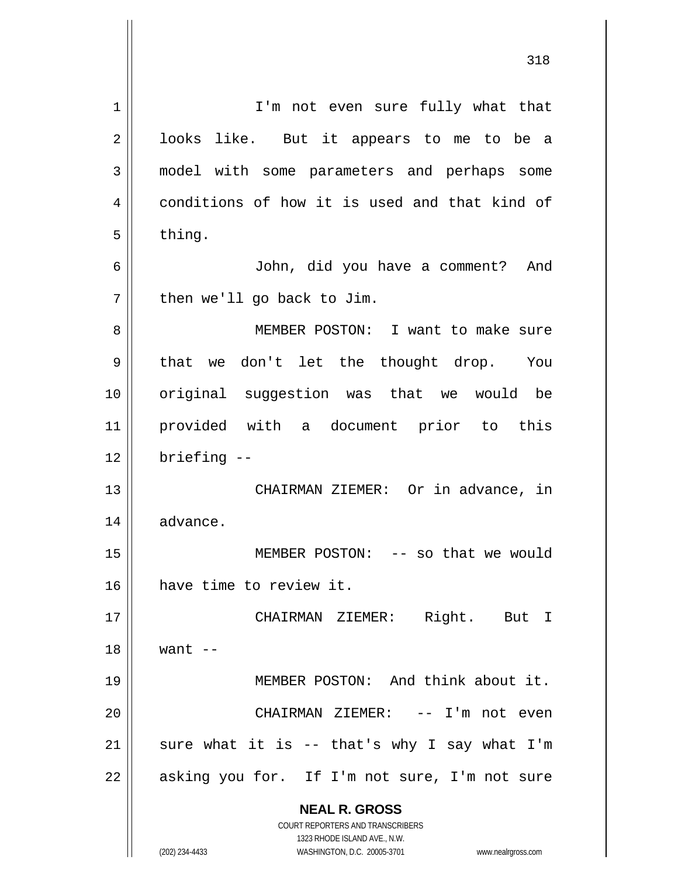| 1  | I'm not even sure fully what that                                                                   |
|----|-----------------------------------------------------------------------------------------------------|
| 2  | looks like. But it appears to me to be a                                                            |
| 3  | model with some parameters and perhaps some                                                         |
| 4  | conditions of how it is used and that kind of                                                       |
| 5  | thing.                                                                                              |
| 6  | John, did you have a comment? And                                                                   |
| 7  | then we'll go back to Jim.                                                                          |
| 8  | MEMBER POSTON: I want to make sure                                                                  |
| 9  | that we don't let the thought drop. You                                                             |
| 10 | original suggestion was that we would be                                                            |
| 11 | provided with a document prior to this                                                              |
| 12 | briefing --                                                                                         |
| 13 | CHAIRMAN ZIEMER: Or in advance, in                                                                  |
| 14 | advance.                                                                                            |
| 15 | MEMBER POSTON: -- so that we would                                                                  |
| 16 | have time to review it.                                                                             |
| 17 | CHAIRMAN ZIEMER: Right. But I                                                                       |
| 18 | want $--$                                                                                           |
| 19 | MEMBER POSTON: And think about it.                                                                  |
| 20 | CHAIRMAN ZIEMER: -- I'm not even                                                                    |
| 21 | sure what it is -- that's why I say what I'm                                                        |
| 22 | asking you for. If I'm not sure, I'm not sure                                                       |
|    | <b>NEAL R. GROSS</b>                                                                                |
|    | <b>COURT REPORTERS AND TRANSCRIBERS</b>                                                             |
|    | 1323 RHODE ISLAND AVE., N.W.<br>(202) 234-4433<br>WASHINGTON, D.C. 20005-3701<br>www.nealrgross.com |
|    |                                                                                                     |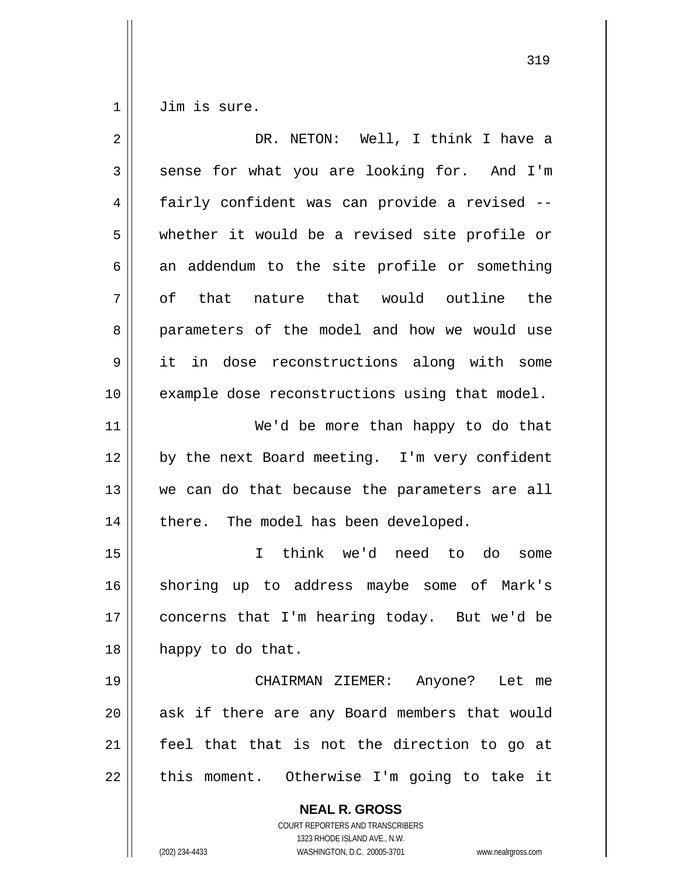1 Jim is sure.

| $\overline{2}$ | DR. NETON: Well, I think I have a                                                                                                                               |
|----------------|-----------------------------------------------------------------------------------------------------------------------------------------------------------------|
| 3              | sense for what you are looking for. And I'm                                                                                                                     |
| 4              | fairly confident was can provide a revised --                                                                                                                   |
| 5              | whether it would be a revised site profile or                                                                                                                   |
| 6              | an addendum to the site profile or something                                                                                                                    |
| 7              | that nature that would outline the<br>of                                                                                                                        |
| 8              | parameters of the model and how we would use                                                                                                                    |
| 9              | it in dose reconstructions along with some                                                                                                                      |
| 10             | example dose reconstructions using that model.                                                                                                                  |
| 11             | We'd be more than happy to do that                                                                                                                              |
| 12             | by the next Board meeting. I'm very confident                                                                                                                   |
| 13             | we can do that because the parameters are all                                                                                                                   |
| 14             | there. The model has been developed.                                                                                                                            |
| 15             | think we'd need to do<br>$\mathbf{I}$<br>some                                                                                                                   |
| 16             | shoring up to address maybe some of Mark's                                                                                                                      |
| 17             | concerns that I'm hearing today. But we'd be                                                                                                                    |
| 18             | happy to do that.                                                                                                                                               |
| 19             | CHAIRMAN ZIEMER:<br>Anyone? Let me                                                                                                                              |
| 20             | ask if there are any Board members that would                                                                                                                   |
| 21             | feel that that is not the direction to go at                                                                                                                    |
| 22             | this moment. Otherwise I'm going to take it                                                                                                                     |
|                | <b>NEAL R. GROSS</b><br>COURT REPORTERS AND TRANSCRIBERS<br>1323 RHODE ISLAND AVE., N.W.<br>WASHINGTON, D.C. 20005-3701<br>(202) 234-4433<br>www.nealrgross.com |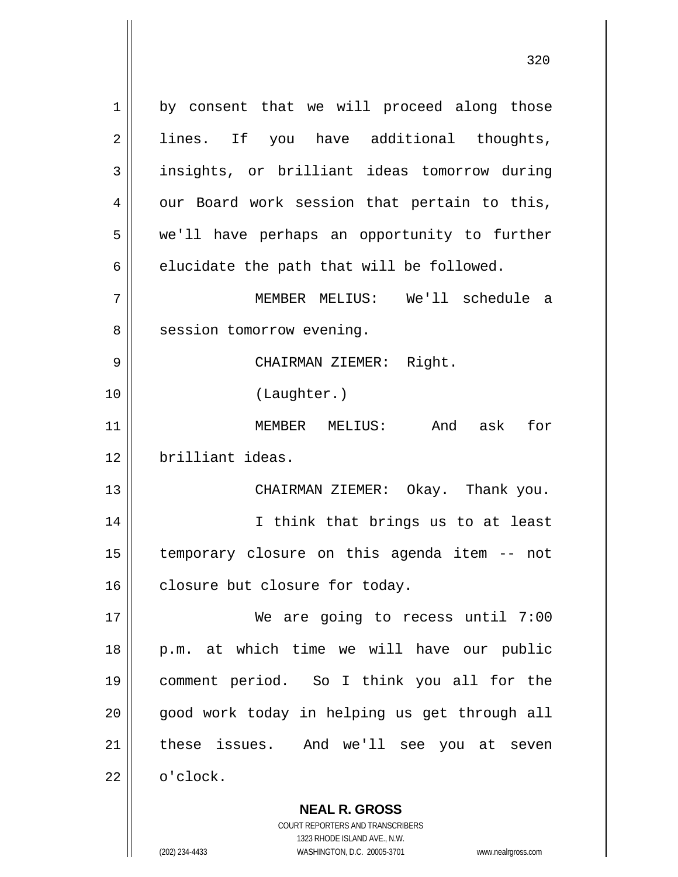1 2 3 4 5 6 7 8 9 10 11 12 13 14 15 16 17 18 19 20 21 22 by consent that we will proceed along those lines. If you have additional thoughts, insights, or brilliant ideas tomorrow during our Board work session that pertain to this, we'll have perhaps an opportunity to further elucidate the path that will be followed. MEMBER MELIUS: We'll schedule a session tomorrow evening. CHAIRMAN ZIEMER: Right. (Laughter.) MEMBER MELIUS: And ask for brilliant ideas. CHAIRMAN ZIEMER: Okay. Thank you. I think that brings us to at least temporary closure on this agenda item -- not closure but closure for today. We are going to recess until 7:00 p.m. at which time we will have our public comment period. So I think you all for the good work today in helping us get through all these issues. And we'll see you at seven o'clock.

320

**NEAL R. GROSS** COURT REPORTERS AND TRANSCRIBERS 1323 RHODE ISLAND AVE., N.W.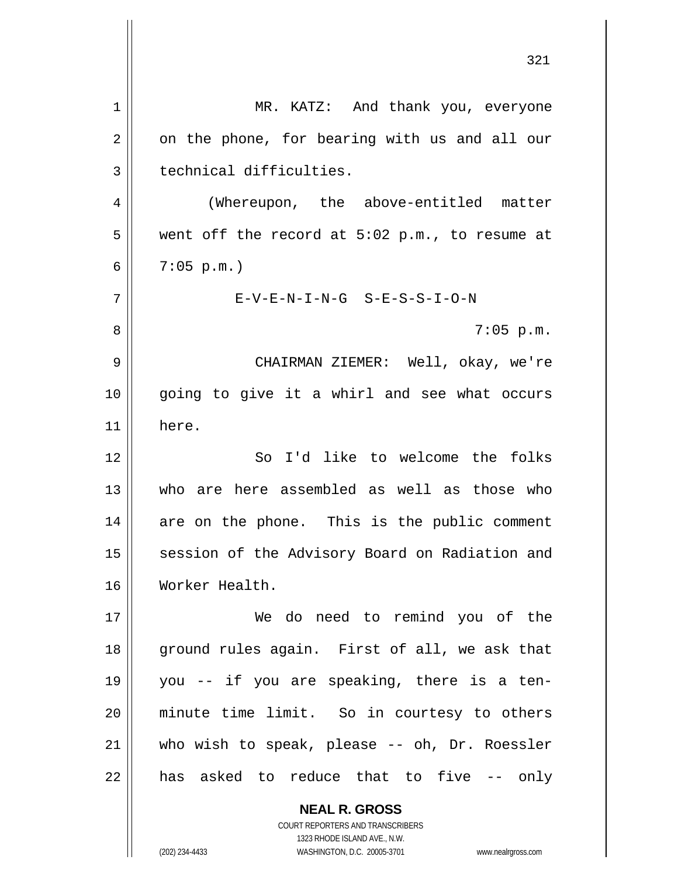|    | 321                                                                                                 |
|----|-----------------------------------------------------------------------------------------------------|
| 1  | MR. KATZ: And thank you, everyone                                                                   |
| 2  | on the phone, for bearing with us and all our                                                       |
| 3  | technical difficulties.                                                                             |
| 4  | (Whereupon, the above-entitled matter                                                               |
| 5  | went off the record at $5:02$ p.m., to resume at                                                    |
| 6  | $7:05$ p.m.)                                                                                        |
| 7  | $E-V-E-N-I-N-G$ $S-E-S-S-I-O-N$                                                                     |
| 8  | $7:05$ p.m.                                                                                         |
| 9  | CHAIRMAN ZIEMER: Well, okay, we're                                                                  |
| 10 | going to give it a whirl and see what occurs                                                        |
| 11 | here.                                                                                               |
| 12 | So I'd like to welcome the folks                                                                    |
| 13 | who are here assembled as well as those who                                                         |
| 14 | are on the phone. This is the public comment                                                        |
| 15 | session of the Advisory Board on Radiation and                                                      |
| 16 | Worker Health.                                                                                      |
| 17 | We do need to remind you of the                                                                     |
| 18 | ground rules again. First of all, we ask that                                                       |
| 19 | you -- if you are speaking, there is a ten-                                                         |
| 20 | minute time limit. So in courtesy to others                                                         |
| 21 | who wish to speak, please -- oh, Dr. Roessler                                                       |
| 22 | has asked to reduce that to five -- only                                                            |
|    | <b>NEAL R. GROSS</b><br>COURT REPORTERS AND TRANSCRIBERS                                            |
|    | 1323 RHODE ISLAND AVE., N.W.<br>(202) 234-4433<br>WASHINGTON, D.C. 20005-3701<br>www.nealrgross.com |
|    |                                                                                                     |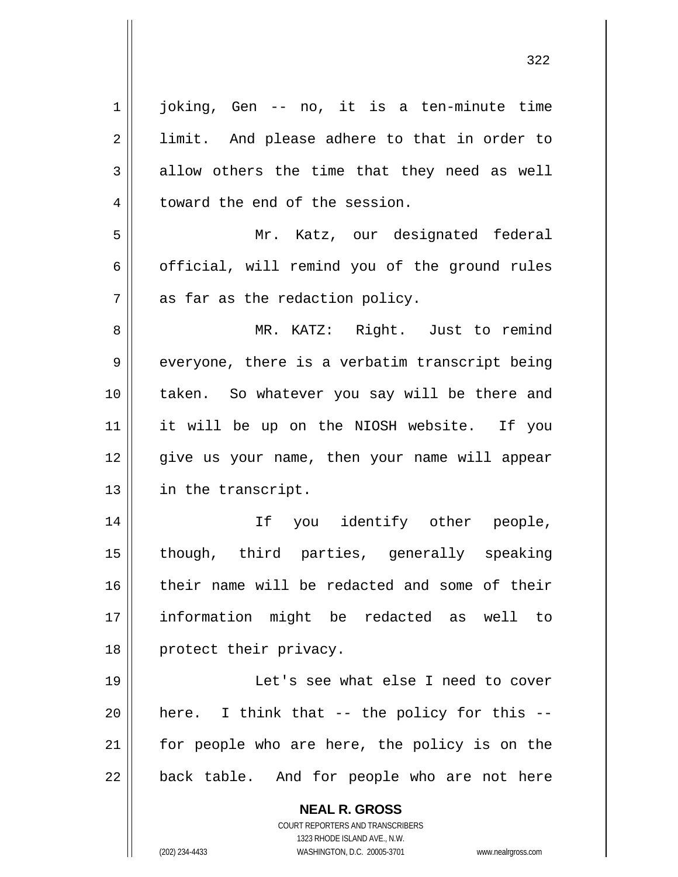| $\mathbf 1$    | joking, Gen -- no, it is a ten-minute time                          |
|----------------|---------------------------------------------------------------------|
| $\overline{2}$ | limit. And please adhere to that in order to                        |
| $\mathfrak{Z}$ | allow others the time that they need as well                        |
| $\overline{4}$ | toward the end of the session.                                      |
| 5              | Mr. Katz, our designated federal                                    |
| 6              | official, will remind you of the ground rules                       |
| 7              | as far as the redaction policy.                                     |
| 8              | MR. KATZ: Right. Just to remind                                     |
| 9              | everyone, there is a verbatim transcript being                      |
| 10             | taken. So whatever you say will be there and                        |
| 11             | it will be up on the NIOSH website. If you                          |
| 12             | give us your name, then your name will appear                       |
| 13             | in the transcript.                                                  |
| 14             | If you identify other people,                                       |
| 15             | though, third parties, generally speaking                           |
| 16             | their name will be redacted and some of their                       |
| 17             | information might be redacted as well to                            |
| 18             | protect their privacy.                                              |
| 19             | Let's see what else I need to cover                                 |
| 20             | here. I think that -- the policy for this --                        |
| 21             | for people who are here, the policy is on the                       |
| 22             | back table. And for people who are not here                         |
|                | <b>NEAL R. GROSS</b>                                                |
|                | <b>COURT REPORTERS AND TRANSCRIBERS</b>                             |
|                | 1323 RHODE ISLAND AVE., N.W.                                        |
|                | (202) 234-4433<br>WASHINGTON, D.C. 20005-3701<br>www.nealrgross.com |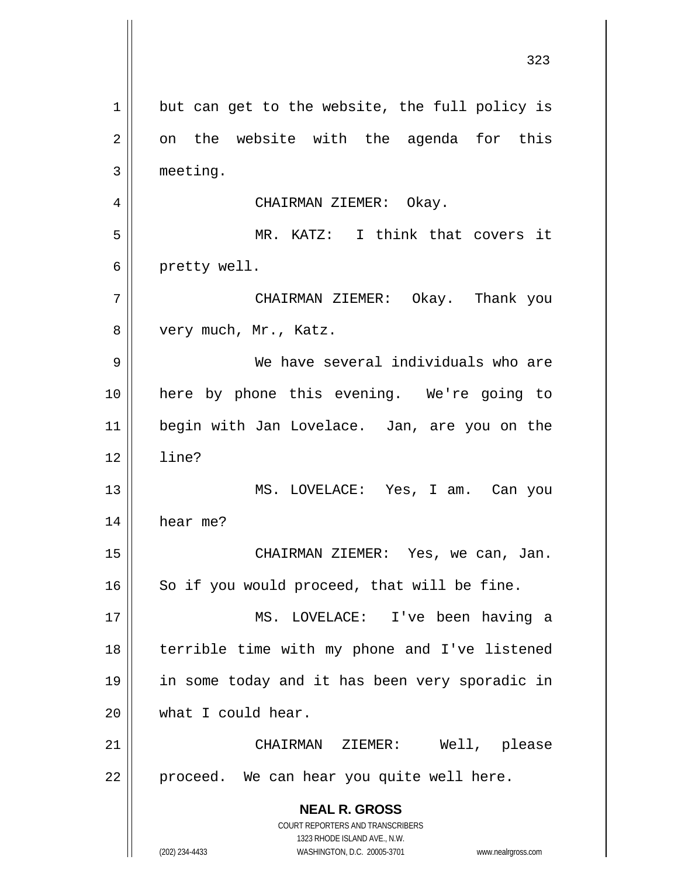**NEAL R. GROSS** COURT REPORTERS AND TRANSCRIBERS 1323 RHODE ISLAND AVE., N.W. (202) 234-4433 WASHINGTON, D.C. 20005-3701 www.nealrgross.com 323 1 2 3 4 5 6 7 8 9 10 11 12 13 14 15 16 17 18 19 20 21 22 but can get to the website, the full policy is on the website with the agenda for this meeting. CHAIRMAN ZIEMER: Okay. MR. KATZ: I think that covers it pretty well. CHAIRMAN ZIEMER: Okay. Thank you very much, Mr., Katz. We have several individuals who are here by phone this evening. We're going to begin with Jan Lovelace. Jan, are you on the line? MS. LOVELACE: Yes, I am. Can you hear me? CHAIRMAN ZIEMER: Yes, we can, Jan. So if you would proceed, that will be fine. MS. LOVELACE: I've been having a terrible time with my phone and I've listened in some today and it has been very sporadic in what I could hear. CHAIRMAN ZIEMER: Well, please proceed. We can hear you quite well here.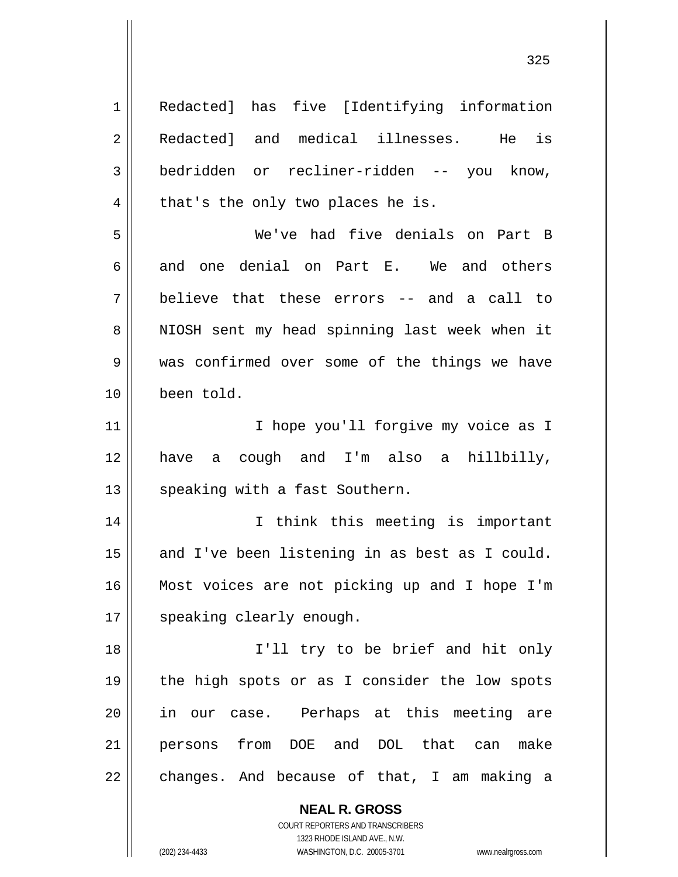**NEAL R. GROSS** COURT REPORTERS AND TRANSCRIBERS 1 2 3 4 5 6 7 8 9 10 11 12 13 14 15 16 17 18 19 20 21 22 Redacted] has five [Identifying information Redacted] and medical illnesses. He is bedridden or recliner-ridden -- you know, that's the only two places he is. We've had five denials on Part B and one denial on Part E. We and others believe that these errors -- and a call to NIOSH sent my head spinning last week when it was confirmed over some of the things we have been told. I hope you'll forgive my voice as I have a cough and I'm also a hillbilly, speaking with a fast Southern. I think this meeting is important and I've been listening in as best as I could. Most voices are not picking up and I hope I'm speaking clearly enough. I'll try to be brief and hit only the high spots or as I consider the low spots in our case. Perhaps at this meeting are persons from DOE and DOL that can make changes. And because of that, I am making a

1323 RHODE ISLAND AVE., N.W.

(202) 234-4433 WASHINGTON, D.C. 20005-3701 www.nealrgross.com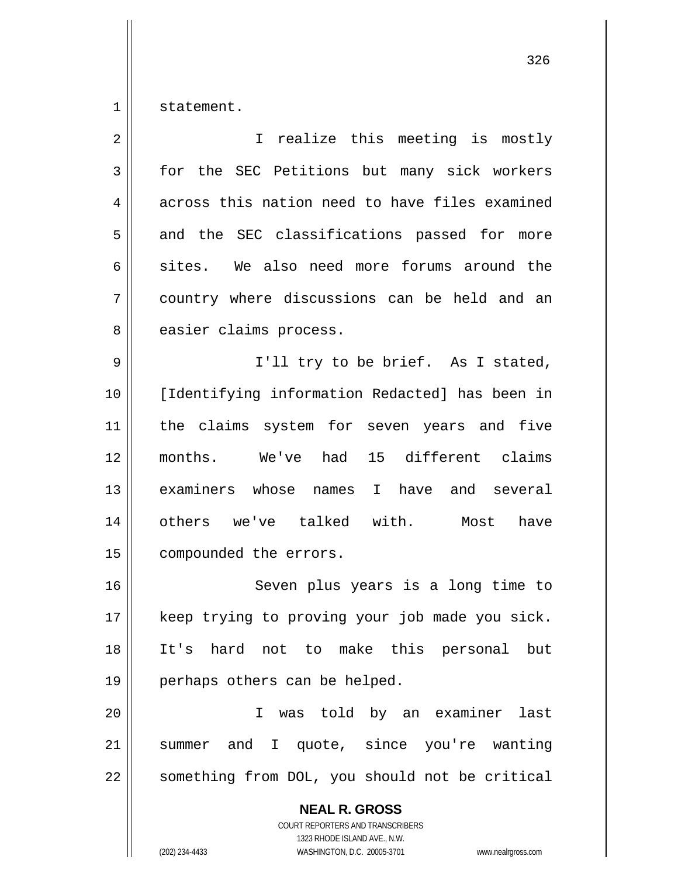1 statement.

| $\overline{2}$ | I realize this meeting is mostly                                                                |
|----------------|-------------------------------------------------------------------------------------------------|
| 3              | for the SEC Petitions but many sick workers                                                     |
| 4              | across this nation need to have files examined                                                  |
| 5              | and the SEC classifications passed for more                                                     |
| 6              | sites. We also need more forums around the                                                      |
| 7              | country where discussions can be held and an                                                    |
| 8              | easier claims process.                                                                          |
| 9              | I'll try to be brief. As I stated,                                                              |
| 10             | [Identifying information Redacted] has been in                                                  |
| 11             | the claims system for seven years and five                                                      |
| 12             | months. We've had 15 different claims                                                           |
| 13             | examiners whose names I have and several                                                        |
| 14             | others we've talked with. Most<br>have                                                          |
| 15             | compounded the errors.                                                                          |
| 16             | Seven plus years is a long time to                                                              |
| 17             | keep trying to proving your job made you sick.                                                  |
| 18             | It's hard not to make this personal but                                                         |
| 19             | perhaps others can be helped.                                                                   |
| 20             | was told by an examiner<br>last<br>I                                                            |
| 21             | summer and I quote, since you're wanting                                                        |
| 22             | something from DOL, you should not be critical                                                  |
|                | <b>NEAL R. GROSS</b><br><b>COURT REPORTERS AND TRANSCRIBERS</b><br>1323 RHODE ISLAND AVE., N.W. |
|                | (202) 234-4433<br>WASHINGTON, D.C. 20005-3701<br>www.nealrgross.com                             |

<u>326</u>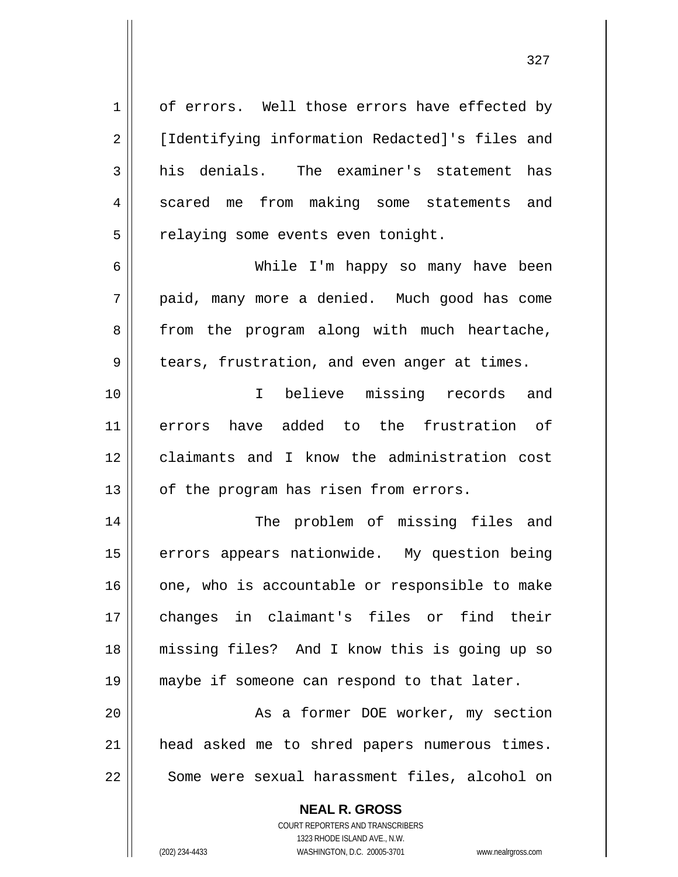1 2 3 4 5 6 7 8 9 10 11 12 13 14 15 16 17 18 19 of errors. Well those errors have effected by [Identifying information Redacted]'s files and his denials. The examiner's statement has scared me from making some statements and relaying some events even tonight. While I'm happy so many have been paid, many more a denied. Much good has come from the program along with much heartache, tears, frustration, and even anger at times. I believe missing records and errors have added to the frustration of claimants and I know the administration cost of the program has risen from errors. The problem of missing files and errors appears nationwide. My question being one, who is accountable or responsible to make changes in claimant's files or find their missing files? And I know this is going up so maybe if someone can respond to that later.

20 21 22 As a former DOE worker, my section head asked me to shred papers numerous times. Some were sexual harassment files, alcohol on

> **NEAL R. GROSS** COURT REPORTERS AND TRANSCRIBERS

> > 1323 RHODE ISLAND AVE., N.W.

(202) 234-4433 WASHINGTON, D.C. 20005-3701 www.nealrgross.com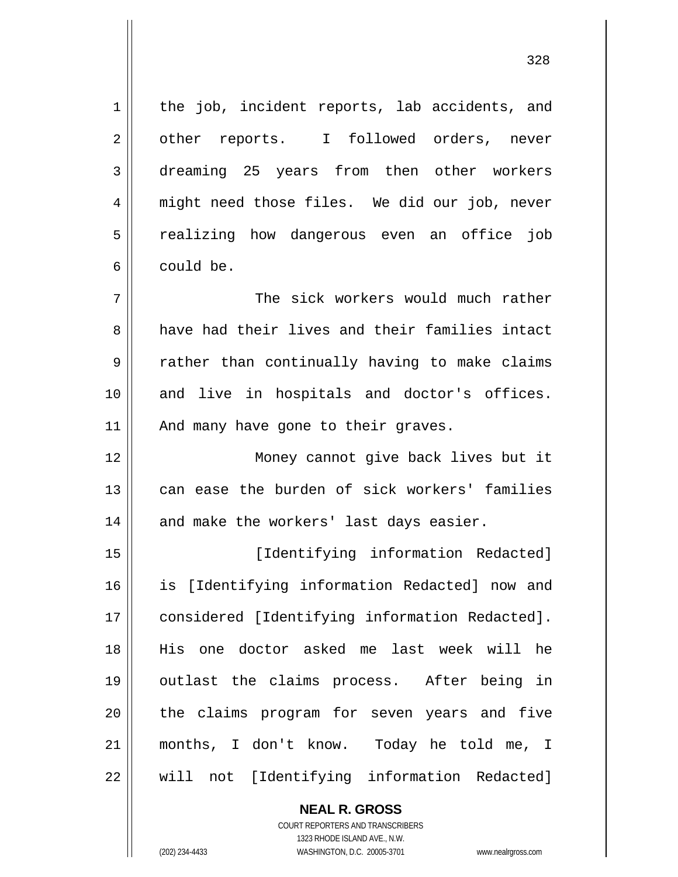the job, incident reports, lab accidents, and other reports. I followed orders, never dreaming 25 years from then other workers might need those files. We did our job, never realizing how dangerous even an office job could be.

7 8 9 10 11 The sick workers would much rather have had their lives and their families intact rather than continually having to make claims and live in hospitals and doctor's offices. And many have gone to their graves.

 Money cannot give back lives but it can ease the burden of sick workers' families and make the workers' last days easier.

15 16 17 18 19 20 21 22 [Identifying information Redacted] is [Identifying information Redacted] now and considered [Identifying information Redacted]. His one doctor asked me last week will he outlast the claims process. After being in the claims program for seven years and five months, I don't know. Today he told me, I will not [Identifying information Redacted]

> **NEAL R. GROSS** COURT REPORTERS AND TRANSCRIBERS 1323 RHODE ISLAND AVE., N.W. (202) 234-4433 WASHINGTON, D.C. 20005-3701 www.nealrgross.com

1

2

3

4

5

6

12

13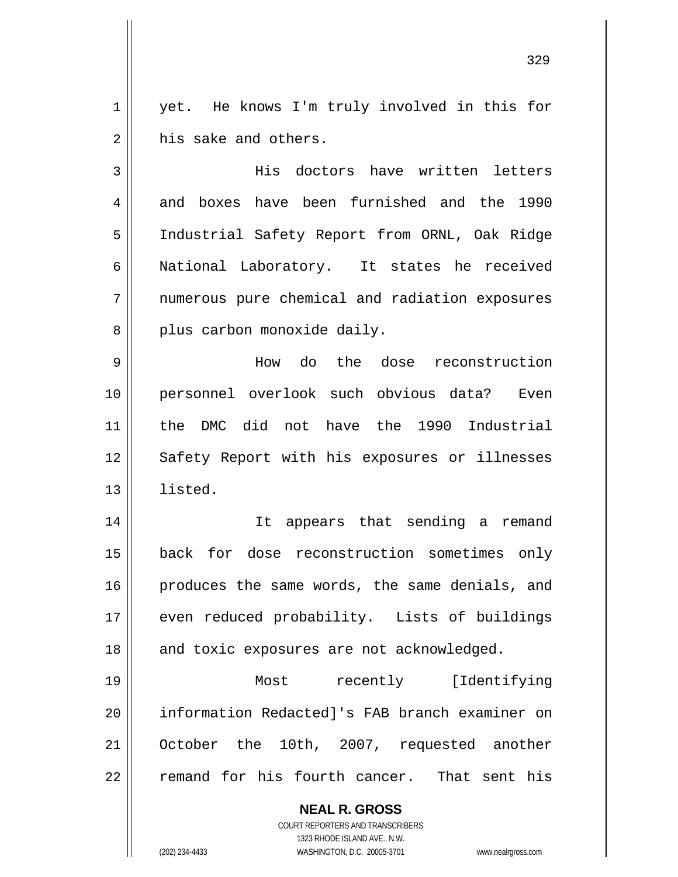1 2 yet. He knows I'm truly involved in this for his sake and others.

3 4 5 6 7 8 His doctors have written letters and boxes have been furnished and the 1990 Industrial Safety Report from ORNL, Oak Ridge National Laboratory. It states he received numerous pure chemical and radiation exposures plus carbon monoxide daily.

9 10 11 12 13 How do the dose reconstruction personnel overlook such obvious data? Even the DMC did not have the 1990 Industrial Safety Report with his exposures or illnesses listed.

14 15 16 17 18 It appears that sending a remand back for dose reconstruction sometimes only produces the same words, the same denials, and even reduced probability. Lists of buildings and toxic exposures are not acknowledged.

19 20 21 22 Most recently [Identifying information Redacted]'s FAB branch examiner on October the 10th, 2007, requested another remand for his fourth cancer. That sent his

> **NEAL R. GROSS** COURT REPORTERS AND TRANSCRIBERS 1323 RHODE ISLAND AVE., N.W.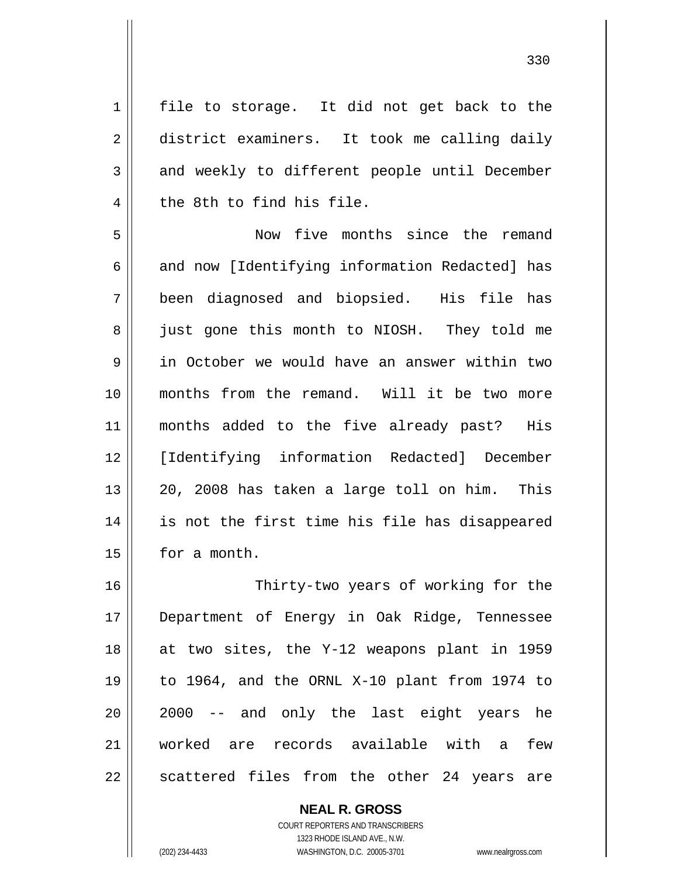1 2 3 4 file to storage. It did not get back to the district examiners. It took me calling daily and weekly to different people until December the 8th to find his file.

5 6 7 8 9 10 11 12 13 14 15 Now five months since the remand and now [Identifying information Redacted] has been diagnosed and biopsied. His file has just gone this month to NIOSH. They told me in October we would have an answer within two months from the remand. Will it be two more months added to the five already past? His [Identifying information Redacted] December 20, 2008 has taken a large toll on him. This is not the first time his file has disappeared for a month.

16 17 18 19 20 21 22 Thirty-two years of working for the Department of Energy in Oak Ridge, Tennessee at two sites, the Y-12 weapons plant in 1959 to 1964, and the ORNL X-10 plant from 1974 to 2000 -- and only the last eight years he worked are records available with a few scattered files from the other 24 years are

> **NEAL R. GROSS** COURT REPORTERS AND TRANSCRIBERS

> > 1323 RHODE ISLAND AVE., N.W.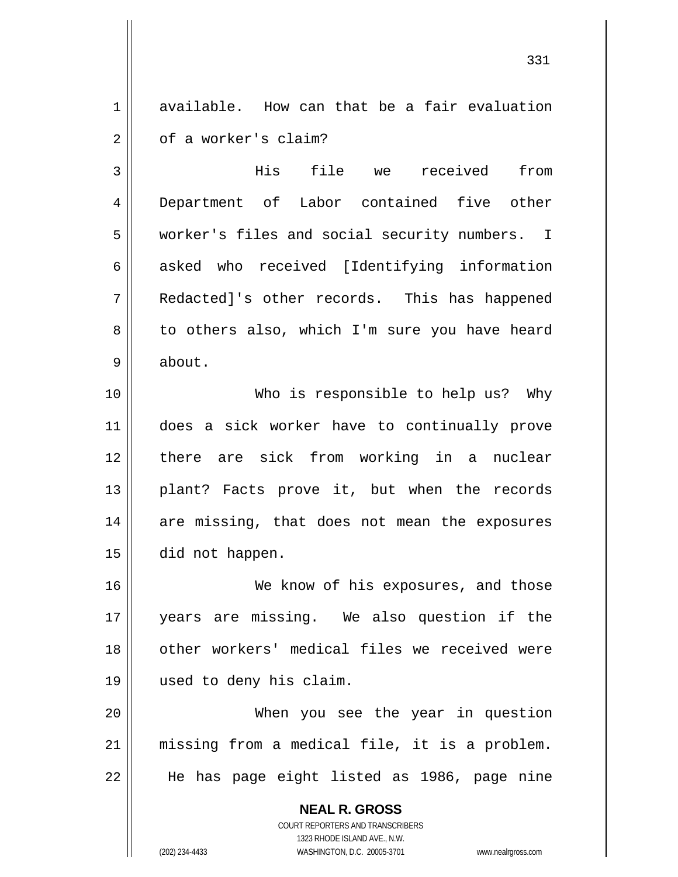1 2 available. How can that be a fair evaluation of a worker's claim?

3 4 5 6 7 8 9 His file we received from Department of Labor contained five other worker's files and social security numbers. I asked who received [Identifying information Redacted]'s other records. This has happened to others also, which I'm sure you have heard about.

10 11 12 13 14 15 Who is responsible to help us? Why does a sick worker have to continually prove there are sick from working in a nuclear plant? Facts prove it, but when the records are missing, that does not mean the exposures did not happen.

16 17 18 19 We know of his exposures, and those years are missing. We also question if the other workers' medical files we received were used to deny his claim.

20 21 22 When you see the year in question missing from a medical file, it is a problem. He has page eight listed as 1986, page nine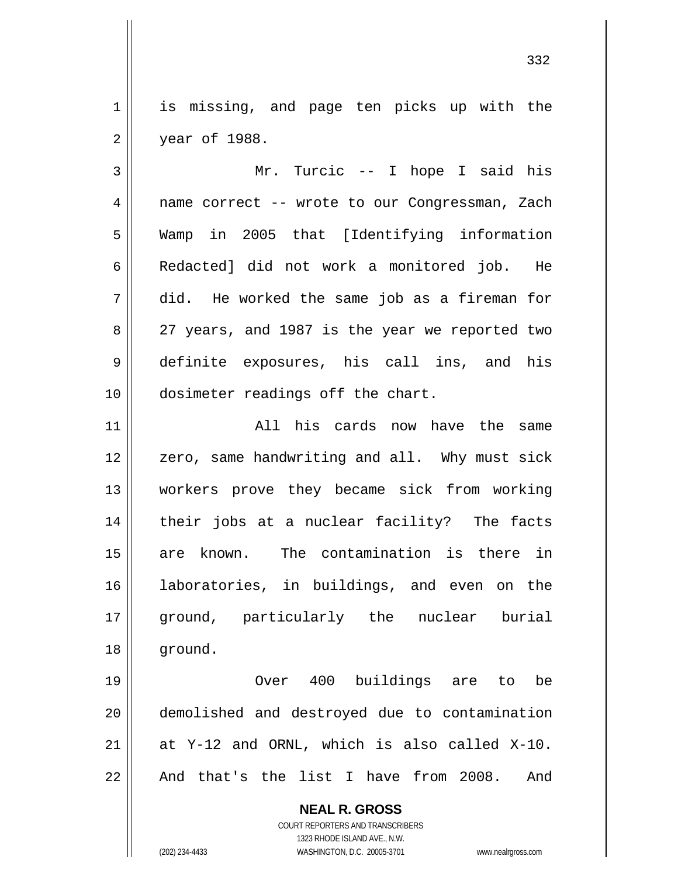1 2 is missing, and page ten picks up with the year of 1988.

3 4 5 6 7 8 9 10 Mr. Turcic -- I hope I said his name correct -- wrote to our Congressman, Zach Wamp in 2005 that [Identifying information Redacted] did not work a monitored job. He did. He worked the same job as a fireman for 27 years, and 1987 is the year we reported two definite exposures, his call ins, and his dosimeter readings off the chart.

11 12 13 14 15 16 17 18 All his cards now have the same zero, same handwriting and all. Why must sick workers prove they became sick from working their jobs at a nuclear facility? The facts are known. The contamination is there in laboratories, in buildings, and even on the ground, particularly the nuclear burial ground.

19 20 21 22 Over 400 buildings are to be demolished and destroyed due to contamination at Y-12 and ORNL, which is also called X-10. And that's the list I have from 2008. And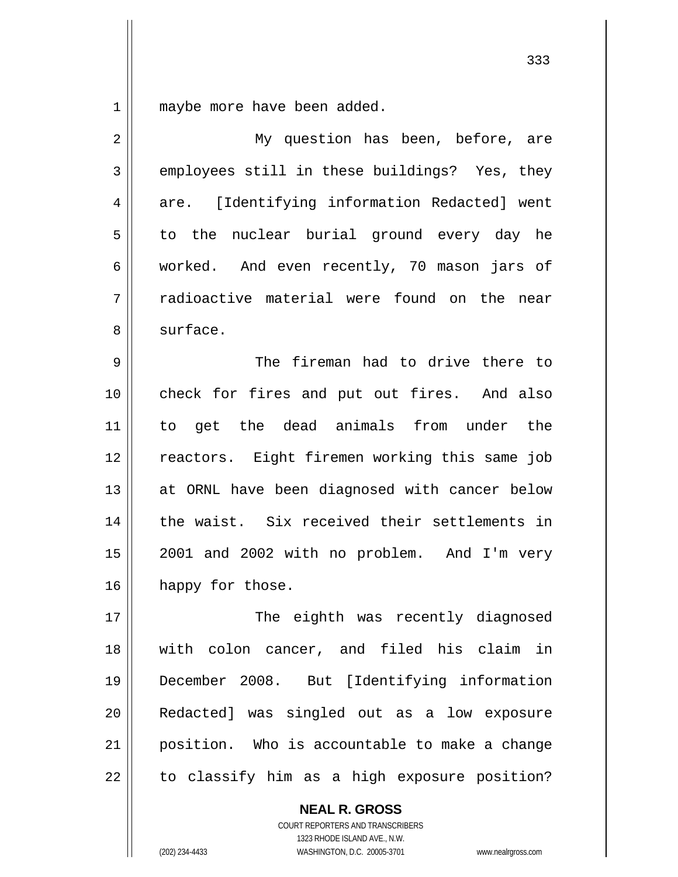1 maybe more have been added.

| $\overline{2}$ | My question has been, before, are             |
|----------------|-----------------------------------------------|
| 3              | employees still in these buildings? Yes, they |
| 4              | are. [Identifying information Redacted] went  |
| 5              | to the nuclear burial ground every day he     |
| 6              | worked. And even recently, 70 mason jars of   |
| 7              | radioactive material were found on the near   |
| 8              | surface.                                      |
| 9              | The fireman had to drive there to             |
| 10             | check for fires and put out fires. And also   |
| 11             | to get the dead animals from under the        |
| 12             | reactors. Eight firemen working this same job |
| 13             | at ORNL have been diagnosed with cancer below |
| 14             | the waist. Six received their settlements in  |
| 15             | 2001 and 2002 with no problem. And I'm very   |
| 16             | happy for those.                              |
| 17             | The eighth was recently diagnosed             |
| 18             | with colon cancer, and filed his claim in     |
| 19             | December 2008. But [Identifying information   |
| 20             | Redacted] was singled out as a low exposure   |
| 21             | position. Who is accountable to make a change |
| 22             | to classify him as a high exposure position?  |

**NEAL R. GROSS** COURT REPORTERS AND TRANSCRIBERS 1323 RHODE ISLAND AVE., N.W.

(202) 234-4433 WASHINGTON, D.C. 20005-3701 www.nealrgross.com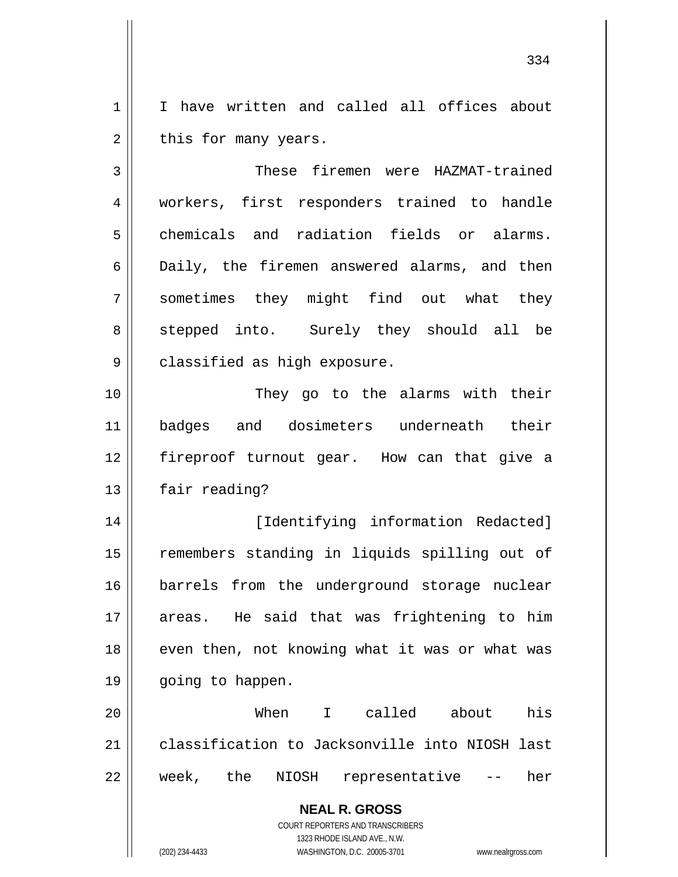1 2 I have written and called all offices about this for many years.

3 4 5 6 7 8 9 These firemen were HAZMAT-trained workers, first responders trained to handle chemicals and radiation fields or alarms. Daily, the firemen answered alarms, and then sometimes they might find out what they stepped into. Surely they should all be classified as high exposure.

10 11 12 13 They go to the alarms with their badges and dosimeters underneath their fireproof turnout gear. How can that give a fair reading?

14 15 16 17 18 19 [Identifying information Redacted] remembers standing in liquids spilling out of barrels from the underground storage nuclear areas. He said that was frightening to him even then, not knowing what it was or what was going to happen.

20 21 22 When I called about his classification to Jacksonville into NIOSH last week, the NIOSH representative -- her

> **NEAL R. GROSS** COURT REPORTERS AND TRANSCRIBERS 1323 RHODE ISLAND AVE., N.W.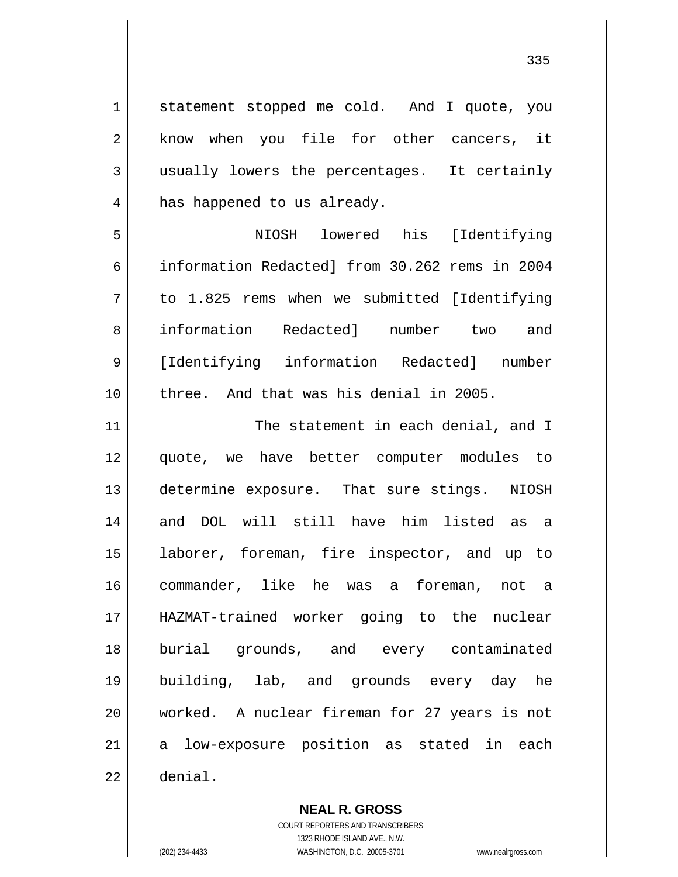1 2 3 4 5 6 7 8 9 10 11 12 13 14 15 16 17 18 19 20 21 22 statement stopped me cold. And I quote, you know when you file for other cancers, it usually lowers the percentages. It certainly has happened to us already. NIOSH lowered his [Identifying information Redacted] from 30.262 rems in 2004 to 1.825 rems when we submitted [Identifying information Redacted] number two and [Identifying information Redacted] number three. And that was his denial in 2005. The statement in each denial, and I quote, we have better computer modules to determine exposure. That sure stings. NIOSH and DOL will still have him listed as a laborer, foreman, fire inspector, and up to commander, like he was a foreman, not a HAZMAT-trained worker going to the nuclear burial grounds, and every contaminated building, lab, and grounds every day he worked. A nuclear fireman for 27 years is not a low-exposure position as stated in each denial.

> **NEAL R. GROSS** COURT REPORTERS AND TRANSCRIBERS

> > 1323 RHODE ISLAND AVE., N.W.

(202) 234-4433 WASHINGTON, D.C. 20005-3701 www.nealrgross.com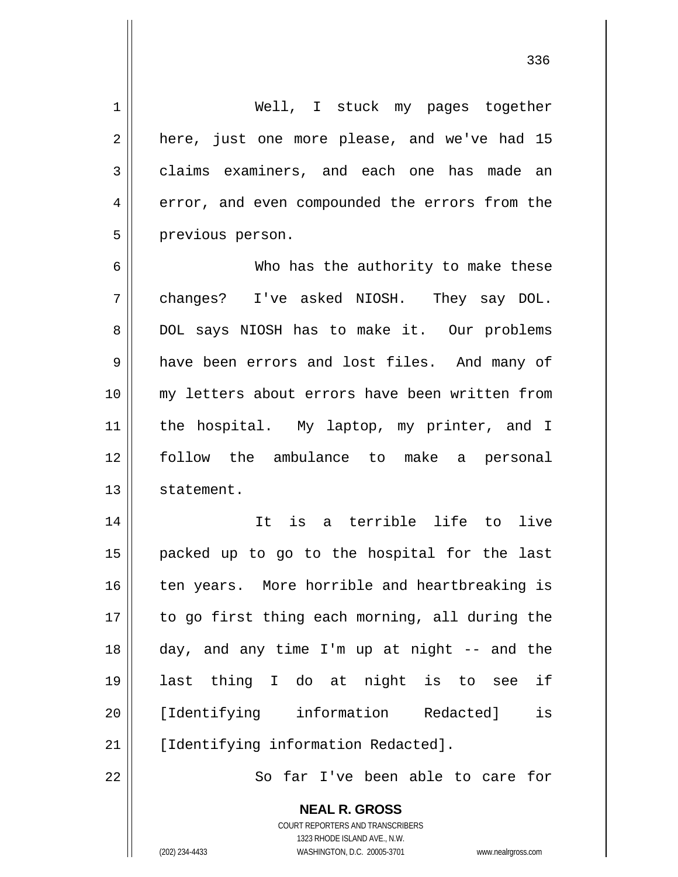1 2 3 4 5 6 7 8 9 10 11 12 13 14 15 16 17 18 19 20 21 22 Well, I stuck my pages together here, just one more please, and we've had 15 claims examiners, and each one has made an error, and even compounded the errors from the previous person. Who has the authority to make these changes? I've asked NIOSH. They say DOL. DOL says NIOSH has to make it. Our problems have been errors and lost files. And many of my letters about errors have been written from the hospital. My laptop, my printer, and I follow the ambulance to make a personal statement. It is a terrible life to live packed up to go to the hospital for the last ten years. More horrible and heartbreaking is to go first thing each morning, all during the day, and any time I'm up at night -- and the last thing I do at night is to see if [Identifying information Redacted] is [Identifying information Redacted]. So far I've been able to care for

336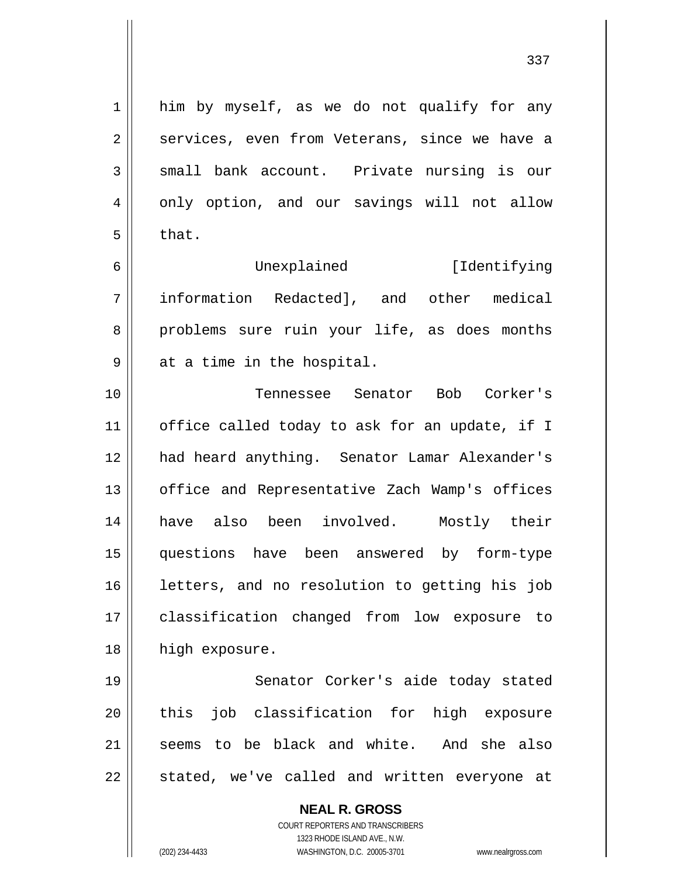him by myself, as we do not qualify for any services, even from Veterans, since we have a small bank account. Private nursing is our only option, and our savings will not allow

Unexplained [Identifying information Redacted], and other medical problems sure ruin your life, as does months at a time in the hospital.

10 11 12 13 14 15 16 17 18 Tennessee Senator Bob Corker's office called today to ask for an update, if I had heard anything. Senator Lamar Alexander's office and Representative Zach Wamp's offices have also been involved. Mostly their questions have been answered by form-type letters, and no resolution to getting his job classification changed from low exposure to high exposure.

19 20 21 22 Senator Corker's aide today stated this job classification for high exposure seems to be black and white. And she also stated, we've called and written everyone at

## **NEAL R. GROSS**

COURT REPORTERS AND TRANSCRIBERS 1323 RHODE ISLAND AVE., N.W. (202) 234-4433 WASHINGTON, D.C. 20005-3701 www.nealrgross.com

1

2

3

4

5

that.

6

7

8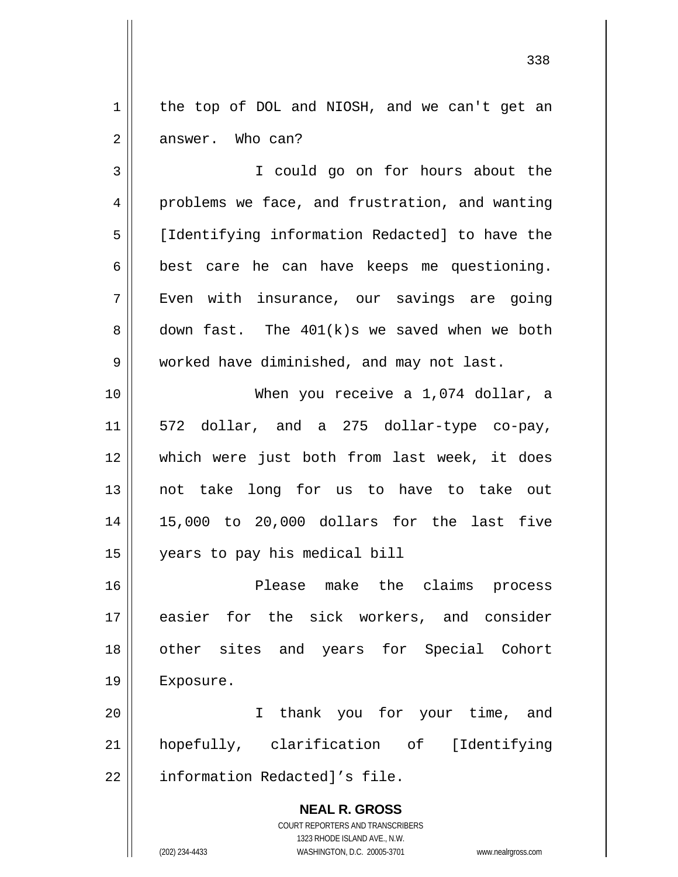1 2 the top of DOL and NIOSH, and we can't get an answer. Who can?

3 4 5 6 7 8 9 I could go on for hours about the problems we face, and frustration, and wanting [Identifying information Redacted] to have the best care he can have keeps me questioning. Even with insurance, our savings are going down fast. The 401(k)s we saved when we both worked have diminished, and may not last.

10 11 12 13 14 15 When you receive a 1,074 dollar, a 572 dollar, and a 275 dollar-type co-pay, which were just both from last week, it does not take long for us to have to take out 15,000 to 20,000 dollars for the last five years to pay his medical bill

16 17 18 19 Please make the claims process easier for the sick workers, and consider other sites and years for Special Cohort Exposure.

20 21 22 I thank you for your time, and hopefully, clarification of [Identifying information Redacted]'s file.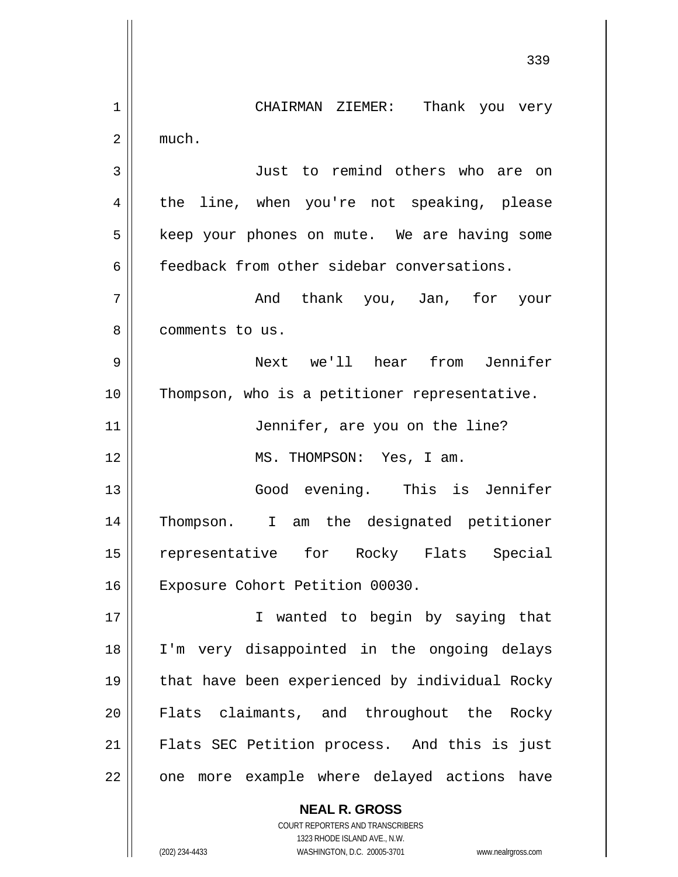339 1 2 3 4 5 6 7 8 9 10 11 12 13 14 15 16 17 18 19 20 21 22 CHAIRMAN ZIEMER: Thank you very much. Just to remind others who are on the line, when you're not speaking, please keep your phones on mute. We are having some feedback from other sidebar conversations. And thank you, Jan, for your comments to us. Next we'll hear from Jennifer Thompson, who is a petitioner representative. Jennifer, are you on the line? MS. THOMPSON: Yes, I am. Good evening. This is Jennifer Thompson. I am the designated petitioner representative for Rocky Flats Special Exposure Cohort Petition 00030. I wanted to begin by saying that I'm very disappointed in the ongoing delays that have been experienced by individual Rocky Flats claimants, and throughout the Rocky Flats SEC Petition process. And this is just one more example where delayed actions have

> COURT REPORTERS AND TRANSCRIBERS 1323 RHODE ISLAND AVE., N.W. (202) 234-4433 WASHINGTON, D.C. 20005-3701 www.nealrgross.com

**NEAL R. GROSS**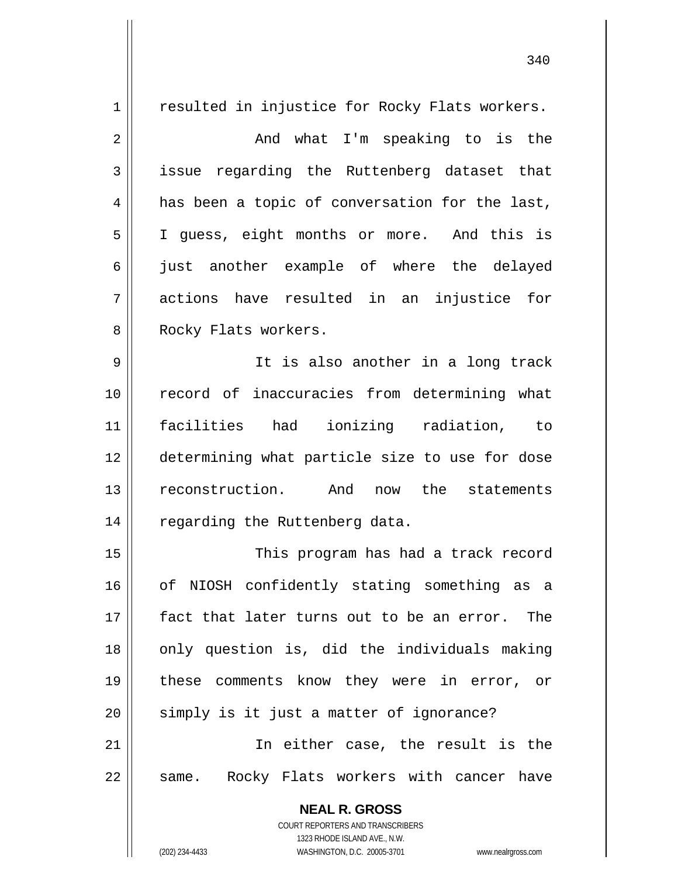**NEAL R. GROSS** COURT REPORTERS AND TRANSCRIBERS 1 2 3 4 5 6 7 8 9 10 11 12 13 14 15 16 17 18 19 20 21 22 resulted in injustice for Rocky Flats workers. And what I'm speaking to is the issue regarding the Ruttenberg dataset that has been a topic of conversation for the last, I guess, eight months or more. And this is just another example of where the delayed actions have resulted in an injustice for Rocky Flats workers. It is also another in a long track record of inaccuracies from determining what facilities had ionizing radiation, to determining what particle size to use for dose reconstruction. And now the statements regarding the Ruttenberg data. This program has had a track record of NIOSH confidently stating something as a fact that later turns out to be an error. The only question is, did the individuals making these comments know they were in error, or simply is it just a matter of ignorance? In either case, the result is the same. Rocky Flats workers with cancer have

340

1323 RHODE ISLAND AVE., N.W.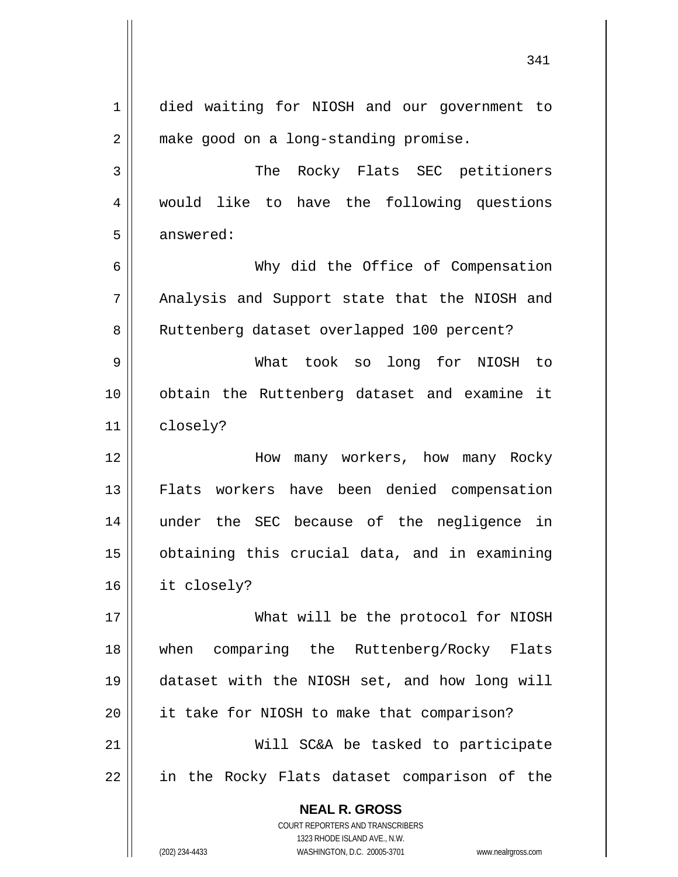**NEAL R. GROSS** COURT REPORTERS AND TRANSCRIBERS 1323 RHODE ISLAND AVE., N.W. 1 2 3 4 5 6 7 8 9 10 11 12 13 14 15 16 17 18 19 20 21 22 died waiting for NIOSH and our government to make good on a long-standing promise. The Rocky Flats SEC petitioners would like to have the following questions answered: Why did the Office of Compensation Analysis and Support state that the NIOSH and Ruttenberg dataset overlapped 100 percent? What took so long for NIOSH to obtain the Ruttenberg dataset and examine it closely? How many workers, how many Rocky Flats workers have been denied compensation under the SEC because of the negligence in obtaining this crucial data, and in examining it closely? What will be the protocol for NIOSH when comparing the Ruttenberg/Rocky Flats dataset with the NIOSH set, and how long will it take for NIOSH to make that comparison? Will SC&A be tasked to participate in the Rocky Flats dataset comparison of the

341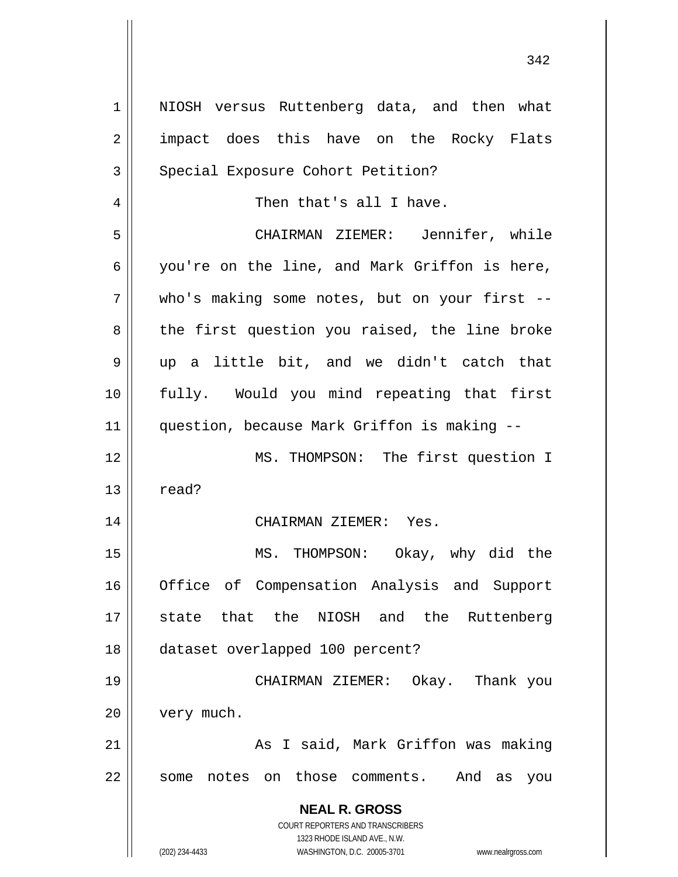| $\mathbf 1$ | NIOSH versus Ruttenberg data, and then what                         |
|-------------|---------------------------------------------------------------------|
| 2           | impact does this have on the Rocky Flats                            |
| 3           | Special Exposure Cohort Petition?                                   |
| 4           | Then that's all I have.                                             |
| 5           | CHAIRMAN ZIEMER: Jennifer, while                                    |
| 6           | you're on the line, and Mark Griffon is here,                       |
| 7           | who's making some notes, but on your first --                       |
| 8           | the first question you raised, the line broke                       |
| 9           | up a little bit, and we didn't catch that                           |
| 10          | fully. Would you mind repeating that first                          |
| 11          | question, because Mark Griffon is making --                         |
| 12          | MS. THOMPSON: The first question I                                  |
| 13          | read?                                                               |
| 14          | CHAIRMAN ZIEMER: Yes.                                               |
| 15          | MS. THOMPSON: Okay, why did the                                     |
| 16          | Office of Compensation Analysis and Support                         |
| 17          | state that the NIOSH and the<br>Ruttenberg                          |
| 18          | dataset overlapped 100 percent?                                     |
| 19          | CHAIRMAN ZIEMER:<br>Okay. Thank you                                 |
| 20          | very much.                                                          |
| 21          | As I said, Mark Griffon was making                                  |
| 22          | on those comments.<br>And<br>some notes<br>as<br>you                |
|             |                                                                     |
|             | <b>NEAL R. GROSS</b><br>COURT REPORTERS AND TRANSCRIBERS            |
|             | 1323 RHODE ISLAND AVE., N.W.                                        |
|             | WASHINGTON, D.C. 20005-3701<br>(202) 234-4433<br>www.nealrgross.com |

342

 $\mathsf{I}$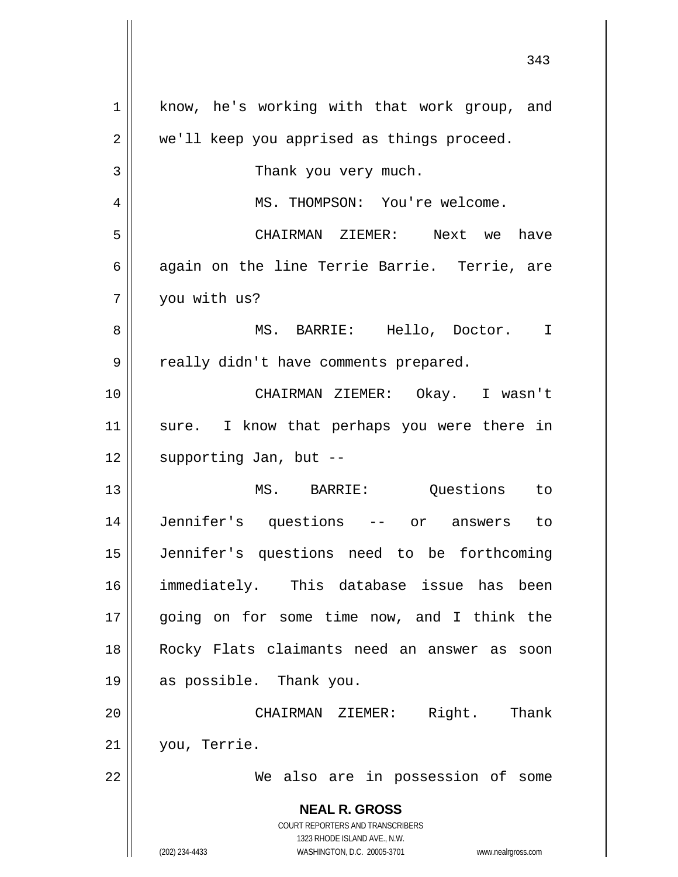| $\mathbf 1$    | know, he's working with that work group, and                                                        |
|----------------|-----------------------------------------------------------------------------------------------------|
| $\overline{2}$ | we'll keep you apprised as things proceed.                                                          |
| 3              | Thank you very much.                                                                                |
| 4              | MS. THOMPSON: You're welcome.                                                                       |
| 5              | CHAIRMAN ZIEMER: Next we have                                                                       |
| 6              | again on the line Terrie Barrie. Terrie, are                                                        |
| 7              | you with us?                                                                                        |
| 8              | MS. BARRIE: Hello, Doctor. I                                                                        |
| 9              | really didn't have comments prepared.                                                               |
| 10             | CHAIRMAN ZIEMER: Okay. I wasn't                                                                     |
| 11             | sure. I know that perhaps you were there in                                                         |
| 12             | supporting Jan, but --                                                                              |
| 13             | MS. BARRIE: Questions to                                                                            |
| 14             | Jennifer's questions -- or answers to                                                               |
| 15             | Jennifer's questions need to be forthcoming                                                         |
| 16             | immediately. This database issue has been                                                           |
| 17             | going on for some time now, and I think the                                                         |
| 18             | Rocky Flats claimants need an answer as soon                                                        |
| 19             | as possible. Thank you.                                                                             |
| 20             | CHAIRMAN ZIEMER: Right. Thank                                                                       |
| 21             | you, Terrie.                                                                                        |
| 22             | We also are in possession of some                                                                   |
|                | <b>NEAL R. GROSS</b>                                                                                |
|                | COURT REPORTERS AND TRANSCRIBERS                                                                    |
|                | 1323 RHODE ISLAND AVE., N.W.<br>(202) 234-4433<br>WASHINGTON, D.C. 20005-3701<br>www.nealrgross.com |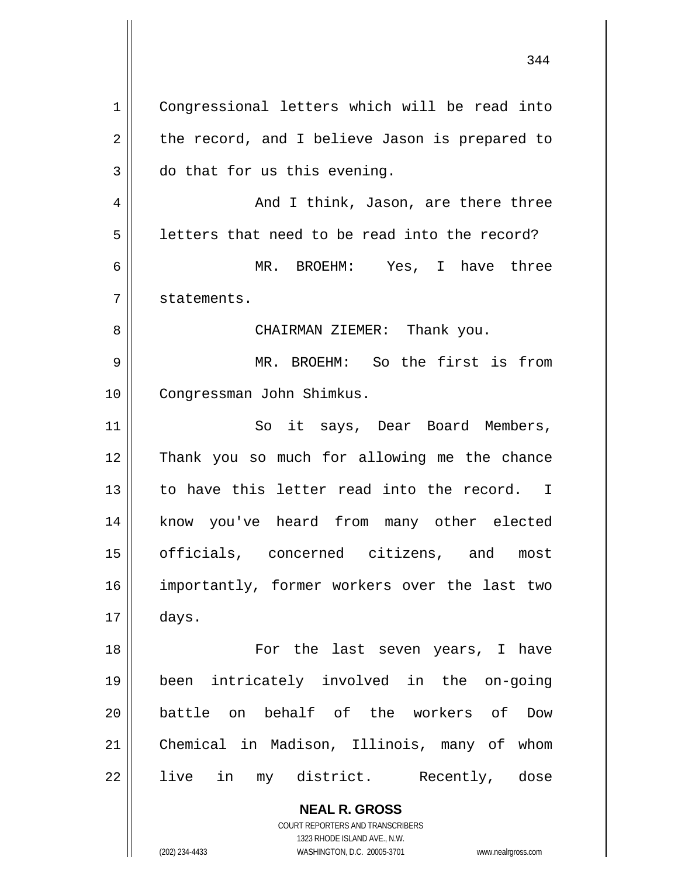**NEAL R. GROSS** 1 2 3 4 5 6 7 8 9 10 11 12 13 14 15 16 17 18 19 20 21 22 Congressional letters which will be read into the record, and I believe Jason is prepared to do that for us this evening. And I think, Jason, are there three letters that need to be read into the record? MR. BROEHM: Yes, I have three statements. CHAIRMAN ZIEMER: Thank you. MR. BROEHM: So the first is from Congressman John Shimkus. So it says, Dear Board Members, Thank you so much for allowing me the chance to have this letter read into the record. I know you've heard from many other elected officials, concerned citizens, and most importantly, former workers over the last two days. For the last seven years, I have been intricately involved in the on-going battle on behalf of the workers of Dow Chemical in Madison, Illinois, many of whom live in my district. Recently, dose

344

COURT REPORTERS AND TRANSCRIBERS 1323 RHODE ISLAND AVE., N.W.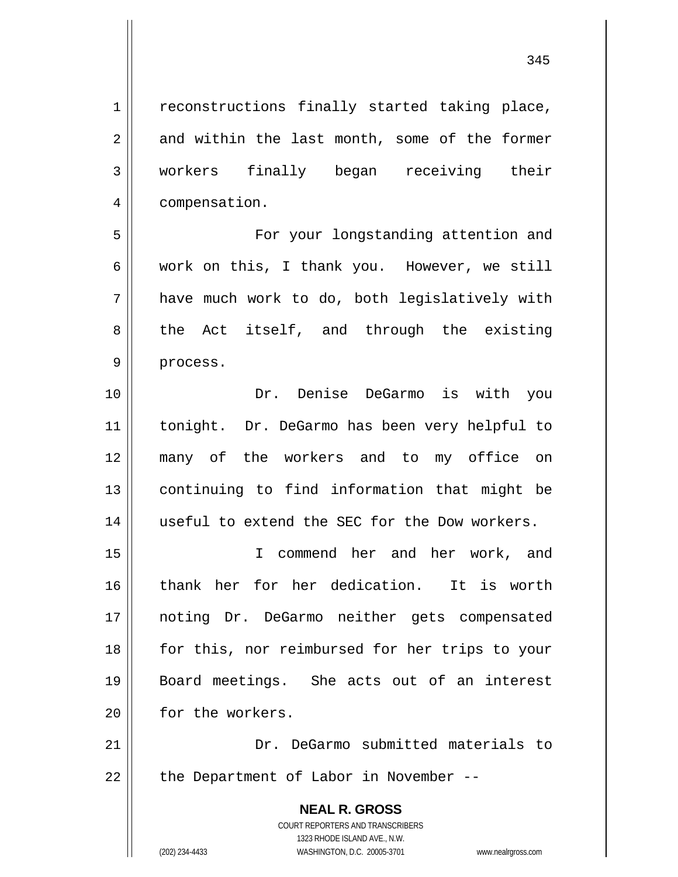reconstructions finally started taking place, and within the last month, some of the former workers finally began receiving their compensation.

 For your longstanding attention and work on this, I thank you. However, we still have much work to do, both legislatively with the Act itself, and through the existing process.

10 11 12 13 14 Dr. Denise DeGarmo is with you tonight. Dr. DeGarmo has been very helpful to many of the workers and to my office on continuing to find information that might be useful to extend the SEC for the Dow workers.

15 16 17 18 19 20 I commend her and her work, and thank her for her dedication. It is worth noting Dr. DeGarmo neither gets compensated for this, nor reimbursed for her trips to your Board meetings. She acts out of an interest for the workers.

21 22 Dr. DeGarmo submitted materials to the Department of Labor in November --

> **NEAL R. GROSS** COURT REPORTERS AND TRANSCRIBERS 1323 RHODE ISLAND AVE., N.W. (202) 234-4433 WASHINGTON, D.C. 20005-3701 www.nealrgross.com

1

2

3

4

5

6

7

8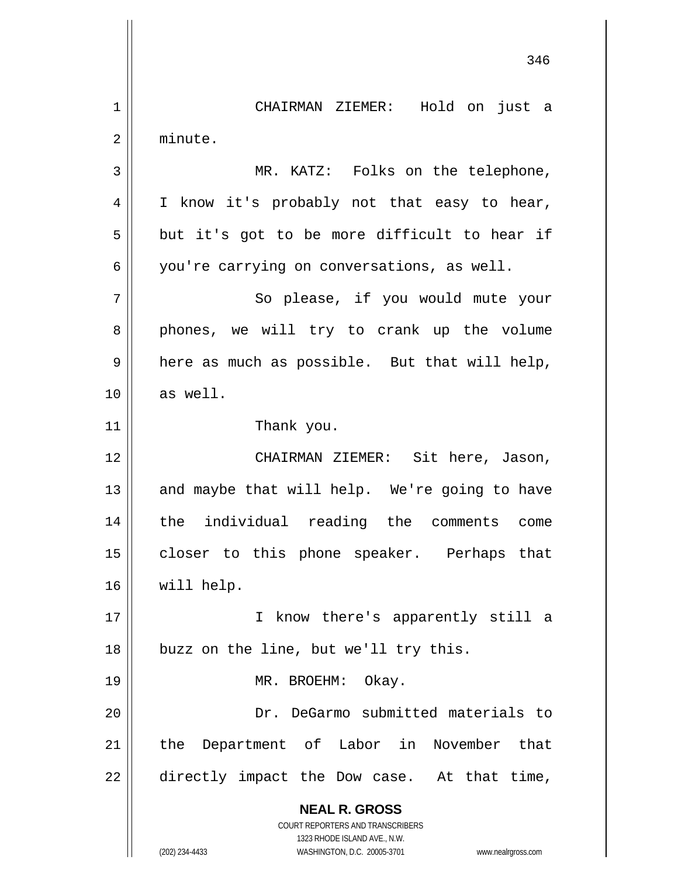**NEAL R. GROSS** COURT REPORTERS AND TRANSCRIBERS 1323 RHODE ISLAND AVE., N.W. (202) 234-4433 WASHINGTON, D.C. 20005-3701 www.nealrgross.com 346 1 2 3 4 5 6 7 8 9 10 11 12 13 14 15 16 17 18 19 20 21 22 CHAIRMAN ZIEMER: Hold on just a minute. MR. KATZ: Folks on the telephone, I know it's probably not that easy to hear, but it's got to be more difficult to hear if you're carrying on conversations, as well. So please, if you would mute your phones, we will try to crank up the volume here as much as possible. But that will help, as well. Thank you. CHAIRMAN ZIEMER: Sit here, Jason, and maybe that will help. We're going to have the individual reading the comments come closer to this phone speaker. Perhaps that will help. I know there's apparently still a buzz on the line, but we'll try this. MR. BROEHM: Okay. Dr. DeGarmo submitted materials to the Department of Labor in November that directly impact the Dow case. At that time,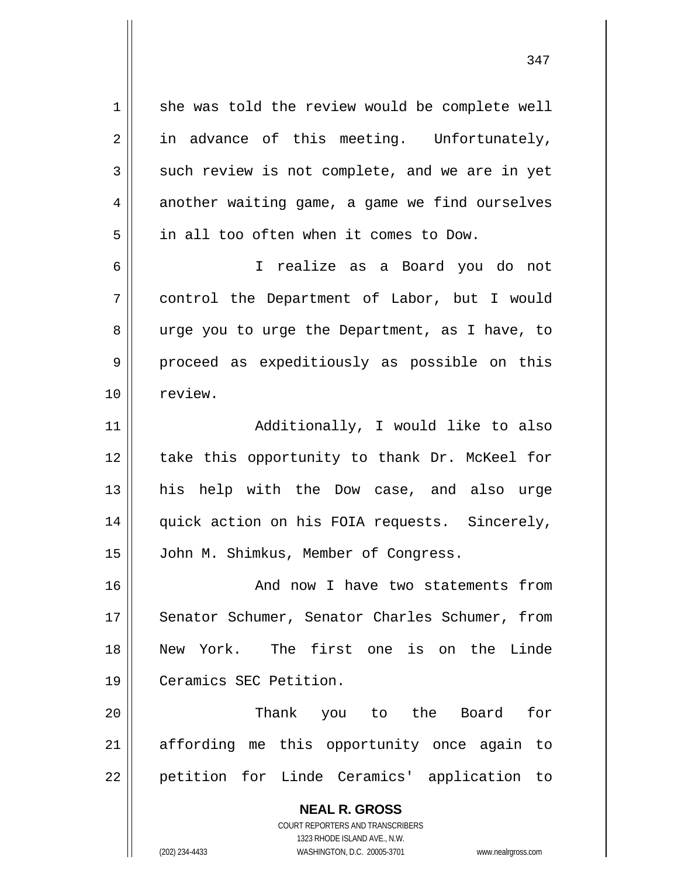she was told the review would be complete well in advance of this meeting. Unfortunately, such review is not complete, and we are in yet another waiting game, a game we find ourselves in all too often when it comes to Dow.

1

2

3

4

5

6

7

8

9

10

 I realize as a Board you do not control the Department of Labor, but I would urge you to urge the Department, as I have, to proceed as expeditiously as possible on this review.

11 12 13 14 15 Additionally, I would like to also take this opportunity to thank Dr. McKeel for his help with the Dow case, and also urge quick action on his FOIA requests. Sincerely, John M. Shimkus, Member of Congress.

16 17 18 19 And now I have two statements from Senator Schumer, Senator Charles Schumer, from New York. The first one is on the Linde Ceramics SEC Petition.

20 21 22 Thank you to the Board for affording me this opportunity once again to petition for Linde Ceramics' application to

> **NEAL R. GROSS** COURT REPORTERS AND TRANSCRIBERS 1323 RHODE ISLAND AVE., N.W. (202) 234-4433 WASHINGTON, D.C. 20005-3701 www.nealrgross.com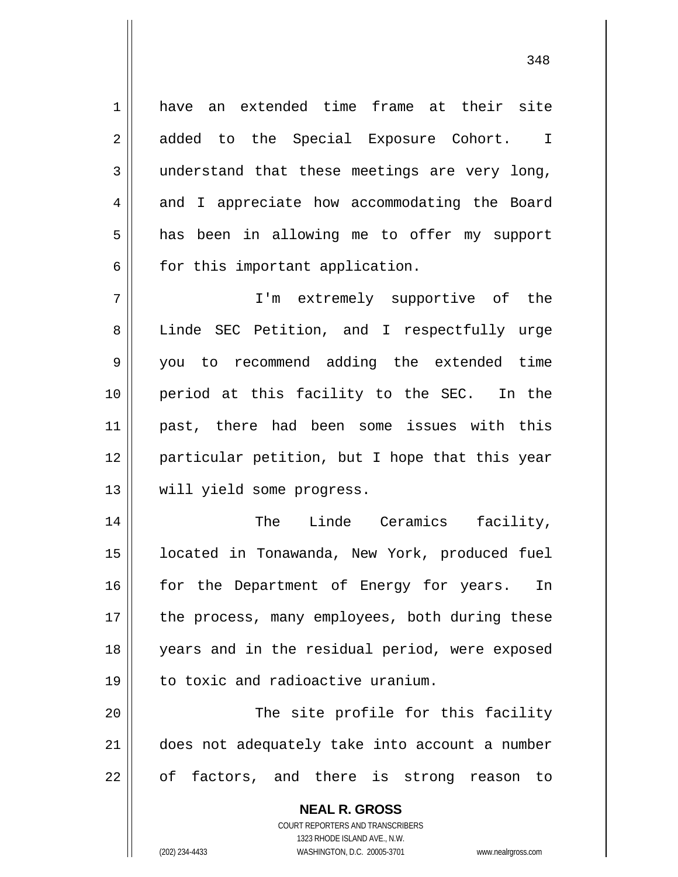1 2 3 4 5 6 7 8 9 10 11 12 13 14 15 have an extended time frame at their site added to the Special Exposure Cohort. I understand that these meetings are very long, and I appreciate how accommodating the Board has been in allowing me to offer my support for this important application. I'm extremely supportive of the Linde SEC Petition, and I respectfully urge you to recommend adding the extended time period at this facility to the SEC. In the past, there had been some issues with this particular petition, but I hope that this year will yield some progress. The Linde Ceramics facility, located in Tonawanda, New York, produced fuel

16 17 18 19 for the Department of Energy for years. In the process, many employees, both during these years and in the residual period, were exposed to toxic and radioactive uranium.

20 21 22 The site profile for this facility does not adequately take into account a number of factors, and there is strong reason to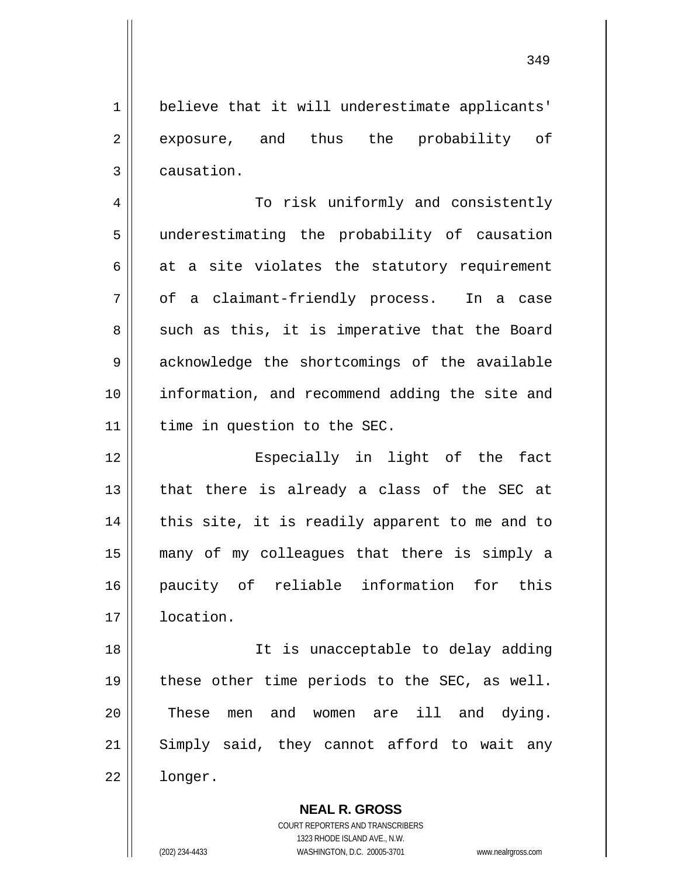believe that it will underestimate applicants' exposure, and thus the probability of causation.

1

2

3

4 5 6 7 8 9 10 11 To risk uniformly and consistently underestimating the probability of causation at a site violates the statutory requirement of a claimant-friendly process. In a case such as this, it is imperative that the Board acknowledge the shortcomings of the available information, and recommend adding the site and time in question to the SEC.

12 13 14 15 16 17 Especially in light of the fact that there is already a class of the SEC at this site, it is readily apparent to me and to many of my colleagues that there is simply a paucity of reliable information for this location.

18 19 20 21 22 It is unacceptable to delay adding these other time periods to the SEC, as well. These men and women are ill and dying. Simply said, they cannot afford to wait any longer.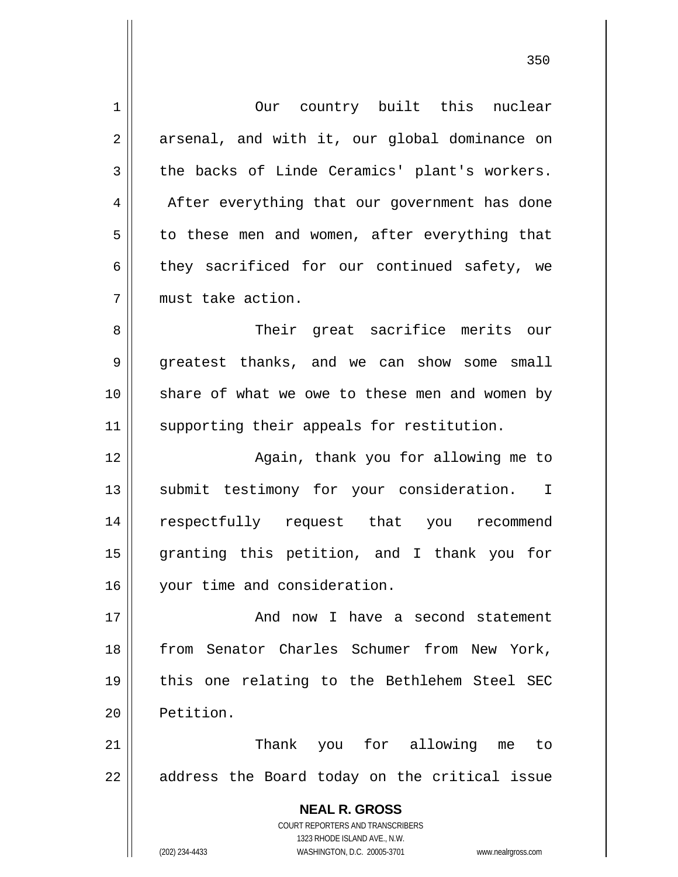**NEAL R. GROSS** COURT REPORTERS AND TRANSCRIBERS 1 2 3 4 5 6 7 8 9 10 11 12 13 14 15 16 17 18 19 20 21 22 Our country built this nuclear arsenal, and with it, our global dominance on the backs of Linde Ceramics' plant's workers. After everything that our government has done to these men and women, after everything that they sacrificed for our continued safety, we must take action. Their great sacrifice merits our greatest thanks, and we can show some small share of what we owe to these men and women by supporting their appeals for restitution. Again, thank you for allowing me to submit testimony for your consideration. I respectfully request that you recommend granting this petition, and I thank you for your time and consideration. And now I have a second statement from Senator Charles Schumer from New York, this one relating to the Bethlehem Steel SEC Petition. Thank you for allowing me to address the Board today on the critical issue

<u>350</u>

1323 RHODE ISLAND AVE., N.W.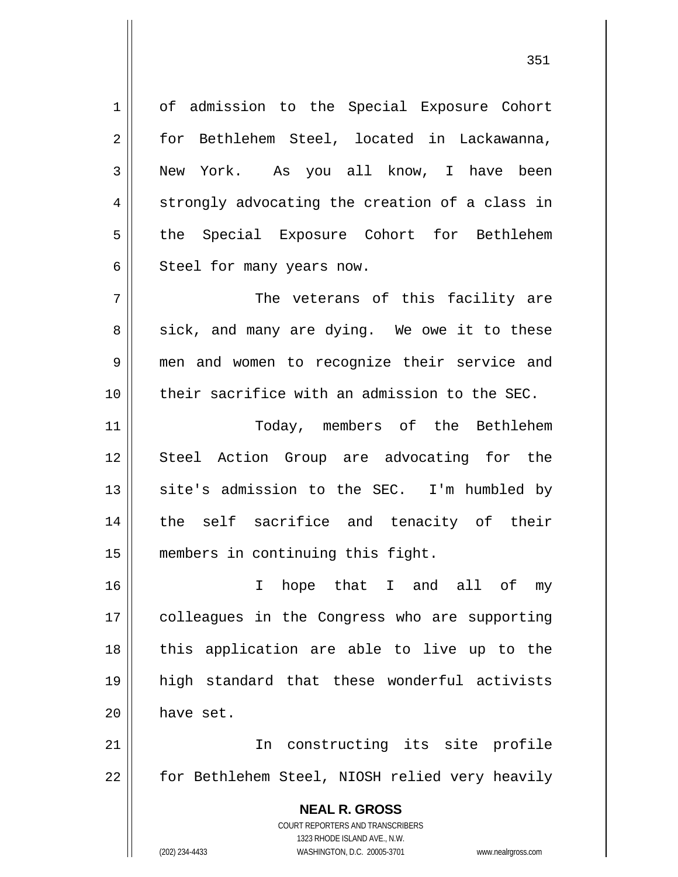1 2 3 4 5 6 7 8 9 10 11 12 13 14 15 16 17 18 19 20 21 of admission to the Special Exposure Cohort for Bethlehem Steel, located in Lackawanna, New York. As you all know, I have been strongly advocating the creation of a class in the Special Exposure Cohort for Bethlehem Steel for many years now. The veterans of this facility are sick, and many are dying. We owe it to these men and women to recognize their service and their sacrifice with an admission to the SEC. Today, members of the Bethlehem Steel Action Group are advocating for the site's admission to the SEC. I'm humbled by the self sacrifice and tenacity of their members in continuing this fight. I hope that I and all of my colleagues in the Congress who are supporting this application are able to live up to the high standard that these wonderful activists have set. In constructing its site profile

22 for Bethlehem Steel, NIOSH relied very heavily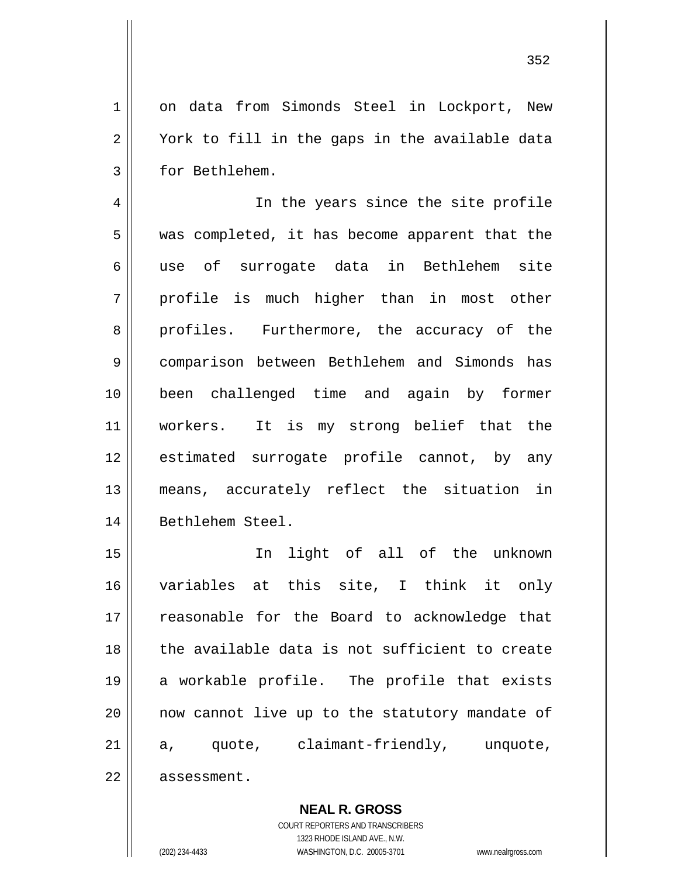on data from Simonds Steel in Lockport, New York to fill in the gaps in the available data for Bethlehem.

4 5 6 7 8 9 10 11 12 13 14 In the years since the site profile was completed, it has become apparent that the use of surrogate data in Bethlehem site profile is much higher than in most other profiles. Furthermore, the accuracy of the comparison between Bethlehem and Simonds has been challenged time and again by former workers. It is my strong belief that the estimated surrogate profile cannot, by any means, accurately reflect the situation in Bethlehem Steel.

15 16 17 18 19 20 21 22 In light of all of the unknown variables at this site, I think it only reasonable for the Board to acknowledge that the available data is not sufficient to create a workable profile. The profile that exists now cannot live up to the statutory mandate of a, quote, claimant-friendly, unquote, assessment.

**NEAL R. GROSS**

COURT REPORTERS AND TRANSCRIBERS 1323 RHODE ISLAND AVE., N.W. (202) 234-4433 WASHINGTON, D.C. 20005-3701 www.nealrgross.com

1

2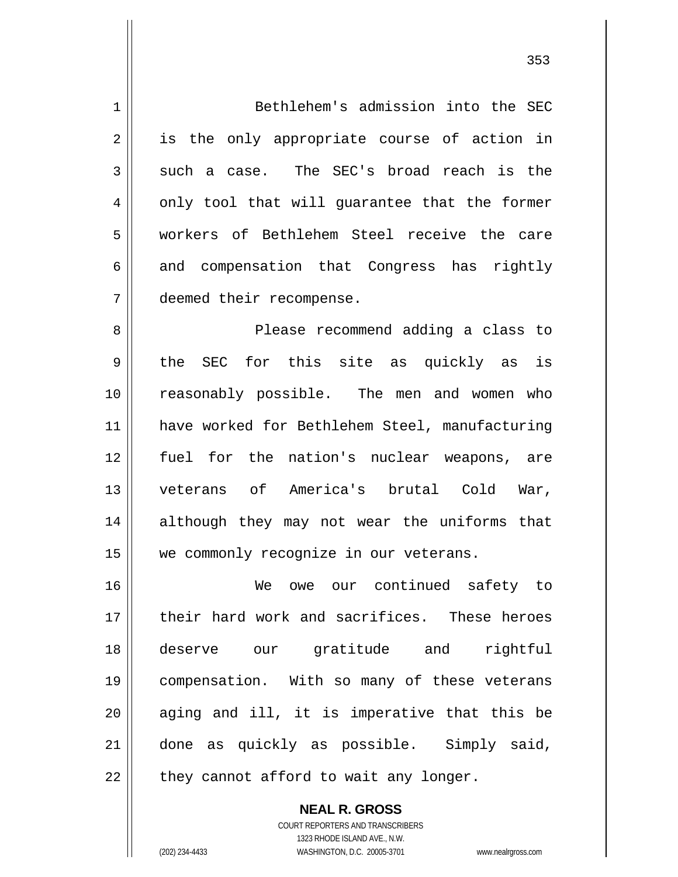1 2 3 4 5 6 7 8 9 10 11 12 13 14 15 16 17 18 19 20 21 22 Bethlehem's admission into the SEC is the only appropriate course of action in such a case. The SEC's broad reach is the only tool that will guarantee that the former workers of Bethlehem Steel receive the care and compensation that Congress has rightly deemed their recompense. Please recommend adding a class to the SEC for this site as quickly as is reasonably possible. The men and women who have worked for Bethlehem Steel, manufacturing fuel for the nation's nuclear weapons, are veterans of America's brutal Cold War, although they may not wear the uniforms that we commonly recognize in our veterans. We owe our continued safety to their hard work and sacrifices. These heroes deserve our gratitude and rightful compensation. With so many of these veterans aging and ill, it is imperative that this be done as quickly as possible. Simply said, they cannot afford to wait any longer.

> COURT REPORTERS AND TRANSCRIBERS 1323 RHODE ISLAND AVE., N.W. (202) 234-4433 WASHINGTON, D.C. 20005-3701 www.nealrgross.com

**NEAL R. GROSS**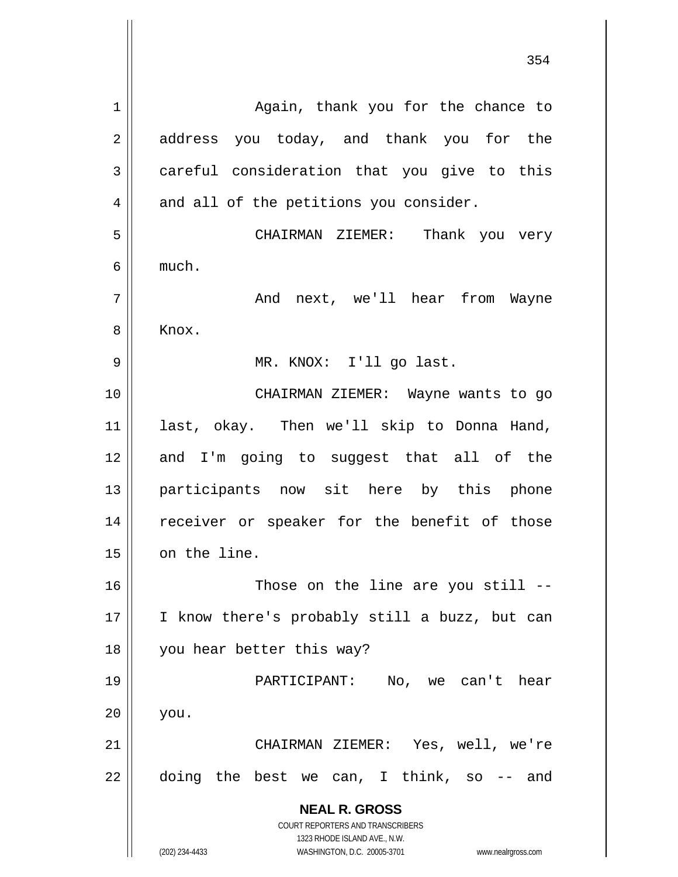**NEAL R. GROSS** COURT REPORTERS AND TRANSCRIBERS 1323 RHODE ISLAND AVE., N.W. (202) 234-4433 WASHINGTON, D.C. 20005-3701 www.nealrgross.com 354 1 2 3 4 5 6 7 8 9 10 11 12 13 14 15 16 17 18 19 20 21 22 Again, thank you for the chance to address you today, and thank you for the careful consideration that you give to this and all of the petitions you consider. CHAIRMAN ZIEMER: Thank you very much. And next, we'll hear from Wayne Knox. MR. KNOX: I'll go last. CHAIRMAN ZIEMER: Wayne wants to go last, okay. Then we'll skip to Donna Hand, and I'm going to suggest that all of the participants now sit here by this phone receiver or speaker for the benefit of those on the line. Those on the line are you still -- I know there's probably still a buzz, but can you hear better this way? PARTICIPANT: No, we can't hear you. CHAIRMAN ZIEMER: Yes, well, we're doing the best we can, I think, so -- and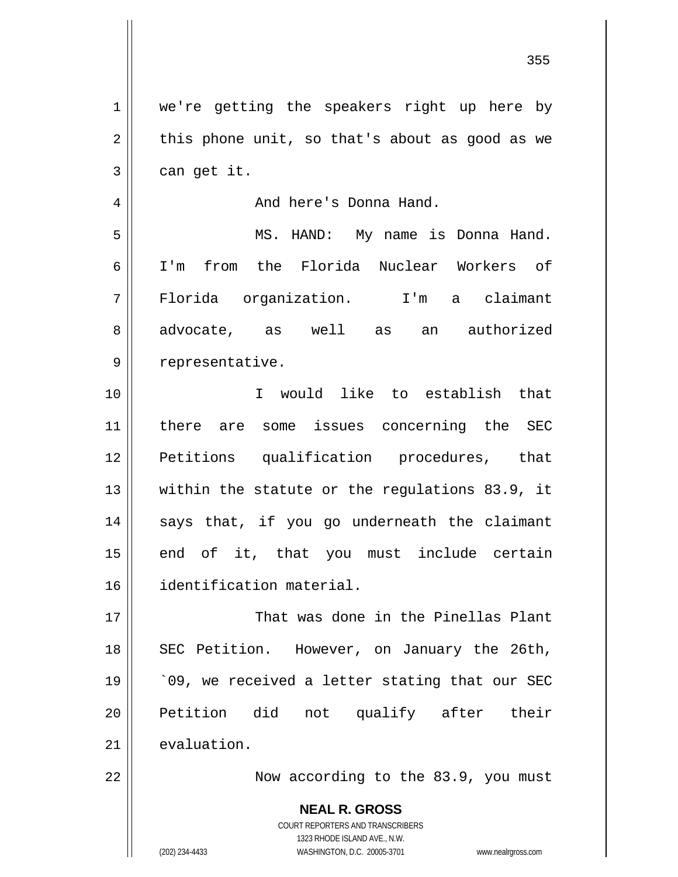1 2 3 4 5 6 7 8 9 10 11 12 13 14 15 16 17 18 19 20 21 22 we're getting the speakers right up here by this phone unit, so that's about as good as we can get it. And here's Donna Hand. MS. HAND: My name is Donna Hand. I'm from the Florida Nuclear Workers of Florida organization. I'm a claimant advocate, as well as an authorized representative. I would like to establish that there are some issues concerning the SEC Petitions qualification procedures, that within the statute or the regulations 83.9, it says that, if you go underneath the claimant end of it, that you must include certain identification material. That was done in the Pinellas Plant SEC Petition. However, on January the 26th, `09, we received a letter stating that our SEC Petition did not qualify after their evaluation. Now according to the 83.9, you must

<u>355 and 200 million and 200 million and 200 million and 200 million and 200 million and 200 million and 200 mi</u>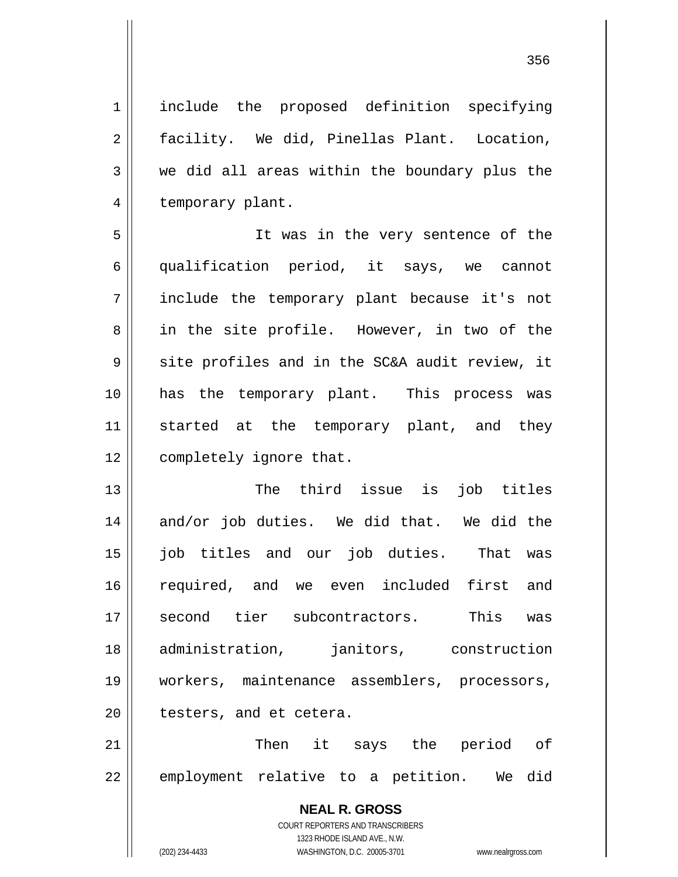<u>356 میں اس کی استعمال کرتا ہے۔ اس کی اس کی اس کی اس کی اس کی اس کی اس کی اس کی اس کی اس کی اس کی اس کی اس کی</u>

1 2 3 4 include the proposed definition specifying facility. We did, Pinellas Plant. Location, we did all areas within the boundary plus the temporary plant.

5 6 7 8 9 10 11 12 It was in the very sentence of the qualification period, it says, we cannot include the temporary plant because it's not in the site profile. However, in two of the site profiles and in the SC&A audit review, it has the temporary plant. This process was started at the temporary plant, and they completely ignore that.

13 14 15 16 17 18 19 20 The third issue is job titles and/or job duties. We did that. We did the job titles and our job duties. That was required, and we even included first and second tier subcontractors. This was administration, janitors, construction workers, maintenance assemblers, processors, testers, and et cetera.

21 22 Then it says the period of employment relative to a petition. We did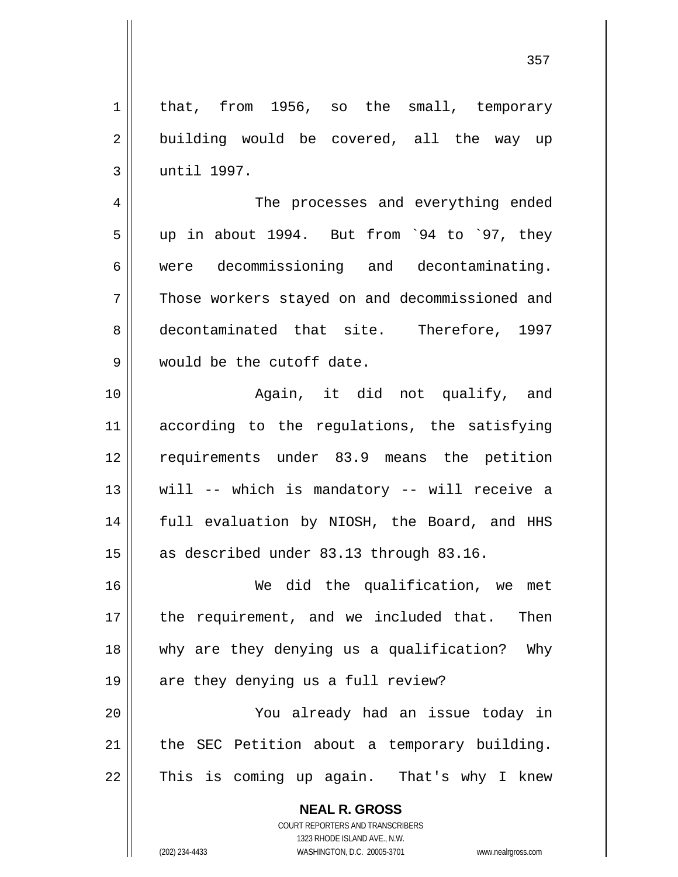1 2 3 4 5 6 7 8 9 10 11 12 13 14 15 16 17 18 19 20 21 22 that, from 1956, so the small, temporary building would be covered, all the way up until 1997. The processes and everything ended up in about 1994. But from `94 to `97, they were decommissioning and decontaminating. Those workers stayed on and decommissioned and decontaminated that site. Therefore, 1997 would be the cutoff date. Again, it did not qualify, and according to the regulations, the satisfying requirements under 83.9 means the petition will -- which is mandatory -- will receive a full evaluation by NIOSH, the Board, and HHS as described under 83.13 through 83.16. We did the qualification, we met the requirement, and we included that. Then why are they denying us a qualification? Why are they denying us a full review? You already had an issue today in the SEC Petition about a temporary building. This is coming up again. That's why I knew

> **NEAL R. GROSS** COURT REPORTERS AND TRANSCRIBERS 1323 RHODE ISLAND AVE., N.W.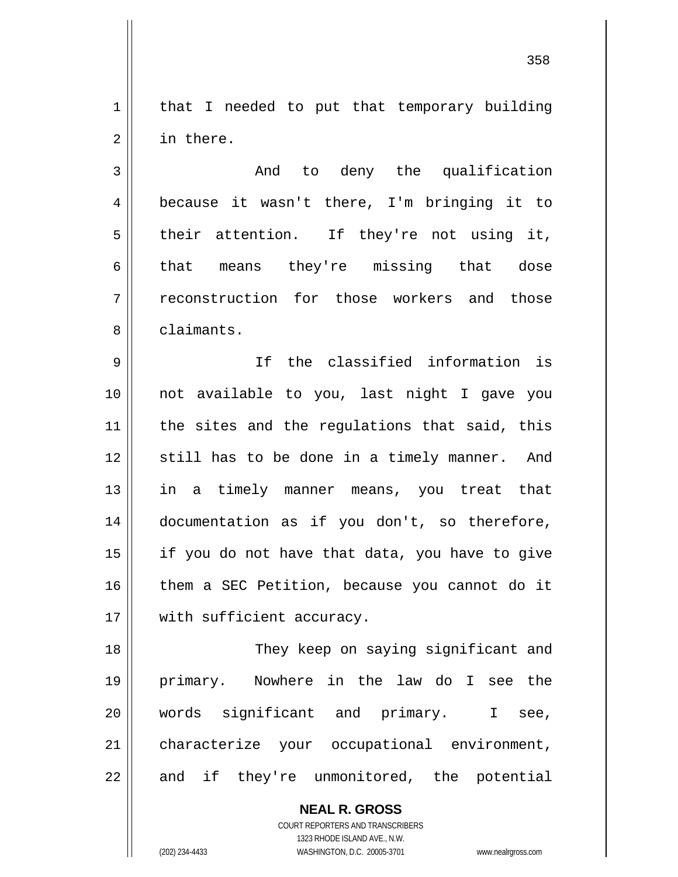1 2 that I needed to put that temporary building in there.

3 4 5 6 7 8 And to deny the qualification because it wasn't there, I'm bringing it to their attention. If they're not using it, that means they're missing that dose reconstruction for those workers and those claimants.

9 10 11 12 13 14 15 16 17 If the classified information is not available to you, last night I gave you the sites and the regulations that said, this still has to be done in a timely manner. And in a timely manner means, you treat that documentation as if you don't, so therefore, if you do not have that data, you have to give them a SEC Petition, because you cannot do it with sufficient accuracy.

18 19 20 21 22 They keep on saying significant and primary. Nowhere in the law do I see the words significant and primary. I see, characterize your occupational environment, and if they're unmonitored, the potential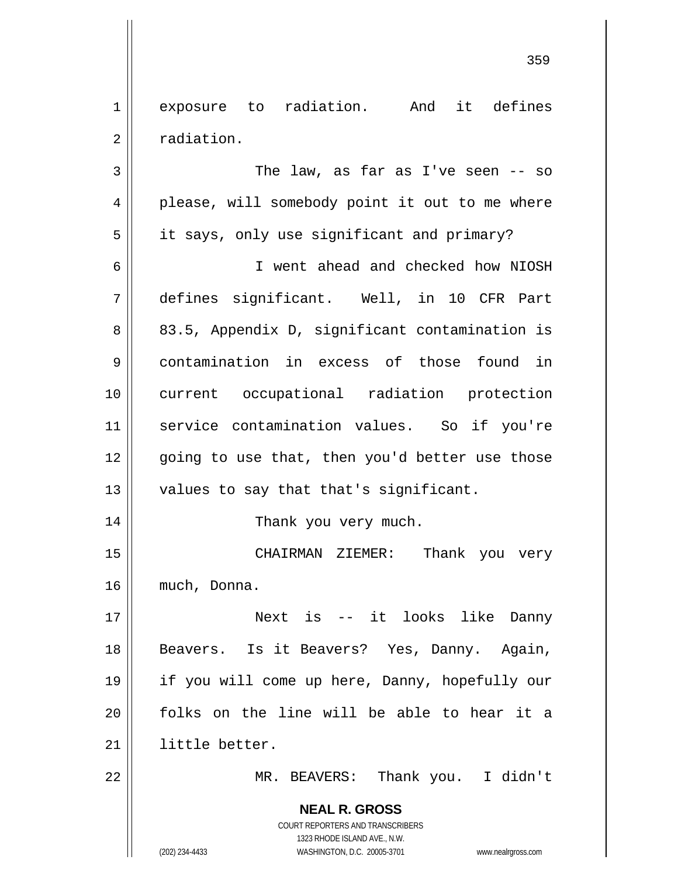1 2 exposure to radiation. And it defines radiation.

**NEAL R. GROSS** COURT REPORTERS AND TRANSCRIBERS 3 4 5 6 7 8 9 10 11 12 13 14 15 16 17 18 19 20 21 22 The law, as far as I've seen -- so please, will somebody point it out to me where it says, only use significant and primary? I went ahead and checked how NIOSH defines significant. Well, in 10 CFR Part 83.5, Appendix D, significant contamination is contamination in excess of those found in current occupational radiation protection service contamination values. So if you're going to use that, then you'd better use those values to say that that's significant. Thank you very much. CHAIRMAN ZIEMER: Thank you very much, Donna. Next is -- it looks like Danny Beavers. Is it Beavers? Yes, Danny. Again, if you will come up here, Danny, hopefully our folks on the line will be able to hear it a little better. MR. BEAVERS: Thank you. I didn't

1323 RHODE ISLAND AVE., N.W.

(202) 234-4433 WASHINGTON, D.C. 20005-3701 www.nealrgross.com

<u>359 and 200 million and 200 million and 200 million and 200 million and 200 million and 200 million and 200 mi</u>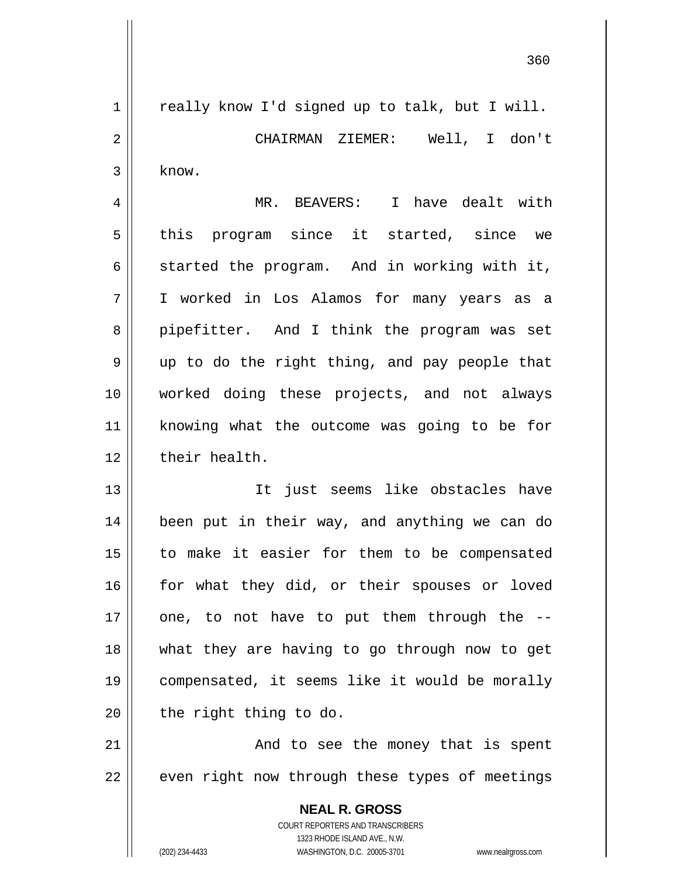<u>360</u>

**NEAL R. GROSS** 1 2 3 4 5 6 7 8 9 10 11 12 13 14 15 16 17 18 19 20 21 22 really know I'd signed up to talk, but I will. CHAIRMAN ZIEMER: Well, I don't know. MR. BEAVERS: I have dealt with this program since it started, since we started the program. And in working with it, I worked in Los Alamos for many years as a pipefitter. And I think the program was set up to do the right thing, and pay people that worked doing these projects, and not always knowing what the outcome was going to be for their health. It just seems like obstacles have been put in their way, and anything we can do to make it easier for them to be compensated for what they did, or their spouses or loved one, to not have to put them through the - what they are having to go through now to get compensated, it seems like it would be morally the right thing to do. And to see the money that is spent even right now through these types of meetings

> COURT REPORTERS AND TRANSCRIBERS 1323 RHODE ISLAND AVE., N.W.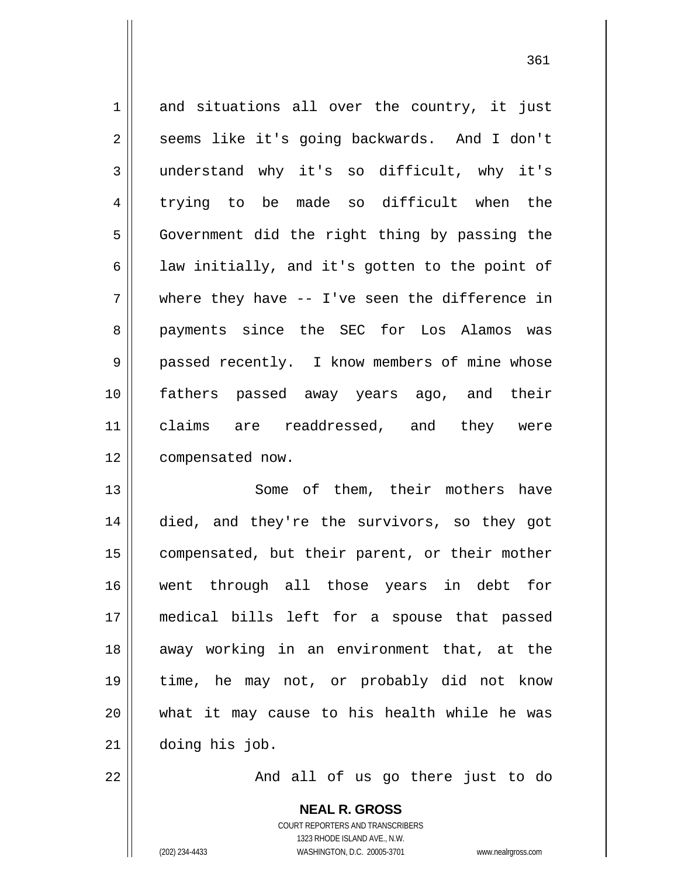1 2 3 4 5 6 7 8 9 10 11 12 and situations all over the country, it just seems like it's going backwards. And I don't understand why it's so difficult, why it's trying to be made so difficult when the Government did the right thing by passing the law initially, and it's gotten to the point of where they have -- I've seen the difference in payments since the SEC for Los Alamos was passed recently. I know members of mine whose fathers passed away years ago, and their claims are readdressed, and they were compensated now.

13 14 15 16 17 18 19 20 21 Some of them, their mothers have died, and they're the survivors, so they got compensated, but their parent, or their mother went through all those years in debt for medical bills left for a spouse that passed away working in an environment that, at the time, he may not, or probably did not know what it may cause to his health while he was doing his job.

And all of us go there just to do

**NEAL R. GROSS** COURT REPORTERS AND TRANSCRIBERS 1323 RHODE ISLAND AVE., N.W. (202) 234-4433 WASHINGTON, D.C. 20005-3701 www.nealrgross.com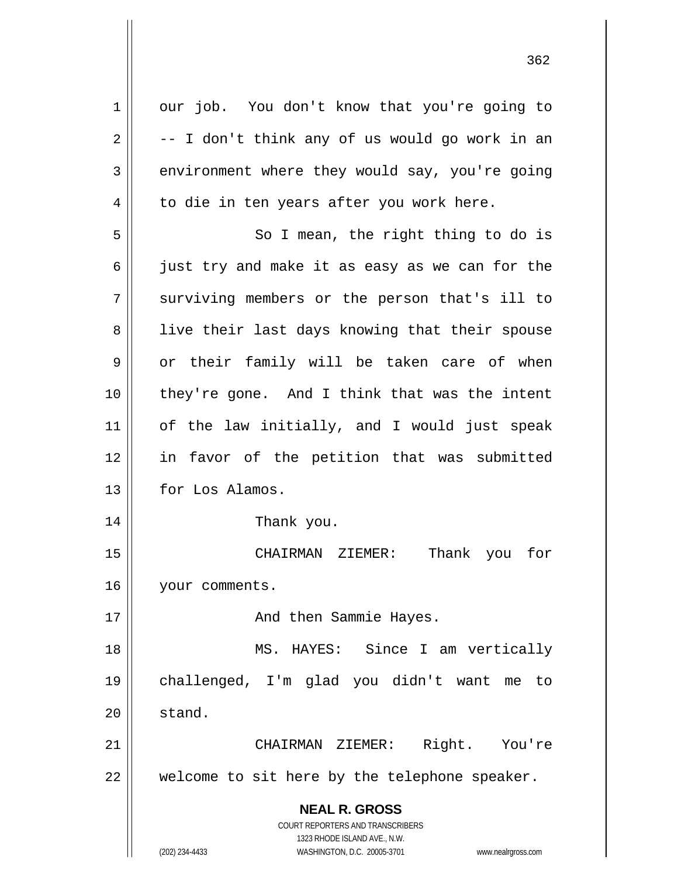**NEAL R. GROSS** COURT REPORTERS AND TRANSCRIBERS 1323 RHODE ISLAND AVE., N.W. 1 2 3 4 5 6 7 8 9 10 11 12 13 14 15 16 17 18 19 20 21 22 our job. You don't know that you're going to -- I don't think any of us would go work in an environment where they would say, you're going to die in ten years after you work here. So I mean, the right thing to do is just try and make it as easy as we can for the surviving members or the person that's ill to live their last days knowing that their spouse or their family will be taken care of when they're gone. And I think that was the intent of the law initially, and I would just speak in favor of the petition that was submitted for Los Alamos. Thank you. CHAIRMAN ZIEMER: Thank you for your comments. And then Sammie Hayes. MS. HAYES: Since I am vertically challenged, I'm glad you didn't want me to stand. CHAIRMAN ZIEMER: Right. You're welcome to sit here by the telephone speaker.

(202) 234-4433 WASHINGTON, D.C. 20005-3701 www.nealrgross.com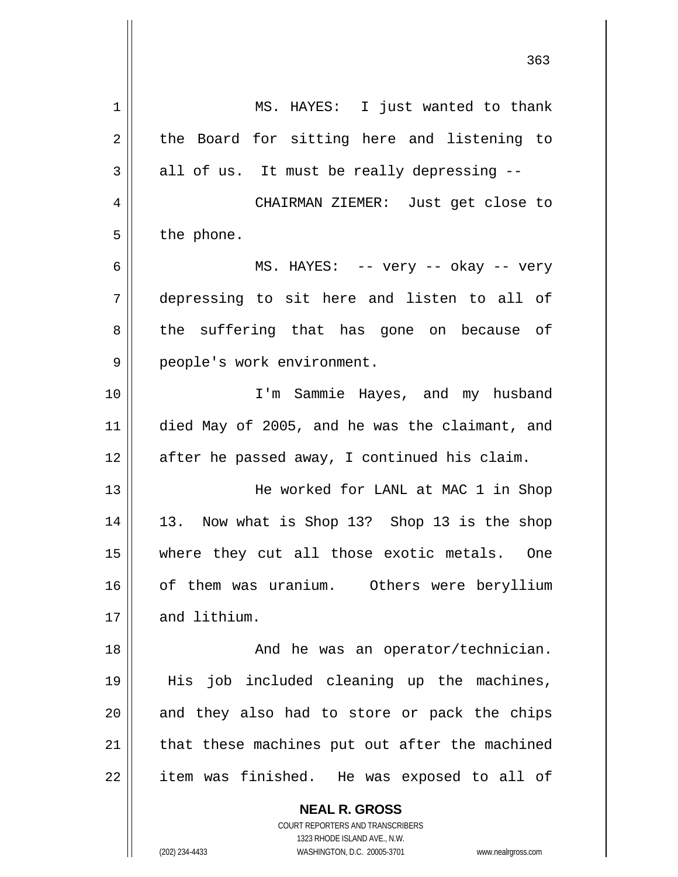**NEAL R. GROSS** 1 2 3 4 5 6 7 8 9 10 11 12 13 14 15 16 17 18 19 20 21 22 MS. HAYES: I just wanted to thank the Board for sitting here and listening to all of us. It must be really depressing -- CHAIRMAN ZIEMER: Just get close to the phone. MS. HAYES: -- very -- okay -- very depressing to sit here and listen to all of the suffering that has gone on because of people's work environment. I'm Sammie Hayes, and my husband died May of 2005, and he was the claimant, and after he passed away, I continued his claim. He worked for LANL at MAC 1 in Shop 13. Now what is Shop 13? Shop 13 is the shop where they cut all those exotic metals. One of them was uranium. Others were beryllium and lithium. And he was an operator/technician. His job included cleaning up the machines, and they also had to store or pack the chips that these machines put out after the machined item was finished. He was exposed to all of

> COURT REPORTERS AND TRANSCRIBERS 1323 RHODE ISLAND AVE., N.W.

(202) 234-4433 WASHINGTON, D.C. 20005-3701 www.nealrgross.com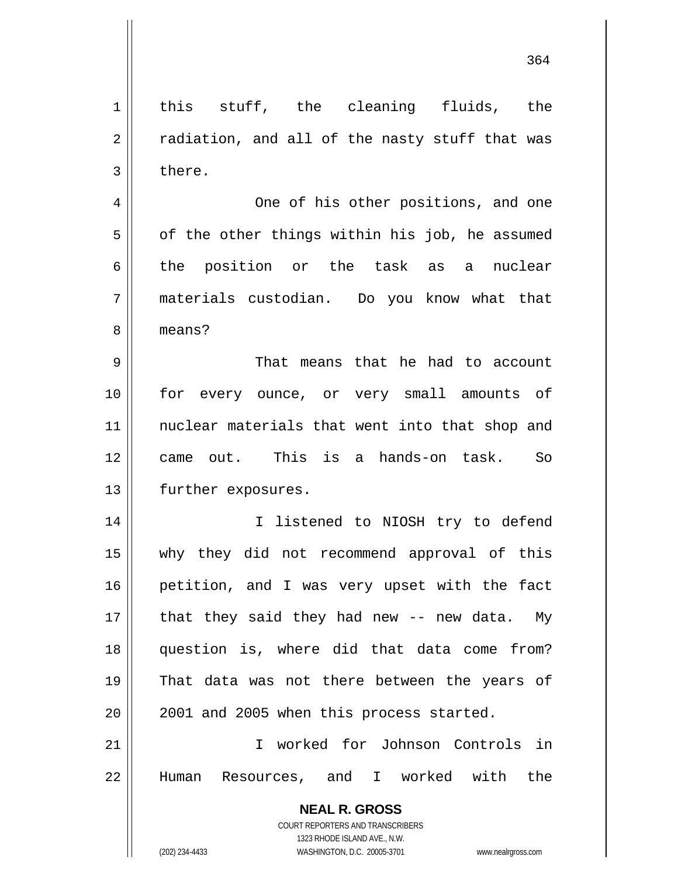**NEAL R. GROSS** COURT REPORTERS AND TRANSCRIBERS 1323 RHODE ISLAND AVE., N.W. 1 2 3 4 5 6 7 8 9 10 11 12 13 14 15 16 17 18 19 20 21 22 this stuff, the cleaning fluids, the radiation, and all of the nasty stuff that was there. One of his other positions, and one of the other things within his job, he assumed the position or the task as a nuclear materials custodian. Do you know what that means? That means that he had to account for every ounce, or very small amounts of nuclear materials that went into that shop and came out. This is a hands-on task. So further exposures. I listened to NIOSH try to defend why they did not recommend approval of this petition, and I was very upset with the fact that they said they had new -- new data. My question is, where did that data come from? That data was not there between the years of 2001 and 2005 when this process started. I worked for Johnson Controls in Human Resources, and I worked with the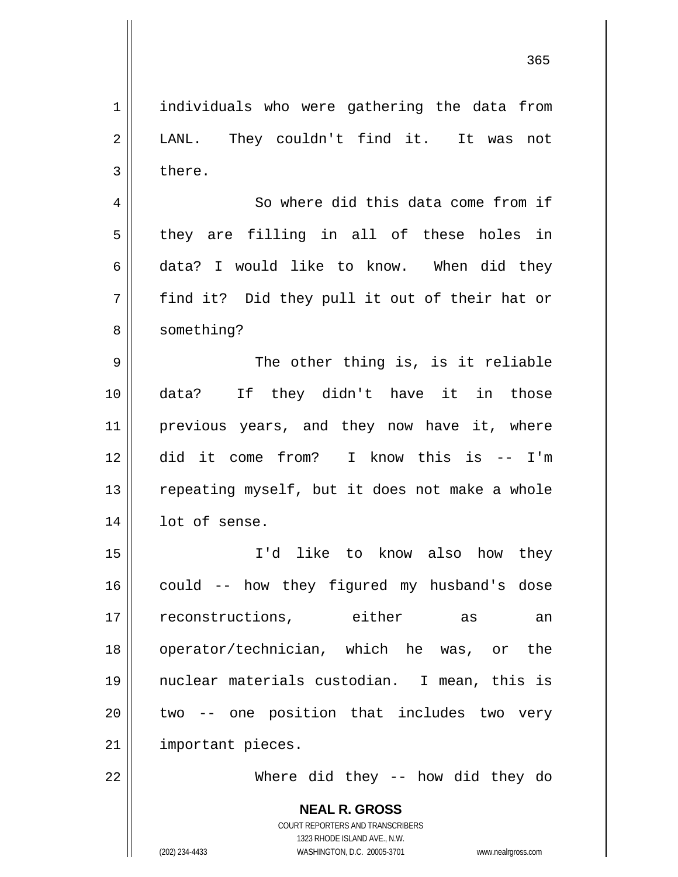1 2 3 individuals who were gathering the data from LANL. They couldn't find it. It was not there.

4 5 6 7 8 So where did this data come from if they are filling in all of these holes in data? I would like to know. When did they find it? Did they pull it out of their hat or something?

9 10 11 12 13 14 The other thing is, is it reliable data? If they didn't have it in those previous years, and they now have it, where did it come from? I know this is -- I'm repeating myself, but it does not make a whole lot of sense.

15 16 17 18 19 20 21 I'd like to know also how they could -- how they figured my husband's dose reconstructions, either as an operator/technician, which he was, or the nuclear materials custodian. I mean, this is two -- one position that includes two very important pieces.

22

Where did they -- how did they do

**NEAL R. GROSS** COURT REPORTERS AND TRANSCRIBERS 1323 RHODE ISLAND AVE., N.W. (202) 234-4433 WASHINGTON, D.C. 20005-3701 www.nealrgross.com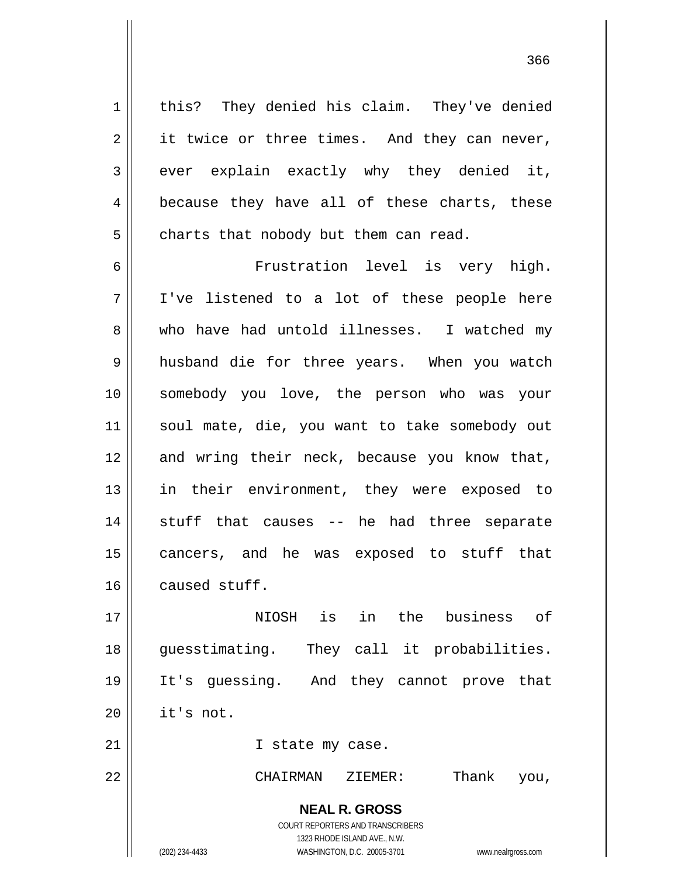this? They denied his claim. They've denied it twice or three times. And they can never, ever explain exactly why they denied it, because they have all of these charts, these charts that nobody but them can read.

6 7 8 9 10 11 12 13 14 15 16 Frustration level is very high. I've listened to a lot of these people here who have had untold illnesses. I watched my husband die for three years. When you watch somebody you love, the person who was your soul mate, die, you want to take somebody out and wring their neck, because you know that, in their environment, they were exposed to stuff that causes -- he had three separate cancers, and he was exposed to stuff that caused stuff.

17 18 19 20 NIOSH is in the business of guesstimating. They call it probabilities. It's guessing. And they cannot prove that it's not.

I state my case.

22

21

1

2

3

4

5

CHAIRMAN ZIEMER: Thank you,

**NEAL R. GROSS** COURT REPORTERS AND TRANSCRIBERS

1323 RHODE ISLAND AVE., N.W. (202) 234-4433 WASHINGTON, D.C. 20005-3701 www.nealrgross.com

<u>366 and 2001 and 2002 and 2003 and 2003 and 2004 and 2004 and 2004 and 2004 and 2004 and 2004 and 2004 and 20</u>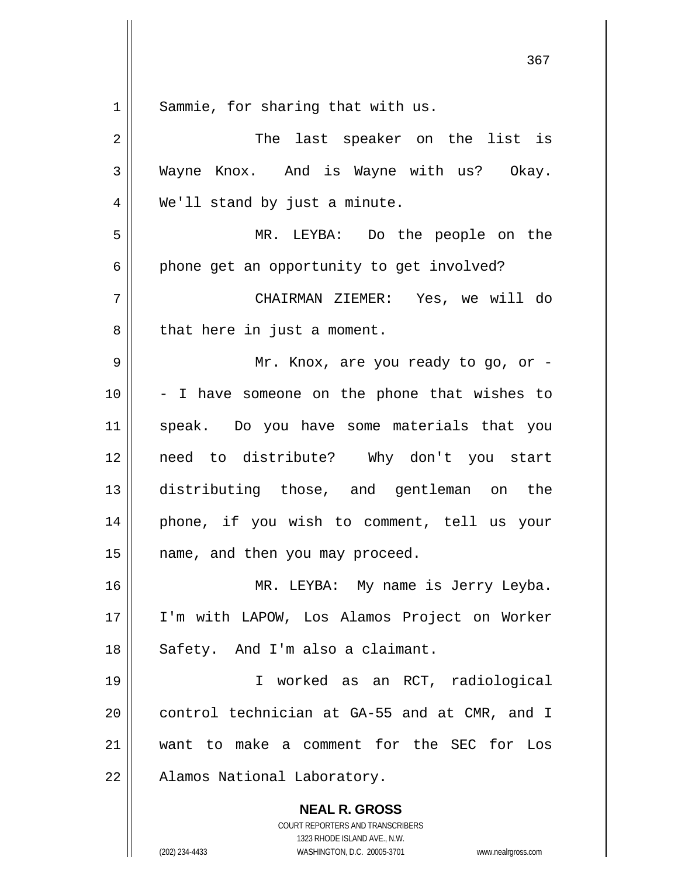| $1\,$          | Sammie, for sharing that with us.                                                                   |
|----------------|-----------------------------------------------------------------------------------------------------|
| $\overline{2}$ | The last speaker on the list is                                                                     |
| 3              | Wayne Knox. And is Wayne with us? Okay.                                                             |
| $\overline{4}$ | We'll stand by just a minute.                                                                       |
| 5              | MR. LEYBA: Do the people on the                                                                     |
| 6              | phone get an opportunity to get involved?                                                           |
| 7              | CHAIRMAN ZIEMER: Yes, we will do                                                                    |
| 8              | that here in just a moment.                                                                         |
| 9              | Mr. Knox, are you ready to go, or -                                                                 |
| 10             | - I have someone on the phone that wishes to                                                        |
| 11             | speak. Do you have some materials that you                                                          |
| 12             | need to distribute? Why don't you start                                                             |
| 13             | distributing those, and gentleman on the                                                            |
| 14             | phone, if you wish to comment, tell us your                                                         |
| 15             | name, and then you may proceed.                                                                     |
| 16             | MR. LEYBA: My name is Jerry Leyba.                                                                  |
| 17             | I'm with LAPOW, Los Alamos Project on Worker                                                        |
| 18             | Safety. And I'm also a claimant.                                                                    |
| 19             | I worked as an RCT, radiological                                                                    |
| 20             | control technician at GA-55 and at CMR, and I                                                       |
| 21             | want to make a comment for the SEC for<br>Los                                                       |
| 22             | Alamos National Laboratory.                                                                         |
|                | <b>NEAL R. GROSS</b>                                                                                |
|                | COURT REPORTERS AND TRANSCRIBERS                                                                    |
|                | 1323 RHODE ISLAND AVE., N.W.<br>(202) 234-4433<br>WASHINGTON, D.C. 20005-3701<br>www.nealrgross.com |

367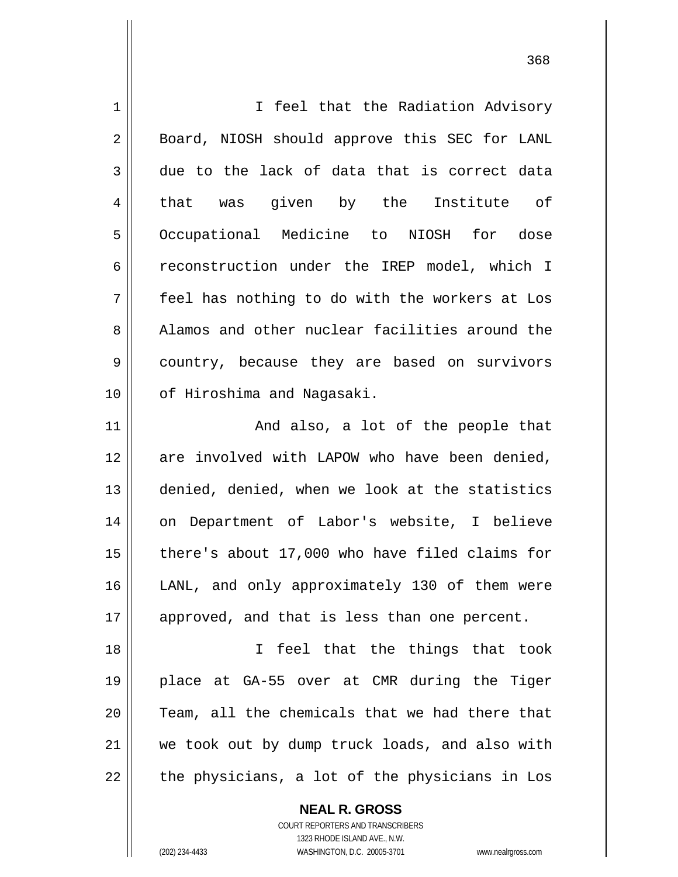| $\mathbf 1$ | I feel that the Radiation Advisory             |
|-------------|------------------------------------------------|
| 2           | Board, NIOSH should approve this SEC for LANL  |
| 3           | due to the lack of data that is correct data   |
| 4           | that was given by the Institute of             |
| 5           | Occupational Medicine to NIOSH for dose        |
| 6           | reconstruction under the IREP model, which I   |
| 7           | feel has nothing to do with the workers at Los |
| 8           | Alamos and other nuclear facilities around the |
| 9           | country, because they are based on survivors   |
| 10          | of Hiroshima and Nagasaki.                     |
| 11          | And also, a lot of the people that             |
| 12          | are involved with LAPOW who have been denied,  |
| 13          | denied, denied, when we look at the statistics |
| 14          | on Department of Labor's website, I believe    |
| 15          | there's about 17,000 who have filed claims for |
| 16          | LANL, and only approximately 130 of them were  |
| 17          | approved, and that is less than one percent.   |
| 18          | feel that the things that took<br>$\mathbf{I}$ |
| 19          | place at GA-55 over at CMR during the Tiger    |
| 20          | Team, all the chemicals that we had there that |
| 21          | we took out by dump truck loads, and also with |
| 22          | the physicians, a lot of the physicians in Los |
|             | <b>NEAL R. GROSS</b>                           |

COURT REPORTERS AND TRANSCRIBERS 1323 RHODE ISLAND AVE., N.W.

 $\prod$ 

(202) 234-4433 WASHINGTON, D.C. 20005-3701 www.nealrgross.com

<u>368</u>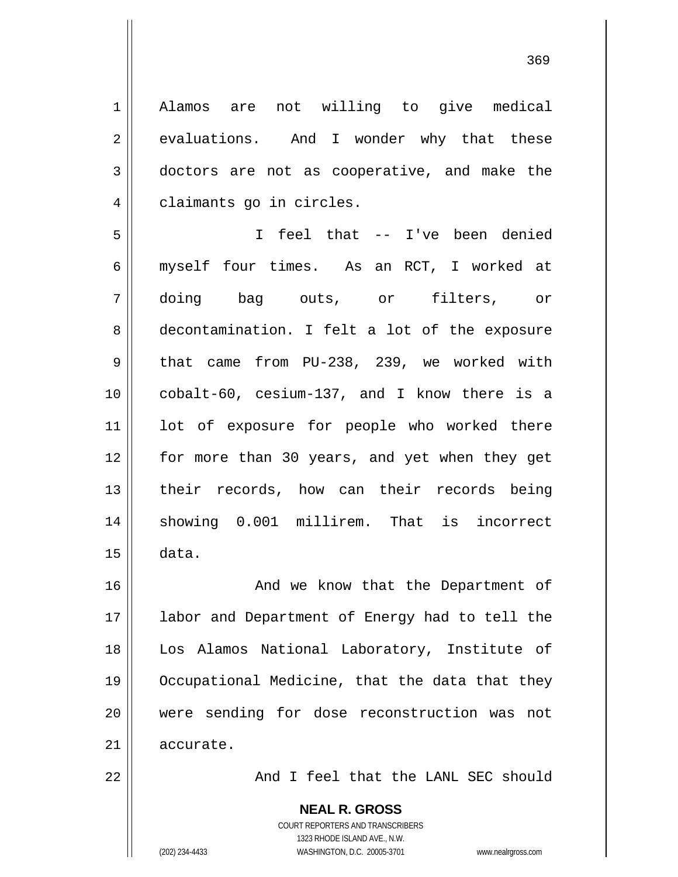1 2 3 4 5 6 7 8 9 10 11 12 13 14 15 16 17 18 19 20 21 22 Alamos are not willing to give medical evaluations. And I wonder why that these doctors are not as cooperative, and make the claimants go in circles. I feel that -- I've been denied myself four times. As an RCT, I worked at doing bag outs, or filters, or decontamination. I felt a lot of the exposure that came from PU-238, 239, we worked with cobalt-60, cesium-137, and I know there is a lot of exposure for people who worked there for more than 30 years, and yet when they get their records, how can their records being showing 0.001 millirem. That is incorrect data. And we know that the Department of labor and Department of Energy had to tell the Los Alamos National Laboratory, Institute of Occupational Medicine, that the data that they were sending for dose reconstruction was not accurate.

369

And I feel that the LANL SEC should

**NEAL R. GROSS** COURT REPORTERS AND TRANSCRIBERS 1323 RHODE ISLAND AVE., N.W. (202) 234-4433 WASHINGTON, D.C. 20005-3701 www.nealrgross.com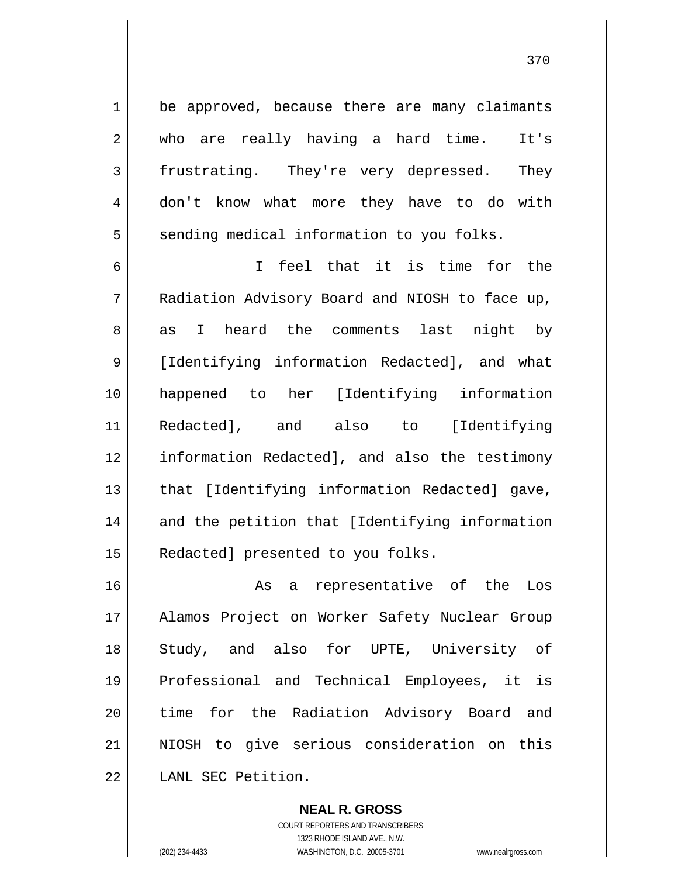be approved, because there are many claimants who are really having a hard time. It's frustrating. They're very depressed. They don't know what more they have to do with sending medical information to you folks.

6 7 8 9 10 11 12 13 14 15 I feel that it is time for the Radiation Advisory Board and NIOSH to face up, as I heard the comments last night by [Identifying information Redacted], and what happened to her [Identifying information Redacted], and also to [Identifying information Redacted], and also the testimony that [Identifying information Redacted] gave, and the petition that [Identifying information Redacted] presented to you folks.

16 17 18 19 20 21 22 As a representative of the Los Alamos Project on Worker Safety Nuclear Group Study, and also for UPTE, University of Professional and Technical Employees, it is time for the Radiation Advisory Board and NIOSH to give serious consideration on this LANL SEC Petition.

> **NEAL R. GROSS** COURT REPORTERS AND TRANSCRIBERS 1323 RHODE ISLAND AVE., N.W. (202) 234-4433 WASHINGTON, D.C. 20005-3701 www.nealrgross.com

1

2

3

4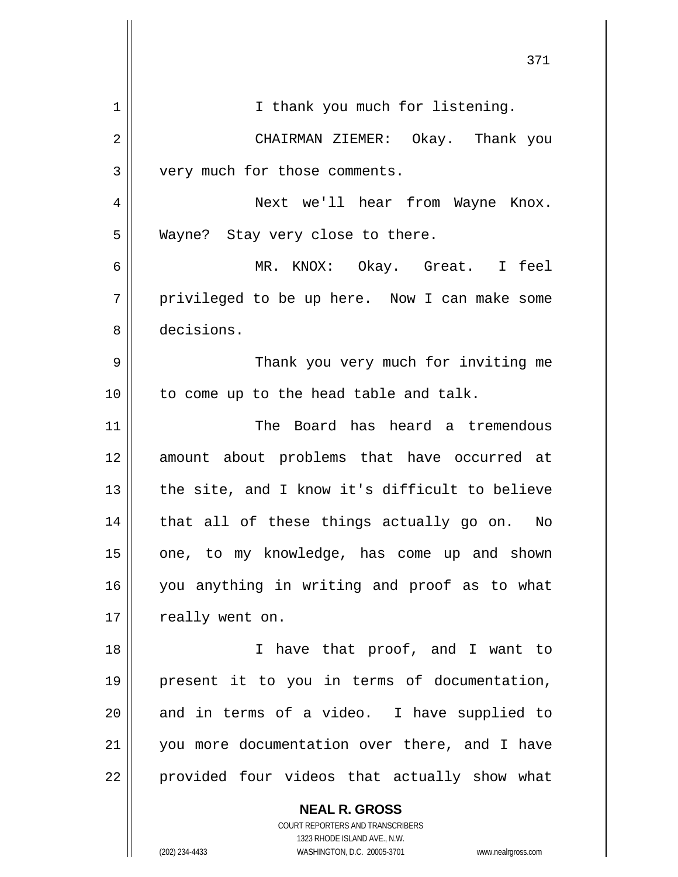|                | 371                                                      |
|----------------|----------------------------------------------------------|
| 1              | I thank you much for listening.                          |
| $\overline{2}$ | CHAIRMAN ZIEMER: Okay. Thank you                         |
| 3              | very much for those comments.                            |
| 4              | Next we'll hear from Wayne Knox.                         |
| 5              | Wayne? Stay very close to there.                         |
| 6              | MR. KNOX: Okay. Great. I feel                            |
| 7              | privileged to be up here. Now I can make some            |
| 8              | decisions.                                               |
| 9              | Thank you very much for inviting me                      |
| 10             | to come up to the head table and talk.                   |
| 11             | The Board has heard a tremendous                         |
| 12             | amount about problems that have occurred at              |
| 13             | the site, and I know it's difficult to believe           |
| 14             | that all of these things actually go on.<br>No           |
| 15             | one, to my knowledge, has come up and shown              |
| 16             | you anything in writing and proof as to what             |
| 17             | really went on.                                          |
| 18             | I have that proof, and I want to                         |
| 19             | present it to you in terms of documentation,             |
| 20             | and in terms of a video. I have supplied to              |
| 21             | you more documentation over there, and I have            |
| 22             | provided four videos that actually show what             |
|                | <b>NEAL R. GROSS</b><br>COURT REPORTERS AND TRANSCRIBERS |

1323 RHODE ISLAND AVE., N.W.

 $\prod$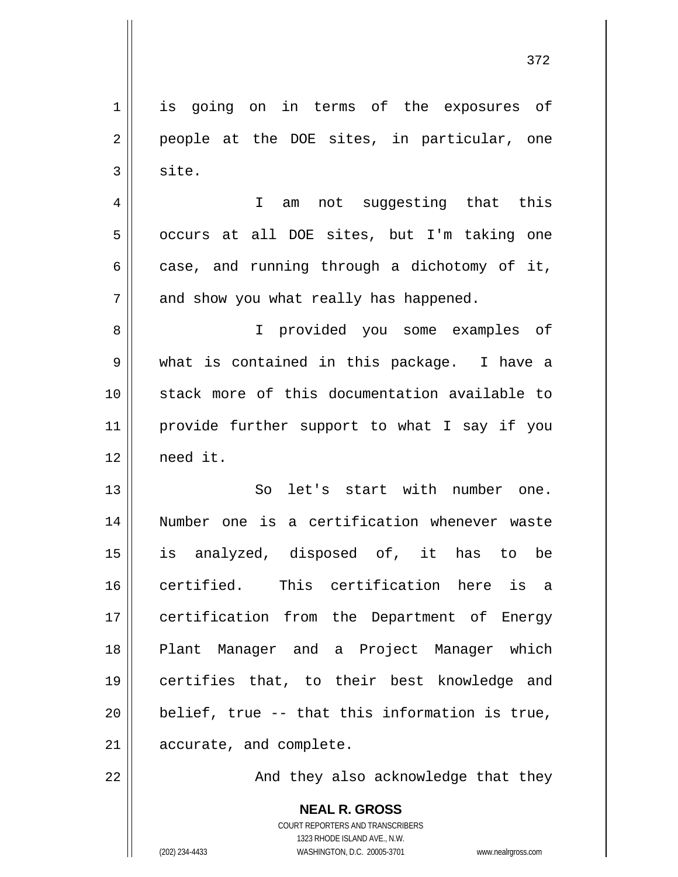**NEAL R. GROSS** 1 2 3 4 5 6 7 8 9 10 11 12 13 14 15 16 17 18 19 20 21 22 is going on in terms of the exposures of people at the DOE sites, in particular, one site. I am not suggesting that this occurs at all DOE sites, but I'm taking one case, and running through a dichotomy of it, and show you what really has happened. I provided you some examples of what is contained in this package. I have a stack more of this documentation available to provide further support to what I say if you need it. So let's start with number one. Number one is a certification whenever waste is analyzed, disposed of, it has to be certified. This certification here is a certification from the Department of Energy Plant Manager and a Project Manager which certifies that, to their best knowledge and belief, true -- that this information is true, accurate, and complete. And they also acknowledge that they

372

COURT REPORTERS AND TRANSCRIBERS 1323 RHODE ISLAND AVE., N.W.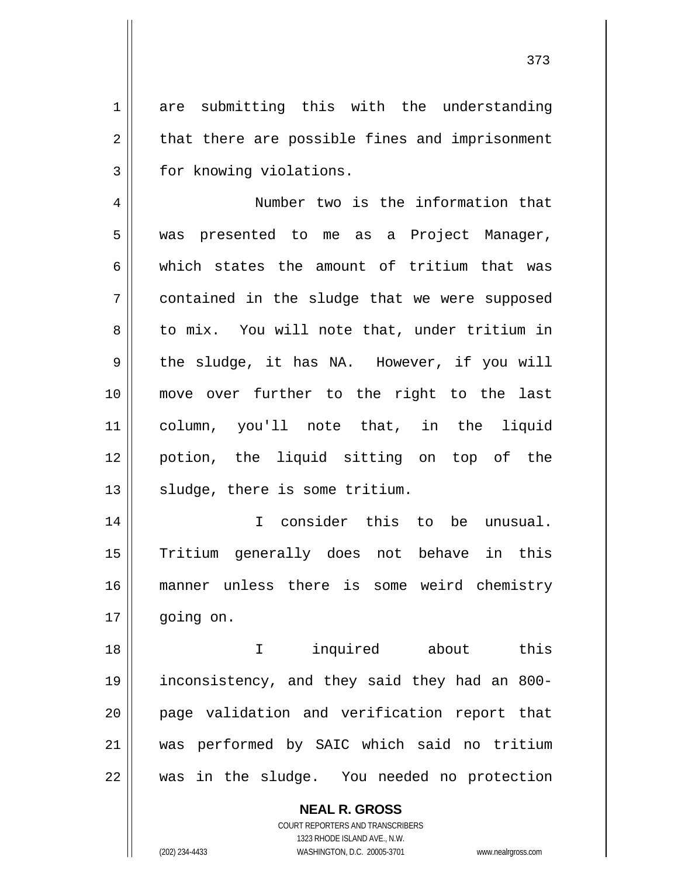are submitting this with the understanding that there are possible fines and imprisonment for knowing violations.

4 5 6 7 8 9 10 11 12 13 Number two is the information that was presented to me as a Project Manager, which states the amount of tritium that was contained in the sludge that we were supposed to mix. You will note that, under tritium in the sludge, it has NA. However, if you will move over further to the right to the last column, you'll note that, in the liquid potion, the liquid sitting on top of the sludge, there is some tritium.

14 15 16 17 I consider this to be unusual. Tritium generally does not behave in this manner unless there is some weird chemistry going on.

18 19 20 21 22 I inquired about this inconsistency, and they said they had an 800 page validation and verification report that was performed by SAIC which said no tritium was in the sludge. You needed no protection

> **NEAL R. GROSS** COURT REPORTERS AND TRANSCRIBERS 1323 RHODE ISLAND AVE., N.W. (202) 234-4433 WASHINGTON, D.C. 20005-3701 www.nealrgross.com

1

2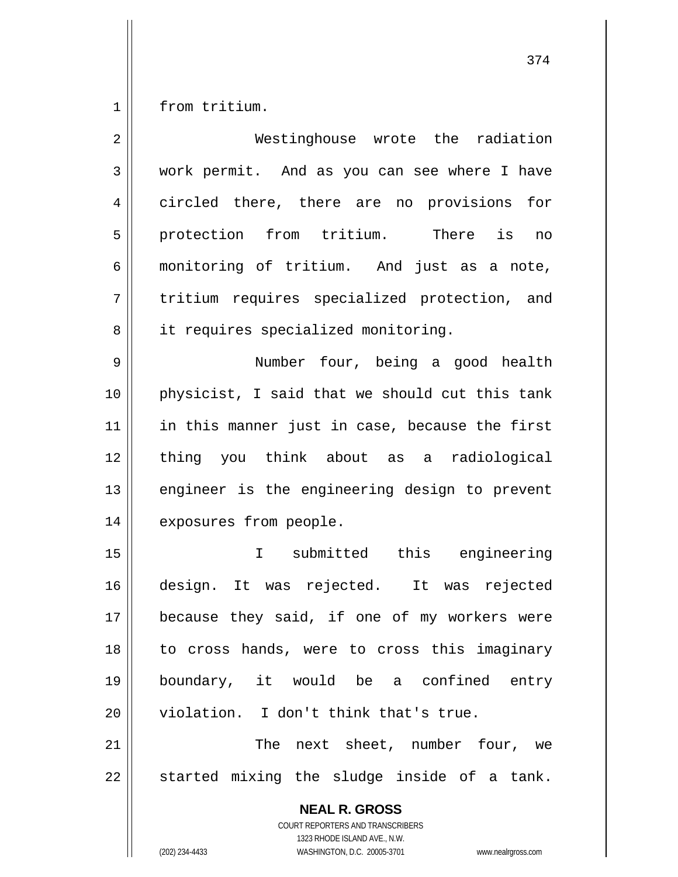1 from tritium.

| work permit. And as you can see where I have                                                                                                                    |
|-----------------------------------------------------------------------------------------------------------------------------------------------------------------|
| circled there, there are no provisions for                                                                                                                      |
| protection from tritium. There is<br>no                                                                                                                         |
| monitoring of tritium. And just as a note,                                                                                                                      |
| tritium requires specialized protection, and                                                                                                                    |
| it requires specialized monitoring.                                                                                                                             |
| Number four, being a good health                                                                                                                                |
| physicist, I said that we should cut this tank                                                                                                                  |
| in this manner just in case, because the first                                                                                                                  |
| thing you think about as a radiological                                                                                                                         |
| engineer is the engineering design to prevent                                                                                                                   |
| exposures from people.                                                                                                                                          |
| I submitted this engineering                                                                                                                                    |
| design. It was rejected. It was rejected                                                                                                                        |
| because they said, if one of my workers were                                                                                                                    |
| to cross hands, were to cross this imaginary                                                                                                                    |
| boundary, it would be a confined entry                                                                                                                          |
| violation. I don't think that's true.                                                                                                                           |
| The next sheet, number four, we                                                                                                                                 |
| started mixing the sludge inside of a tank.                                                                                                                     |
| <b>NEAL R. GROSS</b><br>COURT REPORTERS AND TRANSCRIBERS<br>1323 RHODE ISLAND AVE., N.W.<br>(202) 234-4433<br>WASHINGTON, D.C. 20005-3701<br>www.nealrgross.com |
|                                                                                                                                                                 |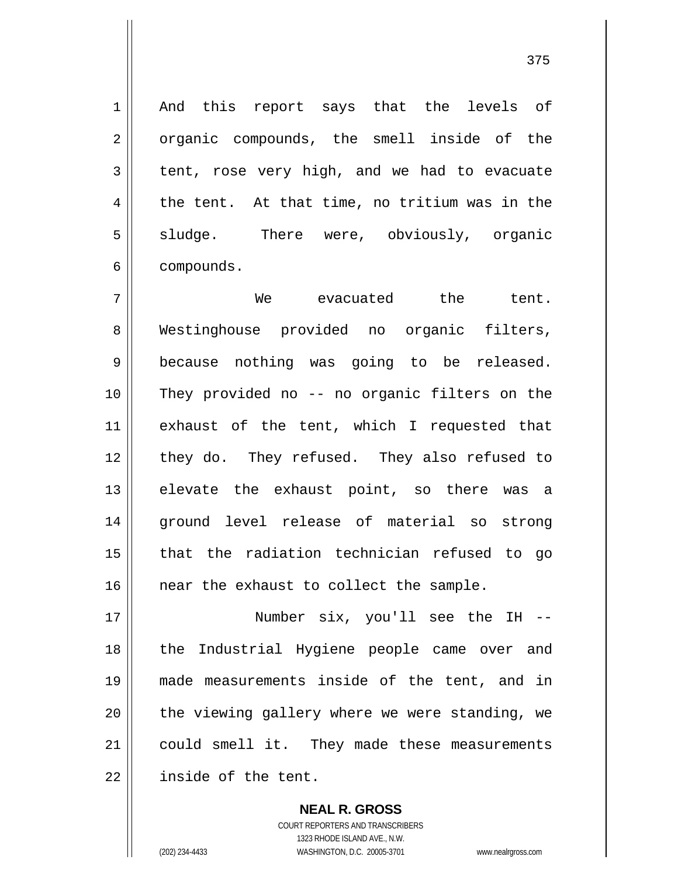And this report says that the levels of organic compounds, the smell inside of the tent, rose very high, and we had to evacuate the tent. At that time, no tritium was in the sludge. There were, obviously, organic compounds.

7 8 9 10 11 12 13 14 15 16 We evacuated the tent. Westinghouse provided no organic filters, because nothing was going to be released. They provided no -- no organic filters on the exhaust of the tent, which I requested that they do. They refused. They also refused to elevate the exhaust point, so there was a ground level release of material so strong that the radiation technician refused to go near the exhaust to collect the sample.

17 18 19 20 21 22 Number six, you'll see the IH - the Industrial Hygiene people came over and made measurements inside of the tent, and in the viewing gallery where we were standing, we could smell it. They made these measurements inside of the tent.

> COURT REPORTERS AND TRANSCRIBERS 1323 RHODE ISLAND AVE., N.W. (202) 234-4433 WASHINGTON, D.C. 20005-3701 www.nealrgross.com

**NEAL R. GROSS**

1

2

3

4

5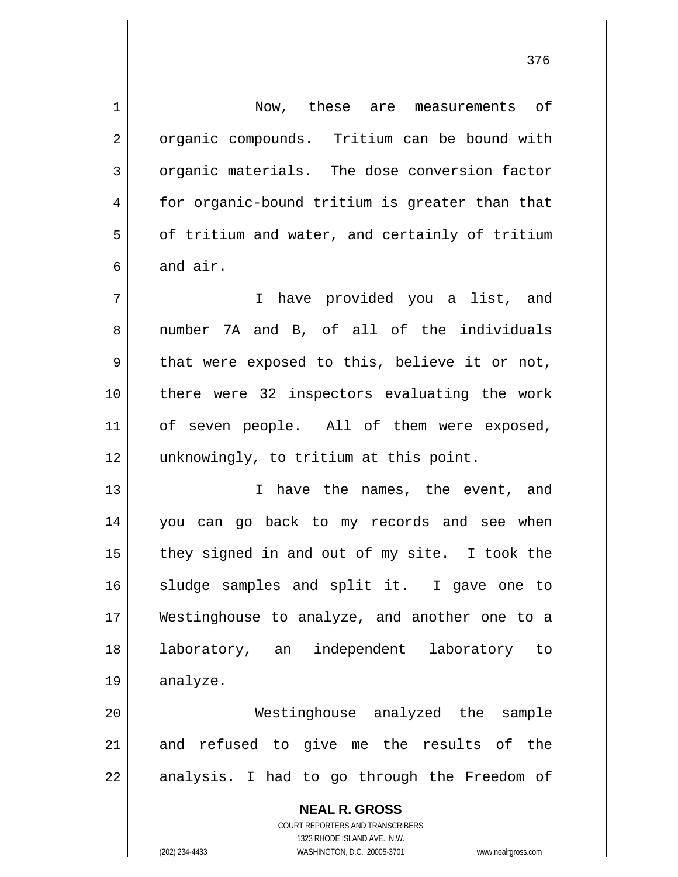| $\mathbf 1$    | Now, these are measurements of                                      |
|----------------|---------------------------------------------------------------------|
| $\overline{2}$ | organic compounds. Tritium can be bound with                        |
| $\mathbf{3}$   | organic materials. The dose conversion factor                       |
| 4              | for organic-bound tritium is greater than that                      |
| 5              | of tritium and water, and certainly of tritium                      |
| 6              | and air.                                                            |
| 7              | I have provided you a list, and                                     |
| 8              | number 7A and B, of all of the individuals                          |
| 9              | that were exposed to this, believe it or not,                       |
| 10             | there were 32 inspectors evaluating the work                        |
| 11             | of seven people. All of them were exposed,                          |
| 12             | unknowingly, to tritium at this point.                              |
| 13             | I have the names, the event, and                                    |
| 14             | you can go back to my records and see when                          |
| 15             | they signed in and out of my site. I took the                       |
| 16             | sludge samples and split it. I gave one to                          |
| 17             | Westinghouse to analyze, and another one to a                       |
| 18             | independent laboratory to<br>laboratory, an                         |
| 19             | analyze.                                                            |
| 20             | Westinghouse analyzed the<br>sample                                 |
| 21             | and refused to give me the results of the                           |
| 22             | analysis. I had to go through the Freedom of                        |
|                | <b>NEAL R. GROSS</b>                                                |
|                | <b>COURT REPORTERS AND TRANSCRIBERS</b>                             |
|                | 1323 RHODE ISLAND AVE., N.W.                                        |
|                | (202) 234-4433<br>WASHINGTON, D.C. 20005-3701<br>www.nealrgross.com |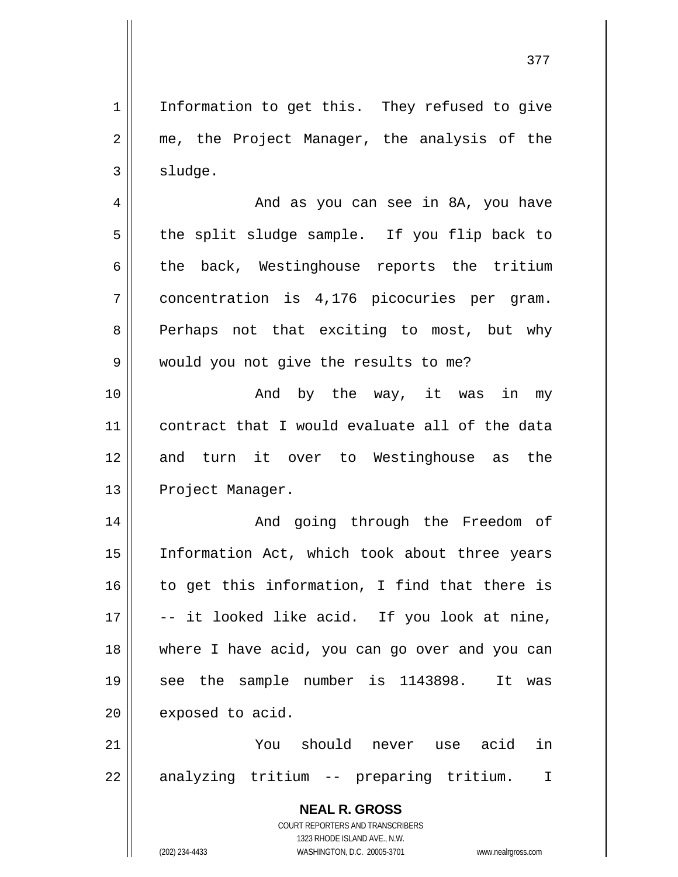377

1 2 3 4 Information to get this. They refused to give me, the Project Manager, the analysis of the sludge. And as you can see in 8A, you have

the split sludge sample. If you flip back to the back, Westinghouse reports the tritium concentration is 4,176 picocuries per gram. Perhaps not that exciting to most, but why would you not give the results to me?

10 11 12 13 And by the way, it was in my contract that I would evaluate all of the data and turn it over to Westinghouse as the Project Manager.

14 15 16 17 18 19 20 And going through the Freedom of Information Act, which took about three years to get this information, I find that there is -- it looked like acid. If you look at nine, where I have acid, you can go over and you can see the sample number is 1143898. It was exposed to acid.

21 22 You should never use acid in analyzing tritium -- preparing tritium. I

> **NEAL R. GROSS** COURT REPORTERS AND TRANSCRIBERS 1323 RHODE ISLAND AVE., N.W. (202) 234-4433 WASHINGTON, D.C. 20005-3701 www.nealrgross.com

5

6

7

8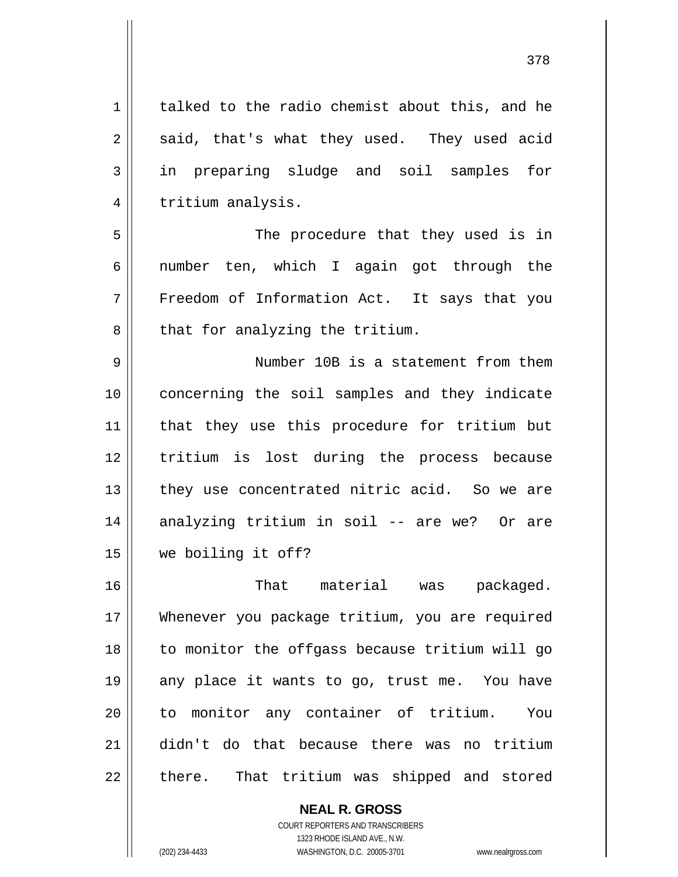talked to the radio chemist about this, and he said, that's what they used. They used acid in preparing sludge and soil samples for tritium analysis.

7 The procedure that they used is in number ten, which I again got through the Freedom of Information Act. It says that you that for analyzing the tritium.

9 10 11 12 13 14 15 Number 10B is a statement from them concerning the soil samples and they indicate that they use this procedure for tritium but tritium is lost during the process because they use concentrated nitric acid. So we are analyzing tritium in soil -- are we? Or are we boiling it off?

16 17 18 19 20 21 22 That material was packaged. Whenever you package tritium, you are required to monitor the offgass because tritium will go any place it wants to go, trust me. You have to monitor any container of tritium. You didn't do that because there was no tritium there. That tritium was shipped and stored

> **NEAL R. GROSS** COURT REPORTERS AND TRANSCRIBERS 1323 RHODE ISLAND AVE., N.W. (202) 234-4433 WASHINGTON, D.C. 20005-3701 www.nealrgross.com

1

2

3

4

5

6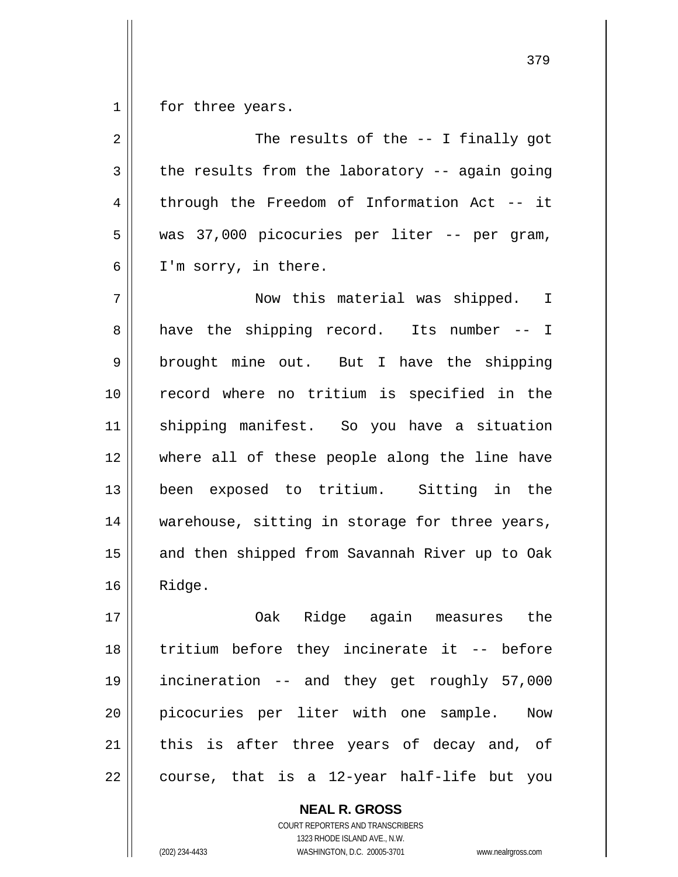1 for three years.

2 3 4 5 6 7 8 9 10 11 12 13 14 15 16 17 18 19 20 21 The results of the -- I finally got the results from the laboratory -- again going through the Freedom of Information Act -- it was 37,000 picocuries per liter -- per gram, I'm sorry, in there. Now this material was shipped. I have the shipping record. Its number -- I brought mine out. But I have the shipping record where no tritium is specified in the shipping manifest. So you have a situation where all of these people along the line have been exposed to tritium. Sitting in the warehouse, sitting in storage for three years, and then shipped from Savannah River up to Oak Ridge. Oak Ridge again measures the tritium before they incinerate it -- before incineration -- and they get roughly 57,000 picocuries per liter with one sample. Now this is after three years of decay and, of

course, that is a 12-year half-life but you

**NEAL R. GROSS** COURT REPORTERS AND TRANSCRIBERS 1323 RHODE ISLAND AVE., N.W. (202) 234-4433 WASHINGTON, D.C. 20005-3701 www.nealrgross.com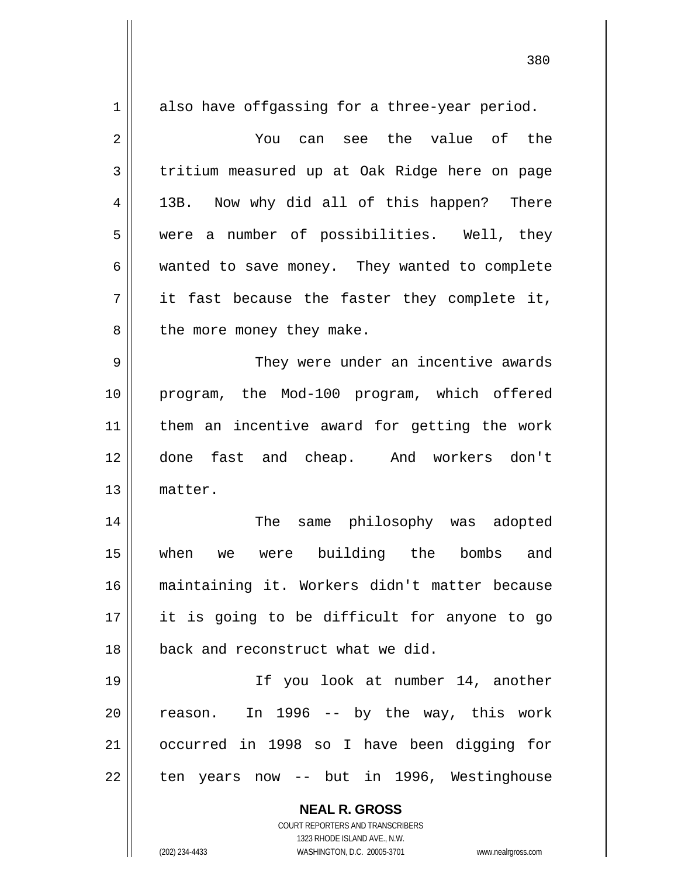| $\mathbf 1$    | also have offgassing for a three-year period.                                                       |
|----------------|-----------------------------------------------------------------------------------------------------|
| $\overline{2}$ | You can see the value of the                                                                        |
| 3              | tritium measured up at Oak Ridge here on page                                                       |
| 4              | 13B. Now why did all of this happen? There                                                          |
| 5              | a number of possibilities. Well, they<br>were                                                       |
| 6              | wanted to save money. They wanted to complete                                                       |
| 7              | it fast because the faster they complete it,                                                        |
| 8              | the more money they make.                                                                           |
| 9              | They were under an incentive awards                                                                 |
| 10             | program, the Mod-100 program, which offered                                                         |
| 11             | them an incentive award for getting the work                                                        |
| 12             | done fast and cheap. And workers don't                                                              |
| 13             | matter.                                                                                             |
| 14             | The<br>same philosophy was adopted                                                                  |
| 15             | were building the bombs<br>when<br>and<br>we                                                        |
| 16             | maintaining it. Workers didn't matter because                                                       |
| 17             | it is going to be difficult for anyone to go                                                        |
| 18             | back and reconstruct what we did.                                                                   |
| 19             | If you look at number 14, another                                                                   |
| 20             | In 1996 -- by the way, this work<br>reason.                                                         |
| 21             | occurred in 1998 so I have been digging for                                                         |
| 22             | ten years now -- but in 1996, Westinghouse                                                          |
|                |                                                                                                     |
|                | <b>NEAL R. GROSS</b>                                                                                |
|                | COURT REPORTERS AND TRANSCRIBERS                                                                    |
|                | 1323 RHODE ISLAND AVE., N.W.<br>(202) 234-4433<br>WASHINGTON, D.C. 20005-3701<br>www.nealrgross.com |

<u>380</u>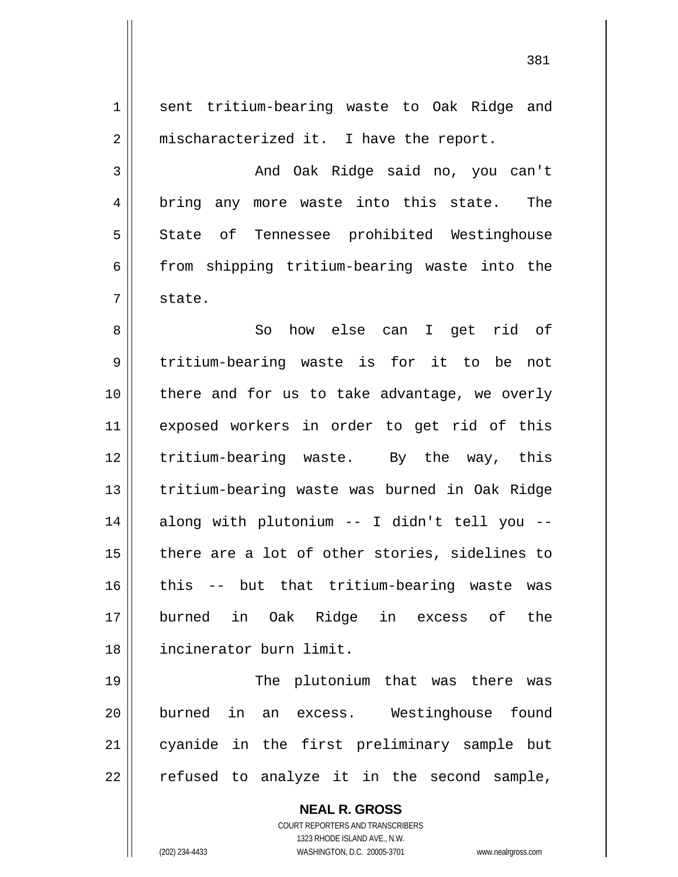1 2 3 4 5 6 7 8 9 10 11 12 13 14 15 16 17 18 19 20 21 22 sent tritium-bearing waste to Oak Ridge and mischaracterized it. I have the report. And Oak Ridge said no, you can't bring any more waste into this state. The State of Tennessee prohibited Westinghouse from shipping tritium-bearing waste into the state. So how else can I get rid of tritium-bearing waste is for it to be not there and for us to take advantage, we overly exposed workers in order to get rid of this tritium-bearing waste. By the way, this tritium-bearing waste was burned in Oak Ridge along with plutonium -- I didn't tell you - there are a lot of other stories, sidelines to this -- but that tritium-bearing waste was burned in Oak Ridge in excess of the incinerator burn limit. The plutonium that was there was burned in an excess. Westinghouse found cyanide in the first preliminary sample but refused to analyze it in the second sample,

> COURT REPORTERS AND TRANSCRIBERS 1323 RHODE ISLAND AVE., N.W. (202) 234-4433 WASHINGTON, D.C. 20005-3701 www.nealrgross.com

**NEAL R. GROSS**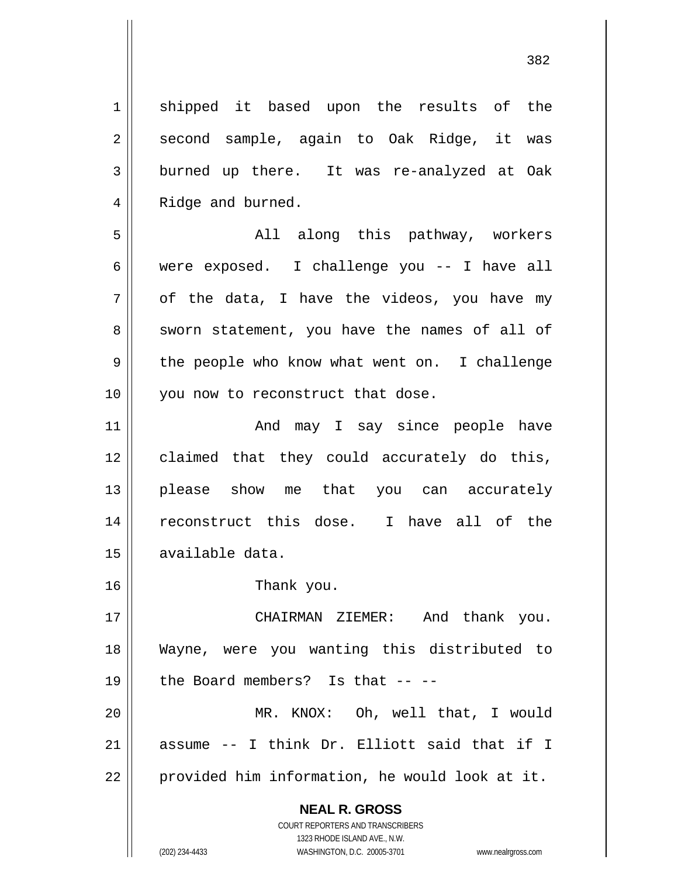382

**NEAL R. GROSS** COURT REPORTERS AND TRANSCRIBERS 1323 RHODE ISLAND AVE., N.W. 1 2 3 4 5 6 7 8 9 10 11 12 13 14 15 16 17 18 19 20 21 22 shipped it based upon the results of the second sample, again to Oak Ridge, it was burned up there. It was re-analyzed at Oak Ridge and burned. All along this pathway, workers were exposed. I challenge you -- I have all of the data, I have the videos, you have my sworn statement, you have the names of all of the people who know what went on. I challenge you now to reconstruct that dose. And may I say since people have claimed that they could accurately do this, please show me that you can accurately reconstruct this dose. I have all of the available data. Thank you. CHAIRMAN ZIEMER: And thank you. Wayne, were you wanting this distributed to the Board members? Is that -- -- MR. KNOX: Oh, well that, I would assume -- I think Dr. Elliott said that if I provided him information, he would look at it.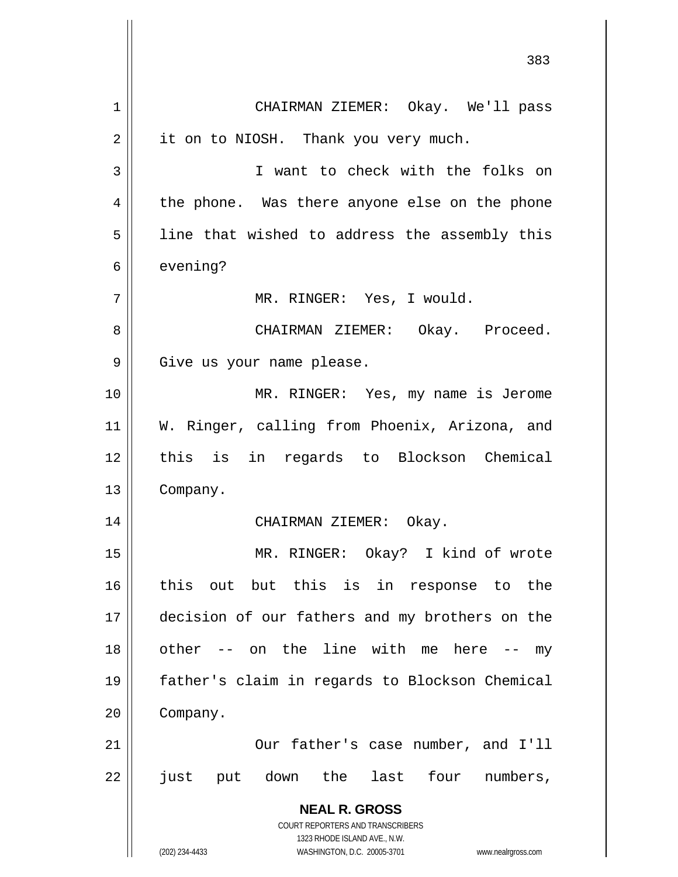**NEAL R. GROSS** COURT REPORTERS AND TRANSCRIBERS 1323 RHODE ISLAND AVE., N.W. (202) 234-4433 WASHINGTON, D.C. 20005-3701 www.nealrgross.com 383 1 2 3 4 5 6 7 8 9 10 11 12 13 14 15 16 17 18 19 20 21 22 CHAIRMAN ZIEMER: Okay. We'll pass it on to NIOSH. Thank you very much. I want to check with the folks on the phone. Was there anyone else on the phone line that wished to address the assembly this evening? MR. RINGER: Yes, I would. CHAIRMAN ZIEMER: Okay. Proceed. Give us your name please. MR. RINGER: Yes, my name is Jerome W. Ringer, calling from Phoenix, Arizona, and this is in regards to Blockson Chemical Company. CHAIRMAN ZIEMER: Okay. MR. RINGER: Okay? I kind of wrote this out but this is in response to the decision of our fathers and my brothers on the other -- on the line with me here -- my father's claim in regards to Blockson Chemical Company. Our father's case number, and I'll just put down the last four numbers,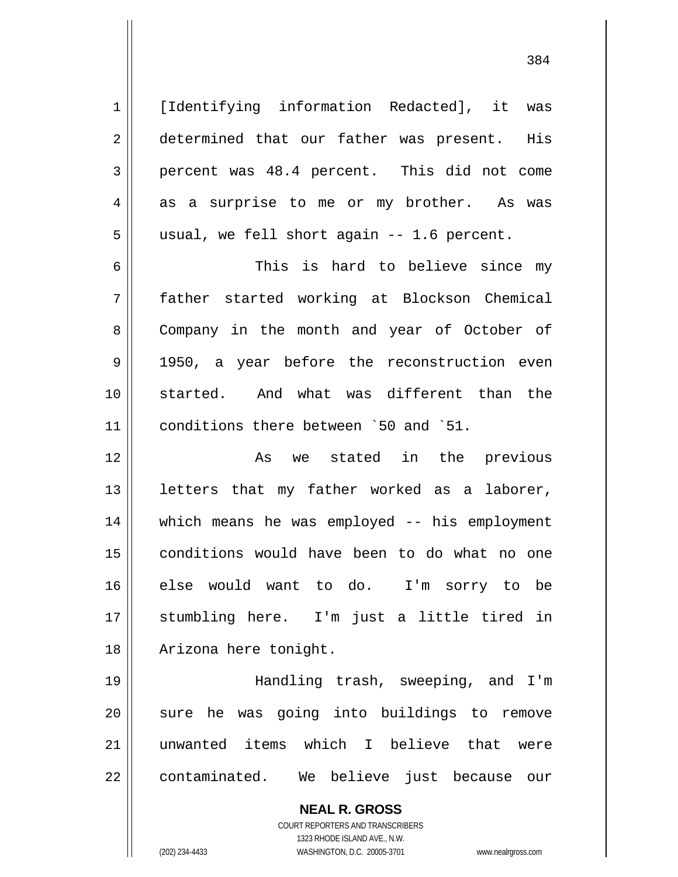[Identifying information Redacted], it was determined that our father was present. His percent was 48.4 percent. This did not come as a surprise to me or my brother. As was usual, we fell short again -- 1.6 percent.

6 7 8 9 10 11 This is hard to believe since my father started working at Blockson Chemical Company in the month and year of October of 1950, a year before the reconstruction even started. And what was different than the conditions there between `50 and `51.

12 13 14 15 16 17 18 As we stated in the previous letters that my father worked as a laborer, which means he was employed -- his employment conditions would have been to do what no one else would want to do. I'm sorry to be stumbling here. I'm just a little tired in Arizona here tonight.

19 20 21 22 Handling trash, sweeping, and I'm sure he was going into buildings to remove unwanted items which I believe that were contaminated. We believe just because our

> **NEAL R. GROSS** COURT REPORTERS AND TRANSCRIBERS 1323 RHODE ISLAND AVE., N.W. (202) 234-4433 WASHINGTON, D.C. 20005-3701 www.nealrgross.com

1

2

3

4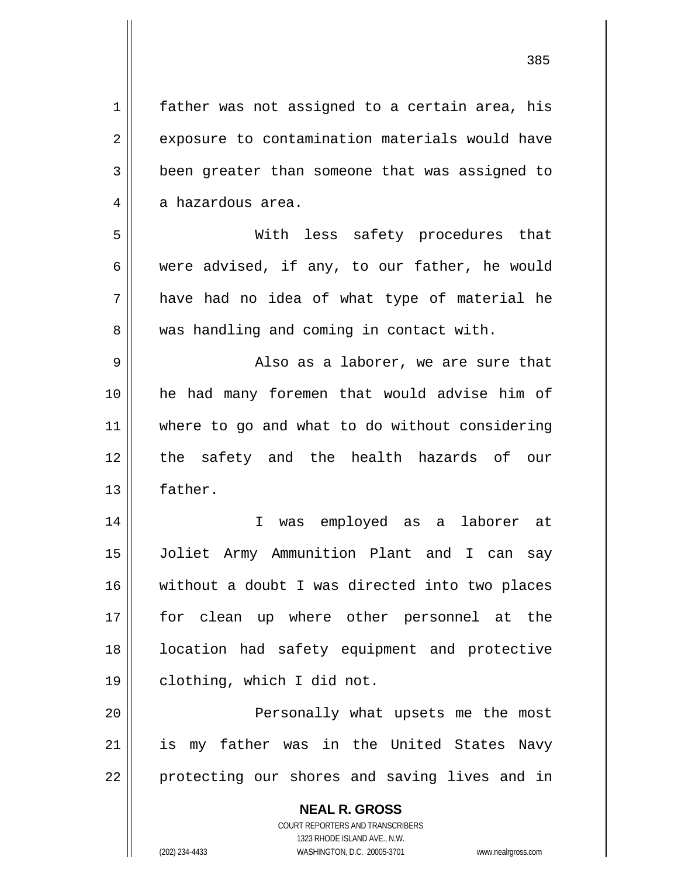**NEAL R. GROSS** 1 2 3 4 5 6 7 8 9 10 11 12 13 14 15 16 17 18 19 20 21 22 father was not assigned to a certain area, his exposure to contamination materials would have been greater than someone that was assigned to a hazardous area. With less safety procedures that were advised, if any, to our father, he would have had no idea of what type of material he was handling and coming in contact with. Also as a laborer, we are sure that he had many foremen that would advise him of where to go and what to do without considering the safety and the health hazards of our father. I was employed as a laborer at Joliet Army Ammunition Plant and I can say without a doubt I was directed into two places for clean up where other personnel at the location had safety equipment and protective clothing, which I did not. Personally what upsets me the most is my father was in the United States Navy protecting our shores and saving lives and in

> COURT REPORTERS AND TRANSCRIBERS 1323 RHODE ISLAND AVE., N.W.

(202) 234-4433 WASHINGTON, D.C. 20005-3701 www.nealrgross.com

<u>385 and the set of the set of the set of the set of the set of the set of the set of the set of the set of th</u>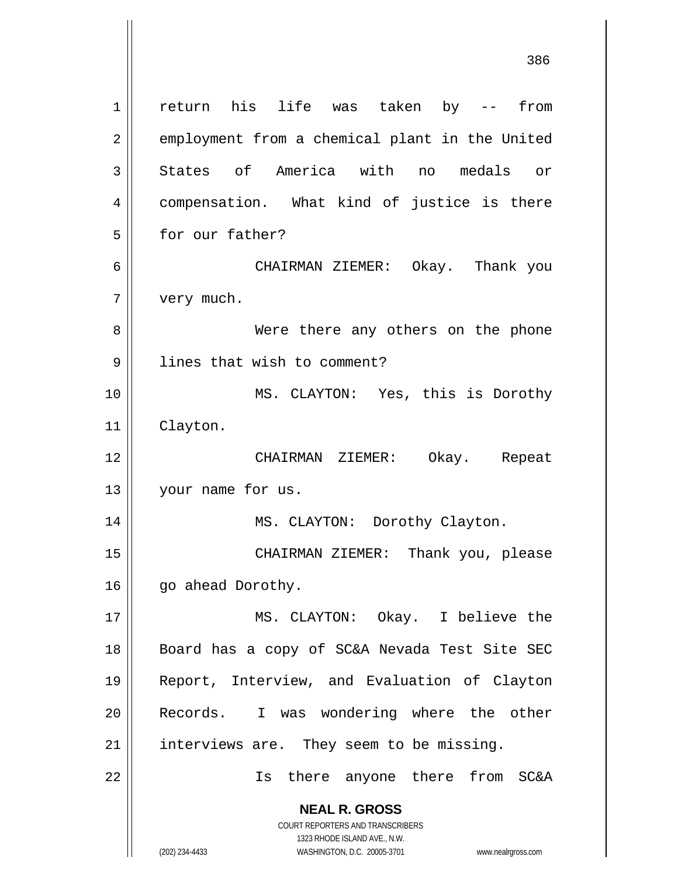**NEAL R. GROSS** COURT REPORTERS AND TRANSCRIBERS 1323 RHODE ISLAND AVE., N.W. 1 2 3 4 5 6 7 8 9 10 11 12 13 14 15 16 17 18 19 20 21 22 return his life was taken by -- from employment from a chemical plant in the United States of America with no medals or compensation. What kind of justice is there for our father? CHAIRMAN ZIEMER: Okay. Thank you very much. Were there any others on the phone lines that wish to comment? MS. CLAYTON: Yes, this is Dorothy Clayton. CHAIRMAN ZIEMER: Okay. Repeat your name for us. MS. CLAYTON: Dorothy Clayton. CHAIRMAN ZIEMER: Thank you, please go ahead Dorothy. MS. CLAYTON: Okay. I believe the Board has a copy of SC&A Nevada Test Site SEC Report, Interview, and Evaluation of Clayton Records. I was wondering where the other interviews are. They seem to be missing. Is there anyone there from SC&A

(202) 234-4433 WASHINGTON, D.C. 20005-3701 www.nealrgross.com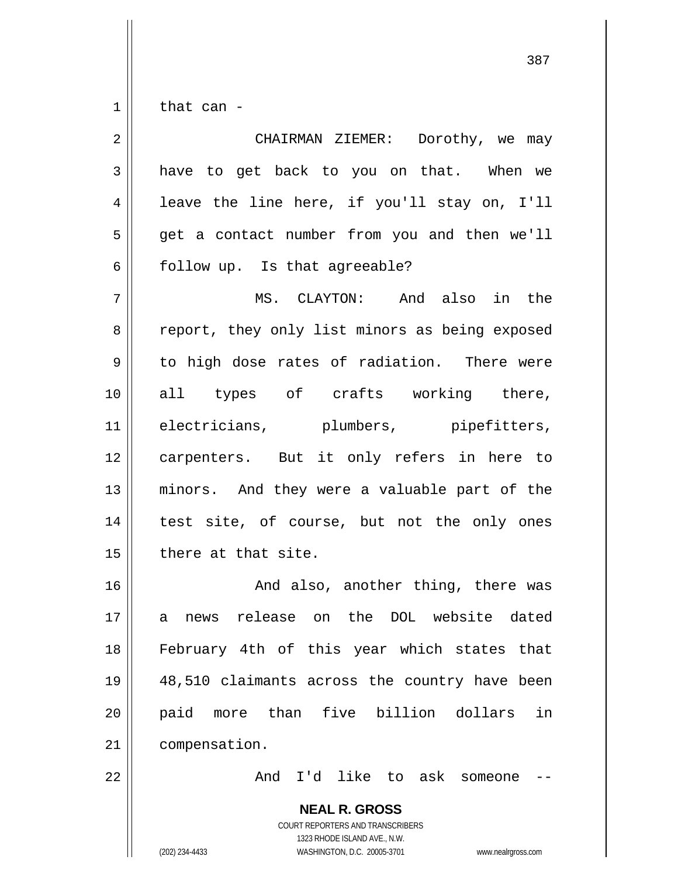1 that can -

| $\overline{2}$ | CHAIRMAN ZIEMER: Dorothy, we may               |
|----------------|------------------------------------------------|
| 3              | have to get back to you on that. When we       |
| 4              | leave the line here, if you'll stay on, I'll   |
| 5              | get a contact number from you and then we'll   |
| 6              | follow up. Is that agreeable?                  |
| 7              | MS. CLAYTON: And also in the                   |
| 8              | report, they only list minors as being exposed |
| $\mathsf 9$    | to high dose rates of radiation. There were    |
| 10             | all types of crafts working there,             |
| 11             | electricians, plumbers, pipefitters,           |
| 12             | carpenters. But it only refers in here to      |
| 13             | minors. And they were a valuable part of the   |
| 14             | test site, of course, but not the only ones    |
| 15             | there at that site.                            |
| 16             | And also, another thing, there was             |
| 17             | a news release on the DOL website dated        |
| 18             | February 4th of this year which states that    |
| 19             | 48,510 claimants across the country have been  |
| 20             | paid more than five billion dollars<br>in      |
| 21             | compensation.                                  |
| 22             | And I'd like to ask someone                    |
|                | <b>NEAL R. GROSS</b>                           |

COURT REPORTERS AND TRANSCRIBERS 1323 RHODE ISLAND AVE., N.W.

 $\mathsf{II}$ 

(202) 234-4433 WASHINGTON, D.C. 20005-3701 www.nealrgross.com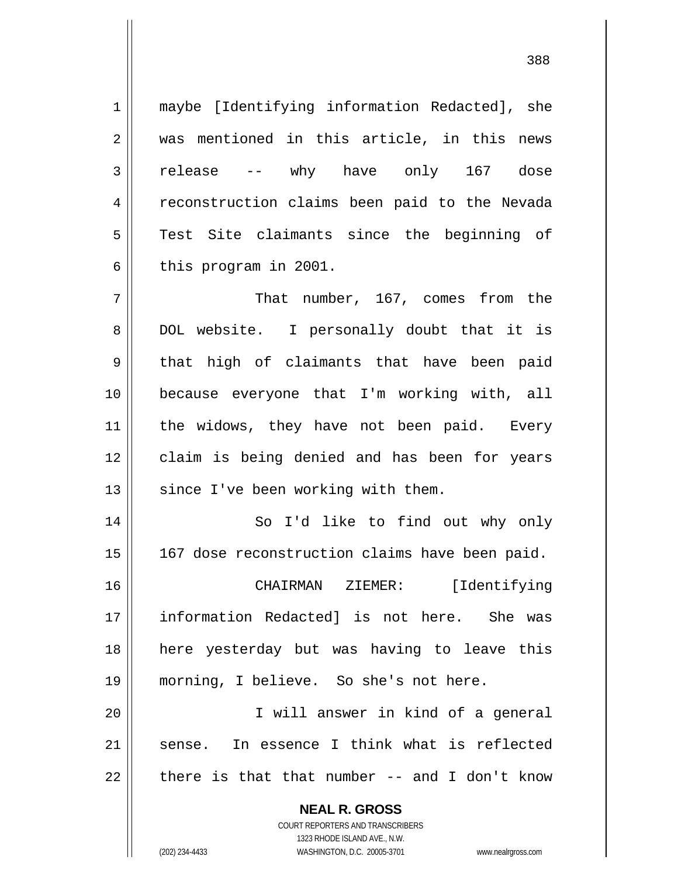maybe [Identifying information Redacted], she was mentioned in this article, in this news release -- why have only 167 dose reconstruction claims been paid to the Nevada Test Site claimants since the beginning of this program in 2001.

7 8 9 10 11 12 13 That number, 167, comes from the DOL website. I personally doubt that it is that high of claimants that have been paid because everyone that I'm working with, all the widows, they have not been paid. Every claim is being denied and has been for years since I've been working with them.

14 15 So I'd like to find out why only 167 dose reconstruction claims have been paid.

16 17 18 19 CHAIRMAN ZIEMER: [Identifying information Redacted] is not here. She was here yesterday but was having to leave this morning, I believe. So she's not here.

20 21 22 I will answer in kind of a general sense. In essence I think what is reflected there is that that number -- and I don't know

> **NEAL R. GROSS** COURT REPORTERS AND TRANSCRIBERS 1323 RHODE ISLAND AVE., N.W. (202) 234-4433 WASHINGTON, D.C. 20005-3701 www.nealrgross.com

1

2

3

4

5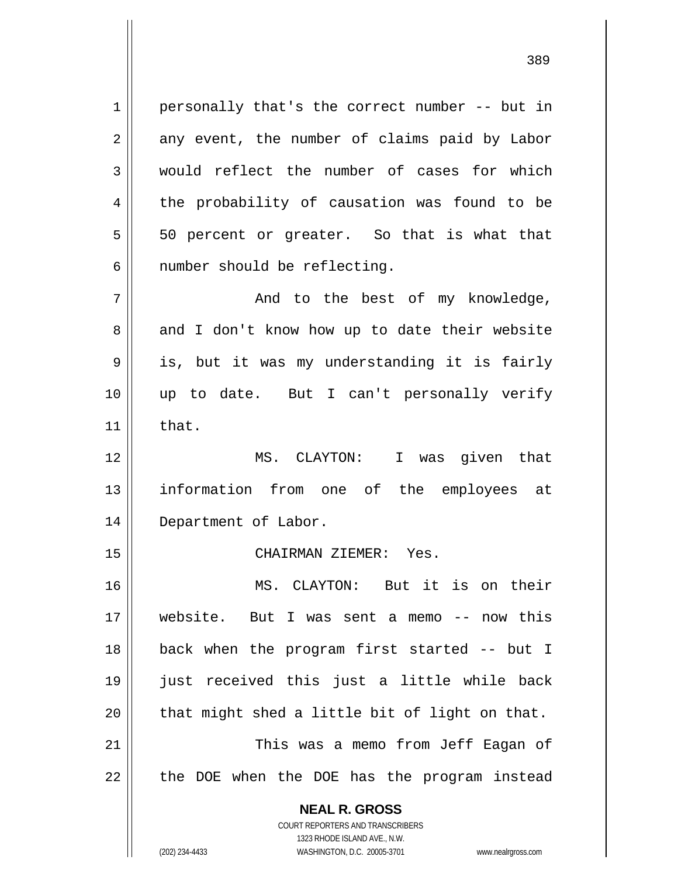1 2 3 4 personally that's the correct number -- but in any event, the number of claims paid by Labor would reflect the number of cases for which the probability of causation was found to be 50 percent or greater. So that is what that number should be reflecting.

5

6

15

<u>389 and the state of the state of the state of the state of the state of the state of the state of the state o</u>

7 8 9 10 11 And to the best of my knowledge, and I don't know how up to date their website is, but it was my understanding it is fairly up to date. But I can't personally verify that.

12 13 14 MS. CLAYTON: I was given that information from one of the employees at Department of Labor.

CHAIRMAN ZIEMER: Yes.

16 17 18 19 20 21 22 MS. CLAYTON: But it is on their website. But I was sent a memo -- now this back when the program first started -- but I just received this just a little while back that might shed a little bit of light on that. This was a memo from Jeff Eagan of the DOE when the DOE has the program instead

> **NEAL R. GROSS** COURT REPORTERS AND TRANSCRIBERS 1323 RHODE ISLAND AVE., N.W. (202) 234-4433 WASHINGTON, D.C. 20005-3701 www.nealrgross.com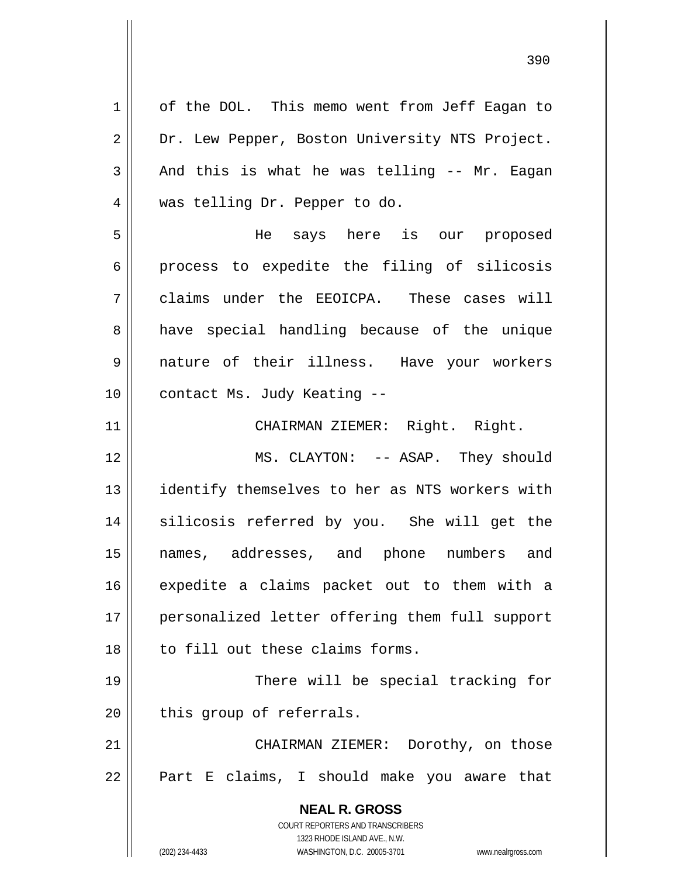**NEAL R. GROSS** COURT REPORTERS AND TRANSCRIBERS 1323 RHODE ISLAND AVE., N.W. 1 2 3 4 5 6 7 8 9 10 11 12 13 14 15 16 17 18 19 20 21 22 of the DOL. This memo went from Jeff Eagan to Dr. Lew Pepper, Boston University NTS Project. And this is what he was telling -- Mr. Eagan was telling Dr. Pepper to do. He says here is our proposed process to expedite the filing of silicosis claims under the EEOICPA. These cases will have special handling because of the unique nature of their illness. Have your workers contact Ms. Judy Keating -- CHAIRMAN ZIEMER: Right. Right. MS. CLAYTON: -- ASAP. They should identify themselves to her as NTS workers with silicosis referred by you. She will get the names, addresses, and phone numbers and expedite a claims packet out to them with a personalized letter offering them full support to fill out these claims forms. There will be special tracking for this group of referrals. CHAIRMAN ZIEMER: Dorothy, on those Part E claims, I should make you aware that

(202) 234-4433 WASHINGTON, D.C. 20005-3701 www.nealrgross.com

<u>390</u>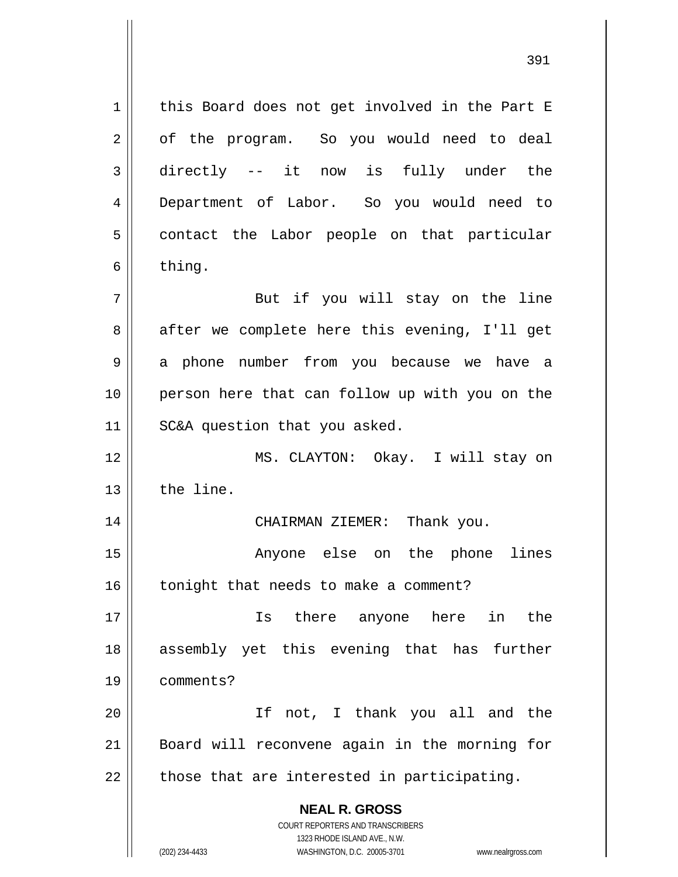1 2 3 4 5 6 7 8 9 10 11 this Board does not get involved in the Part E of the program. So you would need to deal directly -- it now is fully under the Department of Labor. So you would need to contact the Labor people on that particular thing. But if you will stay on the line after we complete here this evening, I'll get a phone number from you because we have a person here that can follow up with you on the SC&A question that you asked.

12 13 MS. CLAYTON: Okay. I will stay on the line.

CHAIRMAN ZIEMER: Thank you.

15 16 Anyone else on the phone lines tonight that needs to make a comment?

17 18 19 Is there anyone here in the assembly yet this evening that has further comments?

20 21 22 If not, I thank you all and the Board will reconvene again in the morning for those that are interested in participating.

> **NEAL R. GROSS** COURT REPORTERS AND TRANSCRIBERS

> > 1323 RHODE ISLAND AVE., N.W.

14